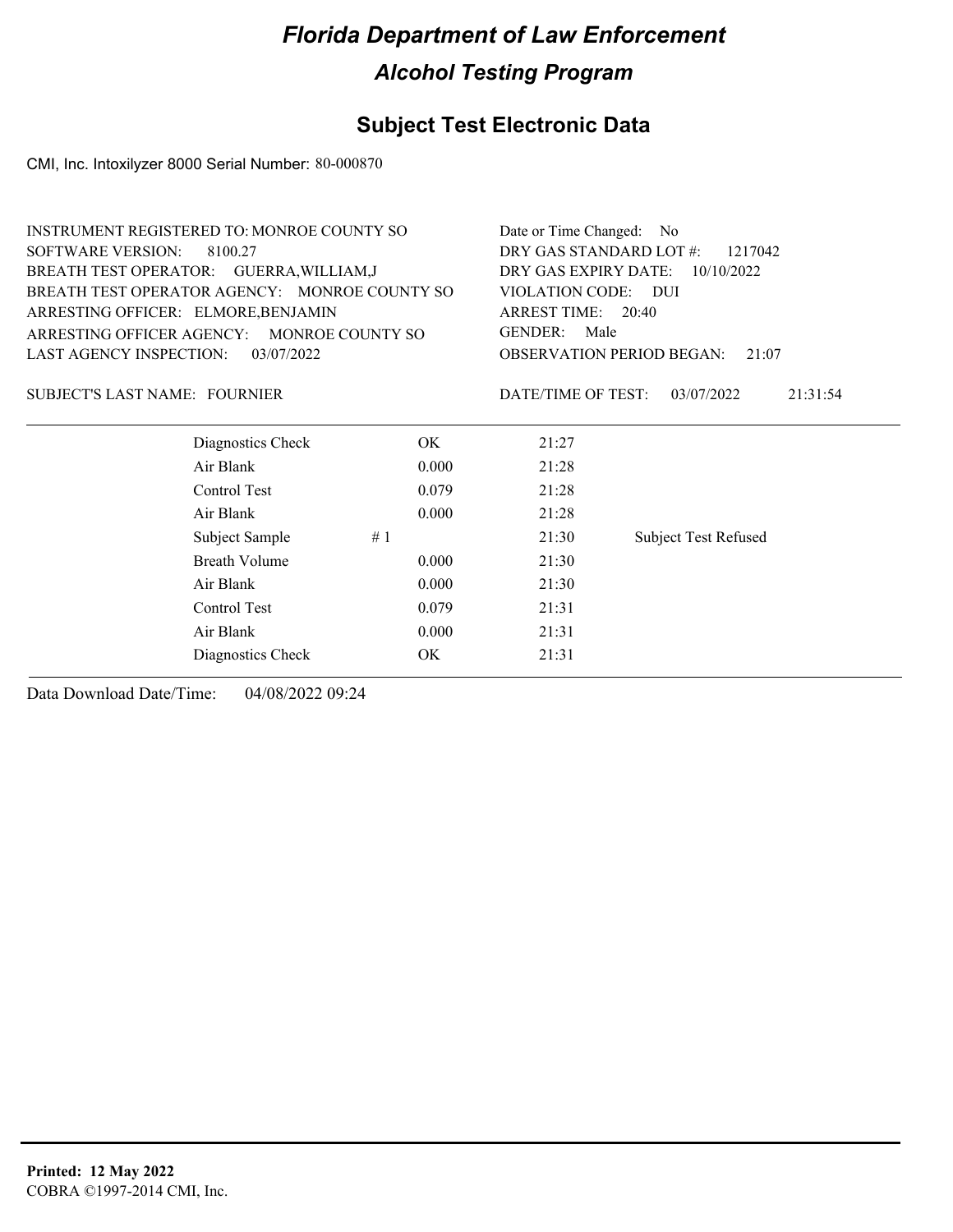### **Subject Test Electronic Data**

CMI, Inc. Intoxilyzer 8000 Serial Number: 80-000870

|                                      | <b>INSTRUMENT REGISTERED TO: MONROE COUNTY SO</b> |       | Date or Time Changed: No                  |                             |  |
|--------------------------------------|---------------------------------------------------|-------|-------------------------------------------|-----------------------------|--|
| <b>SOFTWARE VERSION:</b>             | 8100.27                                           |       | DRY GAS STANDARD LOT #:<br>1217042        |                             |  |
|                                      | BREATH TEST OPERATOR: GUERRA, WILLIAM, J          |       | DRY GAS EXPIRY DATE: 10/10/2022           |                             |  |
|                                      | BREATH TEST OPERATOR AGENCY: MONROE COUNTY SO     |       | VIOLATION CODE: DUI                       |                             |  |
|                                      | ARRESTING OFFICER: ELMORE, BENJAMIN               |       | ARREST TIME: 20:40                        |                             |  |
|                                      | ARRESTING OFFICER AGENCY: MONROE COUNTY SO        |       | <b>GENDER:</b><br>Male                    |                             |  |
| LAST AGENCY INSPECTION:              | 03/07/2022                                        |       | <b>OBSERVATION PERIOD BEGAN:</b><br>21:07 |                             |  |
| <b>SUBJECT'S LAST NAME: FOURNIER</b> |                                                   |       | DATE/TIME OF TEST:                        | 03/07/2022<br>21:31:54      |  |
|                                      | Diagnostics Check                                 | OK.   | 21:27                                     |                             |  |
|                                      | Air Blank                                         | 0.000 | 21:28                                     |                             |  |
|                                      | Control Test                                      | 0.079 | 21:28                                     |                             |  |
|                                      | Air Blank                                         | 0.000 | 21:28                                     |                             |  |
|                                      | Subject Sample                                    | #1    | 21:30                                     | <b>Subject Test Refused</b> |  |
|                                      | Breath Volume                                     | 0.000 | 21:30                                     |                             |  |
|                                      | Air Blank                                         | 0.000 | 21:30                                     |                             |  |
|                                      | Control Test                                      | 0.079 | 21:31                                     |                             |  |
|                                      | Air Blank                                         | 0.000 | 21:31                                     |                             |  |
|                                      | Diagnostics Check                                 | OK    | 21:31                                     |                             |  |
|                                      |                                                   |       |                                           |                             |  |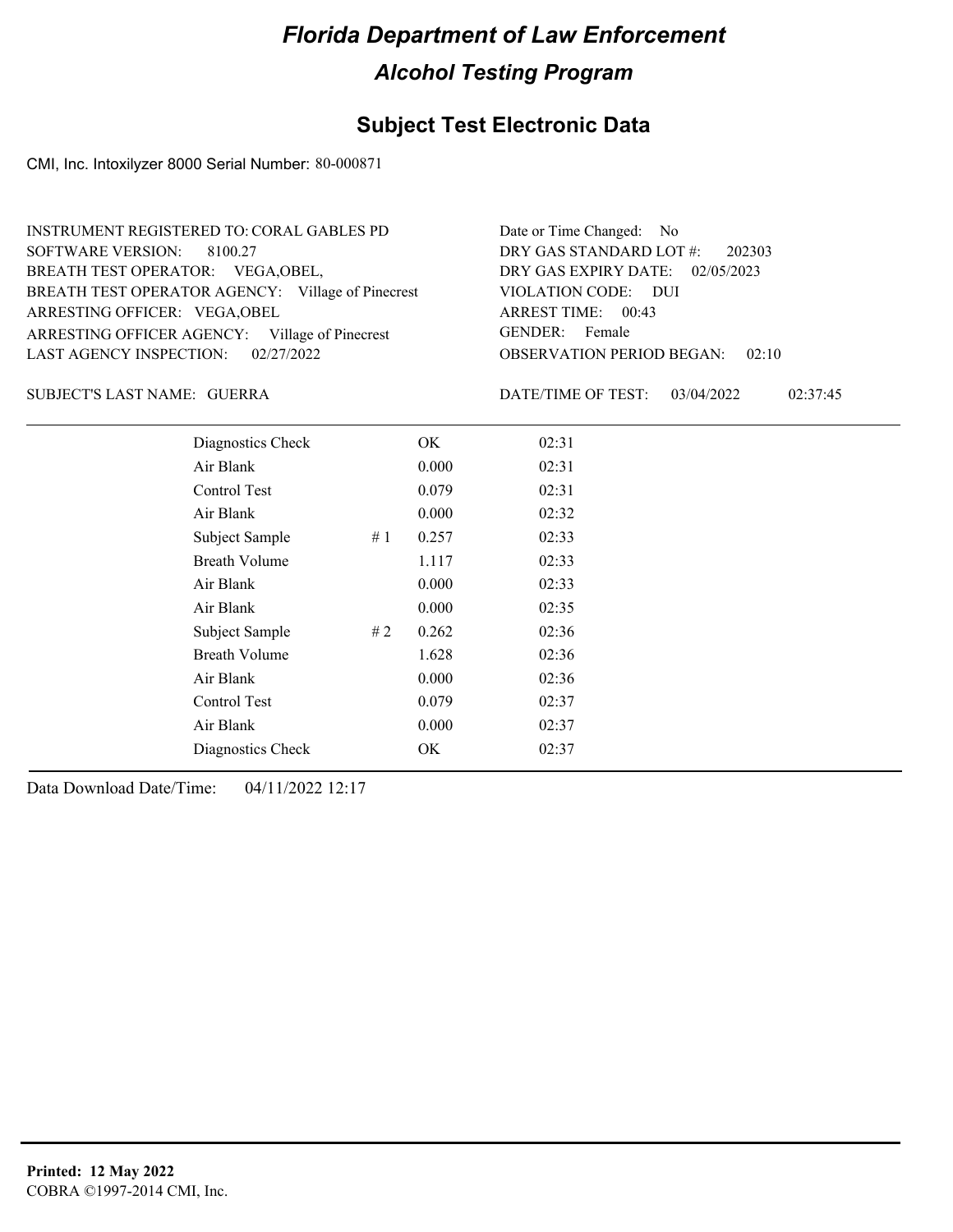### **Subject Test Electronic Data**

CMI, Inc. Intoxilyzer 8000 Serial Number: 80-000871

| <b>INSTRUMENT REGISTERED TO: CORAL GABLES PD</b>  | Date or Time Changed: No               |
|---------------------------------------------------|----------------------------------------|
| SOFTWARE VERSION: 8100.27                         | DRY GAS STANDARD LOT #: 202303         |
| BREATH TEST OPERATOR: VEGA, OBEL,                 | DRY GAS EXPIRY DATE: 02/05/2023        |
| BREATH TEST OPERATOR AGENCY: Village of Pinecrest | VIOLATION CODE: DUI                    |
| ARRESTING OFFICER: VEGA, OBEL                     | ARREST TIME: 00:43                     |
| ARRESTING OFFICER AGENCY: Village of Pinecrest    | GENDER: Female                         |
| LAST AGENCY INSPECTION: 02/27/2022                | <b>OBSERVATION PERIOD BEGAN: 02:10</b> |

#### GUERRA SUBJECT'S LAST NAME: DATE/TIME OF TEST:

DATE/TIME OF TEST: 03/04/2022 02:37:45

| Diagnostics Check    |    | OK    | 02:31 |
|----------------------|----|-------|-------|
| Air Blank            |    | 0.000 | 02:31 |
| Control Test         |    | 0.079 | 02:31 |
| Air Blank            |    | 0.000 | 02:32 |
| Subject Sample       | #1 | 0.257 | 02:33 |
| <b>Breath Volume</b> |    | 1.117 | 02:33 |
| Air Blank            |    | 0.000 | 02:33 |
| Air Blank            |    | 0.000 | 02:35 |
| Subject Sample       | #2 | 0.262 | 02:36 |
| <b>Breath Volume</b> |    | 1.628 | 02:36 |
| Air Blank            |    | 0.000 | 02:36 |
| Control Test         |    | 0.079 | 02:37 |
| Air Blank            |    | 0.000 | 02:37 |
| Diagnostics Check    |    | OK    | 02:37 |
|                      |    |       |       |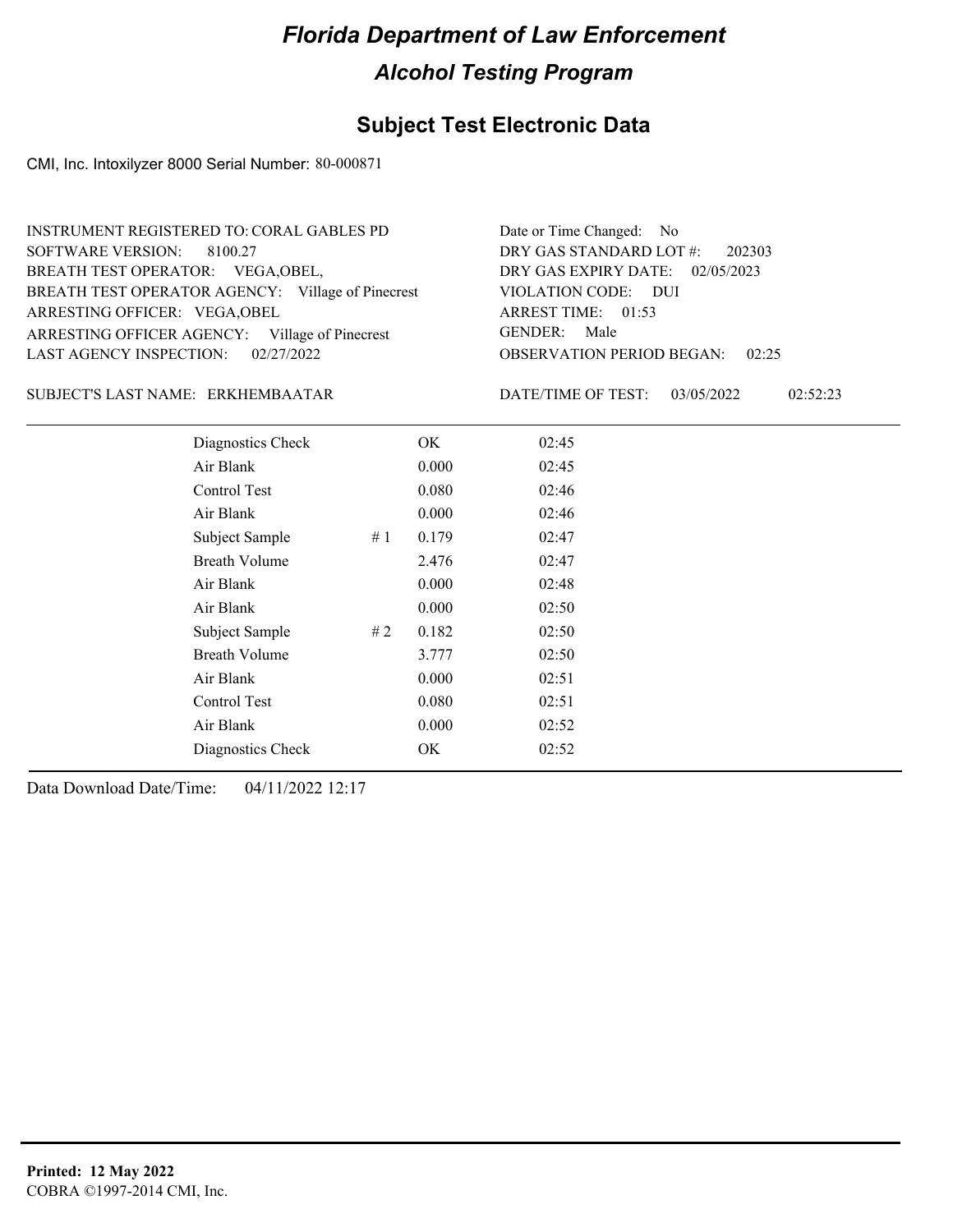### **Subject Test Electronic Data**

CMI, Inc. Intoxilyzer 8000 Serial Number: 80-000871

| INSTRUMENT REGISTERED TO: CORAL GABLES PD         | Date or Time Changed: No               |
|---------------------------------------------------|----------------------------------------|
| SOFTWARE VERSION: 8100.27                         | DRY GAS STANDARD LOT $\#$ : 202303     |
| BREATH TEST OPERATOR: VEGA, OBEL,                 | DRY GAS EXPIRY DATE: 02/05/2023        |
| BREATH TEST OPERATOR AGENCY: Village of Pinecrest | VIOLATION CODE: DUI                    |
| ARRESTING OFFICER: VEGA, OBEL                     | ARREST TIME: 01:53                     |
| ARRESTING OFFICER AGENCY: Village of Pinecrest    | GENDER: Male                           |
| LAST AGENCY INSPECTION: 02/27/2022                | <b>OBSERVATION PERIOD BEGAN: 02:25</b> |

#### ERKHEMBAATAR SUBJECT'S LAST NAME: DATE/TIME OF TEST:

DATE/TIME OF TEST: 03/05/2022 02:52:23

| Diagnostics Check<br>02:45<br>OK<br>Air Blank<br>0.000<br>02:45<br>Control Test<br>0.080<br>02:46<br>Air Blank<br>0.000<br>02:46<br>Subject Sample<br>0.179<br>02:47<br>#1<br><b>Breath Volume</b><br>02:47<br>2.476<br>Air Blank<br>0.000<br>02:48<br>Air Blank<br>0.000<br>02:50<br>Subject Sample<br># 2<br>0.182<br>02:50<br><b>Breath Volume</b><br>3.777<br>02:50<br>Air Blank<br>02:51<br>0.000<br>Control Test<br>0.080<br>02:51<br>Air Blank<br>0.000<br>02:52<br>Diagnostics Check<br>OK<br>02:52 |  |  |  |
|-------------------------------------------------------------------------------------------------------------------------------------------------------------------------------------------------------------------------------------------------------------------------------------------------------------------------------------------------------------------------------------------------------------------------------------------------------------------------------------------------------------|--|--|--|
|                                                                                                                                                                                                                                                                                                                                                                                                                                                                                                             |  |  |  |
|                                                                                                                                                                                                                                                                                                                                                                                                                                                                                                             |  |  |  |
|                                                                                                                                                                                                                                                                                                                                                                                                                                                                                                             |  |  |  |
|                                                                                                                                                                                                                                                                                                                                                                                                                                                                                                             |  |  |  |
|                                                                                                                                                                                                                                                                                                                                                                                                                                                                                                             |  |  |  |
|                                                                                                                                                                                                                                                                                                                                                                                                                                                                                                             |  |  |  |
|                                                                                                                                                                                                                                                                                                                                                                                                                                                                                                             |  |  |  |
|                                                                                                                                                                                                                                                                                                                                                                                                                                                                                                             |  |  |  |
|                                                                                                                                                                                                                                                                                                                                                                                                                                                                                                             |  |  |  |
|                                                                                                                                                                                                                                                                                                                                                                                                                                                                                                             |  |  |  |
|                                                                                                                                                                                                                                                                                                                                                                                                                                                                                                             |  |  |  |
|                                                                                                                                                                                                                                                                                                                                                                                                                                                                                                             |  |  |  |
|                                                                                                                                                                                                                                                                                                                                                                                                                                                                                                             |  |  |  |
|                                                                                                                                                                                                                                                                                                                                                                                                                                                                                                             |  |  |  |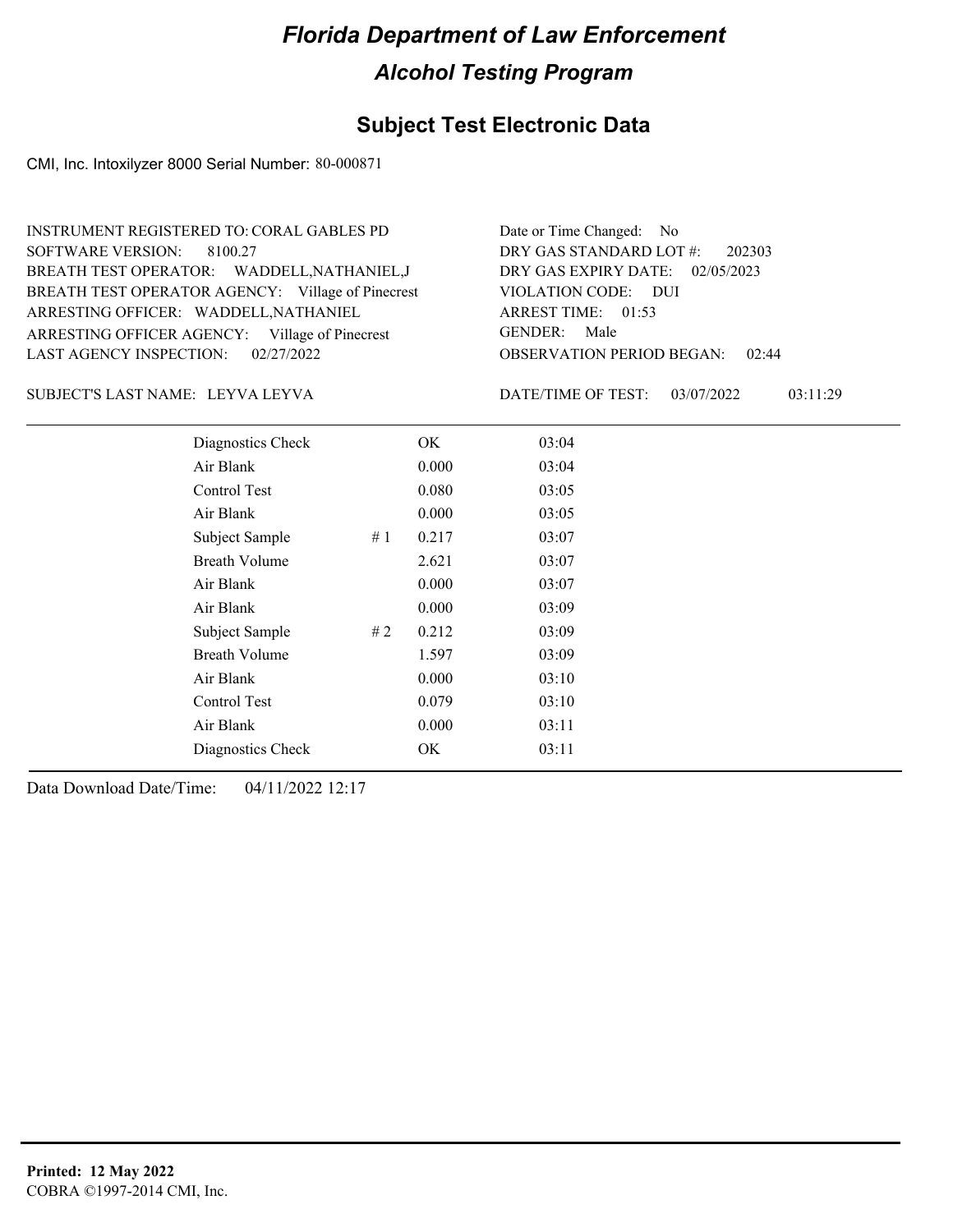### **Subject Test Electronic Data**

CMI, Inc. Intoxilyzer 8000 Serial Number: 80-000871

| <b>INSTRUMENT REGISTERED TO: CORAL GABLES PD</b>  | Date or Time Changed: No               |
|---------------------------------------------------|----------------------------------------|
| SOFTWARE VERSION: 8100.27                         | DRY GAS STANDARD LOT $#$ : 202303      |
| BREATH TEST OPERATOR: WADDELL, NATHANIEL, J       | DRY GAS EXPIRY DATE: 02/05/2023        |
| BREATH TEST OPERATOR AGENCY: Village of Pinecrest | VIOLATION CODE: DUI                    |
| ARRESTING OFFICER: WADDELL, NATHANIEL             | ARREST TIME: 01:53                     |
| ARRESTING OFFICER AGENCY: Village of Pinecrest    | GENDER: Male                           |
| LAST AGENCY INSPECTION: 02/27/2022                | <b>OBSERVATION PERIOD BEGAN: 02:44</b> |

#### LEYVA LEYVA SUBJECT'S LAST NAME: DATE/TIME OF TEST:

DATE/TIME OF TEST: 03/07/2022 03:11:29

| Diagnostics Check    |    | OK    | 03:04 |
|----------------------|----|-------|-------|
| Air Blank            |    | 0.000 | 03:04 |
| Control Test         |    | 0.080 | 03:05 |
| Air Blank            |    | 0.000 | 03:05 |
| Subject Sample       | #1 | 0.217 | 03:07 |
| <b>Breath Volume</b> |    | 2.621 | 03:07 |
| Air Blank            |    | 0.000 | 03:07 |
| Air Blank            |    | 0.000 | 03:09 |
| Subject Sample       | #2 | 0.212 | 03:09 |
| <b>Breath Volume</b> |    | 1.597 | 03:09 |
| Air Blank            |    | 0.000 | 03:10 |
| Control Test         |    | 0.079 | 03:10 |
| Air Blank            |    | 0.000 | 03:11 |
| Diagnostics Check    |    | OK    | 03:11 |
|                      |    |       |       |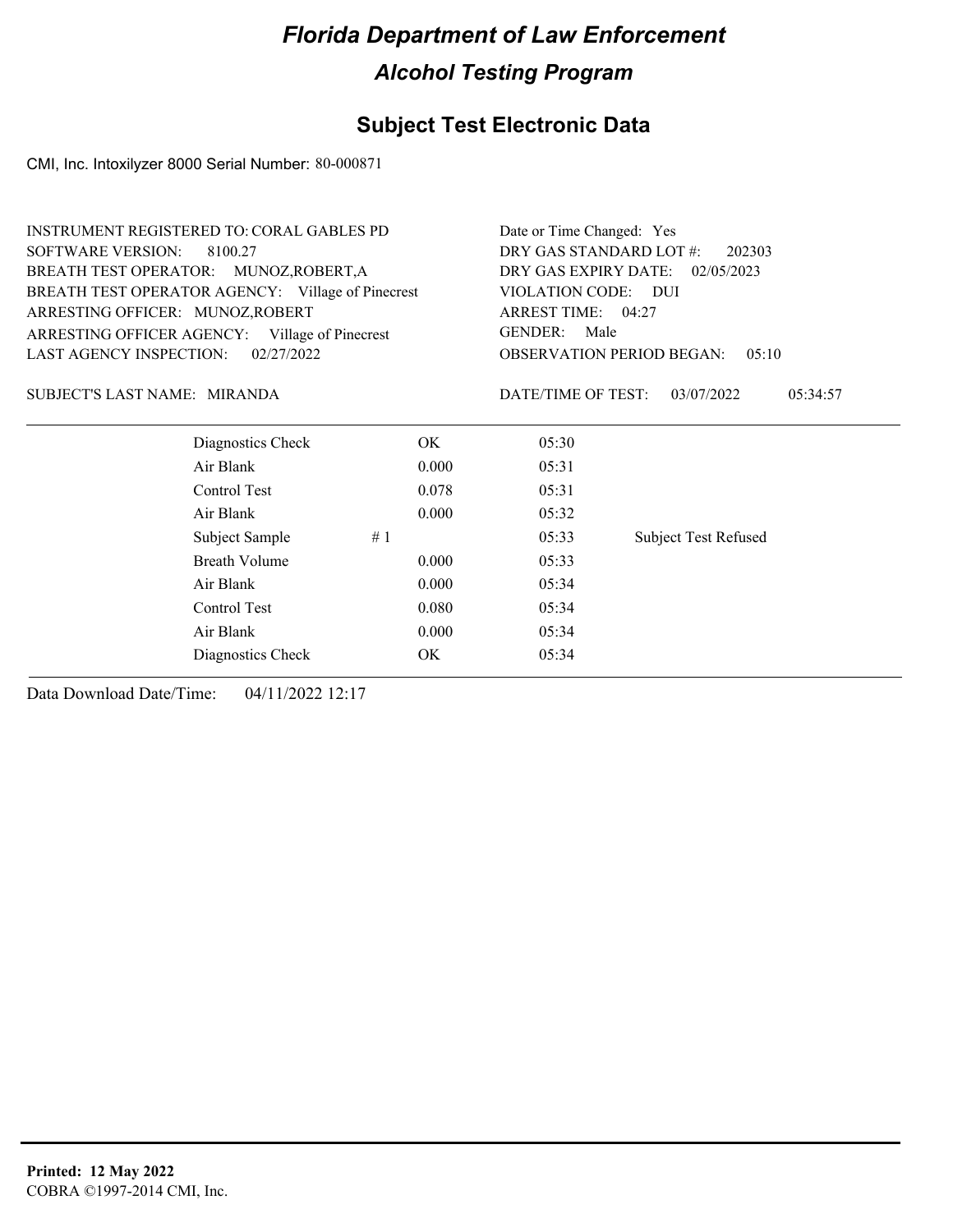### **Subject Test Electronic Data**

CMI, Inc. Intoxilyzer 8000 Serial Number: 80-000871

| DRY GAS STANDARD LOT #:<br><b>SOFTWARE VERSION:</b><br>8100.27<br>202303<br>DRY GAS EXPIRY DATE:<br>BREATH TEST OPERATOR: MUNOZ, ROBERT, A<br>02/05/2023<br>BREATH TEST OPERATOR AGENCY: Village of Pinecrest<br>VIOLATION CODE: DUI<br>ARRESTING OFFICER: MUNOZ, ROBERT<br>ARREST TIME: 04:27<br><b>GENDER:</b><br>Male<br>ARRESTING OFFICER AGENCY: Village of Pinecrest<br><b>LAST AGENCY INSPECTION:</b><br>02/27/2022<br><b>OBSERVATION PERIOD BEGAN:</b><br>0.5:10<br>DATE/TIME OF TEST:<br>SUBJECT'S LAST NAME: MIRANDA<br>03/07/2022<br>05:34:57<br>Diagnostics Check<br>OK.<br>05:30<br>Air Blank<br>0.000<br>05:31<br>Control Test<br>0.078<br>05:31<br>Air Blank<br>0.000<br>05:32<br>Subject Sample<br>#1<br>05:33<br><b>Subject Test Refused</b><br><b>Breath Volume</b><br>0.000<br>05:33<br>Air Blank<br>0.000<br>05:34<br>Control Test<br>0.080<br>05:34<br>Air Blank<br>0.000<br>05:34<br>OK.<br>05:34<br>Diagnostics Check | <b>INSTRUMENT REGISTERED TO: CORAL GABLES PD</b> | Date or Time Changed: Yes |  |  |
|----------------------------------------------------------------------------------------------------------------------------------------------------------------------------------------------------------------------------------------------------------------------------------------------------------------------------------------------------------------------------------------------------------------------------------------------------------------------------------------------------------------------------------------------------------------------------------------------------------------------------------------------------------------------------------------------------------------------------------------------------------------------------------------------------------------------------------------------------------------------------------------------------------------------------------------------|--------------------------------------------------|---------------------------|--|--|
|                                                                                                                                                                                                                                                                                                                                                                                                                                                                                                                                                                                                                                                                                                                                                                                                                                                                                                                                              |                                                  |                           |  |  |
|                                                                                                                                                                                                                                                                                                                                                                                                                                                                                                                                                                                                                                                                                                                                                                                                                                                                                                                                              |                                                  |                           |  |  |
|                                                                                                                                                                                                                                                                                                                                                                                                                                                                                                                                                                                                                                                                                                                                                                                                                                                                                                                                              |                                                  |                           |  |  |
|                                                                                                                                                                                                                                                                                                                                                                                                                                                                                                                                                                                                                                                                                                                                                                                                                                                                                                                                              |                                                  |                           |  |  |
|                                                                                                                                                                                                                                                                                                                                                                                                                                                                                                                                                                                                                                                                                                                                                                                                                                                                                                                                              |                                                  |                           |  |  |
|                                                                                                                                                                                                                                                                                                                                                                                                                                                                                                                                                                                                                                                                                                                                                                                                                                                                                                                                              |                                                  |                           |  |  |
|                                                                                                                                                                                                                                                                                                                                                                                                                                                                                                                                                                                                                                                                                                                                                                                                                                                                                                                                              |                                                  |                           |  |  |
|                                                                                                                                                                                                                                                                                                                                                                                                                                                                                                                                                                                                                                                                                                                                                                                                                                                                                                                                              |                                                  |                           |  |  |
|                                                                                                                                                                                                                                                                                                                                                                                                                                                                                                                                                                                                                                                                                                                                                                                                                                                                                                                                              |                                                  |                           |  |  |
|                                                                                                                                                                                                                                                                                                                                                                                                                                                                                                                                                                                                                                                                                                                                                                                                                                                                                                                                              |                                                  |                           |  |  |
|                                                                                                                                                                                                                                                                                                                                                                                                                                                                                                                                                                                                                                                                                                                                                                                                                                                                                                                                              |                                                  |                           |  |  |
|                                                                                                                                                                                                                                                                                                                                                                                                                                                                                                                                                                                                                                                                                                                                                                                                                                                                                                                                              |                                                  |                           |  |  |
|                                                                                                                                                                                                                                                                                                                                                                                                                                                                                                                                                                                                                                                                                                                                                                                                                                                                                                                                              |                                                  |                           |  |  |
|                                                                                                                                                                                                                                                                                                                                                                                                                                                                                                                                                                                                                                                                                                                                                                                                                                                                                                                                              |                                                  |                           |  |  |
|                                                                                                                                                                                                                                                                                                                                                                                                                                                                                                                                                                                                                                                                                                                                                                                                                                                                                                                                              |                                                  |                           |  |  |
|                                                                                                                                                                                                                                                                                                                                                                                                                                                                                                                                                                                                                                                                                                                                                                                                                                                                                                                                              |                                                  |                           |  |  |
|                                                                                                                                                                                                                                                                                                                                                                                                                                                                                                                                                                                                                                                                                                                                                                                                                                                                                                                                              |                                                  |                           |  |  |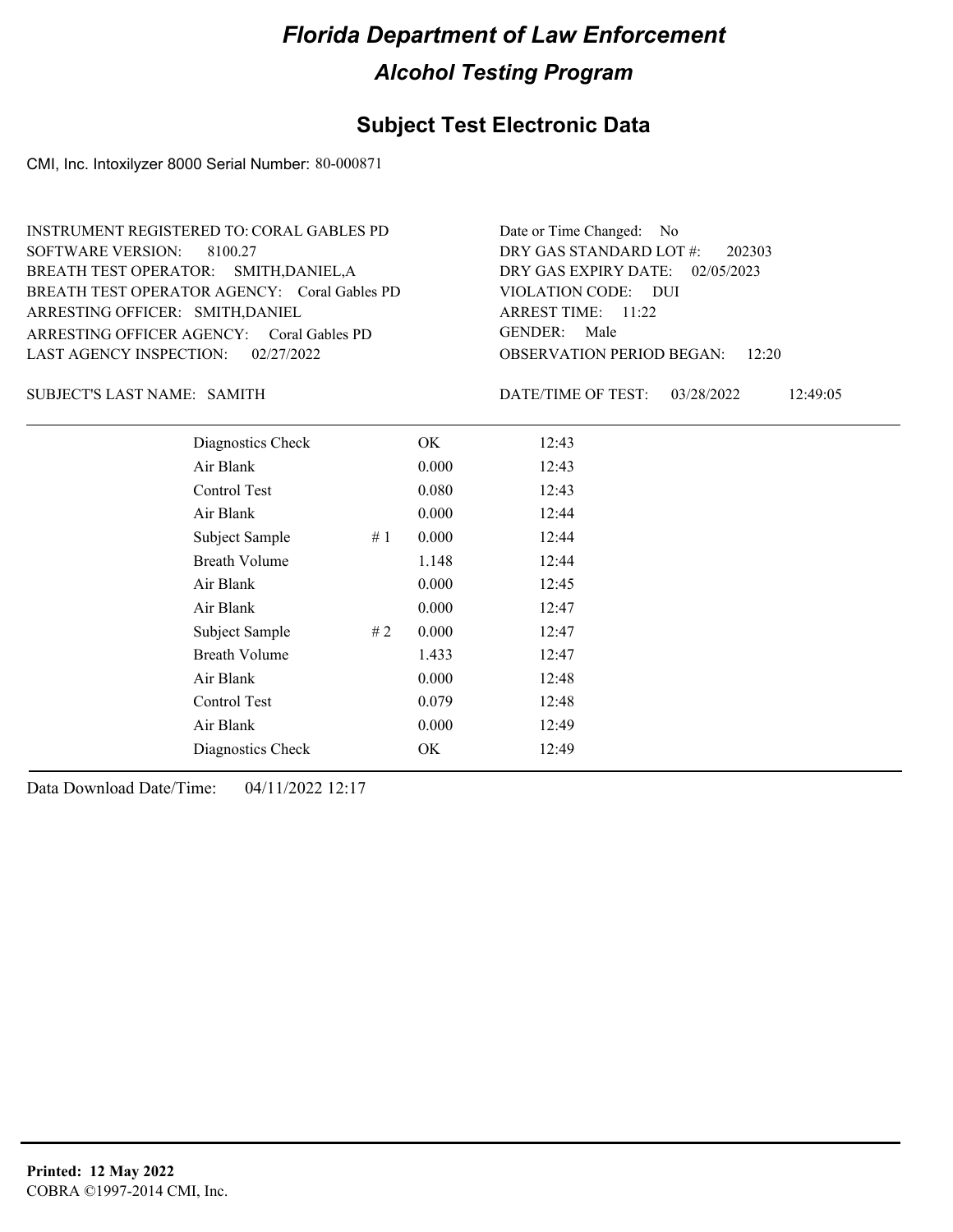### **Subject Test Electronic Data**

CMI, Inc. Intoxilyzer 8000 Serial Number: 80-000871

| INSTRUMENT REGISTERED TO: CORAL GABLES PD    | Date or Time Changed: No               |
|----------------------------------------------|----------------------------------------|
| SOFTWARE VERSION: 8100.27                    | DRY GAS STANDARD LOT #: 202303         |
| BREATH TEST OPERATOR: SMITH, DANIEL, A       | DRY GAS EXPIRY DATE: 02/05/2023        |
| BREATH TEST OPERATOR AGENCY: Coral Gables PD | VIOLATION CODE: DUI                    |
| ARRESTING OFFICER: SMITH, DANIEL             | ARREST TIME: $11:22$                   |
| ARRESTING OFFICER AGENCY: Coral Gables PD    | GENDER: Male                           |
| LAST AGENCY INSPECTION: 02/27/2022           | <b>OBSERVATION PERIOD BEGAN:</b> 12:20 |

#### SUBJECT'S LAST NAME: SAMITH DATE/TIME OF TEST:

DATE/TIME OF TEST: 03/28/2022 12:49:05

| Diagnostics Check    |    | OK    | 12:43 |
|----------------------|----|-------|-------|
| Air Blank            |    | 0.000 | 12:43 |
| Control Test         |    | 0.080 | 12:43 |
| Air Blank            |    | 0.000 | 12:44 |
| Subject Sample       | #1 | 0.000 | 12:44 |
| <b>Breath Volume</b> |    | 1.148 | 12:44 |
| Air Blank            |    | 0.000 | 12:45 |
| Air Blank            |    | 0.000 | 12:47 |
| Subject Sample       | #2 | 0.000 | 12:47 |
| <b>Breath Volume</b> |    | 1.433 | 12:47 |
| Air Blank            |    | 0.000 | 12:48 |
| Control Test         |    | 0.079 | 12:48 |
| Air Blank            |    | 0.000 | 12:49 |
| Diagnostics Check    |    | OK    | 12:49 |
|                      |    |       |       |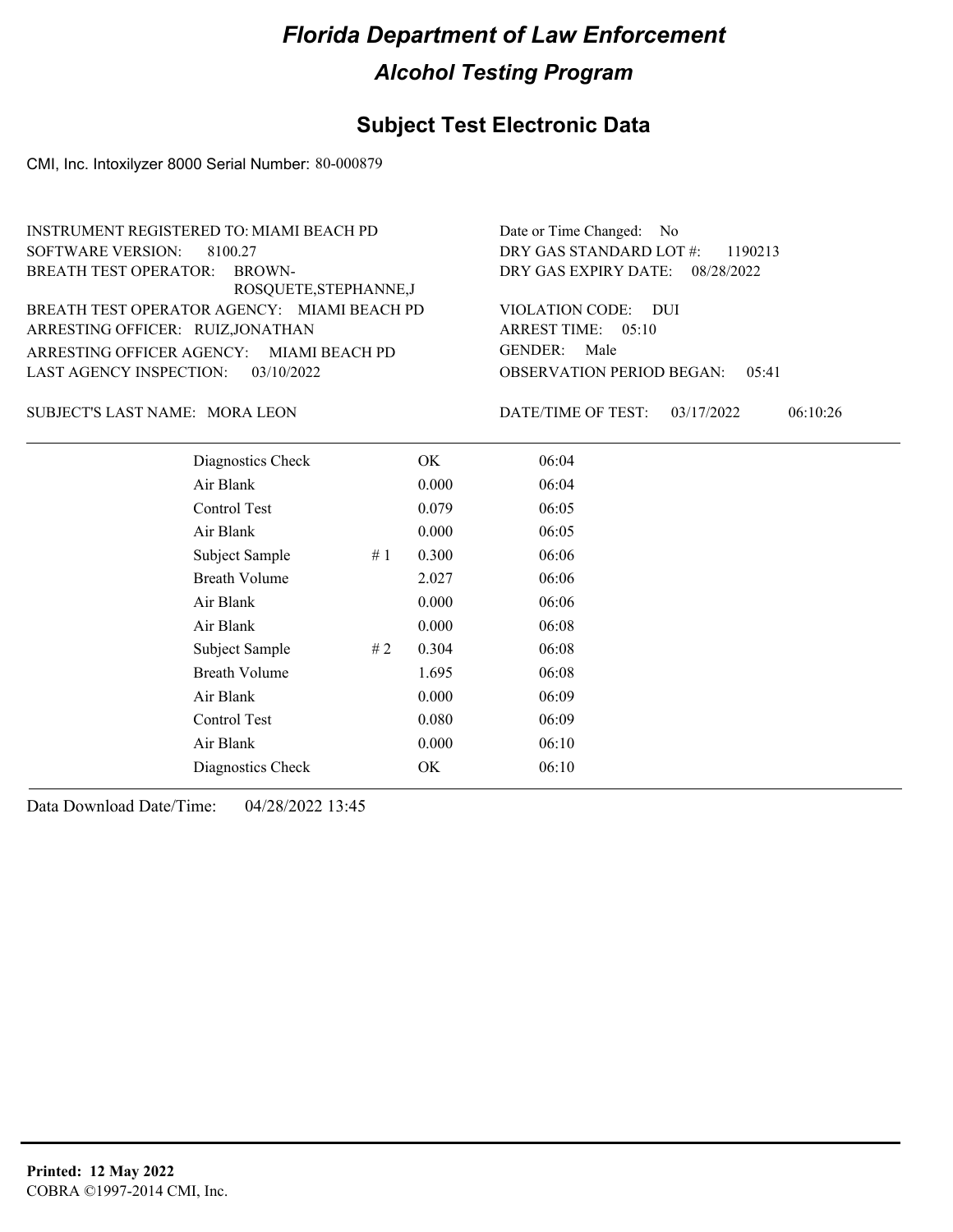#### **Subject Test Electronic Data**

CMI, Inc. Intoxilyzer 8000 Serial Number: 80-000879

ARRESTING OFFICER AGENCY: MIAMI BEACH PD GENDER: BREATH TEST OPERATOR AGENCY: MIAMI BEACH PD VIOLATION CODE: SOFTWARE VERSION: ARRESTING OFFICER: RUIZ,JONATHAN BREATH TEST OPERATOR: BROWN-ROSQUETE,STEPHANNE,J LAST AGENCY INSPECTION: 03/10/2022 8100.27 INSTRUMENT REGISTERED TO: MIAMI BEACH PD

08/28/2022 DRY GAS EXPIRY DATE: DRY GAS STANDARD LOT #: 1190213 Date or Time Changed: No

OBSERVATION PERIOD BEGAN: 05:41 VIOLATION CODE: DUI ARREST TIME: 05:10 GENDER: Male

SUBJECT'S LAST NAME: MORA LEON DATE/TIME OF TEST:

DATE/TIME OF TEST: 03/17/2022 06:10:26

| Diagnostics Check    |    | OK    | 06:04 |
|----------------------|----|-------|-------|
| Air Blank            |    | 0.000 | 06:04 |
| Control Test         |    | 0.079 | 06:05 |
| Air Blank            |    | 0.000 | 06:05 |
| Subject Sample       | #1 | 0.300 | 06:06 |
| <b>Breath Volume</b> |    | 2.027 | 06:06 |
| Air Blank            |    | 0.000 | 06:06 |
| Air Blank            |    | 0.000 | 06:08 |
| Subject Sample       | #2 | 0.304 | 06:08 |
| <b>Breath Volume</b> |    | 1.695 | 06:08 |
| Air Blank            |    | 0.000 | 06:09 |
| Control Test         |    | 0.080 | 06:09 |
| Air Blank            |    | 0.000 | 06:10 |
| Diagnostics Check    |    | OK    | 06:10 |
|                      |    |       |       |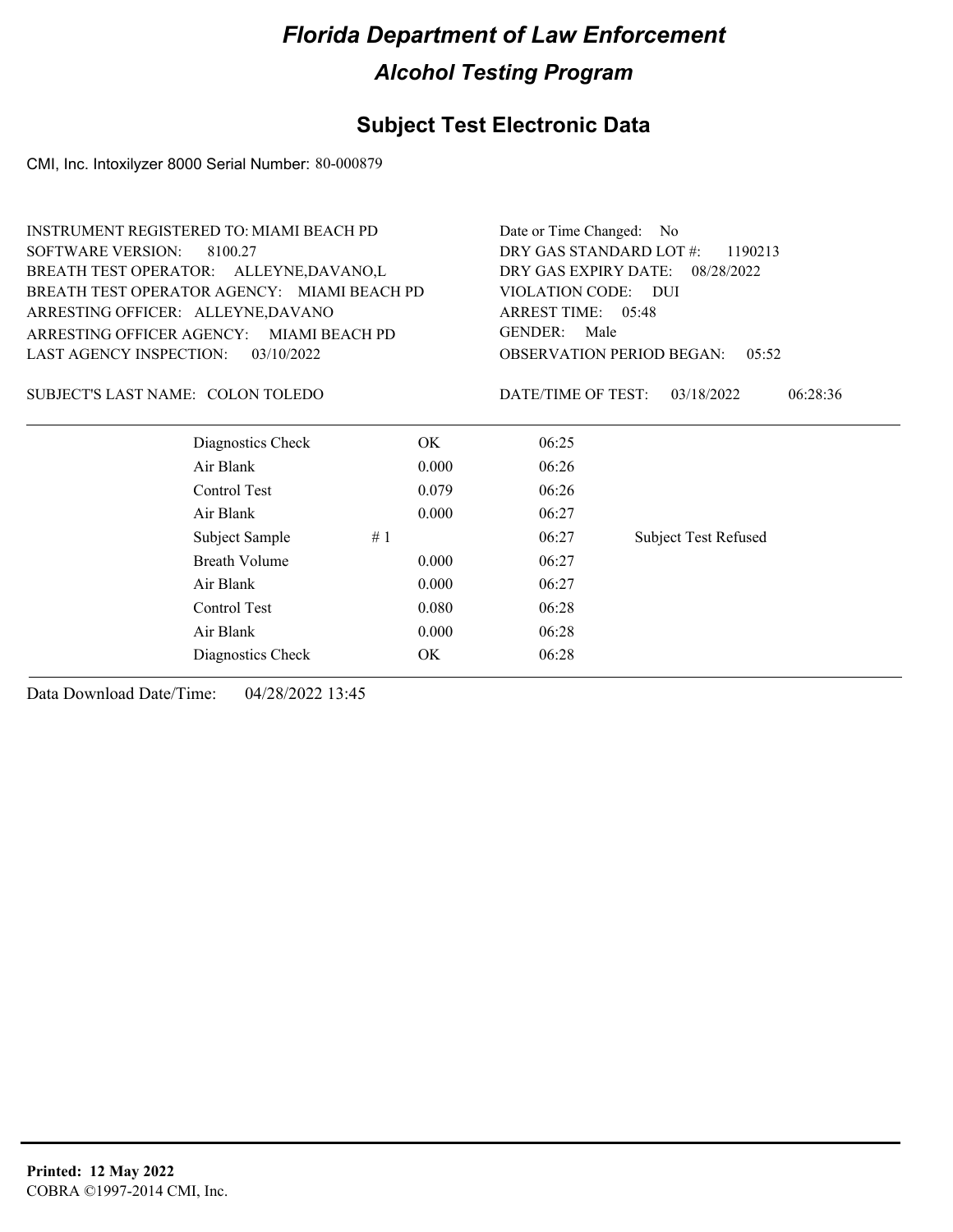### **Subject Test Electronic Data**

CMI, Inc. Intoxilyzer 8000 Serial Number: 80-000879

| <b>INSTRUMENT REGISTERED TO: MIAMI BEACH PD</b> |                                             |       | Date or Time Changed: No           |                             |  |
|-------------------------------------------------|---------------------------------------------|-------|------------------------------------|-----------------------------|--|
| <b>SOFTWARE VERSION:</b>                        | 8100.27                                     |       | DRY GAS STANDARD LOT #:<br>1190213 |                             |  |
| BREATH TEST OPERATOR: ALLEYNE, DAVANO, L        |                                             |       | DRY GAS EXPIRY DATE: 08/28/2022    |                             |  |
|                                                 | BREATH TEST OPERATOR AGENCY: MIAMI BEACH PD |       | VIOLATION CODE: DUI                |                             |  |
| ARRESTING OFFICER: ALLEYNE, DAVANO              |                                             |       | ARREST TIME: 05:48                 |                             |  |
|                                                 | ARRESTING OFFICER AGENCY: MIAMI BEACH PD    |       | <b>GENDER:</b><br>Male             |                             |  |
| LAST AGENCY INSPECTION:                         | 03/10/2022                                  |       | <b>OBSERVATION PERIOD BEGAN:</b>   | 0.5:52                      |  |
| SUBJECT'S LAST NAME: COLON TOLEDO               |                                             |       | DATE/TIME OF TEST:                 | 03/18/2022<br>06:28:36      |  |
|                                                 | Diagnostics Check                           | OK.   | 06:25                              |                             |  |
|                                                 | Air Blank                                   | 0.000 | 06:26                              |                             |  |
|                                                 | Control Test                                | 0.079 | 06:26                              |                             |  |
|                                                 | Air Blank                                   | 0.000 | 06:27                              |                             |  |
|                                                 | Subject Sample<br>#1                        |       | 06:27                              | <b>Subject Test Refused</b> |  |
|                                                 | Breath Volume                               | 0.000 | 06:27                              |                             |  |
|                                                 | Air Blank                                   | 0.000 | 06:27                              |                             |  |
|                                                 | Control Test                                | 0.080 | 06:28                              |                             |  |
|                                                 | Air Blank                                   | 0.000 | 06:28                              |                             |  |
|                                                 | Diagnostics Check                           | OK    | 06:28                              |                             |  |
|                                                 |                                             |       |                                    |                             |  |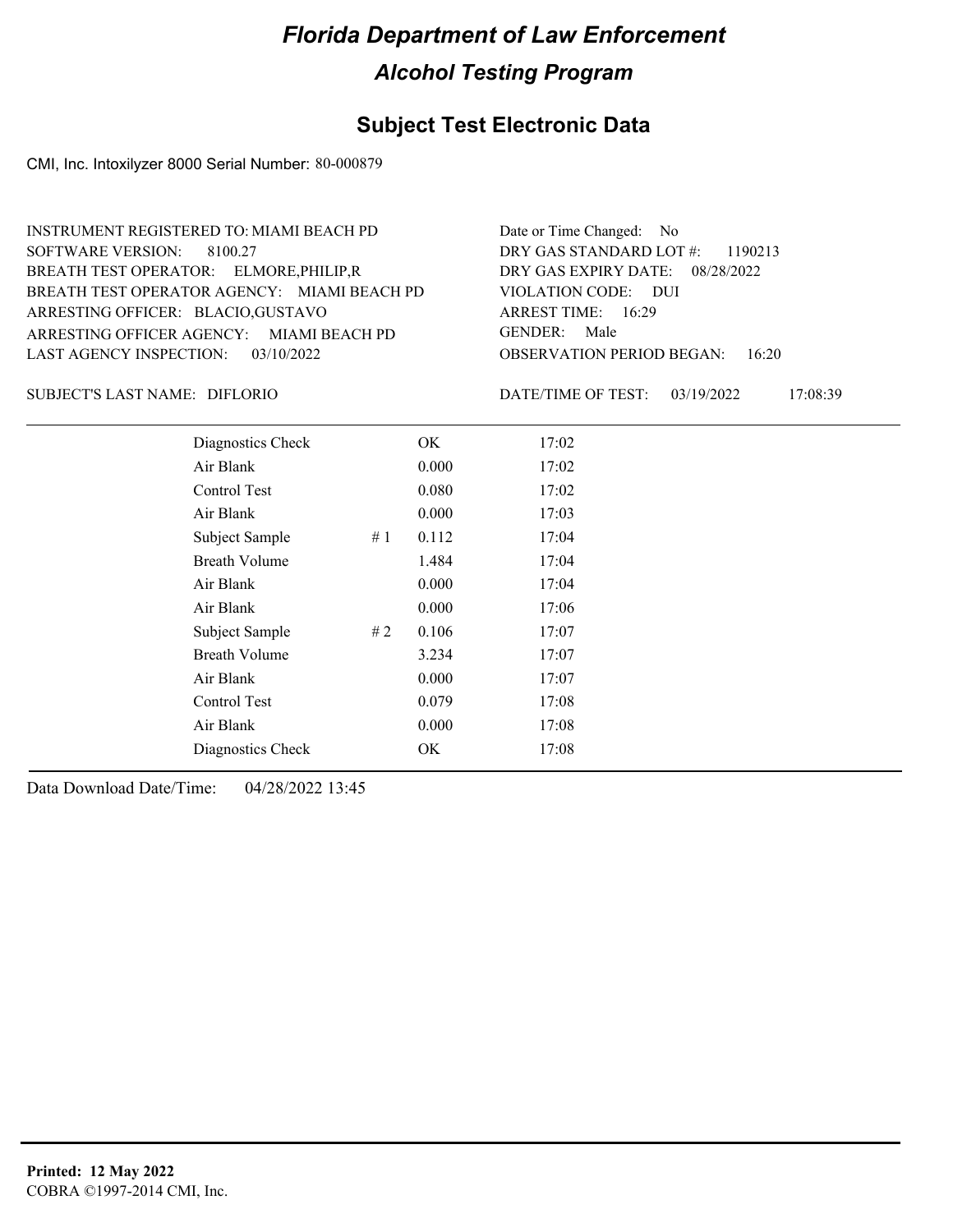#### **Subject Test Electronic Data**

CMI, Inc. Intoxilyzer 8000 Serial Number: 80-000879

ARRESTING OFFICER AGENCY: MIAMI BEACH PD GENDER: BREATH TEST OPERATOR AGENCY: VIOLATION CODE: MIAMI BEACH PD SOFTWARE VERSION: 8100.27 ARRESTING OFFICER: BLACIO,GUSTAVO BREATH TEST OPERATOR: ELMORE,PHILIP,R LAST AGENCY INSPECTION: 03/10/2022 INSTRUMENT REGISTERED TO: MIAMI BEACH PD

OBSERVATION PERIOD BEGAN: 16:20 VIOLATION CODE: DUI ARREST TIME: 16:29 08/28/2022 DRY GAS EXPIRY DATE: DRY GAS STANDARD LOT #: 1190213 Date or Time Changed: No GENDER: Male

DIFLORIO SUBJECT'S LAST NAME: DATE/TIME OF TEST:

DATE/TIME OF TEST: 03/19/2022 17:08:39

| Diagnostics Check    |    | OK.   | 17:02 |
|----------------------|----|-------|-------|
| Air Blank            |    | 0.000 | 17:02 |
| Control Test         |    | 0.080 | 17:02 |
| Air Blank            |    | 0.000 | 17:03 |
| Subject Sample       | #1 | 0.112 | 17:04 |
| <b>Breath Volume</b> |    | 1.484 | 17:04 |
| Air Blank            |    | 0.000 | 17:04 |
| Air Blank            |    | 0.000 | 17:06 |
| Subject Sample       | #2 | 0.106 | 17:07 |
| <b>Breath Volume</b> |    | 3.234 | 17:07 |
| Air Blank            |    | 0.000 | 17:07 |
| Control Test         |    | 0.079 | 17:08 |
| Air Blank            |    | 0.000 | 17:08 |
| Diagnostics Check    |    | OK    | 17:08 |
|                      |    |       |       |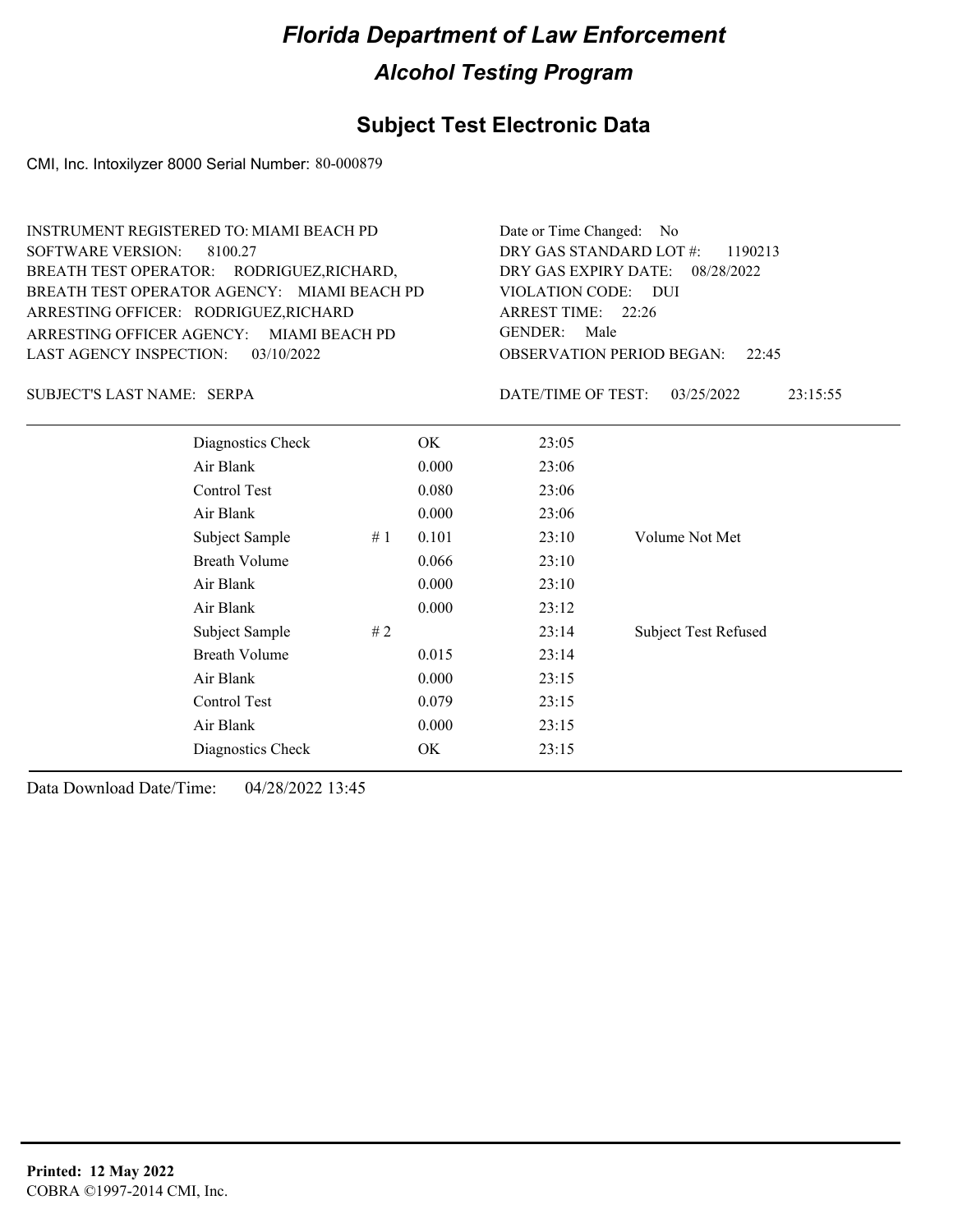#### **Subject Test Electronic Data**

CMI, Inc. Intoxilyzer 8000 Serial Number: 80-000879

ARRESTING OFFICER AGENCY: MIAMI BEACH PD GENDER: BREATH TEST OPERATOR AGENCY: VIOLATION CODE: MIAMI BEACH PD SOFTWARE VERSION: 8100.27 ARRESTING OFFICER: RODRIGUEZ,RICHARD BREATH TEST OPERATOR: RODRIGUEZ,RICHARD, LAST AGENCY INSPECTION: 03/10/2022 INSTRUMENT REGISTERED TO: MIAMI BEACH PD

OBSERVATION PERIOD BEGAN: 22:45 VIOLATION CODE: DUI ARREST TIME: 22:26 08/28/2022 DRY GAS EXPIRY DATE: DRY GAS STANDARD LOT #: 1190213 Date or Time Changed: No GENDER: Male

SERPA SUBJECT'S LAST NAME: DATE/TIME OF TEST:

DATE/TIME OF TEST: 03/25/2022 23:15:55

| Diagnostics Check    |    | OK    | 23:05 |                             |
|----------------------|----|-------|-------|-----------------------------|
| Air Blank            |    | 0.000 | 23:06 |                             |
| Control Test         |    | 0.080 | 23:06 |                             |
| Air Blank            |    | 0.000 | 23:06 |                             |
| Subject Sample       | #1 | 0.101 | 23:10 | Volume Not Met              |
| <b>Breath Volume</b> |    | 0.066 | 23:10 |                             |
| Air Blank            |    | 0.000 | 23:10 |                             |
| Air Blank            |    | 0.000 | 23:12 |                             |
| Subject Sample       | #2 |       | 23:14 | <b>Subject Test Refused</b> |
| <b>Breath Volume</b> |    | 0.015 | 23:14 |                             |
| Air Blank            |    | 0.000 | 23:15 |                             |
| Control Test         |    | 0.079 | 23:15 |                             |
| Air Blank            |    | 0.000 | 23:15 |                             |
| Diagnostics Check    |    | OK    | 23:15 |                             |
|                      |    |       |       |                             |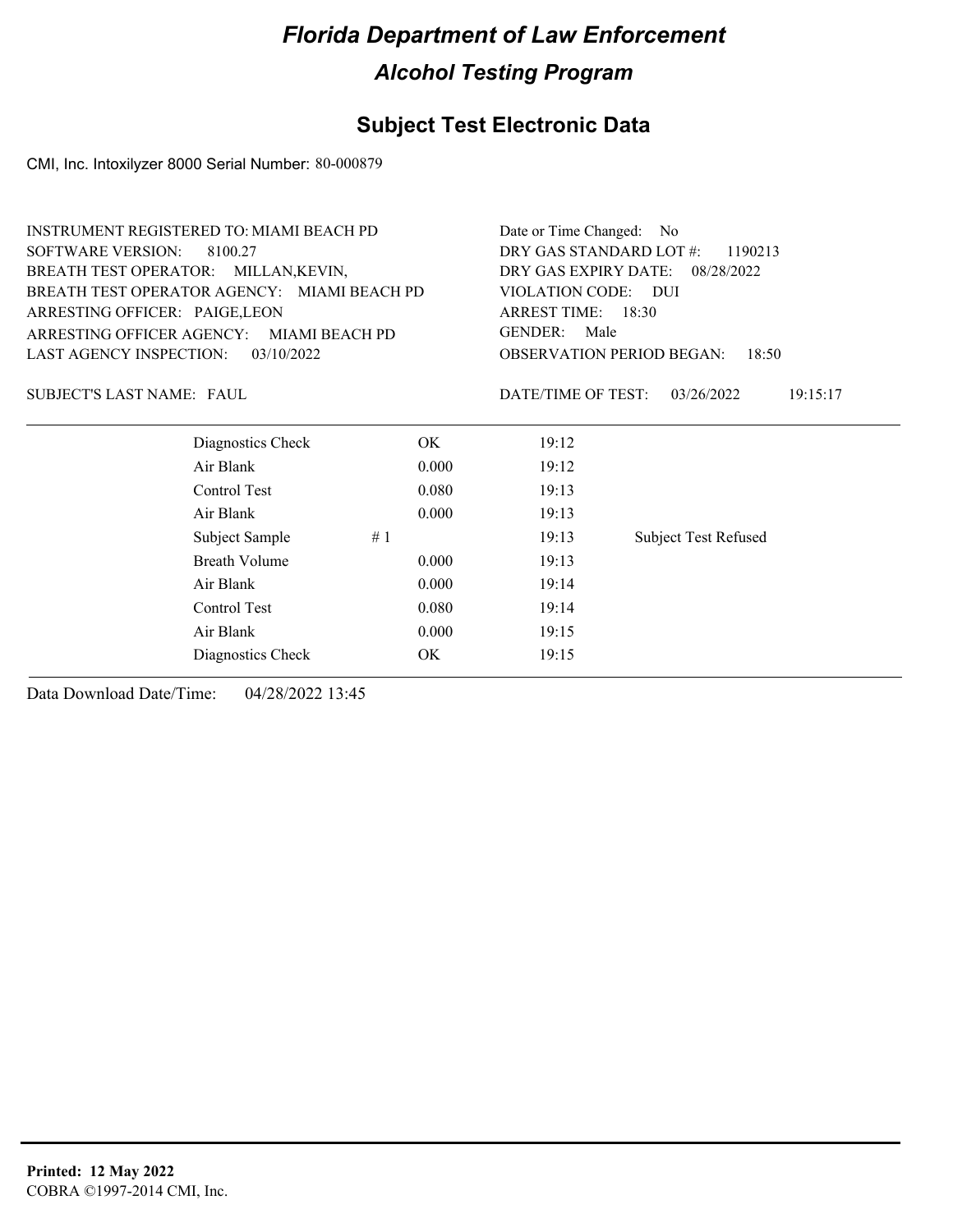### **Subject Test Electronic Data**

CMI, Inc. Intoxilyzer 8000 Serial Number: 80-000879

|                                  | INSTRUMENT REGISTERED TO: MIAMI BEACH PD    |       | Date or Time Changed: No                  |                             |  |  |
|----------------------------------|---------------------------------------------|-------|-------------------------------------------|-----------------------------|--|--|
| <b>SOFTWARE VERSION:</b>         | 8100.27                                     |       | DRY GAS STANDARD LOT #:<br>1190213        |                             |  |  |
|                                  | BREATH TEST OPERATOR: MILLAN, KEVIN,        |       | DRY GAS EXPIRY DATE: 08/28/2022           |                             |  |  |
|                                  | BREATH TEST OPERATOR AGENCY: MIAMI BEACH PD |       | <b>VIOLATION CODE:</b>                    | <b>DUI</b>                  |  |  |
| ARRESTING OFFICER: PAIGE, LEON   |                                             |       | ARREST TIME: 18:30                        |                             |  |  |
|                                  | ARRESTING OFFICER AGENCY: MIAMI BEACH PD    |       | <b>GENDER:</b><br>Male                    |                             |  |  |
| LAST AGENCY INSPECTION:          | 03/10/2022                                  |       | <b>OBSERVATION PERIOD BEGAN:</b><br>18:50 |                             |  |  |
| <b>SUBJECT'S LAST NAME: FAUL</b> |                                             |       | DATE/TIME OF TEST:                        | 03/26/2022<br>19:15:17      |  |  |
|                                  | Diagnostics Check                           | OK.   | 19:12                                     |                             |  |  |
|                                  | Air Blank                                   | 0.000 | 19:12                                     |                             |  |  |
|                                  | Control Test                                | 0.080 | 19:13                                     |                             |  |  |
|                                  | Air Blank                                   | 0.000 | 19:13                                     |                             |  |  |
|                                  | Subject Sample                              | #1    | 19:13                                     | <b>Subject Test Refused</b> |  |  |
|                                  | <b>Breath Volume</b>                        | 0.000 | 19:13                                     |                             |  |  |
|                                  | Air Blank                                   | 0.000 | 19:14                                     |                             |  |  |
|                                  | Control Test                                | 0.080 | 19:14                                     |                             |  |  |
|                                  | Air Blank                                   | 0.000 | 19:15                                     |                             |  |  |
|                                  | Diagnostics Check                           | ОK    | 19:15                                     |                             |  |  |
|                                  |                                             |       |                                           |                             |  |  |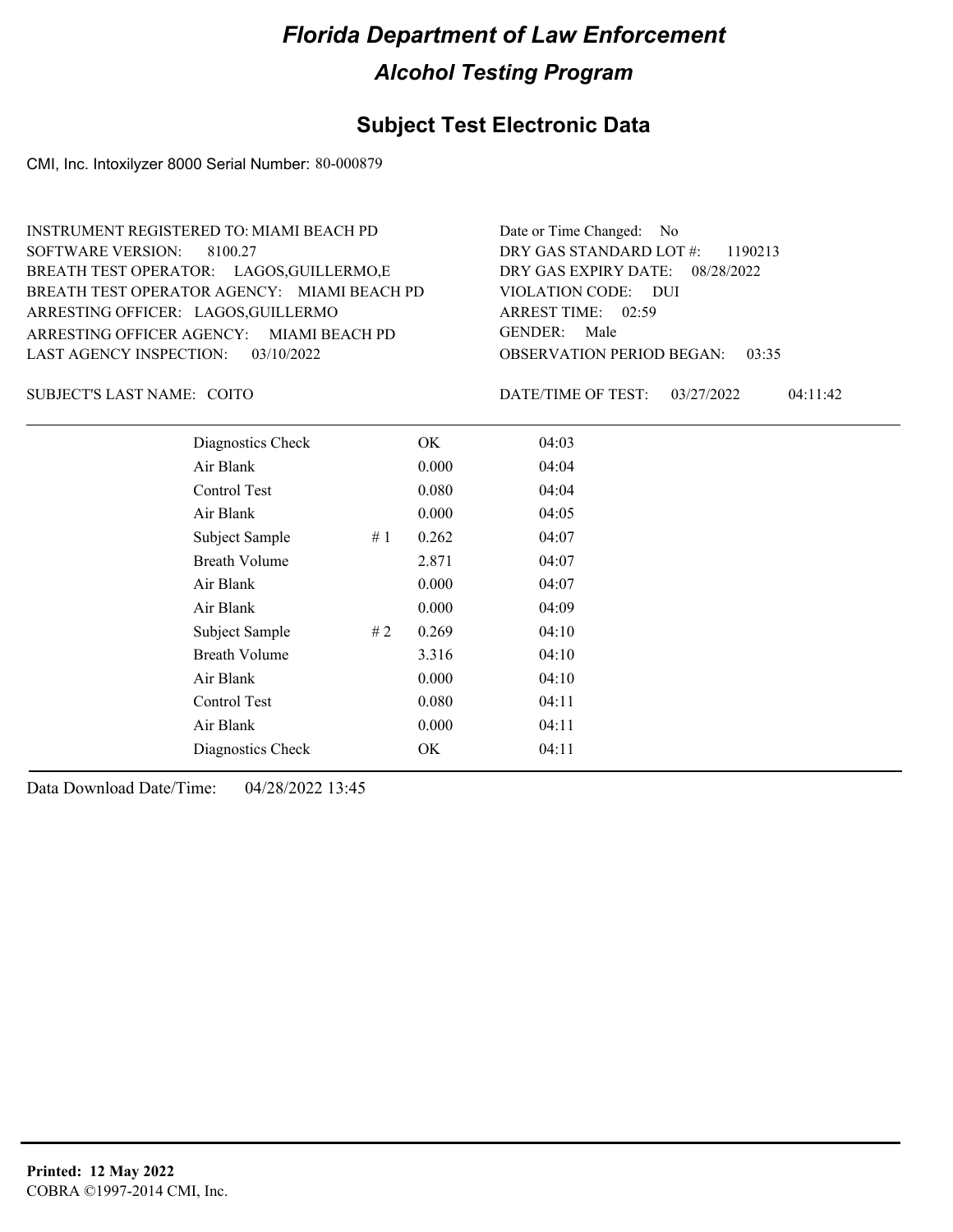#### **Subject Test Electronic Data**

CMI, Inc. Intoxilyzer 8000 Serial Number: 80-000879

ARRESTING OFFICER AGENCY: MIAMI BEACH PD GENDER: BREATH TEST OPERATOR AGENCY: VIOLATION CODE: MIAMI BEACH PD SOFTWARE VERSION: 8100.27 ARRESTING OFFICER: LAGOS, GUILLERMO BREATH TEST OPERATOR: LAGOS,GUILLERMO,E LAST AGENCY INSPECTION: 03/10/2022 INSTRUMENT REGISTERED TO: MIAMI BEACH PD

OBSERVATION PERIOD BEGAN: 03:35 VIOLATION CODE: DUI ARREST TIME: 02:59 08/28/2022 DRY GAS EXPIRY DATE: DRY GAS STANDARD LOT #: 1190213 Date or Time Changed: No GENDER: Male

SUBJECT'S LAST NAME: COITO **Example 2018** DATE/TIME OF TEST:

DATE/TIME OF TEST: 03/27/2022 04:11:42

| Diagnostics Check    |    | OK    | 04:03 |
|----------------------|----|-------|-------|
| Air Blank            |    | 0.000 | 04:04 |
| Control Test         |    | 0.080 | 04:04 |
| Air Blank            |    | 0.000 | 04:05 |
| Subject Sample       | #1 | 0.262 | 04:07 |
| <b>Breath Volume</b> |    | 2.871 | 04:07 |
| Air Blank            |    | 0.000 | 04:07 |
| Air Blank            |    | 0.000 | 04:09 |
| Subject Sample       | #2 | 0.269 | 04:10 |
| <b>Breath Volume</b> |    | 3.316 | 04:10 |
| Air Blank            |    | 0.000 | 04:10 |
| Control Test         |    | 0.080 | 04:11 |
| Air Blank            |    | 0.000 | 04:11 |
| Diagnostics Check    |    | OK    | 04:11 |
|                      |    |       |       |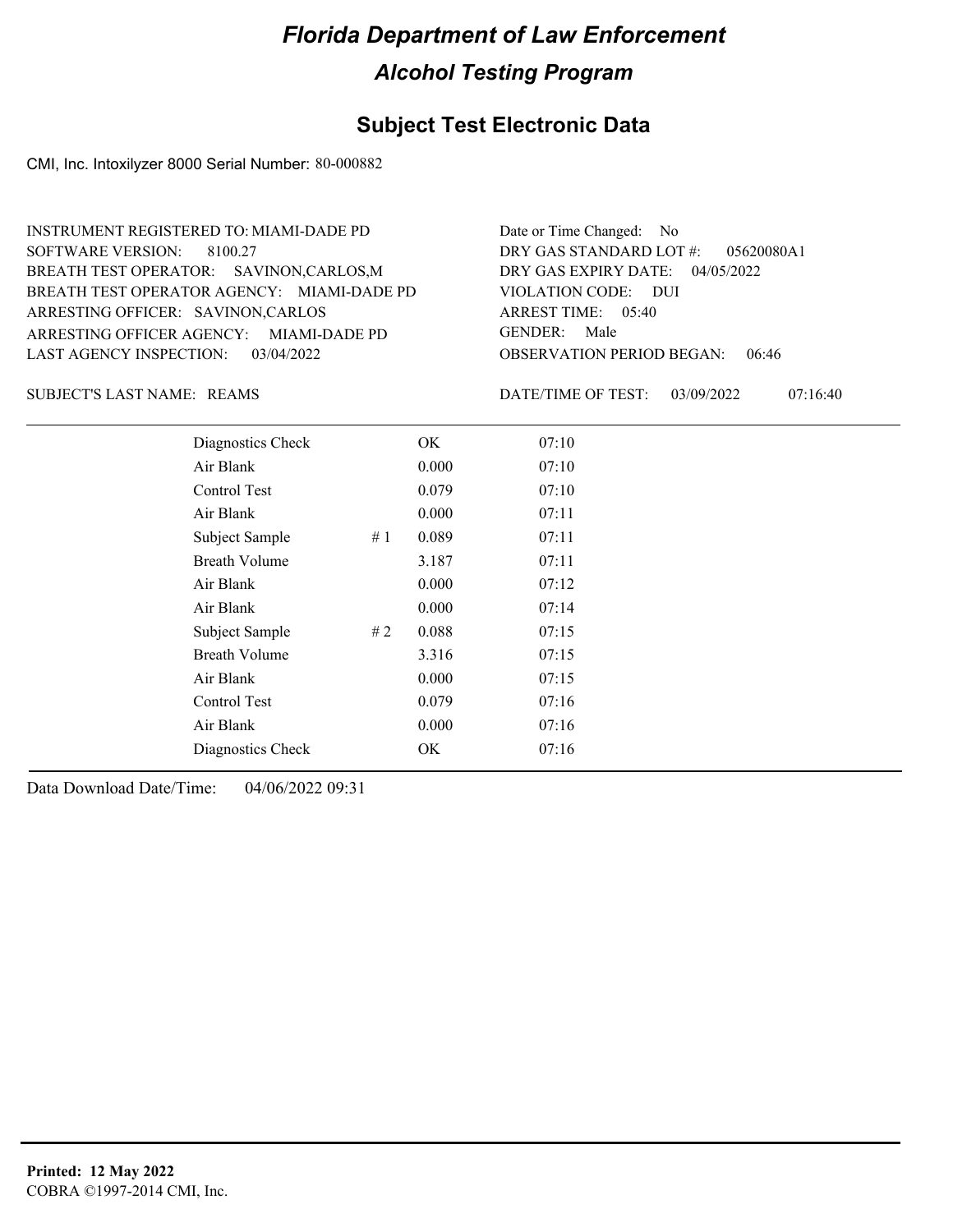#### **Subject Test Electronic Data**

CMI, Inc. Intoxilyzer 8000 Serial Number: 80-000882

ARRESTING OFFICER AGENCY: GENDER: MIAMI-DADE PD BREATH TEST OPERATOR AGENCY: MIAMI-DADE PD VIOLATION CODE: SOFTWARE VERSION: 8100.27 ARRESTING OFFICER: SAVINON,CARLOS BREATH TEST OPERATOR: SAVINON,CARLOS,M LAST AGENCY INSPECTION: 03/04/2022 INSTRUMENT REGISTERED TO: MIAMI-DADE PD

OBSERVATION PERIOD BEGAN: 06:46 VIOLATION CODE: DUI 05:40 ARREST TIME: 04/05/2022 DRY GAS EXPIRY DATE: 05620080A1 DRY GAS STANDARD LOT #: Date or Time Changed: No GENDER: Male

REAMS SUBJECT'S LAST NAME: DATE/TIME OF TEST:

DATE/TIME OF TEST: 03/09/2022 07:16:40

| Diagnostics Check    |    | OK    | 07:10 |
|----------------------|----|-------|-------|
| Air Blank            |    | 0.000 | 07:10 |
| Control Test         |    | 0.079 | 07:10 |
| Air Blank            |    | 0.000 | 07:11 |
| Subject Sample       | #1 | 0.089 | 07:11 |
| <b>Breath Volume</b> |    | 3.187 | 07:11 |
| Air Blank            |    | 0.000 | 07:12 |
| Air Blank            |    | 0.000 | 07:14 |
| Subject Sample       | #2 | 0.088 | 07:15 |
| <b>Breath Volume</b> |    | 3.316 | 07:15 |
| Air Blank            |    | 0.000 | 07:15 |
| Control Test         |    | 0.079 | 07:16 |
| Air Blank            |    | 0.000 | 07:16 |
| Diagnostics Check    |    | OK    | 07:16 |
|                      |    |       |       |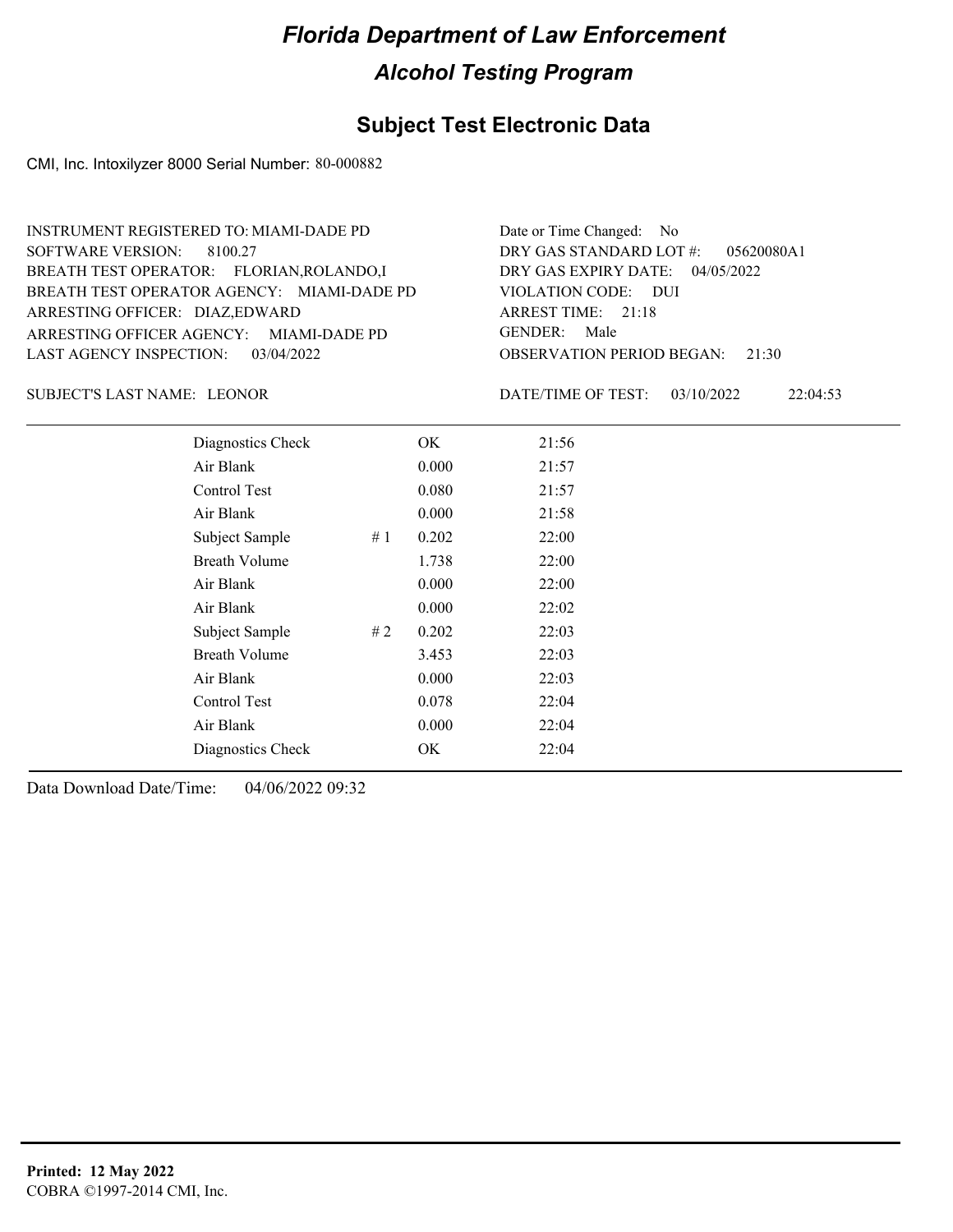#### **Subject Test Electronic Data**

CMI, Inc. Intoxilyzer 8000 Serial Number: 80-000882

ARRESTING OFFICER AGENCY: GENDER: MIAMI-DADE PD BREATH TEST OPERATOR AGENCY: MIAMI-DADE PD VIOLATION CODE: SOFTWARE VERSION: 8100.27 ARRESTING OFFICER: DIAZ,EDWARD FLORIAN,ROLANDO,I BREATH TEST OPERATOR: LAST AGENCY INSPECTION: 03/04/2022 INSTRUMENT REGISTERED TO: MIAMI-DADE PD

OBSERVATION PERIOD BEGAN: 21:30 VIOLATION CODE: DUI ARREST TIME: 21:18 04/05/2022 DRY GAS EXPIRY DATE: 05620080A1 DRY GAS STANDARD LOT #: Date or Time Changed: No GENDER: Male

SUBJECT'S LAST NAME: LEONOR DATE/TIME OF TEST:

DATE/TIME OF TEST: 03/10/2022 22:04:53

| Diagnostics Check    |    | OK    | 21:56 |
|----------------------|----|-------|-------|
| Air Blank            |    | 0.000 | 21:57 |
| Control Test         |    | 0.080 | 21:57 |
| Air Blank            |    | 0.000 | 21:58 |
| Subject Sample       | #1 | 0.202 | 22:00 |
| <b>Breath Volume</b> |    | 1.738 | 22:00 |
| Air Blank            |    | 0.000 | 22:00 |
| Air Blank            |    | 0.000 | 22:02 |
| Subject Sample       | #2 | 0.202 | 22:03 |
| <b>Breath Volume</b> |    | 3.453 | 22:03 |
| Air Blank            |    | 0.000 | 22:03 |
| Control Test         |    | 0.078 | 22:04 |
| Air Blank            |    | 0.000 | 22:04 |
| Diagnostics Check    |    | OK    | 22:04 |
|                      |    |       |       |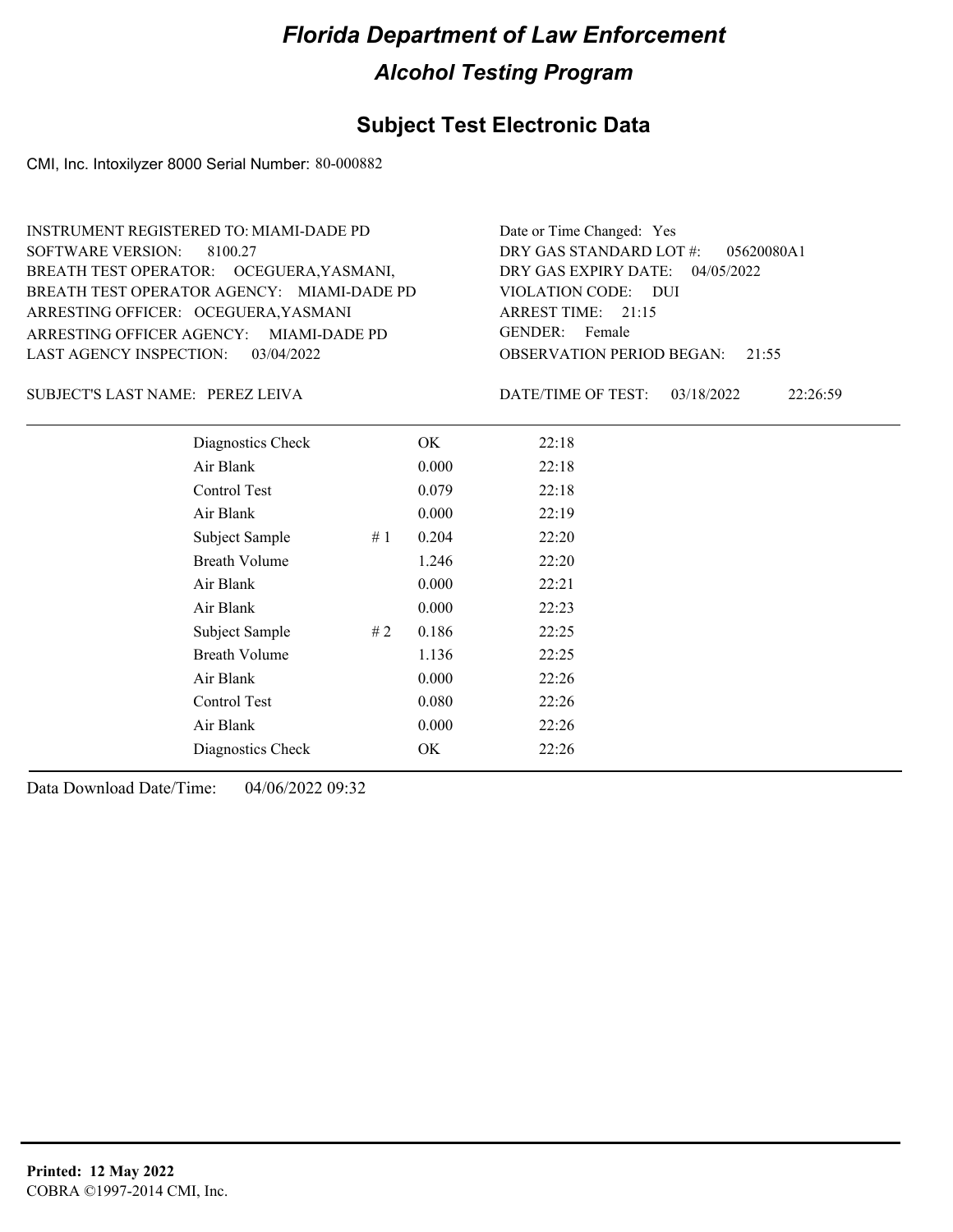#### **Subject Test Electronic Data**

CMI, Inc. Intoxilyzer 8000 Serial Number: 80-000882

ARRESTING OFFICER AGENCY: GENDER: MIAMI-DADE PD BREATH TEST OPERATOR AGENCY: MIAMI-DADE PD VIOLATION CODE: SOFTWARE VERSION: 8100.27 ARRESTING OFFICER: OCEGUERA,YASMANI BREATH TEST OPERATOR: OCEGUERA,YASMANI, LAST AGENCY INSPECTION: 03/04/2022 INSTRUMENT REGISTERED TO: MIAMI-DADE PD

OBSERVATION PERIOD BEGAN: 21:55 VIOLATION CODE: DUI 21:15 ARREST TIME: 04/05/2022 DRY GAS EXPIRY DATE: 05620080A1 DRY GAS STANDARD LOT #: Date or Time Changed: Yes GENDER: Female

PEREZ LEIVA SUBJECT'S LAST NAME: DATE/TIME OF TEST:

DATE/TIME OF TEST: 03/18/2022 22:26:59

| Diagnostics Check    |     | OK    | 22:18 |
|----------------------|-----|-------|-------|
| Air Blank            |     | 0.000 | 22:18 |
| Control Test         |     | 0.079 | 22:18 |
| Air Blank            |     | 0.000 | 22:19 |
| Subject Sample       | #1  | 0.204 | 22:20 |
| <b>Breath Volume</b> |     | 1.246 | 22:20 |
| Air Blank            |     | 0.000 | 22:21 |
| Air Blank            |     | 0.000 | 22:23 |
| Subject Sample       | # 2 | 0.186 | 22:25 |
| <b>Breath Volume</b> |     | 1.136 | 22:25 |
| Air Blank            |     | 0.000 | 22:26 |
| Control Test         |     | 0.080 | 22:26 |
| Air Blank            |     | 0.000 | 22:26 |
| Diagnostics Check    |     | OK    | 22:26 |
|                      |     |       |       |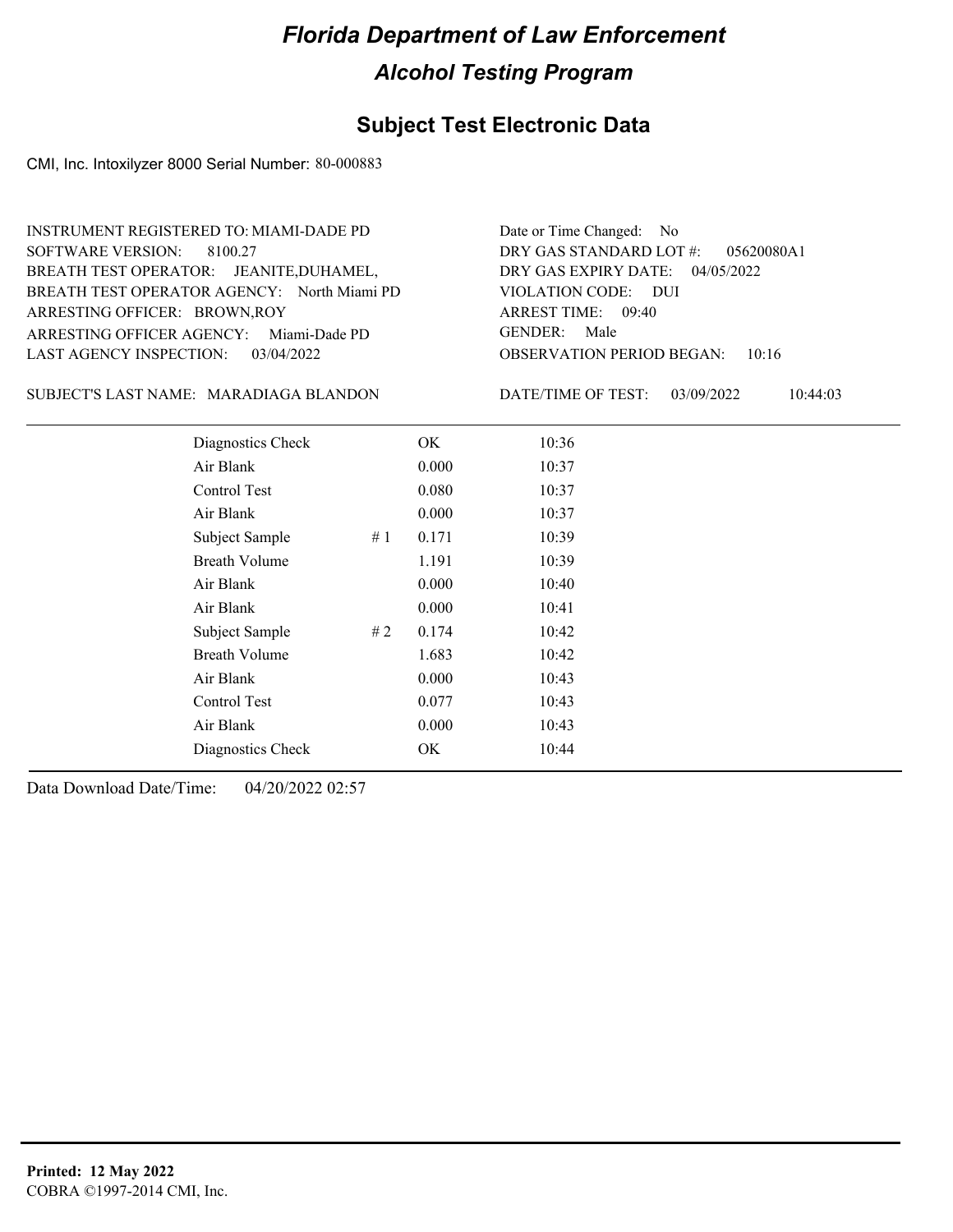#### **Subject Test Electronic Data**

CMI, Inc. Intoxilyzer 8000 Serial Number: 80-000883

ARRESTING OFFICER AGENCY: Miami-Dade PD GENDER: BREATH TEST OPERATOR AGENCY: North Miami PD VIOLATION CODE: SOFTWARE VERSION: 8100.27 ARRESTING OFFICER: BROWN,ROY BREATH TEST OPERATOR: JEANITE,DUHAMEL, LAST AGENCY INSPECTION: 03/04/2022 INSTRUMENT REGISTERED TO: MIAMI-DADE PD

OBSERVATION PERIOD BEGAN: 10:16 VIOLATION CODE: DUI 09:40 ARREST TIME: 04/05/2022 DRY GAS EXPIRY DATE: 05620080A1 DRY GAS STANDARD LOT #: Date or Time Changed: No GENDER: Male

SUBJECT'S LAST NAME: MARADIAGA BLANDON DATE/TIME OF TEST:

DATE/TIME OF TEST: 03/09/2022 10:44:03

| Diagnostics Check    |    | OK    | 10:36 |
|----------------------|----|-------|-------|
| Air Blank            |    | 0.000 | 10:37 |
| Control Test         |    | 0.080 | 10:37 |
| Air Blank            |    | 0.000 | 10:37 |
| Subject Sample       | #1 | 0.171 | 10:39 |
| <b>Breath Volume</b> |    | 1.191 | 10:39 |
| Air Blank            |    | 0.000 | 10:40 |
| Air Blank            |    | 0.000 | 10:41 |
| Subject Sample       | #2 | 0.174 | 10:42 |
| <b>Breath Volume</b> |    | 1.683 | 10:42 |
| Air Blank            |    | 0.000 | 10:43 |
| Control Test         |    | 0.077 | 10:43 |
| Air Blank            |    | 0.000 | 10:43 |
| Diagnostics Check    |    | OK    | 10:44 |
|                      |    |       |       |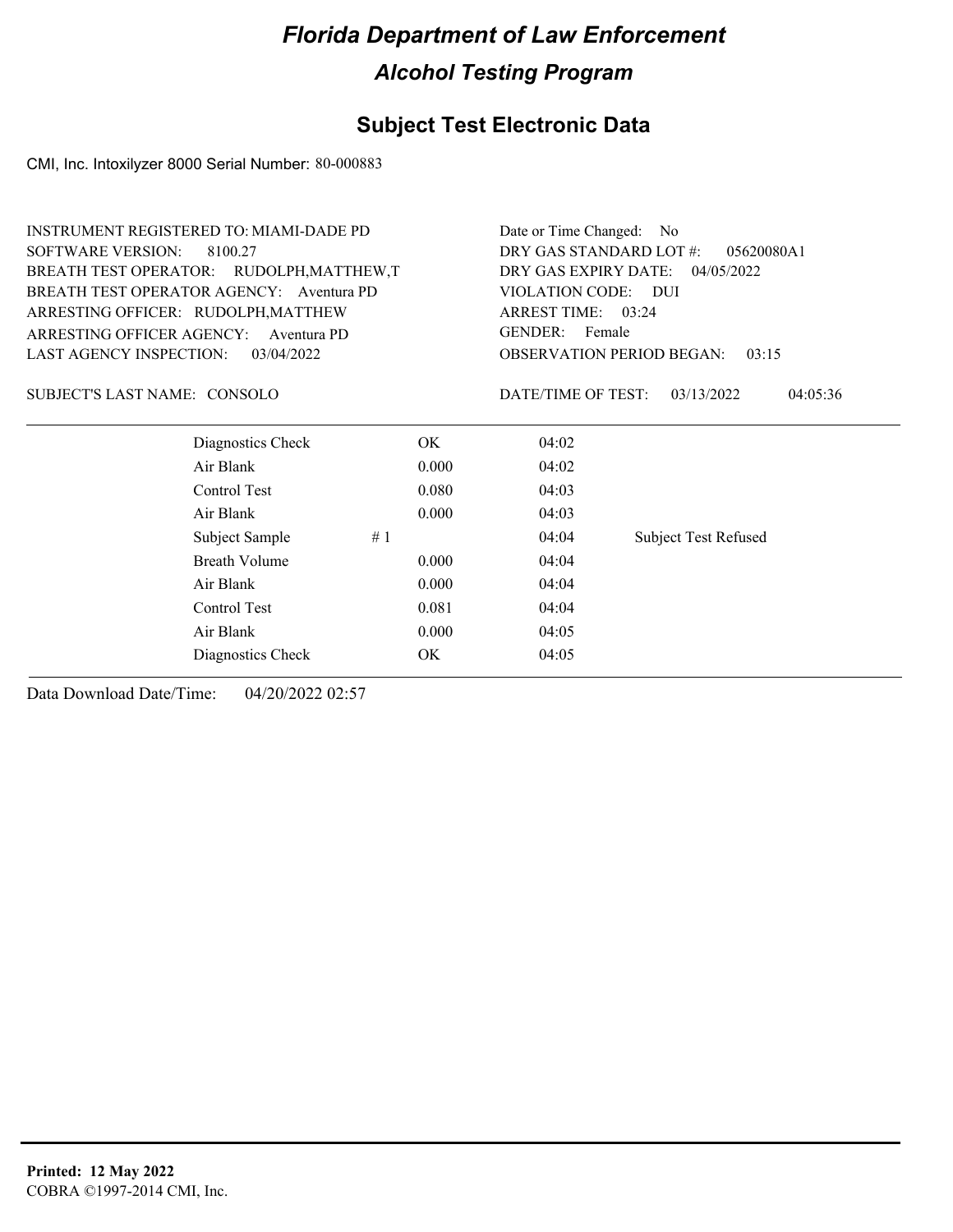### **Subject Test Electronic Data**

CMI, Inc. Intoxilyzer 8000 Serial Number: 80-000883

| <b>INSTRUMENT REGISTERED TO: MIAMI-DADE PD</b> |       |                                       | Date or Time Changed: No                  |  |  |
|------------------------------------------------|-------|---------------------------------------|-------------------------------------------|--|--|
| <b>SOFTWARE VERSION:</b><br>8100.27            |       | DRY GAS STANDARD LOT #:<br>05620080A1 |                                           |  |  |
| BREATH TEST OPERATOR: RUDOLPH, MATTHEW, T      |       | DRY GAS EXPIRY DATE:<br>04/05/2022    |                                           |  |  |
| BREATH TEST OPERATOR AGENCY: Aventura PD       |       | VIOLATION CODE: DUI                   |                                           |  |  |
| ARRESTING OFFICER: RUDOLPH, MATTHEW            |       | ARREST TIME: 03:24                    |                                           |  |  |
| ARRESTING OFFICER AGENCY:<br>Aventura PD       |       | <b>GENDER:</b>                        | Female                                    |  |  |
| <b>LAST AGENCY INSPECTION:</b><br>03/04/2022   |       |                                       | <b>OBSERVATION PERIOD BEGAN:</b><br>03:15 |  |  |
| SUBJECT'S LAST NAME: CONSOLO                   |       | DATE/TIME OF TEST:                    | 03/13/2022<br>04:05:36                    |  |  |
| Diagnostics Check                              | OK    | 04:02                                 |                                           |  |  |
| Air Blank                                      | 0.000 | 04:02                                 |                                           |  |  |
| Control Test                                   | 0.080 | 04:03                                 |                                           |  |  |
| Air Blank                                      | 0.000 | 04:03                                 |                                           |  |  |
| Subject Sample                                 | #1    | 04:04                                 | <b>Subject Test Refused</b>               |  |  |
| <b>Breath Volume</b>                           | 0.000 | 04:04                                 |                                           |  |  |
| Air Blank                                      | 0.000 | 04:04                                 |                                           |  |  |
| Control Test                                   | 0.081 | 04:04                                 |                                           |  |  |
| Air Blank                                      | 0.000 | 04:05                                 |                                           |  |  |
| Diagnostics Check                              | OK.   | 04:05                                 |                                           |  |  |
|                                                |       |                                       |                                           |  |  |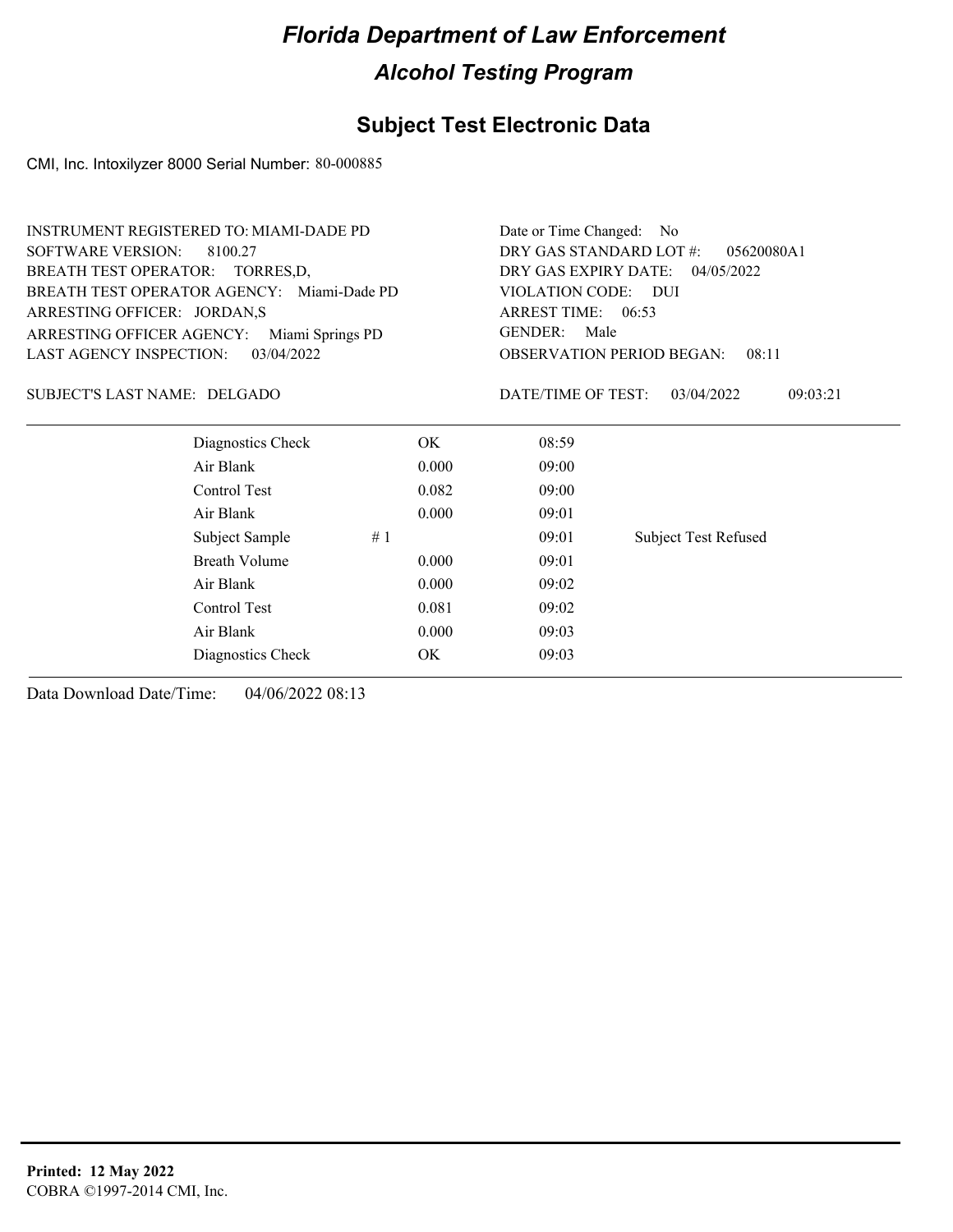### **Subject Test Electronic Data**

CMI, Inc. Intoxilyzer 8000 Serial Number: 80-000885

|                                 | <b>INSTRUMENT REGISTERED TO: MIAMI-DADE PD</b> |    | Date or Time Changed:<br>No.          |                                           |                             |  |
|---------------------------------|------------------------------------------------|----|---------------------------------------|-------------------------------------------|-----------------------------|--|
| <b>SOFTWARE VERSION:</b>        | 8100.27                                        |    | DRY GAS STANDARD LOT #:<br>05620080A1 |                                           |                             |  |
| BREATH TEST OPERATOR: TORRES,D, |                                                |    | DRY GAS EXPIRY DATE:<br>04/05/2022    |                                           |                             |  |
|                                 | BREATH TEST OPERATOR AGENCY: Miami-Dade PD     |    |                                       | VIOLATION CODE: DUI                       |                             |  |
| ARRESTING OFFICER: JORDAN,S     |                                                |    |                                       | ARREST TIME: 06:53                        |                             |  |
| ARRESTING OFFICER AGENCY:       | Miami Springs PD                               |    |                                       | GENDER:<br>Male                           |                             |  |
| <b>LAST AGENCY INSPECTION:</b>  | 03/04/2022                                     |    |                                       | <b>OBSERVATION PERIOD BEGAN:</b><br>08:11 |                             |  |
| SUBJECT'S LAST NAME: DELGADO    |                                                |    |                                       | DATE/TIME OF TEST:                        | 03/04/2022<br>09:03:21      |  |
|                                 | Diagnostics Check                              |    | OK.                                   | 08:59                                     |                             |  |
|                                 | Air Blank                                      |    | 0.000                                 | 09:00                                     |                             |  |
|                                 | Control Test                                   |    | 0.082                                 | 09:00                                     |                             |  |
|                                 | Air Blank                                      |    | 0.000                                 | 09:01                                     |                             |  |
|                                 | Subject Sample                                 | #1 |                                       | 09:01                                     | <b>Subject Test Refused</b> |  |
|                                 | Breath Volume                                  |    | 0.000                                 | 09:01                                     |                             |  |
|                                 | Air Blank                                      |    | 09:02                                 |                                           |                             |  |
|                                 | Control Test                                   |    | 0.081                                 | 09:02                                     |                             |  |
|                                 | Air Blank                                      |    | 0.000                                 | 09:03                                     |                             |  |
|                                 |                                                |    |                                       |                                           |                             |  |

Diagnostics Check OK 09:03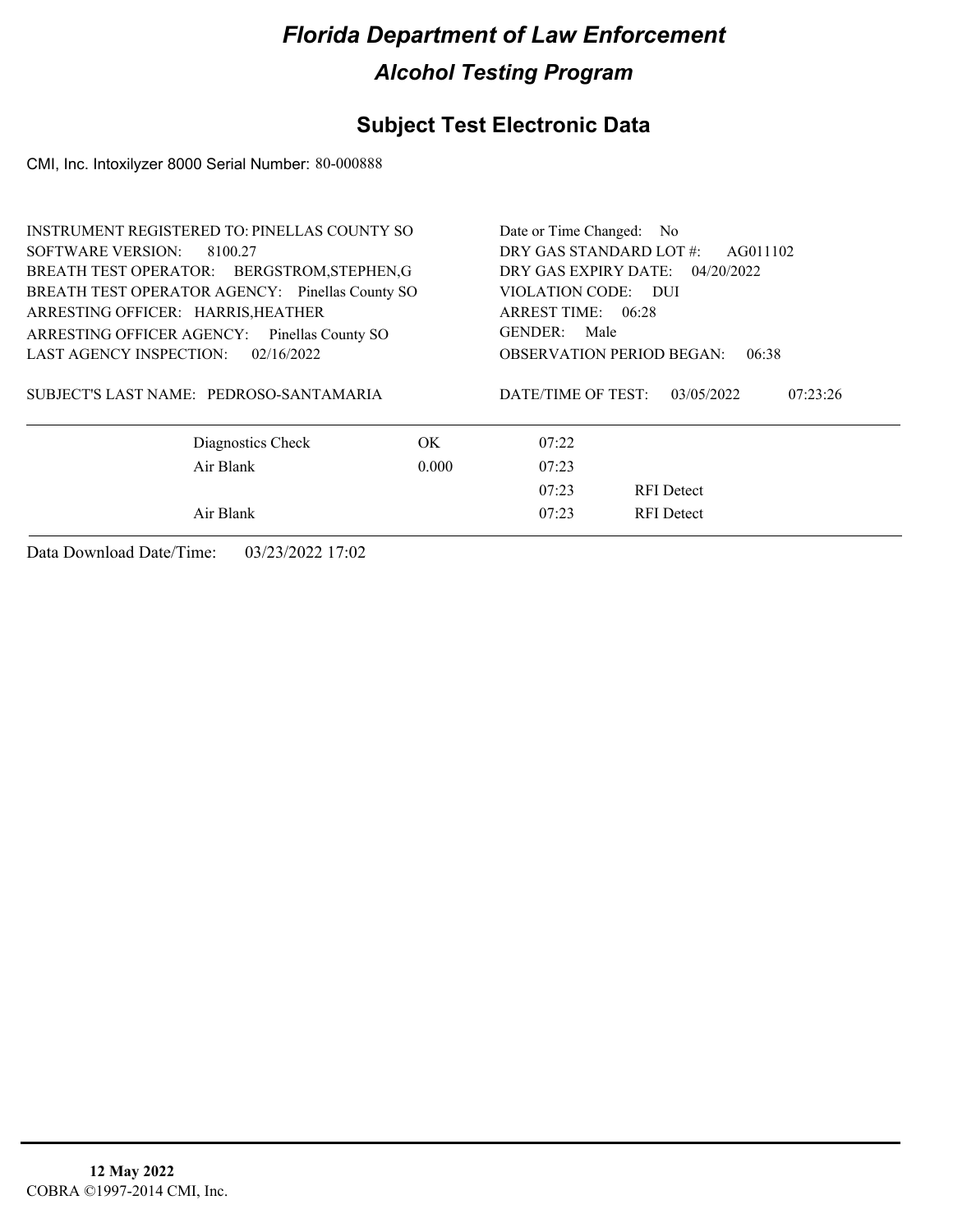### **Subject Test Electronic Data**

CMI, Inc. Intoxilyzer 8000 Serial Number: 80-000888

| <b>INSTRUMENT REGISTERED TO: PINELLAS COUNTY SO</b> | Date or Time Changed: No            |                                  |                                   |  |
|-----------------------------------------------------|-------------------------------------|----------------------------------|-----------------------------------|--|
| SOFTWARE VERSION:<br>8100.27                        | DRY GAS STANDARD LOT #:<br>AG011102 |                                  |                                   |  |
| BREATH TEST OPERATOR: BERGSTROM, STEPHEN, G         |                                     |                                  | DRY GAS EXPIRY DATE: $04/20/2022$ |  |
| BREATH TEST OPERATOR AGENCY: Pinellas County SO     |                                     | VIOLATION CODE: DUI              |                                   |  |
| ARRESTING OFFICER: HARRIS, HEATHER                  |                                     | ARREST TIME: 06:28               |                                   |  |
| ARRESTING OFFICER AGENCY: Pinellas County SO        |                                     | GENDER: Male                     |                                   |  |
| LAST AGENCY INSPECTION:<br>02/16/2022               |                                     | <b>OBSERVATION PERIOD BEGAN:</b> | 06:38                             |  |
| SUBJECT'S LAST NAME: PEDROSO-SANTAMARIA             |                                     | DATE/TIME OF TEST:               | 07:23:26<br>03/05/2022            |  |
| Diagnostics Check                                   | OK.                                 | 07:22                            |                                   |  |
| Air Blank                                           | 0.000                               | 07:23                            |                                   |  |
|                                                     |                                     | 07:23                            | <b>RFI</b> Detect                 |  |
| Air Blank                                           |                                     | 07:23                            | <b>RFI</b> Detect                 |  |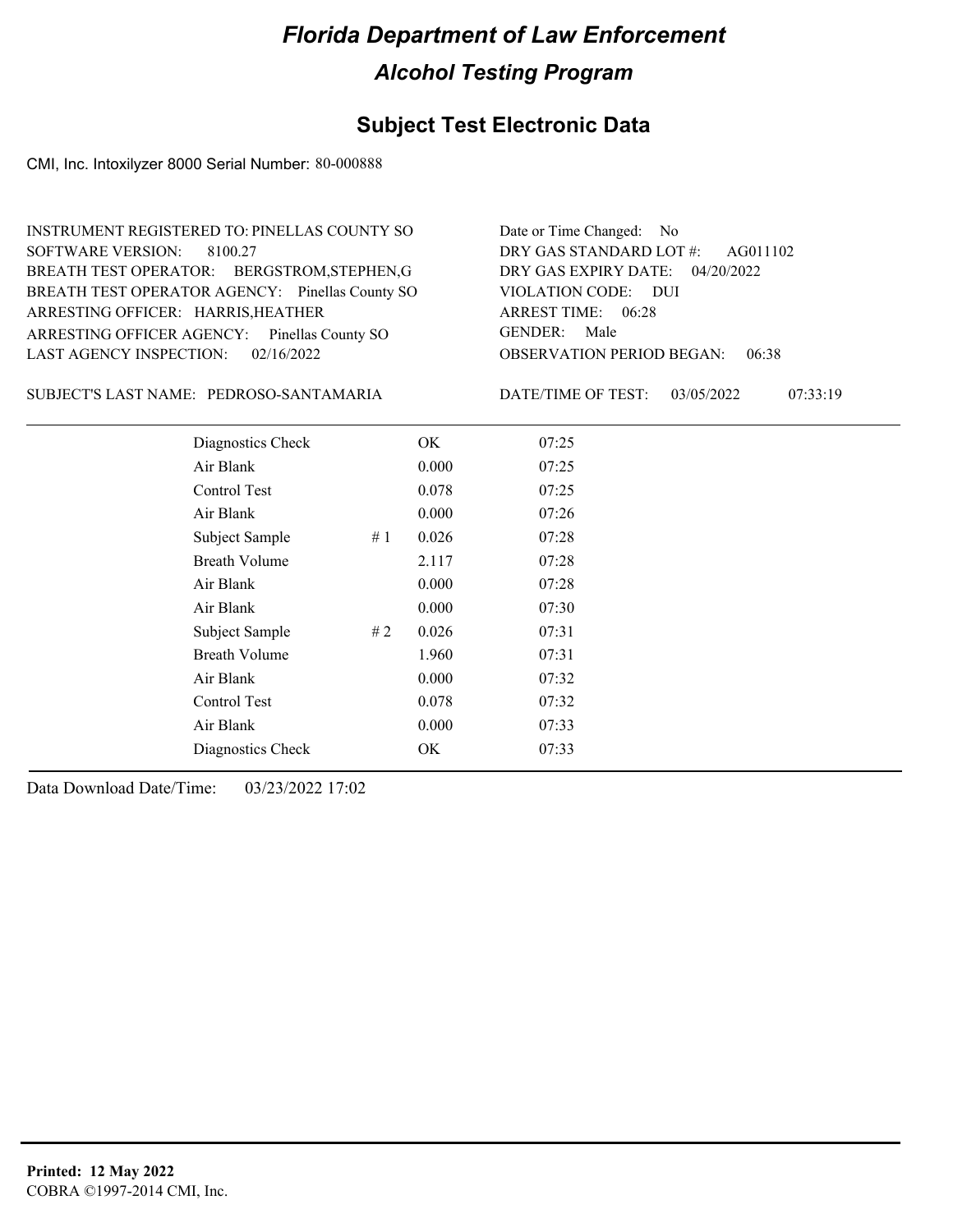### **Subject Test Electronic Data**

CMI, Inc. Intoxilyzer 8000 Serial Number: 80-000888

| INSTRUMENT REGISTERED TO: PINELLAS COUNTY SO    | Date or Time Changed: No               |
|-------------------------------------------------|----------------------------------------|
| SOFTWARE VERSION: 8100.27                       | DRY GAS STANDARD LOT #: AG011102       |
| BREATH TEST OPERATOR: BERGSTROM, STEPHEN, G     | DRY GAS EXPIRY DATE: 04/20/2022        |
| BREATH TEST OPERATOR AGENCY: Pinellas County SO | VIOLATION CODE: DUI                    |
| ARRESTING OFFICER: HARRIS, HEATHER              | ARREST TIME: 06:28                     |
| ARRESTING OFFICER AGENCY: Pinellas County SO    | GENDER: Male                           |
| LAST AGENCY INSPECTION: $02/16/2022$            | <b>OBSERVATION PERIOD BEGAN: 06:38</b> |

PEDROSO-SANTAMARIA SUBJECT'S LAST NAME: DATE/TIME OF TEST:

DATE/TIME OF TEST: 03/05/2022 07:33:19

| Diagnostics Check    |    | OK    | 07:25 |
|----------------------|----|-------|-------|
| Air Blank            |    | 0.000 | 07:25 |
| Control Test         |    | 0.078 | 07:25 |
| Air Blank            |    | 0.000 | 07:26 |
| Subject Sample       | #1 | 0.026 | 07:28 |
| <b>Breath Volume</b> |    | 2.117 | 07:28 |
| Air Blank            |    | 0.000 | 07:28 |
| Air Blank            |    | 0.000 | 07:30 |
| Subject Sample       | #2 | 0.026 | 07:31 |
| <b>Breath Volume</b> |    | 1.960 | 07:31 |
| Air Blank            |    | 0.000 | 07:32 |
| <b>Control Test</b>  |    | 0.078 | 07:32 |
| Air Blank            |    | 0.000 | 07:33 |
| Diagnostics Check    |    | OK    | 07:33 |
|                      |    |       |       |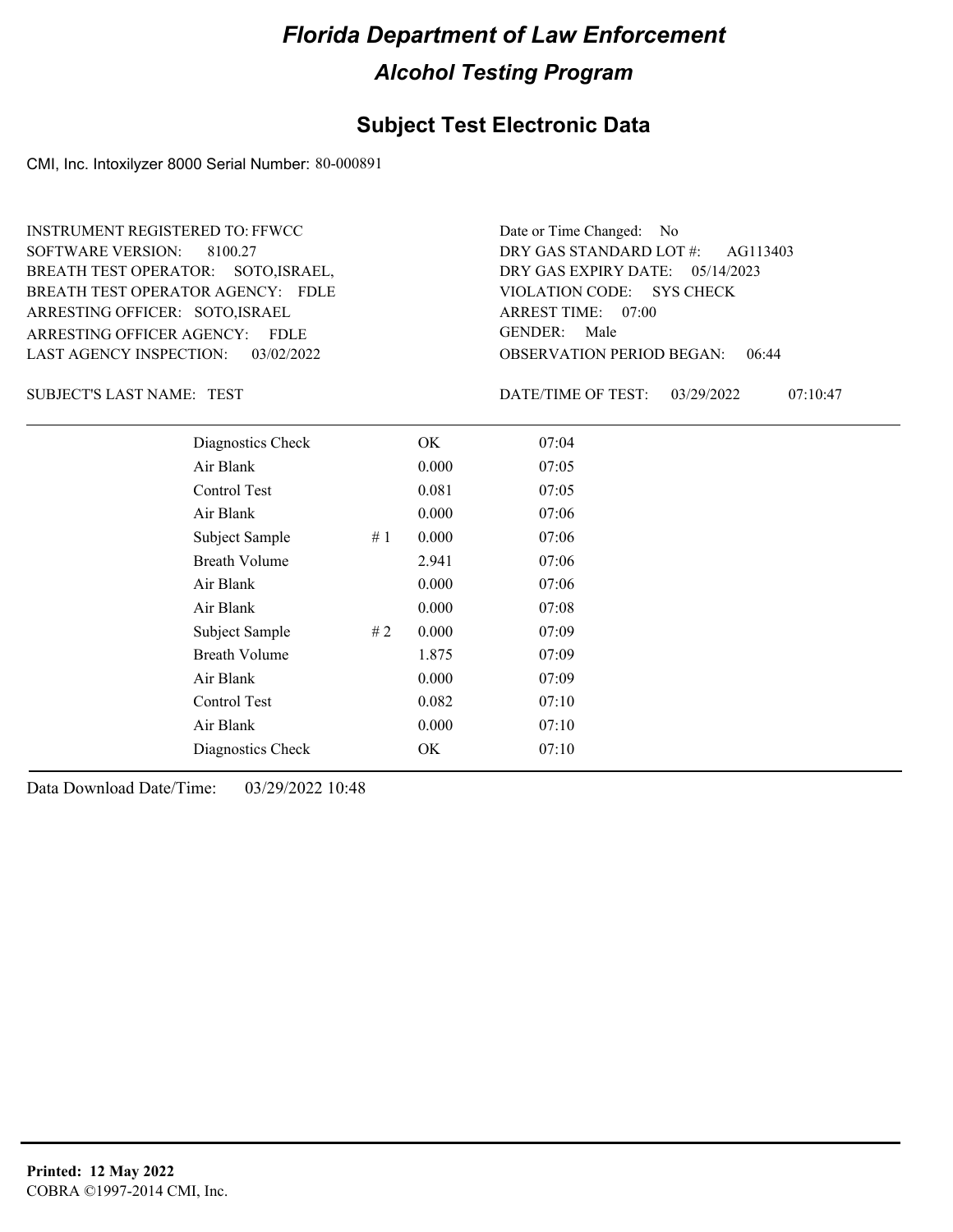#### **Subject Test Electronic Data**

CMI, Inc. Intoxilyzer 8000 Serial Number: 80-000891

ARRESTING OFFICER AGENCY: FDLE GENDER: BREATH TEST OPERATOR AGENCY: FDLE VIOLATION CODE: SOFTWARE VERSION: 8100.27 ARRESTING OFFICER: SOTO,ISRAEL BREATH TEST OPERATOR: SOTO,ISRAEL, LAST AGENCY INSPECTION: 03/02/2022 INSTRUMENT REGISTERED TO: FFWCC

OBSERVATION PERIOD BEGAN: 06:44 VIOLATION CODE: SYS CHECK ARREST TIME: 07:00 05/14/2023 DRY GAS EXPIRY DATE: DRY GAS STANDARD LOT #: AG113403 GENDER: Male

Date or Time Changed: No

TEST SUBJECT'S LAST NAME: DATE/TIME OF TEST:

DATE/TIME OF TEST: 03/29/2022 07:10:47

| Diagnostics Check    |    | OK    | 07:04 |
|----------------------|----|-------|-------|
| Air Blank            |    | 0.000 | 07:05 |
| Control Test         |    | 0.081 | 07:05 |
| Air Blank            |    | 0.000 | 07:06 |
| Subject Sample       | #1 | 0.000 | 07:06 |
| <b>Breath Volume</b> |    | 2.941 | 07:06 |
| Air Blank            |    | 0.000 | 07:06 |
| Air Blank            |    | 0.000 | 07:08 |
| Subject Sample       | #2 | 0.000 | 07:09 |
| <b>Breath Volume</b> |    | 1.875 | 07:09 |
| Air Blank            |    | 0.000 | 07:09 |
| <b>Control Test</b>  |    | 0.082 | 07:10 |
| Air Blank            |    | 0.000 | 07:10 |
| Diagnostics Check    |    | OK    | 07:10 |
|                      |    |       |       |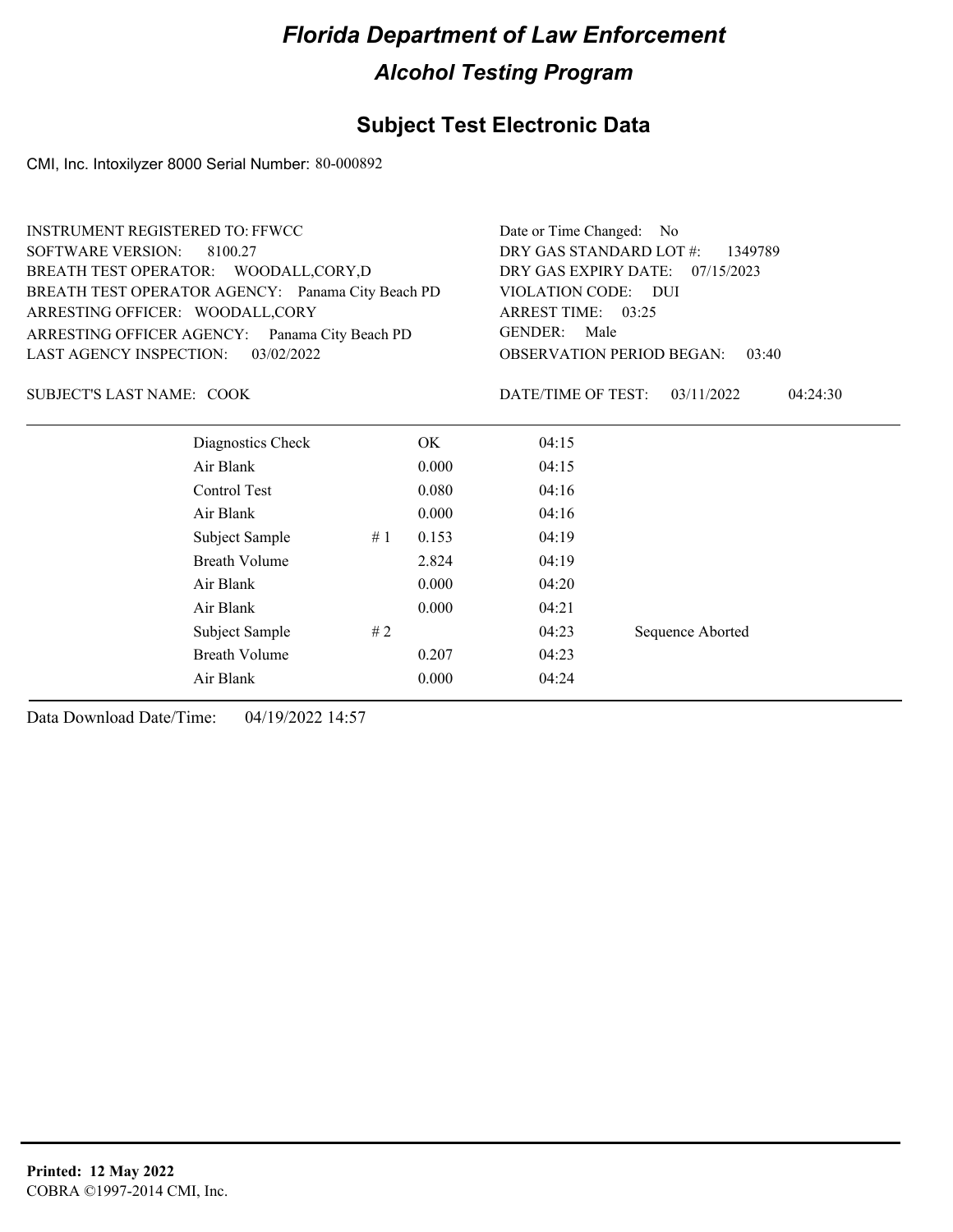### **Subject Test Electronic Data**

CMI, Inc. Intoxilyzer 8000 Serial Number: 80-000892

| <b>INSTRUMENT REGISTERED TO: FFWCC</b>            | Date or Time Changed:<br>N <sub>o</sub> |                                    |       |                                           |  |                  |          |  |
|---------------------------------------------------|-----------------------------------------|------------------------------------|-------|-------------------------------------------|--|------------------|----------|--|
| <b>SOFTWARE VERSION:</b>                          | DRY GAS STANDARD LOT #:<br>1349789      |                                    |       |                                           |  |                  |          |  |
| BREATH TEST OPERATOR: WOODALL,CORY,D              |                                         | DRY GAS EXPIRY DATE:<br>07/15/2023 |       |                                           |  |                  |          |  |
| BREATH TEST OPERATOR AGENCY: Panama City Beach PD | VIOLATION CODE: DUI                     |                                    |       |                                           |  |                  |          |  |
| ARRESTING OFFICER: WOODALL, CORY                  | ARREST TIME: 03:25                      |                                    |       |                                           |  |                  |          |  |
| ARRESTING OFFICER AGENCY: Panama City Beach PD    | <b>GENDER:</b><br>Male                  |                                    |       |                                           |  |                  |          |  |
| LAST AGENCY INSPECTION:<br>03/02/2022             |                                         |                                    |       | <b>OBSERVATION PERIOD BEGAN:</b><br>03:40 |  |                  |          |  |
| <b>SUBJECT'S LAST NAME: COOK</b>                  |                                         |                                    |       | DATE/TIME OF TEST:                        |  | 03/11/2022       | 04:24:30 |  |
|                                                   | Diagnostics Check                       |                                    | OK.   | 04:15                                     |  |                  |          |  |
|                                                   | Air Blank                               |                                    | 0.000 | 04:15                                     |  |                  |          |  |
|                                                   | Control Test                            |                                    | 0.080 | 04:16                                     |  |                  |          |  |
|                                                   | Air Blank                               |                                    | 0.000 | 04:16                                     |  |                  |          |  |
|                                                   | Subject Sample                          | #1                                 | 0.153 | 04:19                                     |  |                  |          |  |
|                                                   | <b>Breath Volume</b>                    |                                    | 2.824 | 04:19                                     |  |                  |          |  |
|                                                   | Air Blank                               |                                    | 0.000 | 04:20                                     |  |                  |          |  |
|                                                   | Air Blank                               |                                    | 0.000 | 04:21                                     |  |                  |          |  |
|                                                   | Subject Sample                          | #2                                 |       | 04:23                                     |  | Sequence Aborted |          |  |
|                                                   | <b>Breath Volume</b>                    |                                    | 0.207 | 04:23                                     |  |                  |          |  |
|                                                   | Air Blank                               |                                    | 0.000 | 04:24                                     |  |                  |          |  |
|                                                   |                                         |                                    |       |                                           |  |                  |          |  |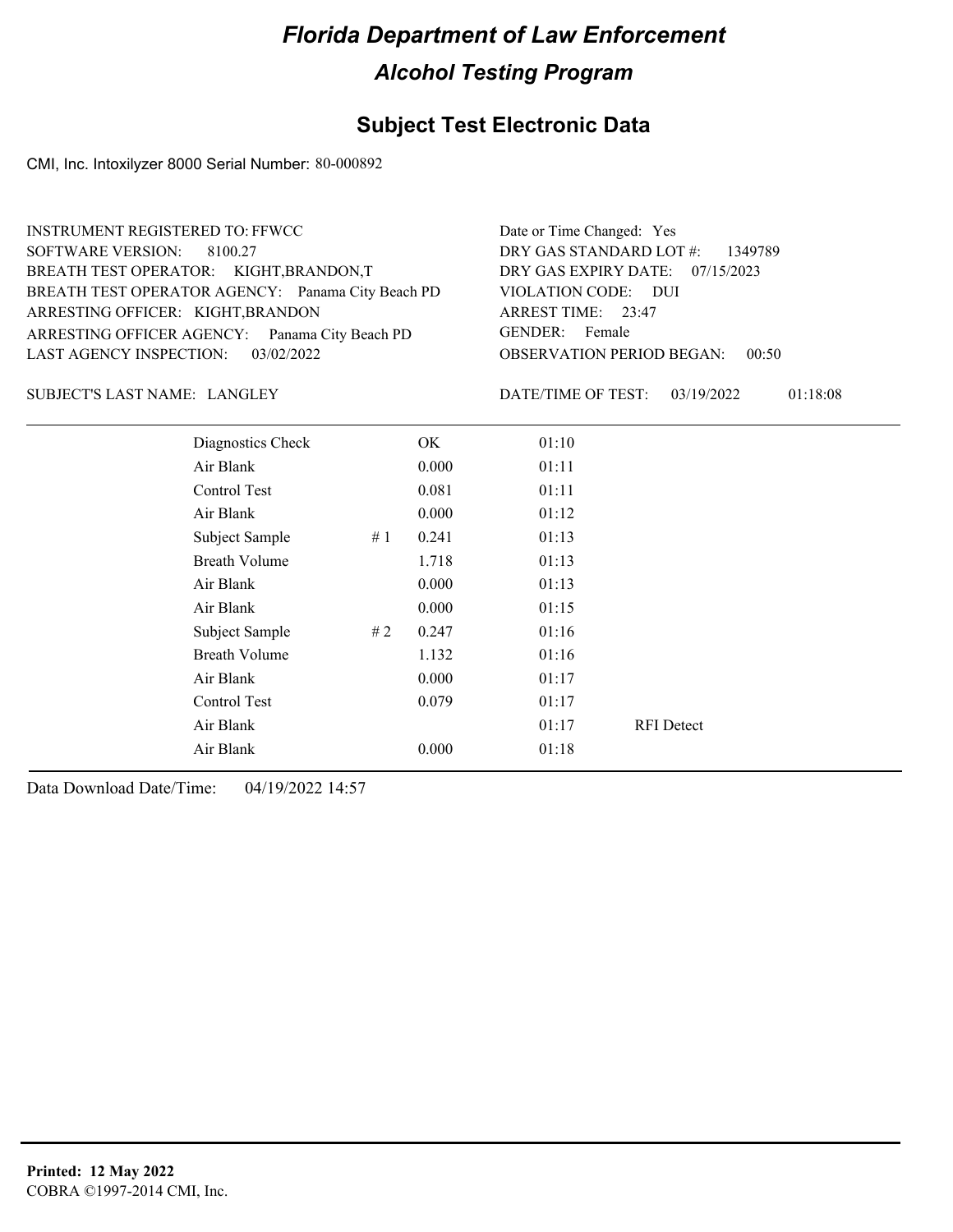### **Subject Test Electronic Data**

CMI, Inc. Intoxilyzer 8000 Serial Number: 80-000892

| <b>INSTRUMENT REGISTERED TO: FFWCC</b>            | Date or Time Changed: Yes                 |
|---------------------------------------------------|-------------------------------------------|
| SOFTWARE VERSION: 8100.27                         | DRY GAS STANDARD LOT #: 1349789           |
| BREATH TEST OPERATOR: KIGHT, BRANDON, T           | DRY GAS EXPIRY DATE: 07/15/2023           |
| BREATH TEST OPERATOR AGENCY: Panama City Beach PD | VIOLATION CODE: DUI                       |
| ARRESTING OFFICER: KIGHT, BRANDON                 | ARREST TIME: 23:47                        |
| ARRESTING OFFICER AGENCY: Panama City Beach PD    | GENDER: Female                            |
| LAST AGENCY INSPECTION: 03/02/2022                | <b>OBSERVATION PERIOD BEGAN:</b><br>00:50 |
|                                                   |                                           |

#### LANGLEY SUBJECT'S LAST NAME: DATE/TIME OF TEST:

DATE/TIME OF TEST: 03/19/2022 01:18:08

| Diagnostics Check    |    | OK    | 01:10 |                   |
|----------------------|----|-------|-------|-------------------|
| Air Blank            |    | 0.000 | 01:11 |                   |
| Control Test         |    | 0.081 | 01:11 |                   |
| Air Blank            |    | 0.000 | 01:12 |                   |
| Subject Sample       | #1 | 0.241 | 01:13 |                   |
| <b>Breath Volume</b> |    | 1.718 | 01:13 |                   |
| Air Blank            |    | 0.000 | 01:13 |                   |
| Air Blank            |    | 0.000 | 01:15 |                   |
| Subject Sample       | #2 | 0.247 | 01:16 |                   |
| <b>Breath Volume</b> |    | 1.132 | 01:16 |                   |
| Air Blank            |    | 0.000 | 01:17 |                   |
| Control Test         |    | 0.079 | 01:17 |                   |
| Air Blank            |    |       | 01:17 | <b>RFI</b> Detect |
| Air Blank            |    | 0.000 | 01:18 |                   |
|                      |    |       |       |                   |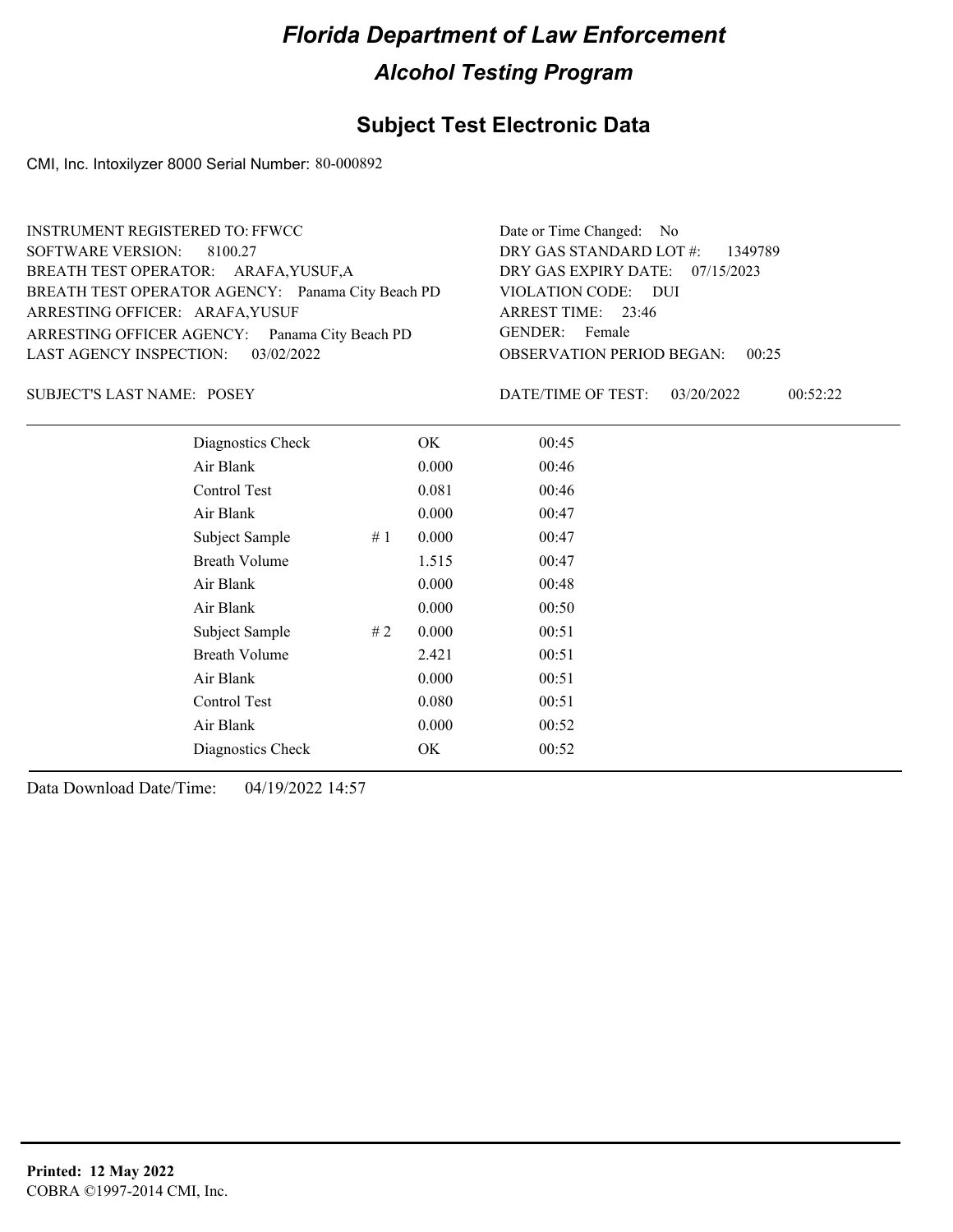### **Subject Test Electronic Data**

CMI, Inc. Intoxilyzer 8000 Serial Number: 80-000892

| INSTRUMENT REGISTERED TO: FFWCC                   | Date or Time Changed: No               |
|---------------------------------------------------|----------------------------------------|
| SOFTWARE VERSION: 8100.27                         | DRY GAS STANDARD LOT $\#$ : 1349789    |
| BREATH TEST OPERATOR: ARAFA, YUSUF, A             | DRY GAS EXPIRY DATE: $07/15/2023$      |
| BREATH TEST OPERATOR AGENCY: Panama City Beach PD | VIOLATION CODE: DUI                    |
| ARRESTING OFFICER: ARAFA, YUSUF                   | ARREST TIME: 23:46                     |
| ARRESTING OFFICER AGENCY: Panama City Beach PD    | GENDER: Female                         |
| LAST AGENCY INSPECTION: 03/02/2022                | <b>OBSERVATION PERIOD BEGAN: 00:25</b> |
|                                                   |                                        |

SUBJECT'S LAST NAME: POSEY DATE/TIME OF TEST:

DATE/TIME OF TEST: 03/20/2022 00:52:22

| Diagnostics Check    |       | OK    | 00:45 |  |
|----------------------|-------|-------|-------|--|
| Air Blank            |       | 0.000 | 00:46 |  |
| Control Test         |       | 0.081 | 00:46 |  |
| Air Blank            |       | 0.000 | 00:47 |  |
| Subject Sample       | # $1$ | 0.000 | 00:47 |  |
| <b>Breath Volume</b> |       | 1.515 | 00:47 |  |
| Air Blank            |       | 0.000 | 00:48 |  |
| Air Blank            |       | 0.000 | 00:50 |  |
| Subject Sample       | #2    | 0.000 | 00:51 |  |
| <b>Breath Volume</b> |       | 2.421 | 00:51 |  |
| Air Blank            |       | 0.000 | 00:51 |  |
| Control Test         |       | 0.080 | 00:51 |  |
| Air Blank            |       | 0.000 | 00:52 |  |
| Diagnostics Check    |       | OK    | 00:52 |  |
|                      |       |       |       |  |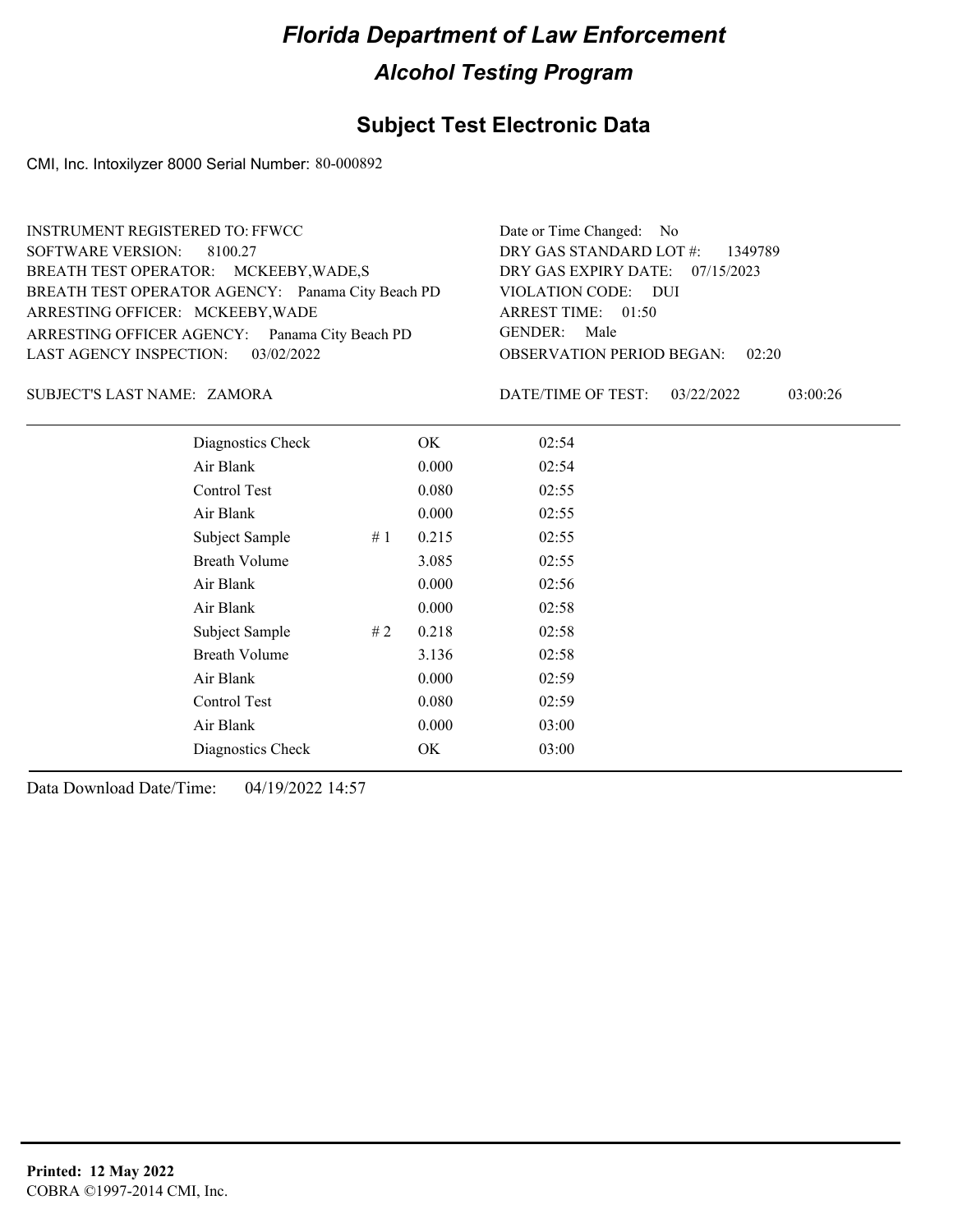### **Subject Test Electronic Data**

CMI, Inc. Intoxilyzer 8000 Serial Number: 80-000892

| <b>INSTRUMENT REGISTERED TO: FFWCC</b>            | Date or Time Changed: No               |
|---------------------------------------------------|----------------------------------------|
| SOFTWARE VERSION: 8100.27                         | DRY GAS STANDARD LOT $\#$ : 1349789    |
| BREATH TEST OPERATOR: MCKEEBY, WADE, S            | DRY GAS EXPIRY DATE: 07/15/2023        |
| BREATH TEST OPERATOR AGENCY: Panama City Beach PD | VIOLATION CODE: DUI                    |
| ARRESTING OFFICER: MCKEEBY, WADE                  | ARREST TIME: 01:50                     |
| ARRESTING OFFICER AGENCY: Panama City Beach PD    | GENDER: Male                           |
| LAST AGENCY INSPECTION: 03/02/2022                | <b>OBSERVATION PERIOD BEGAN: 02:20</b> |
|                                                   |                                        |

ZAMORA SUBJECT'S LAST NAME: DATE/TIME OF TEST:

DATE/TIME OF TEST: 03/22/2022 03:00:26

| Diagnostics Check    |    | OK    | 02:54 |
|----------------------|----|-------|-------|
| Air Blank            |    | 0.000 | 02:54 |
| Control Test         |    | 0.080 | 02:55 |
| Air Blank            |    | 0.000 | 02:55 |
| Subject Sample       | #1 | 0.215 | 02:55 |
| <b>Breath Volume</b> |    | 3.085 | 02:55 |
| Air Blank            |    | 0.000 | 02:56 |
| Air Blank            |    | 0.000 | 02:58 |
| Subject Sample       | #2 | 0.218 | 02:58 |
| <b>Breath Volume</b> |    | 3.136 | 02:58 |
| Air Blank            |    | 0.000 | 02:59 |
| Control Test         |    | 0.080 | 02:59 |
| Air Blank            |    | 0.000 | 03:00 |
| Diagnostics Check    |    | OK    | 03:00 |
|                      |    |       |       |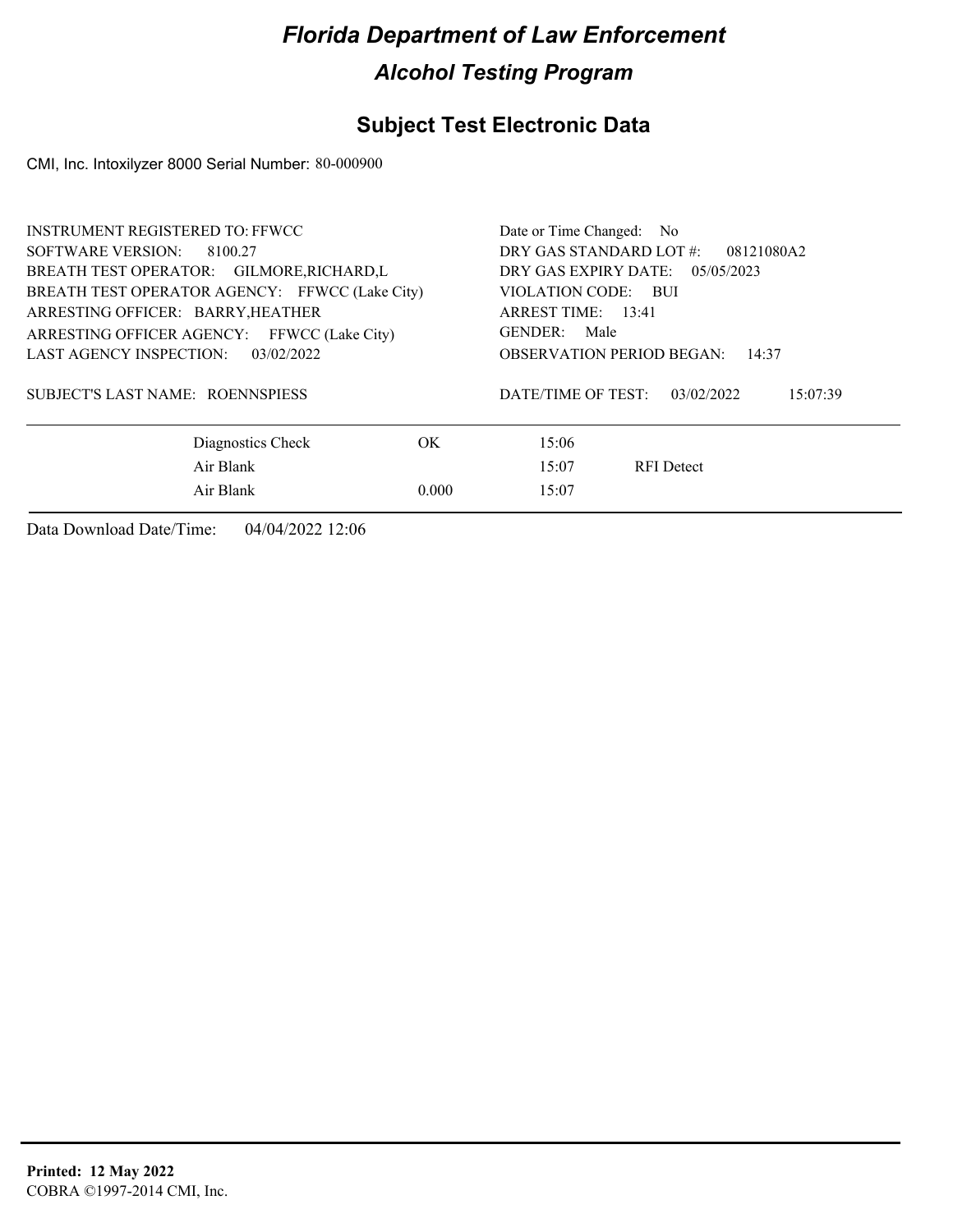### **Subject Test Electronic Data**

CMI, Inc. Intoxilyzer 8000 Serial Number: 80-000900

| <b>INSTRUMENT REGISTERED TO: FFWCC</b>         | Date or Time Changed: No                     |  |  |  |
|------------------------------------------------|----------------------------------------------|--|--|--|
| SOFTWARE VERSION: 8100.27                      | DRY GAS STANDARD LOT #:<br>08121080A2        |  |  |  |
| BREATH TEST OPERATOR: GILMORE, RICHARD, L      | DRY GAS EXPIRY DATE: $05/05/2023$            |  |  |  |
| BREATH TEST OPERATOR AGENCY: FFWCC (Lake City) | VIOLATION CODE: BUI                          |  |  |  |
| ARRESTING OFFICER: BARRY, HEATHER              | ARREST TIME: 13:41                           |  |  |  |
| ARRESTING OFFICER AGENCY: FFWCC (Lake City)    | GENDER:<br>Male                              |  |  |  |
| LAST AGENCY INSPECTION: 03/02/2022             | <b>OBSERVATION PERIOD BEGAN:</b><br>14:37    |  |  |  |
| SUBJECT'S LAST NAME: ROENNSPIESS               | DATE/TIME OF TEST:<br>03/02/2022<br>15:07:39 |  |  |  |
| OK.<br>Diagnostics Check                       | 15:06                                        |  |  |  |
| Air Blank                                      | 15:07<br><b>RFI</b> Detect                   |  |  |  |
| Air Blank<br>0.000                             | 15:07                                        |  |  |  |
|                                                |                                              |  |  |  |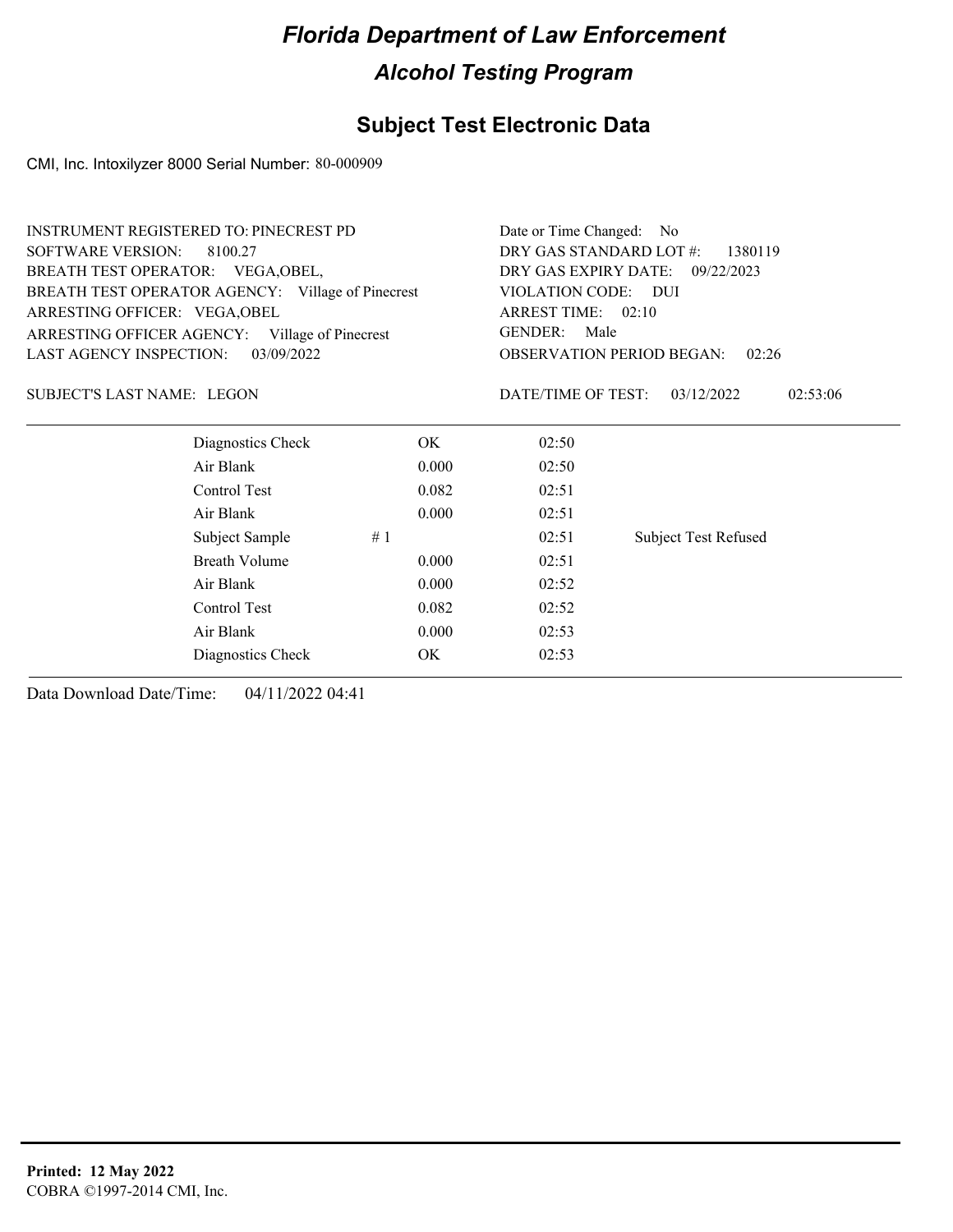### **Subject Test Electronic Data**

CMI, Inc. Intoxilyzer 8000 Serial Number: 80-000909

| DRY GAS STANDARD LOT #:<br><b>SOFTWARE VERSION:</b><br>1380119<br>8100.27<br>BREATH TEST OPERATOR: VEGA, OBEL,<br>DRY GAS EXPIRY DATE: 09/22/2023<br>BREATH TEST OPERATOR AGENCY: Village of Pinecrest<br>VIOLATION CODE: DUI<br>ARREST TIME: 02:10<br>ARRESTING OFFICER: VEGA, OBEL<br>GENDER:<br>Male<br>ARRESTING OFFICER AGENCY:<br>Village of Pinecrest<br>LAST AGENCY INSPECTION:<br>03/09/2022<br><b>OBSERVATION PERIOD BEGAN:</b><br>02:26<br><b>SUBJECT'S LAST NAME: LEGON</b><br>DATE/TIME OF TEST:<br>03/12/2022<br>02:53:06<br>Diagnostics Check<br>OK.<br>02:50<br>Air Blank<br>0.000<br>02:50<br>Control Test<br>0.082<br>02:51<br>Air Blank<br>0.000<br>02:51<br>Subject Sample<br>#1<br>02:51<br><b>Subject Test Refused</b><br><b>Breath Volume</b><br>0.000<br>02:51<br>Air Blank<br>0.000<br>02:52<br>Control Test<br>0.082<br>02:52<br>Air Blank<br>0.000<br>02:53<br>OK<br>02:53<br>Diagnostics Check | <b>INSTRUMENT REGISTERED TO: PINECREST PD</b> | Date or Time Changed: No |  |  |  |  |
|----------------------------------------------------------------------------------------------------------------------------------------------------------------------------------------------------------------------------------------------------------------------------------------------------------------------------------------------------------------------------------------------------------------------------------------------------------------------------------------------------------------------------------------------------------------------------------------------------------------------------------------------------------------------------------------------------------------------------------------------------------------------------------------------------------------------------------------------------------------------------------------------------------------------------|-----------------------------------------------|--------------------------|--|--|--|--|
|                                                                                                                                                                                                                                                                                                                                                                                                                                                                                                                                                                                                                                                                                                                                                                                                                                                                                                                            |                                               |                          |  |  |  |  |
|                                                                                                                                                                                                                                                                                                                                                                                                                                                                                                                                                                                                                                                                                                                                                                                                                                                                                                                            |                                               |                          |  |  |  |  |
|                                                                                                                                                                                                                                                                                                                                                                                                                                                                                                                                                                                                                                                                                                                                                                                                                                                                                                                            |                                               |                          |  |  |  |  |
|                                                                                                                                                                                                                                                                                                                                                                                                                                                                                                                                                                                                                                                                                                                                                                                                                                                                                                                            |                                               |                          |  |  |  |  |
|                                                                                                                                                                                                                                                                                                                                                                                                                                                                                                                                                                                                                                                                                                                                                                                                                                                                                                                            |                                               |                          |  |  |  |  |
|                                                                                                                                                                                                                                                                                                                                                                                                                                                                                                                                                                                                                                                                                                                                                                                                                                                                                                                            |                                               |                          |  |  |  |  |
|                                                                                                                                                                                                                                                                                                                                                                                                                                                                                                                                                                                                                                                                                                                                                                                                                                                                                                                            |                                               |                          |  |  |  |  |
|                                                                                                                                                                                                                                                                                                                                                                                                                                                                                                                                                                                                                                                                                                                                                                                                                                                                                                                            |                                               |                          |  |  |  |  |
|                                                                                                                                                                                                                                                                                                                                                                                                                                                                                                                                                                                                                                                                                                                                                                                                                                                                                                                            |                                               |                          |  |  |  |  |
|                                                                                                                                                                                                                                                                                                                                                                                                                                                                                                                                                                                                                                                                                                                                                                                                                                                                                                                            |                                               |                          |  |  |  |  |
|                                                                                                                                                                                                                                                                                                                                                                                                                                                                                                                                                                                                                                                                                                                                                                                                                                                                                                                            |                                               |                          |  |  |  |  |
|                                                                                                                                                                                                                                                                                                                                                                                                                                                                                                                                                                                                                                                                                                                                                                                                                                                                                                                            |                                               |                          |  |  |  |  |
|                                                                                                                                                                                                                                                                                                                                                                                                                                                                                                                                                                                                                                                                                                                                                                                                                                                                                                                            |                                               |                          |  |  |  |  |
|                                                                                                                                                                                                                                                                                                                                                                                                                                                                                                                                                                                                                                                                                                                                                                                                                                                                                                                            |                                               |                          |  |  |  |  |
|                                                                                                                                                                                                                                                                                                                                                                                                                                                                                                                                                                                                                                                                                                                                                                                                                                                                                                                            |                                               |                          |  |  |  |  |
|                                                                                                                                                                                                                                                                                                                                                                                                                                                                                                                                                                                                                                                                                                                                                                                                                                                                                                                            |                                               |                          |  |  |  |  |
|                                                                                                                                                                                                                                                                                                                                                                                                                                                                                                                                                                                                                                                                                                                                                                                                                                                                                                                            |                                               |                          |  |  |  |  |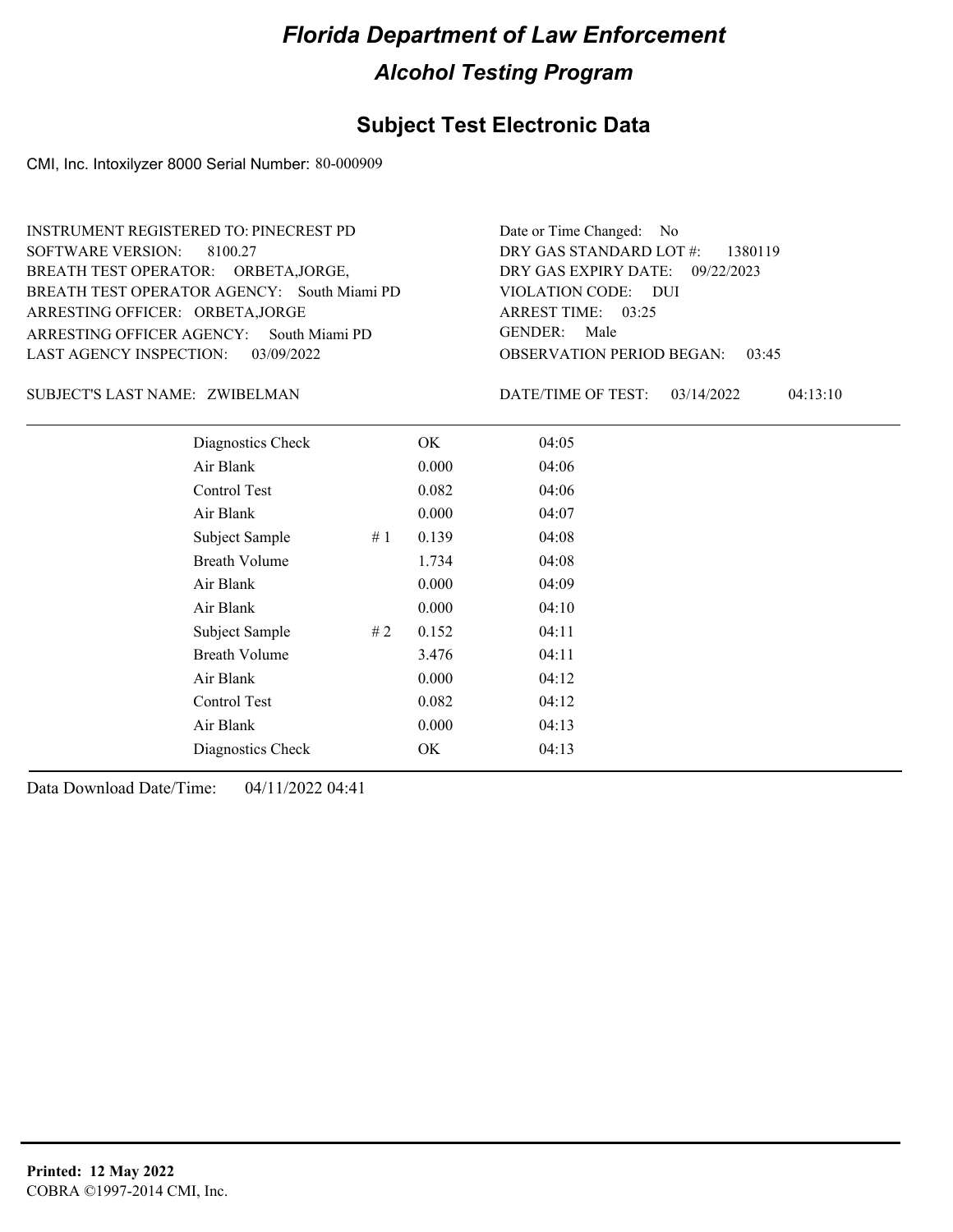#### **Subject Test Electronic Data**

CMI, Inc. Intoxilyzer 8000 Serial Number: 80-000909

ARRESTING OFFICER AGENCY: GENDER: South Miami PD BREATH TEST OPERATOR AGENCY: South Miami PD VIOLATION CODE: SOFTWARE VERSION: 8100.27 ARRESTING OFFICER: ORBETA,JORGE BREATH TEST OPERATOR: ORBETA,JORGE, LAST AGENCY INSPECTION: 03/09/2022 INSTRUMENT REGISTERED TO: PINECREST PD

OBSERVATION PERIOD BEGAN: 03:45 VIOLATION CODE: DUI 03:25 ARREST TIME: 09/22/2023 DRY GAS EXPIRY DATE: DRY GAS STANDARD LOT #: 1380119 Date or Time Changed: No GENDER: Male

ZWIBELMAN SUBJECT'S LAST NAME: DATE/TIME OF TEST:

DATE/TIME OF TEST: 03/14/2022 04:13:10

| Diagnostics Check    | OK    | 04:05 |
|----------------------|-------|-------|
| Air Blank            | 0.000 | 04:06 |
| Control Test         | 0.082 | 04:06 |
| Air Blank            | 0.000 | 04:07 |
| Subject Sample<br>#1 | 0.139 | 04:08 |
| <b>Breath Volume</b> | 1.734 | 04:08 |
| Air Blank            | 0.000 | 04:09 |
| Air Blank            | 0.000 | 04:10 |
| Subject Sample<br>#2 | 0.152 | 04:11 |
| <b>Breath Volume</b> | 3.476 | 04:11 |
| Air Blank            | 0.000 | 04:12 |
| Control Test         | 0.082 | 04:12 |
| Air Blank            | 0.000 | 04:13 |
| Diagnostics Check    | OK    | 04:13 |
|                      |       |       |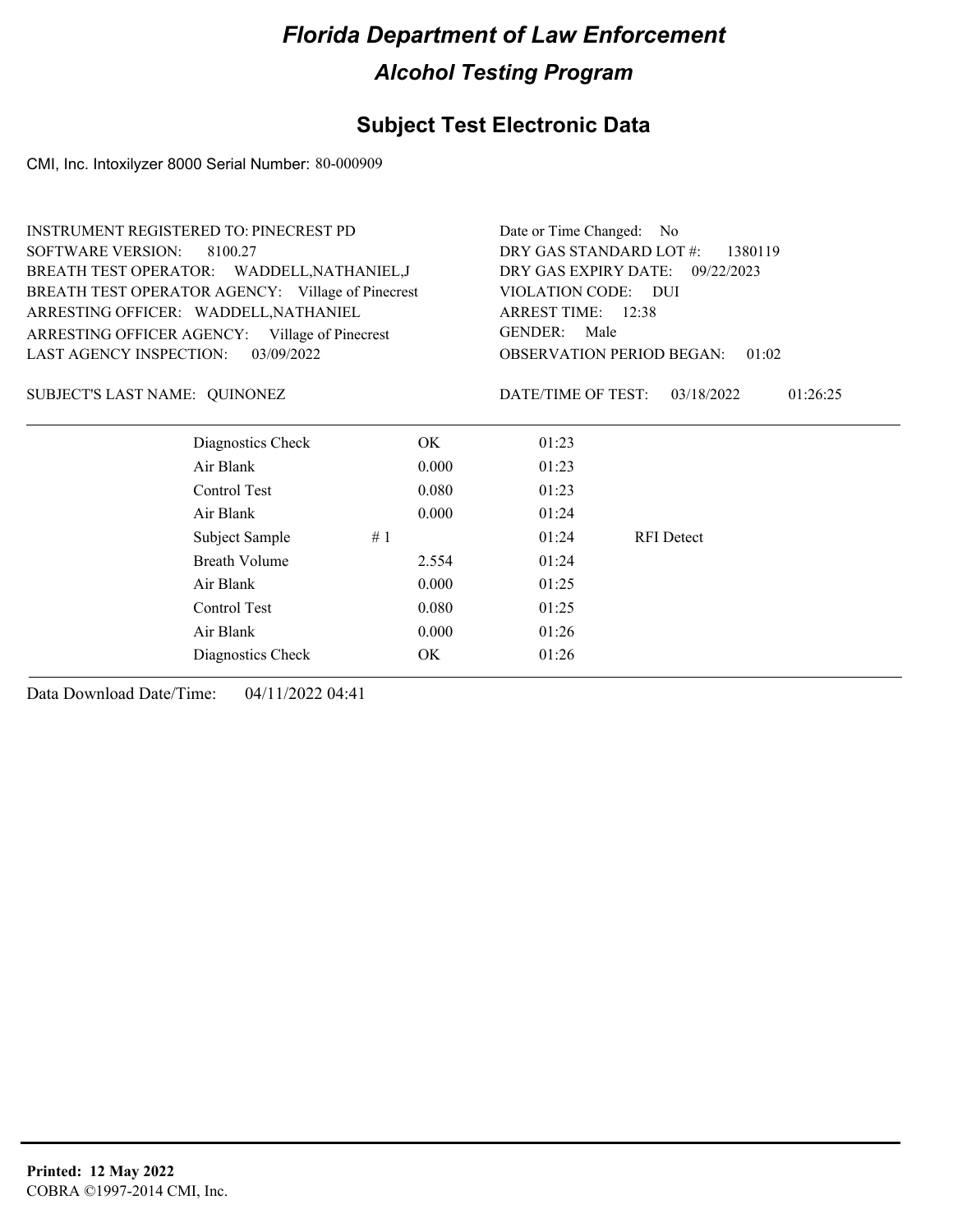### **Subject Test Electronic Data**

CMI, Inc. Intoxilyzer 8000 Serial Number: 80-000909

|                               | <b>INSTRUMENT REGISTERED TO: PINECREST PD</b>     | Date or Time Changed:<br>- No      |                     |                                  |          |
|-------------------------------|---------------------------------------------------|------------------------------------|---------------------|----------------------------------|----------|
| <b>SOFTWARE VERSION:</b>      | 8100.27                                           | DRY GAS STANDARD LOT #:<br>1380119 |                     |                                  |          |
|                               | BREATH TEST OPERATOR: WADDELL, NATHANIEL, J       | DRY GAS EXPIRY DATE:               | 09/22/2023          |                                  |          |
|                               | BREATH TEST OPERATOR AGENCY: Village of Pinecrest |                                    | VIOLATION CODE: DUI |                                  |          |
|                               | ARRESTING OFFICER: WADDELL, NATHANIEL             |                                    | ARREST TIME: 12:38  |                                  |          |
|                               | ARRESTING OFFICER AGENCY: Village of Pinecrest    | <b>GENDER:</b><br>Male             |                     |                                  |          |
| LAST AGENCY INSPECTION:       | 03/09/2022                                        |                                    |                     | <b>OBSERVATION PERIOD BEGAN:</b> | 01:02    |
| SUBJECT'S LAST NAME: QUINONEZ |                                                   |                                    | DATE/TIME OF TEST:  | 03/18/2022                       | 01:26:25 |
|                               | Diagnostics Check                                 | OK.                                | 01:23               |                                  |          |
|                               | Air Blank                                         | 0.000                              | 01:23               |                                  |          |
|                               | Control Test                                      | 0.080                              | 01:23               |                                  |          |
|                               | Air Blank                                         | 0.000                              | 01:24               |                                  |          |
|                               | Subject Sample                                    | #1                                 | 01:24               | <b>RFI</b> Detect                |          |
|                               | <b>Breath Volume</b>                              | 2.554                              | 01:24               |                                  |          |
|                               | Air Blank                                         | 0.000                              | 01:25               |                                  |          |
|                               | Control Test                                      | 0.080                              | 01:25               |                                  |          |
|                               | Air Blank                                         | 0.000                              | 01:26               |                                  |          |
|                               | Diagnostics Check                                 | OK                                 | 01:26               |                                  |          |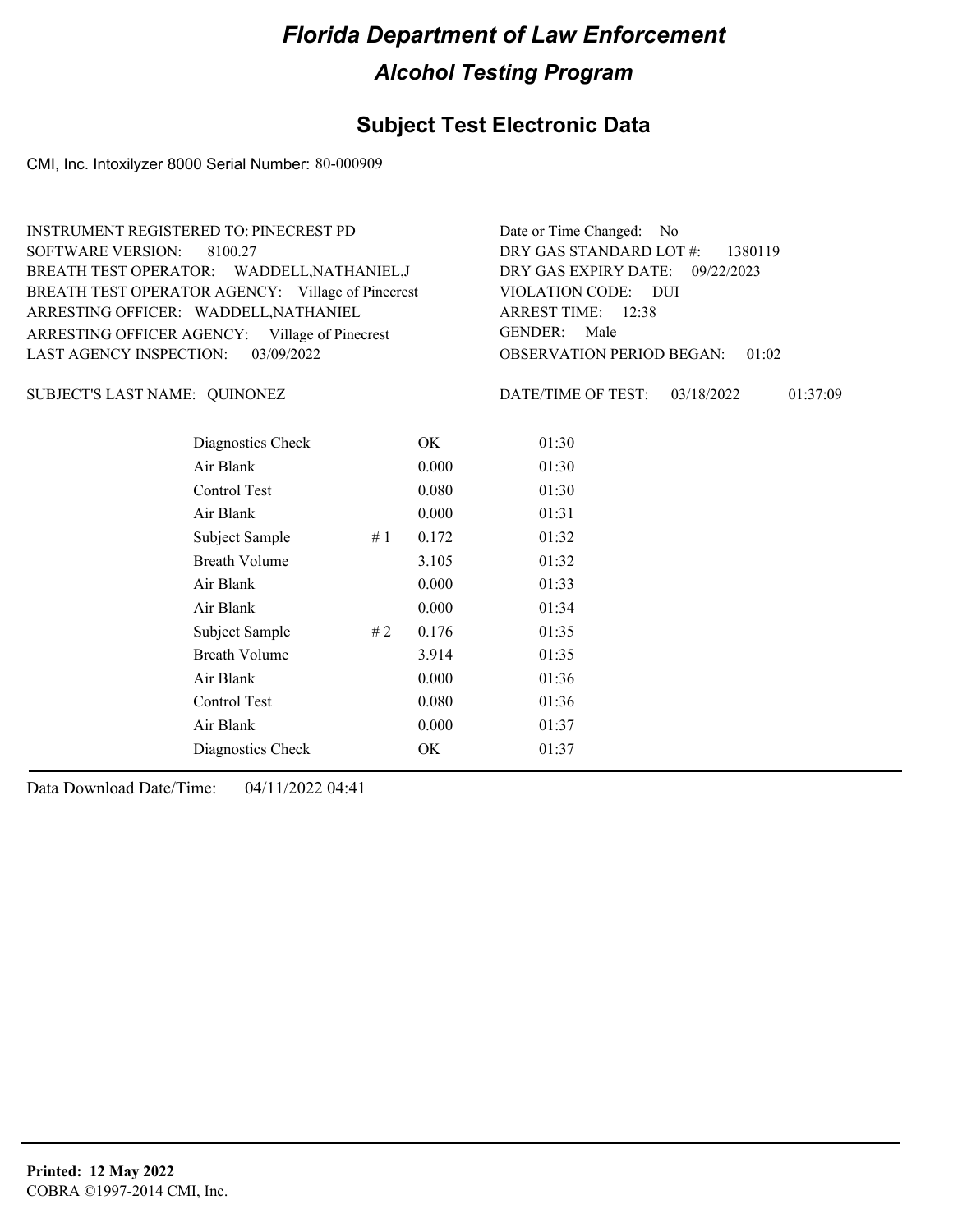### **Subject Test Electronic Data**

CMI, Inc. Intoxilyzer 8000 Serial Number: 80-000909

| <b>INSTRUMENT REGISTERED TO: PINECREST PD</b>     | Date or Time Changed: No               |
|---------------------------------------------------|----------------------------------------|
| SOFTWARE VERSION: 8100.27                         | DRY GAS STANDARD LOT #: 1380119        |
| BREATH TEST OPERATOR: WADDELL, NATHANIEL, J       | DRY GAS EXPIRY DATE: 09/22/2023        |
| BREATH TEST OPERATOR AGENCY: Village of Pinecrest | VIOLATION CODE: DUI                    |
| ARRESTING OFFICER: WADDELL, NATHANIEL             | ARREST TIME: 12:38                     |
| ARRESTING OFFICER AGENCY: Village of Pinecrest    | GENDER: Male                           |
| LAST AGENCY INSPECTION: 03/09/2022                | <b>OBSERVATION PERIOD BEGAN: 01:02</b> |

QUINONEZ SUBJECT'S LAST NAME: DATE/TIME OF TEST:

DATE/TIME OF TEST: 03/18/2022 01:37:09

| Diagnostics Check    |    | OK    | 01:30 |  |
|----------------------|----|-------|-------|--|
| Air Blank            |    | 0.000 | 01:30 |  |
| Control Test         |    | 0.080 | 01:30 |  |
| Air Blank            |    | 0.000 | 01:31 |  |
| Subject Sample       | #1 | 0.172 | 01:32 |  |
| <b>Breath Volume</b> |    | 3.105 | 01:32 |  |
| Air Blank            |    | 0.000 | 01:33 |  |
| Air Blank            |    | 0.000 | 01:34 |  |
| Subject Sample       | #2 | 0.176 | 01:35 |  |
| <b>Breath Volume</b> |    | 3.914 | 01:35 |  |
| Air Blank            |    | 0.000 | 01:36 |  |
| Control Test         |    | 0.080 | 01:36 |  |
| Air Blank            |    | 0.000 | 01:37 |  |
| Diagnostics Check    |    | OK    | 01:37 |  |
|                      |    |       |       |  |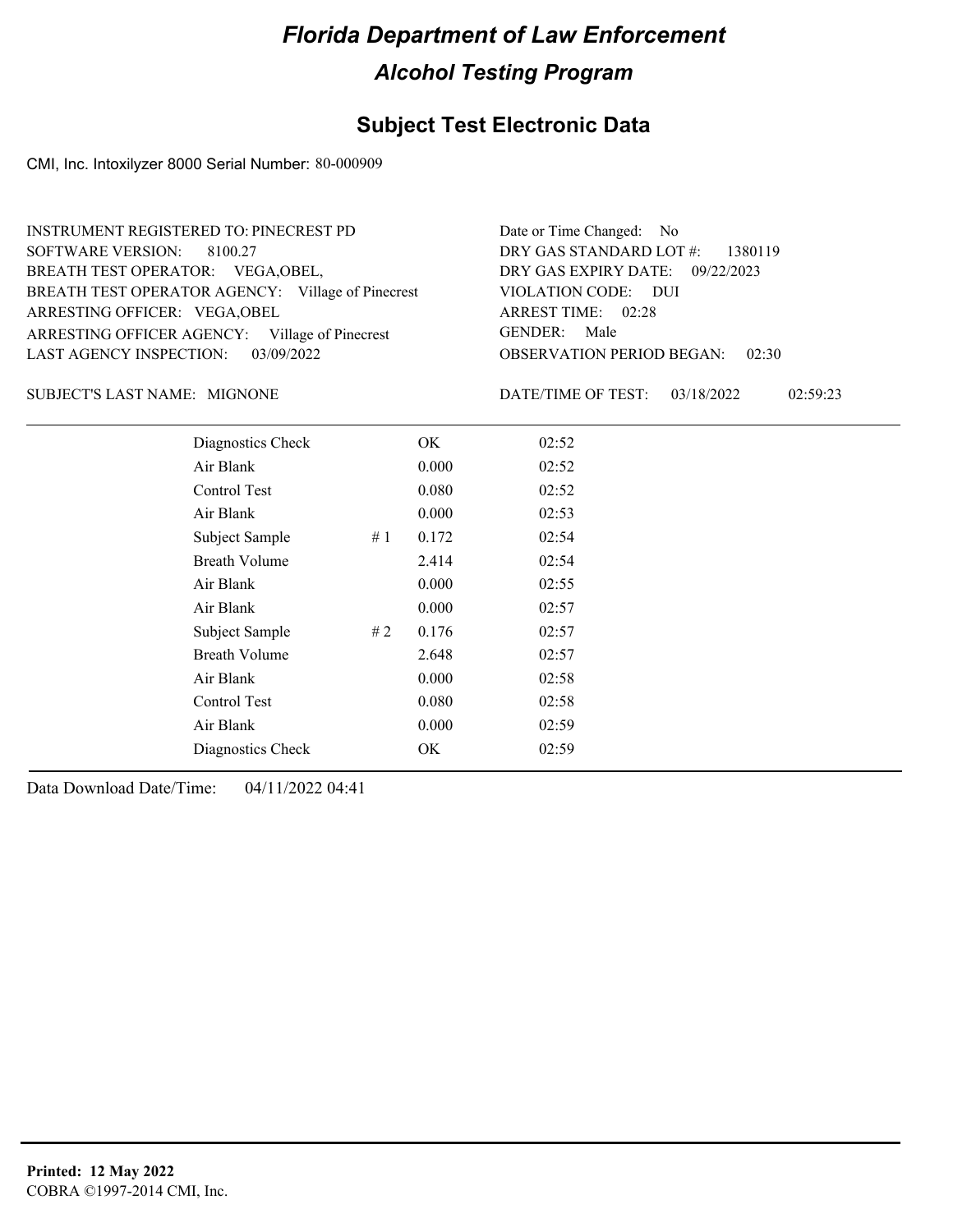### **Subject Test Electronic Data**

CMI, Inc. Intoxilyzer 8000 Serial Number: 80-000909

| <b>INSTRUMENT REGISTERED TO: PINECREST PD</b>     | Date or Time Changed: No               |
|---------------------------------------------------|----------------------------------------|
| SOFTWARE VERSION: 8100.27                         | DRY GAS STANDARD LOT $\#$ : 1380119    |
| BREATH TEST OPERATOR: VEGA, OBEL,                 | DRY GAS EXPIRY DATE: 09/22/2023        |
| BREATH TEST OPERATOR AGENCY: Village of Pinecrest | VIOLATION CODE: DUI                    |
| ARRESTING OFFICER: VEGA, OBEL                     | ARREST TIME: 02:28                     |
| ARRESTING OFFICER AGENCY: Village of Pinecrest    | GENDER: Male                           |
| LAST AGENCY INSPECTION: 03/09/2022                | <b>OBSERVATION PERIOD BEGAN: 02:30</b> |

#### SUBJECT'S LAST NAME: MIGNONE **Example 20** DATE/TIME OF TEST:

DATE/TIME OF TEST: 03/18/2022 02:59:23

| Diagnostics Check    |    | OK    | 02:52 |
|----------------------|----|-------|-------|
| Air Blank            |    | 0.000 | 02:52 |
| Control Test         |    | 0.080 | 02:52 |
| Air Blank            |    | 0.000 | 02:53 |
| Subject Sample       | #1 | 0.172 | 02:54 |
| <b>Breath Volume</b> |    | 2.414 | 02:54 |
| Air Blank            |    | 0.000 | 02:55 |
| Air Blank            |    | 0.000 | 02:57 |
| Subject Sample       | #2 | 0.176 | 02:57 |
| <b>Breath Volume</b> |    | 2.648 | 02:57 |
| Air Blank            |    | 0.000 | 02:58 |
| Control Test         |    | 0.080 | 02:58 |
| Air Blank            |    | 0.000 | 02:59 |
| Diagnostics Check    |    | OK    | 02:59 |
|                      |    |       |       |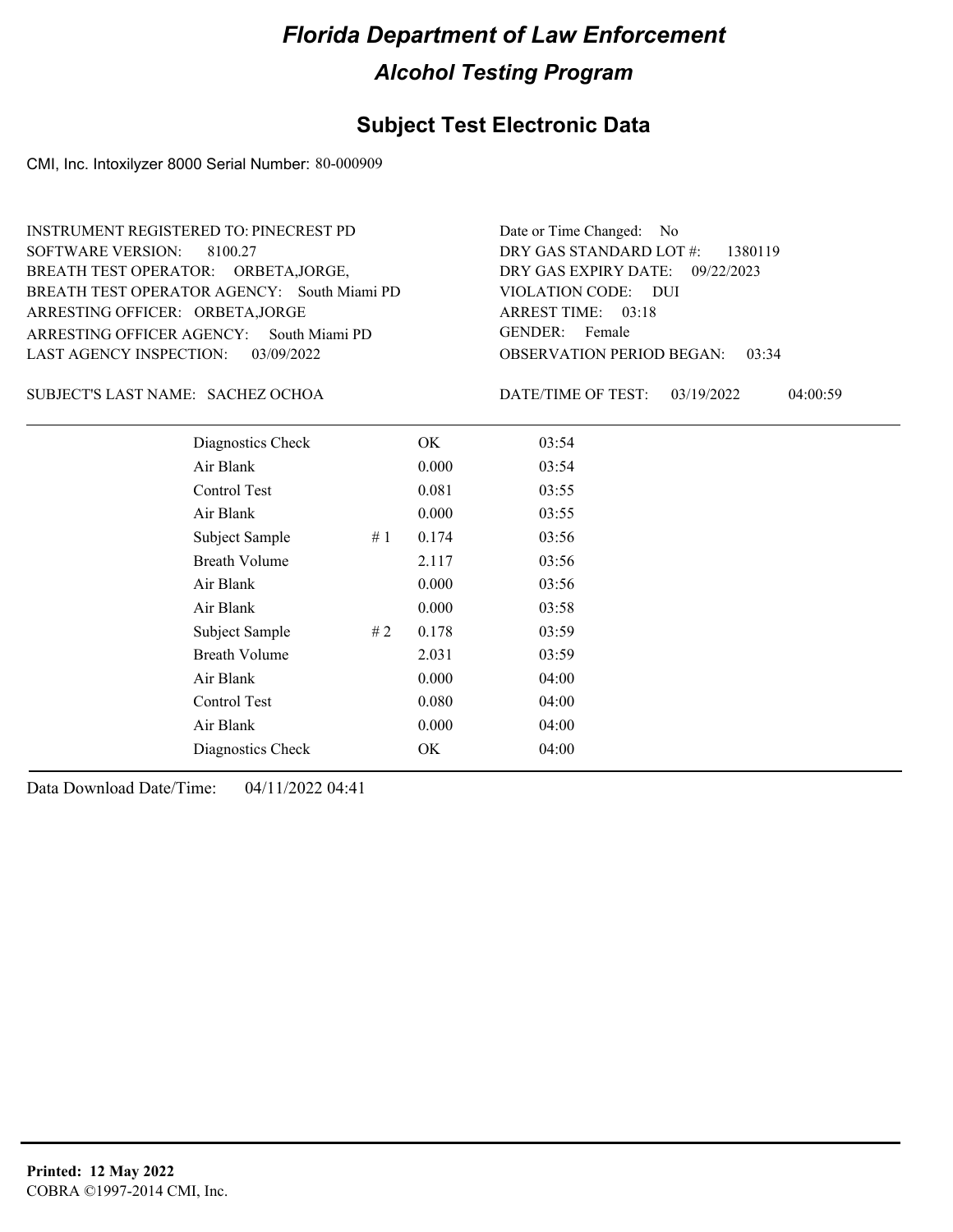#### **Subject Test Electronic Data**

CMI, Inc. Intoxilyzer 8000 Serial Number: 80-000909

ARRESTING OFFICER AGENCY: GENDER: South Miami PD BREATH TEST OPERATOR AGENCY: South Miami PD VIOLATION CODE: SOFTWARE VERSION: 8100.27 ARRESTING OFFICER: ORBETA,JORGE BREATH TEST OPERATOR: ORBETA,JORGE, LAST AGENCY INSPECTION: 03/09/2022 INSTRUMENT REGISTERED TO: PINECREST PD

OBSERVATION PERIOD BEGAN: 03:34 VIOLATION CODE: DUI 03:18 ARREST TIME: 09/22/2023 DRY GAS EXPIRY DATE: DRY GAS STANDARD LOT #: 1380119 Date or Time Changed: No GENDER: Female

SACHEZ OCHOA SUBJECT'S LAST NAME: DATE/TIME OF TEST:

DATE/TIME OF TEST: 03/19/2022 04:00:59

| Diagnostics Check    |    | OK    | 03:54 |
|----------------------|----|-------|-------|
| Air Blank            |    | 0.000 | 03:54 |
| Control Test         |    | 0.081 | 03:55 |
| Air Blank            |    | 0.000 | 03:55 |
| Subject Sample       | #1 | 0.174 | 03:56 |
| <b>Breath Volume</b> |    | 2.117 | 03:56 |
| Air Blank            |    | 0.000 | 03:56 |
| Air Blank            |    | 0.000 | 03:58 |
| Subject Sample       | #2 | 0.178 | 03:59 |
| <b>Breath Volume</b> |    | 2.031 | 03:59 |
| Air Blank            |    | 0.000 | 04:00 |
| <b>Control Test</b>  |    | 0.080 | 04:00 |
| Air Blank            |    | 0.000 | 04:00 |
| Diagnostics Check    |    | OK    | 04:00 |
|                      |    |       |       |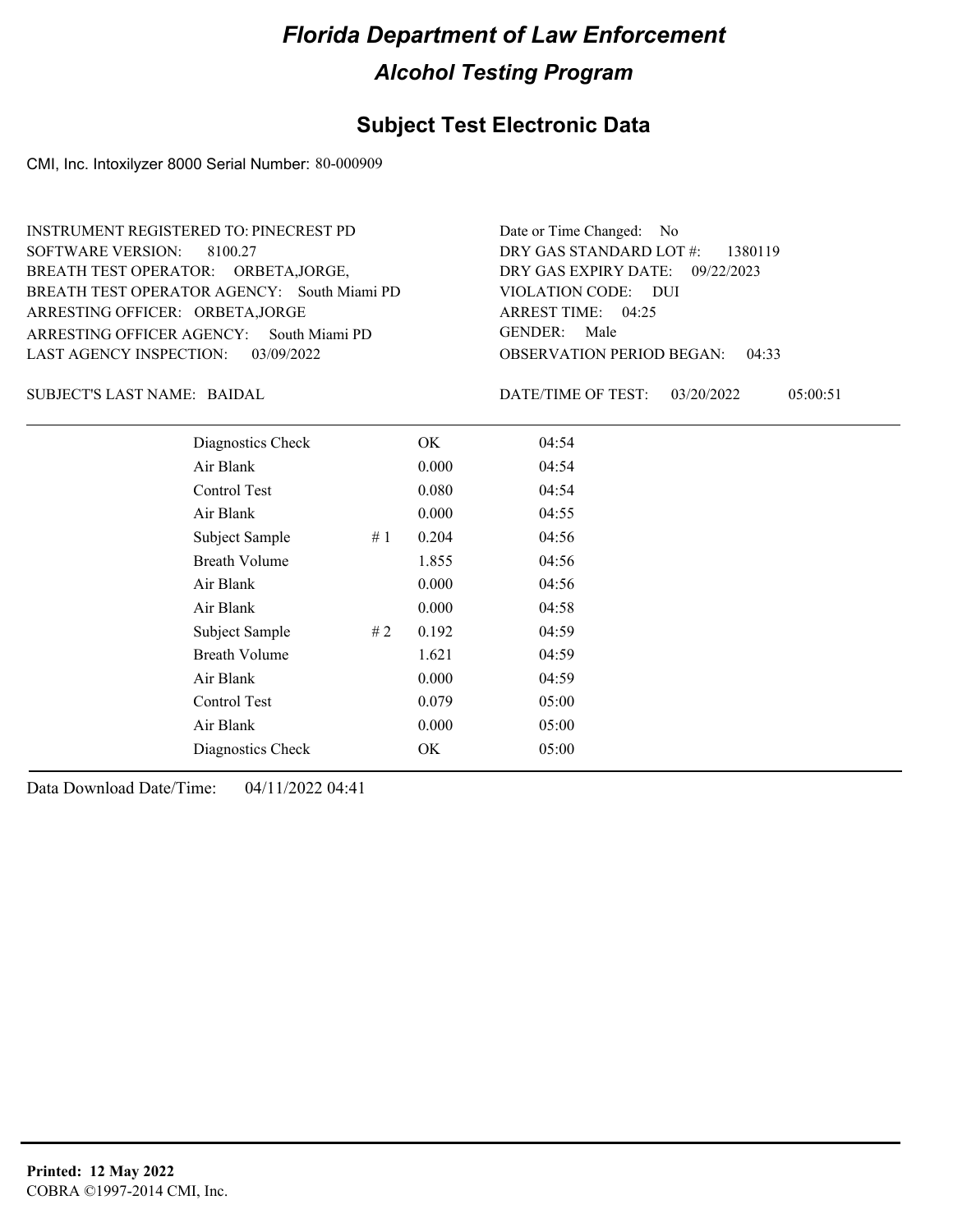#### **Subject Test Electronic Data**

CMI, Inc. Intoxilyzer 8000 Serial Number: 80-000909

ARRESTING OFFICER AGENCY: GENDER: South Miami PD BREATH TEST OPERATOR AGENCY: South Miami PD VIOLATION CODE: SOFTWARE VERSION: 8100.27 ARRESTING OFFICER: ORBETA,JORGE BREATH TEST OPERATOR: ORBETA,JORGE, LAST AGENCY INSPECTION: 03/09/2022 INSTRUMENT REGISTERED TO: PINECREST PD

OBSERVATION PERIOD BEGAN: 04:33 VIOLATION CODE: DUI ARREST TIME: 04:25 09/22/2023 DRY GAS EXPIRY DATE: DRY GAS STANDARD LOT #: 1380119 Date or Time Changed: No GENDER: Male

BAIDAL SUBJECT'S LAST NAME: DATE/TIME OF TEST:

DATE/TIME OF TEST: 03/20/2022 05:00:51

| Diagnostics Check     | OK    | 04:54 |
|-----------------------|-------|-------|
| Air Blank             | 0.000 | 04:54 |
| Control Test          | 0.080 | 04:54 |
| Air Blank             | 0.000 | 04:55 |
| Subject Sample<br>#1  | 0.204 | 04:56 |
| <b>Breath Volume</b>  | 1.855 | 04:56 |
| Air Blank             | 0.000 | 04:56 |
| Air Blank             | 0.000 | 04:58 |
| Subject Sample<br># 2 | 0.192 | 04:59 |
| <b>Breath Volume</b>  | 1.621 | 04:59 |
| Air Blank             | 0.000 | 04:59 |
| <b>Control Test</b>   | 0.079 | 05:00 |
| Air Blank             | 0.000 | 05:00 |
| Diagnostics Check     | OK    | 05:00 |
|                       |       |       |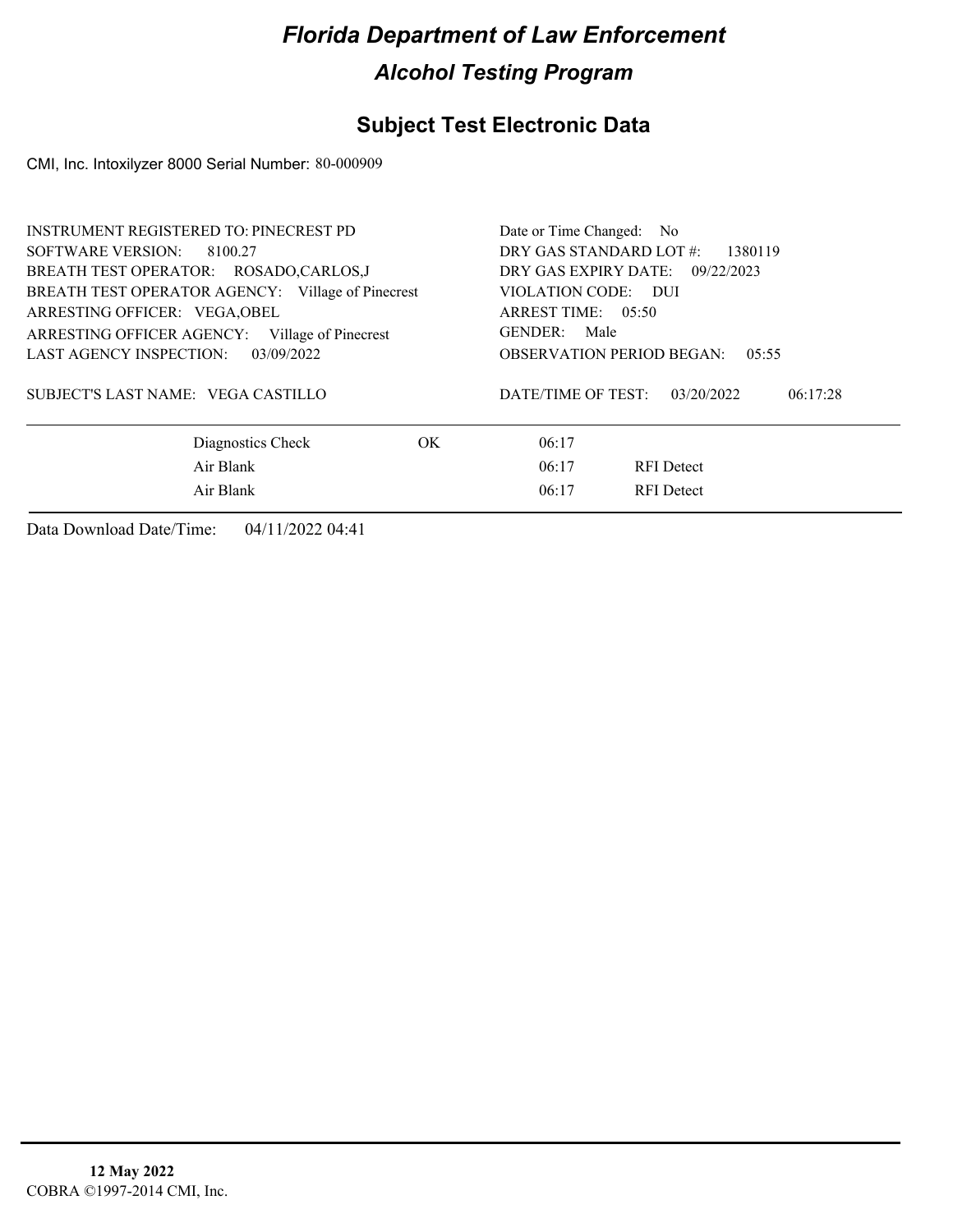### **Subject Test Electronic Data**

CMI, Inc. Intoxilyzer 8000 Serial Number: 80-000909

| <b>INSTRUMENT REGISTERED TO: PINECREST PD</b>     | Date or Time Changed: No                     |  |  |  |
|---------------------------------------------------|----------------------------------------------|--|--|--|
| SOFTWARE VERSION:<br>8100.27                      | DRY GAS STANDARD LOT #:<br>1380119           |  |  |  |
| BREATH TEST OPERATOR: ROSADO,CARLOS,J             | DRY GAS EXPIRY DATE:<br>09/22/2023           |  |  |  |
| BREATH TEST OPERATOR AGENCY: Village of Pinecrest | VIOLATION CODE: DUI                          |  |  |  |
| ARRESTING OFFICER: VEGA, OBEL                     | ARREST TIME: 05:50                           |  |  |  |
| ARRESTING OFFICER AGENCY: Village of Pinecrest    | GENDER: Male                                 |  |  |  |
| LAST AGENCY INSPECTION:<br>03/09/2022             | <b>OBSERVATION PERIOD BEGAN:</b><br>0.5:55   |  |  |  |
| SUBJECT'S LAST NAME: VEGA CASTILLO                | DATE/TIME OF TEST:<br>03/20/2022<br>06:17:28 |  |  |  |
| Diagnostics Check<br>OK.                          | 06:17                                        |  |  |  |
| Air Blank                                         | 06:17<br><b>RFI</b> Detect                   |  |  |  |
| Air Blank                                         | 06:17<br><b>RFI</b> Detect                   |  |  |  |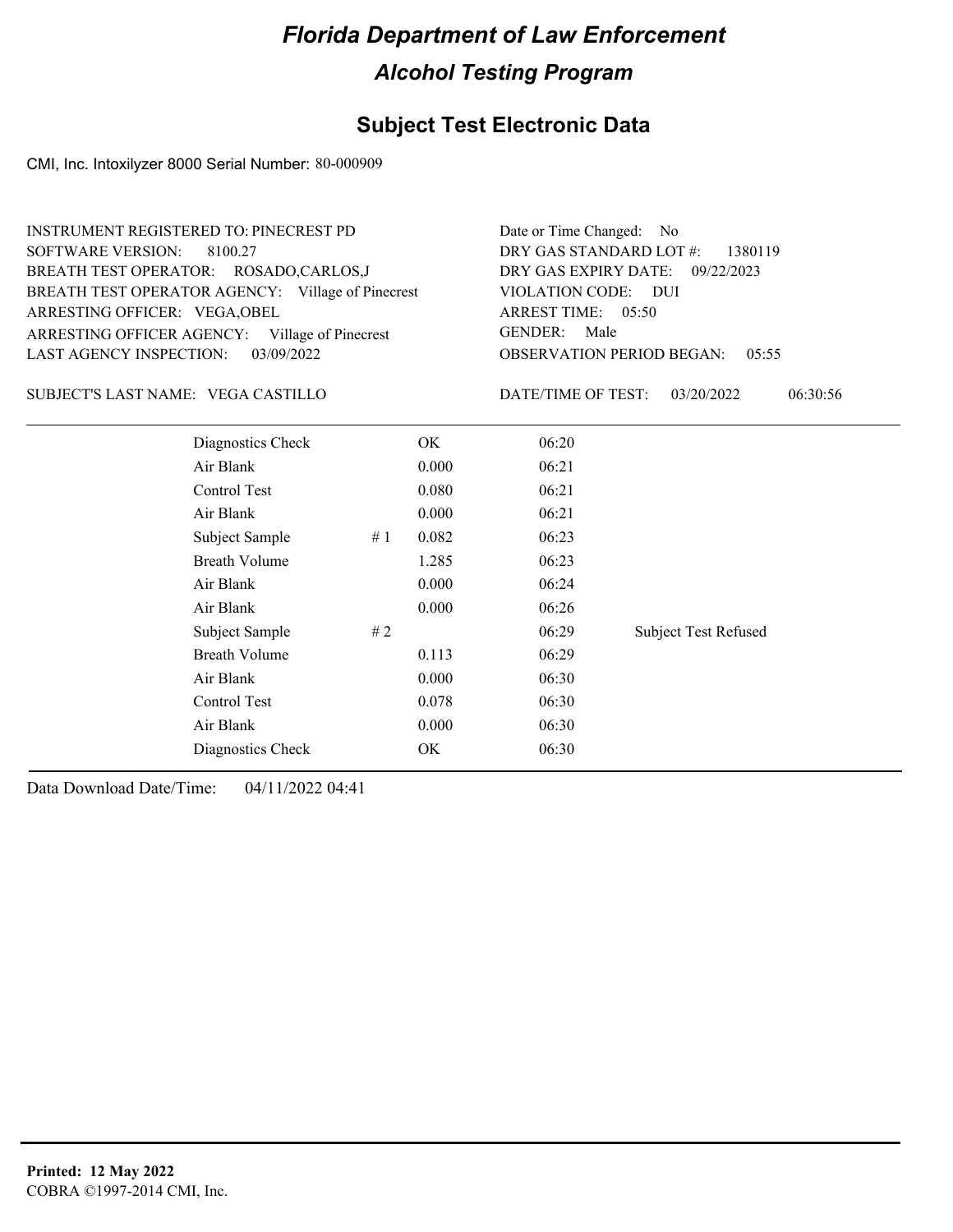### **Subject Test Electronic Data**

CMI, Inc. Intoxilyzer 8000 Serial Number: 80-000909

| INSTRUMENT REGISTERED TO: PINECREST PD            | Date or Time Changed: No               |
|---------------------------------------------------|----------------------------------------|
| SOFTWARE VERSION: 8100.27                         | DRY GAS STANDARD LOT $\#$ : 1380119    |
| BREATH TEST OPERATOR: ROSADO,CARLOS,J             | DRY GAS EXPIRY DATE: 09/22/2023        |
| BREATH TEST OPERATOR AGENCY: Village of Pinecrest | VIOLATION CODE: DUI                    |
| ARRESTING OFFICER: VEGA, OBEL                     | ARREST TIME: 05:50                     |
| ARRESTING OFFICER AGENCY: Village of Pinecrest    | GENDER: Male                           |
| LAST AGENCY INSPECTION: 03/09/2022                | <b>OBSERVATION PERIOD BEGAN: 05:55</b> |

#### VEGA CASTILLO SUBJECT'S LAST NAME: DATE/TIME OF TEST:

DATE/TIME OF TEST: 03/20/2022 06:30:56

| Diagnostics Check    |     | OK    | 06:20 |                             |
|----------------------|-----|-------|-------|-----------------------------|
| Air Blank            |     | 0.000 | 06:21 |                             |
| Control Test         |     | 0.080 | 06:21 |                             |
| Air Blank            |     | 0.000 | 06:21 |                             |
| Subject Sample       | #1  | 0.082 | 06:23 |                             |
| <b>Breath Volume</b> |     | 1.285 | 06:23 |                             |
| Air Blank            |     | 0.000 | 06:24 |                             |
| Air Blank            |     | 0.000 | 06:26 |                             |
| Subject Sample       | # 2 |       | 06:29 | <b>Subject Test Refused</b> |
| <b>Breath Volume</b> |     | 0.113 | 06:29 |                             |
| Air Blank            |     | 0.000 | 06:30 |                             |
| Control Test         |     | 0.078 | 06:30 |                             |
| Air Blank            |     | 0.000 | 06:30 |                             |
| Diagnostics Check    |     | OK    | 06:30 |                             |
|                      |     |       |       |                             |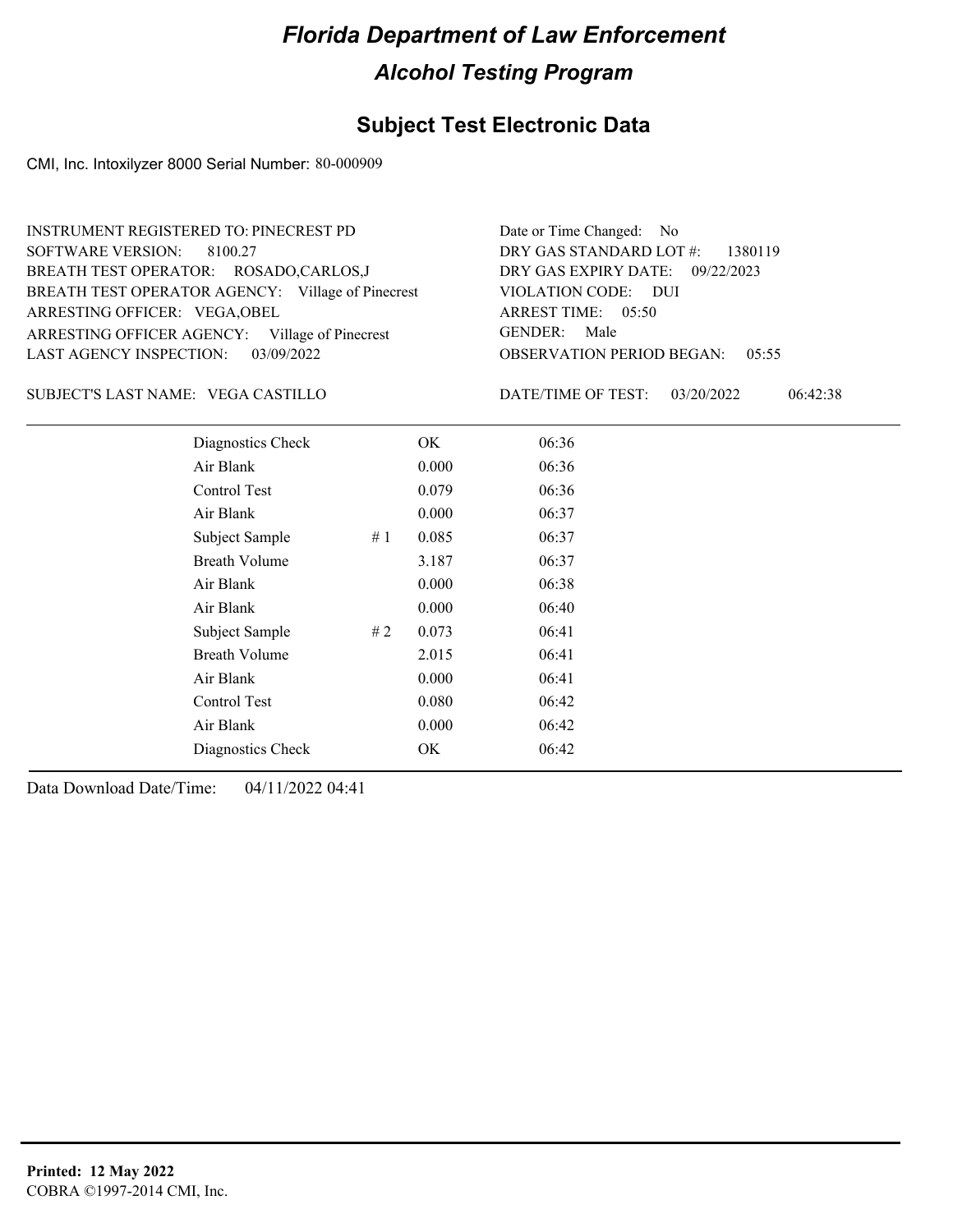### **Subject Test Electronic Data**

CMI, Inc. Intoxilyzer 8000 Serial Number: 80-000909

| INSTRUMENT REGISTERED TO: PINECREST PD            | Date or Time Changed: No               |
|---------------------------------------------------|----------------------------------------|
| SOFTWARE VERSION: 8100.27                         | DRY GAS STANDARD LOT $\#$ : 1380119    |
| BREATH TEST OPERATOR: ROSADO,CARLOS,J             | DRY GAS EXPIRY DATE: 09/22/2023        |
| BREATH TEST OPERATOR AGENCY: Village of Pinecrest | VIOLATION CODE: DUI                    |
| ARRESTING OFFICER: VEGA, OBEL                     | ARREST TIME: 05:50                     |
| ARRESTING OFFICER AGENCY: Village of Pinecrest    | GENDER: Male                           |
| LAST AGENCY INSPECTION: 03/09/2022                | <b>OBSERVATION PERIOD BEGAN: 05:55</b> |

VEGA CASTILLO SUBJECT'S LAST NAME: DATE/TIME OF TEST:

DATE/TIME OF TEST: 03/20/2022 06:42:38

| Diagnostics Check    |    | OK    | 06:36 |  |
|----------------------|----|-------|-------|--|
| Air Blank            |    | 0.000 | 06:36 |  |
| Control Test         |    | 0.079 | 06:36 |  |
| Air Blank            |    | 0.000 | 06:37 |  |
| Subject Sample       | #1 | 0.085 | 06:37 |  |
| <b>Breath Volume</b> |    | 3.187 | 06:37 |  |
| Air Blank            |    | 0.000 | 06:38 |  |
| Air Blank            |    | 0.000 | 06:40 |  |
| Subject Sample       | #2 | 0.073 | 06:41 |  |
| <b>Breath Volume</b> |    | 2.015 | 06:41 |  |
| Air Blank            |    | 0.000 | 06:41 |  |
| Control Test         |    | 0.080 | 06:42 |  |
| Air Blank            |    | 0.000 | 06:42 |  |
| Diagnostics Check    |    | OK    | 06:42 |  |
|                      |    |       |       |  |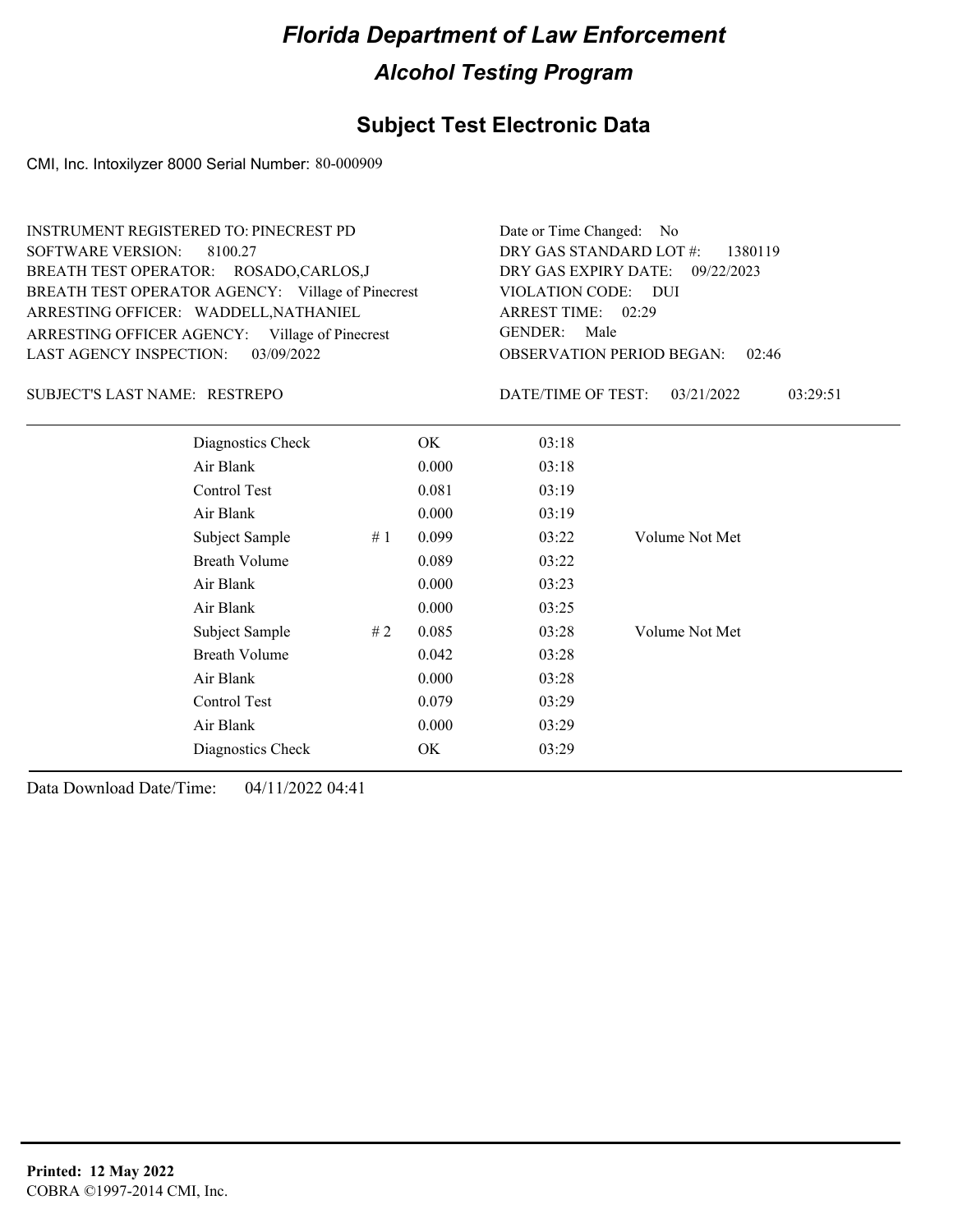## **Subject Test Electronic Data**

CMI, Inc. Intoxilyzer 8000 Serial Number: 80-000909

| <b>INSTRUMENT REGISTERED TO: PINECREST PD</b><br><b>SOFTWARE VERSION:</b><br>8100.27<br>BREATH TEST OPERATOR: ROSADO,CARLOS,J<br>BREATH TEST OPERATOR AGENCY: Village of Pinecrest<br>ARRESTING OFFICER: WADDELL, NATHANIEL<br>ARRESTING OFFICER AGENCY: Village of Pinecrest<br><b>LAST AGENCY INSPECTION:</b><br>03/09/2022 |                      |    | Date or Time Changed:<br>N <sub>o</sub><br>DRY GAS STANDARD LOT #:<br>1380119<br>DRY GAS EXPIRY DATE:<br>09/22/2023<br>VIOLATION CODE: DUI<br>ARREST TIME: 02:29<br><b>GENDER:</b><br>Male<br><b>OBSERVATION PERIOD BEGAN:</b><br>02:46 |                    |                        |
|-------------------------------------------------------------------------------------------------------------------------------------------------------------------------------------------------------------------------------------------------------------------------------------------------------------------------------|----------------------|----|-----------------------------------------------------------------------------------------------------------------------------------------------------------------------------------------------------------------------------------------|--------------------|------------------------|
| SUBJECT'S LAST NAME: RESTREPO                                                                                                                                                                                                                                                                                                 |                      |    |                                                                                                                                                                                                                                         | DATE/TIME OF TEST: | 03/21/2022<br>03:29:51 |
|                                                                                                                                                                                                                                                                                                                               | Diagnostics Check    |    | OK.                                                                                                                                                                                                                                     | 03:18              |                        |
|                                                                                                                                                                                                                                                                                                                               | Air Blank            |    | 0.000                                                                                                                                                                                                                                   | 03:18              |                        |
|                                                                                                                                                                                                                                                                                                                               | Control Test         |    | 0.081                                                                                                                                                                                                                                   | 03:19              |                        |
|                                                                                                                                                                                                                                                                                                                               | Air Blank            |    | 0.000                                                                                                                                                                                                                                   | 03:19              |                        |
|                                                                                                                                                                                                                                                                                                                               | Subject Sample       | #1 | 0.099                                                                                                                                                                                                                                   | 03:22              | Volume Not Met         |
|                                                                                                                                                                                                                                                                                                                               | <b>Breath Volume</b> |    | 0.089                                                                                                                                                                                                                                   | 03:22              |                        |
|                                                                                                                                                                                                                                                                                                                               | Air Blank            |    | 0.000                                                                                                                                                                                                                                   | 03:23              |                        |
|                                                                                                                                                                                                                                                                                                                               | Air Blank            |    | 0.000                                                                                                                                                                                                                                   | 03:25              |                        |
|                                                                                                                                                                                                                                                                                                                               | Subject Sample       | #2 | 0.085                                                                                                                                                                                                                                   | 03:28              | Volume Not Met         |
|                                                                                                                                                                                                                                                                                                                               | <b>Breath Volume</b> |    | 0.042                                                                                                                                                                                                                                   | 03:28              |                        |
|                                                                                                                                                                                                                                                                                                                               | Air Blank            |    | 0.000                                                                                                                                                                                                                                   | 03:28              |                        |
| Control Test<br>0.079                                                                                                                                                                                                                                                                                                         |                      |    |                                                                                                                                                                                                                                         | 03:29              |                        |
|                                                                                                                                                                                                                                                                                                                               | Air Blank            |    | 0.000                                                                                                                                                                                                                                   | 03:29              |                        |
|                                                                                                                                                                                                                                                                                                                               | Diagnostics Check    |    | OK                                                                                                                                                                                                                                      | 03:29              |                        |
|                                                                                                                                                                                                                                                                                                                               |                      |    |                                                                                                                                                                                                                                         |                    |                        |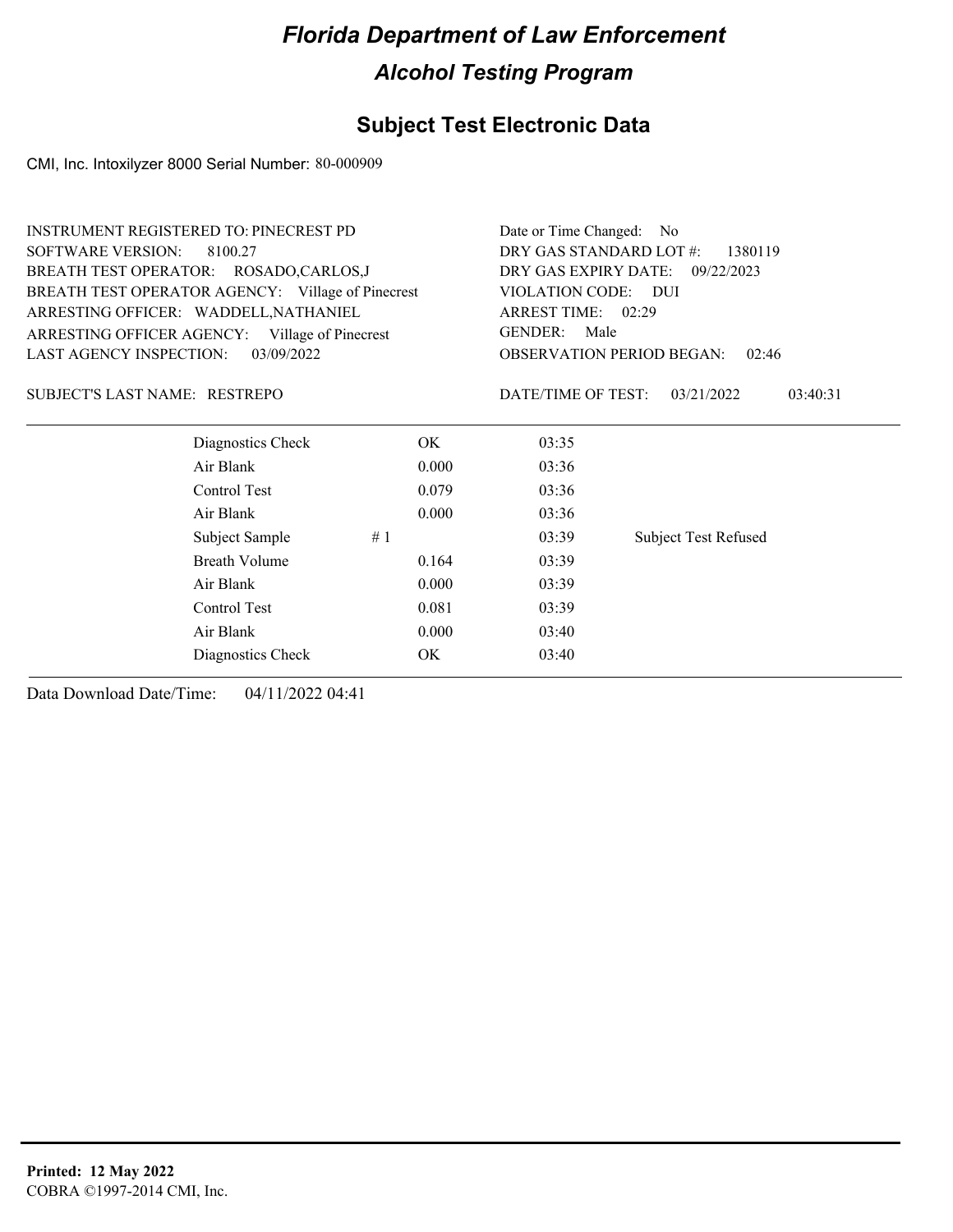## **Subject Test Electronic Data**

CMI, Inc. Intoxilyzer 8000 Serial Number: 80-000909

| <b>INSTRUMENT REGISTERED TO: PINECREST PD</b>     |                                    |                        |                                           |
|---------------------------------------------------|------------------------------------|------------------------|-------------------------------------------|
| <b>SOFTWARE VERSION:</b><br>8100.27               | DRY GAS STANDARD LOT #:<br>1380119 |                        |                                           |
| BREATH TEST OPERATOR: ROSADO,CARLOS,J             |                                    | DRY GAS EXPIRY DATE:   | 09/22/2023                                |
| BREATH TEST OPERATOR AGENCY: Village of Pinecrest |                                    | VIOLATION CODE:        | – DUI                                     |
| ARRESTING OFFICER: WADDELL, NATHANIEL             |                                    | ARREST TIME: 02:29     |                                           |
| ARRESTING OFFICER AGENCY: Village of Pinecrest    |                                    | <b>GENDER:</b><br>Male |                                           |
| LAST AGENCY INSPECTION:<br>03/09/2022             |                                    |                        | <b>OBSERVATION PERIOD BEGAN:</b><br>02:46 |
| SUBJECT'S LAST NAME: RESTREPO                     |                                    | DATE/TIME OF TEST:     | 03/21/2022<br>03:40:31                    |
| Diagnostics Check                                 | OK.                                | 03:35                  |                                           |
| Air Blank                                         | 0.000                              | 03:36                  |                                           |
| Control Test                                      | 0.079                              | 03:36                  |                                           |
| Air Blank                                         | 0.000                              | 03:36                  |                                           |
| Subject Sample                                    | #1                                 | 03:39                  | <b>Subject Test Refused</b>               |
| <b>Breath Volume</b>                              | 0.164                              | 03:39                  |                                           |
| Air Blank                                         | 0.000                              | 03:39                  |                                           |
| Control Test                                      | 0.081                              | 03:39                  |                                           |
| Air Blank                                         | 0.000                              | 03:40                  |                                           |
| Diagnostics Check                                 | OK                                 | 03:40                  |                                           |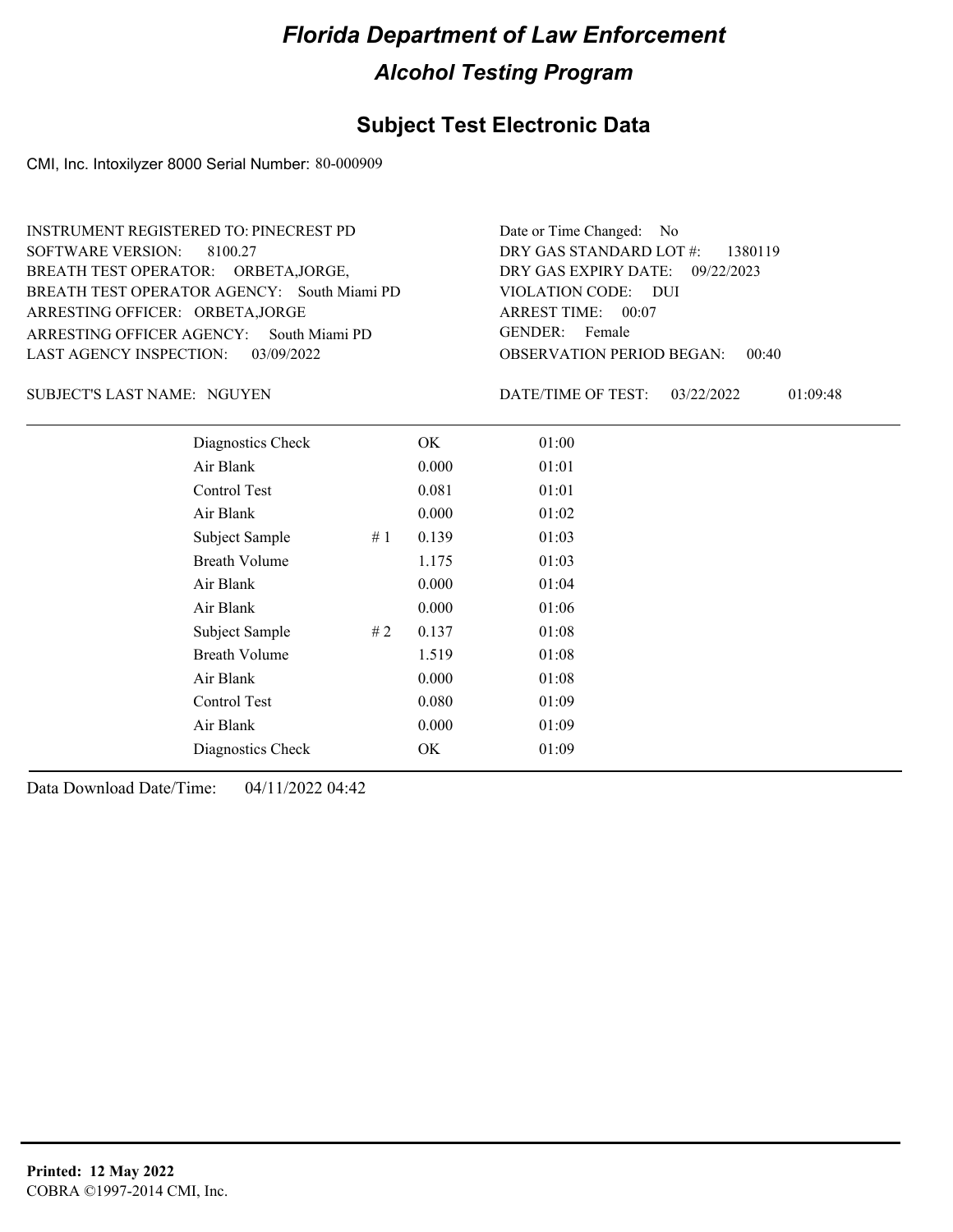#### **Subject Test Electronic Data**

CMI, Inc. Intoxilyzer 8000 Serial Number: 80-000909

ARRESTING OFFICER AGENCY: GENDER: South Miami PD BREATH TEST OPERATOR AGENCY: South Miami PD VIOLATION CODE: SOFTWARE VERSION: 8100.27 ARRESTING OFFICER: ORBETA,JORGE BREATH TEST OPERATOR: ORBETA,JORGE, LAST AGENCY INSPECTION: 03/09/2022 INSTRUMENT REGISTERED TO: PINECREST PD

OBSERVATION PERIOD BEGAN: 00:40 VIOLATION CODE: DUI ARREST TIME: 00:07 09/22/2023 DRY GAS EXPIRY DATE: DRY GAS STANDARD LOT #: 1380119 Date or Time Changed: No GENDER: Female

SUBJECT'S LAST NAME: NGUYEN **Example 20** DATE/TIME OF TEST:

DATE/TIME OF TEST: 03/22/2022 01:09:48

| Diagnostics Check    |    | OK    | 01:00 |
|----------------------|----|-------|-------|
| Air Blank            |    | 0.000 | 01:01 |
| Control Test         |    | 0.081 | 01:01 |
| Air Blank            |    | 0.000 | 01:02 |
| Subject Sample       | #1 | 0.139 | 01:03 |
| <b>Breath Volume</b> |    | 1.175 | 01:03 |
| Air Blank            |    | 0.000 | 01:04 |
| Air Blank            |    | 0.000 | 01:06 |
| Subject Sample       | #2 | 0.137 | 01:08 |
| <b>Breath Volume</b> |    | 1.519 | 01:08 |
| Air Blank            |    | 0.000 | 01:08 |
| Control Test         |    | 0.080 | 01:09 |
| Air Blank            |    | 0.000 | 01:09 |
| Diagnostics Check    |    | OK    | 01:09 |
|                      |    |       |       |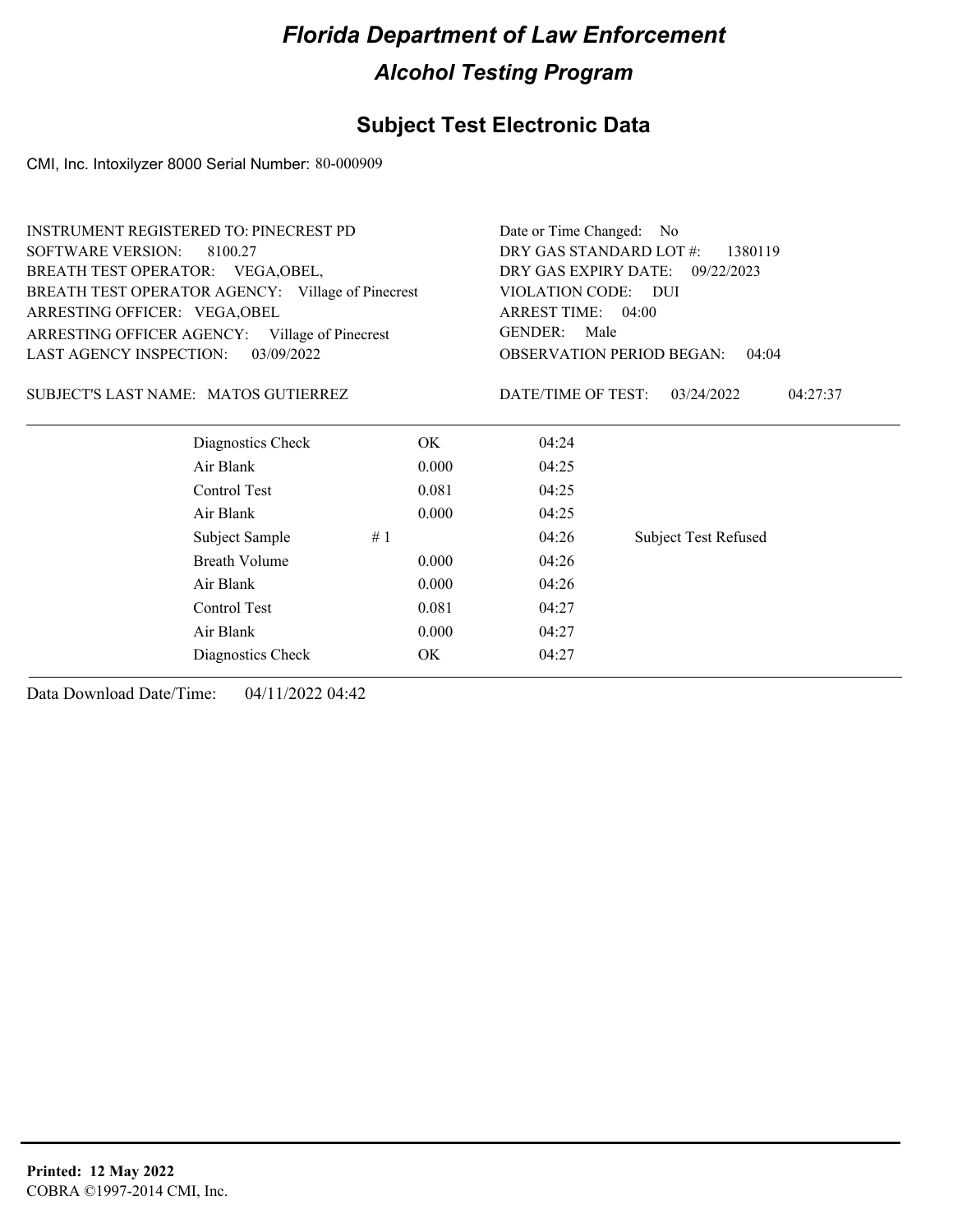## **Subject Test Electronic Data**

CMI, Inc. Intoxilyzer 8000 Serial Number: 80-000909

| <b>SOFTWARE VERSION:</b><br>DRY GAS STANDARD LOT #:<br>8100.27<br>1380119<br>BREATH TEST OPERATOR: VEGA, OBEL,<br>DRY GAS EXPIRY DATE:<br>09/22/2023<br>BREATH TEST OPERATOR AGENCY: Village of Pinecrest<br>VIOLATION CODE: DUI<br>ARREST TIME: 04:00<br>ARRESTING OFFICER: VEGA, OBEL<br><b>GENDER:</b><br>Male<br>ARRESTING OFFICER AGENCY: Village of Pinecrest<br>LAST AGENCY INSPECTION:<br>03/09/2022<br><b>OBSERVATION PERIOD BEGAN:</b><br>04:04<br>SUBJECT'S LAST NAME: MATOS GUTIERREZ<br>DATE/TIME OF TEST:<br>03/24/2022<br>04:27:37<br>Diagnostics Check<br>OK.<br>04:24<br>Air Blank<br>0.000<br>04:25<br>Control Test<br>0.081<br>04:25<br>Air Blank<br>0.000<br>04:25<br>04:26<br><b>Subject Test Refused</b><br>Subject Sample<br>#1<br><b>Breath Volume</b><br>0.000<br>04:26<br>Air Blank<br>0.000<br>04:26<br>Control Test<br>0.081<br>04:27<br>Air Blank<br>0.000<br>04:27<br>OK<br>04:27<br>Diagnostics Check | <b>INSTRUMENT REGISTERED TO: PINECREST PD</b> | Date or Time Changed: No |  |  |
|--------------------------------------------------------------------------------------------------------------------------------------------------------------------------------------------------------------------------------------------------------------------------------------------------------------------------------------------------------------------------------------------------------------------------------------------------------------------------------------------------------------------------------------------------------------------------------------------------------------------------------------------------------------------------------------------------------------------------------------------------------------------------------------------------------------------------------------------------------------------------------------------------------------------------------------|-----------------------------------------------|--------------------------|--|--|
|                                                                                                                                                                                                                                                                                                                                                                                                                                                                                                                                                                                                                                                                                                                                                                                                                                                                                                                                      |                                               |                          |  |  |
|                                                                                                                                                                                                                                                                                                                                                                                                                                                                                                                                                                                                                                                                                                                                                                                                                                                                                                                                      |                                               |                          |  |  |
|                                                                                                                                                                                                                                                                                                                                                                                                                                                                                                                                                                                                                                                                                                                                                                                                                                                                                                                                      |                                               |                          |  |  |
|                                                                                                                                                                                                                                                                                                                                                                                                                                                                                                                                                                                                                                                                                                                                                                                                                                                                                                                                      |                                               |                          |  |  |
|                                                                                                                                                                                                                                                                                                                                                                                                                                                                                                                                                                                                                                                                                                                                                                                                                                                                                                                                      |                                               |                          |  |  |
|                                                                                                                                                                                                                                                                                                                                                                                                                                                                                                                                                                                                                                                                                                                                                                                                                                                                                                                                      |                                               |                          |  |  |
|                                                                                                                                                                                                                                                                                                                                                                                                                                                                                                                                                                                                                                                                                                                                                                                                                                                                                                                                      |                                               |                          |  |  |
|                                                                                                                                                                                                                                                                                                                                                                                                                                                                                                                                                                                                                                                                                                                                                                                                                                                                                                                                      |                                               |                          |  |  |
|                                                                                                                                                                                                                                                                                                                                                                                                                                                                                                                                                                                                                                                                                                                                                                                                                                                                                                                                      |                                               |                          |  |  |
|                                                                                                                                                                                                                                                                                                                                                                                                                                                                                                                                                                                                                                                                                                                                                                                                                                                                                                                                      |                                               |                          |  |  |
|                                                                                                                                                                                                                                                                                                                                                                                                                                                                                                                                                                                                                                                                                                                                                                                                                                                                                                                                      |                                               |                          |  |  |
|                                                                                                                                                                                                                                                                                                                                                                                                                                                                                                                                                                                                                                                                                                                                                                                                                                                                                                                                      |                                               |                          |  |  |
|                                                                                                                                                                                                                                                                                                                                                                                                                                                                                                                                                                                                                                                                                                                                                                                                                                                                                                                                      |                                               |                          |  |  |
|                                                                                                                                                                                                                                                                                                                                                                                                                                                                                                                                                                                                                                                                                                                                                                                                                                                                                                                                      |                                               |                          |  |  |
|                                                                                                                                                                                                                                                                                                                                                                                                                                                                                                                                                                                                                                                                                                                                                                                                                                                                                                                                      |                                               |                          |  |  |
|                                                                                                                                                                                                                                                                                                                                                                                                                                                                                                                                                                                                                                                                                                                                                                                                                                                                                                                                      |                                               |                          |  |  |
|                                                                                                                                                                                                                                                                                                                                                                                                                                                                                                                                                                                                                                                                                                                                                                                                                                                                                                                                      |                                               |                          |  |  |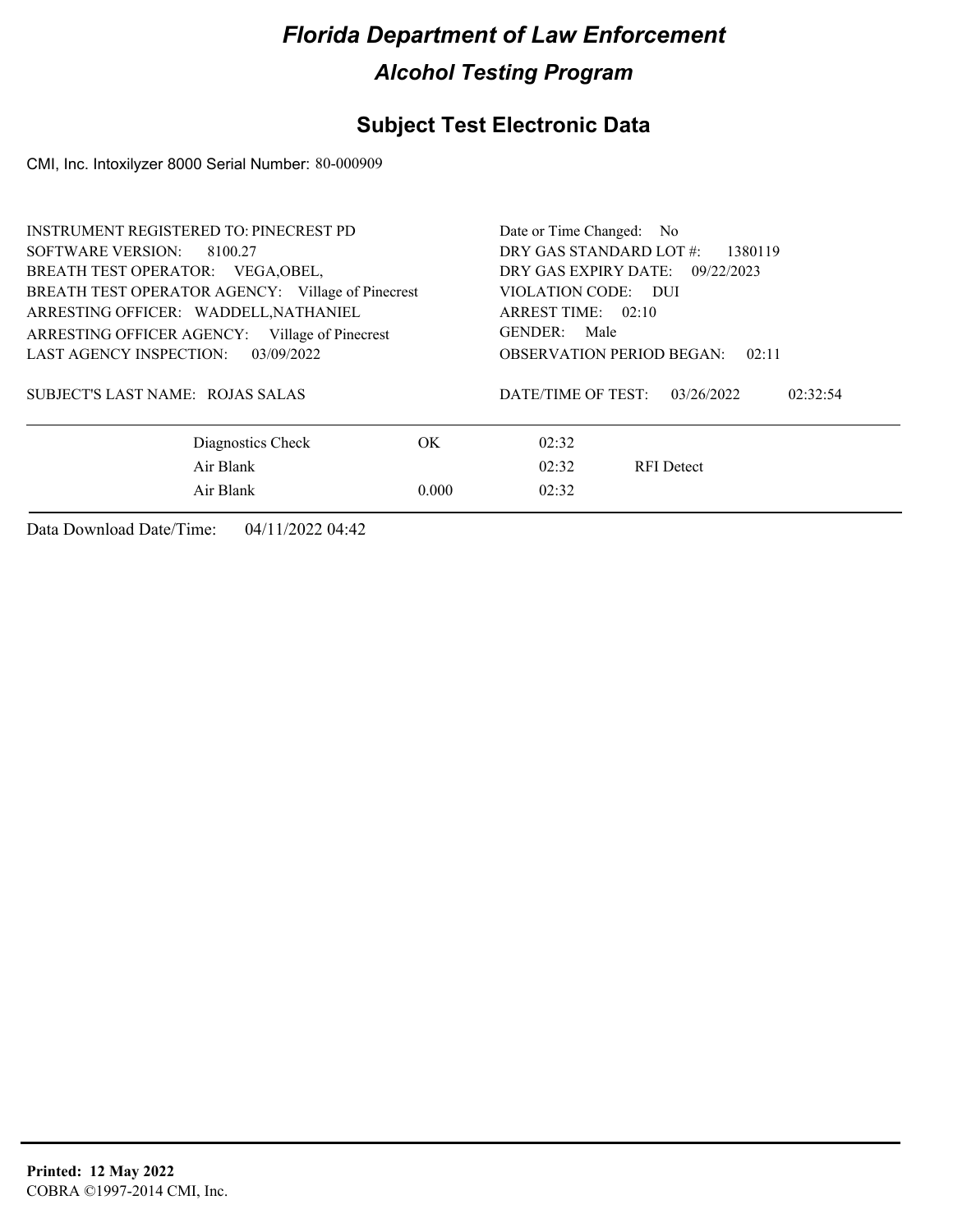## **Subject Test Electronic Data**

CMI, Inc. Intoxilyzer 8000 Serial Number: 80-000909

| <b>INSTRUMENT REGISTERED TO: PINECREST PD</b>     | Date or Time Changed: No                     |
|---------------------------------------------------|----------------------------------------------|
| SOFTWARE VERSION: 8100.27                         | DRY GAS STANDARD LOT #:<br>1380119           |
| BREATH TEST OPERATOR: VEGA, OBEL,                 | DRY GAS EXPIRY DATE: 09/22/2023              |
| BREATH TEST OPERATOR AGENCY: Village of Pinecrest | VIOLATION CODE: DUI                          |
| ARRESTING OFFICER: WADDELL, NATHANIEL             | ARREST TIME: 02:10                           |
| ARRESTING OFFICER AGENCY: Village of Pinecrest    | GENDER: Male                                 |
| LAST AGENCY INSPECTION:<br>03/09/2022             | <b>OBSERVATION PERIOD BEGAN:</b><br>02:11    |
| SUBJECT'S LAST NAME: ROJAS SALAS                  | DATE/TIME OF TEST:<br>02:32:54<br>03/26/2022 |
| Diagnostics Check<br>OK.                          | 02:32                                        |
| Air Blank                                         | 02:32<br><b>RFI</b> Detect                   |
| Air Blank<br>0.000                                | 02:32                                        |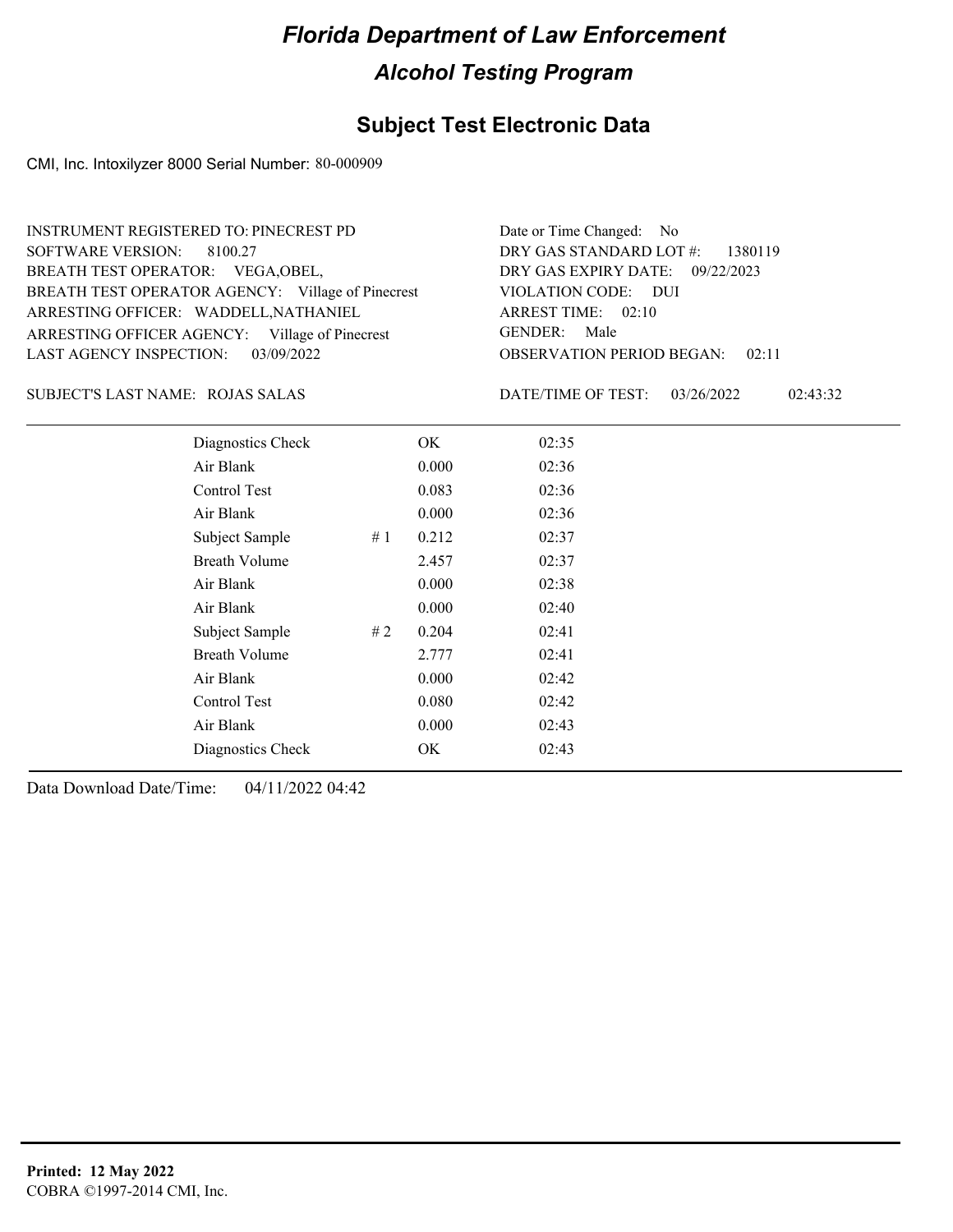## **Subject Test Electronic Data**

CMI, Inc. Intoxilyzer 8000 Serial Number: 80-000909

| <b>INSTRUMENT REGISTERED TO: PINECREST PD</b>     | Date or Time Changed: No               |
|---------------------------------------------------|----------------------------------------|
| SOFTWARE VERSION: 8100.27                         | DRY GAS STANDARD LOT $\#$ : 1380119    |
| BREATH TEST OPERATOR: VEGA, OBEL,                 | DRY GAS EXPIRY DATE: 09/22/2023        |
| BREATH TEST OPERATOR AGENCY: Village of Pinecrest | VIOLATION CODE: DUI                    |
| ARRESTING OFFICER: WADDELL, NATHANIEL             | ARREST TIME: 02:10                     |
| ARRESTING OFFICER AGENCY: Village of Pinecrest    | GENDER: Male                           |
| LAST AGENCY INSPECTION: 03/09/2022                | <b>OBSERVATION PERIOD BEGAN:</b> 02:11 |

#### ROJAS SALAS SUBJECT'S LAST NAME: DATE/TIME OF TEST:

DATE/TIME OF TEST: 03/26/2022 02:43:32

| Diagnostics Check    |    | OK    | 02:35 |  |  |
|----------------------|----|-------|-------|--|--|
| Air Blank            |    | 0.000 | 02:36 |  |  |
| Control Test         |    | 0.083 | 02:36 |  |  |
| Air Blank            |    | 0.000 | 02:36 |  |  |
| Subject Sample       | #1 | 0.212 | 02:37 |  |  |
| <b>Breath Volume</b> |    | 2.457 | 02:37 |  |  |
| Air Blank            |    | 0.000 | 02:38 |  |  |
| Air Blank            |    | 0.000 | 02:40 |  |  |
| Subject Sample       | #2 | 0.204 | 02:41 |  |  |
| <b>Breath Volume</b> |    | 2.777 | 02:41 |  |  |
| Air Blank            |    | 0.000 | 02:42 |  |  |
| Control Test         |    | 0.080 | 02:42 |  |  |
| Air Blank            |    | 0.000 | 02:43 |  |  |
| Diagnostics Check    |    | OK    | 02:43 |  |  |
|                      |    |       |       |  |  |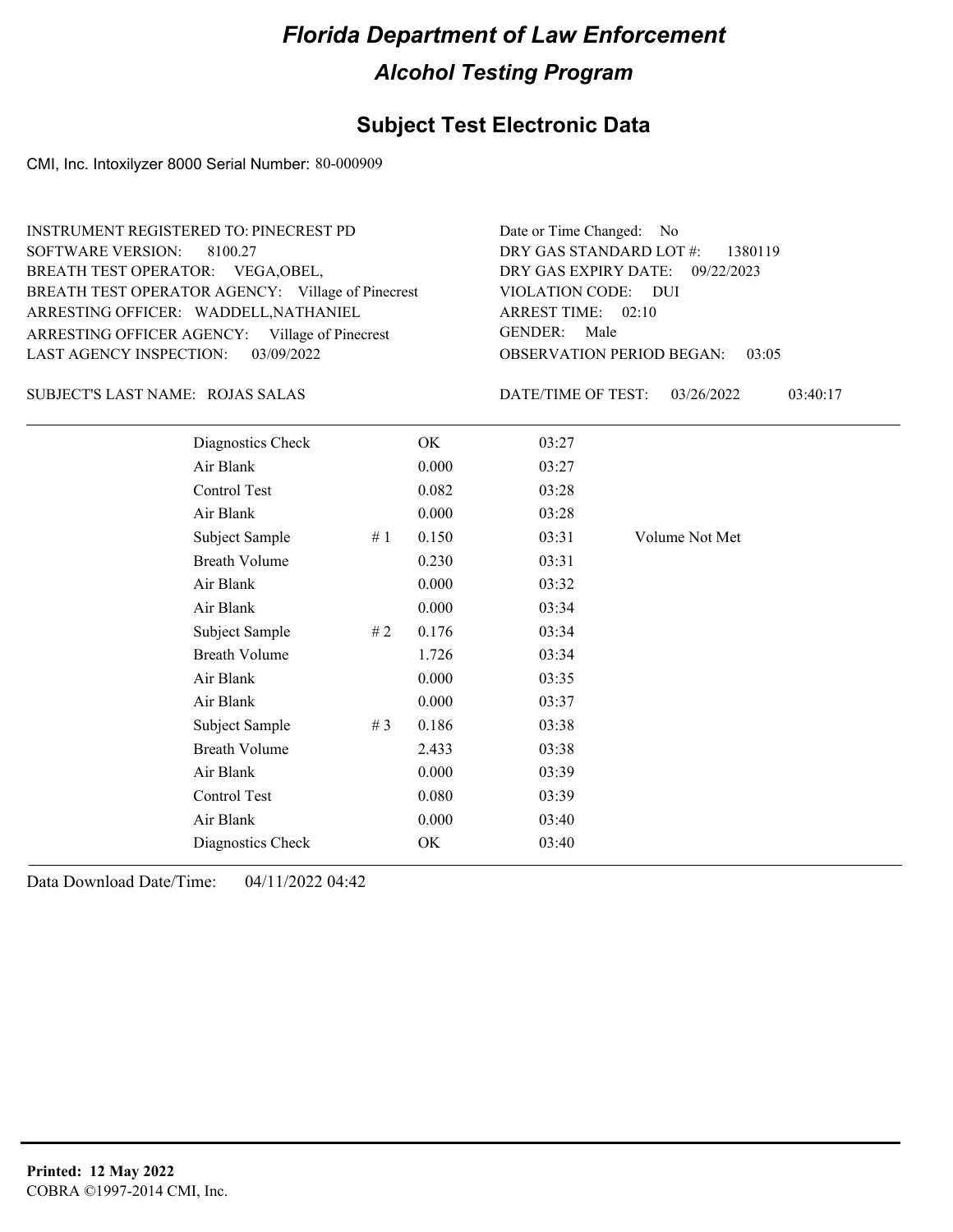#### **Subject Test Electronic Data**

CMI, Inc. Intoxilyzer 8000 Serial Number: 80-000909

| <b>INSTRUMENT REGISTERED TO: PINECREST PD</b>     | Date or Time Changed: No               |
|---------------------------------------------------|----------------------------------------|
| SOFTWARE VERSION: 8100.27                         | DRY GAS STANDARD LOT $\#$ : 1380119    |
| BREATH TEST OPERATOR: VEGA, OBEL,                 | DRY GAS EXPIRY DATE: 09/22/2023        |
| BREATH TEST OPERATOR AGENCY: Village of Pinecrest | VIOLATION CODE: DUI                    |
| ARRESTING OFFICER: WADDELL, NATHANIEL             | ARREST TIME: 02:10                     |
| ARRESTING OFFICER AGENCY: Village of Pinecrest    | GENDER: Male                           |
| LAST AGENCY INSPECTION: 03/09/2022                | <b>OBSERVATION PERIOD BEGAN: 03:05</b> |
|                                                   |                                        |

#### ROJAS SALAS SUBJECT'S LAST NAME: DATE/TIME OF TEST:

DATE/TIME OF TEST: 03/26/2022 03:40:17

| Diagnostics Check    |       | OK    | 03:27 |                |
|----------------------|-------|-------|-------|----------------|
| Air Blank            |       | 0.000 | 03:27 |                |
| Control Test         |       | 0.082 | 03:28 |                |
| Air Blank            |       | 0.000 | 03:28 |                |
| Subject Sample       | #1    | 0.150 | 03:31 | Volume Not Met |
| <b>Breath Volume</b> |       | 0.230 | 03:31 |                |
| Air Blank            |       | 0.000 | 03:32 |                |
| Air Blank            |       | 0.000 | 03:34 |                |
| Subject Sample       | # 2   | 0.176 | 03:34 |                |
| <b>Breath Volume</b> |       | 1.726 | 03:34 |                |
| Air Blank            |       | 0.000 | 03:35 |                |
| Air Blank            |       | 0.000 | 03:37 |                |
| Subject Sample       | # $3$ | 0.186 | 03:38 |                |
| <b>Breath Volume</b> |       | 2.433 | 03:38 |                |
| Air Blank            |       | 0.000 | 03:39 |                |
| Control Test         |       | 0.080 | 03:39 |                |
| Air Blank            |       | 0.000 | 03:40 |                |
| Diagnostics Check    |       | OK    | 03:40 |                |
|                      |       |       |       |                |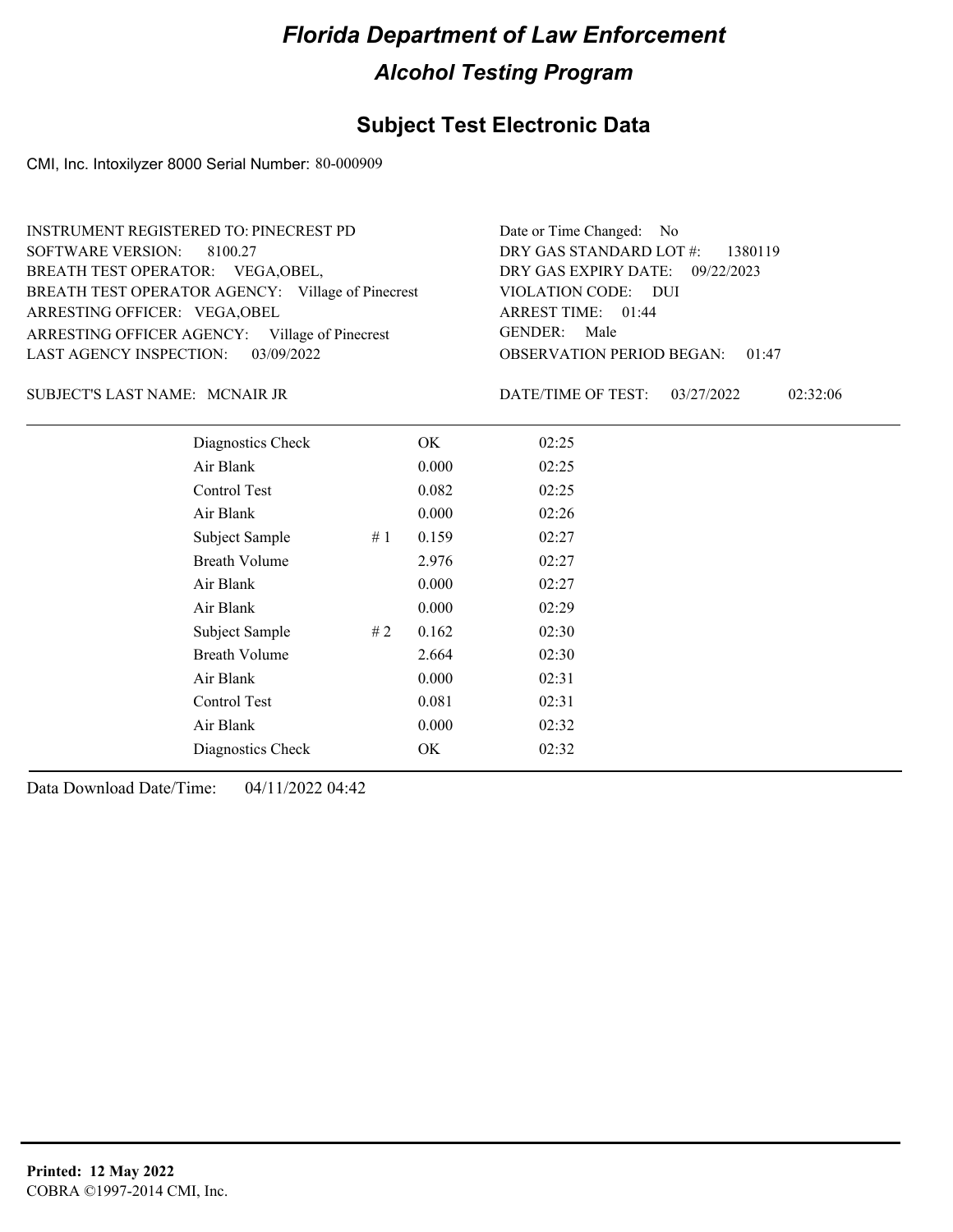## **Subject Test Electronic Data**

CMI, Inc. Intoxilyzer 8000 Serial Number: 80-000909

| INSTRUMENT REGISTERED TO: PINECREST PD            | Date or Time Changed: No               |
|---------------------------------------------------|----------------------------------------|
| SOFTWARE VERSION: 8100.27                         | DRY GAS STANDARD LOT $\#$ : 1380119    |
| BREATH TEST OPERATOR: VEGA, OBEL,                 | DRY GAS EXPIRY DATE: 09/22/2023        |
| BREATH TEST OPERATOR AGENCY: Village of Pinecrest | VIOLATION CODE: DUI                    |
| ARRESTING OFFICER: VEGA, OBEL                     | ARREST TIME: 01:44                     |
| ARRESTING OFFICER AGENCY: Village of Pinecrest    | GENDER: Male                           |
| LAST AGENCY INSPECTION: $03/09/2022$              | <b>OBSERVATION PERIOD BEGAN: 01:47</b> |

#### MCNAIR JR SUBJECT'S LAST NAME: DATE/TIME OF TEST:

DATE/TIME OF TEST: 03/27/2022 02:32:06

| Diagnostics Check    |    | OK    | 02:25 |
|----------------------|----|-------|-------|
| Air Blank            |    | 0.000 | 02:25 |
| Control Test         |    | 0.082 | 02:25 |
| Air Blank            |    | 0.000 | 02:26 |
| Subject Sample       | #1 | 0.159 | 02:27 |
| <b>Breath Volume</b> |    | 2.976 | 02:27 |
| Air Blank            |    | 0.000 | 02:27 |
| Air Blank            |    | 0.000 | 02:29 |
| Subject Sample       | #2 | 0.162 | 02:30 |
| <b>Breath Volume</b> |    | 2.664 | 02:30 |
| Air Blank            |    | 0.000 | 02:31 |
| Control Test         |    | 0.081 | 02:31 |
| Air Blank            |    | 0.000 | 02:32 |
| Diagnostics Check    |    | OK    | 02:32 |
|                      |    |       |       |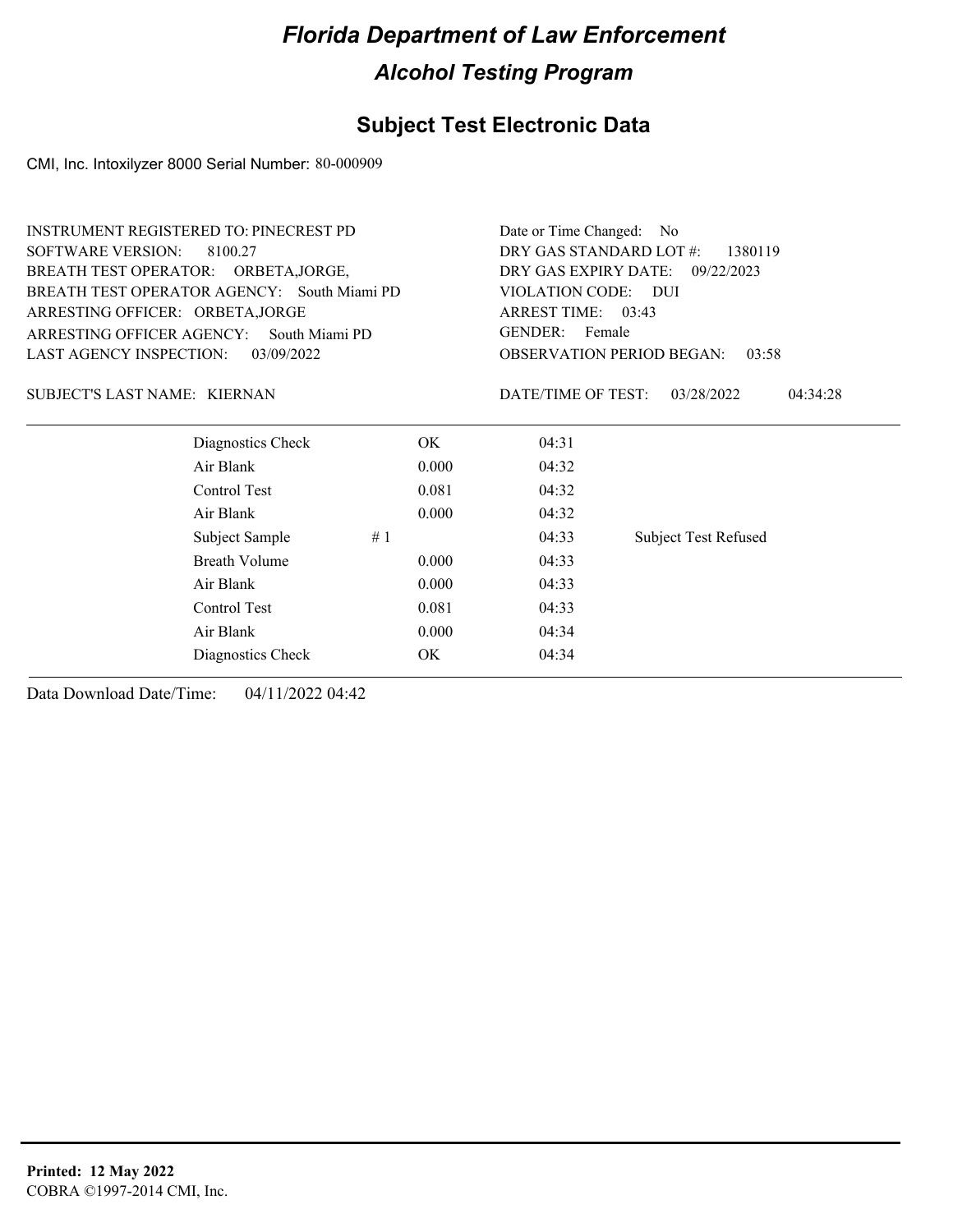## **Subject Test Electronic Data**

CMI, Inc. Intoxilyzer 8000 Serial Number: 80-000909

| <b>INSTRUMENT REGISTERED TO: PINECREST PD</b> |       | Date or Time Changed: No           |                                           |  |
|-----------------------------------------------|-------|------------------------------------|-------------------------------------------|--|
| <b>SOFTWARE VERSION:</b><br>8100.27           |       | DRY GAS STANDARD LOT #:<br>1380119 |                                           |  |
| BREATH TEST OPERATOR: ORBETA, JORGE,          |       | DRY GAS EXPIRY DATE:               | 09/22/2023                                |  |
| BREATH TEST OPERATOR AGENCY: South Miami PD   |       | VIOLATION CODE: DUI                |                                           |  |
| ARRESTING OFFICER: ORBETA, JORGE              |       | ARREST TIME: 03:43                 |                                           |  |
| ARRESTING OFFICER AGENCY:<br>South Miami PD   |       | <b>GENDER:</b><br>Female           |                                           |  |
| LAST AGENCY INSPECTION:<br>03/09/2022         |       |                                    | <b>OBSERVATION PERIOD BEGAN:</b><br>03:58 |  |
| SUBJECT'S LAST NAME: KIERNAN                  |       | DATE/TIME OF TEST:                 | 03/28/2022<br>04:34:28                    |  |
| Diagnostics Check                             | OK.   | 04:31                              |                                           |  |
| Air Blank                                     | 0.000 | 04:32                              |                                           |  |
| Control Test                                  | 0.081 | 04:32                              |                                           |  |
| Air Blank                                     | 0.000 | 04:32                              |                                           |  |
| Subject Sample                                | #1    | 04:33                              | <b>Subject Test Refused</b>               |  |
| <b>Breath Volume</b>                          | 0.000 | 04:33                              |                                           |  |
| Air Blank                                     | 0.000 | 04:33                              |                                           |  |
| Control Test                                  | 0.081 | 04:33                              |                                           |  |
| Air Blank                                     | 0.000 | 04:34                              |                                           |  |
| Diagnostics Check                             | OK    | 04:34                              |                                           |  |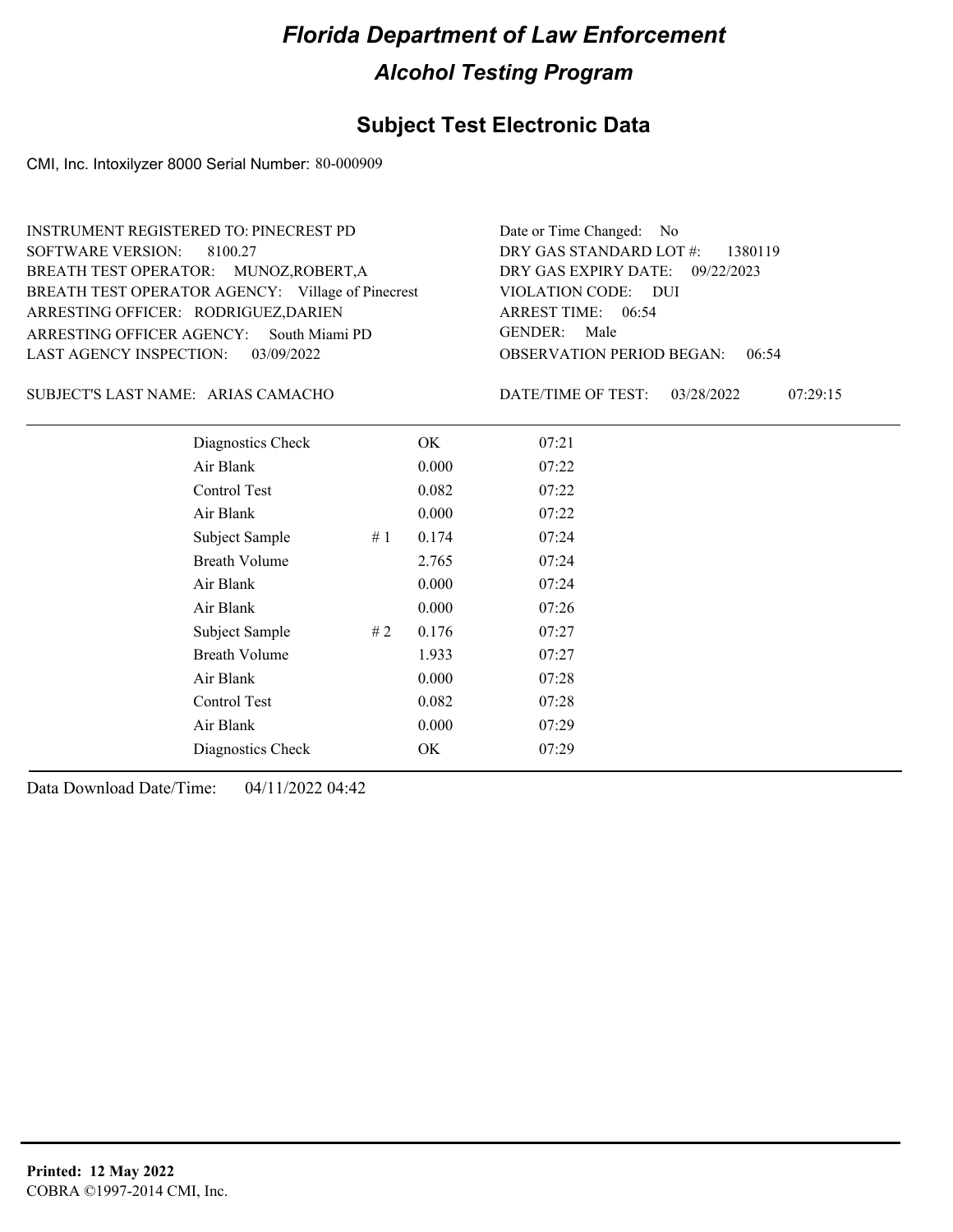#### **Subject Test Electronic Data**

CMI, Inc. Intoxilyzer 8000 Serial Number: 80-000909

| <b>INSTRUMENT REGISTERED TO: PINECREST PD</b>                              | Date or Time Changed: No                                                               |
|----------------------------------------------------------------------------|----------------------------------------------------------------------------------------|
| SOFTWARE VERSION: 8100.27                                                  | DRY GAS STANDARD LOT $\#$ : 1380119                                                    |
| BREATH TEST OPERATOR: MUNOZ, ROBERT, A                                     | DRY GAS EXPIRY DATE: 09/22/2023                                                        |
| BREATH TEST OPERATOR AGENCY: Village of Pinecrest                          | VIOLATION CODE: DUI                                                                    |
| ARRESTING OFFICER: RODRIGUEZ, DARIEN                                       | ARREST TIME: 06:54                                                                     |
| ARRESTING OFFICER AGENCY: South Miami PD                                   | GENDER: Male                                                                           |
| LAST AGENCY INSPECTION: $03/09/2022$<br>SUBJECT'S LAST NAME: ARIAS CAMACHO | <b>OBSERVATION PERIOD BEGAN: 06:54</b><br>07:29:15<br>DATE/TIME OF TEST:<br>03/28/2022 |

| Diagnostics Check    |    | OK    | 07:21 |  |
|----------------------|----|-------|-------|--|
| Air Blank            |    | 0.000 | 07:22 |  |
| Control Test         |    | 0.082 | 07:22 |  |
| Air Blank            |    | 0.000 | 07:22 |  |
| Subject Sample       | #1 | 0.174 | 07:24 |  |
| <b>Breath Volume</b> |    | 2.765 | 07:24 |  |
| Air Blank            |    | 0.000 | 07:24 |  |
| Air Blank            |    | 0.000 | 07:26 |  |
| Subject Sample       | #2 | 0.176 | 07:27 |  |
| <b>Breath Volume</b> |    | 1.933 | 07:27 |  |
| Air Blank            |    | 0.000 | 07:28 |  |
| Control Test         |    | 0.082 | 07:28 |  |
| Air Blank            |    | 0.000 | 07:29 |  |
| Diagnostics Check    |    | OK    | 07:29 |  |
|                      |    |       |       |  |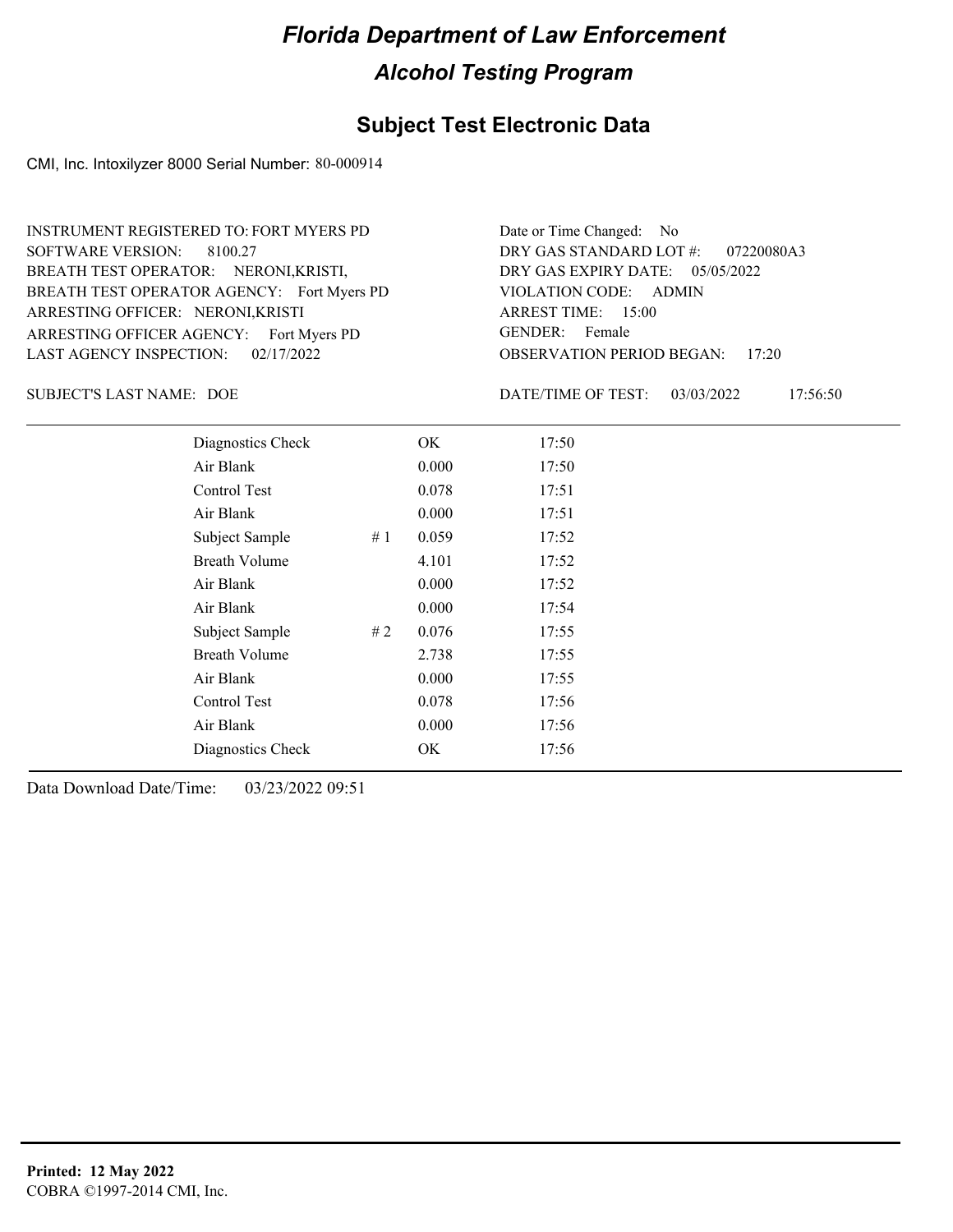#### **Subject Test Electronic Data**

CMI, Inc. Intoxilyzer 8000 Serial Number: 80-000914

ARRESTING OFFICER AGENCY: Fort Myers PD GENDER: BREATH TEST OPERATOR AGENCY: Fort Myers PD VIOLATION CODE: SOFTWARE VERSION: 8100.27 ARRESTING OFFICER: NERONI,KRISTI BREATH TEST OPERATOR: NERONI,KRISTI, LAST AGENCY INSPECTION: 02/17/2022 INSTRUMENT REGISTERED TO: FORT MYERS PD

OBSERVATION PERIOD BEGAN: 17:20 VIOLATION CODE: ADMIN ARREST TIME: 15:00 DRY GAS EXPIRY DATE: 05/05/2022 07220080A3 DRY GAS STANDARD LOT #: Date or Time Changed: No GENDER: Female

SUBJECT'S LAST NAME: DOE DATE/TIME OF TEST:

DATE/TIME OF TEST: 03/03/2022 17:56:50

| Diagnostics Check    |    | OK    | 17:50 |
|----------------------|----|-------|-------|
| Air Blank            |    | 0.000 | 17:50 |
| Control Test         |    | 0.078 | 17:51 |
| Air Blank            |    | 0.000 | 17:51 |
| Subject Sample       | #1 | 0.059 | 17:52 |
| <b>Breath Volume</b> |    | 4.101 | 17:52 |
| Air Blank            |    | 0.000 | 17:52 |
| Air Blank            |    | 0.000 | 17:54 |
| Subject Sample       | #2 | 0.076 | 17:55 |
| <b>Breath Volume</b> |    | 2.738 | 17:55 |
| Air Blank            |    | 0.000 | 17:55 |
| Control Test         |    | 0.078 | 17:56 |
| Air Blank            |    | 0.000 | 17:56 |
| Diagnostics Check    |    | OK    | 17:56 |
|                      |    |       |       |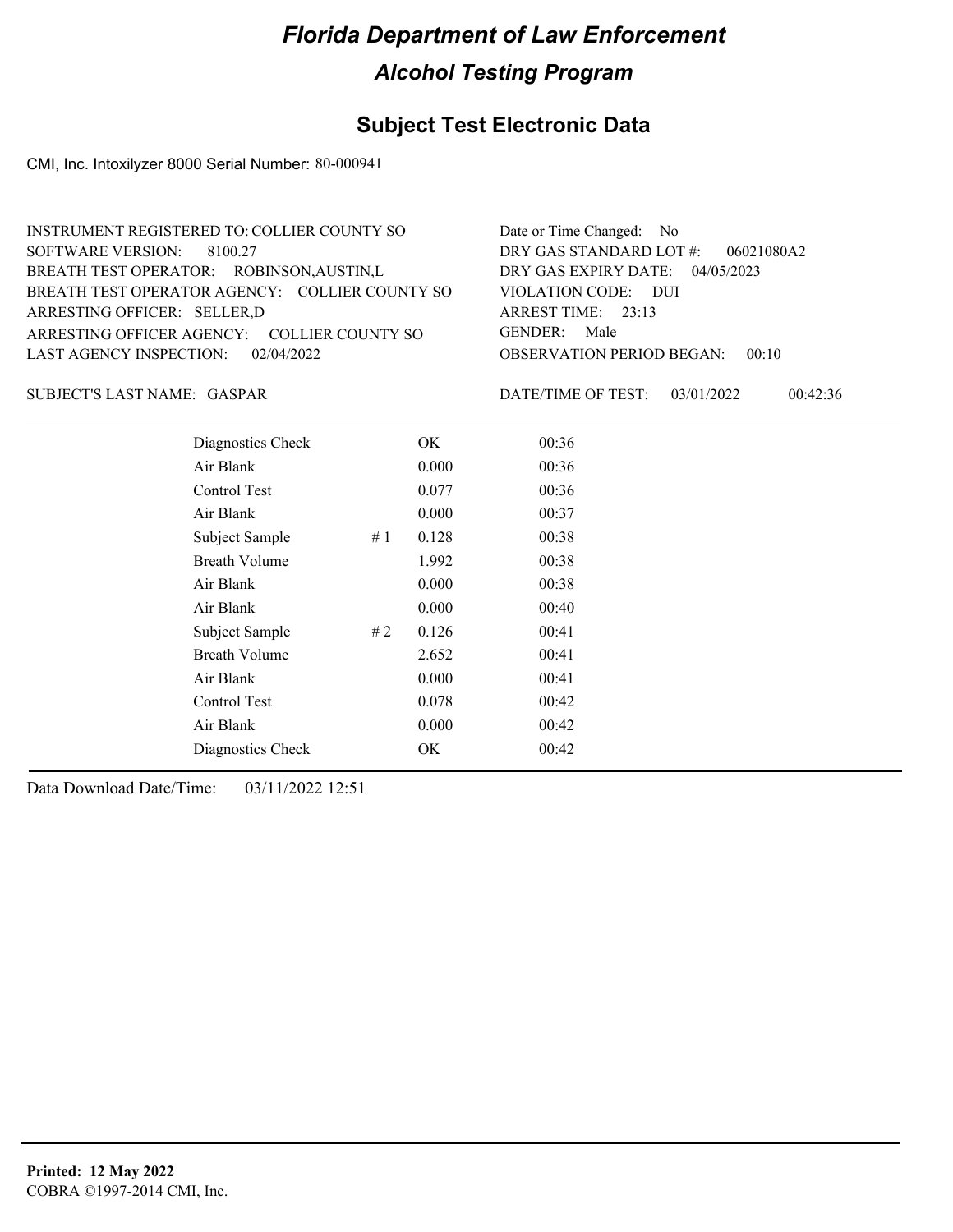## **Subject Test Electronic Data**

CMI, Inc. Intoxilyzer 8000 Serial Number: 80-000941

| INSTRUMENT REGISTERED TO: COLLIER COUNTY SO    | Date or Time Changed: No               |
|------------------------------------------------|----------------------------------------|
| SOFTWARE VERSION: 8100.27                      | DRY GAS STANDARD LOT $#$ : 06021080A2  |
| BREATH TEST OPERATOR: ROBINSON, AUSTIN, L      | DRY GAS EXPIRY DATE: 04/05/2023        |
| BREATH TEST OPERATOR AGENCY: COLLIER COUNTY SO | VIOLATION CODE: DUI                    |
| ARRESTING OFFICER: SELLER, D                   | ARREST TIME: $23:13$                   |
| ARRESTING OFFICER AGENCY: COLLIER COUNTY SO    | GENDER: Male                           |
| LAST AGENCY INSPECTION: 02/04/2022             | <b>OBSERVATION PERIOD BEGAN: 00:10</b> |
|                                                |                                        |

GASPAR SUBJECT'S LAST NAME: DATE/TIME OF TEST:

DATE/TIME OF TEST: 03/01/2022 00:42:36

| Diagnostics Check    | OK    | 00:36 |
|----------------------|-------|-------|
| Air Blank            | 0.000 | 00:36 |
| Control Test         | 0.077 | 00:36 |
| Air Blank            | 0.000 | 00:37 |
| Subject Sample<br>#1 | 0.128 | 00:38 |
| <b>Breath Volume</b> | 1.992 | 00:38 |
| Air Blank            | 0.000 | 00:38 |
| Air Blank            | 0.000 | 00:40 |
| Subject Sample<br>#2 | 0.126 | 00:41 |
| <b>Breath Volume</b> | 2.652 | 00:41 |
| Air Blank            | 0.000 | 00:41 |
| <b>Control Test</b>  | 0.078 | 00:42 |
| Air Blank            | 0.000 | 00:42 |
| Diagnostics Check    | OK    | 00:42 |
|                      |       |       |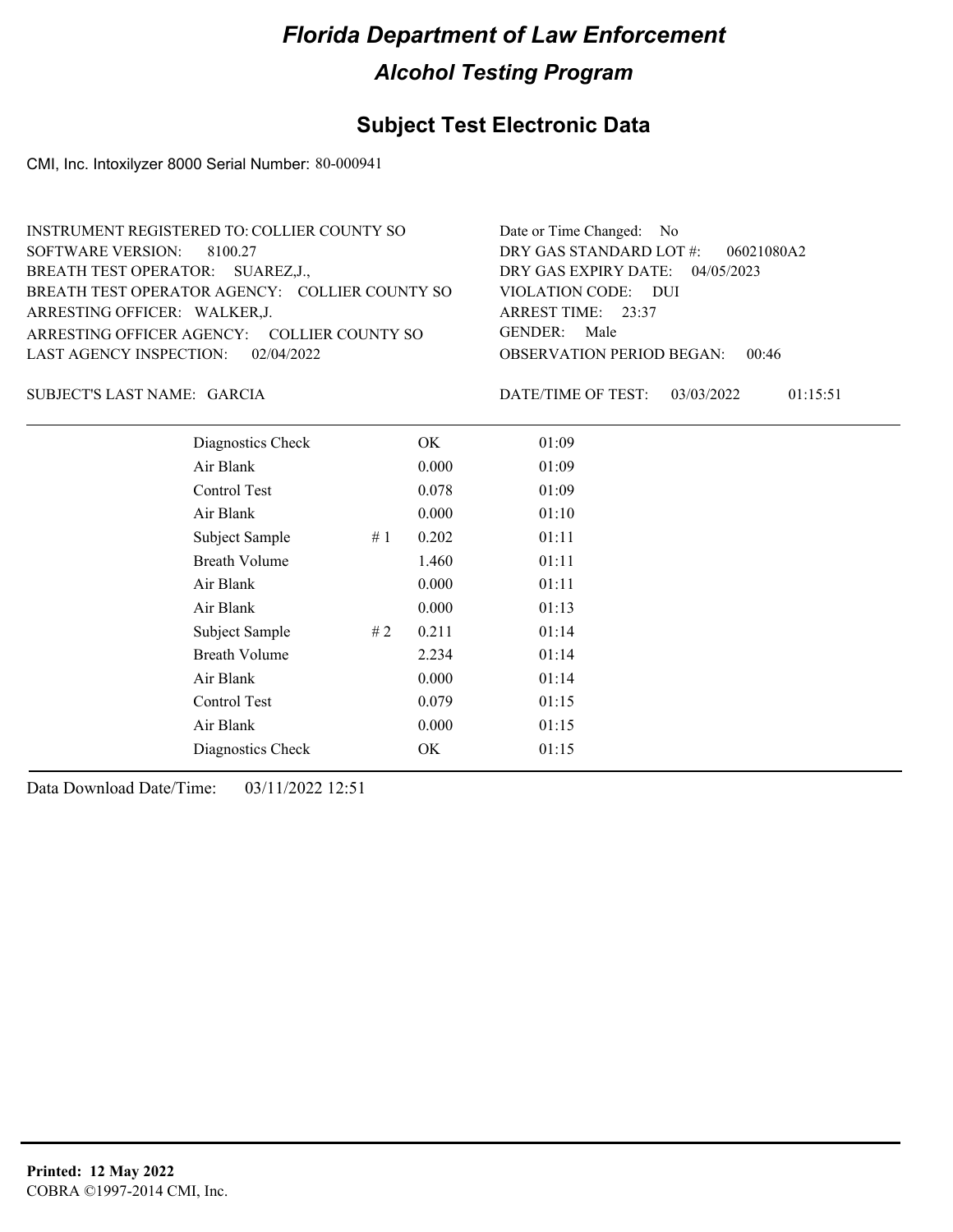### **Subject Test Electronic Data**

CMI, Inc. Intoxilyzer 8000 Serial Number: 80-000941

| INSTRUMENT REGISTERED TO: COLLIER COUNTY SO    | Date or Time Changed: No               |
|------------------------------------------------|----------------------------------------|
| SOFTWARE VERSION: 8100.27                      | DRY GAS STANDARD LOT $\#$ : 06021080A2 |
| BREATH TEST OPERATOR: SUAREZ, J.,              | DRY GAS EXPIRY DATE: $04/05/2023$      |
| BREATH TEST OPERATOR AGENCY: COLLIER COUNTY SO | VIOLATION CODE: DUI                    |
| ARRESTING OFFICER: WALKER, J.                  | ARREST TIME: $23:37$                   |
| ARRESTING OFFICER AGENCY: COLLIER COUNTY SO    | GENDER: Male                           |
| LAST AGENCY INSPECTION: 02/04/2022             | <b>OBSERVATION PERIOD BEGAN: 00:46</b> |
|                                                |                                        |

GARCIA SUBJECT'S LAST NAME: DATE/TIME OF TEST:

DATE/TIME OF TEST: 03/03/2022 01:15:51

| Diagnostics Check     | OK    | 01:09 |
|-----------------------|-------|-------|
| Air Blank             | 0.000 | 01:09 |
| Control Test          | 0.078 | 01:09 |
| Air Blank             | 0.000 | 01:10 |
| Subject Sample<br>#1  | 0.202 | 01:11 |
| <b>Breath Volume</b>  | 1.460 | 01:11 |
| Air Blank             | 0.000 | 01:11 |
| Air Blank             | 0.000 | 01:13 |
| Subject Sample<br># 2 | 0.211 | 01:14 |
| <b>Breath Volume</b>  | 2.234 | 01:14 |
| Air Blank             | 0.000 | 01:14 |
| Control Test          | 0.079 | 01:15 |
| Air Blank             | 0.000 | 01:15 |
| Diagnostics Check     | OK    | 01:15 |
|                       |       |       |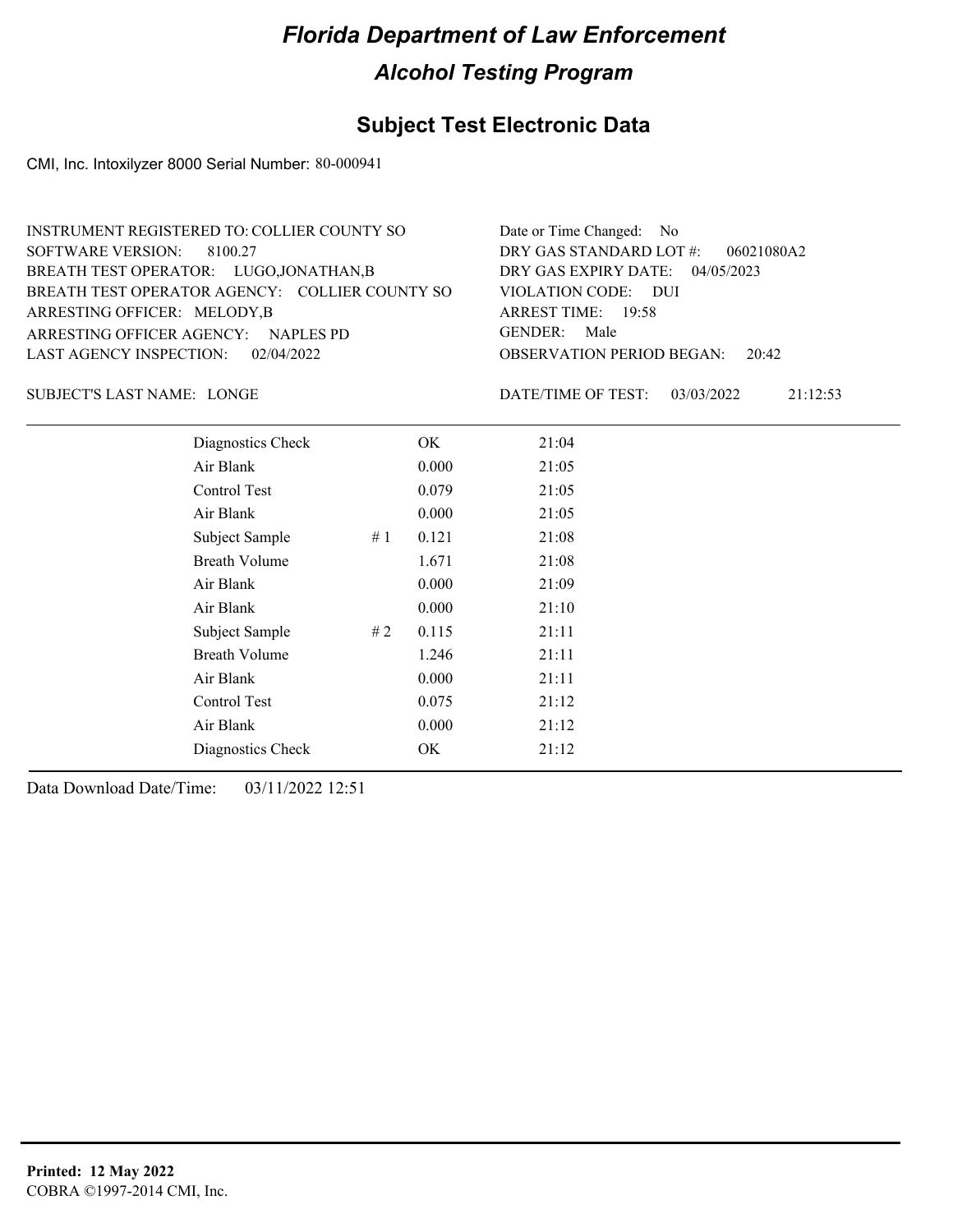## **Subject Test Electronic Data**

CMI, Inc. Intoxilyzer 8000 Serial Number: 80-000941

| INSTRUMENT REGISTERED TO: COLLIER COUNTY SO    | Date or Time Changed: No               |
|------------------------------------------------|----------------------------------------|
| SOFTWARE VERSION: 8100.27                      | DRY GAS STANDARD LOT $#$ : 06021080A2  |
| BREATH TEST OPERATOR: LUGO, JONATHAN, B        | DRY GAS EXPIRY DATE: $04/05/2023$      |
| BREATH TEST OPERATOR AGENCY: COLLIER COUNTY SO | VIOLATION CODE: DUI                    |
| ARRESTING OFFICER: MELODY, B                   | ARREST TIME: 19:58                     |
| ARRESTING OFFICER AGENCY: NAPLES PD            | GENDER: Male                           |
| LAST AGENCY INSPECTION: 02/04/2022             | <b>OBSERVATION PERIOD BEGAN:</b> 20:42 |

SUBJECT'S LAST NAME: LONGE **Example 20** DATE/TIME OF TEST:

DATE/TIME OF TEST: 03/03/2022 21:12:53

| Diagnostics Check    |    | OK    | 21:04 |
|----------------------|----|-------|-------|
| Air Blank            |    | 0.000 | 21:05 |
| Control Test         |    | 0.079 | 21:05 |
| Air Blank            |    | 0.000 | 21:05 |
| Subject Sample       | #1 | 0.121 | 21:08 |
| <b>Breath Volume</b> |    | 1.671 | 21:08 |
| Air Blank            |    | 0.000 | 21:09 |
| Air Blank            |    | 0.000 | 21:10 |
| Subject Sample       | #2 | 0.115 | 21:11 |
| <b>Breath Volume</b> |    | 1.246 | 21:11 |
| Air Blank            |    | 0.000 | 21:11 |
| Control Test         |    | 0.075 | 21:12 |
| Air Blank            |    | 0.000 | 21:12 |
| Diagnostics Check    |    | OK    | 21:12 |
|                      |    |       |       |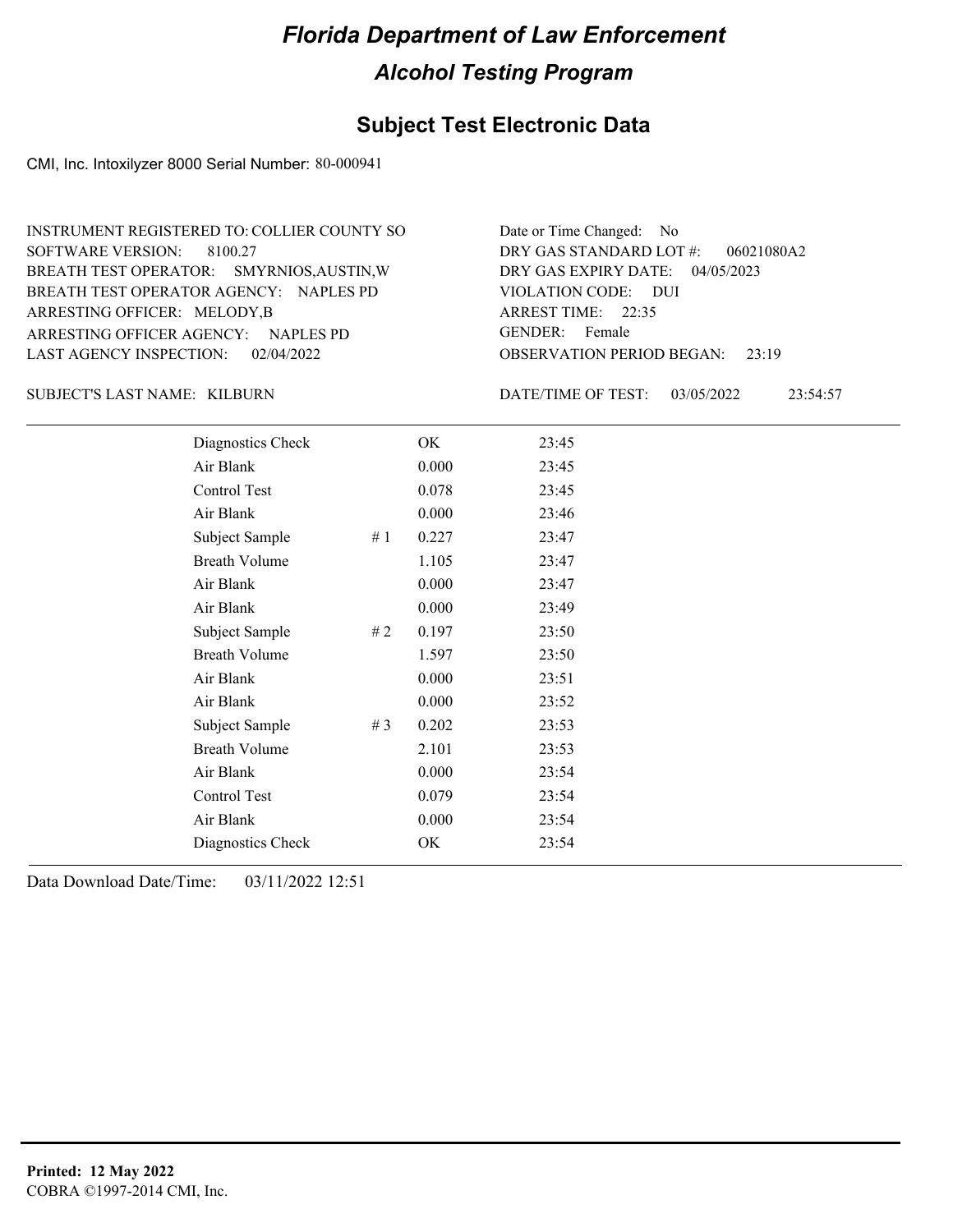#### **Subject Test Electronic Data**

CMI, Inc. Intoxilyzer 8000 Serial Number: 80-000941

OBSERVATION PERIOD BEGAN: 23:19 ARRESTING OFFICER AGENCY: NAPLES PD GENDER: BREATH TEST OPERATOR AGENCY: VIOLATION CODE: NAPLES PD SOFTWARE VERSION: 8100.27 VIOLATION CODE: DUI ARREST TIME: 22:35 ARRESTING OFFICER: MELODY,B 04/05/2023 DRY GAS EXPIRY DATE: BREATH TEST OPERATOR: SMYRNIOS,AUSTIN,W LAST AGENCY INSPECTION: 02/04/2022 INSTRUMENT REGISTERED TO: COLLIER COUNTY SO DRY GAS STANDARD LOT #: Date or Time Changed: No GENDER: Female

KILBURN SUBJECT'S LAST NAME: DATE/TIME OF TEST:

DATE/TIME OF TEST: 03/05/2022 23:54:57

06021080A2

| Diagnostics Check    |    | OK    | 23:45 |
|----------------------|----|-------|-------|
| Air Blank            |    | 0.000 | 23:45 |
| Control Test         |    | 0.078 | 23:45 |
| Air Blank            |    | 0.000 | 23:46 |
| Subject Sample       | #1 | 0.227 | 23:47 |
| <b>Breath Volume</b> |    | 1.105 | 23:47 |
| Air Blank            |    | 0.000 | 23:47 |
| Air Blank            |    | 0.000 | 23:49 |
| Subject Sample       | #2 | 0.197 | 23:50 |
| <b>Breath Volume</b> |    | 1.597 | 23:50 |
| Air Blank            |    | 0.000 | 23:51 |
| Air Blank            |    | 0.000 | 23:52 |
| Subject Sample       | #3 | 0.202 | 23:53 |
| <b>Breath Volume</b> |    | 2.101 | 23:53 |
| Air Blank            |    | 0.000 | 23:54 |
| Control Test         |    | 0.079 | 23:54 |
| Air Blank            |    | 0.000 | 23:54 |
| Diagnostics Check    |    | OK    | 23:54 |
|                      |    |       |       |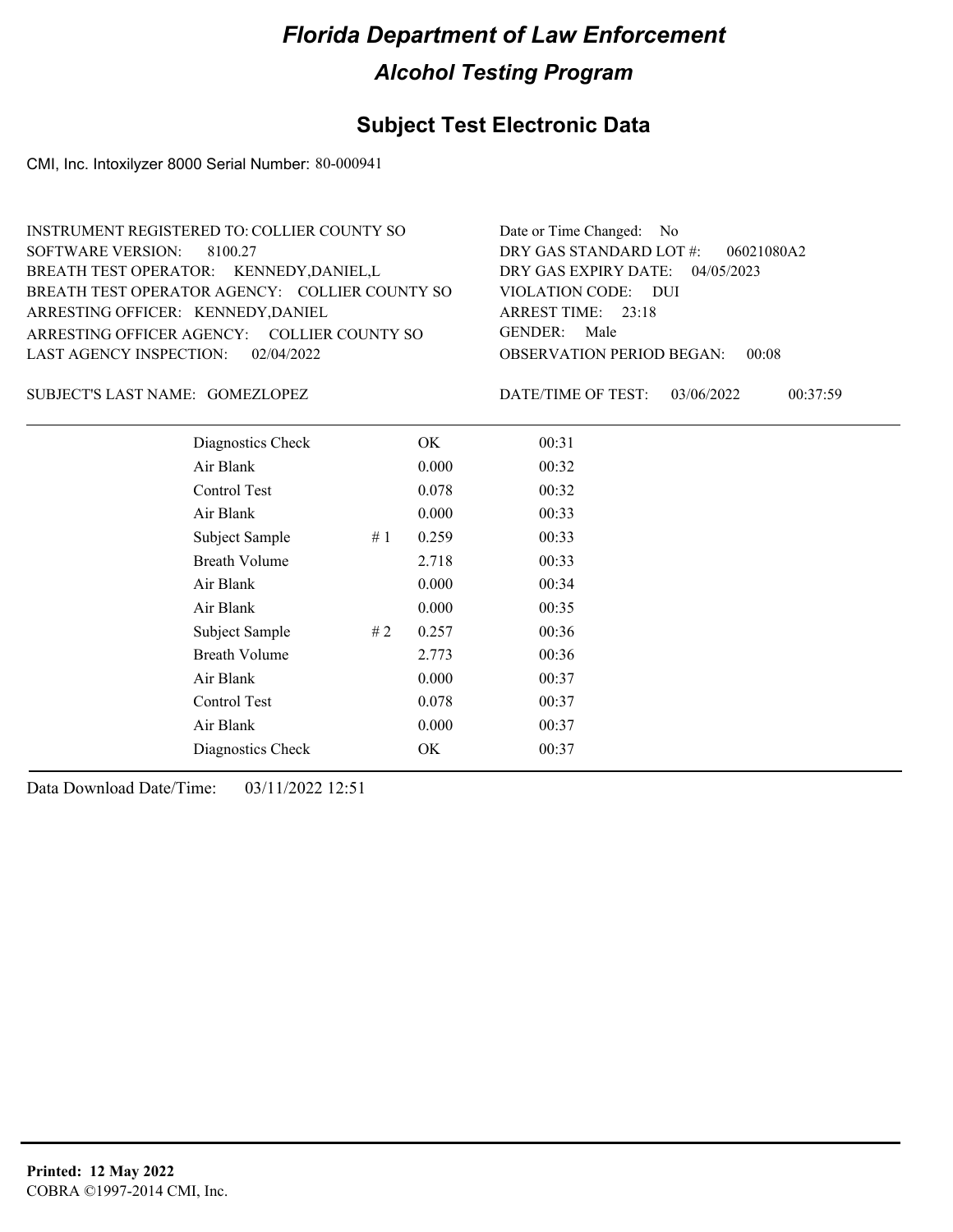## **Subject Test Electronic Data**

CMI, Inc. Intoxilyzer 8000 Serial Number: 80-000941

| <b>INSTRUMENT REGISTERED TO: COLLIER COUNTY SO</b> | Date or Time Changed: No               |
|----------------------------------------------------|----------------------------------------|
| SOFTWARE VERSION: 8100.27                          | DRY GAS STANDARD LOT $#$ : 06021080A2  |
| BREATH TEST OPERATOR: KENNEDY, DANIEL, L           | DRY GAS EXPIRY DATE: $04/05/2023$      |
| BREATH TEST OPERATOR AGENCY: COLLIER COUNTY SO     | VIOLATION CODE: DUI                    |
| ARRESTING OFFICER: KENNEDY, DANIEL                 | ARREST TIME: 23:18                     |
| ARRESTING OFFICER AGENCY: COLLIER COUNTY SO        | GENDER: Male                           |
| LAST AGENCY INSPECTION: 02/04/2022                 | <b>OBSERVATION PERIOD BEGAN: 00:08</b> |
|                                                    |                                        |

GOMEZLOPEZ SUBJECT'S LAST NAME: DATE/TIME OF TEST:

DATE/TIME OF TEST: 03/06/2022 00:37:59

| Diagnostics Check    |    | OK    | 00:31 |  |
|----------------------|----|-------|-------|--|
| Air Blank            |    | 0.000 | 00:32 |  |
| Control Test         |    | 0.078 | 00:32 |  |
| Air Blank            |    | 0.000 | 00:33 |  |
| Subject Sample       | #1 | 0.259 | 00:33 |  |
| <b>Breath Volume</b> |    | 2.718 | 00:33 |  |
| Air Blank            |    | 0.000 | 00:34 |  |
| Air Blank            |    | 0.000 | 00:35 |  |
| Subject Sample       | #2 | 0.257 | 00:36 |  |
| <b>Breath Volume</b> |    | 2.773 | 00:36 |  |
| Air Blank            |    | 0.000 | 00:37 |  |
| Control Test         |    | 0.078 | 00:37 |  |
| Air Blank            |    | 0.000 | 00:37 |  |
| Diagnostics Check    |    | OK    | 00:37 |  |
|                      |    |       |       |  |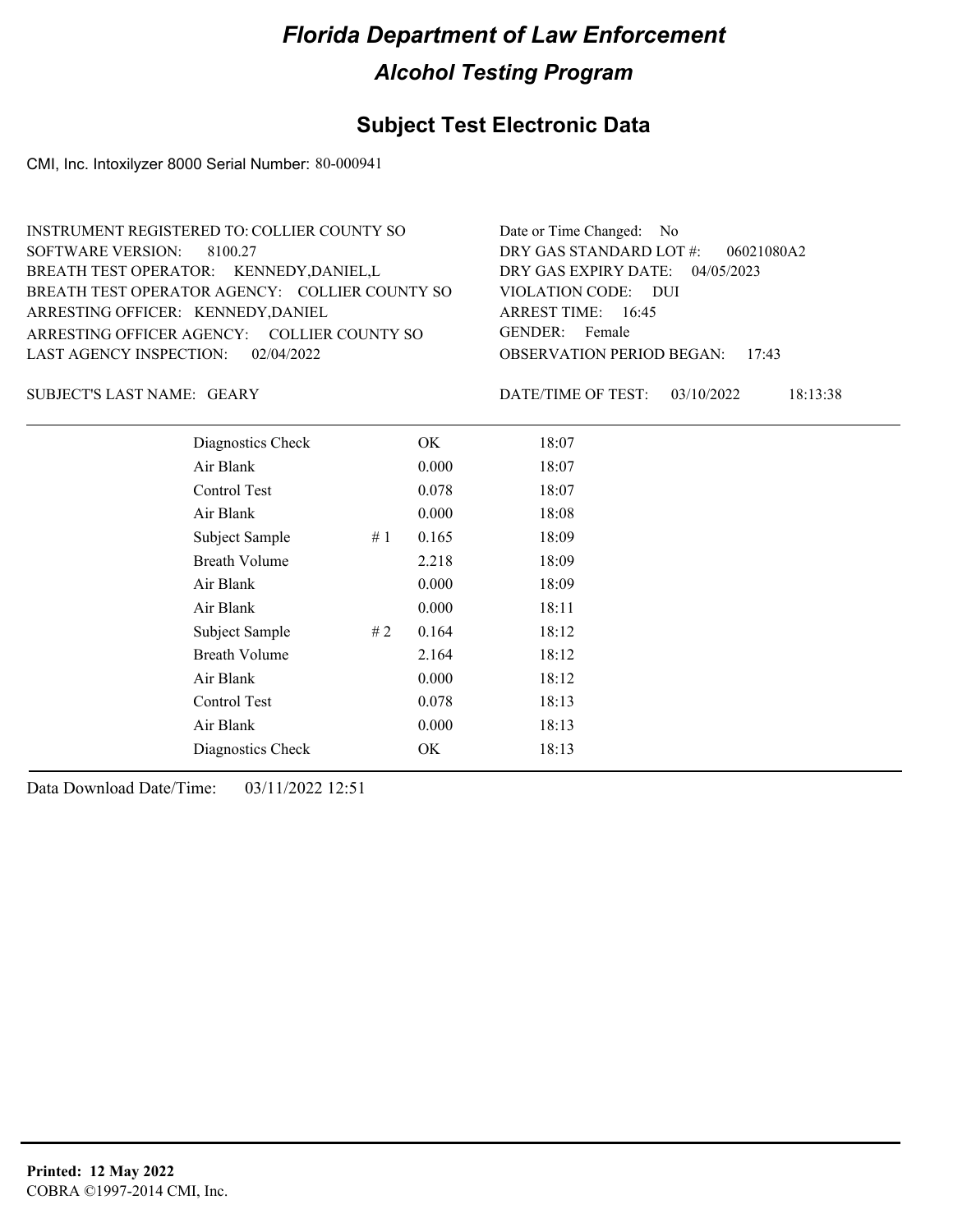#### **Subject Test Electronic Data**

CMI, Inc. Intoxilyzer 8000 Serial Number: 80-000941

| INSTRUMENT REGISTERED TO: COLLIER COUNTY SO    | Date or Time Changed: No               |
|------------------------------------------------|----------------------------------------|
| SOFTWARE VERSION: 8100.27                      | DRY GAS STANDARD LOT $\#$ : 06021080A2 |
| BREATH TEST OPERATOR: KENNEDY, DANIEL, L       | DRY GAS EXPIRY DATE: 04/05/2023        |
| BREATH TEST OPERATOR AGENCY: COLLIER COUNTY SO | VIOLATION CODE: DUI                    |
| ARRESTING OFFICER: KENNEDY, DANIEL             | ARREST TIME: 16:45                     |
| ARRESTING OFFICER AGENCY: COLLIER COUNTY SO    | GENDER: Female                         |
| LAST AGENCY INSPECTION: 02/04/2022             | <b>OBSERVATION PERIOD BEGAN: 17:43</b> |
|                                                |                                        |

SUBJECT'S LAST NAME: GEARY DATE/TIME OF TEST:

DATE/TIME OF TEST: 03/10/2022 18:13:38

| Diagnostics Check    |    | OK    | 18:07 |
|----------------------|----|-------|-------|
| Air Blank            |    | 0.000 | 18:07 |
| Control Test         |    | 0.078 | 18:07 |
| Air Blank            |    | 0.000 | 18:08 |
| Subject Sample       | #1 | 0.165 | 18:09 |
| <b>Breath Volume</b> |    | 2.218 | 18:09 |
| Air Blank            |    | 0.000 | 18:09 |
| Air Blank            |    | 0.000 | 18:11 |
| Subject Sample       | #2 | 0.164 | 18:12 |
| <b>Breath Volume</b> |    | 2.164 | 18:12 |
| Air Blank            |    | 0.000 | 18:12 |
| Control Test         |    | 0.078 | 18:13 |
| Air Blank            |    | 0.000 | 18:13 |
| Diagnostics Check    |    | OK    | 18:13 |
|                      |    |       |       |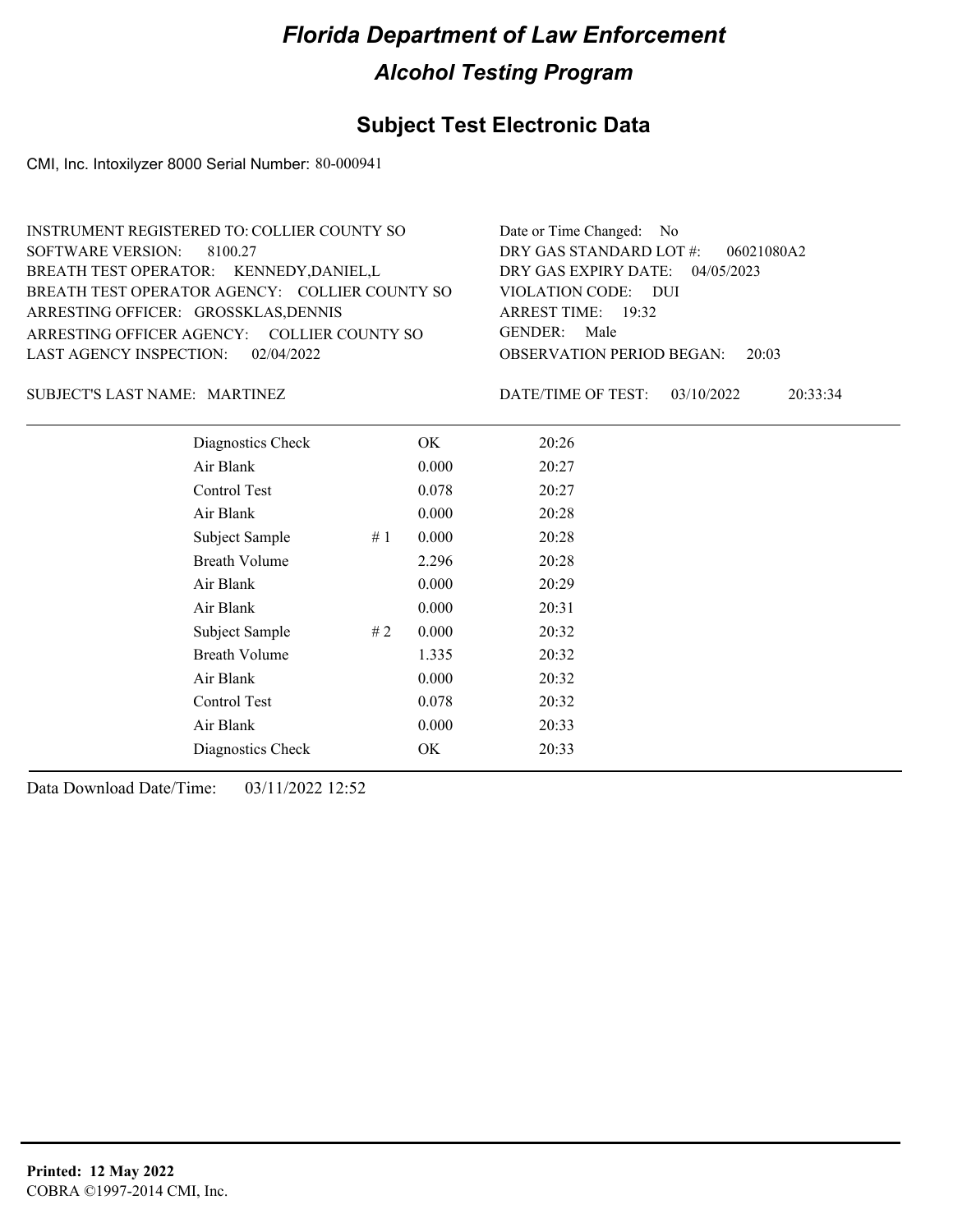## **Subject Test Electronic Data**

CMI, Inc. Intoxilyzer 8000 Serial Number: 80-000941

| <b>INSTRUMENT REGISTERED TO: COLLIER COUNTY SO</b> | Date or Time Changed: No               |
|----------------------------------------------------|----------------------------------------|
| SOFTWARE VERSION: 8100.27                          | DRY GAS STANDARD LOT $\#$ : 06021080A2 |
| BREATH TEST OPERATOR: KENNEDY, DANIEL, L           | DRY GAS EXPIRY DATE: $04/05/2023$      |
| BREATH TEST OPERATOR AGENCY: COLLIER COUNTY SO     | VIOLATION CODE: DUI                    |
| ARRESTING OFFICER: GROSSKLAS, DENNIS               | ARREST TIME: 19:32                     |
| ARRESTING OFFICER AGENCY: COLLIER COUNTY SO        | GENDER: Male                           |
| LAST AGENCY INSPECTION: 02/04/2022                 | <b>OBSERVATION PERIOD BEGAN: 20:03</b> |
|                                                    |                                        |

#### MARTINEZ SUBJECT'S LAST NAME: DATE/TIME OF TEST:

DATE/TIME OF TEST: 03/10/2022 20:33:34

| Diagnostics Check    |    | OK    | 20:26 |  |
|----------------------|----|-------|-------|--|
| Air Blank            |    | 0.000 | 20:27 |  |
| Control Test         |    | 0.078 | 20:27 |  |
| Air Blank            |    | 0.000 | 20:28 |  |
| Subject Sample       | #1 | 0.000 | 20:28 |  |
| <b>Breath Volume</b> |    | 2.296 | 20:28 |  |
| Air Blank            |    | 0.000 | 20:29 |  |
| Air Blank            |    | 0.000 | 20:31 |  |
| Subject Sample       | #2 | 0.000 | 20:32 |  |
| <b>Breath Volume</b> |    | 1.335 | 20:32 |  |
| Air Blank            |    | 0.000 | 20:32 |  |
| Control Test         |    | 0.078 | 20:32 |  |
| Air Blank            |    | 0.000 | 20:33 |  |
| Diagnostics Check    |    | OK    | 20:33 |  |
|                      |    |       |       |  |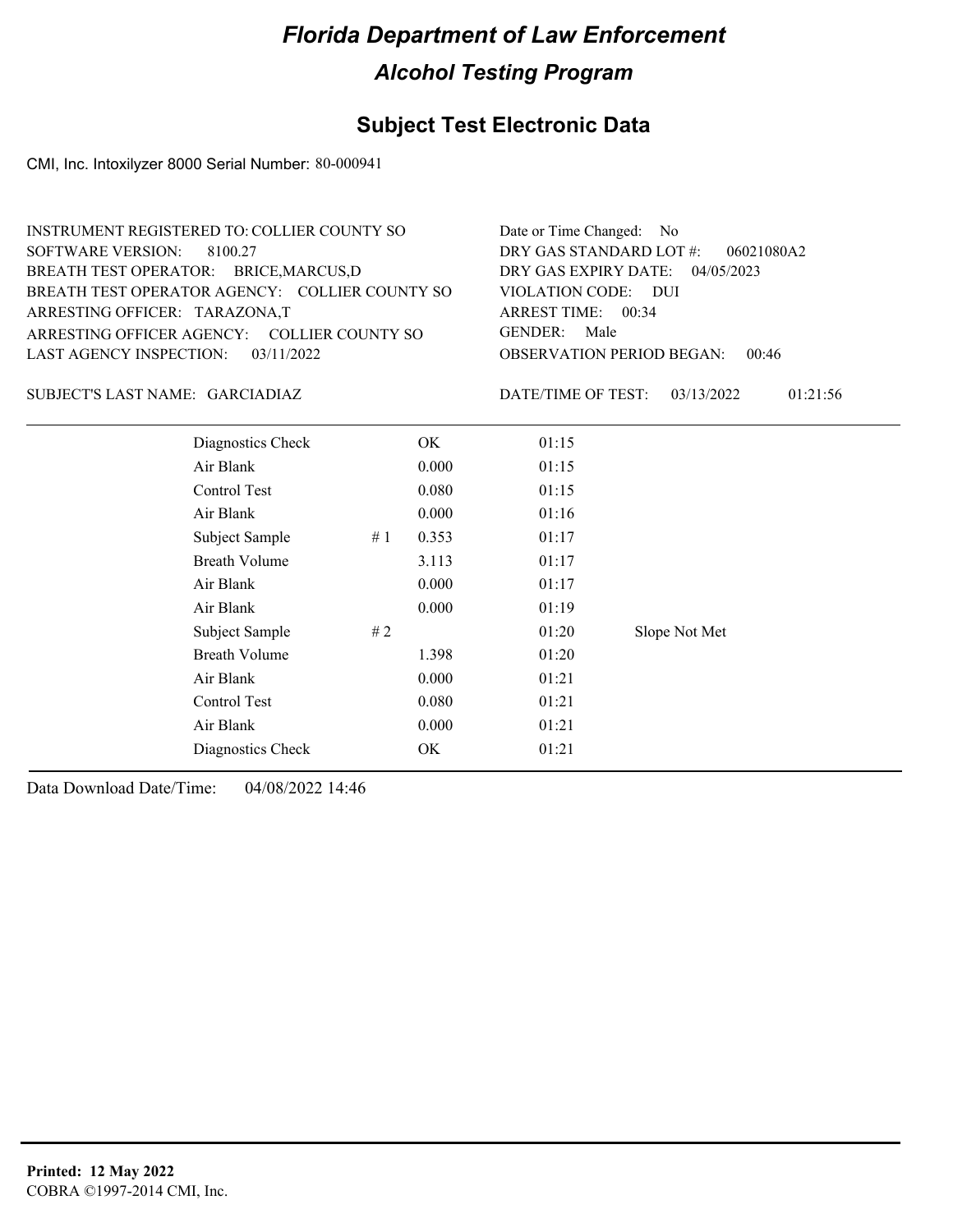## **Subject Test Electronic Data**

CMI, Inc. Intoxilyzer 8000 Serial Number: 80-000941

| <b>INSTRUMENT REGISTERED TO: COLLIER COUNTY SO</b> | Date or Time Changed: No               |
|----------------------------------------------------|----------------------------------------|
| SOFTWARE VERSION: 8100.27                          | DRY GAS STANDARD LOT #:<br>06021080A2  |
| BREATH TEST OPERATOR: BRICE, MARCUS, D             | DRY GAS EXPIRY DATE: $04/05/2023$      |
| BREATH TEST OPERATOR AGENCY: COLLIER COUNTY SO     | VIOLATION CODE: DUI                    |
| ARRESTING OFFICER: TARAZONA,T                      | ARREST TIME: 00:34                     |
| ARRESTING OFFICER AGENCY: COLLIER COUNTY SO        | GENDER: Male                           |
| LAST AGENCY INSPECTION: $03/11/2022$               | <b>OBSERVATION PERIOD BEGAN: 00:46</b> |
|                                                    |                                        |

#### GARCIADIAZ SUBJECT'S LAST NAME: DATE/TIME OF TEST:

DATE/TIME OF TEST: 03/13/2022 01:21:56

| Diagnostics Check    |    | OK    | 01:15 |               |
|----------------------|----|-------|-------|---------------|
| Air Blank            |    | 0.000 | 01:15 |               |
| Control Test         |    | 0.080 | 01:15 |               |
| Air Blank            |    | 0.000 | 01:16 |               |
| Subject Sample       | #1 | 0.353 | 01:17 |               |
| <b>Breath Volume</b> |    | 3.113 | 01:17 |               |
| Air Blank            |    | 0.000 | 01:17 |               |
| Air Blank            |    | 0.000 | 01:19 |               |
| Subject Sample       | #2 |       | 01:20 | Slope Not Met |
| <b>Breath Volume</b> |    | 1.398 | 01:20 |               |
| Air Blank            |    | 0.000 | 01:21 |               |
| Control Test         |    | 0.080 | 01:21 |               |
| Air Blank            |    | 0.000 | 01:21 |               |
| Diagnostics Check    |    | OK    | 01:21 |               |
|                      |    |       |       |               |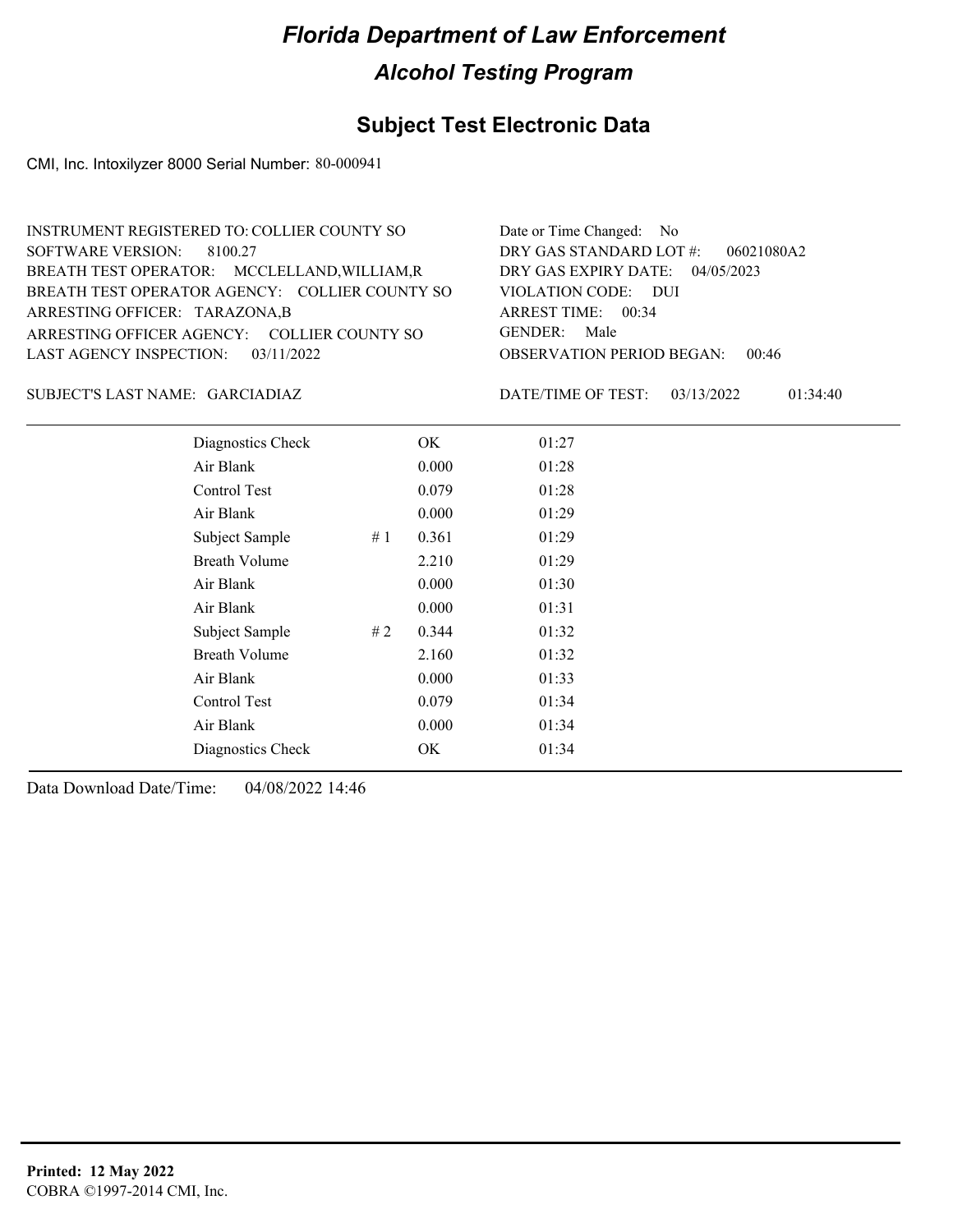## **Subject Test Electronic Data**

CMI, Inc. Intoxilyzer 8000 Serial Number: 80-000941

| Date or Time Changed: No               |
|----------------------------------------|
| DRY GAS STANDARD LOT #:<br>06021080A2  |
| DRY GAS EXPIRY DATE: $04/05/2023$      |
| VIOLATION CODE: DUI                    |
| ARREST TIME: $00:34$                   |
| GENDER: Male                           |
| <b>OBSERVATION PERIOD BEGAN: 00:46</b> |
|                                        |

#### GARCIADIAZ SUBJECT'S LAST NAME: DATE/TIME OF TEST:

DATE/TIME OF TEST: 03/13/2022 01:34:40

| Diagnostics Check    |    | OK    | 01:27 |
|----------------------|----|-------|-------|
| Air Blank            |    | 0.000 | 01:28 |
| Control Test         |    | 0.079 | 01:28 |
| Air Blank            |    | 0.000 | 01:29 |
| Subject Sample       | #1 | 0.361 | 01:29 |
| <b>Breath Volume</b> |    | 2.210 | 01:29 |
| Air Blank            |    | 0.000 | 01:30 |
| Air Blank            |    | 0.000 | 01:31 |
| Subject Sample       | #2 | 0.344 | 01:32 |
| <b>Breath Volume</b> |    | 2.160 | 01:32 |
| Air Blank            |    | 0.000 | 01:33 |
| Control Test         |    | 0.079 | 01:34 |
| Air Blank            |    | 0.000 | 01:34 |
| Diagnostics Check    |    | OK    | 01:34 |
|                      |    |       |       |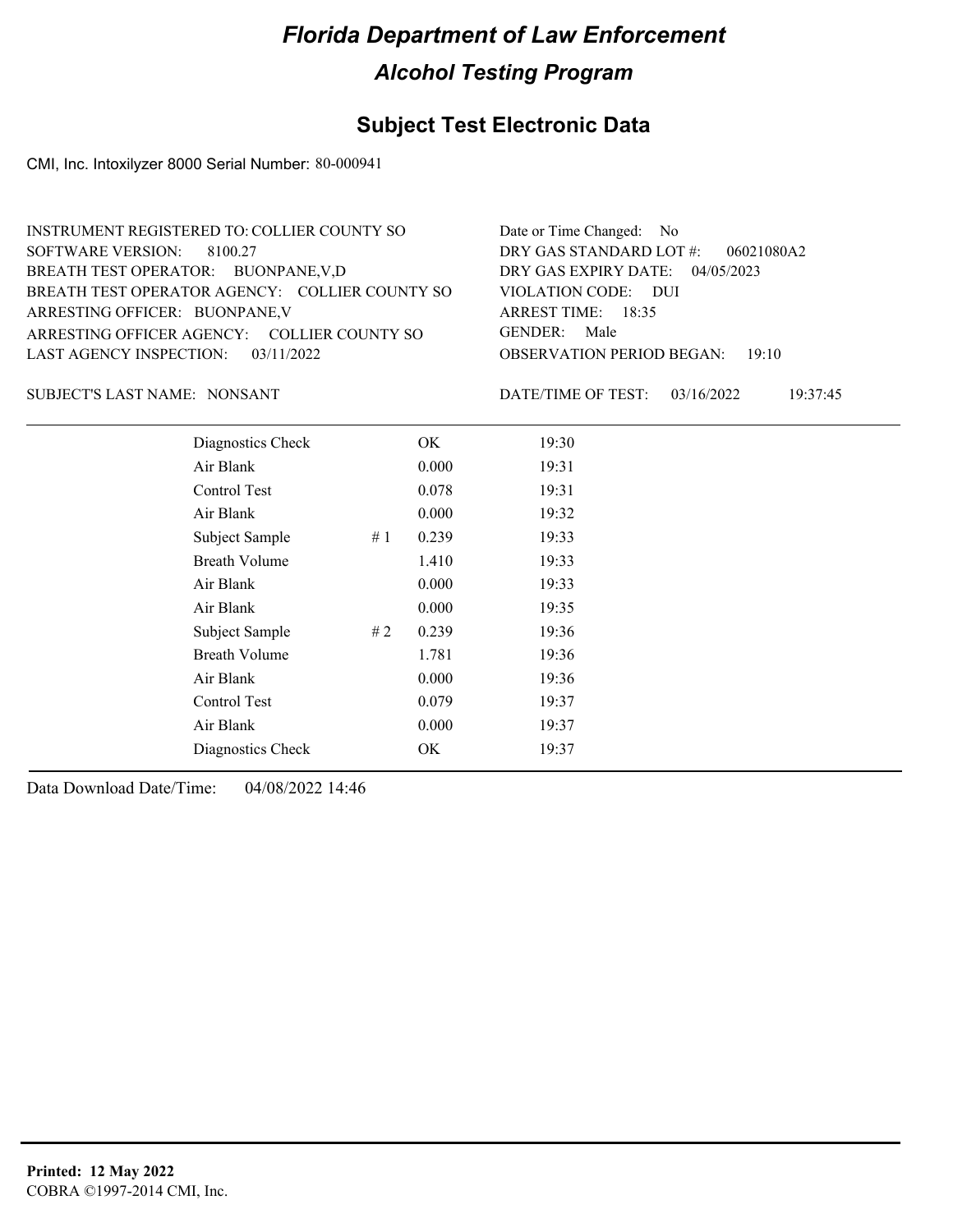## **Subject Test Electronic Data**

CMI, Inc. Intoxilyzer 8000 Serial Number: 80-000941

| INSTRUMENT REGISTERED TO: COLLIER COUNTY SO    | Date or Time Changed: No               |
|------------------------------------------------|----------------------------------------|
| SOFTWARE VERSION: 8100.27                      | DRY GAS STANDARD LOT $\#$ : 06021080A2 |
| BREATH TEST OPERATOR: BUONPANE, V,D            | DRY GAS EXPIRY DATE: 04/05/2023        |
| BREATH TEST OPERATOR AGENCY: COLLIER COUNTY SO | VIOLATION CODE: DUI                    |
| ARRESTING OFFICER: BUONPANE, V                 | ARREST TIME: 18:35                     |
| ARRESTING OFFICER AGENCY: COLLIER COUNTY SO    | GENDER: Male                           |
| LAST AGENCY INSPECTION: 03/11/2022             | <b>OBSERVATION PERIOD BEGAN: 19:10</b> |
|                                                |                                        |

SUBJECT'S LAST NAME: NONSANT DATE/TIME OF TEST:

DATE/TIME OF TEST: 03/16/2022 19:37:45

| Diagnostics Check    | OK    | 19:30 |
|----------------------|-------|-------|
| Air Blank            | 0.000 | 19:31 |
| Control Test         | 0.078 | 19:31 |
| Air Blank            | 0.000 | 19:32 |
| Subject Sample<br>#1 | 0.239 | 19:33 |
| <b>Breath Volume</b> | 1.410 | 19:33 |
| Air Blank            | 0.000 | 19:33 |
| Air Blank            | 0.000 | 19:35 |
| Subject Sample<br>#2 | 0.239 | 19:36 |
| <b>Breath Volume</b> | 1.781 | 19:36 |
| Air Blank            | 0.000 | 19:36 |
| Control Test         | 0.079 | 19:37 |
| Air Blank            | 0.000 | 19:37 |
| Diagnostics Check    | OK    | 19:37 |
|                      |       |       |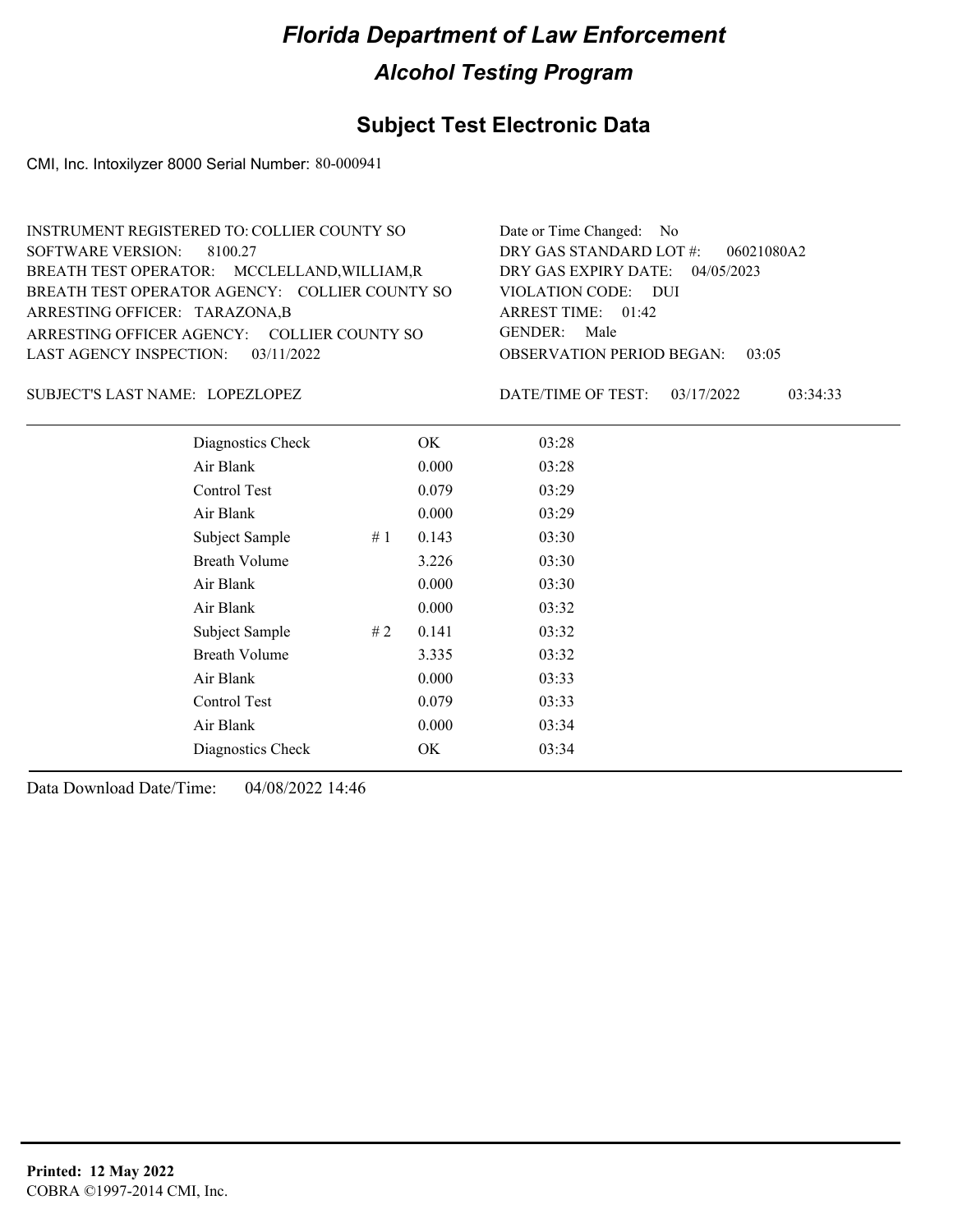## **Subject Test Electronic Data**

CMI, Inc. Intoxilyzer 8000 Serial Number: 80-000941

| INSTRUMENT REGISTERED TO: COLLIER COUNTY SO    | Date or Time Changed: No               |
|------------------------------------------------|----------------------------------------|
| SOFTWARE VERSION: 8100.27                      | DRY GAS STANDARD LOT $\#$ : 06021080A2 |
| BREATH TEST OPERATOR: MCCLELLAND, WILLIAM, R   | DRY GAS EXPIRY DATE: 04/05/2023        |
| BREATH TEST OPERATOR AGENCY: COLLIER COUNTY SO | VIOLATION CODE: DUI                    |
| ARRESTING OFFICER: TARAZONA,B                  | ARREST TIME: 01:42                     |
| ARRESTING OFFICER AGENCY: COLLIER COUNTY SO    | GENDER: Male                           |
| LAST AGENCY INSPECTION: $03/11/2022$           | <b>OBSERVATION PERIOD BEGAN: 03:05</b> |
|                                                |                                        |

LOPEZLOPEZ SUBJECT'S LAST NAME: DATE/TIME OF TEST:

DATE/TIME OF TEST: 03/17/2022 03:34:33

| Diagnostics Check    |     | OK    | 03:28 |
|----------------------|-----|-------|-------|
| Air Blank            |     | 0.000 | 03:28 |
| Control Test         |     | 0.079 | 03:29 |
| Air Blank            |     | 0.000 | 03:29 |
| Subject Sample       | #1  | 0.143 | 03:30 |
| <b>Breath Volume</b> |     | 3.226 | 03:30 |
| Air Blank            |     | 0.000 | 03:30 |
| Air Blank            |     | 0.000 | 03:32 |
| Subject Sample       | # 2 | 0.141 | 03:32 |
| <b>Breath Volume</b> |     | 3.335 | 03:32 |
| Air Blank            |     | 0.000 | 03:33 |
| Control Test         |     | 0.079 | 03:33 |
| Air Blank            |     | 0.000 | 03:34 |
| Diagnostics Check    |     | OK    | 03:34 |
|                      |     |       |       |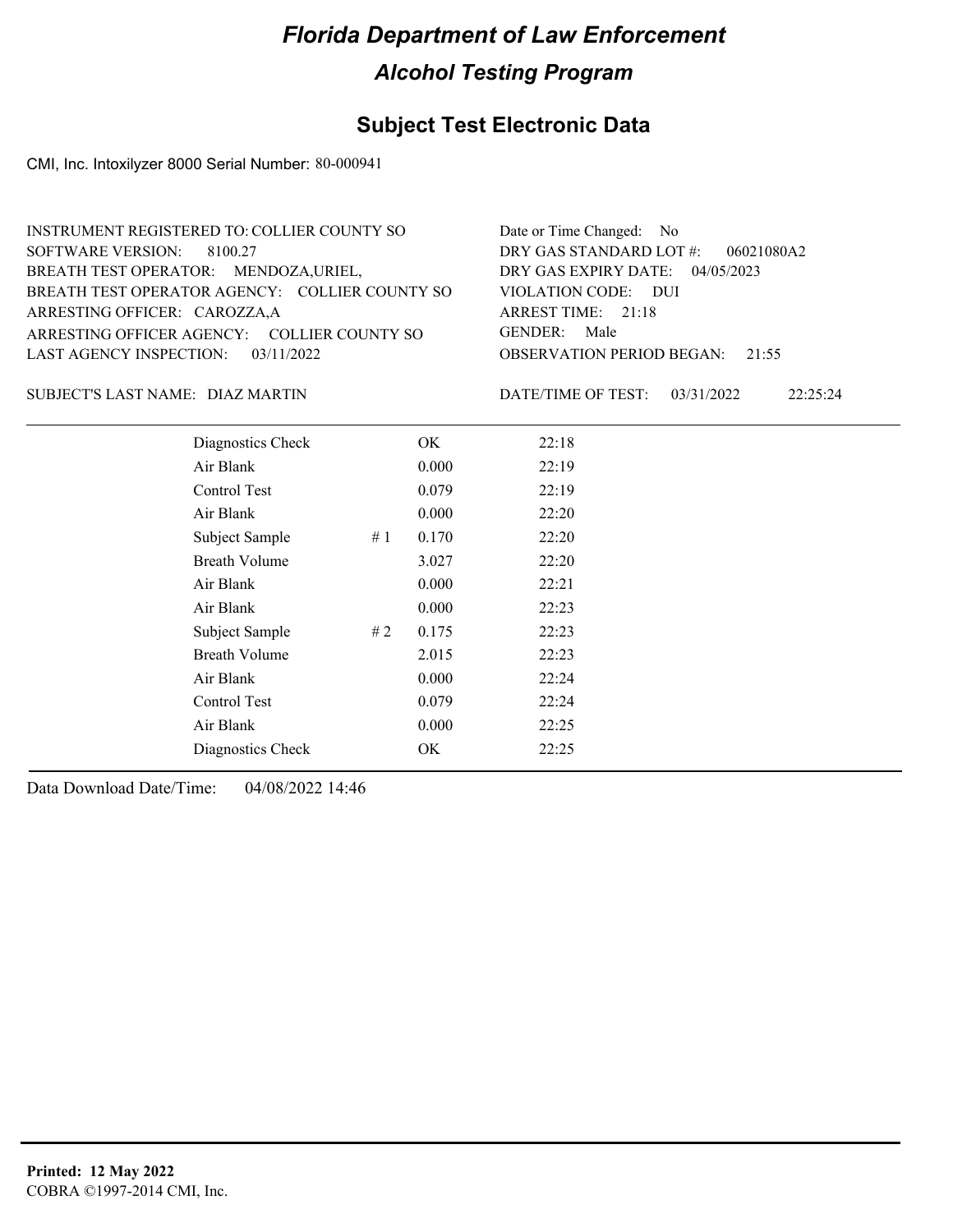### **Subject Test Electronic Data**

CMI, Inc. Intoxilyzer 8000 Serial Number: 80-000941

| INSTRUMENT REGISTERED TO: COLLIER COUNTY SO    | Date or Time Changed: No               |
|------------------------------------------------|----------------------------------------|
| SOFTWARE VERSION: 8100.27                      | DRY GAS STANDARD LOT $#$ : 06021080A2  |
| BREATH TEST OPERATOR: MENDOZA, URIEL,          | DRY GAS EXPIRY DATE: 04/05/2023        |
| BREATH TEST OPERATOR AGENCY: COLLIER COUNTY SO | VIOLATION CODE: DUI                    |
| ARRESTING OFFICER: CAROZZA,A                   | ARREST TIME: 21:18                     |
| ARRESTING OFFICER AGENCY: COLLIER COUNTY SO    | GENDER: Male                           |
| LAST AGENCY INSPECTION: 03/11/2022             | <b>OBSERVATION PERIOD BEGAN: 21:55</b> |
|                                                |                                        |

#### DIAZ MARTIN SUBJECT'S LAST NAME: DATE/TIME OF TEST:

DATE/TIME OF TEST: 03/31/2022 22:25:24

| Diagnostics Check    |    | OK    | 22:18 |
|----------------------|----|-------|-------|
| Air Blank            |    | 0.000 | 22:19 |
| Control Test         |    | 0.079 | 22:19 |
| Air Blank            |    | 0.000 | 22:20 |
| Subject Sample       | #1 | 0.170 | 22:20 |
| <b>Breath Volume</b> |    | 3.027 | 22:20 |
| Air Blank            |    | 0.000 | 22:21 |
| Air Blank            |    | 0.000 | 22:23 |
| Subject Sample       | #2 | 0.175 | 22:23 |
| <b>Breath Volume</b> |    | 2.015 | 22:23 |
| Air Blank            |    | 0.000 | 22:24 |
| Control Test         |    | 0.079 | 22:24 |
| Air Blank            |    | 0.000 | 22:25 |
| Diagnostics Check    |    | OK    | 22:25 |
|                      |    |       |       |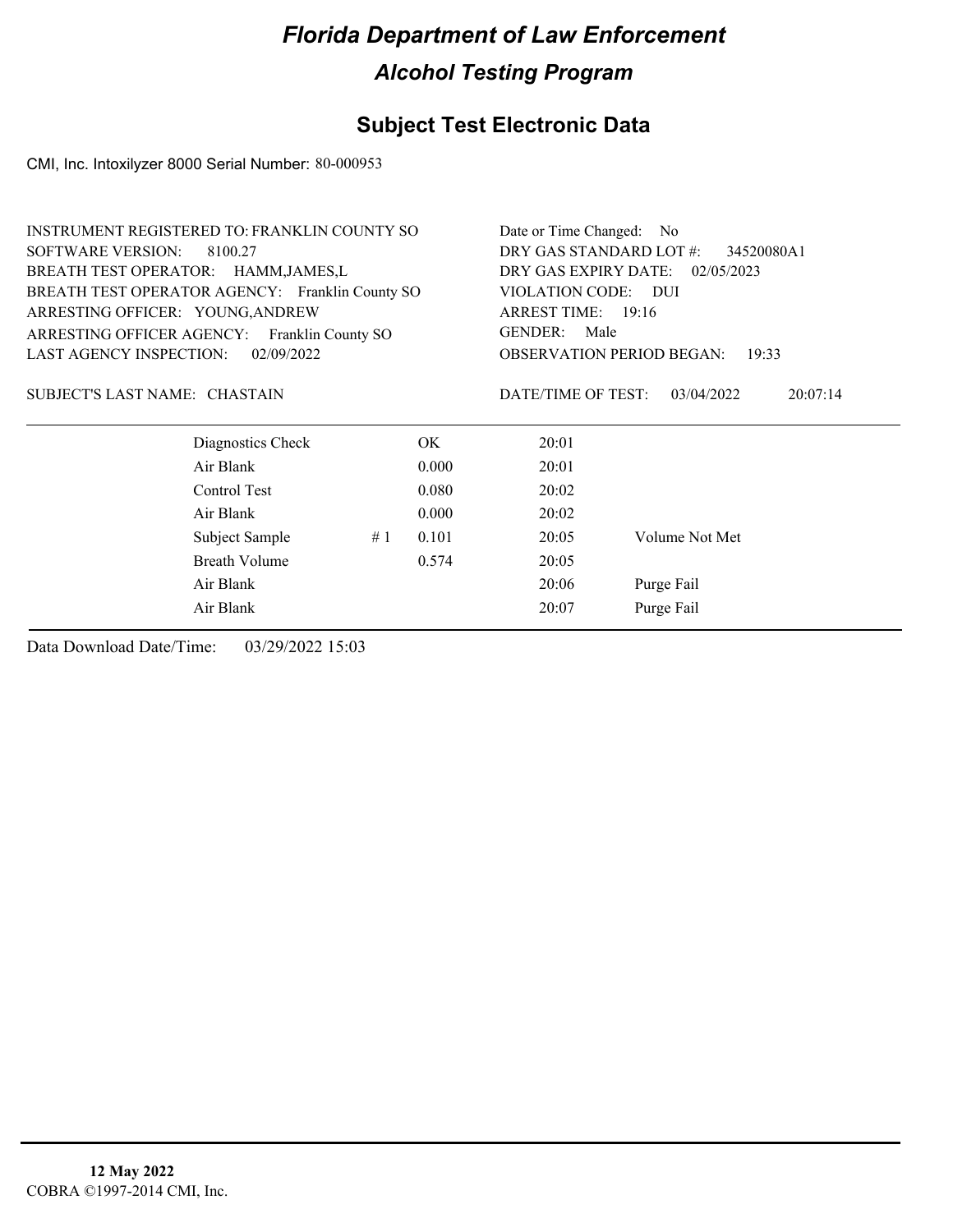## **Subject Test Electronic Data**

CMI, Inc. Intoxilyzer 8000 Serial Number: 80-000953

| <b>INSTRUMENT REGISTERED TO: FRANKLIN COUNTY SO</b>                                                                                                                            |    |       | Date or Time Changed:<br>N <sub>o</sub>                        |                        |  |  |
|--------------------------------------------------------------------------------------------------------------------------------------------------------------------------------|----|-------|----------------------------------------------------------------|------------------------|--|--|
| <b>SOFTWARE VERSION:</b><br>8100.27                                                                                                                                            |    |       | DRY GAS STANDARD LOT #:<br>34520080A1                          |                        |  |  |
| BREATH TEST OPERATOR: HAMM, JAMES, L<br>BREATH TEST OPERATOR AGENCY: Franklin County SO<br>ARRESTING OFFICER: YOUNG, ANDREW<br>ARRESTING OFFICER AGENCY:<br>Franklin County SO |    |       | DRY GAS EXPIRY DATE:<br>02/05/2023<br>VIOLATION CODE:<br>– DUI |                        |  |  |
|                                                                                                                                                                                |    |       |                                                                |                        |  |  |
|                                                                                                                                                                                |    |       | GENDER: Male                                                   |                        |  |  |
|                                                                                                                                                                                |    |       | <b>LAST AGENCY INSPECTION:</b><br>02/09/2022                   |                        |  |  |
| SUBJECT'S LAST NAME: CHASTAIN                                                                                                                                                  |    |       | DATE/TIME OF TEST:                                             | 03/04/2022<br>20:07:14 |  |  |
| Diagnostics Check                                                                                                                                                              |    | OK.   | 20:01                                                          |                        |  |  |
| Air Blank                                                                                                                                                                      |    | 0.000 | 20:01                                                          |                        |  |  |
| Control Test                                                                                                                                                                   |    | 0.080 | 20:02                                                          |                        |  |  |
| Air Blank                                                                                                                                                                      |    | 0.000 | 20:02                                                          |                        |  |  |
| Subject Sample                                                                                                                                                                 | #1 | 0.101 | 20:05                                                          | Volume Not Met         |  |  |
| Breath Volume                                                                                                                                                                  |    | 0.574 | 20:05                                                          |                        |  |  |
| Air Blank                                                                                                                                                                      |    |       | 20:06                                                          | Purge Fail             |  |  |
| Air Blank                                                                                                                                                                      |    |       | 20:07                                                          | Purge Fail             |  |  |
|                                                                                                                                                                                |    |       |                                                                |                        |  |  |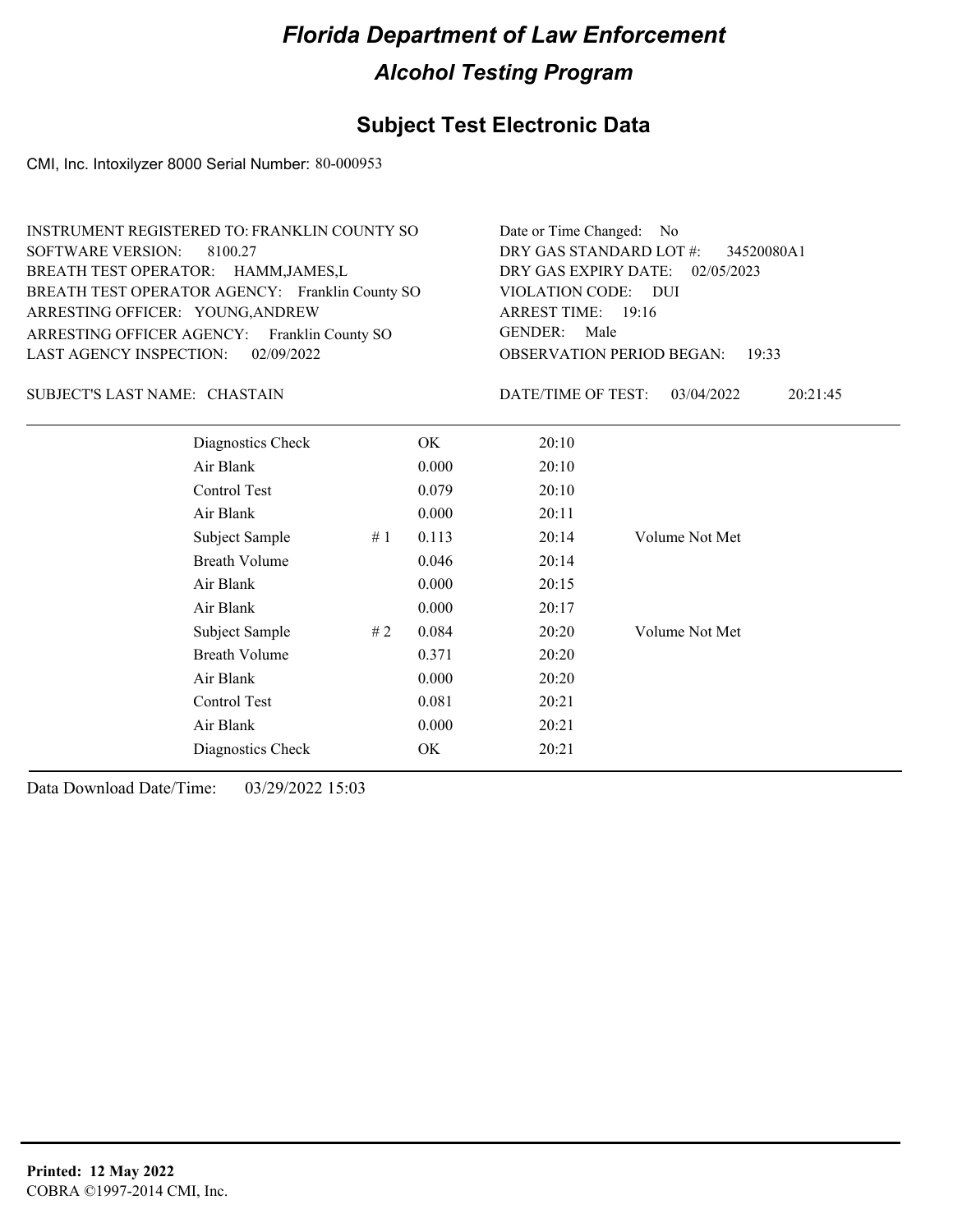## **Subject Test Electronic Data**

CMI, Inc. Intoxilyzer 8000 Serial Number: 80-000953

| INSTRUMENT REGISTERED TO: FRANKLIN COUNTY SO    | Date or Time Changed: No               |
|-------------------------------------------------|----------------------------------------|
| SOFTWARE VERSION: 8100.27                       | DRY GAS STANDARD LOT #: 34520080A1     |
| BREATH TEST OPERATOR: HAMM, JAMES, L            | DRY GAS EXPIRY DATE: 02/05/2023        |
| BREATH TEST OPERATOR AGENCY: Franklin County SO | VIOLATION CODE: DUI                    |
| ARRESTING OFFICER: YOUNG, ANDREW                | ARREST TIME: 19:16                     |
| ARRESTING OFFICER AGENCY: Franklin County SO    | GENDER: Male                           |
| LAST AGENCY INSPECTION: 02/09/2022              | <b>OBSERVATION PERIOD BEGAN: 19:33</b> |

#### CHASTAIN SUBJECT'S LAST NAME: DATE/TIME OF TEST:

DATE/TIME OF TEST: 03/04/2022 20:21:45

| Diagnostics Check    |    | OK    | 20:10 |                |
|----------------------|----|-------|-------|----------------|
| Air Blank            |    | 0.000 | 20:10 |                |
| Control Test         |    | 0.079 | 20:10 |                |
| Air Blank            |    | 0.000 | 20:11 |                |
| Subject Sample       | #1 | 0.113 | 20:14 | Volume Not Met |
| <b>Breath Volume</b> |    | 0.046 | 20:14 |                |
| Air Blank            |    | 0.000 | 20:15 |                |
| Air Blank            |    | 0.000 | 20:17 |                |
| Subject Sample       | #2 | 0.084 | 20:20 | Volume Not Met |
| <b>Breath Volume</b> |    | 0.371 | 20:20 |                |
| Air Blank            |    | 0.000 | 20:20 |                |
| Control Test         |    | 0.081 | 20:21 |                |
| Air Blank            |    | 0.000 | 20:21 |                |
| Diagnostics Check    |    | OK    | 20:21 |                |
|                      |    |       |       |                |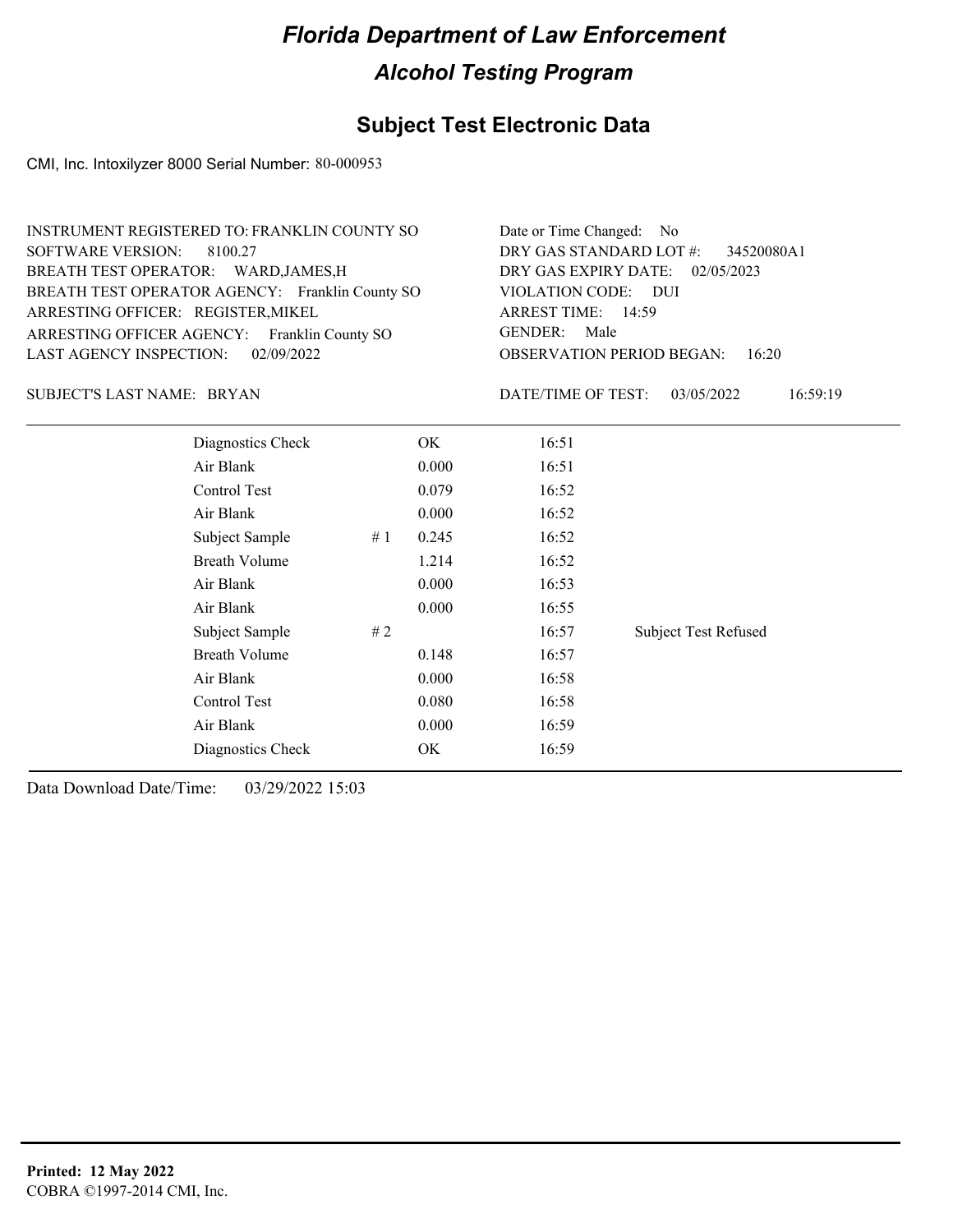## **Subject Test Electronic Data**

CMI, Inc. Intoxilyzer 8000 Serial Number: 80-000953

| INSTRUMENT REGISTERED TO: FRANKLIN COUNTY SO    | Date or Time Changed: No               |
|-------------------------------------------------|----------------------------------------|
| SOFTWARE VERSION: 8100.27                       | DRY GAS STANDARD LOT #: 34520080A1     |
| BREATH TEST OPERATOR: WARD, JAMES, H            | DRY GAS EXPIRY DATE: 02/05/2023        |
| BREATH TEST OPERATOR AGENCY: Franklin County SO | VIOLATION CODE: DUI                    |
| ARRESTING OFFICER: REGISTER, MIKEL              | ARREST TIME: 14:59                     |
| ARRESTING OFFICER AGENCY: Franklin County SO    | GENDER: Male                           |
| LAST AGENCY INSPECTION: $02/09/2022$            | <b>OBSERVATION PERIOD BEGAN: 16:20</b> |

SUBJECT'S LAST NAME: BRYAN DATE/TIME OF TEST:

DATE/TIME OF TEST: 03/05/2022 16:59:19

| Diagnostics Check    |    | OK    | 16:51 |                             |
|----------------------|----|-------|-------|-----------------------------|
| Air Blank            |    | 0.000 | 16:51 |                             |
| Control Test         |    | 0.079 | 16:52 |                             |
| Air Blank            |    | 0.000 | 16:52 |                             |
| Subject Sample       | #1 | 0.245 | 16:52 |                             |
| <b>Breath Volume</b> |    | 1.214 | 16:52 |                             |
| Air Blank            |    | 0.000 | 16:53 |                             |
| Air Blank            |    | 0.000 | 16:55 |                             |
| Subject Sample       | #2 |       | 16:57 | <b>Subject Test Refused</b> |
| <b>Breath Volume</b> |    | 0.148 | 16:57 |                             |
| Air Blank            |    | 0.000 | 16:58 |                             |
| Control Test         |    | 0.080 | 16:58 |                             |
| Air Blank            |    | 0.000 | 16:59 |                             |
| Diagnostics Check    |    | OK    | 16:59 |                             |
|                      |    |       |       |                             |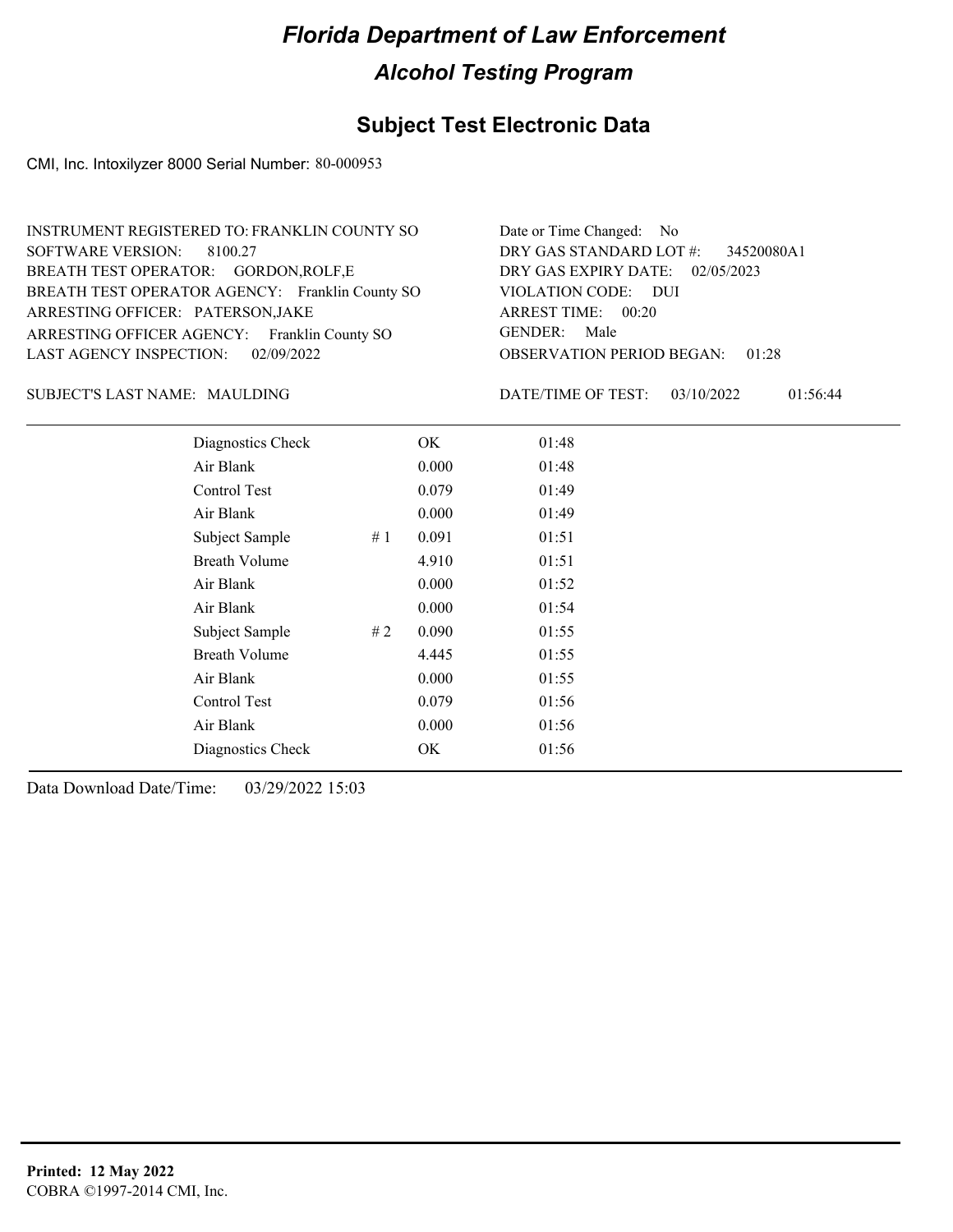## **Subject Test Electronic Data**

CMI, Inc. Intoxilyzer 8000 Serial Number: 80-000953

| INSTRUMENT REGISTERED TO: FRANKLIN COUNTY SO    | Date or Time Changed: No               |
|-------------------------------------------------|----------------------------------------|
| SOFTWARE VERSION: 8100.27                       | DRY GAS STANDARD LOT #: 34520080A1     |
| BREATH TEST OPERATOR: GORDON, ROLF, E           | DRY GAS EXPIRY DATE: 02/05/2023        |
| BREATH TEST OPERATOR AGENCY: Franklin County SO | VIOLATION CODE: DUI                    |
| ARRESTING OFFICER: PATERSON, JAKE               | ARREST TIME: 00:20                     |
| ARRESTING OFFICER AGENCY: Franklin County SO    | GENDER: Male                           |
| LAST AGENCY INSPECTION: $02/09/2022$            | <b>OBSERVATION PERIOD BEGAN: 01:28</b> |

#### MAULDING SUBJECT'S LAST NAME: DATE/TIME OF TEST:

DATE/TIME OF TEST: 03/10/2022 01:56:44

| Diagnostics Check    |    | OK    | 01:48 |
|----------------------|----|-------|-------|
| Air Blank            |    | 0.000 | 01:48 |
| Control Test         |    | 0.079 | 01:49 |
| Air Blank            |    | 0.000 | 01:49 |
| Subject Sample       | #1 | 0.091 | 01:51 |
| <b>Breath Volume</b> |    | 4.910 | 01:51 |
| Air Blank            |    | 0.000 | 01:52 |
| Air Blank            |    | 0.000 | 01:54 |
| Subject Sample       | #2 | 0.090 | 01:55 |
| <b>Breath Volume</b> |    | 4.445 | 01:55 |
| Air Blank            |    | 0.000 | 01:55 |
| Control Test         |    | 0.079 | 01:56 |
| Air Blank            |    | 0.000 | 01:56 |
| Diagnostics Check    |    | OK    | 01:56 |
|                      |    |       |       |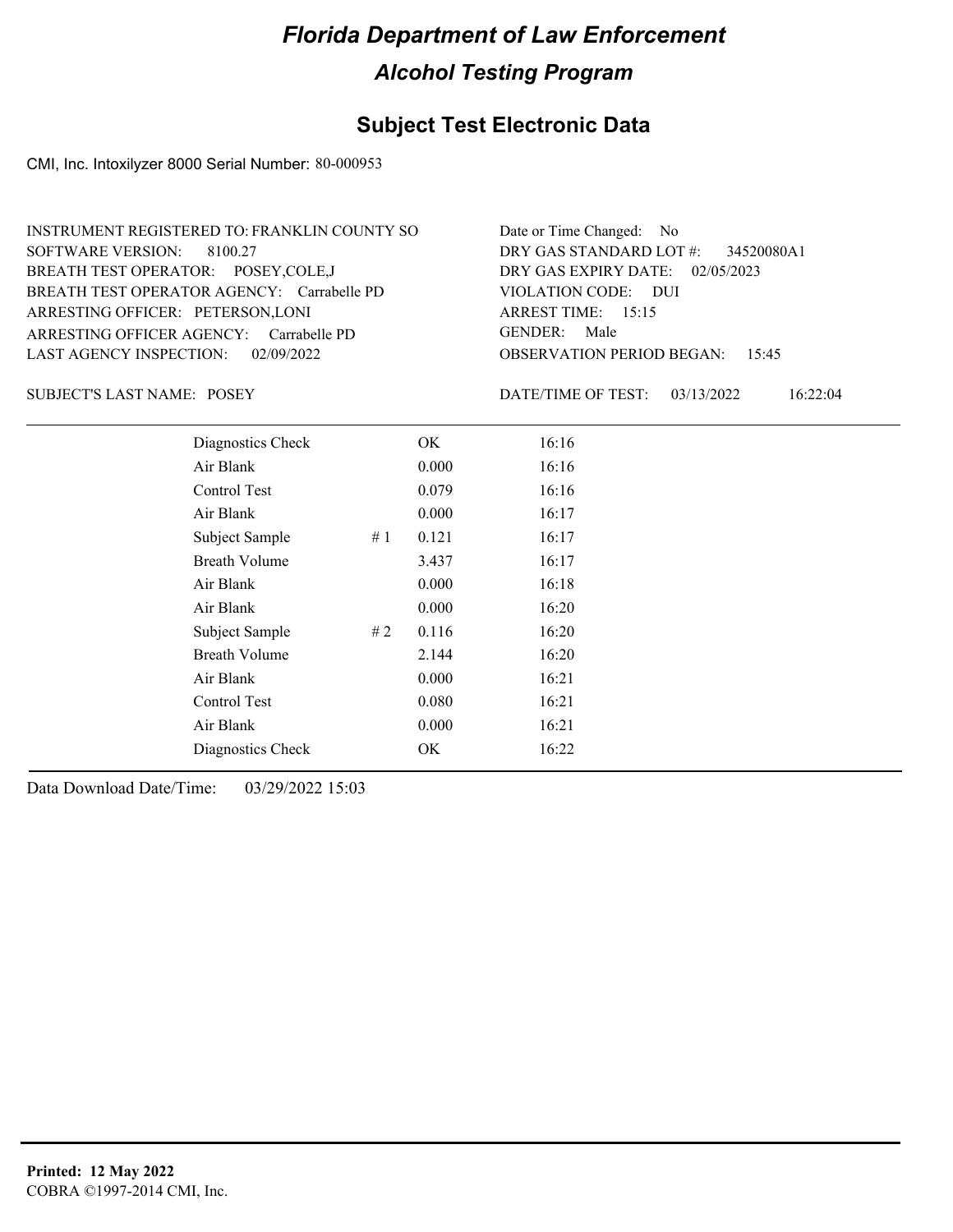## **Subject Test Electronic Data**

CMI, Inc. Intoxilyzer 8000 Serial Number: 80-000953

| INSTRUMENT REGISTERED TO: FRANKLIN COUNTY SO | Date or Time Changed: No               |
|----------------------------------------------|----------------------------------------|
| SOFTWARE VERSION: 8100.27                    | DRY GAS STANDARD LOT #: 34520080A1     |
| BREATH TEST OPERATOR: POSEY, COLE, J         | DRY GAS EXPIRY DATE: $02/05/2023$      |
| BREATH TEST OPERATOR AGENCY: Carrabelle PD   | VIOLATION CODE: DUI                    |
| ARRESTING OFFICER: PETERSON, LONI            | ARREST TIME: $15:15$                   |
| ARRESTING OFFICER AGENCY: Carrabelle PD      | GENDER: Male                           |
| LAST AGENCY INSPECTION: 02/09/2022           | <b>OBSERVATION PERIOD BEGAN: 15:45</b> |

SUBJECT'S LAST NAME: POSEY DATE/TIME OF TEST:

DATE/TIME OF TEST: 03/13/2022 16:22:04

| Diagnostics Check    |    | OK    | 16:16 |  |
|----------------------|----|-------|-------|--|
| Air Blank            |    | 0.000 | 16:16 |  |
| Control Test         |    | 0.079 | 16:16 |  |
| Air Blank            |    | 0.000 | 16:17 |  |
| Subject Sample       | #1 | 0.121 | 16:17 |  |
| <b>Breath Volume</b> |    | 3.437 | 16:17 |  |
| Air Blank            |    | 0.000 | 16:18 |  |
| Air Blank            |    | 0.000 | 16:20 |  |
| Subject Sample       | #2 | 0.116 | 16:20 |  |
| <b>Breath Volume</b> |    | 2.144 | 16:20 |  |
| Air Blank            |    | 0.000 | 16:21 |  |
| Control Test         |    | 0.080 | 16:21 |  |
| Air Blank            |    | 0.000 | 16:21 |  |
| Diagnostics Check    |    | OK    | 16:22 |  |
|                      |    |       |       |  |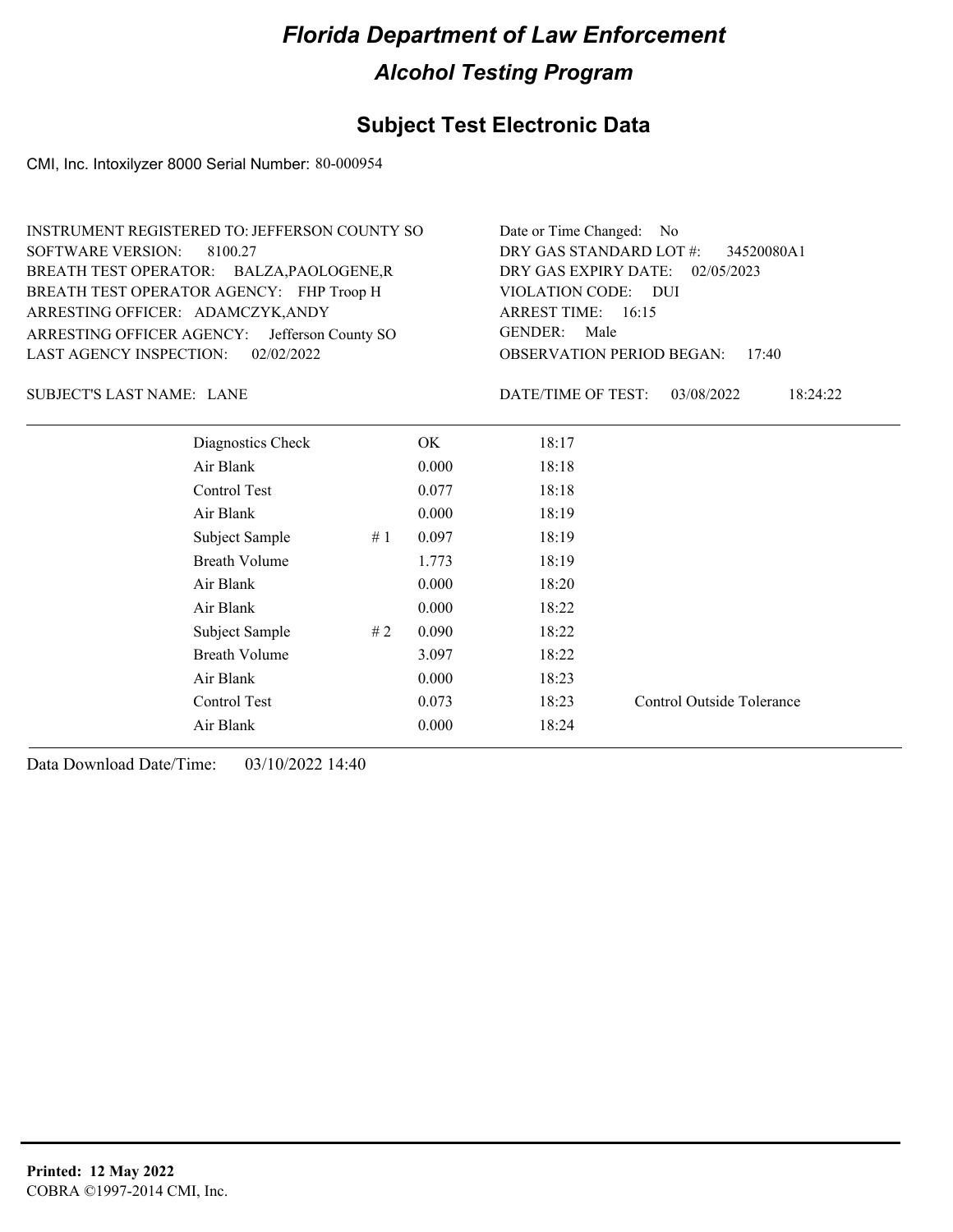### **Subject Test Electronic Data**

CMI, Inc. Intoxilyzer 8000 Serial Number: 80-000954

| INSTRUMENT REGISTERED TO: JEFFERSON COUNTY SO | Date or Time Changed: No               |
|-----------------------------------------------|----------------------------------------|
| SOFTWARE VERSION: 8100.27                     | DRY GAS STANDARD LOT $\#$ : 34520080A1 |
| BREATH TEST OPERATOR: BALZA, PAOLOGENE, R     | DRY GAS EXPIRY DATE: 02/05/2023        |
| BREATH TEST OPERATOR AGENCY: FHP Troop H      | VIOLATION CODE: DUI                    |
| ARRESTING OFFICER: ADAMCZYK, ANDY             | ARREST TIME: $16:15$                   |
| ARRESTING OFFICER AGENCY: Jefferson County SO | GENDER: Male                           |
| LAST AGENCY INSPECTION: 02/02/2022            | <b>OBSERVATION PERIOD BEGAN: 17:40</b> |
|                                               |                                        |

SUBJECT'S LAST NAME: LANE  $\overline{D}$  DATE/TIME OF TEST:

DATE/TIME OF TEST: 03/08/2022 18:24:22

| Diagnostics Check    |    | OK    | 18:17 |                           |
|----------------------|----|-------|-------|---------------------------|
| Air Blank            |    | 0.000 | 18:18 |                           |
| Control Test         |    | 0.077 | 18:18 |                           |
| Air Blank            |    | 0.000 | 18:19 |                           |
| Subject Sample       | #1 | 0.097 | 18:19 |                           |
| <b>Breath Volume</b> |    | 1.773 | 18:19 |                           |
| Air Blank            |    | 0.000 | 18:20 |                           |
| Air Blank            |    | 0.000 | 18:22 |                           |
| Subject Sample       | #2 | 0.090 | 18:22 |                           |
| <b>Breath Volume</b> |    | 3.097 | 18:22 |                           |
| Air Blank            |    | 0.000 | 18:23 |                           |
| Control Test         |    | 0.073 | 18:23 | Control Outside Tolerance |
| Air Blank            |    | 0.000 | 18:24 |                           |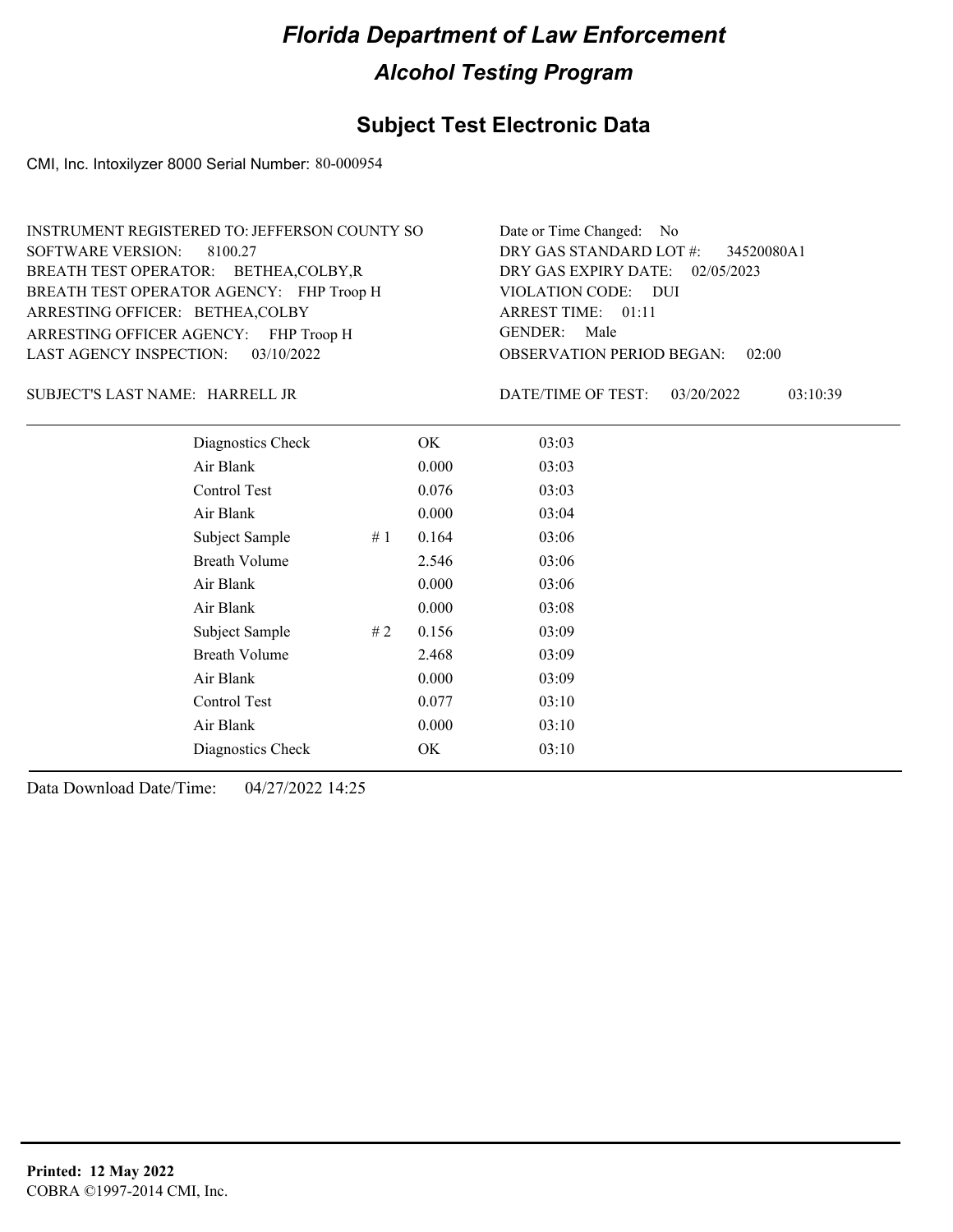## **Subject Test Electronic Data**

CMI, Inc. Intoxilyzer 8000 Serial Number: 80-000954

| Date or Time Changed: No               |
|----------------------------------------|
| DRY GAS STANDARD LOT $\#$ : 34520080A1 |
| DRY GAS EXPIRY DATE: 02/05/2023        |
| VIOLATION CODE: DUI                    |
| ARREST TIME: 01:11                     |
| GENDER: Male                           |
| <b>OBSERVATION PERIOD BEGAN: 02:00</b> |
|                                        |

HARRELL JR SUBJECT'S LAST NAME: DATE/TIME OF TEST:

DATE/TIME OF TEST: 03/20/2022 03:10:39

| Diagnostics Check    |    | OK    | 03:03 |
|----------------------|----|-------|-------|
| Air Blank            |    | 0.000 | 03:03 |
| Control Test         |    | 0.076 | 03:03 |
| Air Blank            |    | 0.000 | 03:04 |
| Subject Sample       | #1 | 0.164 | 03:06 |
| <b>Breath Volume</b> |    | 2.546 | 03:06 |
| Air Blank            |    | 0.000 | 03:06 |
| Air Blank            |    | 0.000 | 03:08 |
| Subject Sample       | #2 | 0.156 | 03:09 |
| <b>Breath Volume</b> |    | 2.468 | 03:09 |
| Air Blank            |    | 0.000 | 03:09 |
| Control Test         |    | 0.077 | 03:10 |
| Air Blank            |    | 0.000 | 03:10 |
| Diagnostics Check    |    | OK    | 03:10 |
|                      |    |       |       |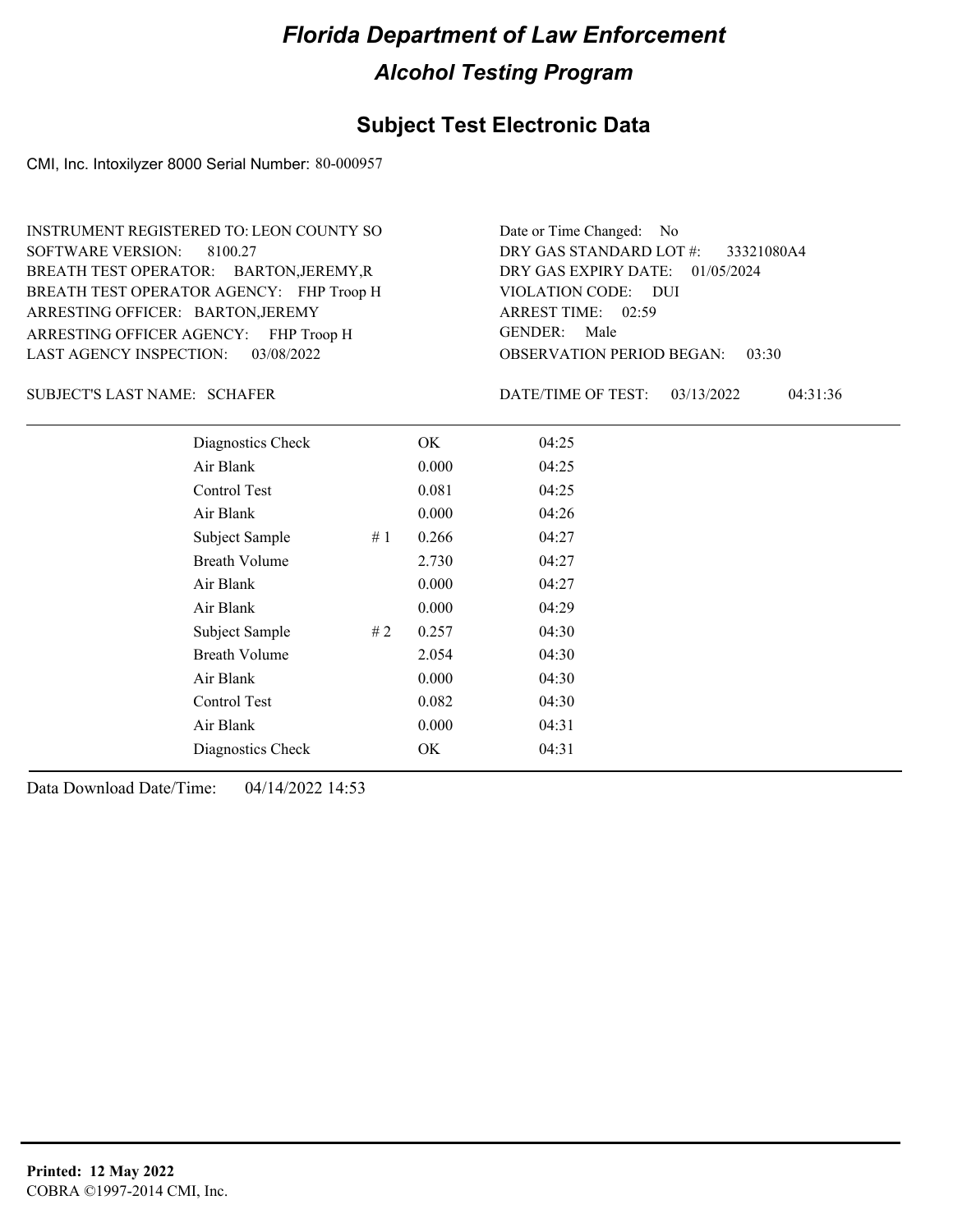#### **Subject Test Electronic Data**

CMI, Inc. Intoxilyzer 8000 Serial Number: 80-000957

ARRESTING OFFICER AGENCY: FHP Troop H GENDER: BREATH TEST OPERATOR AGENCY: FHP Troop H VIOLATION CODE: SOFTWARE VERSION: 8100.27 ARRESTING OFFICER: BARTON, JEREMY BREATH TEST OPERATOR: BARTON,JEREMY,R LAST AGENCY INSPECTION: 03/08/2022 INSTRUMENT REGISTERED TO: LEON COUNTY SO

OBSERVATION PERIOD BEGAN: 03:30 VIOLATION CODE: DUI ARREST TIME: 02:59 DRY GAS EXPIRY DATE: 01/05/2024 33321080A4 DRY GAS STANDARD LOT #: Date or Time Changed: No GENDER: Male

SCHAFER SUBJECT'S LAST NAME: DATE/TIME OF TEST:

DATE/TIME OF TEST: 03/13/2022 04:31:36

| Diagnostics Check    |    | OK    | 04:25 |
|----------------------|----|-------|-------|
| Air Blank            |    | 0.000 | 04:25 |
| <b>Control Test</b>  |    | 0.081 | 04:25 |
| Air Blank            |    | 0.000 | 04:26 |
| Subject Sample       | #1 | 0.266 | 04:27 |
| <b>Breath Volume</b> |    | 2.730 | 04:27 |
| Air Blank            |    | 0.000 | 04:27 |
| Air Blank            |    | 0.000 | 04:29 |
| Subject Sample       | #2 | 0.257 | 04:30 |
| <b>Breath Volume</b> |    | 2.054 | 04:30 |
| Air Blank            |    | 0.000 | 04:30 |
| Control Test         |    | 0.082 | 04:30 |
| Air Blank            |    | 0.000 | 04:31 |
| Diagnostics Check    |    | OK    | 04:31 |
|                      |    |       |       |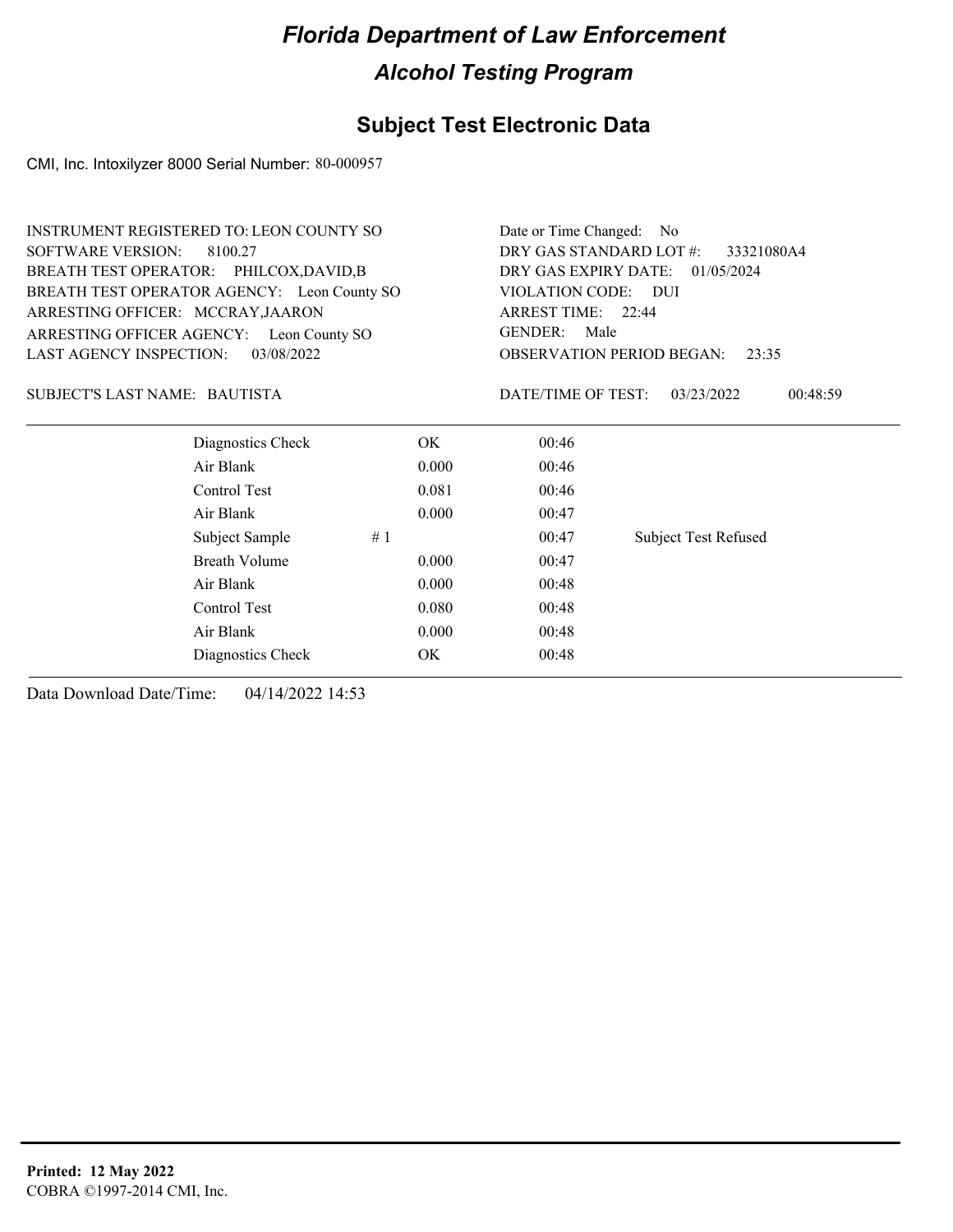## **Subject Test Electronic Data**

CMI, Inc. Intoxilyzer 8000 Serial Number: 80-000957

|                          | <b>INSTRUMENT REGISTERED TO: LEON COUNTY SO</b> |       | Date or Time Changed: No                                                                  |                             |  |  |
|--------------------------|-------------------------------------------------|-------|-------------------------------------------------------------------------------------------|-----------------------------|--|--|
| <b>SOFTWARE VERSION:</b> | 8100.27                                         |       | DRY GAS STANDARD LOT #:<br>33321080A4                                                     |                             |  |  |
|                          | BREATH TEST OPERATOR: PHILCOX,DAVID,B           |       | DRY GAS EXPIRY DATE: 01/05/2024                                                           |                             |  |  |
|                          | BREATH TEST OPERATOR AGENCY: Leon County SO     |       | VIOLATION CODE: DUI                                                                       |                             |  |  |
|                          | ARRESTING OFFICER: MCCRAY, JAARON               |       | ARREST TIME: 22:44<br><b>GENDER:</b><br>Male<br><b>OBSERVATION PERIOD BEGAN:</b><br>23:35 |                             |  |  |
|                          | ARRESTING OFFICER AGENCY: Leon County SO        |       |                                                                                           |                             |  |  |
| LAST AGENCY INSPECTION:  | 03/08/2022                                      |       |                                                                                           |                             |  |  |
|                          | SUBJECT'S LAST NAME: BAUTISTA                   |       | DATE/TIME OF TEST:                                                                        | 03/23/2022<br>00:48:59      |  |  |
|                          | Diagnostics Check                               | OK.   | 00:46                                                                                     |                             |  |  |
|                          | Air Blank                                       | 0.000 | 00:46                                                                                     |                             |  |  |
|                          | Control Test                                    | 0.081 | 00:46                                                                                     |                             |  |  |
|                          | Air Blank                                       | 0.000 | 00:47                                                                                     |                             |  |  |
|                          | Subject Sample                                  | #1    | 00:47                                                                                     | <b>Subject Test Refused</b> |  |  |
|                          | <b>Breath Volume</b>                            | 0.000 | 00:47                                                                                     |                             |  |  |
|                          | Air Blank                                       | 0.000 | 00:48                                                                                     |                             |  |  |
|                          | Control Test                                    | 0.080 | 00:48                                                                                     |                             |  |  |
|                          | Air Blank                                       | 0.000 | 00:48                                                                                     |                             |  |  |

Diagnostics Check OK 00:48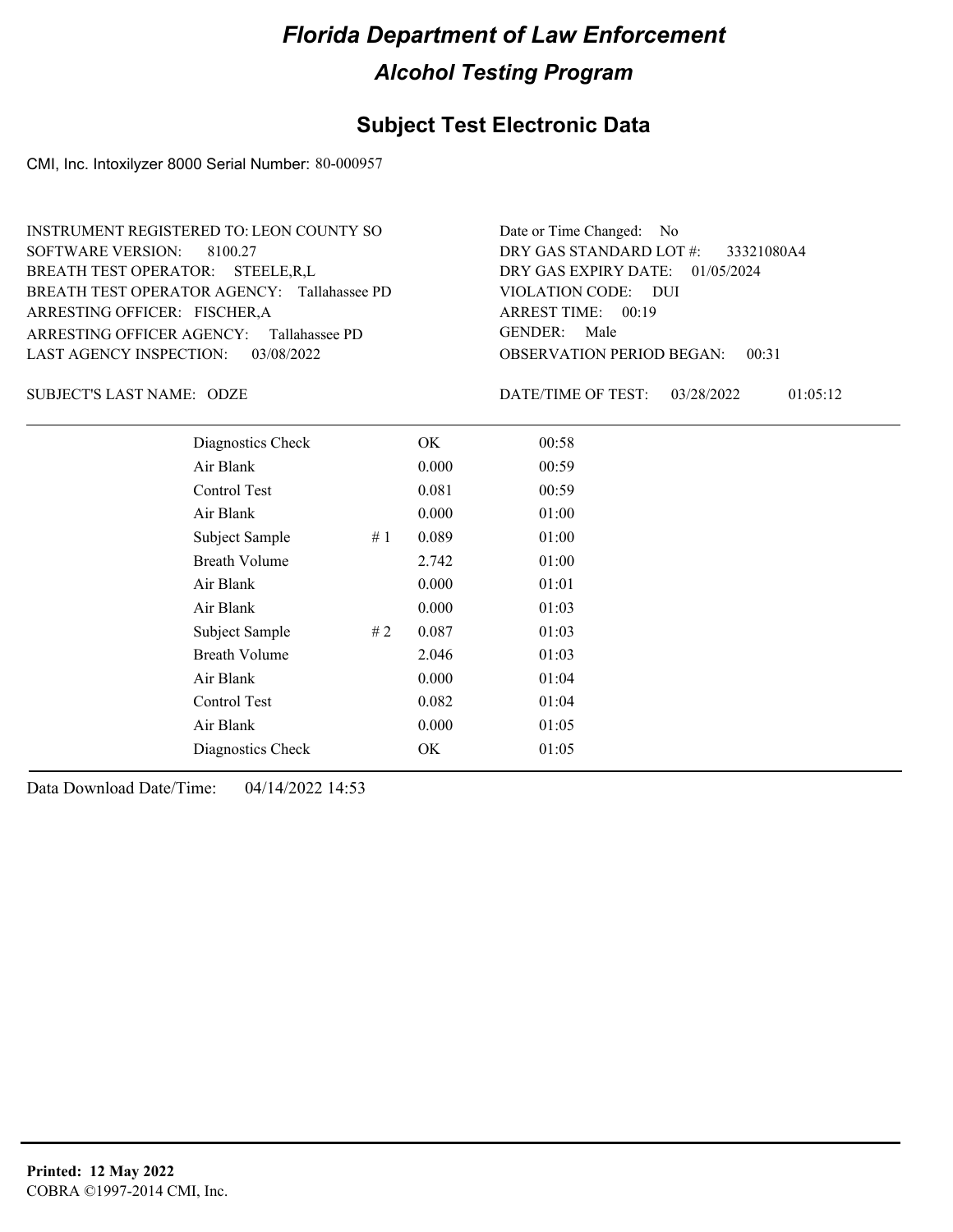## **Subject Test Electronic Data**

CMI, Inc. Intoxilyzer 8000 Serial Number: 80-000957

| INSTRUMENT REGISTERED TO: LEON COUNTY SO    | Date or Time Changed: No               |
|---------------------------------------------|----------------------------------------|
| SOFTWARE VERSION: 8100.27                   | DRY GAS STANDARD LOT $\#$ : 33321080A4 |
| BREATH TEST OPERATOR: STEELE, R.L           | DRY GAS EXPIRY DATE: $01/05/2024$      |
| BREATH TEST OPERATOR AGENCY: Tallahassee PD | VIOLATION CODE: DUI                    |
| ARRESTING OFFICER: FISCHER, A               | ARREST TIME: 00:19                     |
| ARRESTING OFFICER AGENCY: Tallahassee PD    | GENDER: Male                           |
| LAST AGENCY INSPECTION: 03/08/2022          | <b>OBSERVATION PERIOD BEGAN: 00:31</b> |

SUBJECT'S LAST NAME: ODZE DATE/TIME OF TEST:

DATE/TIME OF TEST: 03/28/2022 01:05:12

| Diagnostics Check    |    | OK    | 00:58 |  |  |
|----------------------|----|-------|-------|--|--|
| Air Blank            |    | 0.000 | 00:59 |  |  |
| Control Test         |    | 0.081 | 00:59 |  |  |
| Air Blank            |    | 0.000 | 01:00 |  |  |
| Subject Sample       | #1 | 0.089 | 01:00 |  |  |
| <b>Breath Volume</b> |    | 2.742 | 01:00 |  |  |
| Air Blank            |    | 0.000 | 01:01 |  |  |
| Air Blank            |    | 0.000 | 01:03 |  |  |
| Subject Sample       | #2 | 0.087 | 01:03 |  |  |
| <b>Breath Volume</b> |    | 2.046 | 01:03 |  |  |
| Air Blank            |    | 0.000 | 01:04 |  |  |
| Control Test         |    | 0.082 | 01:04 |  |  |
| Air Blank            |    | 0.000 | 01:05 |  |  |
| Diagnostics Check    |    | OK    | 01:05 |  |  |
|                      |    |       |       |  |  |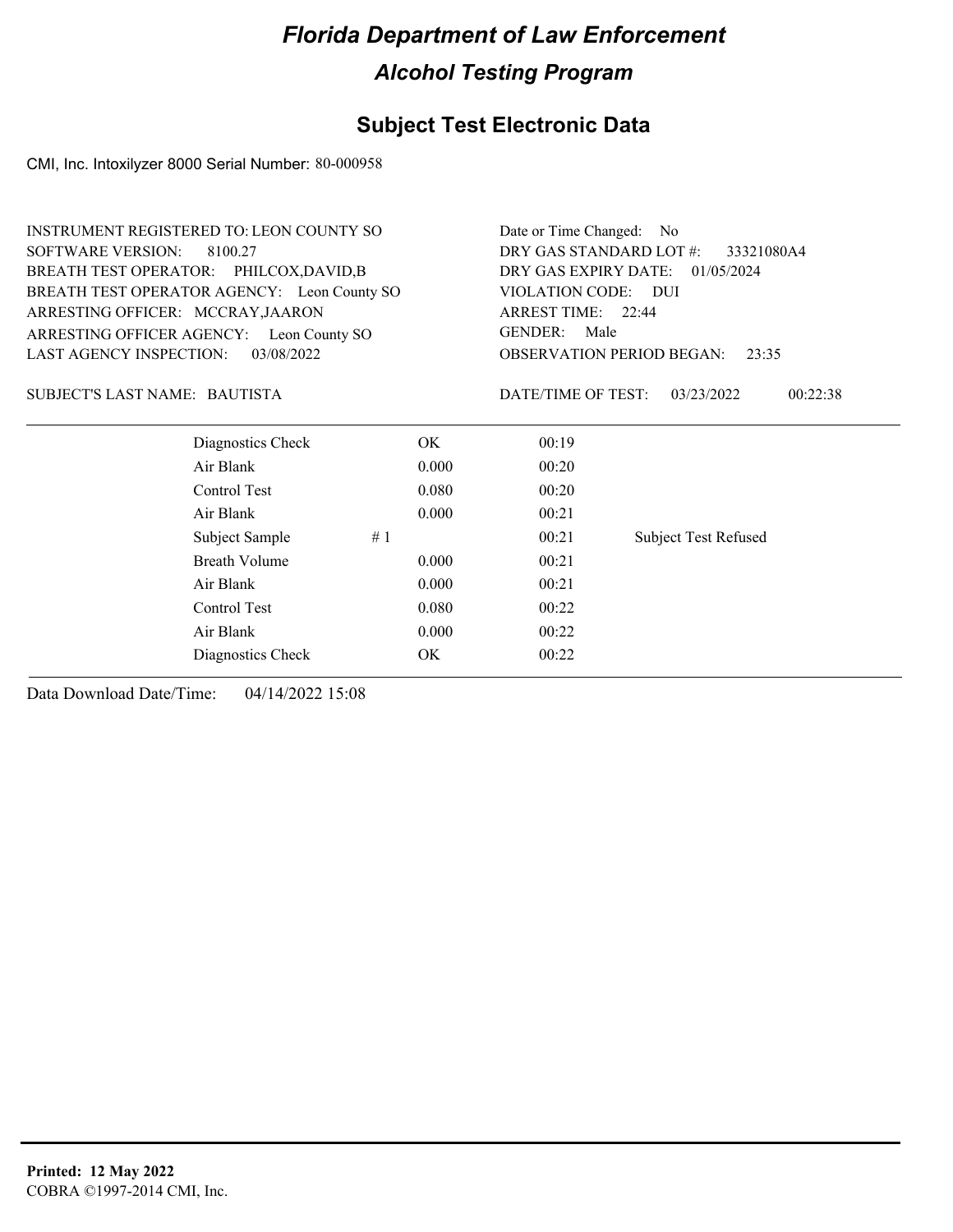## **Subject Test Electronic Data**

CMI, Inc. Intoxilyzer 8000 Serial Number: 80-000958

| <b>INSTRUMENT REGISTERED TO: LEON COUNTY SO</b> | Date or Time Changed: No |                                           |                             |  |  |
|-------------------------------------------------|--------------------------|-------------------------------------------|-----------------------------|--|--|
| <b>SOFTWARE VERSION:</b><br>8100.27             |                          | DRY GAS STANDARD LOT #:<br>33321080A4     |                             |  |  |
| BREATH TEST OPERATOR: PHILCOX,DAVID,B           |                          | DRY GAS EXPIRY DATE:<br>01/05/2024        |                             |  |  |
| BREATH TEST OPERATOR AGENCY: Leon County SO     |                          | VIOLATION CODE: DUI                       |                             |  |  |
| ARRESTING OFFICER: MCCRAY, JAARON               |                          | ARREST TIME: 22:44                        |                             |  |  |
| ARRESTING OFFICER AGENCY: Leon County SO        |                          | <b>GENDER:</b><br>Male                    |                             |  |  |
| <b>LAST AGENCY INSPECTION:</b><br>03/08/2022    |                          | <b>OBSERVATION PERIOD BEGAN:</b><br>23:35 |                             |  |  |
| SUBJECT'S LAST NAME: BAUTISTA                   |                          | DATE/TIME OF TEST:                        | 03/23/2022<br>00:22:38      |  |  |
| Diagnostics Check                               | OK.                      | 00:19                                     |                             |  |  |
| Air Blank                                       | 0.000                    | 00:20                                     |                             |  |  |
| Control Test                                    | 0.080                    | 00:20                                     |                             |  |  |
| Air Blank                                       | 0.000                    | 00:21                                     |                             |  |  |
| Subject Sample                                  | #1                       | 00:21                                     | <b>Subject Test Refused</b> |  |  |
| Breath Volume                                   | 0.000                    | 00:21                                     |                             |  |  |
| Air Blank                                       | 0.000                    | 00:21                                     |                             |  |  |
| Control Test                                    | 0.080                    | 00:22                                     |                             |  |  |
| Air Blank                                       | 0.000                    | 00:22                                     |                             |  |  |
| Diagnostics Check                               | OK                       | 00:22                                     |                             |  |  |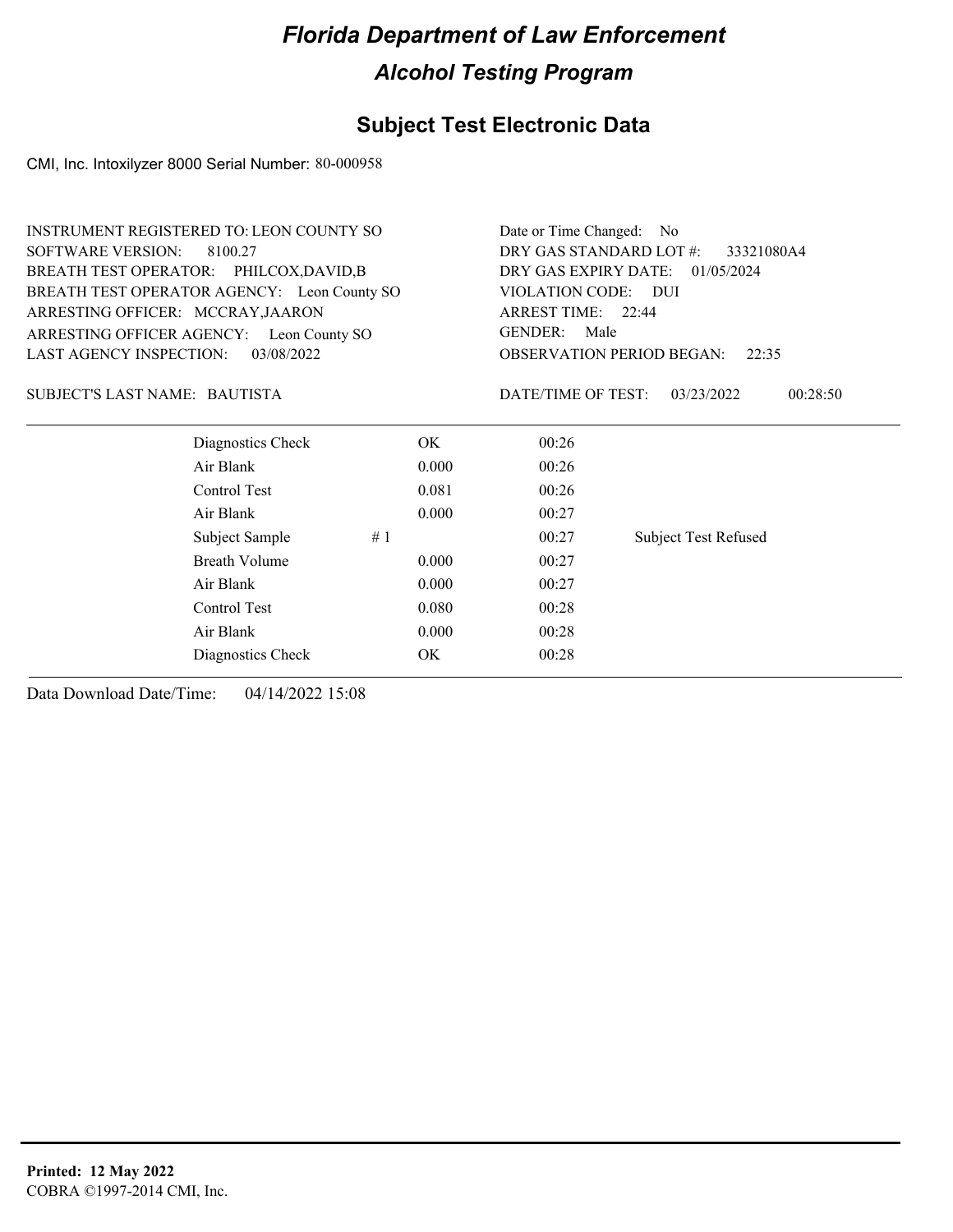## **Subject Test Electronic Data**

CMI, Inc. Intoxilyzer 8000 Serial Number: 80-000958

| <b>INSTRUMENT REGISTERED TO: LEON COUNTY SO</b> |                      |                                       | Date or Time Changed:                     | No.                         |  |
|-------------------------------------------------|----------------------|---------------------------------------|-------------------------------------------|-----------------------------|--|
| <b>SOFTWARE VERSION:</b><br>8100.27             |                      | DRY GAS STANDARD LOT #:<br>33321080A4 |                                           |                             |  |
| BREATH TEST OPERATOR: PHILCOX,DAVID,B           |                      | DRY GAS EXPIRY DATE:<br>01/05/2024    |                                           |                             |  |
| BREATH TEST OPERATOR AGENCY: Leon County SO     |                      |                                       | VIOLATION CODE: DUI                       |                             |  |
| ARRESTING OFFICER: MCCRAY, JAARON               |                      |                                       | ARREST TIME: 22:44                        |                             |  |
| ARRESTING OFFICER AGENCY: Leon County SO        |                      |                                       | <b>GENDER:</b><br>Male                    |                             |  |
| <b>LAST AGENCY INSPECTION:</b>                  | 03/08/2022           |                                       | <b>OBSERVATION PERIOD BEGAN:</b><br>22:35 |                             |  |
| SUBJECT'S LAST NAME: BAUTISTA                   |                      |                                       | DATE/TIME OF TEST:                        | 00:28:50<br>03/23/2022      |  |
|                                                 | Diagnostics Check    | OK                                    | 00:26                                     |                             |  |
| Air Blank                                       |                      | 0.000                                 | 00:26                                     |                             |  |
| Control Test                                    |                      | 0.081                                 | 00:26                                     |                             |  |
| Air Blank                                       |                      | 0.000                                 | 00:27                                     |                             |  |
|                                                 | Subject Sample<br>#1 |                                       | 00:27                                     | <b>Subject Test Refused</b> |  |
|                                                 | <b>Breath Volume</b> | 0.000                                 | 00:27                                     |                             |  |
| Air Blank                                       |                      | 0.000                                 | 00:27                                     |                             |  |
| Control Test                                    |                      | 0.080                                 | 00:28                                     |                             |  |
| Air Blank                                       |                      | 0.000                                 | 00:28                                     |                             |  |
|                                                 | Diagnostics Check    | OK                                    | 00:28                                     |                             |  |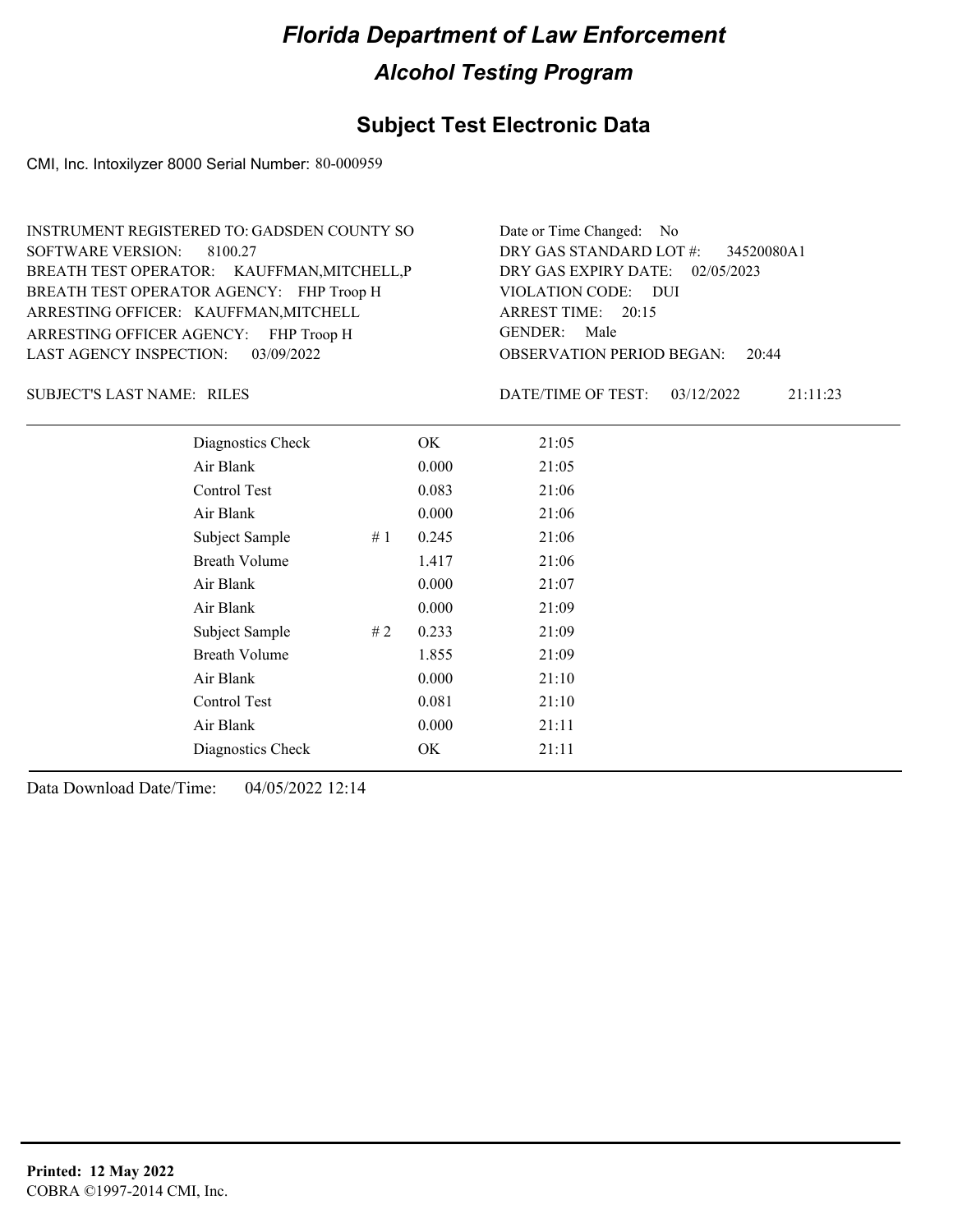## **Subject Test Electronic Data**

CMI, Inc. Intoxilyzer 8000 Serial Number: 80-000959

| INSTRUMENT REGISTERED TO: GADSDEN COUNTY SO | Date or Time Changed: No               |
|---------------------------------------------|----------------------------------------|
| SOFTWARE VERSION: 8100.27                   | DRY GAS STANDARD LOT $\#$ : 34520080A1 |
| BREATH TEST OPERATOR: KAUFFMAN, MITCHELL, P | DRY GAS EXPIRY DATE: 02/05/2023        |
| BREATH TEST OPERATOR AGENCY: FHP Troop H    | VIOLATION CODE: DUI                    |
| ARRESTING OFFICER: KAUFFMAN, MITCHELL       | ARREST TIME: 20:15                     |
| ARRESTING OFFICER AGENCY: FHP Troop H       | GENDER: Male                           |
| LAST AGENCY INSPECTION: 03/09/2022          | <b>OBSERVATION PERIOD BEGAN: 20:44</b> |

SUBJECT'S LAST NAME: RILES DATE/TIME OF TEST:

DATE/TIME OF TEST: 03/12/2022 21:11:23

| Diagnostics Check    | OK    | 21:05 |
|----------------------|-------|-------|
| Air Blank            | 0.000 | 21:05 |
| Control Test         | 0.083 | 21:06 |
| Air Blank            | 0.000 | 21:06 |
| Subject Sample<br>#1 | 0.245 | 21:06 |
| <b>Breath Volume</b> | 1.417 | 21:06 |
| Air Blank            | 0.000 | 21:07 |
| Air Blank            | 0.000 | 21:09 |
| Subject Sample<br>#2 | 0.233 | 21:09 |
| <b>Breath Volume</b> | 1.855 | 21:09 |
| Air Blank            | 0.000 | 21:10 |
| Control Test         | 0.081 | 21:10 |
| Air Blank            | 0.000 | 21:11 |
| Diagnostics Check    | OK    | 21:11 |
|                      |       |       |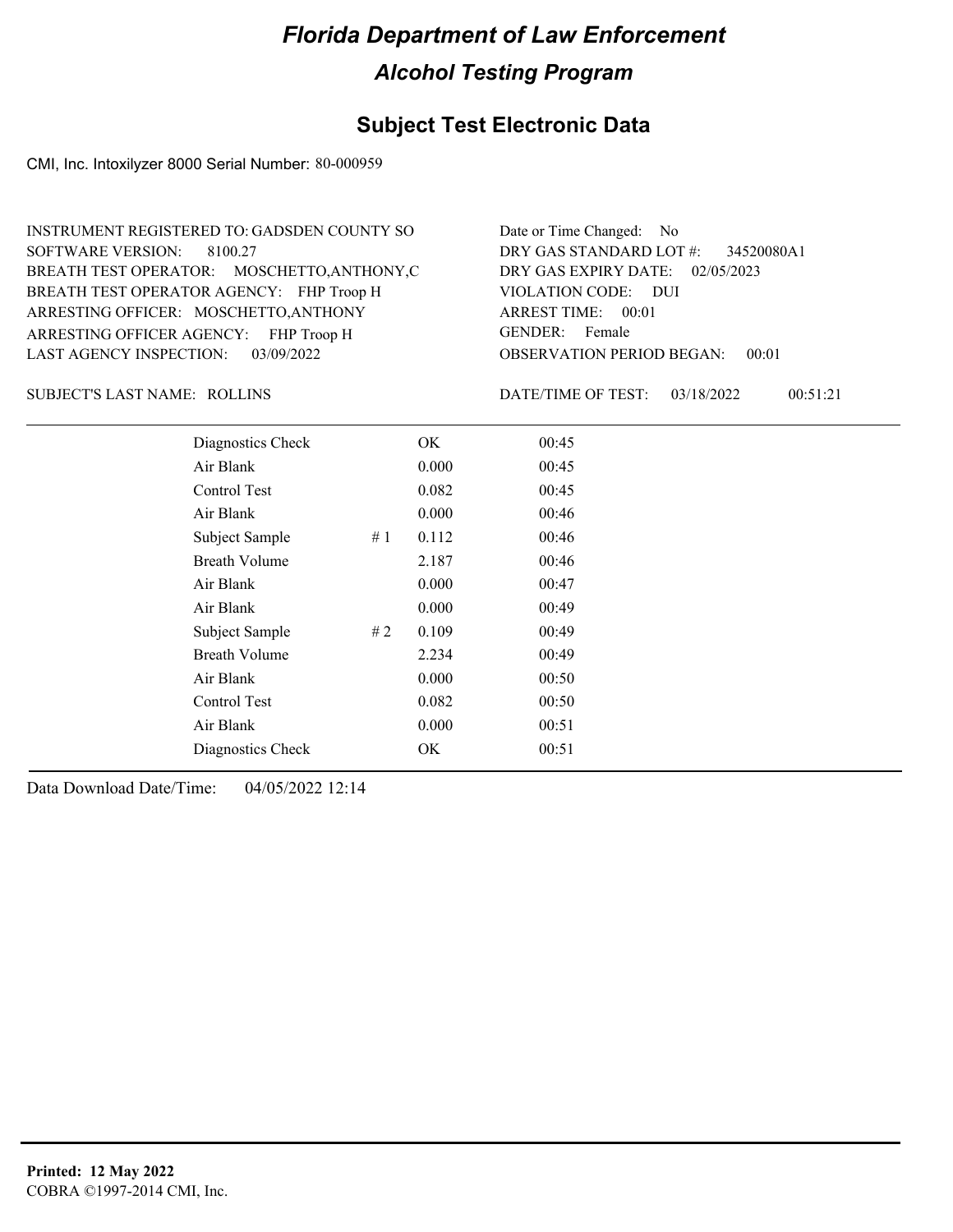#### **Subject Test Electronic Data**

CMI, Inc. Intoxilyzer 8000 Serial Number: 80-000959

OBSERVATION PERIOD BEGAN: 00:01 ARRESTING OFFICER AGENCY: FHP Troop H GENDER: BREATH TEST OPERATOR AGENCY: FHP Troop H VIOLATION CODE: SOFTWARE VERSION: 8100.27 VIOLATION CODE: DUI ARREST TIME: 00:01 ARRESTING OFFICER: MOSCHETTO, ANTHONY DRY GAS EXPIRY DATE: 02/05/2023 34520080A1 BREATH TEST OPERATOR: MOSCHETTO,ANTHONY,C LAST AGENCY INSPECTION: 03/09/2022 INSTRUMENT REGISTERED TO: GADSDEN COUNTY SO DRY GAS STANDARD LOT #: Date or Time Changed: No GENDER: Female

SUBJECT'S LAST NAME: ROLLINS DATE/TIME OF TEST:

DATE/TIME OF TEST: 03/18/2022 00:51:21

| Diagnostics Check    |    | OK    | 00:45 |
|----------------------|----|-------|-------|
| Air Blank            |    | 0.000 | 00:45 |
| Control Test         |    | 0.082 | 00:45 |
| Air Blank            |    | 0.000 | 00:46 |
| Subject Sample       | #1 | 0.112 | 00:46 |
| <b>Breath Volume</b> |    | 2.187 | 00:46 |
| Air Blank            |    | 0.000 | 00:47 |
| Air Blank            |    | 0.000 | 00:49 |
| Subject Sample       | #2 | 0.109 | 00:49 |
| <b>Breath Volume</b> |    | 2.234 | 00:49 |
| Air Blank            |    | 0.000 | 00:50 |
| Control Test         |    | 0.082 | 00:50 |
| Air Blank            |    | 0.000 | 00:51 |
| Diagnostics Check    |    | OK    | 00:51 |
|                      |    |       |       |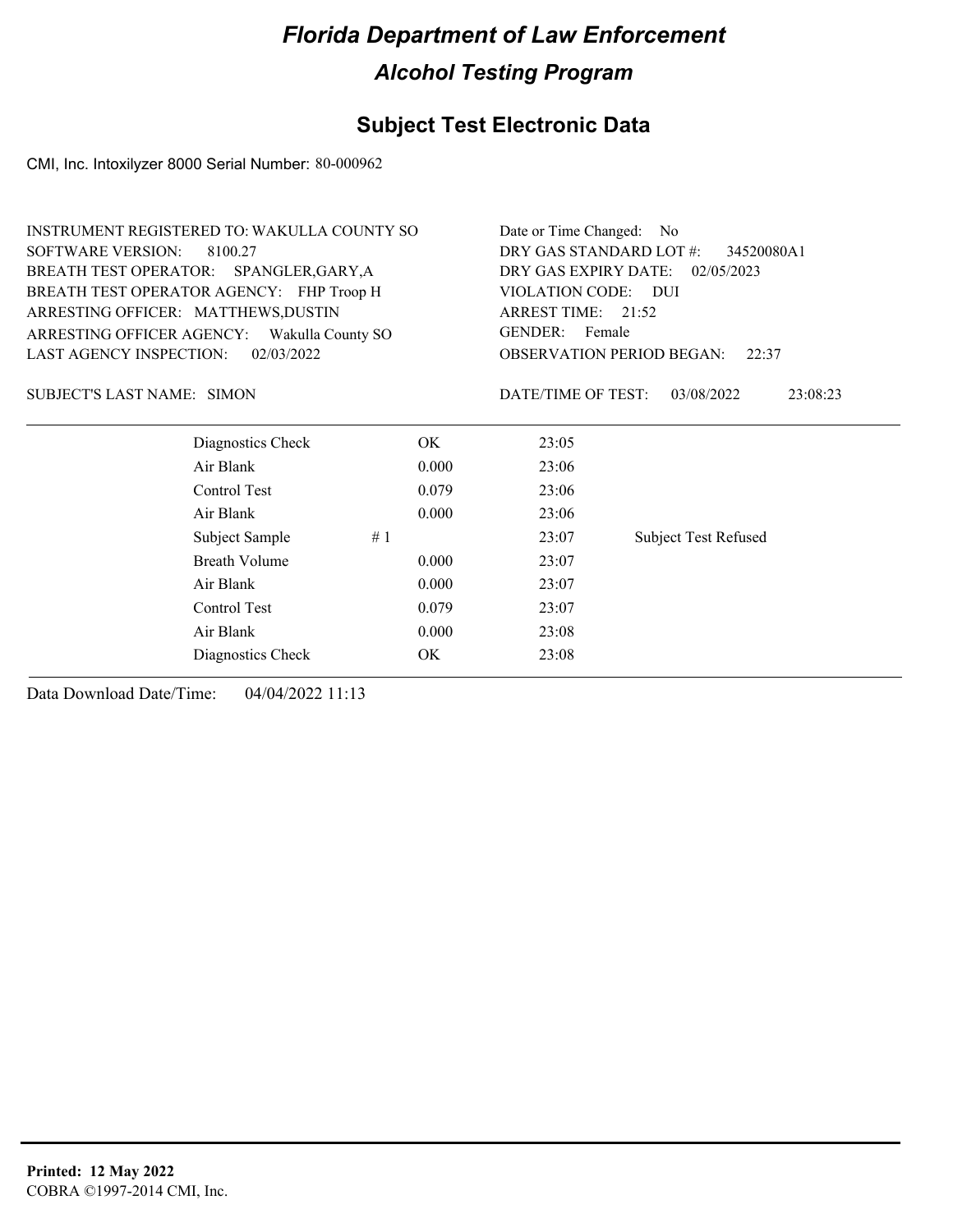## **Subject Test Electronic Data**

CMI, Inc. Intoxilyzer 8000 Serial Number: 80-000962

|                                                | <b>INSTRUMENT REGISTERED TO: WAKULLA COUNTY SO</b>          |                        |                             |  |  |
|------------------------------------------------|-------------------------------------------------------------|------------------------|-----------------------------|--|--|
| <b>SOFTWARE VERSION:</b><br>8100.27            | DRY GAS STANDARD LOT #:                                     | 34520080A1             |                             |  |  |
| BREATH TEST OPERATOR: SPANGLER, GARY, A        | DRY GAS EXPIRY DATE:                                        | 02/05/2023             |                             |  |  |
| BREATH TEST OPERATOR AGENCY: FHP Troop H       |                                                             | <b>VIOLATION CODE:</b> | – DUI                       |  |  |
| ARRESTING OFFICER: MATTHEWS, DUSTIN            |                                                             | ARREST TIME: 21:52     |                             |  |  |
| ARRESTING OFFICER AGENCY:<br>Wakulla County SO | GENDER: Female<br><b>OBSERVATION PERIOD BEGAN:</b><br>22:37 |                        |                             |  |  |
| 02/03/2022<br><b>LAST AGENCY INSPECTION:</b>   |                                                             |                        |                             |  |  |
| SUBJECT'S LAST NAME: SIMON                     |                                                             | DATE/TIME OF TEST:     | 03/08/2022<br>23:08:23      |  |  |
| Diagnostics Check                              | OK.                                                         | 23:05                  |                             |  |  |
| Air Blank                                      | 0.000                                                       | 23:06                  |                             |  |  |
| Control Test                                   | 0.079                                                       | 23:06                  |                             |  |  |
| Air Blank                                      | 0.000                                                       | 23:06                  |                             |  |  |
| Subject Sample                                 | #1                                                          | 23:07                  | <b>Subject Test Refused</b> |  |  |
| <b>Breath Volume</b>                           | 0.000                                                       | 23:07                  |                             |  |  |
| Air Blank                                      | 0.000                                                       | 23:07                  |                             |  |  |
| Control Test                                   | 0.079                                                       | 23:07                  |                             |  |  |
| Air Blank                                      | 0.000                                                       | 23:08                  |                             |  |  |
| Diagnostics Check                              | OK                                                          | 23:08                  |                             |  |  |
|                                                |                                                             |                        |                             |  |  |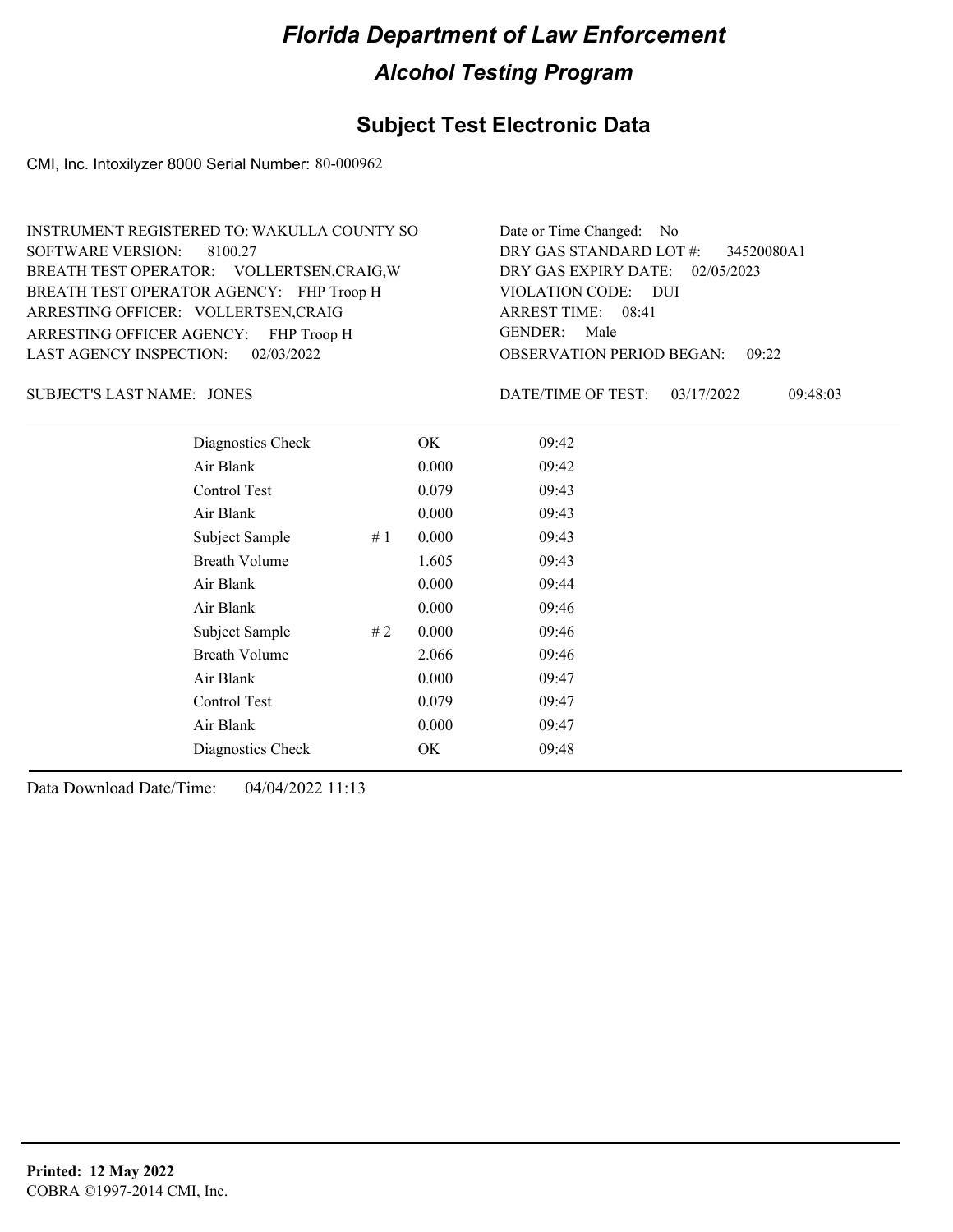## **Subject Test Electronic Data**

CMI, Inc. Intoxilyzer 8000 Serial Number: 80-000962

| INSTRUMENT REGISTERED TO: WAKULLA COUNTY SO | Date or Time Changed: No               |
|---------------------------------------------|----------------------------------------|
| SOFTWARE VERSION: 8100.27                   | DRY GAS STANDARD LOT #: 34520080A1     |
| BREATH TEST OPERATOR: VOLLERTSEN, CRAIG, W  | DRY GAS EXPIRY DATE: 02/05/2023        |
| BREATH TEST OPERATOR AGENCY: FHP Troop H    | VIOLATION CODE: DUI                    |
| ARRESTING OFFICER: VOLLERTSEN, CRAIG        | ARREST TIME: 08:41                     |
| ARRESTING OFFICER AGENCY: FHP Troop H       | GENDER: Male                           |
| LAST AGENCY INSPECTION: 02/03/2022          | <b>OBSERVATION PERIOD BEGAN: 09:22</b> |

JONES SUBJECT'S LAST NAME: DATE/TIME OF TEST:

DATE/TIME OF TEST: 03/17/2022 09:48:03

| Diagnostics Check    |    | OK    | 09:42 |
|----------------------|----|-------|-------|
| Air Blank            |    | 0.000 | 09:42 |
| Control Test         |    | 0.079 | 09:43 |
| Air Blank            |    | 0.000 | 09:43 |
| Subject Sample       | #1 | 0.000 | 09:43 |
| Breath Volume        |    | 1.605 | 09:43 |
| Air Blank            |    | 0.000 | 09:44 |
| Air Blank            |    | 0.000 | 09:46 |
| Subject Sample       | #2 | 0.000 | 09:46 |
| <b>Breath Volume</b> |    | 2.066 | 09:46 |
| Air Blank            |    | 0.000 | 09:47 |
| <b>Control Test</b>  |    | 0.079 | 09:47 |
| Air Blank            |    | 0.000 | 09:47 |
| Diagnostics Check    |    | OK    | 09:48 |
|                      |    |       |       |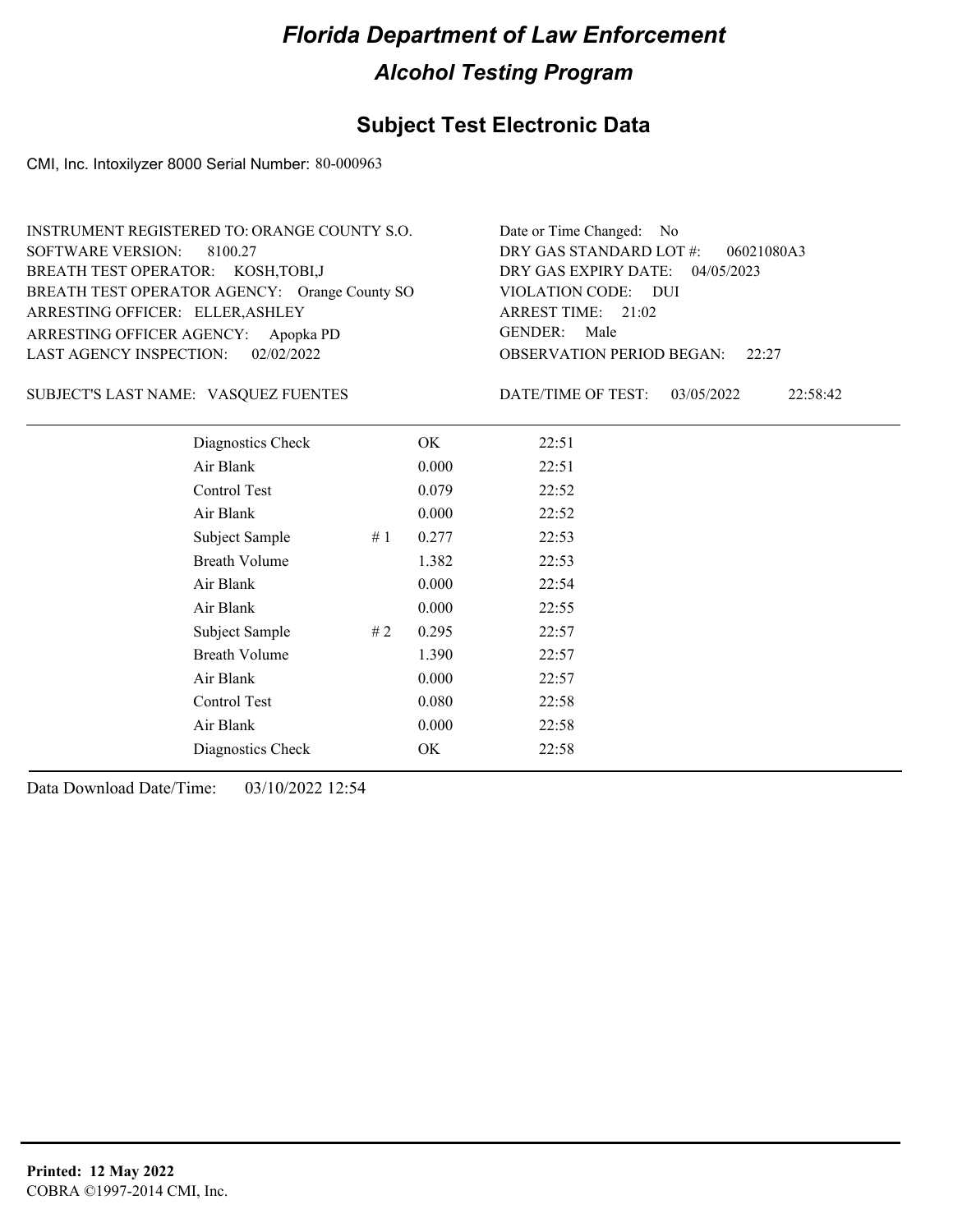## **Subject Test Electronic Data**

CMI, Inc. Intoxilyzer 8000 Serial Number: 80-000963

| INSTRUMENT REGISTERED TO: ORANGE COUNTY S.O.  | Date or Time Changed: No               |
|-----------------------------------------------|----------------------------------------|
| SOFTWARE VERSION: 8100.27                     | DRY GAS STANDARD LOT $#$ : 06021080A3  |
| BREATH TEST OPERATOR: KOSH, TOBI, J           | DRY GAS EXPIRY DATE: 04/05/2023        |
| BREATH TEST OPERATOR AGENCY: Orange County SO | VIOLATION CODE: DUI                    |
| ARRESTING OFFICER: ELLER, ASHLEY              | ARREST TIME: 21:02                     |
| ARRESTING OFFICER AGENCY: Apopka PD           | GENDER: Male                           |
| LAST AGENCY INSPECTION: 02/02/2022            | <b>OBSERVATION PERIOD BEGAN:</b> 22:27 |

#### VASQUEZ FUENTES SUBJECT'S LAST NAME: DATE/TIME OF TEST:

DATE/TIME OF TEST: 03/05/2022 22:58:42

| Diagnostics Check    |    | OK    | 22:51 |
|----------------------|----|-------|-------|
| Air Blank            |    | 0.000 | 22:51 |
| Control Test         |    | 0.079 | 22:52 |
| Air Blank            |    | 0.000 | 22:52 |
| Subject Sample       | #1 | 0.277 | 22:53 |
| <b>Breath Volume</b> |    | 1.382 | 22:53 |
| Air Blank            |    | 0.000 | 22:54 |
| Air Blank            |    | 0.000 | 22:55 |
| Subject Sample       | #2 | 0.295 | 22:57 |
| <b>Breath Volume</b> |    | 1.390 | 22:57 |
| Air Blank            |    | 0.000 | 22:57 |
| Control Test         |    | 0.080 | 22:58 |
| Air Blank            |    | 0.000 | 22:58 |
| Diagnostics Check    |    | OK    | 22:58 |
|                      |    |       |       |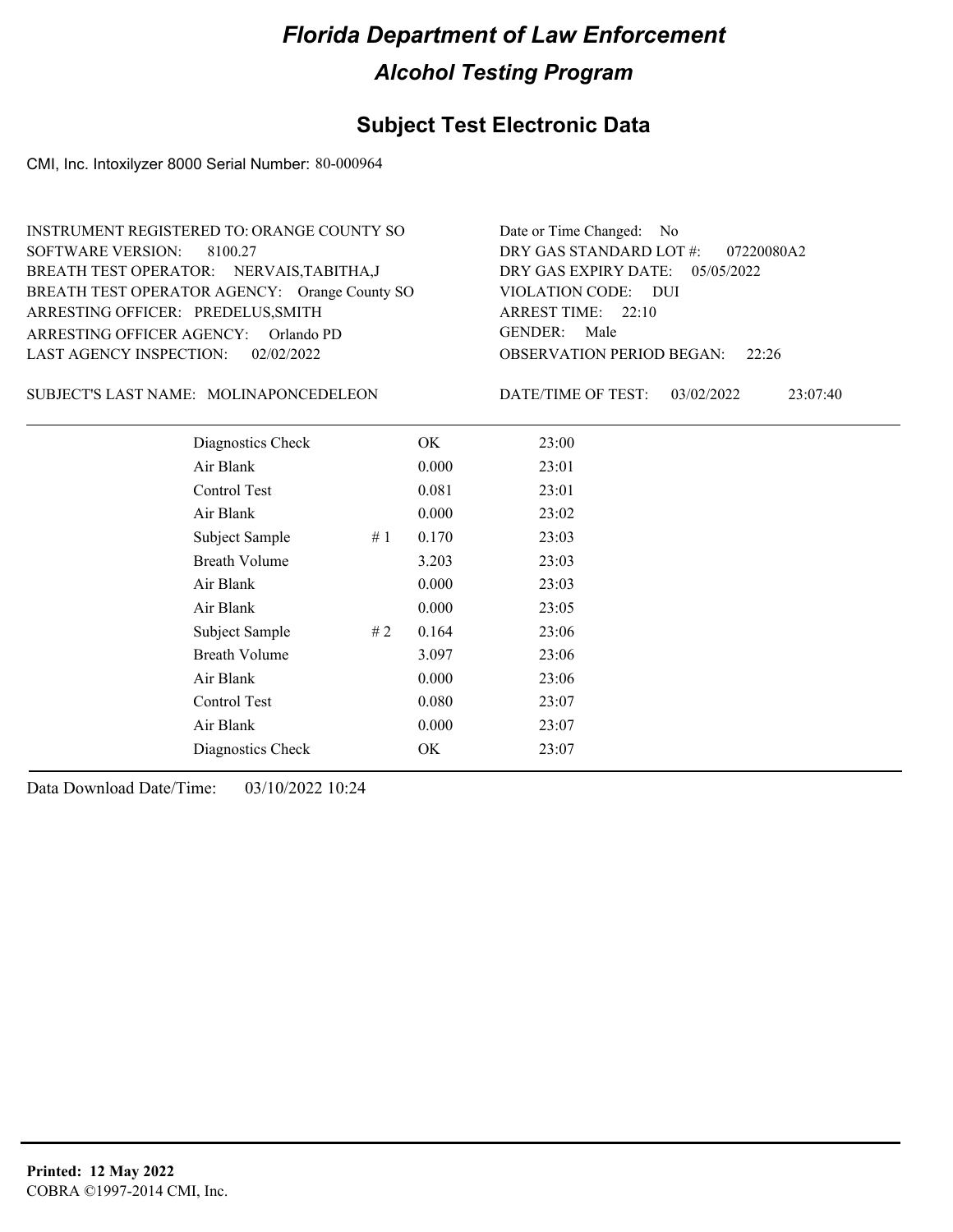## **Subject Test Electronic Data**

CMI, Inc. Intoxilyzer 8000 Serial Number: 80-000964

| INSTRUMENT REGISTERED TO: ORANGE COUNTY SO    | Date or Time Changed: No               |
|-----------------------------------------------|----------------------------------------|
| SOFTWARE VERSION: 8100.27                     | DRY GAS STANDARD LOT #: 07220080A2     |
| BREATH TEST OPERATOR: NERVAIS, TABITHA, J     | DRY GAS EXPIRY DATE: 05/05/2022        |
| BREATH TEST OPERATOR AGENCY: Orange County SO | VIOLATION CODE: DUI                    |
| ARRESTING OFFICER: PREDELUS, SMITH            | ARREST TIME: $22:10$                   |
| ARRESTING OFFICER AGENCY: Orlando PD          | GENDER: Male                           |
| LAST AGENCY INSPECTION: 02/02/2022            | <b>OBSERVATION PERIOD BEGAN:</b> 22:26 |

SUBJECT'S LAST NAME: MOLINAPONCEDELEON DATE/TIME OF TEST:

DATE/TIME OF TEST: 03/02/2022 23:07:40

| Diagnostics Check    |    | OK    | 23:00 |
|----------------------|----|-------|-------|
| Air Blank            |    | 0.000 | 23:01 |
| Control Test         |    | 0.081 | 23:01 |
| Air Blank            |    | 0.000 | 23:02 |
| Subject Sample       | #1 | 0.170 | 23:03 |
| <b>Breath Volume</b> |    | 3.203 | 23:03 |
| Air Blank            |    | 0.000 | 23:03 |
| Air Blank            |    | 0.000 | 23:05 |
| Subject Sample       | #2 | 0.164 | 23:06 |
| <b>Breath Volume</b> |    | 3.097 | 23:06 |
| Air Blank            |    | 0.000 | 23:06 |
| Control Test         |    | 0.080 | 23:07 |
| Air Blank            |    | 0.000 | 23:07 |
| Diagnostics Check    |    | OK    | 23:07 |
|                      |    |       |       |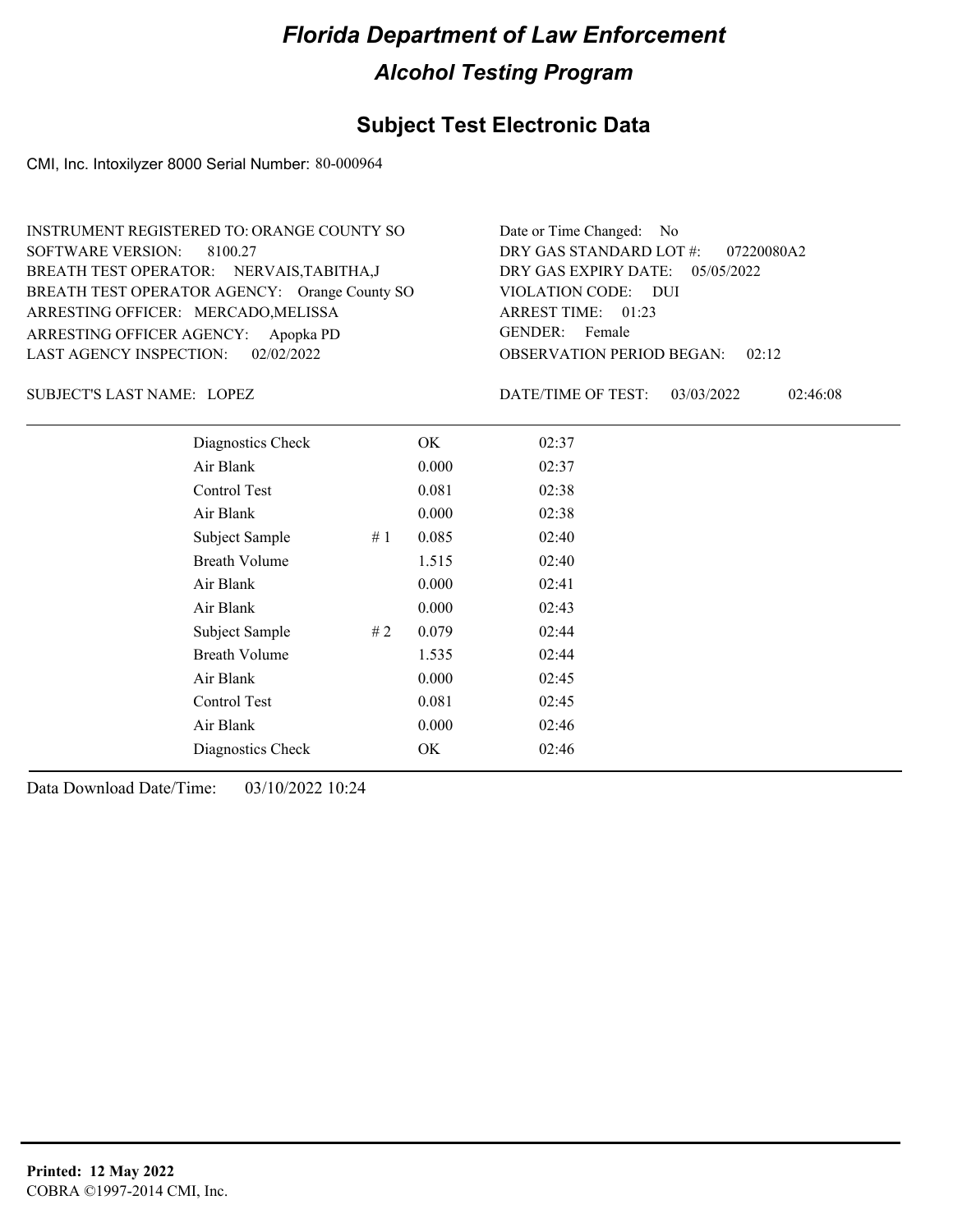## **Subject Test Electronic Data**

CMI, Inc. Intoxilyzer 8000 Serial Number: 80-000964

| INSTRUMENT REGISTERED TO: ORANGE COUNTY SO    | Date or Time Changed: No               |
|-----------------------------------------------|----------------------------------------|
| SOFTWARE VERSION: 8100.27                     | DRY GAS STANDARD LOT #: 07220080A2     |
| BREATH TEST OPERATOR: NERVAIS, TABITHA, J     | DRY GAS EXPIRY DATE: $05/05/2022$      |
| BREATH TEST OPERATOR AGENCY: Orange County SO | VIOLATION CODE: DUI                    |
| ARRESTING OFFICER: MERCADO, MELISSA           | ARREST TIME: 01:23                     |
| ARRESTING OFFICER AGENCY: Apopka PD           | GENDER: Female                         |
| LAST AGENCY INSPECTION: 02/02/2022            | <b>OBSERVATION PERIOD BEGAN: 02:12</b> |

LOPEZ SUBJECT'S LAST NAME: DATE/TIME OF TEST:

DATE/TIME OF TEST: 03/03/2022 02:46:08

| Diagnostics Check    |    | OK    | 02:37 |
|----------------------|----|-------|-------|
| Air Blank            |    | 0.000 | 02:37 |
| Control Test         |    | 0.081 | 02:38 |
| Air Blank            |    | 0.000 | 02:38 |
| Subject Sample       | #1 | 0.085 | 02:40 |
| <b>Breath Volume</b> |    | 1.515 | 02:40 |
| Air Blank            |    | 0.000 | 02:41 |
| Air Blank            |    | 0.000 | 02:43 |
| Subject Sample       | #2 | 0.079 | 02:44 |
| <b>Breath Volume</b> |    | 1.535 | 02:44 |
| Air Blank            |    | 0.000 | 02:45 |
| Control Test         |    | 0.081 | 02:45 |
| Air Blank            |    | 0.000 | 02:46 |
| Diagnostics Check    |    | OK    | 02:46 |
|                      |    |       |       |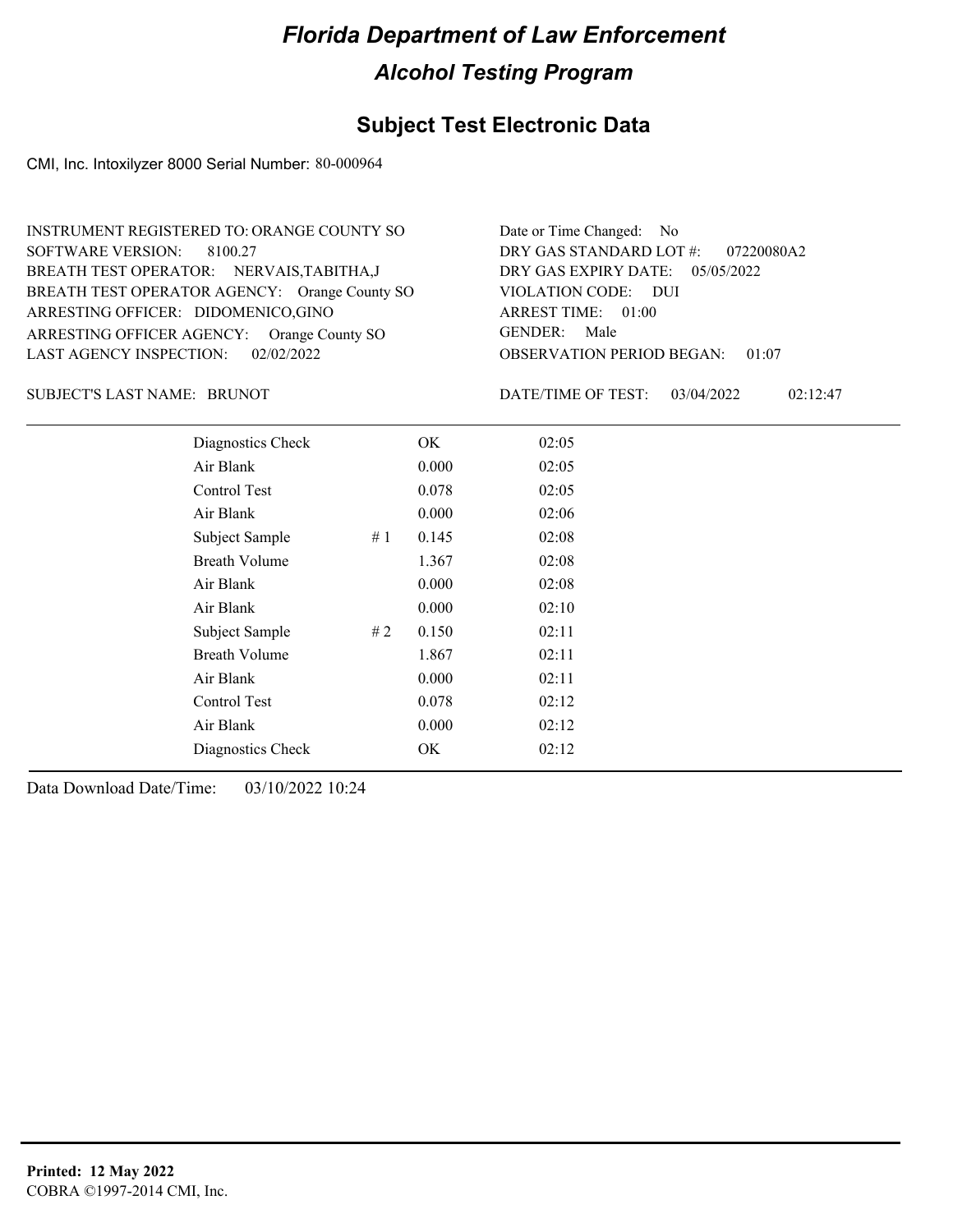## **Subject Test Electronic Data**

CMI, Inc. Intoxilyzer 8000 Serial Number: 80-000964

| INSTRUMENT REGISTERED TO: ORANGE COUNTY SO    | Date or Time Changed: No               |
|-----------------------------------------------|----------------------------------------|
| SOFTWARE VERSION: 8100.27                     | DRY GAS STANDARD LOT $\#$ : 07220080A2 |
| BREATH TEST OPERATOR: NERVAIS, TABITHA, J     | DRY GAS EXPIRY DATE: 05/05/2022        |
| BREATH TEST OPERATOR AGENCY: Orange County SO | VIOLATION CODE: DUI                    |
| ARRESTING OFFICER: DIDOMENICO,GINO            | ARREST TIME: 01:00                     |
| ARRESTING OFFICER AGENCY: Orange County SO    | GENDER: Male                           |
| LAST AGENCY INSPECTION: 02/02/2022            | <b>OBSERVATION PERIOD BEGAN: 01:07</b> |

SUBJECT'S LAST NAME: BRUNOT **Example 20** DATE/TIME OF TEST:

DATE/TIME OF TEST: 03/04/2022 02:12:47

| Diagnostics Check    | OK    | 02:05 |
|----------------------|-------|-------|
| Air Blank            | 0.000 | 02:05 |
| Control Test         | 0.078 | 02:05 |
| Air Blank            | 0.000 | 02:06 |
| Subject Sample<br>#1 | 0.145 | 02:08 |
| <b>Breath Volume</b> | 1.367 | 02:08 |
| Air Blank            | 0.000 | 02:08 |
| Air Blank            | 0.000 | 02:10 |
| Subject Sample<br>#2 | 0.150 | 02:11 |
| <b>Breath Volume</b> | 1.867 | 02:11 |
| Air Blank            | 0.000 | 02:11 |
| Control Test         | 0.078 | 02:12 |
| Air Blank            | 0.000 | 02:12 |
| Diagnostics Check    | OK    | 02:12 |
|                      |       |       |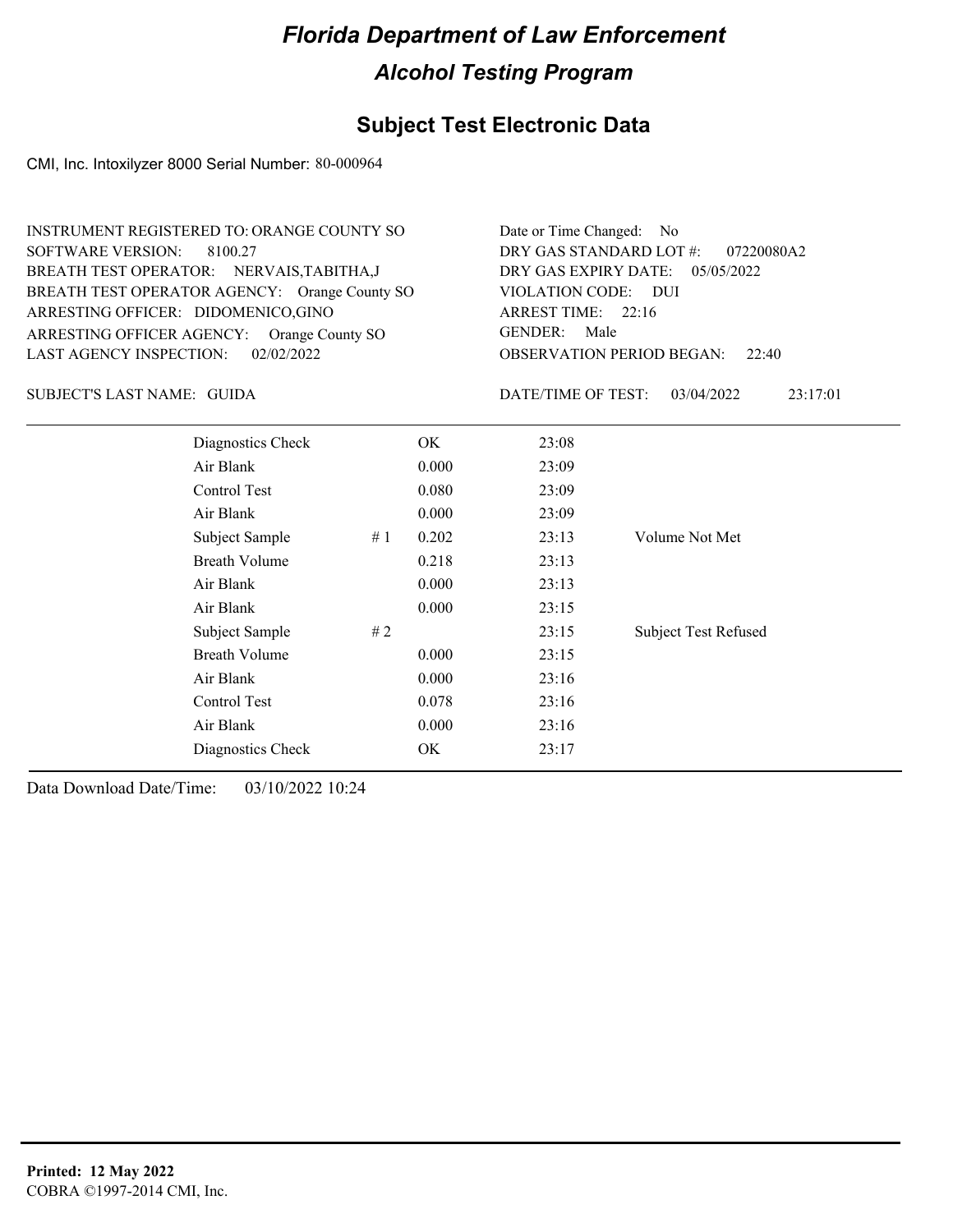## **Subject Test Electronic Data**

CMI, Inc. Intoxilyzer 8000 Serial Number: 80-000964

| INSTRUMENT REGISTERED TO: ORANGE COUNTY SO    | Date or Time Changed: No               |
|-----------------------------------------------|----------------------------------------|
| SOFTWARE VERSION: 8100.27                     | DRY GAS STANDARD LOT #: 07220080A2     |
| BREATH TEST OPERATOR: NERVAIS, TABITHA, J     | DRY GAS EXPIRY DATE: 05/05/2022        |
| BREATH TEST OPERATOR AGENCY: Orange County SO | VIOLATION CODE: DUI                    |
| ARRESTING OFFICER: DIDOMENICO, GINO           | ARREST TIME: 22:16                     |
| ARRESTING OFFICER AGENCY: Orange County SO    | GENDER: Male                           |
| LAST AGENCY INSPECTION: 02/02/2022            | <b>OBSERVATION PERIOD BEGAN:</b> 22:40 |

GUIDA SUBJECT'S LAST NAME: DATE/TIME OF TEST:

DATE/TIME OF TEST: 03/04/2022 23:17:01

| Diagnostics Check    |    | OK    | 23:08 |                             |
|----------------------|----|-------|-------|-----------------------------|
| Air Blank            |    | 0.000 | 23:09 |                             |
| Control Test         |    | 0.080 | 23:09 |                             |
| Air Blank            |    | 0.000 | 23:09 |                             |
| Subject Sample       | #1 | 0.202 | 23:13 | Volume Not Met              |
| <b>Breath Volume</b> |    | 0.218 | 23:13 |                             |
| Air Blank            |    | 0.000 | 23:13 |                             |
| Air Blank            |    | 0.000 | 23:15 |                             |
| Subject Sample       | #2 |       | 23:15 | <b>Subject Test Refused</b> |
| <b>Breath Volume</b> |    | 0.000 | 23:15 |                             |
| Air Blank            |    | 0.000 | 23:16 |                             |
| Control Test         |    | 0.078 | 23:16 |                             |
| Air Blank            |    | 0.000 | 23:16 |                             |
| Diagnostics Check    |    | OK    | 23:17 |                             |
|                      |    |       |       |                             |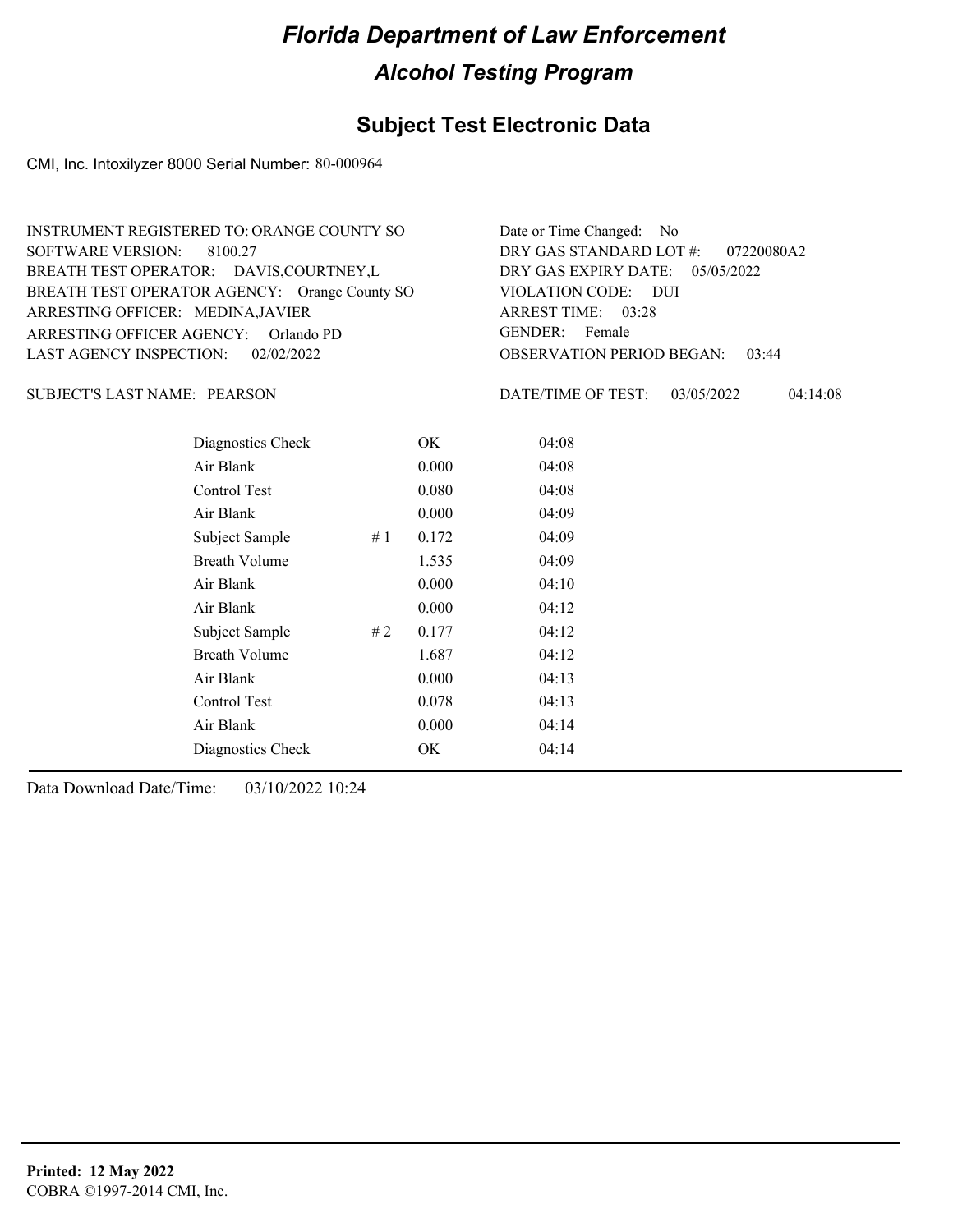#### **Subject Test Electronic Data**

CMI, Inc. Intoxilyzer 8000 Serial Number: 80-000964

OBSERVATION PERIOD BEGAN: 03:44 ARRESTING OFFICER AGENCY: GENDER: Orlando PD BREATH TEST OPERATOR AGENCY: Orange County SO VIOLATION CODE: SOFTWARE VERSION: 8100.27 VIOLATION CODE: DUI 03:28 ARREST TIME: ARRESTING OFFICER: MEDINA,JAVIER DRY GAS EXPIRY DATE: 05/05/2022 07220080A2 BREATH TEST OPERATOR: DAVIS,COURTNEY,L LAST AGENCY INSPECTION: 02/02/2022 INSTRUMENT REGISTERED TO: ORANGE COUNTY SO DRY GAS STANDARD LOT #: Date or Time Changed: No GENDER: Female

SUBJECT'S LAST NAME: PEARSON DATE/TIME OF TEST:

DATE/TIME OF TEST: 03/05/2022 04:14:08

| Diagnostics Check    |    | OK    | 04:08 |
|----------------------|----|-------|-------|
| Air Blank            |    | 0.000 | 04:08 |
| Control Test         |    | 0.080 | 04:08 |
| Air Blank            |    | 0.000 | 04:09 |
| Subject Sample       | #1 | 0.172 | 04:09 |
| <b>Breath Volume</b> |    | 1.535 | 04:09 |
| Air Blank            |    | 0.000 | 04:10 |
| Air Blank            |    | 0.000 | 04:12 |
| Subject Sample       | #2 | 0.177 | 04:12 |
| <b>Breath Volume</b> |    | 1.687 | 04:12 |
| Air Blank            |    | 0.000 | 04:13 |
| Control Test         |    | 0.078 | 04:13 |
| Air Blank            |    | 0.000 | 04:14 |
| Diagnostics Check    |    | OK.   | 04:14 |
|                      |    |       |       |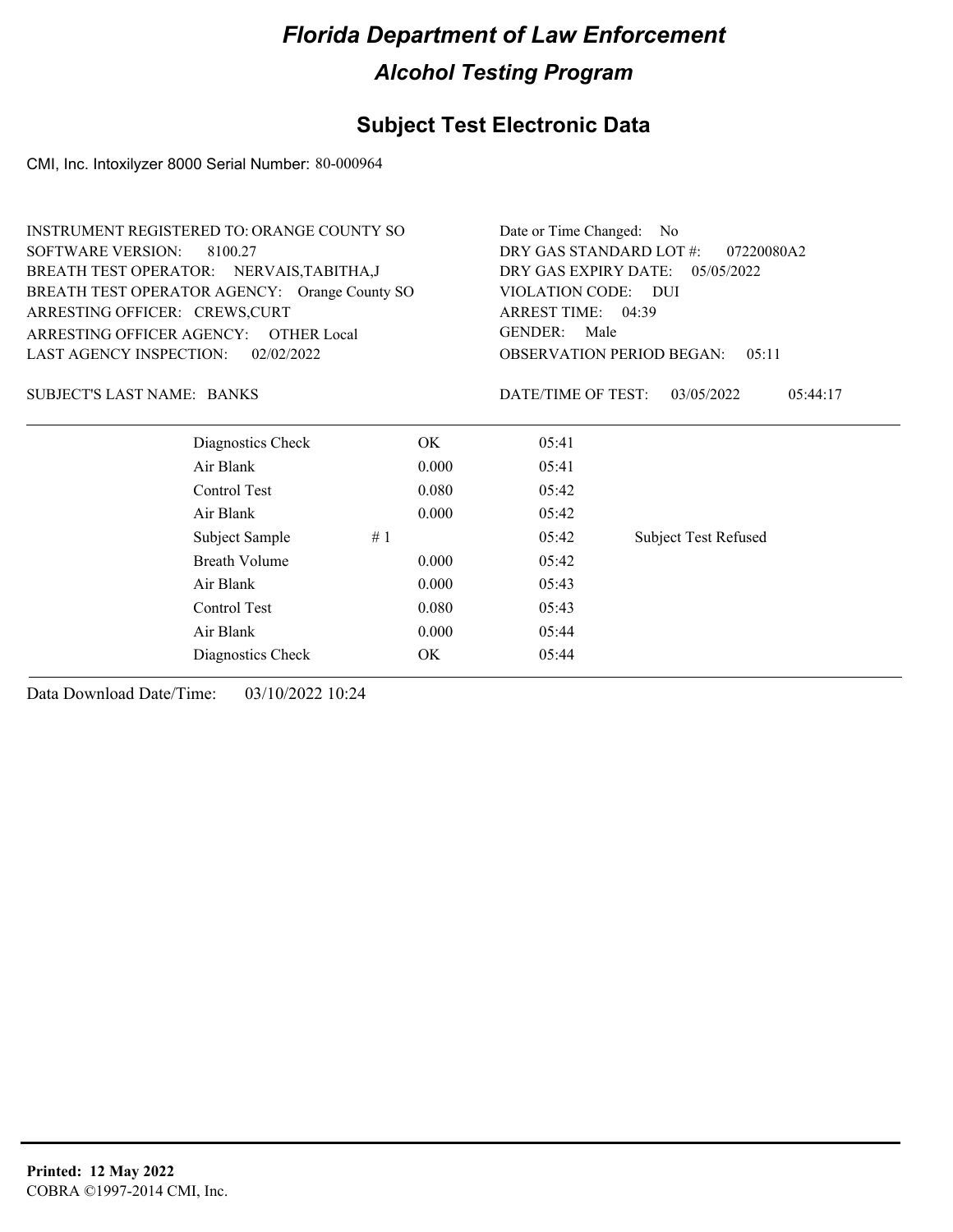## **Subject Test Electronic Data**

CMI, Inc. Intoxilyzer 8000 Serial Number: 80-000964

|                                               | <b>INSTRUMENT REGISTERED TO: ORANGE COUNTY SO</b> | Date or Time Changed:<br>No.<br>DRY GAS STANDARD LOT #:<br>07220080A2<br>DRY GAS EXPIRY DATE:<br>05/05/2022 |                        |                             |  |
|-----------------------------------------------|---------------------------------------------------|-------------------------------------------------------------------------------------------------------------|------------------------|-----------------------------|--|
| <b>SOFTWARE VERSION:</b>                      | 8100.27                                           |                                                                                                             |                        |                             |  |
|                                               | BREATH TEST OPERATOR: NERVAIS, TABITHA, J         |                                                                                                             |                        |                             |  |
| BREATH TEST OPERATOR AGENCY: Orange County SO |                                                   |                                                                                                             | VIOLATION CODE: DUI    |                             |  |
| ARRESTING OFFICER: CREWS, CURT                |                                                   |                                                                                                             | ARREST TIME: 04:39     |                             |  |
|                                               | ARRESTING OFFICER AGENCY: OTHER Local             |                                                                                                             | <b>GENDER:</b><br>Male |                             |  |
| <b>LAST AGENCY INSPECTION:</b><br>02/02/2022  |                                                   | <b>OBSERVATION PERIOD BEGAN:</b><br>05:11                                                                   |                        |                             |  |
| SUBJECT'S LAST NAME: BANKS                    |                                                   |                                                                                                             | DATE/TIME OF TEST:     | 03/05/2022<br>05:44:17      |  |
|                                               | Diagnostics Check                                 | OK.                                                                                                         | 05:41                  |                             |  |
|                                               | Air Blank                                         | 0.000                                                                                                       | 05:41                  |                             |  |
|                                               | Control Test                                      | 0.080                                                                                                       | 05:42                  |                             |  |
|                                               | Air Blank                                         | 0.000                                                                                                       | 05:42                  |                             |  |
|                                               | Subject Sample                                    | #1                                                                                                          | 05:42                  | <b>Subject Test Refused</b> |  |
|                                               | Breath Volume                                     | 0.000                                                                                                       | 05:42                  |                             |  |
|                                               | Air Blank                                         | 0.000                                                                                                       | 05:43                  |                             |  |
|                                               | Control Test                                      | 0.080                                                                                                       | 05:43                  |                             |  |

Air Blank 0.000 05:44 Diagnostics Check OK 05:44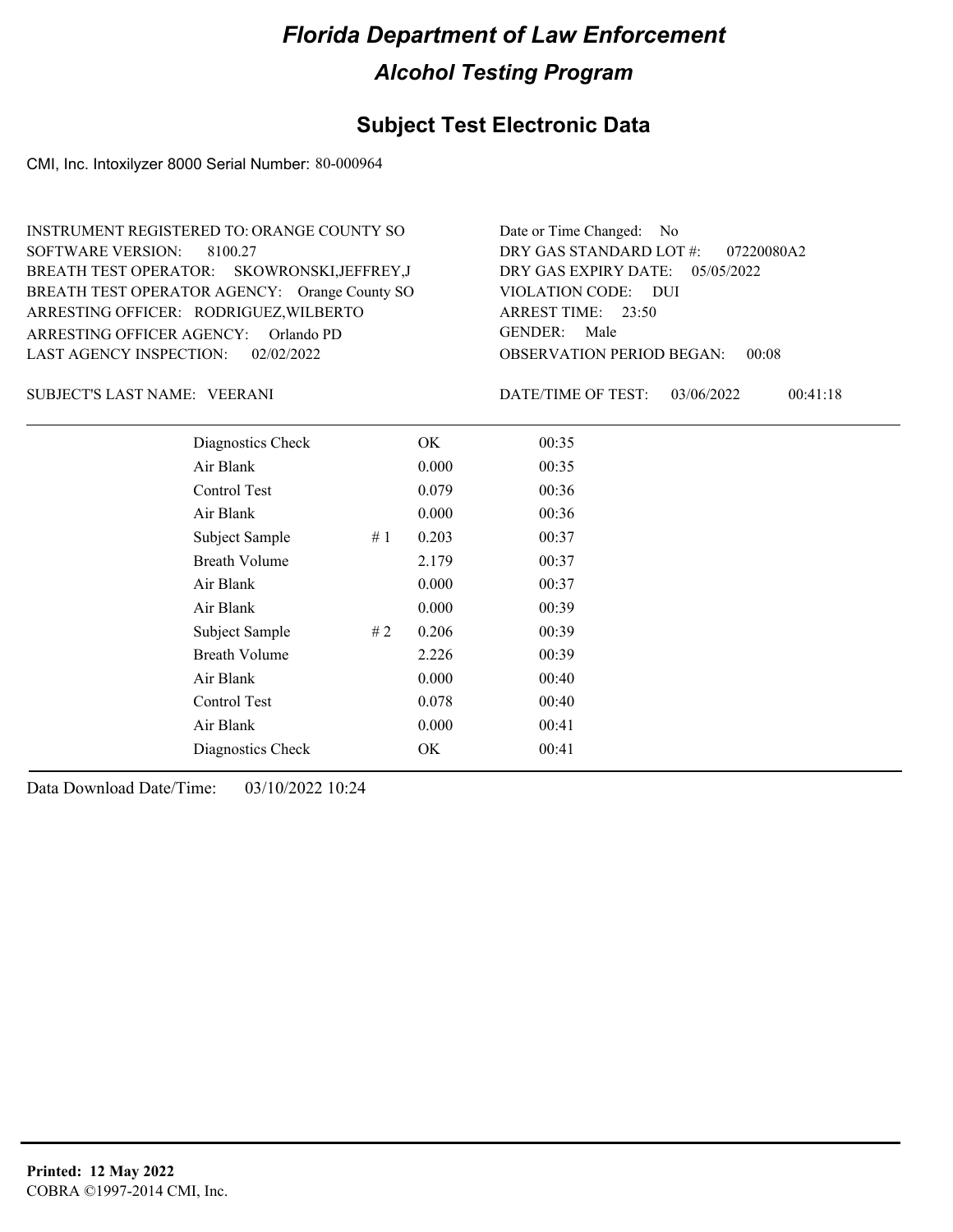#### **Subject Test Electronic Data**

CMI, Inc. Intoxilyzer 8000 Serial Number: 80-000964

ARRESTING OFFICER AGENCY: GENDER: Orlando PD BREATH TEST OPERATOR AGENCY: Orange County SO VIOLATION CODE: SOFTWARE VERSION: ARRESTING OFFICER: RODRIGUEZ, WILBERTO SKOWRONSKI,JEFFREY,J BREATH TEST OPERATOR: LAST AGENCY INSPECTION: 02/02/2022 8100.27 INSTRUMENT REGISTERED TO: ORANGE COUNTY SO

OBSERVATION PERIOD BEGAN: 00:08 VIOLATION CODE: DUI ARREST TIME: 23:50 DRY GAS EXPIRY DATE: 05/05/2022 07220080A2 DRY GAS STANDARD LOT #: Date or Time Changed: No GENDER: Male

VEERANI SUBJECT'S LAST NAME: DATE/TIME OF TEST:

DATE/TIME OF TEST: 03/06/2022 00:41:18

| Diagnostics Check    |    | OK    | 00:35 |
|----------------------|----|-------|-------|
| Air Blank            |    | 0.000 | 00:35 |
| Control Test         |    | 0.079 | 00:36 |
| Air Blank            |    | 0.000 | 00:36 |
| Subject Sample       | #1 | 0.203 | 00:37 |
| <b>Breath Volume</b> |    | 2.179 | 00:37 |
| Air Blank            |    | 0.000 | 00:37 |
| Air Blank            |    | 0.000 | 00:39 |
| Subject Sample       | #2 | 0.206 | 00:39 |
| <b>Breath Volume</b> |    | 2.226 | 00:39 |
| Air Blank            |    | 0.000 | 00:40 |
| Control Test         |    | 0.078 | 00:40 |
| Air Blank            |    | 0.000 | 00:41 |
| Diagnostics Check    |    | OK    | 00:41 |
|                      |    |       |       |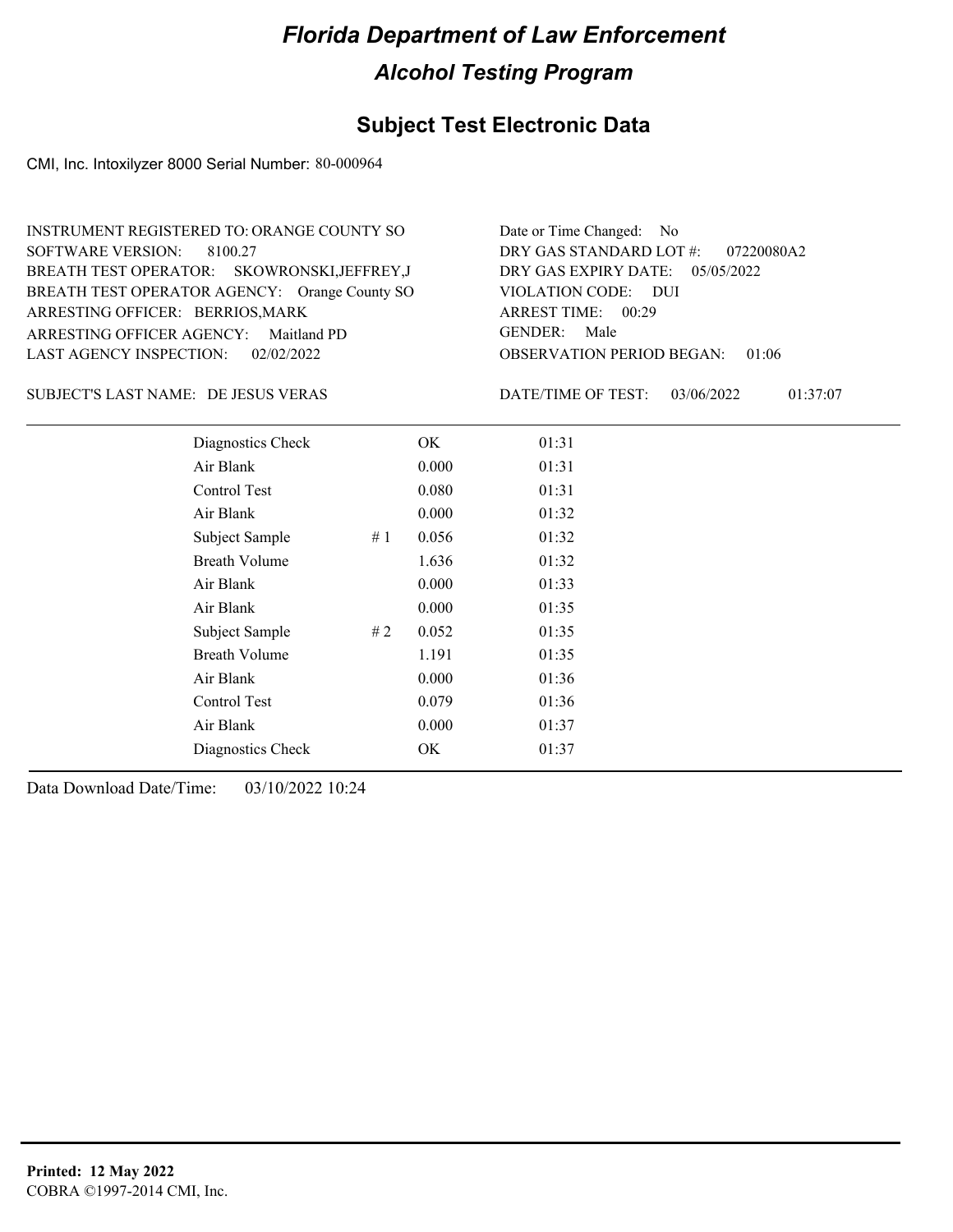## **Subject Test Electronic Data**

CMI, Inc. Intoxilyzer 8000 Serial Number: 80-000964

| INSTRUMENT REGISTERED TO: ORANGE COUNTY SO    | Date or Time Changed: No               |
|-----------------------------------------------|----------------------------------------|
| SOFTWARE VERSION: 8100.27                     | DRY GAS STANDARD LOT $\#$ : 07220080A2 |
| BREATH TEST OPERATOR: SKOWRONSKI, JEFFREY, J  | DRY GAS EXPIRY DATE: $05/05/2022$      |
| BREATH TEST OPERATOR AGENCY: Orange County SO | VIOLATION CODE: DUI                    |
| ARRESTING OFFICER: BERRIOS, MARK              | ARREST TIME: 00:29                     |
| ARRESTING OFFICER AGENCY: Maitland PD         | GENDER: Male                           |
| LAST AGENCY INSPECTION: 02/02/2022            | <b>OBSERVATION PERIOD BEGAN: 01:06</b> |

DE JESUS VERAS SUBJECT'S LAST NAME: DATE/TIME OF TEST:

DATE/TIME OF TEST: 03/06/2022 01:37:07

| Diagnostics Check    |    | OK    | 01:31 |
|----------------------|----|-------|-------|
| Air Blank            |    | 0.000 | 01:31 |
| Control Test         |    | 0.080 | 01:31 |
| Air Blank            |    | 0.000 | 01:32 |
| Subject Sample       | #1 | 0.056 | 01:32 |
| <b>Breath Volume</b> |    | 1.636 | 01:32 |
| Air Blank            |    | 0.000 | 01:33 |
| Air Blank            |    | 0.000 | 01:35 |
| Subject Sample       | #2 | 0.052 | 01:35 |
| <b>Breath Volume</b> |    | 1.191 | 01:35 |
| Air Blank            |    | 0.000 | 01:36 |
| Control Test         |    | 0.079 | 01:36 |
| Air Blank            |    | 0.000 | 01:37 |
| Diagnostics Check    |    | OK    | 01:37 |
|                      |    |       |       |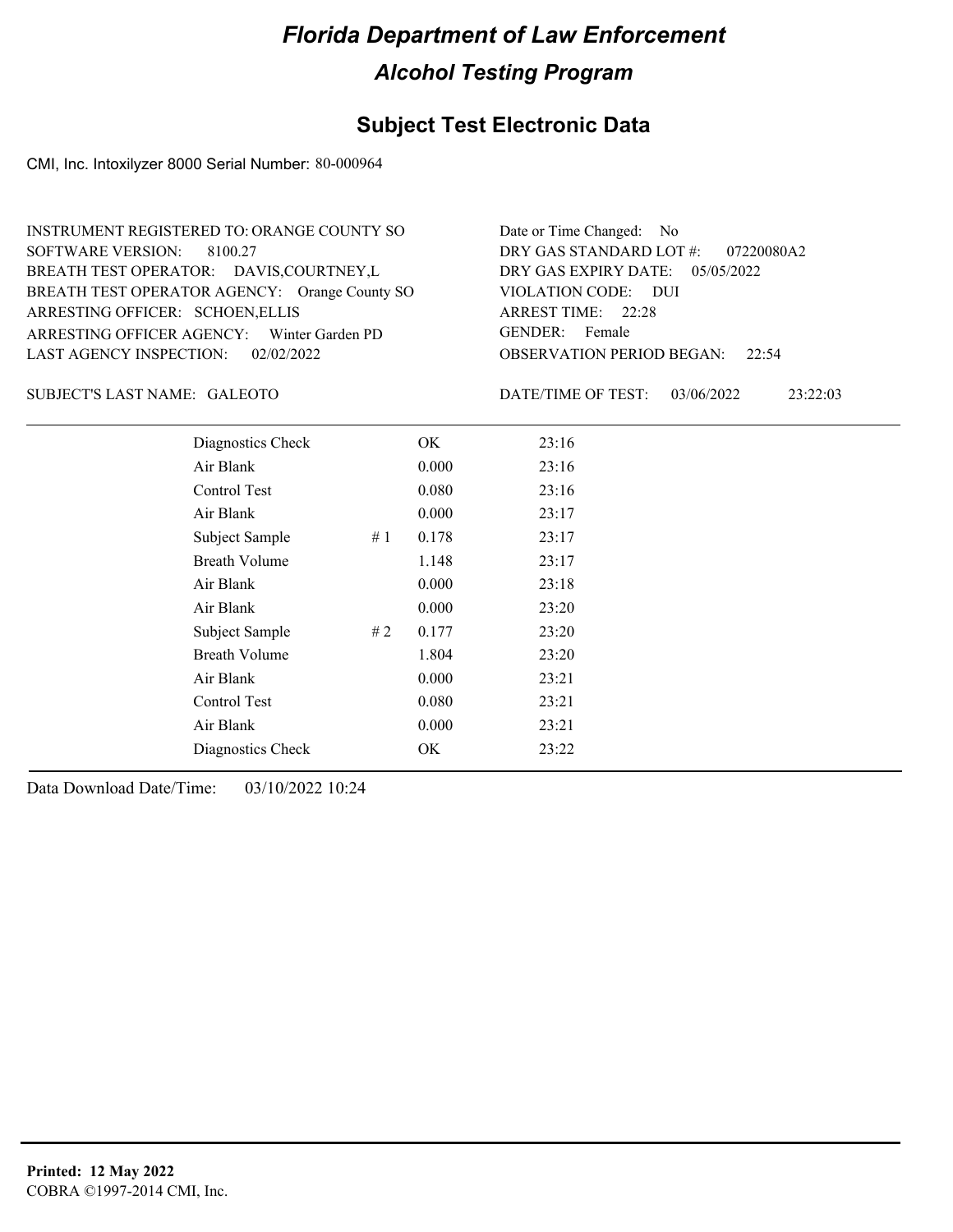## **Subject Test Electronic Data**

CMI, Inc. Intoxilyzer 8000 Serial Number: 80-000964

| INSTRUMENT REGISTERED TO: ORANGE COUNTY SO    | Date or Time Changed: No               |
|-----------------------------------------------|----------------------------------------|
| SOFTWARE VERSION: 8100.27                     | DRY GAS STANDARD LOT #: 07220080A2     |
| BREATH TEST OPERATOR: DAVIS, COURTNEY, L      | DRY GAS EXPIRY DATE: $05/05/2022$      |
| BREATH TEST OPERATOR AGENCY: Orange County SO | VIOLATION CODE: DUI                    |
| ARRESTING OFFICER: SCHOEN, ELLIS              | ARREST TIME: 22:28                     |
| ARRESTING OFFICER AGENCY: Winter Garden PD    | GENDER: Female                         |
| LAST AGENCY INSPECTION: 02/02/2022            | <b>OBSERVATION PERIOD BEGAN: 22:54</b> |

#### GALEOTO SUBJECT'S LAST NAME: DATE/TIME OF TEST:

DATE/TIME OF TEST: 03/06/2022 23:22:03

| Diagnostics Check    | OK    | 23:16 |
|----------------------|-------|-------|
| Air Blank            | 0.000 | 23:16 |
| Control Test         | 0.080 | 23:16 |
| Air Blank            | 0.000 | 23:17 |
| Subject Sample<br>#1 | 0.178 | 23:17 |
| <b>Breath Volume</b> | 1.148 | 23:17 |
| Air Blank            | 0.000 | 23:18 |
| Air Blank            | 0.000 | 23:20 |
| Subject Sample<br>#2 | 0.177 | 23:20 |
| <b>Breath Volume</b> | 1.804 | 23:20 |
| Air Blank            | 0.000 | 23:21 |
| Control Test         | 0.080 | 23:21 |
| Air Blank            | 0.000 | 23:21 |
| Diagnostics Check    | OK    | 23:22 |
|                      |       |       |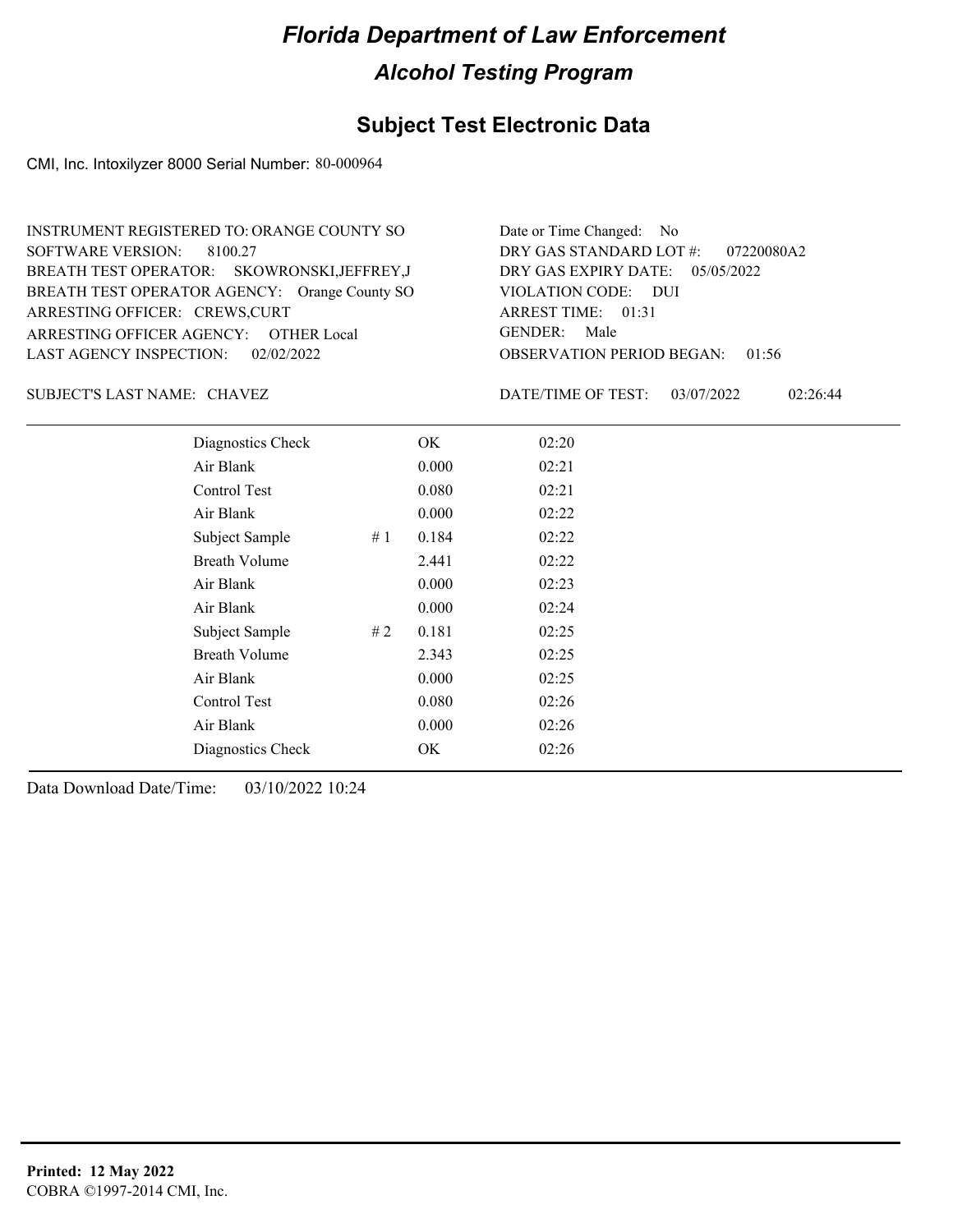## **Subject Test Electronic Data**

CMI, Inc. Intoxilyzer 8000 Serial Number: 80-000964

| INSTRUMENT REGISTERED TO: ORANGE COUNTY SO    | Date or Time Changed: No               |
|-----------------------------------------------|----------------------------------------|
| SOFTWARE VERSION: 8100.27                     | DRY GAS STANDARD LOT $\#$ : 07220080A2 |
| BREATH TEST OPERATOR: SKOWRONSKI, JEFFREY, J  | DRY GAS EXPIRY DATE: $05/05/2022$      |
| BREATH TEST OPERATOR AGENCY: Orange County SO | VIOLATION CODE: DUI                    |
| ARRESTING OFFICER: CREWS, CURT                | ARREST TIME: $01:31$                   |
| ARRESTING OFFICER AGENCY: OTHER Local         | GENDER: Male                           |
| LAST AGENCY INSPECTION: $02/02/2022$          | <b>OBSERVATION PERIOD BEGAN: 01:56</b> |

CHAVEZ SUBJECT'S LAST NAME: DATE/TIME OF TEST:

DATE/TIME OF TEST: 03/07/2022 02:26:44

| Diagnostics Check    |    | OK    | 02:20 |
|----------------------|----|-------|-------|
| Air Blank            |    | 0.000 | 02:21 |
| Control Test         |    | 0.080 | 02:21 |
| Air Blank            |    | 0.000 | 02:22 |
| Subject Sample       | #1 | 0.184 | 02:22 |
| <b>Breath Volume</b> |    | 2.441 | 02:22 |
| Air Blank            |    | 0.000 | 02:23 |
| Air Blank            |    | 0.000 | 02:24 |
| Subject Sample       | #2 | 0.181 | 02:25 |
| <b>Breath Volume</b> |    | 2.343 | 02:25 |
| Air Blank            |    | 0.000 | 02:25 |
| Control Test         |    | 0.080 | 02:26 |
| Air Blank            |    | 0.000 | 02:26 |
| Diagnostics Check    |    | OK    | 02:26 |
|                      |    |       |       |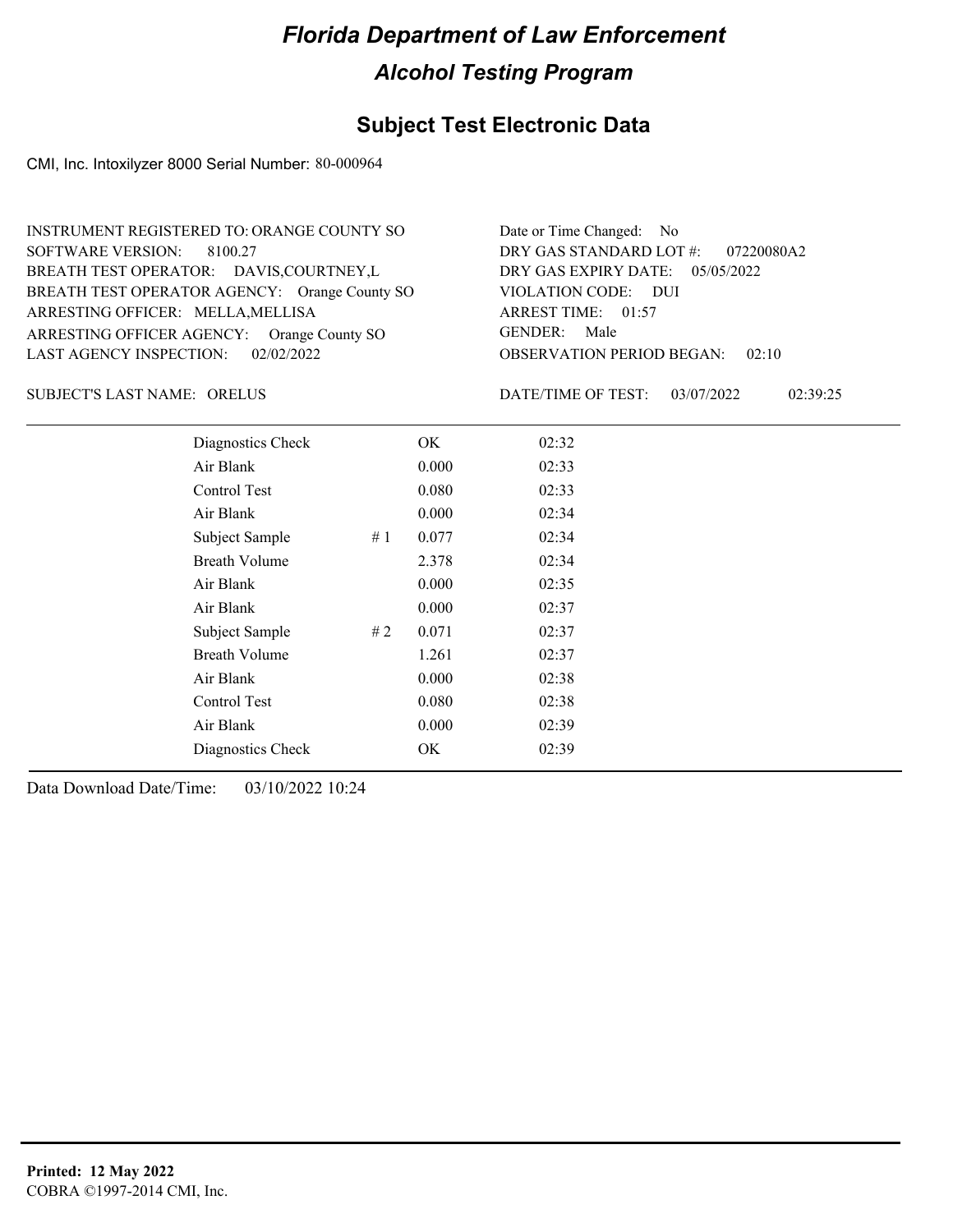## **Subject Test Electronic Data**

CMI, Inc. Intoxilyzer 8000 Serial Number: 80-000964

| INSTRUMENT REGISTERED TO: ORANGE COUNTY SO    | Date or Time Changed: No               |
|-----------------------------------------------|----------------------------------------|
| SOFTWARE VERSION: 8100.27                     | DRY GAS STANDARD LOT #: 07220080A2     |
| BREATH TEST OPERATOR: DAVIS, COURTNEY, L      | DRY GAS EXPIRY DATE: $05/05/2022$      |
| BREATH TEST OPERATOR AGENCY: Orange County SO | VIOLATION CODE: DUI                    |
| ARRESTING OFFICER: MELLA, MELLISA             | ARREST TIME: 01:57                     |
| ARRESTING OFFICER AGENCY: Orange County SO    | GENDER: Male                           |
| LAST AGENCY INSPECTION: 02/02/2022            | <b>OBSERVATION PERIOD BEGAN: 02:10</b> |

SUBJECT'S LAST NAME: ORELUS DATE/TIME OF TEST:

DATE/TIME OF TEST: 03/07/2022 02:39:25

| Diagnostics Check    |    | OK    | 02:32 |
|----------------------|----|-------|-------|
| Air Blank            |    | 0.000 | 02:33 |
| Control Test         |    | 0.080 | 02:33 |
| Air Blank            |    | 0.000 | 02:34 |
| Subject Sample       | #1 | 0.077 | 02:34 |
| <b>Breath Volume</b> |    | 2.378 | 02:34 |
| Air Blank            |    | 0.000 | 02:35 |
| Air Blank            |    | 0.000 | 02:37 |
| Subject Sample       | #2 | 0.071 | 02:37 |
| <b>Breath Volume</b> |    | 1.261 | 02:37 |
| Air Blank            |    | 0.000 | 02:38 |
| Control Test         |    | 0.080 | 02:38 |
| Air Blank            |    | 0.000 | 02:39 |
| Diagnostics Check    |    | OK    | 02:39 |
|                      |    |       |       |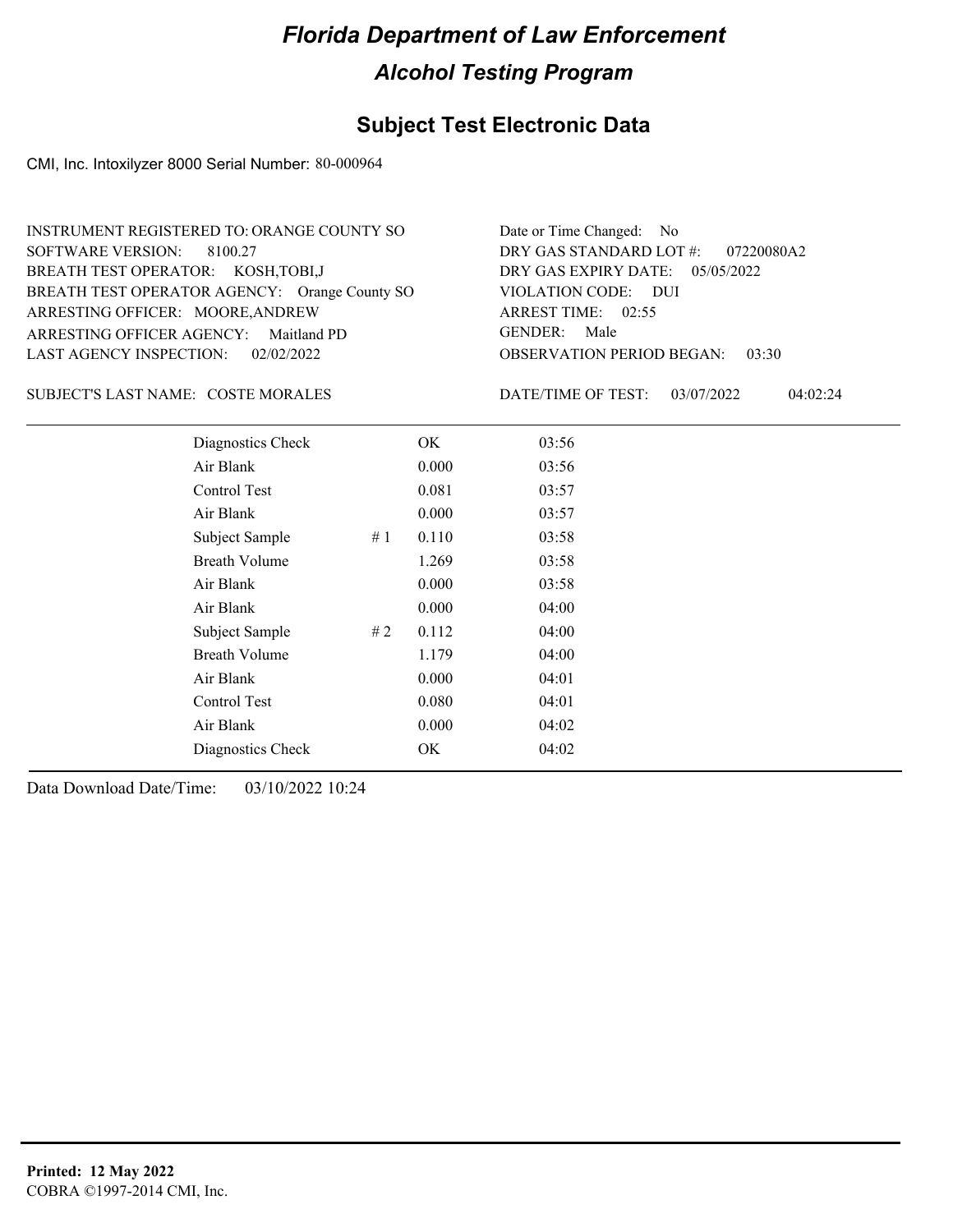## **Subject Test Electronic Data**

CMI, Inc. Intoxilyzer 8000 Serial Number: 80-000964

| INSTRUMENT REGISTERED TO: ORANGE COUNTY SO    | Date or Time Changed: No               |
|-----------------------------------------------|----------------------------------------|
| SOFTWARE VERSION: 8100.27                     | DRY GAS STANDARD LOT $\#$ : 07220080A2 |
| BREATH TEST OPERATOR: KOSH, TOBI, J           | DRY GAS EXPIRY DATE: 05/05/2022        |
| BREATH TEST OPERATOR AGENCY: Orange County SO | VIOLATION CODE: DUI                    |
| ARRESTING OFFICER: MOORE, ANDREW              | ARREST TIME: $02:55$                   |
| ARRESTING OFFICER AGENCY: Maitland PD         | GENDER: Male                           |
| LAST AGENCY INSPECTION: 02/02/2022            | <b>OBSERVATION PERIOD BEGAN: 03:30</b> |

#### SUBJECT'S LAST NAME: COSTE MORALES DATE/TIME OF TEST:

DATE/TIME OF TEST: 03/07/2022 04:02:24

| Diagnostics Check    |    | OK    | 03:56 |
|----------------------|----|-------|-------|
| Air Blank            |    | 0.000 | 03:56 |
| Control Test         |    | 0.081 | 03:57 |
| Air Blank            |    | 0.000 | 03:57 |
| Subject Sample       | #1 | 0.110 | 03:58 |
| <b>Breath Volume</b> |    | 1.269 | 03:58 |
| Air Blank            |    | 0.000 | 03:58 |
| Air Blank            |    | 0.000 | 04:00 |
| Subject Sample       | #2 | 0.112 | 04:00 |
| <b>Breath Volume</b> |    | 1.179 | 04:00 |
| Air Blank            |    | 0.000 | 04:01 |
| Control Test         |    | 0.080 | 04:01 |
| Air Blank            |    | 0.000 | 04:02 |
| Diagnostics Check    |    | OK    | 04:02 |
|                      |    |       |       |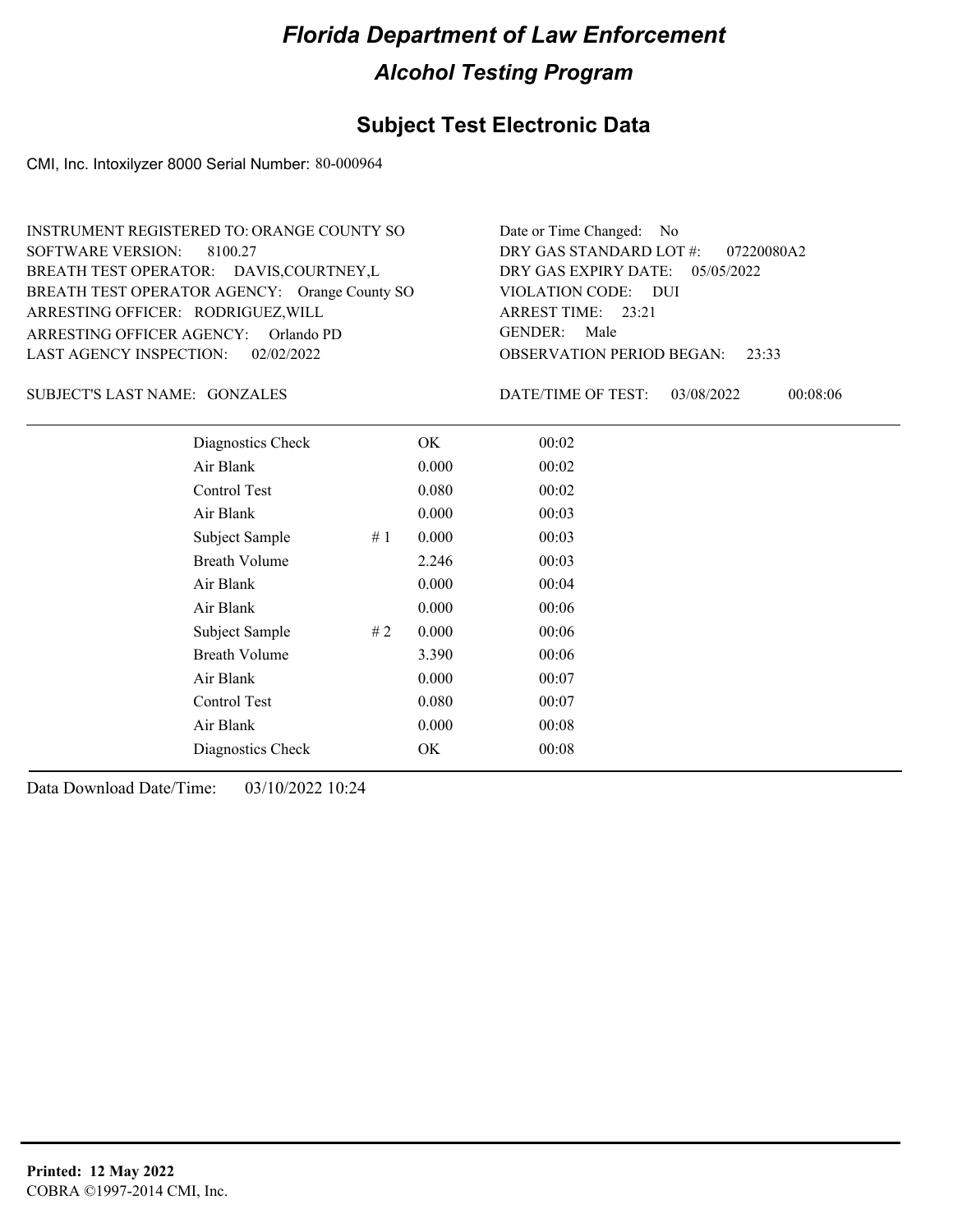## **Subject Test Electronic Data**

CMI, Inc. Intoxilyzer 8000 Serial Number: 80-000964

| INSTRUMENT REGISTERED TO: ORANGE COUNTY SO    | Date or Time Changed: No               |
|-----------------------------------------------|----------------------------------------|
| SOFTWARE VERSION: 8100.27                     | DRY GAS STANDARD LOT #: 07220080A2     |
| BREATH TEST OPERATOR: DAVIS, COURTNEY, L      | DRY GAS EXPIRY DATE: 05/05/2022        |
| BREATH TEST OPERATOR AGENCY: Orange County SO | VIOLATION CODE: DUI                    |
| ARRESTING OFFICER: RODRIGUEZ, WILL            | ARREST TIME: 23:21                     |
| ARRESTING OFFICER AGENCY: Orlando PD          | GENDER: Male                           |
| LAST AGENCY INSPECTION: 02/02/2022            | <b>OBSERVATION PERIOD BEGAN: 23:33</b> |

#### GONZALES SUBJECT'S LAST NAME: DATE/TIME OF TEST:

DATE/TIME OF TEST: 03/08/2022 00:08:06

| Diagnostics Check    |       | OK    | 00:02 |  |  |
|----------------------|-------|-------|-------|--|--|
| Air Blank            |       | 0.000 | 00:02 |  |  |
| Control Test         |       | 0.080 | 00:02 |  |  |
| Air Blank            |       | 0.000 | 00:03 |  |  |
| Subject Sample       | #1    | 0.000 | 00:03 |  |  |
| <b>Breath Volume</b> |       | 2.246 | 00:03 |  |  |
| Air Blank            |       | 0.000 | 00:04 |  |  |
| Air Blank            |       | 0.000 | 00:06 |  |  |
| Subject Sample       | # $2$ | 0.000 | 00:06 |  |  |
| <b>Breath Volume</b> |       | 3.390 | 00:06 |  |  |
| Air Blank            |       | 0.000 | 00:07 |  |  |
| Control Test         |       | 0.080 | 00:07 |  |  |
| Air Blank            |       | 0.000 | 00:08 |  |  |
| Diagnostics Check    |       | OK    | 00:08 |  |  |
|                      |       |       |       |  |  |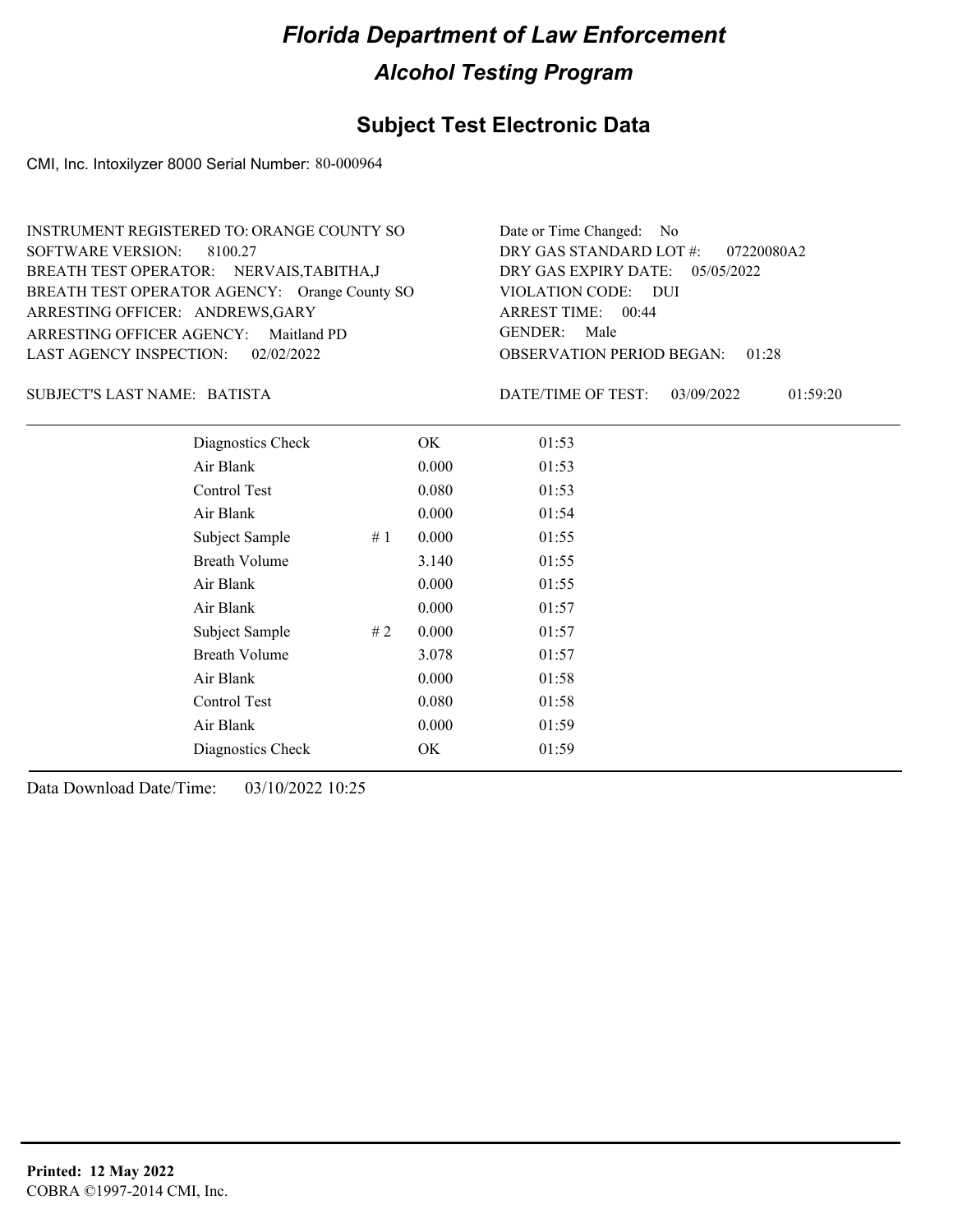## **Subject Test Electronic Data**

CMI, Inc. Intoxilyzer 8000 Serial Number: 80-000964

| INSTRUMENT REGISTERED TO: ORANGE COUNTY SO    | Date or Time Changed: No               |
|-----------------------------------------------|----------------------------------------|
| SOFTWARE VERSION: 8100.27                     | DRY GAS STANDARD LOT #: 07220080A2     |
| BREATH TEST OPERATOR: NERVAIS, TABITHA, J     | DRY GAS EXPIRY DATE: $05/05/2022$      |
| BREATH TEST OPERATOR AGENCY: Orange County SO | VIOLATION CODE: DUI                    |
| ARRESTING OFFICER: ANDREWS, GARY              | ARREST TIME: 00:44                     |
| ARRESTING OFFICER AGENCY: Maitland PD         | GENDER: Male                           |
| LAST AGENCY INSPECTION: 02/02/2022            | <b>OBSERVATION PERIOD BEGAN: 01:28</b> |

BATISTA SUBJECT'S LAST NAME: DATE/TIME OF TEST:

DATE/TIME OF TEST: 03/09/2022 01:59:20

| Diagnostics Check    | OK    | 01:53 |
|----------------------|-------|-------|
| Air Blank            | 0.000 | 01:53 |
| Control Test         | 0.080 | 01:53 |
| Air Blank            | 0.000 | 01:54 |
| Subject Sample<br>#1 | 0.000 | 01:55 |
| <b>Breath Volume</b> | 3.140 | 01:55 |
| Air Blank            | 0.000 | 01:55 |
| Air Blank            | 0.000 | 01:57 |
| Subject Sample<br>#2 | 0.000 | 01:57 |
| <b>Breath Volume</b> | 3.078 | 01:57 |
| Air Blank            | 0.000 | 01:58 |
| <b>Control Test</b>  | 0.080 | 01:58 |
| Air Blank            | 0.000 | 01:59 |
| Diagnostics Check    | OK    | 01:59 |
|                      |       |       |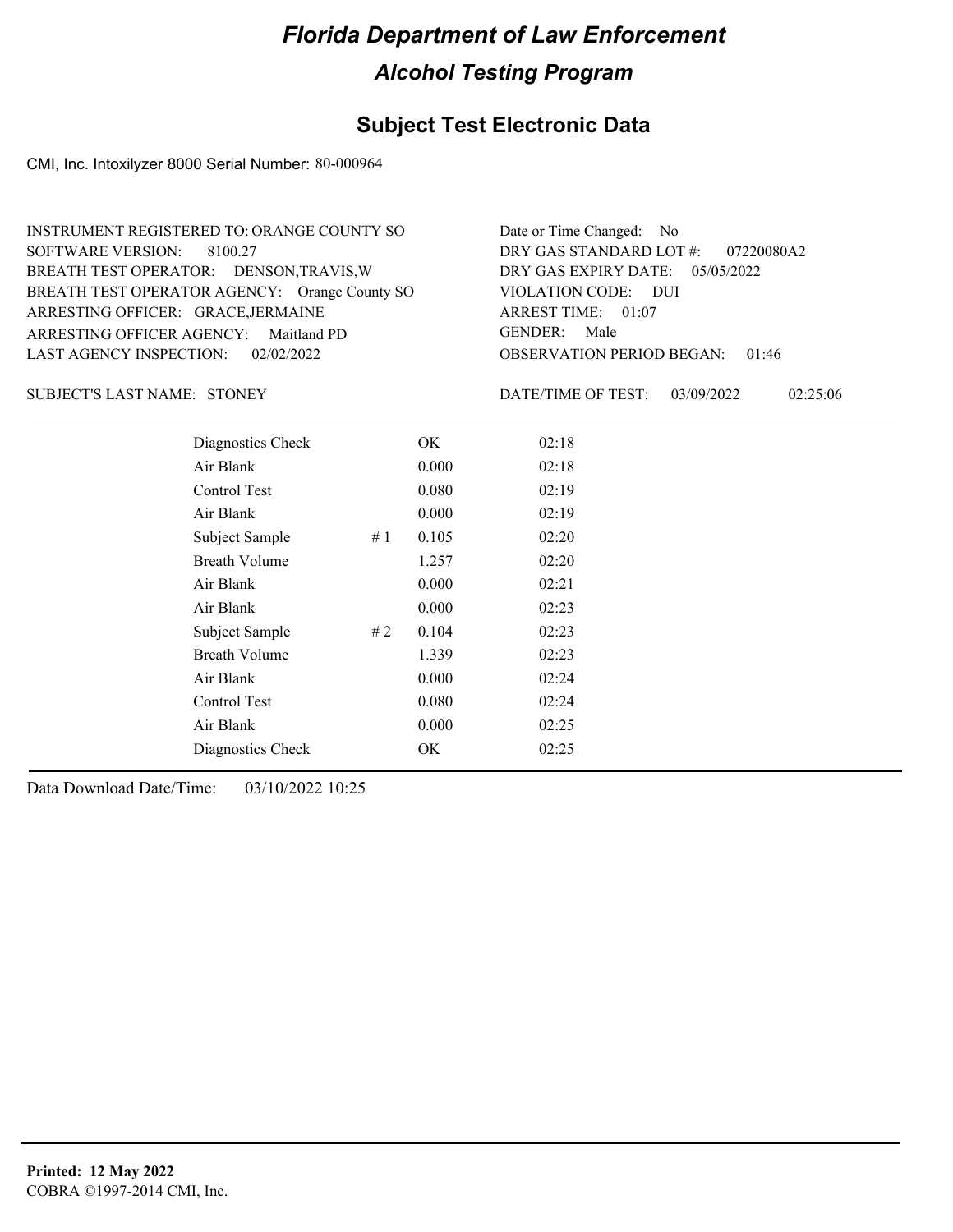## **Subject Test Electronic Data**

CMI, Inc. Intoxilyzer 8000 Serial Number: 80-000964

| INSTRUMENT REGISTERED TO: ORANGE COUNTY SO    | Date or Time Changed: No               |
|-----------------------------------------------|----------------------------------------|
| SOFTWARE VERSION: 8100.27                     | DRY GAS STANDARD LOT $\#$ : 07220080A2 |
| BREATH TEST OPERATOR: DENSON, TRAVIS, W       | DRY GAS EXPIRY DATE: $05/05/2022$      |
| BREATH TEST OPERATOR AGENCY: Orange County SO | VIOLATION CODE: DUI                    |
| ARRESTING OFFICER: GRACE, JERMAINE            | ARREST TIME: 01:07                     |
| ARRESTING OFFICER AGENCY: Maitland PD         | GENDER: Male                           |
| LAST AGENCY INSPECTION: 02/02/2022            | <b>OBSERVATION PERIOD BEGAN: 01:46</b> |

SUBJECT'S LAST NAME: STONEY DATE/TIME OF TEST:

DATE/TIME OF TEST: 03/09/2022 02:25:06

| Diagnostics Check    |    | OK    | 02:18 |  |  |
|----------------------|----|-------|-------|--|--|
| Air Blank            |    | 0.000 | 02:18 |  |  |
| Control Test         |    | 0.080 | 02:19 |  |  |
| Air Blank            |    | 0.000 | 02:19 |  |  |
| Subject Sample       | #1 | 0.105 | 02:20 |  |  |
| <b>Breath Volume</b> |    | 1.257 | 02:20 |  |  |
| Air Blank            |    | 0.000 | 02:21 |  |  |
| Air Blank            |    | 0.000 | 02:23 |  |  |
| Subject Sample       | #2 | 0.104 | 02:23 |  |  |
| <b>Breath Volume</b> |    | 1.339 | 02:23 |  |  |
| Air Blank            |    | 0.000 | 02:24 |  |  |
| Control Test         |    | 0.080 | 02:24 |  |  |
| Air Blank            |    | 0.000 | 02:25 |  |  |
| Diagnostics Check    |    | OK    | 02:25 |  |  |
|                      |    |       |       |  |  |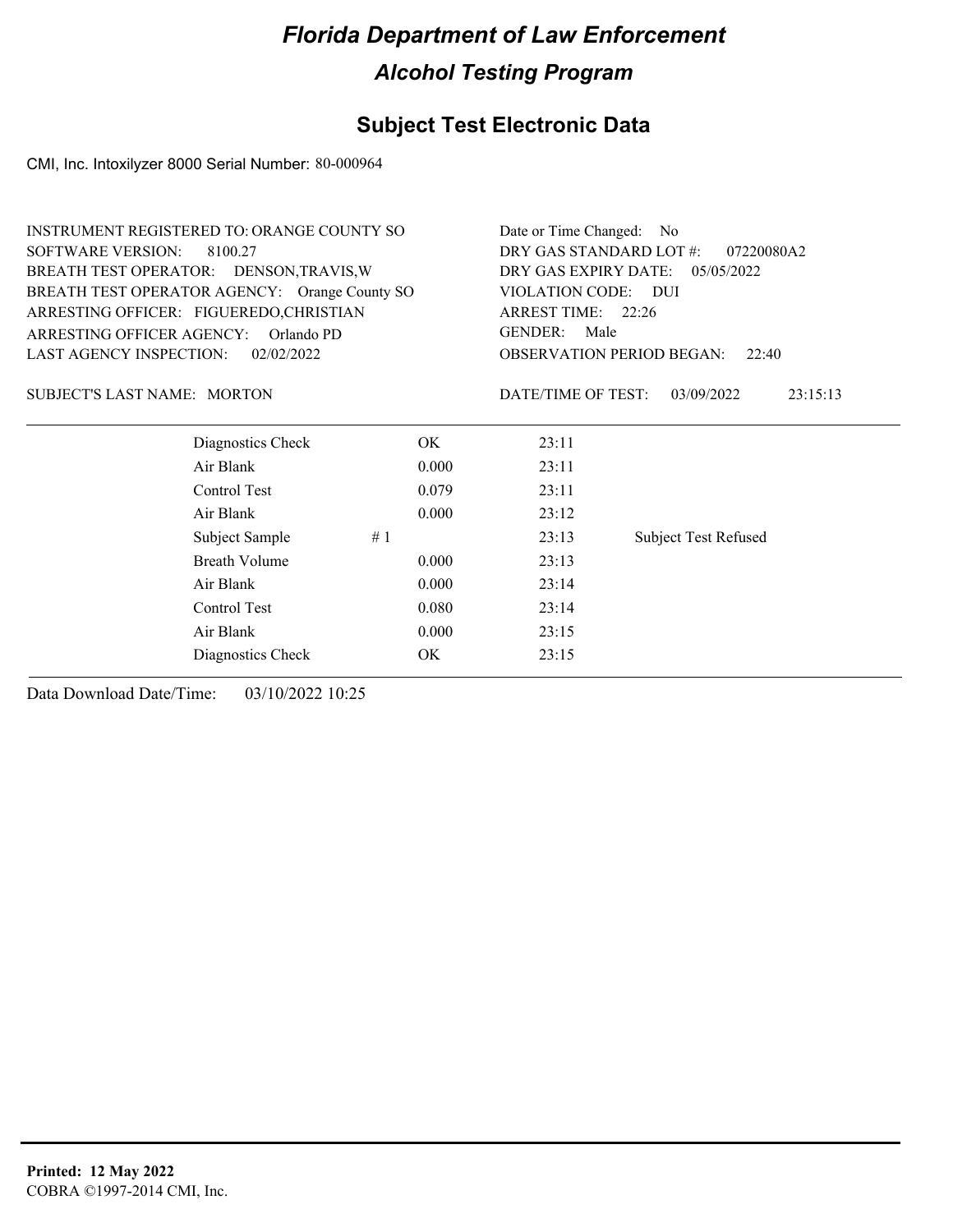## **Subject Test Electronic Data**

CMI, Inc. Intoxilyzer 8000 Serial Number: 80-000964

|                                      | INSTRUMENT REGISTERED TO: ORANGE COUNTY SO    | Date or Time Changed: No              |                        |                                           |  |  |
|--------------------------------------|-----------------------------------------------|---------------------------------------|------------------------|-------------------------------------------|--|--|
| <b>SOFTWARE VERSION:</b>             | 8100.27                                       | DRY GAS STANDARD LOT #:<br>07220080A2 |                        |                                           |  |  |
|                                      | BREATH TEST OPERATOR: DENSON, TRAVIS, W       | DRY GAS EXPIRY DATE: 05/05/2022       |                        |                                           |  |  |
|                                      | BREATH TEST OPERATOR AGENCY: Orange County SO | VIOLATION CODE: DUI                   |                        |                                           |  |  |
|                                      | ARRESTING OFFICER: FIGUEREDO, CHRISTIAN       |                                       | ARREST TIME: 22:26     |                                           |  |  |
| ARRESTING OFFICER AGENCY: Orlando PD |                                               |                                       | <b>GENDER:</b><br>Male |                                           |  |  |
| <b>LAST AGENCY INSPECTION:</b>       | 02/02/2022                                    |                                       |                        | <b>OBSERVATION PERIOD BEGAN:</b><br>22:40 |  |  |
| <b>SUBJECT'S LAST NAME: MORTON</b>   |                                               |                                       | DATE/TIME OF TEST:     | 03/09/2022<br>23:15:13                    |  |  |
|                                      | Diagnostics Check                             | OK.                                   | 23:11                  |                                           |  |  |
|                                      | Air Blank                                     | 0.000                                 | 23:11                  |                                           |  |  |
|                                      | Control Test                                  | 0.079                                 | 23:11                  |                                           |  |  |
|                                      | Air Blank                                     | 0.000                                 | 23:12                  |                                           |  |  |
|                                      | Subject Sample                                | #1                                    | 23:13                  | <b>Subject Test Refused</b>               |  |  |
|                                      | <b>Breath Volume</b>                          | 0.000                                 | 23:13                  |                                           |  |  |
|                                      | Air Blank                                     | 0.000                                 | 23:14                  |                                           |  |  |
|                                      | Control Test                                  | 0.080                                 | 23:14                  |                                           |  |  |
|                                      | Air Blank                                     | 0.000                                 | 23:15                  |                                           |  |  |
|                                      | Diagnostics Check                             | OK                                    | 23:15                  |                                           |  |  |
|                                      |                                               |                                       |                        |                                           |  |  |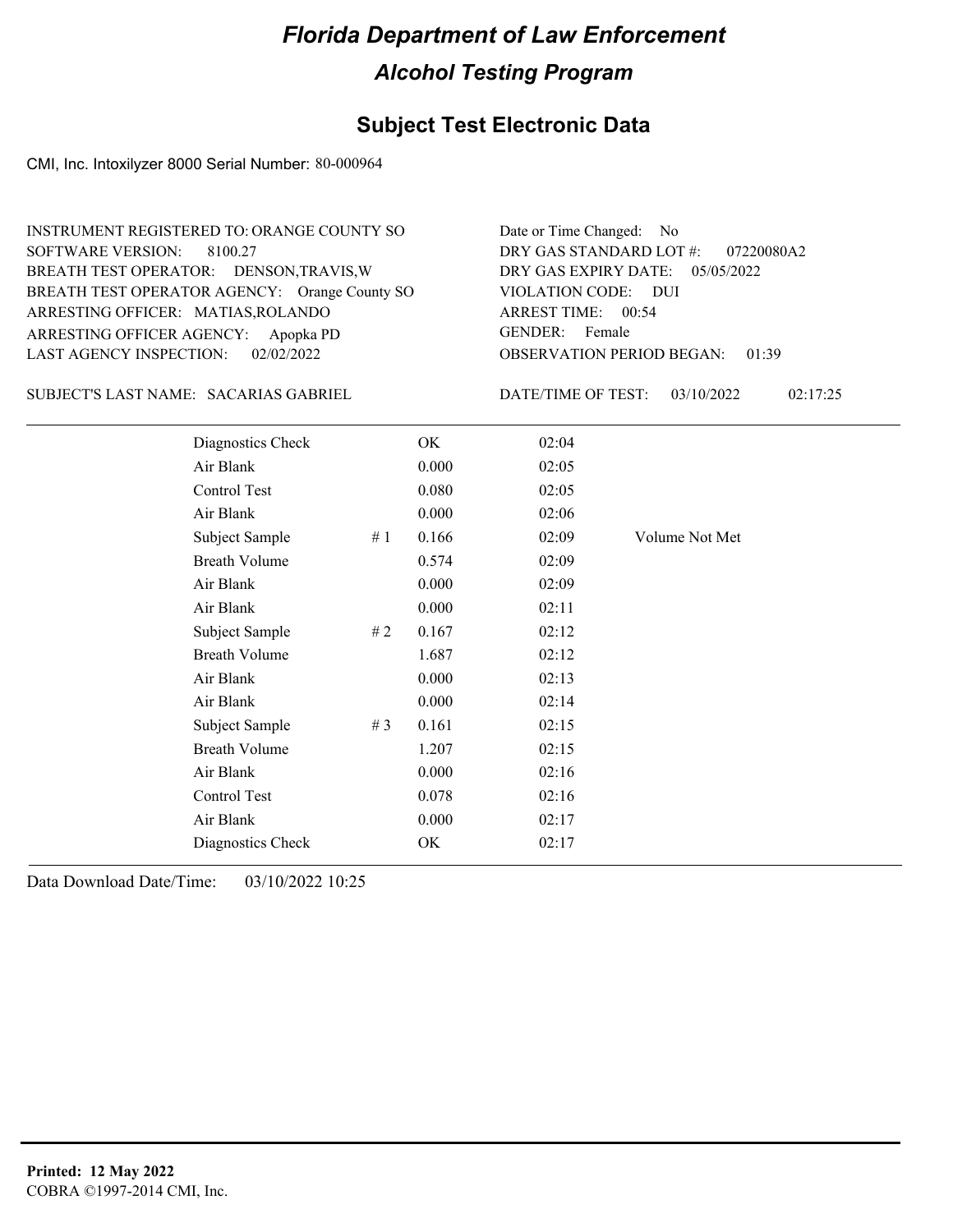## **Subject Test Electronic Data**

CMI, Inc. Intoxilyzer 8000 Serial Number: 80-000964

| <b>INSTRUMENT REGISTERED TO: ORANGE COUNTY SO</b> | Date or Time Changed: No               |
|---------------------------------------------------|----------------------------------------|
| SOFTWARE VERSION: 8100.27                         | DRY GAS STANDARD LOT $\#$ : 07220080A2 |
| BREATH TEST OPERATOR: DENSON, TRAVIS, W           | DRY GAS EXPIRY DATE: 05/05/2022        |
| BREATH TEST OPERATOR AGENCY: Orange County SO     | VIOLATION CODE: DUI                    |
| ARRESTING OFFICER: MATIAS, ROLANDO                | ARREST TIME: 00:54                     |
| ARRESTING OFFICER AGENCY: Apopka PD               | GENDER: Female                         |
| LAST AGENCY INSPECTION: 02/02/2022                | <b>OBSERVATION PERIOD BEGAN: 01:39</b> |
|                                                   |                                        |

SUBJECT'S LAST NAME: SACARIAS GABRIEL DATE/TIME OF TEST:

DATE/TIME OF TEST: 03/10/2022 02:17:25

| Diagnostics Check    |       | OK    | 02:04 |                |
|----------------------|-------|-------|-------|----------------|
| Air Blank            |       | 0.000 | 02:05 |                |
| Control Test         |       | 0.080 | 02:05 |                |
| Air Blank            |       | 0.000 | 02:06 |                |
| Subject Sample       | #1    | 0.166 | 02:09 | Volume Not Met |
| <b>Breath Volume</b> |       | 0.574 | 02:09 |                |
| Air Blank            |       | 0.000 | 02:09 |                |
| Air Blank            |       | 0.000 | 02:11 |                |
| Subject Sample       | # 2   | 0.167 | 02:12 |                |
| <b>Breath Volume</b> |       | 1.687 | 02:12 |                |
| Air Blank            |       | 0.000 | 02:13 |                |
| Air Blank            |       | 0.000 | 02:14 |                |
| Subject Sample       | # $3$ | 0.161 | 02:15 |                |
| <b>Breath Volume</b> |       | 1.207 | 02:15 |                |
| Air Blank            |       | 0.000 | 02:16 |                |
| Control Test         |       | 0.078 | 02:16 |                |
| Air Blank            |       | 0.000 | 02:17 |                |
| Diagnostics Check    |       | OK    | 02:17 |                |
|                      |       |       |       |                |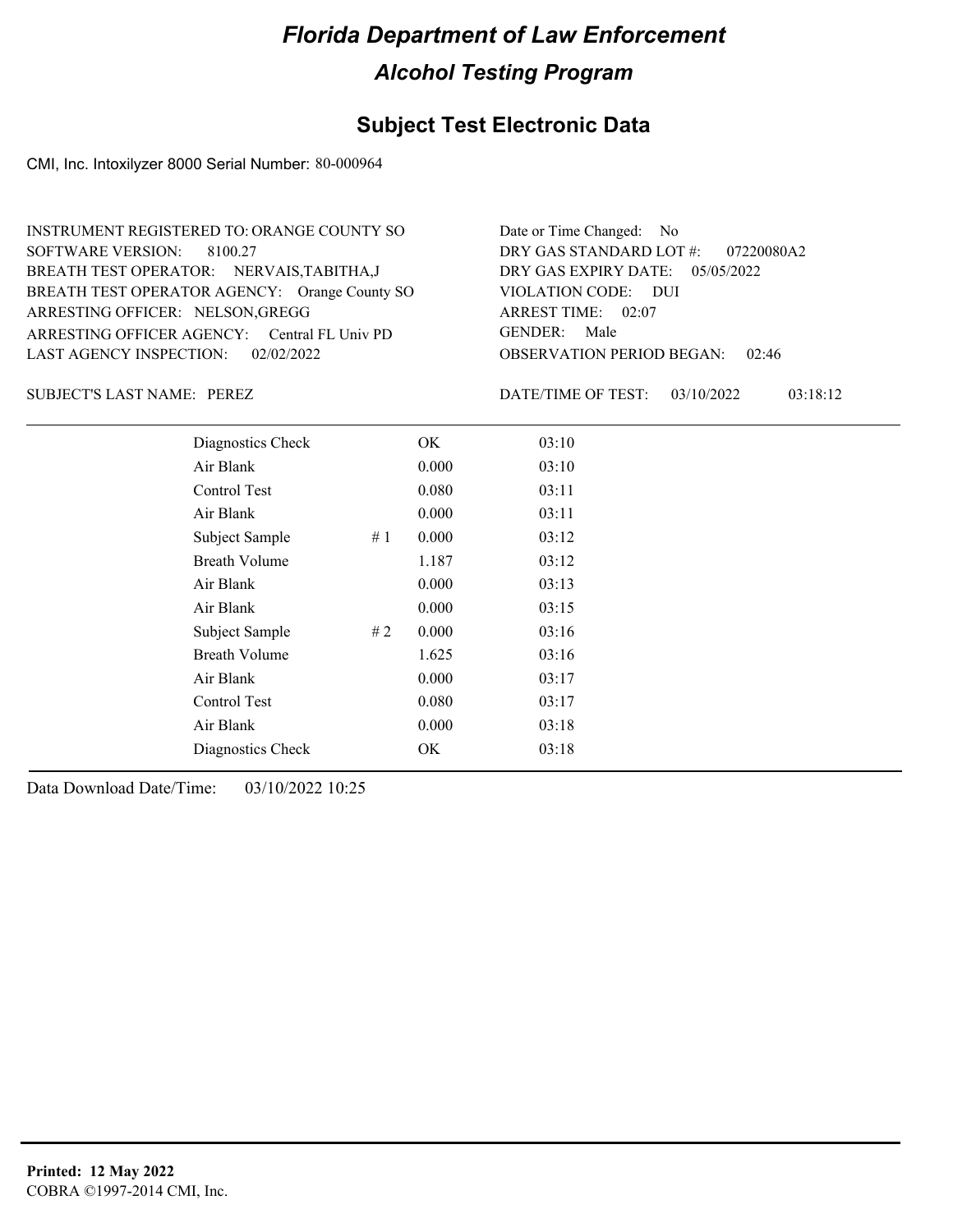## **Subject Test Electronic Data**

CMI, Inc. Intoxilyzer 8000 Serial Number: 80-000964

| INSTRUMENT REGISTERED TO: ORANGE COUNTY SO    | Date or Time Changed: No               |
|-----------------------------------------------|----------------------------------------|
| SOFTWARE VERSION: 8100.27                     | DRY GAS STANDARD LOT $#$ : 07220080A2  |
| BREATH TEST OPERATOR: NERVAIS, TABITHA, J     | DRY GAS EXPIRY DATE: $05/05/2022$      |
| BREATH TEST OPERATOR AGENCY: Orange County SO | VIOLATION CODE: DUI                    |
| ARRESTING OFFICER: NELSON, GREGG              | ARREST TIME: 02:07                     |
| ARRESTING OFFICER AGENCY: Central FL Univ PD  | GENDER: Male                           |
| LAST AGENCY INSPECTION: $02/02/2022$          | <b>OBSERVATION PERIOD BEGAN: 02:46</b> |

SUBJECT'S LAST NAME: PEREZ DATE/TIME OF TEST:

DATE/TIME OF TEST: 03/10/2022 03:18:12

| Diagnostics Check    | OK    | 03:10 |
|----------------------|-------|-------|
| Air Blank            | 0.000 | 03:10 |
| Control Test         | 0.080 | 03:11 |
| Air Blank            | 0.000 | 03:11 |
| Subject Sample<br>#1 | 0.000 | 03:12 |
| <b>Breath Volume</b> | 1.187 | 03:12 |
| Air Blank            | 0.000 | 03:13 |
| Air Blank            | 0.000 | 03:15 |
| Subject Sample<br>#2 | 0.000 | 03:16 |
| <b>Breath Volume</b> | 1.625 | 03:16 |
| Air Blank            | 0.000 | 03:17 |
| Control Test         | 0.080 | 03:17 |
| Air Blank            | 0.000 | 03:18 |
| Diagnostics Check    | OK    | 03:18 |
|                      |       |       |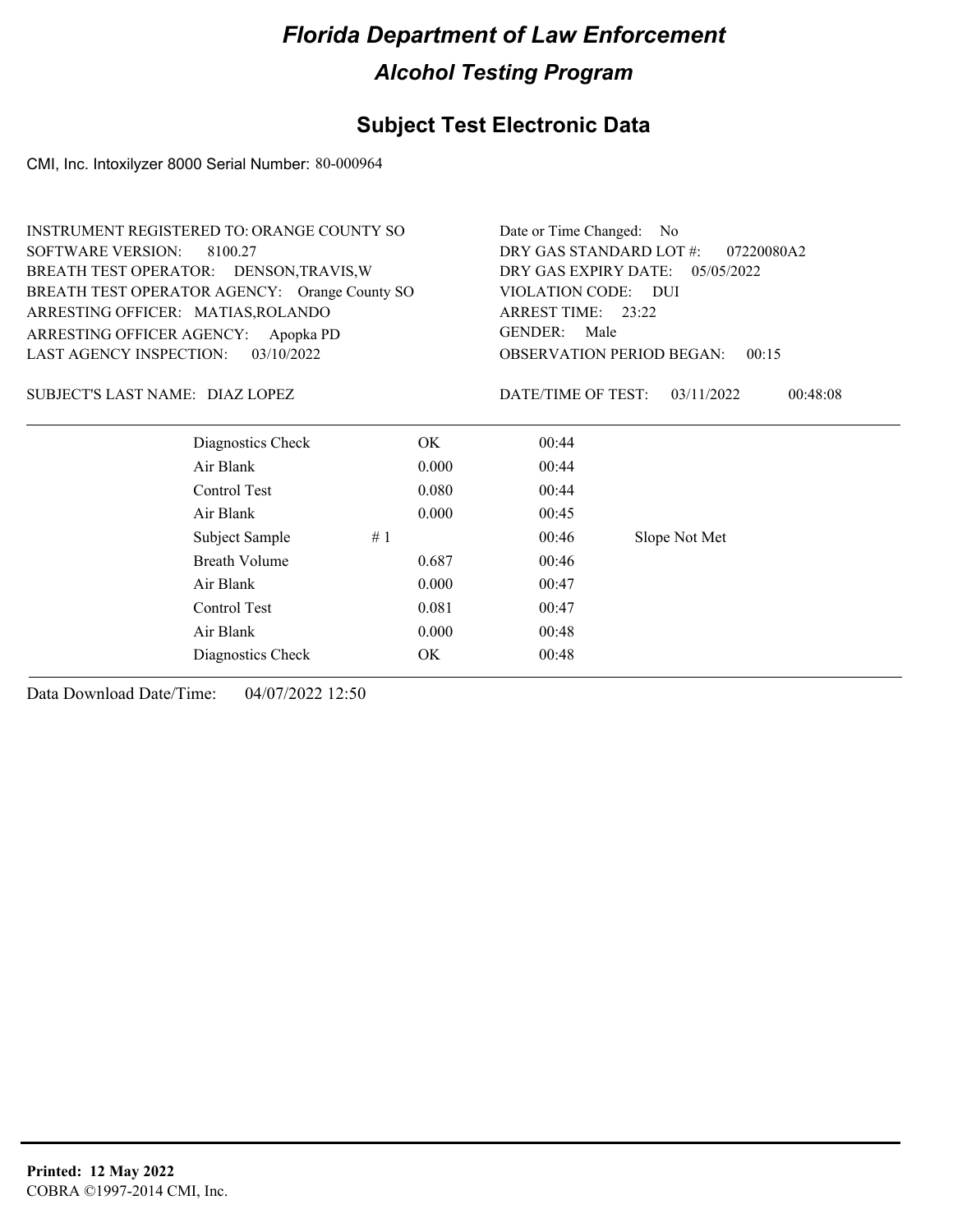## **Subject Test Electronic Data**

CMI, Inc. Intoxilyzer 8000 Serial Number: 80-000964

|                                         | <b>INSTRUMENT REGISTERED TO: ORANGE COUNTY SO</b> |       |                                           | Date or Time Changed: No |  |
|-----------------------------------------|---------------------------------------------------|-------|-------------------------------------------|--------------------------|--|
| <b>SOFTWARE VERSION:</b><br>8100.27     |                                                   |       | DRY GAS STANDARD LOT #:<br>07220080A2     |                          |  |
| BREATH TEST OPERATOR: DENSON, TRAVIS, W |                                                   |       | DRY GAS EXPIRY DATE: 05/05/2022           |                          |  |
|                                         | BREATH TEST OPERATOR AGENCY: Orange County SO     |       | VIOLATION CODE: DUI                       |                          |  |
| ARRESTING OFFICER: MATIAS, ROLANDO      |                                                   |       | ARREST TIME: 23:22                        |                          |  |
| ARRESTING OFFICER AGENCY:               | Apopka PD                                         |       | <b>GENDER:</b><br>Male                    |                          |  |
| <b>LAST AGENCY INSPECTION:</b>          | 03/10/2022                                        |       | <b>OBSERVATION PERIOD BEGAN:</b><br>00:15 |                          |  |
| SUBJECT'S LAST NAME: DIAZ LOPEZ         |                                                   |       | DATE/TIME OF TEST:                        | 00:48:08<br>03/11/2022   |  |
|                                         | Diagnostics Check                                 | OK.   | 00:44                                     |                          |  |
|                                         | Air Blank                                         | 0.000 | 00:44                                     |                          |  |
|                                         | Control Test                                      | 0.080 | 00:44                                     |                          |  |
|                                         | Air Blank                                         | 0.000 | 00:45                                     |                          |  |
|                                         | Subject Sample                                    | #1    | 00:46                                     | Slope Not Met            |  |
|                                         | <b>Breath Volume</b>                              | 0.687 | 00:46                                     |                          |  |
|                                         | Air Blank                                         | 0.000 | 00:47                                     |                          |  |
|                                         | Control Test                                      | 0.081 | 00:47                                     |                          |  |
|                                         | Air Blank                                         | 0.000 | 00:48                                     |                          |  |
|                                         | Diagnostics Check                                 | OK.   | 00:48                                     |                          |  |
|                                         |                                                   |       |                                           |                          |  |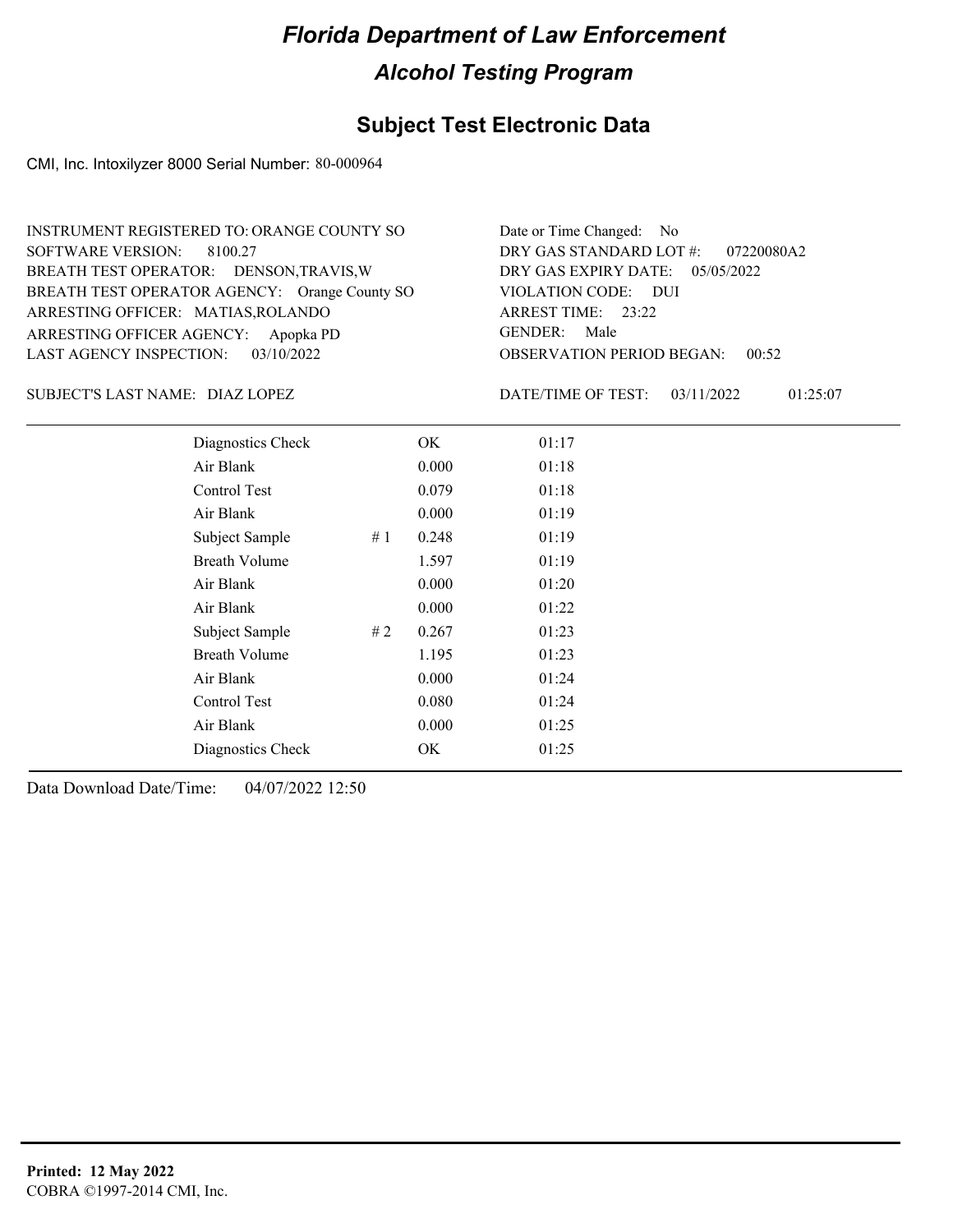#### **Subject Test Electronic Data**

CMI, Inc. Intoxilyzer 8000 Serial Number: 80-000964

OBSERVATION PERIOD BEGAN: 00:52 ARRESTING OFFICER AGENCY: Apopka PD GENDER: BREATH TEST OPERATOR AGENCY: Orange County SO VIOLATION CODE: SOFTWARE VERSION: 8100.27 VIOLATION CODE: DUI 23:22 ARREST TIME: ARRESTING OFFICER: MATIAS,ROLANDO DRY GAS EXPIRY DATE: 05/05/2022 07220080A2 BREATH TEST OPERATOR: DENSON,TRAVIS,W LAST AGENCY INSPECTION: 03/10/2022 INSTRUMENT REGISTERED TO: ORANGE COUNTY SO DRY GAS STANDARD LOT #: Date or Time Changed: No GENDER: Male

DIAZ LOPEZ SUBJECT'S LAST NAME: DATE/TIME OF TEST:

DATE/TIME OF TEST: 03/11/2022 01:25:07

| Diagnostics Check    |    | OK    | 01:17 |
|----------------------|----|-------|-------|
| Air Blank            |    | 0.000 | 01:18 |
| Control Test         |    | 0.079 | 01:18 |
| Air Blank            |    | 0.000 | 01:19 |
| Subject Sample       | #1 | 0.248 | 01:19 |
| <b>Breath Volume</b> |    | 1.597 | 01:19 |
| Air Blank            |    | 0.000 | 01:20 |
| Air Blank            |    | 0.000 | 01:22 |
| Subject Sample       | #2 | 0.267 | 01:23 |
| <b>Breath Volume</b> |    | 1.195 | 01:23 |
| Air Blank            |    | 0.000 | 01:24 |
| Control Test         |    | 0.080 | 01:24 |
| Air Blank            |    | 0.000 | 01:25 |
| Diagnostics Check    |    | OK    | 01:25 |
|                      |    |       |       |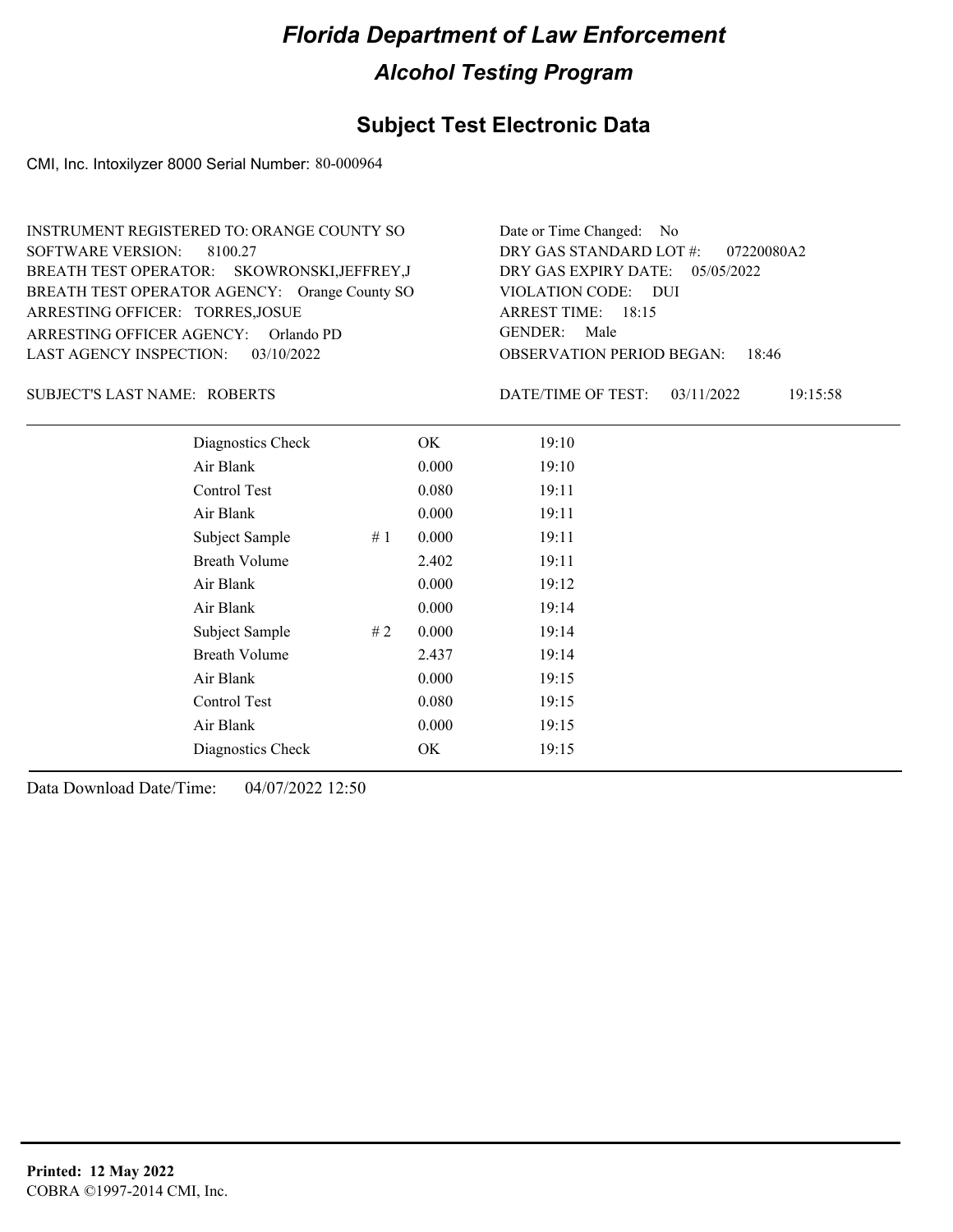#### **Subject Test Electronic Data**

CMI, Inc. Intoxilyzer 8000 Serial Number: 80-000964

OBSERVATION PERIOD BEGAN: 18:46 ARRESTING OFFICER AGENCY: GENDER: Orlando PD BREATH TEST OPERATOR AGENCY: Orange County SO VIOLATION CODE: SOFTWARE VERSION: 8100.27 VIOLATION CODE: DUI ARREST TIME: 18:15 ARRESTING OFFICER: TORRES, JOSUE DRY GAS EXPIRY DATE: 05/05/2022 07220080A2 SKOWRONSKI,JEFFREY,J BREATH TEST OPERATOR: LAST AGENCY INSPECTION: 03/10/2022 INSTRUMENT REGISTERED TO: ORANGE COUNTY SO DRY GAS STANDARD LOT #: Date or Time Changed: No GENDER: Male

#### ROBERTS SUBJECT'S LAST NAME: DATE/TIME OF TEST:

DATE/TIME OF TEST: 03/11/2022 19:15:58

| Diagnostics Check    |    | OK    | 19:10 |
|----------------------|----|-------|-------|
| Air Blank            |    | 0.000 | 19:10 |
| Control Test         |    | 0.080 | 19:11 |
| Air Blank            |    | 0.000 | 19:11 |
| Subject Sample       | #1 | 0.000 | 19:11 |
| <b>Breath Volume</b> |    | 2.402 | 19:11 |
| Air Blank            |    | 0.000 | 19:12 |
| Air Blank            |    | 0.000 | 19:14 |
| Subject Sample       | #2 | 0.000 | 19:14 |
| <b>Breath Volume</b> |    | 2.437 | 19:14 |
| Air Blank            |    | 0.000 | 19:15 |
| <b>Control Test</b>  |    | 0.080 | 19:15 |
| Air Blank            |    | 0.000 | 19:15 |
| Diagnostics Check    |    | OK    | 19:15 |
|                      |    |       |       |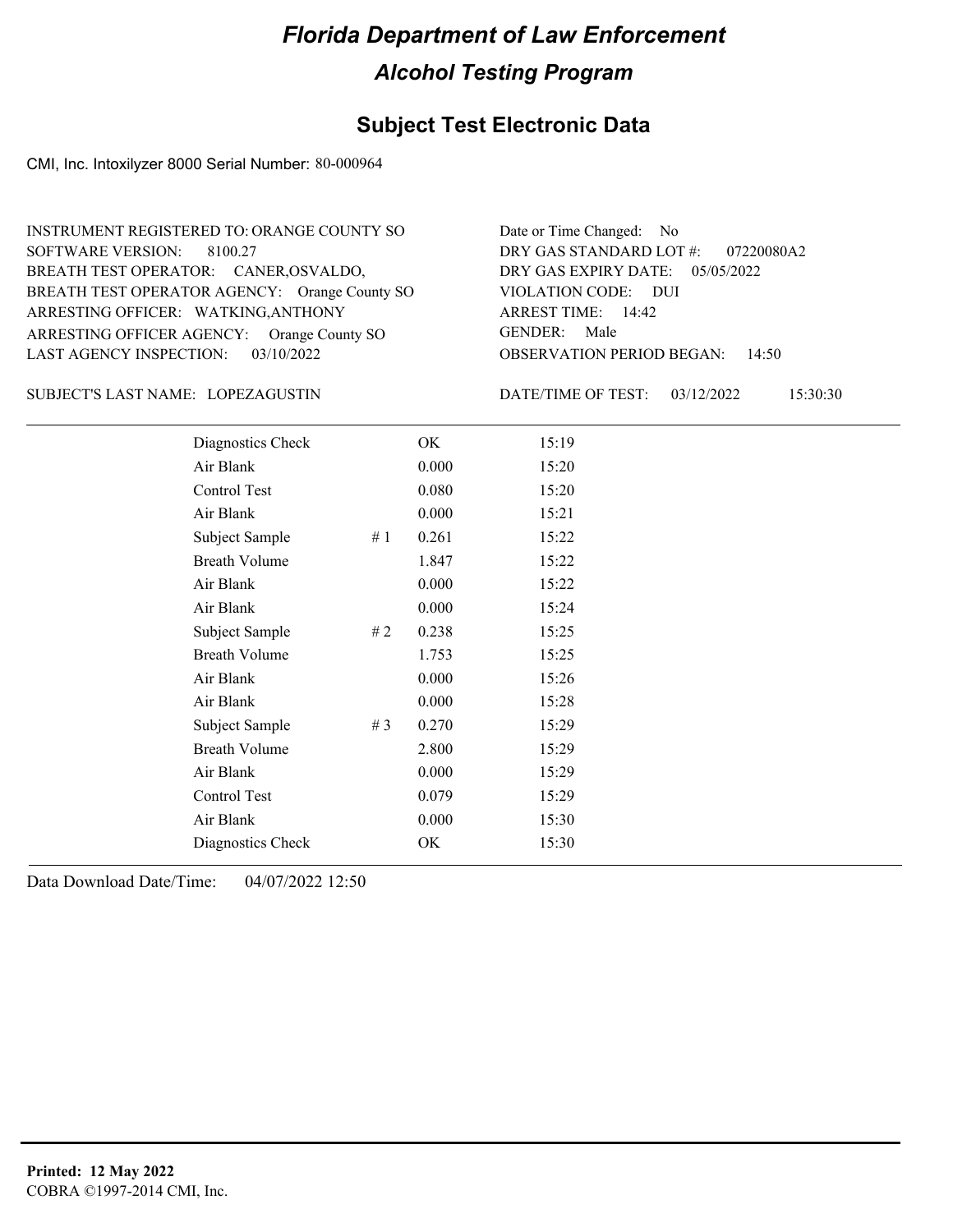## **Subject Test Electronic Data**

CMI, Inc. Intoxilyzer 8000 Serial Number: 80-000964

| INSTRUMENT REGISTERED TO: ORANGE COUNTY SO    | Date or Time Changed: No               |
|-----------------------------------------------|----------------------------------------|
| SOFTWARE VERSION: 8100.27                     | DRY GAS STANDARD LOT #: 07220080A2     |
| BREATH TEST OPERATOR: CANER, OSVALDO,         | DRY GAS EXPIRY DATE: $05/05/2022$      |
| BREATH TEST OPERATOR AGENCY: Orange County SO | VIOLATION CODE: DUI                    |
| ARRESTING OFFICER: WATKING, ANTHONY           | ARREST TIME: $14:42$                   |
| ARRESTING OFFICER AGENCY: Orange County SO    | GENDER: Male                           |
| LAST AGENCY INSPECTION: $03/10/2022$          | <b>OBSERVATION PERIOD BEGAN: 14:50</b> |
|                                               |                                        |

#### LOPEZAGUSTIN SUBJECT'S LAST NAME: DATE/TIME OF TEST:

DATE/TIME OF TEST: 03/12/2022 15:30:30

| Diagnostics Check    |       | OK    | 15:19 |
|----------------------|-------|-------|-------|
| Air Blank            |       | 0.000 | 15:20 |
| Control Test         |       | 0.080 | 15:20 |
| Air Blank            |       | 0.000 | 15:21 |
| Subject Sample       | #1    | 0.261 | 15:22 |
| <b>Breath Volume</b> |       | 1.847 | 15:22 |
| Air Blank            |       | 0.000 | 15:22 |
| Air Blank            |       | 0.000 | 15:24 |
| Subject Sample       | #2    | 0.238 | 15:25 |
| <b>Breath Volume</b> |       | 1.753 | 15:25 |
| Air Blank            |       | 0.000 | 15:26 |
| Air Blank            |       | 0.000 | 15:28 |
| Subject Sample       | # $3$ | 0.270 | 15:29 |
| <b>Breath Volume</b> |       | 2.800 | 15:29 |
| Air Blank            |       | 0.000 | 15:29 |
| Control Test         |       | 0.079 | 15:29 |
| Air Blank            |       | 0.000 | 15:30 |
| Diagnostics Check    |       | OK    | 15:30 |
|                      |       |       |       |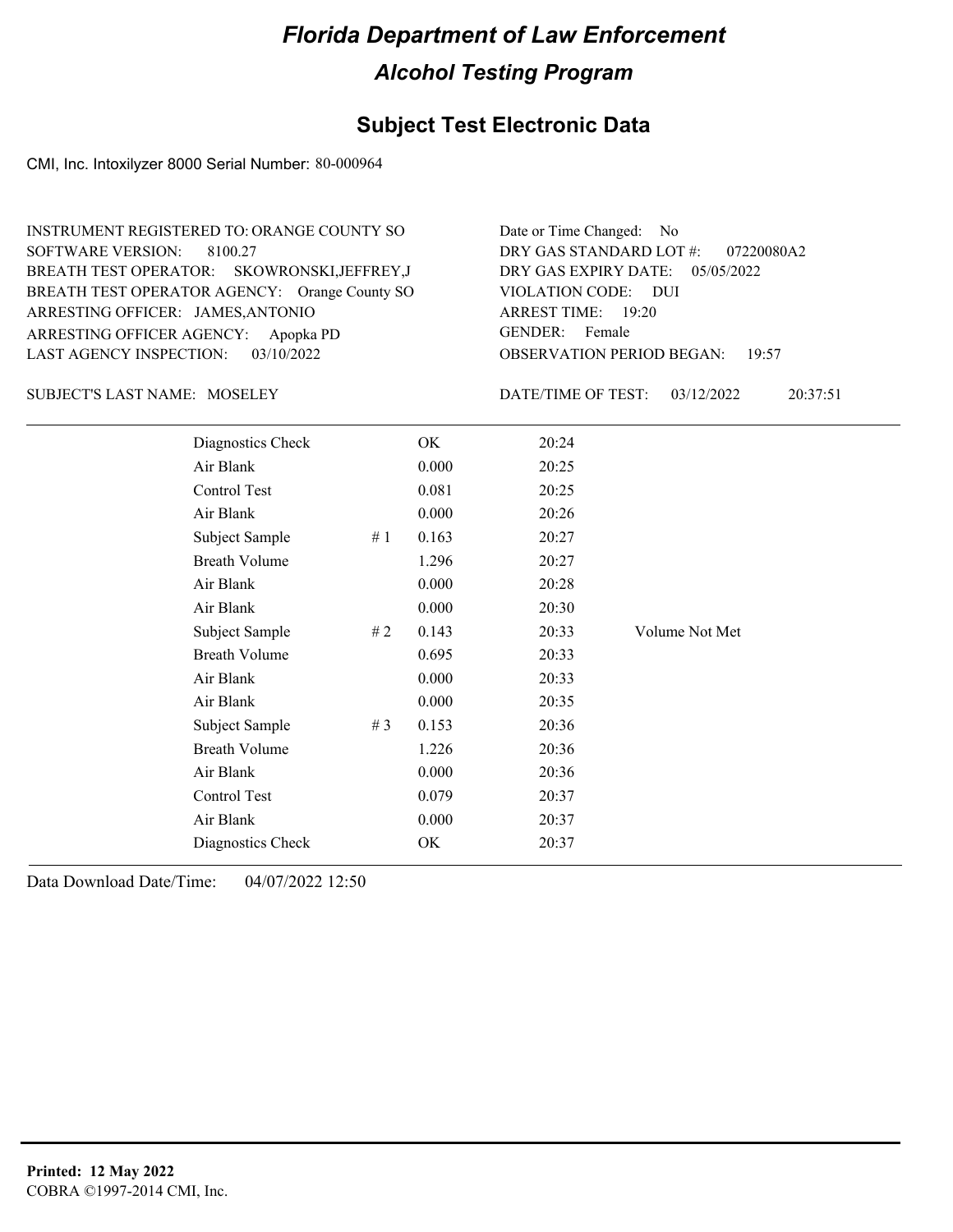## **Subject Test Electronic Data**

CMI, Inc. Intoxilyzer 8000 Serial Number: 80-000964

| <b>INSTRUMENT REGISTERED TO: ORANGE COUNTY SO</b> | Date or Time Changed: No               |
|---------------------------------------------------|----------------------------------------|
| SOFTWARE VERSION: 8100.27                         | DRY GAS STANDARD LOT #: 07220080A2     |
| BREATH TEST OPERATOR: SKOWRONSKI, JEFFREY, J      | DRY GAS EXPIRY DATE: 05/05/2022        |
| BREATH TEST OPERATOR AGENCY: Orange County SO     | VIOLATION CODE: DUI                    |
| ARRESTING OFFICER: JAMES, ANTONIO                 | ARREST TIME: 19:20                     |
| ARRESTING OFFICER AGENCY: Apopka PD               | GENDER: Female                         |
| LAST AGENCY INSPECTION: $03/10/2022$              | <b>OBSERVATION PERIOD BEGAN: 19:57</b> |

#### SUBJECT'S LAST NAME: MOSELEY DATE/TIME OF TEST:

DATE/TIME OF TEST: 03/12/2022 20:37:51

| Diagnostics Check    |       | OK    | 20:24 |                |
|----------------------|-------|-------|-------|----------------|
| Air Blank            |       | 0.000 | 20:25 |                |
| Control Test         |       | 0.081 | 20:25 |                |
| Air Blank            |       | 0.000 | 20:26 |                |
| Subject Sample       | #1    | 0.163 | 20:27 |                |
| <b>Breath Volume</b> |       | 1.296 | 20:27 |                |
| Air Blank            |       | 0.000 | 20:28 |                |
| Air Blank            |       | 0.000 | 20:30 |                |
| Subject Sample       | #2    | 0.143 | 20:33 | Volume Not Met |
| <b>Breath Volume</b> |       | 0.695 | 20:33 |                |
| Air Blank            |       | 0.000 | 20:33 |                |
| Air Blank            |       | 0.000 | 20:35 |                |
| Subject Sample       | # $3$ | 0.153 | 20:36 |                |
| <b>Breath Volume</b> |       | 1.226 | 20:36 |                |
| Air Blank            |       | 0.000 | 20:36 |                |
| Control Test         |       | 0.079 | 20:37 |                |
| Air Blank            |       | 0.000 | 20:37 |                |
| Diagnostics Check    |       | OK    | 20:37 |                |
|                      |       |       |       |                |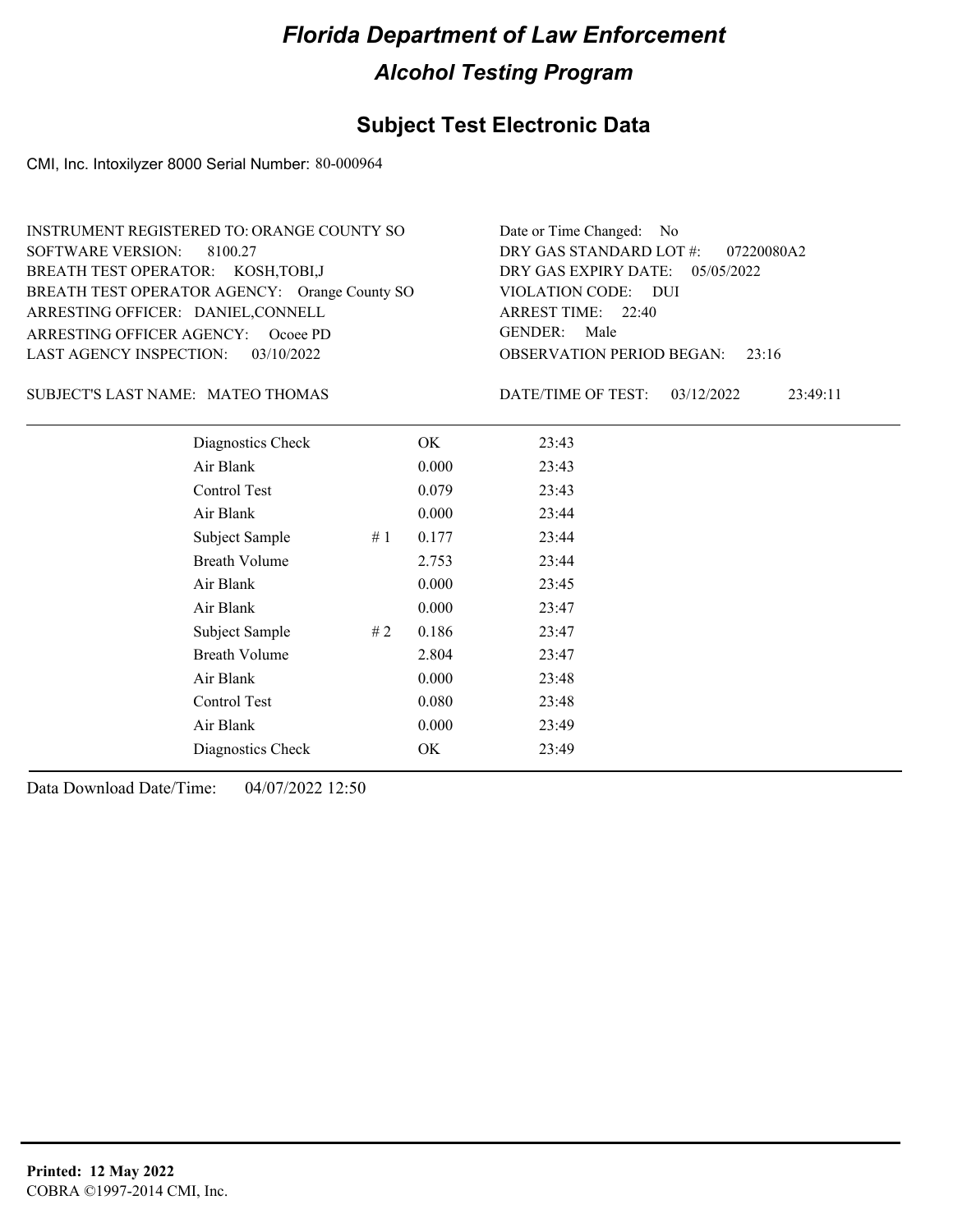## **Subject Test Electronic Data**

CMI, Inc. Intoxilyzer 8000 Serial Number: 80-000964

| INSTRUMENT REGISTERED TO: ORANGE COUNTY SO    | Date or Time Changed: No               |
|-----------------------------------------------|----------------------------------------|
| SOFTWARE VERSION: 8100.27                     | DRY GAS STANDARD LOT $#$ : 07220080A2  |
| BREATH TEST OPERATOR: KOSH, TOBI, J           | DRY GAS EXPIRY DATE: $05/05/2022$      |
| BREATH TEST OPERATOR AGENCY: Orange County SO | VIOLATION CODE: DUI                    |
| ARRESTING OFFICER: DANIEL, CONNELL            | ARREST TIME: 22:40                     |
| ARRESTING OFFICER AGENCY: Ocoee PD            | GENDER: Male                           |
| LAST AGENCY INSPECTION: 03/10/2022            | <b>OBSERVATION PERIOD BEGAN:</b> 23:16 |

#### SUBJECT'S LAST NAME: MATEO THOMAS DATE/TIME OF TEST:

DATE/TIME OF TEST: 03/12/2022 23:49:11

| Diagnostics Check    |    | OK    | 23:43 |
|----------------------|----|-------|-------|
| Air Blank            |    | 0.000 | 23:43 |
| Control Test         |    | 0.079 | 23:43 |
| Air Blank            |    | 0.000 | 23:44 |
| Subject Sample       | #1 | 0.177 | 23:44 |
| <b>Breath Volume</b> |    | 2.753 | 23:44 |
| Air Blank            |    | 0.000 | 23:45 |
| Air Blank            |    | 0.000 | 23:47 |
| Subject Sample       | #2 | 0.186 | 23:47 |
| Breath Volume        |    | 2.804 | 23:47 |
| Air Blank            |    | 0.000 | 23:48 |
| Control Test         |    | 0.080 | 23:48 |
| Air Blank            |    | 0.000 | 23:49 |
| Diagnostics Check    |    | OK    | 23:49 |
|                      |    |       |       |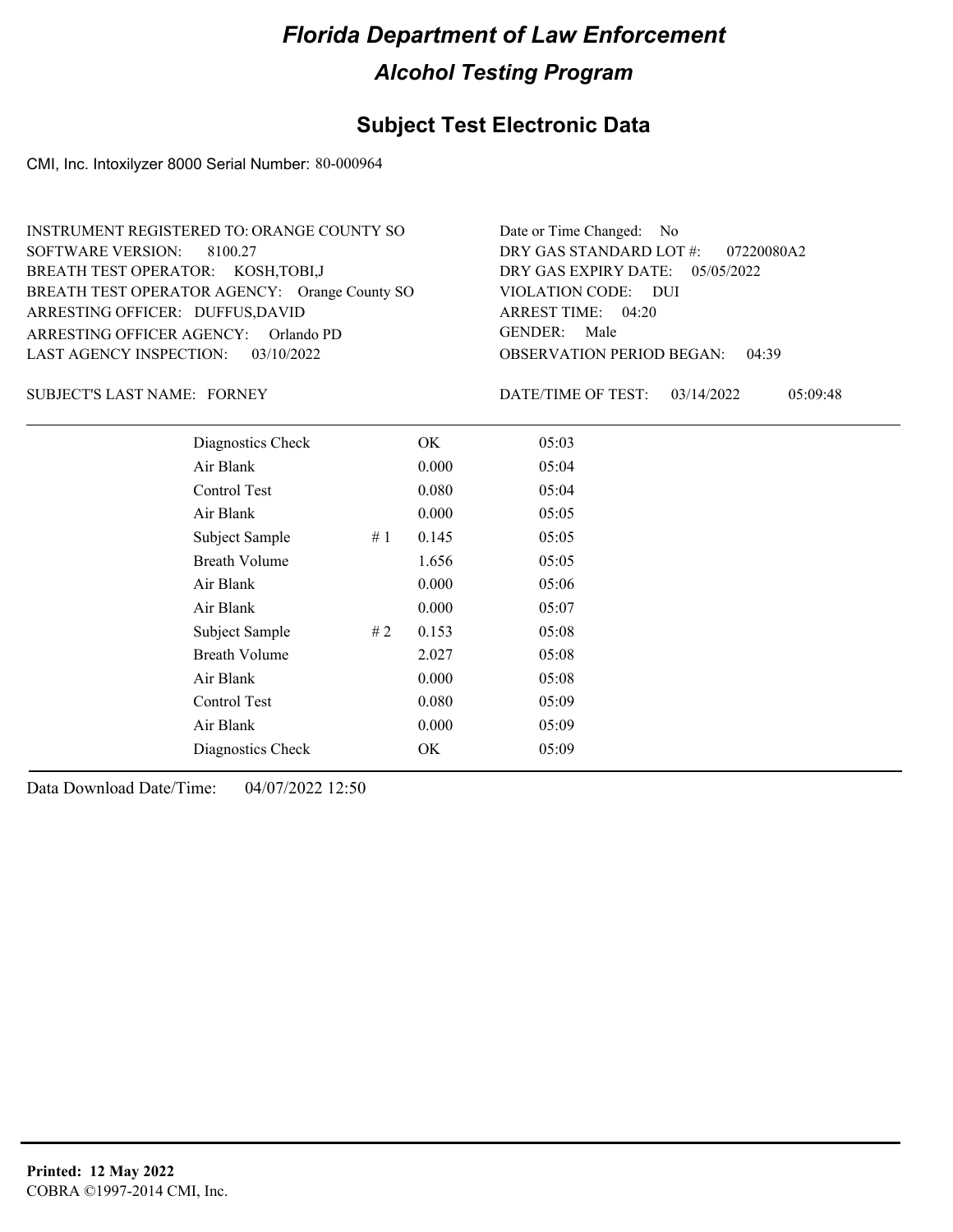## **Subject Test Electronic Data**

CMI, Inc. Intoxilyzer 8000 Serial Number: 80-000964

| INSTRUMENT REGISTERED TO: ORANGE COUNTY SO    | Date or Time Changed: No               |
|-----------------------------------------------|----------------------------------------|
| SOFTWARE VERSION: 8100.27                     | DRY GAS STANDARD LOT $\#$ : 07220080A2 |
| BREATH TEST OPERATOR: KOSH, TOBI, J           | DRY GAS EXPIRY DATE: 05/05/2022        |
| BREATH TEST OPERATOR AGENCY: Orange County SO | VIOLATION CODE: DUI                    |
| ARRESTING OFFICER: DUFFUS, DAVID              | ARREST TIME: 04:20                     |
| ARRESTING OFFICER AGENCY: Orlando PD          | GENDER: Male                           |
| LAST AGENCY INSPECTION: 03/10/2022            | <b>OBSERVATION PERIOD BEGAN: 04:39</b> |

SUBJECT'S LAST NAME: FORNEY **Example 20** DATE/TIME OF TEST:

DATE/TIME OF TEST: 03/14/2022 05:09:48

| Diagnostics Check    |    | OK    | 05:03 |
|----------------------|----|-------|-------|
| Air Blank            |    | 0.000 | 05:04 |
| Control Test         |    | 0.080 | 05:04 |
| Air Blank            |    | 0.000 | 05:05 |
| Subject Sample       | #1 | 0.145 | 05:05 |
| <b>Breath Volume</b> |    | 1.656 | 05:05 |
| Air Blank            |    | 0.000 | 05:06 |
| Air Blank            |    | 0.000 | 05:07 |
| Subject Sample       | #2 | 0.153 | 05:08 |
| <b>Breath Volume</b> |    | 2.027 | 05:08 |
| Air Blank            |    | 0.000 | 05:08 |
| Control Test         |    | 0.080 | 05:09 |
| Air Blank            |    | 0.000 | 05:09 |
| Diagnostics Check    |    | OK    | 05:09 |
|                      |    |       |       |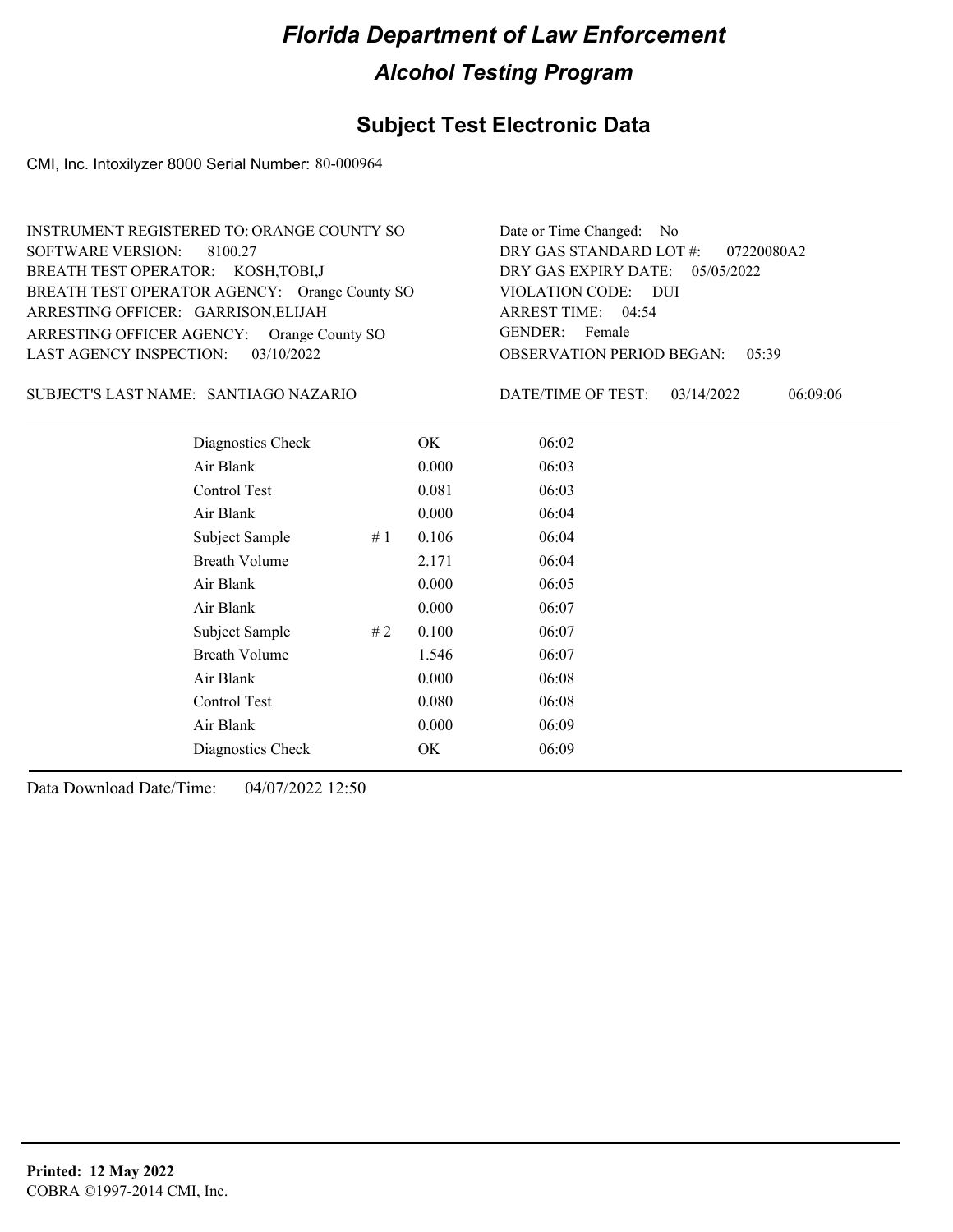## **Subject Test Electronic Data**

CMI, Inc. Intoxilyzer 8000 Serial Number: 80-000964

| INSTRUMENT REGISTERED TO: ORANGE COUNTY SO    | Date or Time Changed: No               |
|-----------------------------------------------|----------------------------------------|
| SOFTWARE VERSION: 8100.27                     | DRY GAS STANDARD LOT #: 07220080A2     |
| BREATH TEST OPERATOR: KOSH, TOBI, J           | DRY GAS EXPIRY DATE: 05/05/2022        |
| BREATH TEST OPERATOR AGENCY: Orange County SO | VIOLATION CODE: DUI                    |
| ARRESTING OFFICER: GARRISON, ELIJAH           | ARREST TIME: 04:54                     |
| ARRESTING OFFICER AGENCY: Orange County SO    | GENDER: Female                         |
| LAST AGENCY INSPECTION: $03/10/2022$          | <b>OBSERVATION PERIOD BEGAN: 05:39</b> |

#### SANTIAGO NAZARIO SUBJECT'S LAST NAME: DATE/TIME OF TEST:

DATE/TIME OF TEST: 03/14/2022 06:09:06

| Diagnostics Check    |       | OK    | 06:02 |
|----------------------|-------|-------|-------|
| Air Blank            |       | 0.000 | 06:03 |
| Control Test         |       | 0.081 | 06:03 |
| Air Blank            |       | 0.000 | 06:04 |
| Subject Sample       | # $1$ | 0.106 | 06:04 |
| <b>Breath Volume</b> |       | 2.171 | 06:04 |
| Air Blank            |       | 0.000 | 06:05 |
| Air Blank            |       | 0.000 | 06:07 |
| Subject Sample       | # 2   | 0.100 | 06:07 |
| <b>Breath Volume</b> |       | 1.546 | 06:07 |
| Air Blank            |       | 0.000 | 06:08 |
| Control Test         |       | 0.080 | 06:08 |
| Air Blank            |       | 0.000 | 06:09 |
| Diagnostics Check    |       | OK    | 06:09 |
|                      |       |       |       |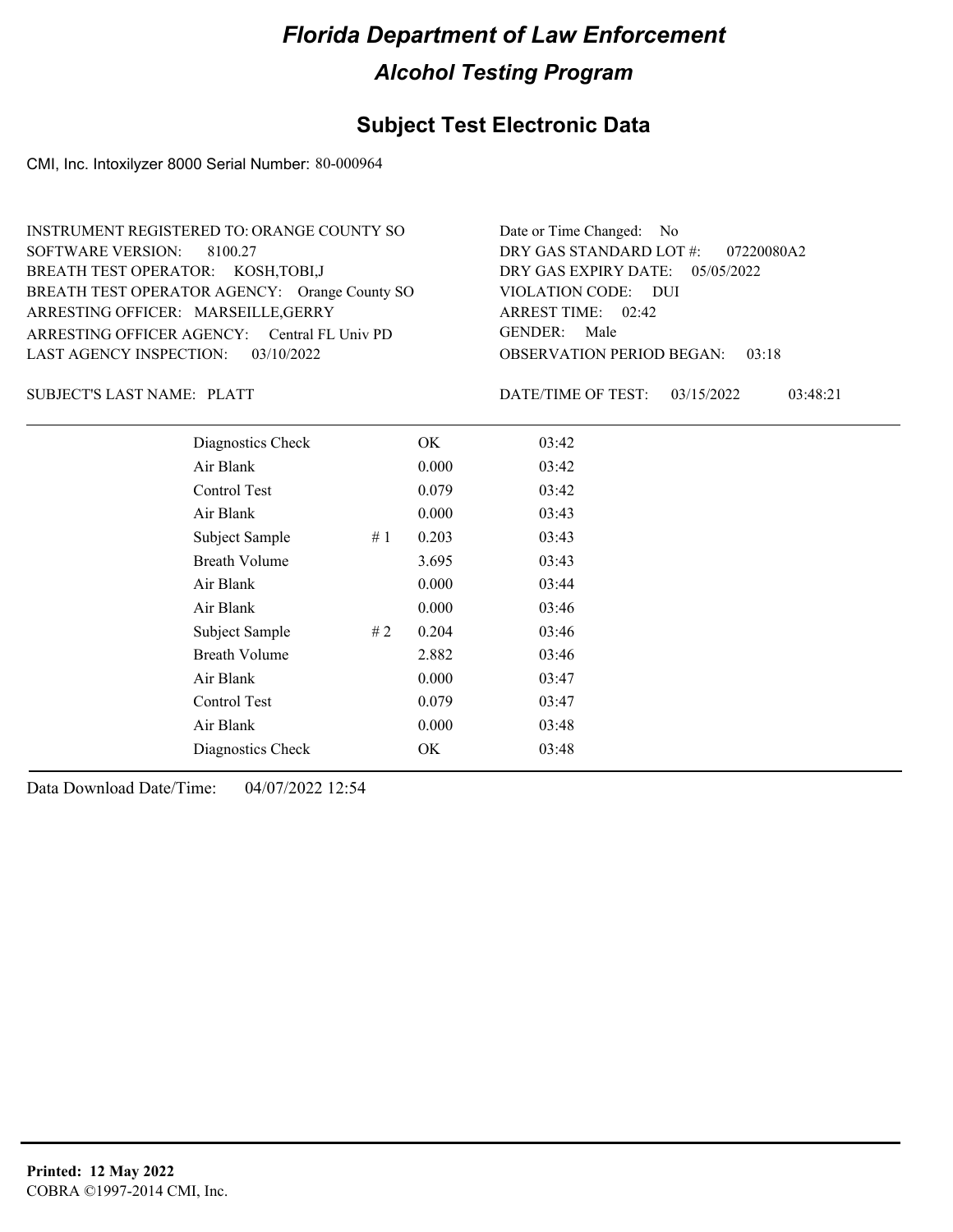## **Subject Test Electronic Data**

CMI, Inc. Intoxilyzer 8000 Serial Number: 80-000964

| INSTRUMENT REGISTERED TO: ORANGE COUNTY SO    | Date or Time Changed: No               |
|-----------------------------------------------|----------------------------------------|
| SOFTWARE VERSION: 8100.27                     | DRY GAS STANDARD LOT #: 07220080A2     |
| BREATH TEST OPERATOR: KOSH, TOBI, J           | DRY GAS EXPIRY DATE: $05/05/2022$      |
| BREATH TEST OPERATOR AGENCY: Orange County SO | VIOLATION CODE: DUI                    |
| ARRESTING OFFICER: MARSEILLE, GERRY           | ARREST TIME: $02:42$                   |
| ARRESTING OFFICER AGENCY: Central FL Univ PD  | GENDER: Male                           |
| LAST AGENCY INSPECTION: $03/10/2022$          | <b>OBSERVATION PERIOD BEGAN: 03:18</b> |

SUBJECT'S LAST NAME: PLATT SUBJECTS ASSEMBLIFIC THAT A MATE/TIME OF TEST:

DATE/TIME OF TEST: 03/15/2022 03:48:21

| Diagnostics Check    |    | OK    | 03:42 |
|----------------------|----|-------|-------|
| Air Blank            |    | 0.000 | 03:42 |
| Control Test         |    | 0.079 | 03:42 |
| Air Blank            |    | 0.000 | 03:43 |
| Subject Sample       | #1 | 0.203 | 03:43 |
| <b>Breath Volume</b> |    | 3.695 | 03:43 |
| Air Blank            |    | 0.000 | 03:44 |
| Air Blank            |    | 0.000 | 03:46 |
| Subject Sample       | #2 | 0.204 | 03:46 |
| <b>Breath Volume</b> |    | 2.882 | 03:46 |
| Air Blank            |    | 0.000 | 03:47 |
| Control Test         |    | 0.079 | 03:47 |
| Air Blank            |    | 0.000 | 03:48 |
| Diagnostics Check    |    | OK    | 03:48 |
|                      |    |       |       |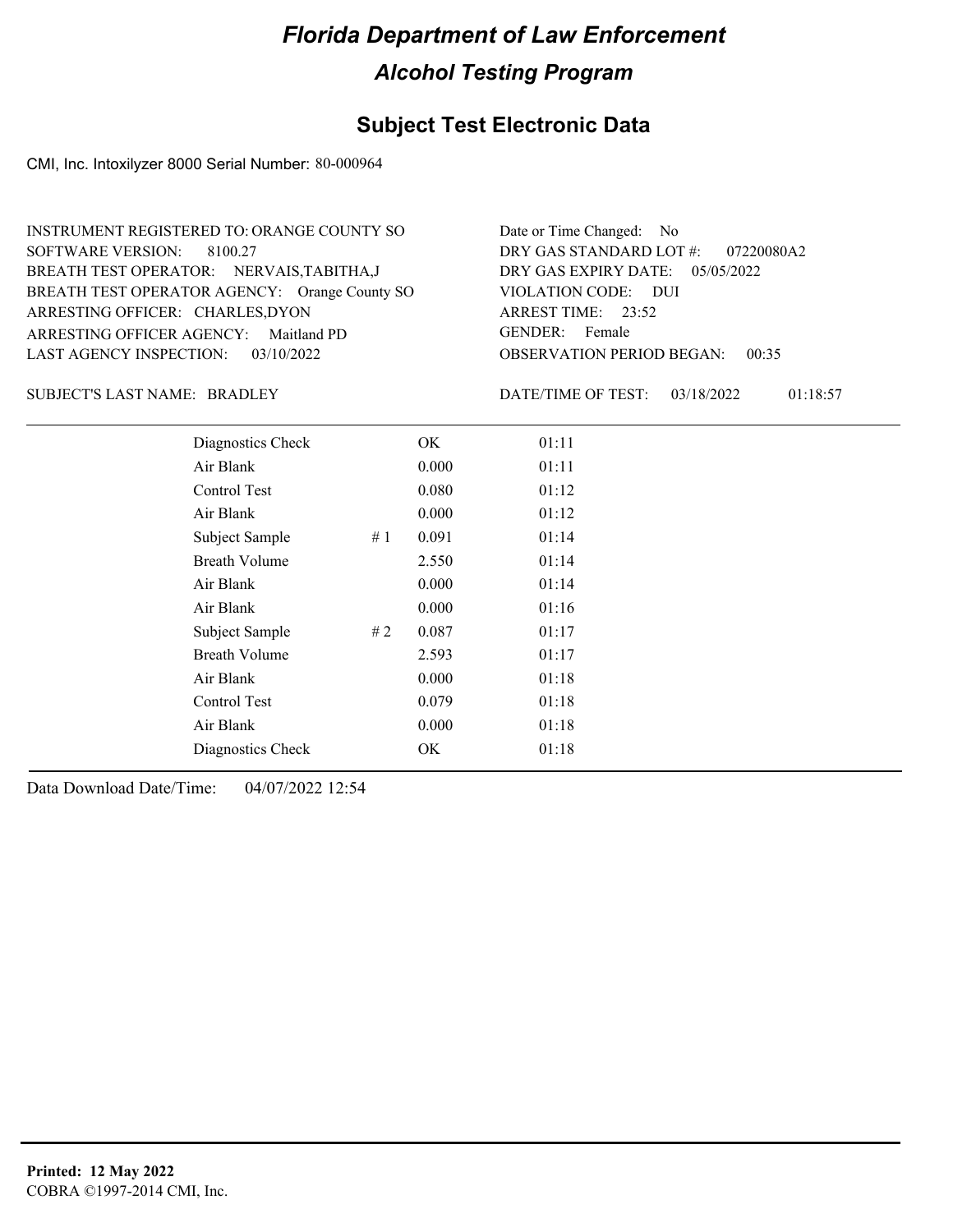#### **Subject Test Electronic Data**

CMI, Inc. Intoxilyzer 8000 Serial Number: 80-000964

OBSERVATION PERIOD BEGAN: 00:35 ARRESTING OFFICER AGENCY: Maitland PD GENDER: BREATH TEST OPERATOR AGENCY: Orange County SO VIOLATION CODE: SOFTWARE VERSION: 8100.27 VIOLATION CODE: DUI 23:52 ARREST TIME: ARRESTING OFFICER: CHARLES,DYON DRY GAS EXPIRY DATE: 05/05/2022 07220080A2 BREATH TEST OPERATOR: NERVAIS,TABITHA,J LAST AGENCY INSPECTION: 03/10/2022 INSTRUMENT REGISTERED TO: ORANGE COUNTY SO DRY GAS STANDARD LOT #: Date or Time Changed: No GENDER: Female

BRADLEY SUBJECT'S LAST NAME: DATE/TIME OF TEST:

DATE/TIME OF TEST: 03/18/2022 01:18:57

| Diagnostics Check    |    | OK    | 01:11 |
|----------------------|----|-------|-------|
| Air Blank            |    | 0.000 | 01:11 |
| Control Test         |    | 0.080 | 01:12 |
| Air Blank            |    | 0.000 | 01:12 |
| Subject Sample       | #1 | 0.091 | 01:14 |
| <b>Breath Volume</b> |    | 2.550 | 01:14 |
| Air Blank            |    | 0.000 | 01:14 |
| Air Blank            |    | 0.000 | 01:16 |
| Subject Sample       | #2 | 0.087 | 01:17 |
| <b>Breath Volume</b> |    | 2.593 | 01:17 |
| Air Blank            |    | 0.000 | 01:18 |
| Control Test         |    | 0.079 | 01:18 |
| Air Blank            |    | 0.000 | 01:18 |
| Diagnostics Check    |    | OK    | 01:18 |
|                      |    |       |       |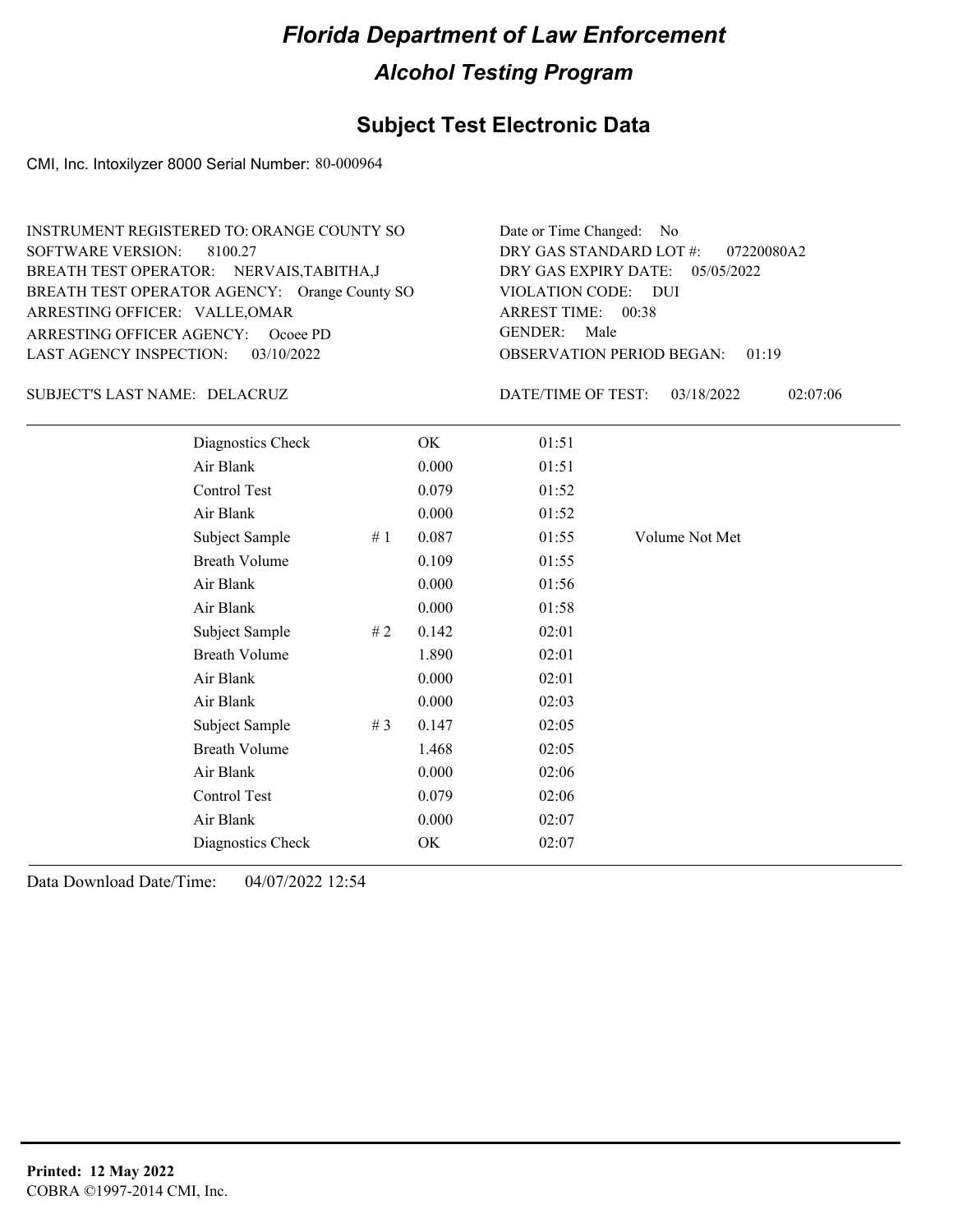## **Subject Test Electronic Data**

CMI, Inc. Intoxilyzer 8000 Serial Number: 80-000964

| INSTRUMENT REGISTERED TO: ORANGE COUNTY SO    | Date or Time Changed: No               |
|-----------------------------------------------|----------------------------------------|
| SOFTWARE VERSION: 8100.27                     | DRY GAS STANDARD LOT #: 07220080A2     |
| BREATH TEST OPERATOR: NERVAIS, TABITHA, J     | DRY GAS EXPIRY DATE: 05/05/2022        |
| BREATH TEST OPERATOR AGENCY: Orange County SO | VIOLATION CODE: DUI                    |
| ARRESTING OFFICER: VALLE, OMAR                | ARREST TIME: 00:38                     |
| ARRESTING OFFICER AGENCY: Ocoee PD            | GENDER: Male                           |
| LAST AGENCY INSPECTION: 03/10/2022            | <b>OBSERVATION PERIOD BEGAN: 01:19</b> |

#### DELACRUZ SUBJECT'S LAST NAME: DATE/TIME OF TEST:

DATE/TIME OF TEST: 03/18/2022 02:07:06

| Diagnostics Check    |    | OK    | 01:51 |                |
|----------------------|----|-------|-------|----------------|
| Air Blank            |    | 0.000 | 01:51 |                |
| Control Test         |    | 0.079 | 01:52 |                |
| Air Blank            |    | 0.000 | 01:52 |                |
| Subject Sample       | #1 | 0.087 | 01:55 | Volume Not Met |
| <b>Breath Volume</b> |    | 0.109 | 01:55 |                |
| Air Blank            |    | 0.000 | 01:56 |                |
| Air Blank            |    | 0.000 | 01:58 |                |
| Subject Sample       | #2 | 0.142 | 02:01 |                |
| <b>Breath Volume</b> |    | 1.890 | 02:01 |                |
| Air Blank            |    | 0.000 | 02:01 |                |
| Air Blank            |    | 0.000 | 02:03 |                |
| Subject Sample       | #3 | 0.147 | 02:05 |                |
| <b>Breath Volume</b> |    | 1.468 | 02:05 |                |
| Air Blank            |    | 0.000 | 02:06 |                |
| Control Test         |    | 0.079 | 02:06 |                |
| Air Blank            |    | 0.000 | 02:07 |                |
| Diagnostics Check    |    | OK    | 02:07 |                |
|                      |    |       |       |                |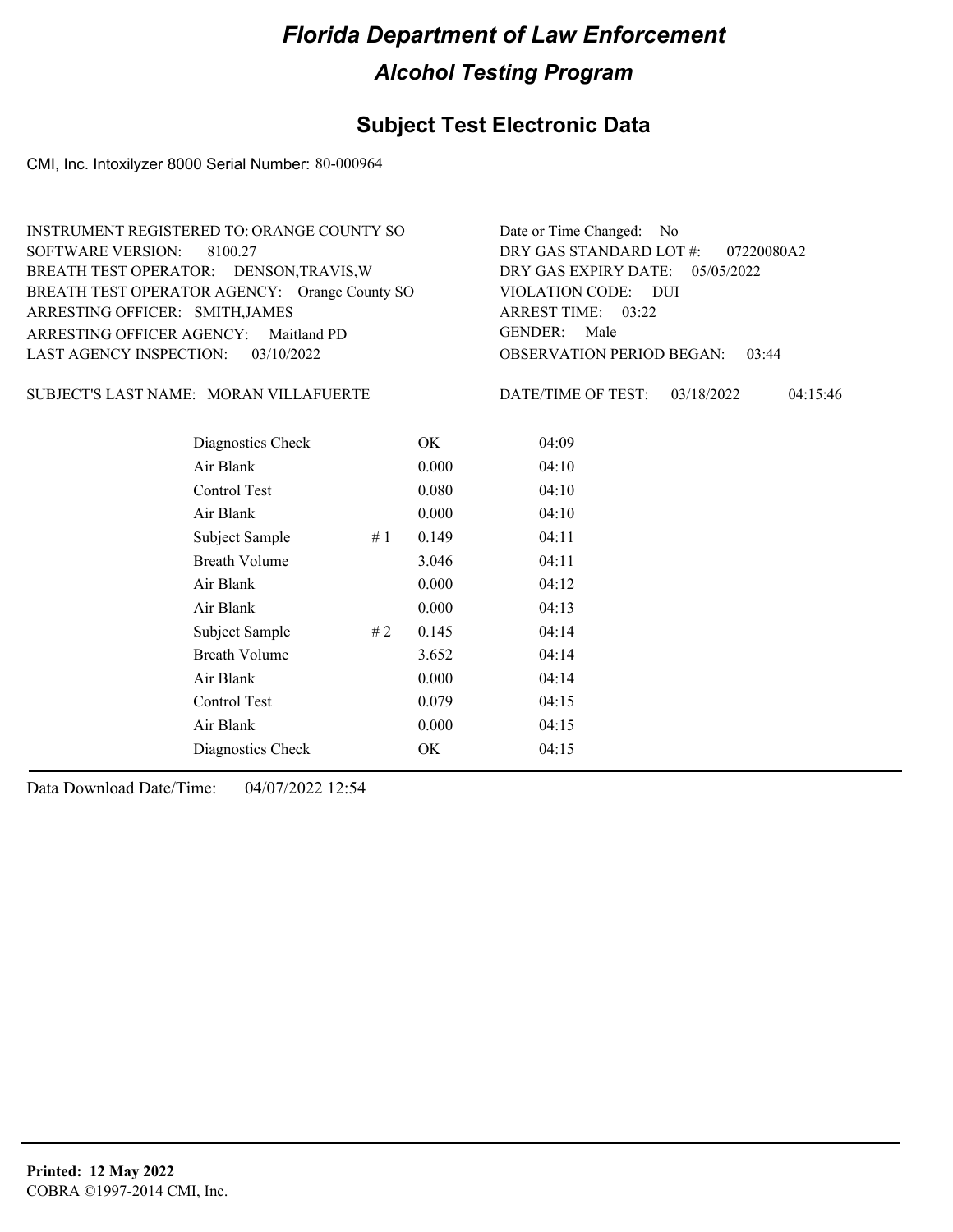## **Subject Test Electronic Data**

CMI, Inc. Intoxilyzer 8000 Serial Number: 80-000964

| <b>INSTRUMENT REGISTERED TO: ORANGE COUNTY SO</b> | Date or Time Changed: No               |
|---------------------------------------------------|----------------------------------------|
| SOFTWARE VERSION: 8100.27                         | DRY GAS STANDARD LOT #: 07220080A2     |
| BREATH TEST OPERATOR: DENSON, TRAVIS, W           | DRY GAS EXPIRY DATE: $05/05/2022$      |
| BREATH TEST OPERATOR AGENCY: Orange County SO     | VIOLATION CODE: DUI                    |
| ARRESTING OFFICER: SMITH, JAMES                   | ARREST TIME: 03:22                     |
| ARRESTING OFFICER AGENCY: Maitland PD             | GENDER: Male                           |
| LAST AGENCY INSPECTION: 03/10/2022                | <b>OBSERVATION PERIOD BEGAN: 03:44</b> |

MORAN VILLAFUERTE SUBJECT'S LAST NAME: DATE/TIME OF TEST:

DATE/TIME OF TEST: 03/18/2022 04:15:46

| Diagnostics Check    |    | OK    | 04:09 |  |
|----------------------|----|-------|-------|--|
| Air Blank            |    | 0.000 | 04:10 |  |
| Control Test         |    | 0.080 | 04:10 |  |
| Air Blank            |    | 0.000 | 04:10 |  |
| Subject Sample       | #1 | 0.149 | 04:11 |  |
| <b>Breath Volume</b> |    | 3.046 | 04:11 |  |
| Air Blank            |    | 0.000 | 04:12 |  |
| Air Blank            |    | 0.000 | 04:13 |  |
| Subject Sample       | #2 | 0.145 | 04:14 |  |
| <b>Breath Volume</b> |    | 3.652 | 04:14 |  |
| Air Blank            |    | 0.000 | 04:14 |  |
| Control Test         |    | 0.079 | 04:15 |  |
| Air Blank            |    | 0.000 | 04:15 |  |
| Diagnostics Check    |    | OK    | 04:15 |  |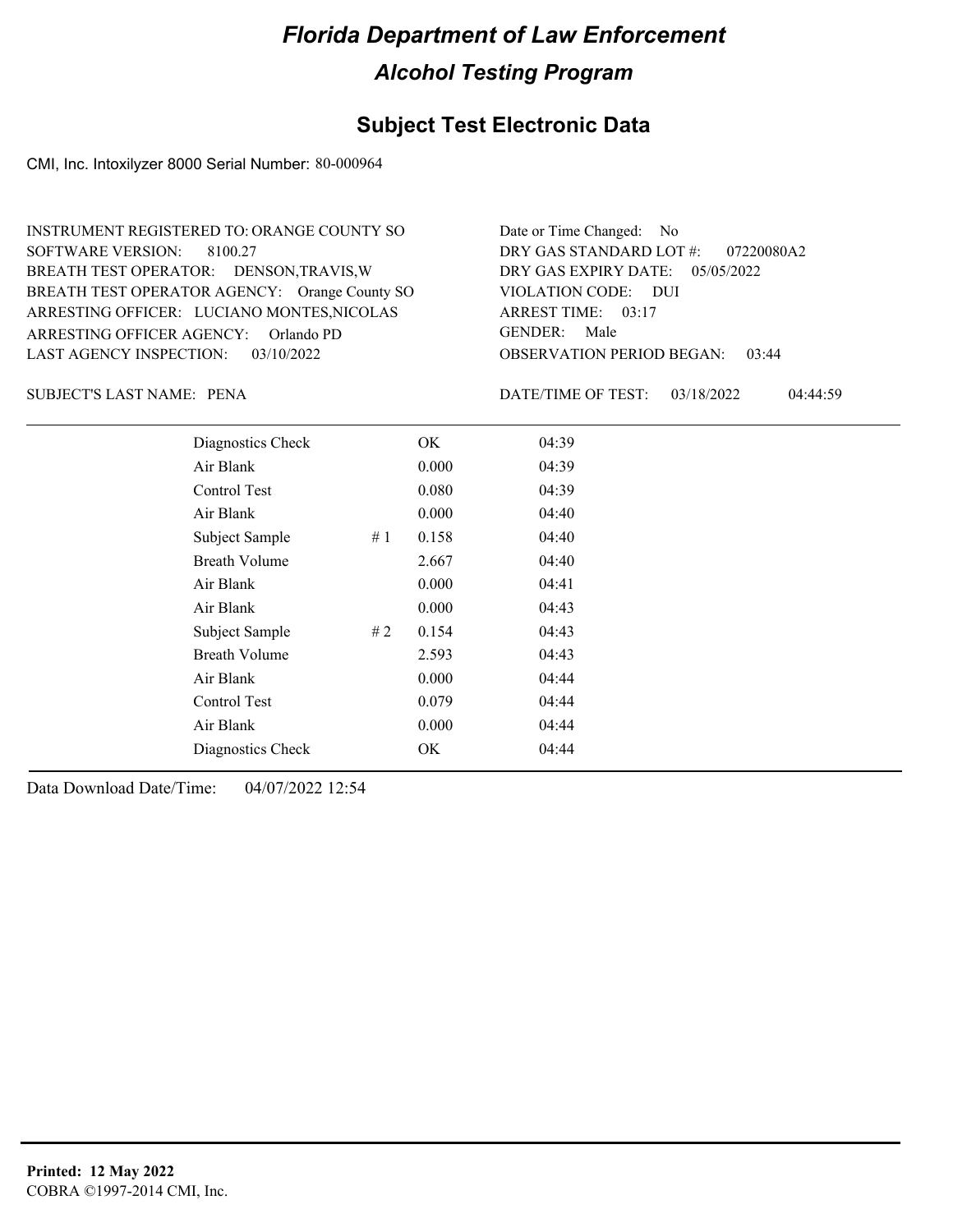## **Subject Test Electronic Data**

CMI, Inc. Intoxilyzer 8000 Serial Number: 80-000964

| INSTRUMENT REGISTERED TO: ORANGE COUNTY SO    | Date or Time Changed: No               |
|-----------------------------------------------|----------------------------------------|
| SOFTWARE VERSION: 8100.27                     | DRY GAS STANDARD LOT #: 07220080A2     |
| BREATH TEST OPERATOR: DENSON, TRAVIS, W       | DRY GAS EXPIRY DATE: 05/05/2022        |
| BREATH TEST OPERATOR AGENCY: Orange County SO | VIOLATION CODE: DUI                    |
| ARRESTING OFFICER: LUCIANO MONTES, NICOLAS    | ARREST TIME: 03:17                     |
| ARRESTING OFFICER AGENCY: Orlando PD          | GENDER: Male                           |
| LAST AGENCY INSPECTION: 03/10/2022            | <b>OBSERVATION PERIOD BEGAN: 03:44</b> |

PENA SUBJECT'S LAST NAME: DATE/TIME OF TEST:

DATE/TIME OF TEST: 03/18/2022 04:44:59

| Diagnostics Check    |    | OK    | 04:39 |
|----------------------|----|-------|-------|
| Air Blank            |    | 0.000 | 04:39 |
| Control Test         |    | 0.080 | 04:39 |
| Air Blank            |    | 0.000 | 04:40 |
| Subject Sample       | #1 | 0.158 | 04:40 |
| <b>Breath Volume</b> |    | 2.667 | 04:40 |
| Air Blank            |    | 0.000 | 04:41 |
| Air Blank            |    | 0.000 | 04:43 |
| Subject Sample       | #2 | 0.154 | 04:43 |
| <b>Breath Volume</b> |    | 2.593 | 04:43 |
| Air Blank            |    | 0.000 | 04:44 |
| Control Test         |    | 0.079 | 04:44 |
| Air Blank            |    | 0.000 | 04:44 |
| Diagnostics Check    |    | OK    | 04:44 |
|                      |    |       |       |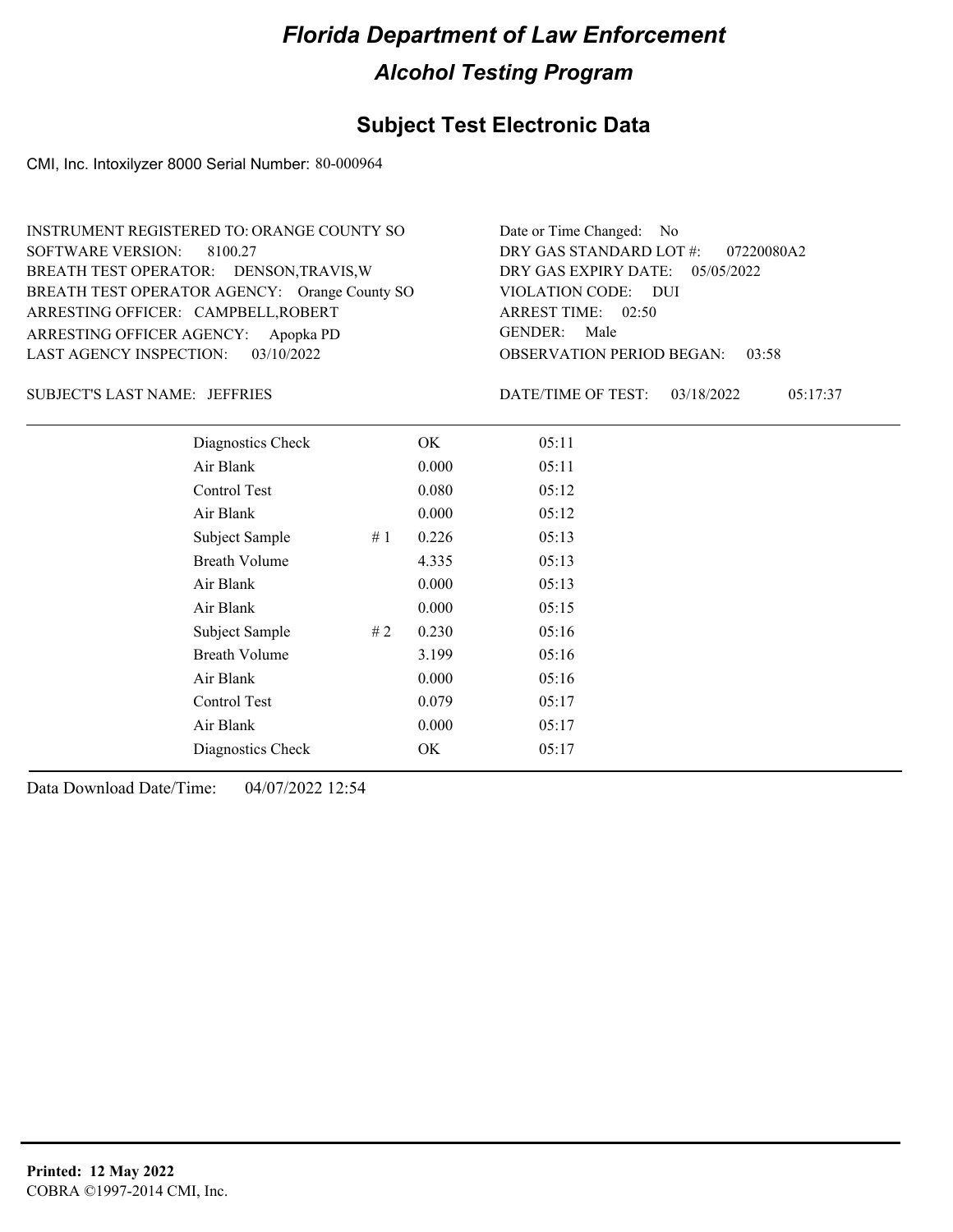## **Subject Test Electronic Data**

CMI, Inc. Intoxilyzer 8000 Serial Number: 80-000964

| INSTRUMENT REGISTERED TO: ORANGE COUNTY SO    | Date or Time Changed: No                  |
|-----------------------------------------------|-------------------------------------------|
| SOFTWARE VERSION: 8100.27                     | DRY GAS STANDARD LOT #: 07220080A2        |
| BREATH TEST OPERATOR: DENSON, TRAVIS, W       | DRY GAS EXPIRY DATE: 05/05/2022           |
| BREATH TEST OPERATOR AGENCY: Orange County SO | VIOLATION CODE: DUI                       |
| ARRESTING OFFICER: CAMPBELL, ROBERT           | ARREST TIME: 02:50                        |
| ARRESTING OFFICER AGENCY: Apopka PD           | GENDER: Male                              |
| LAST AGENCY INSPECTION: $03/10/2022$          | <b>OBSERVATION PERIOD BEGAN:</b><br>03:58 |

JEFFRIES SUBJECT'S LAST NAME: DATE/TIME OF TEST:

DATE/TIME OF TEST: 03/18/2022 05:17:37

| Diagnostics Check    |    | OK    | 05:11 |  |
|----------------------|----|-------|-------|--|
| Air Blank            |    | 0.000 | 05:11 |  |
| Control Test         |    | 0.080 | 05:12 |  |
| Air Blank            |    | 0.000 | 05:12 |  |
| Subject Sample       | #1 | 0.226 | 05:13 |  |
| <b>Breath Volume</b> |    | 4.335 | 05:13 |  |
| Air Blank            |    | 0.000 | 05:13 |  |
| Air Blank            |    | 0.000 | 05:15 |  |
| Subject Sample       | #2 | 0.230 | 05:16 |  |
| <b>Breath Volume</b> |    | 3.199 | 05:16 |  |
| Air Blank            |    | 0.000 | 05:16 |  |
| Control Test         |    | 0.079 | 05:17 |  |
| Air Blank            |    | 0.000 | 05:17 |  |
| Diagnostics Check    |    | OK    | 05:17 |  |
|                      |    |       |       |  |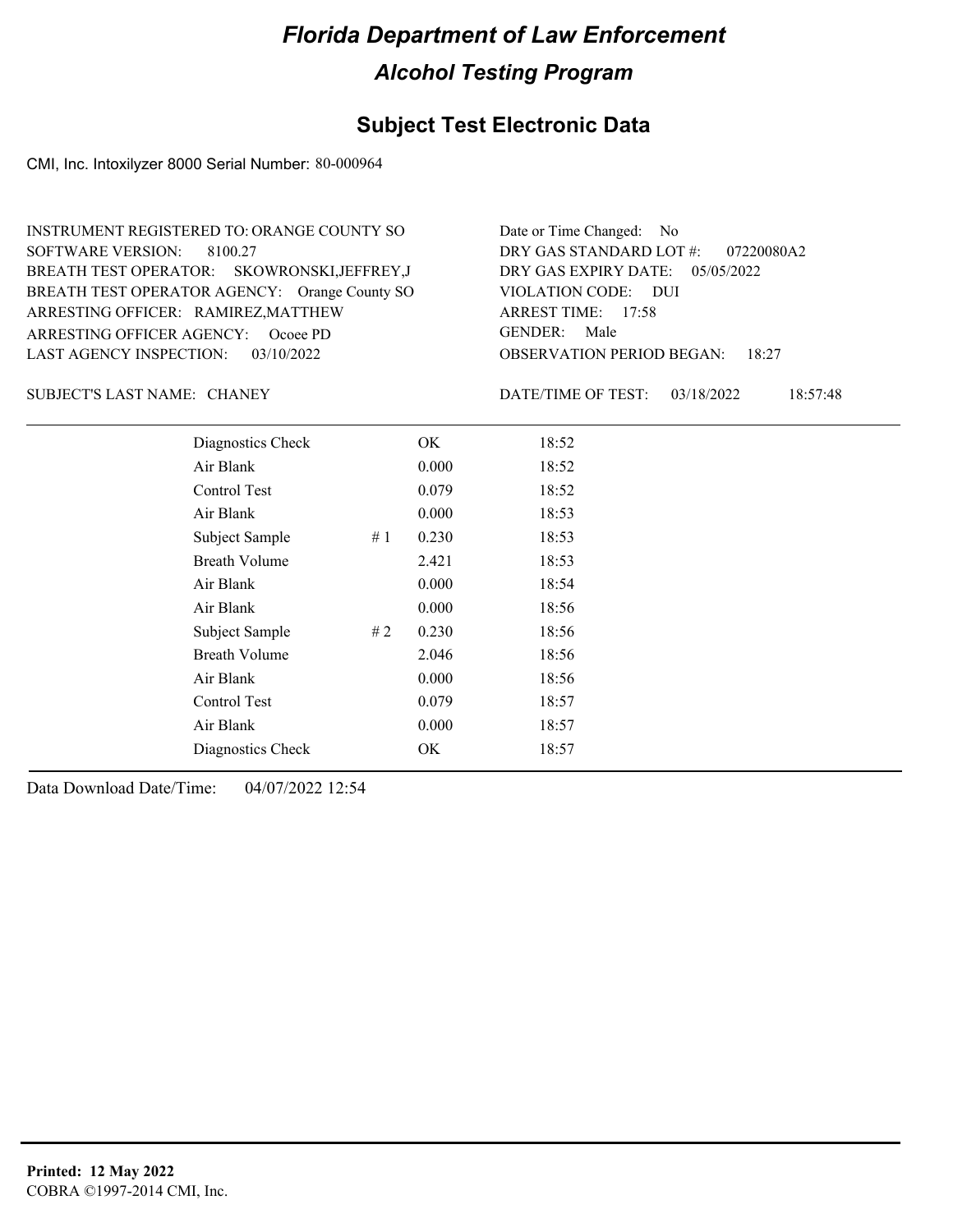#### **Subject Test Electronic Data**

CMI, Inc. Intoxilyzer 8000 Serial Number: 80-000964

ARRESTING OFFICER AGENCY: GENDER: Ocoee PD BREATH TEST OPERATOR AGENCY: Orange County SO VIOLATION CODE: SOFTWARE VERSION: 8100.27 ARRESTING OFFICER: RAMIREZ, MATTHEW SKOWRONSKI,JEFFREY,J BREATH TEST OPERATOR: LAST AGENCY INSPECTION: 03/10/2022 INSTRUMENT REGISTERED TO: ORANGE COUNTY SO

OBSERVATION PERIOD BEGAN: 18:27 VIOLATION CODE: DUI ARREST TIME: 17:58 DRY GAS EXPIRY DATE: 05/05/2022 07220080A2 DRY GAS STANDARD LOT #: Date or Time Changed: No GENDER: Male

SUBJECT'S LAST NAME: CHANEY **Example 20** DATE/TIME OF TEST:

DATE/TIME OF TEST: 03/18/2022 18:57:48

| Diagnostics Check    |    | OK    | 18:52 |
|----------------------|----|-------|-------|
| Air Blank            |    | 0.000 | 18:52 |
| Control Test         |    | 0.079 | 18:52 |
| Air Blank            |    | 0.000 | 18:53 |
| Subject Sample       | #1 | 0.230 | 18:53 |
| <b>Breath Volume</b> |    | 2.421 | 18:53 |
| Air Blank            |    | 0.000 | 18:54 |
| Air Blank            |    | 0.000 | 18:56 |
| Subject Sample       | #2 | 0.230 | 18:56 |
| <b>Breath Volume</b> |    | 2.046 | 18:56 |
| Air Blank            |    | 0.000 | 18:56 |
| Control Test         |    | 0.079 | 18:57 |
| Air Blank            |    | 0.000 | 18:57 |
| Diagnostics Check    |    | OK    | 18:57 |
|                      |    |       |       |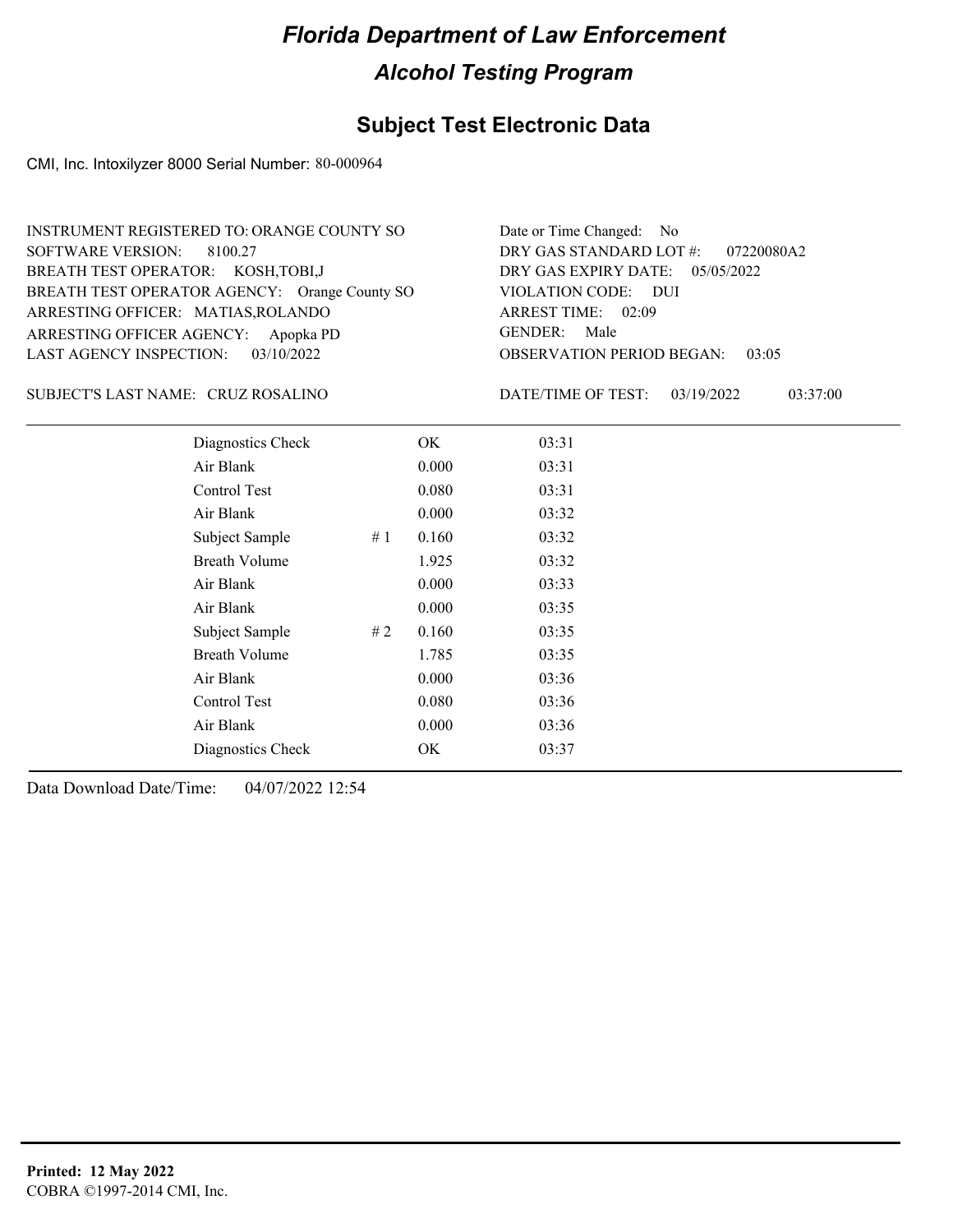## **Subject Test Electronic Data**

CMI, Inc. Intoxilyzer 8000 Serial Number: 80-000964

| INSTRUMENT REGISTERED TO: ORANGE COUNTY SO    | Date or Time Changed: No               |
|-----------------------------------------------|----------------------------------------|
| SOFTWARE VERSION: 8100.27                     | DRY GAS STANDARD LOT $\#$ : 07220080A2 |
| BREATH TEST OPERATOR: KOSH, TOBI, J           | DRY GAS EXPIRY DATE: 05/05/2022        |
| BREATH TEST OPERATOR AGENCY: Orange County SO | VIOLATION CODE: DUI                    |
| ARRESTING OFFICER: MATIAS, ROLANDO            | ARREST TIME: 02:09                     |
| ARRESTING OFFICER AGENCY: Apopka PD           | GENDER: Male                           |
| LAST AGENCY INSPECTION: $03/10/2022$          | <b>OBSERVATION PERIOD BEGAN: 03:05</b> |

#### CRUZ ROSALINO SUBJECT'S LAST NAME: DATE/TIME OF TEST:

DATE/TIME OF TEST: 03/19/2022 03:37:00

| Diagnostics Check    |    | OK    | 03:31 |
|----------------------|----|-------|-------|
| Air Blank            |    | 0.000 | 03:31 |
| Control Test         |    | 0.080 | 03:31 |
| Air Blank            |    | 0.000 | 03:32 |
| Subject Sample       | #1 | 0.160 | 03:32 |
| <b>Breath Volume</b> |    | 1.925 | 03:32 |
| Air Blank            |    | 0.000 | 03:33 |
| Air Blank            |    | 0.000 | 03:35 |
| Subject Sample       | #2 | 0.160 | 03:35 |
| <b>Breath Volume</b> |    | 1.785 | 03:35 |
| Air Blank            |    | 0.000 | 03:36 |
| Control Test         |    | 0.080 | 03:36 |
| Air Blank            |    | 0.000 | 03:36 |
| Diagnostics Check    |    | OK    | 03:37 |
|                      |    |       |       |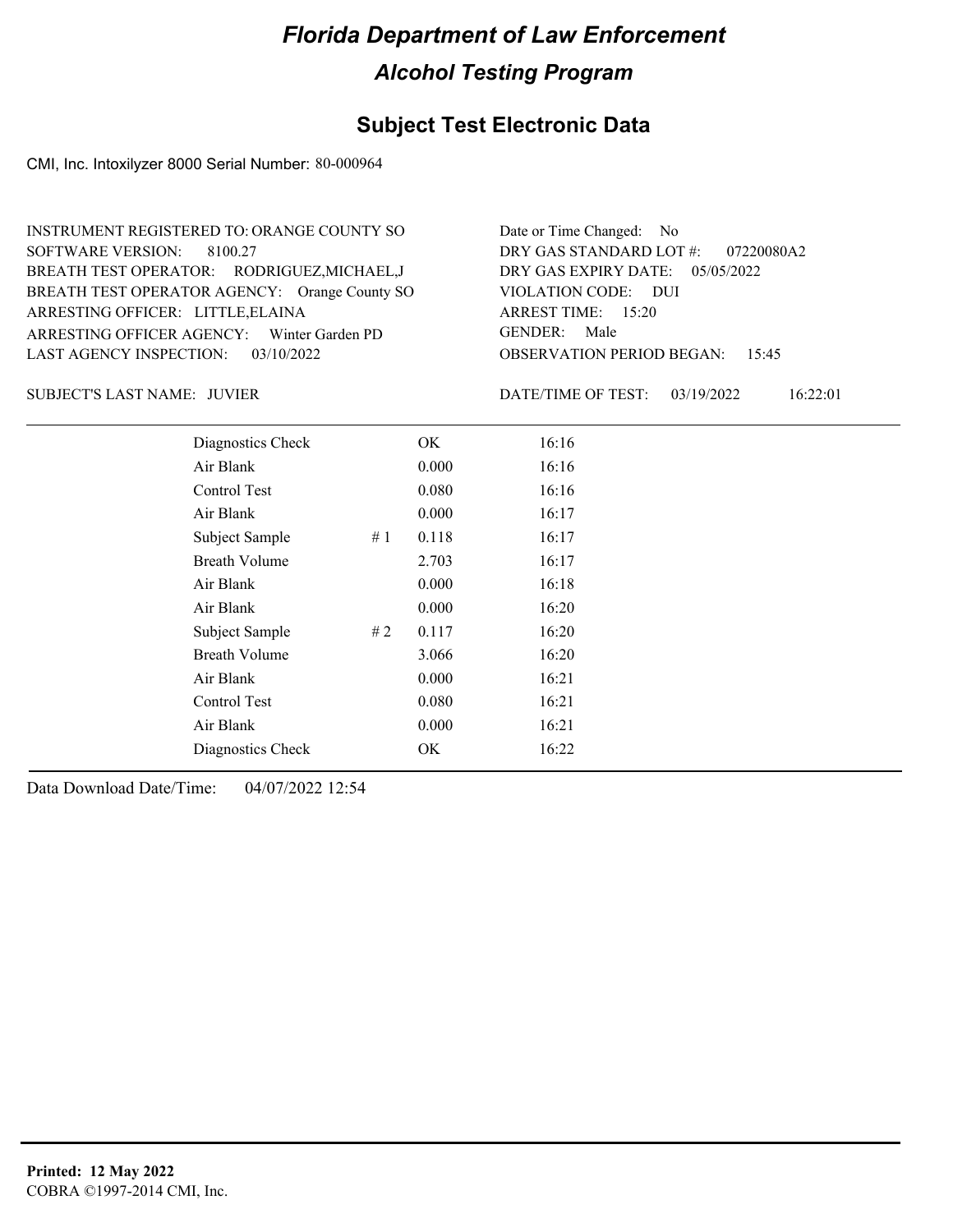## **Subject Test Electronic Data**

CMI, Inc. Intoxilyzer 8000 Serial Number: 80-000964

| INSTRUMENT REGISTERED TO: ORANGE COUNTY SO    | Date or Time Changed: No               |
|-----------------------------------------------|----------------------------------------|
| SOFTWARE VERSION: 8100.27                     | DRY GAS STANDARD LOT #: 07220080A2     |
| BREATH TEST OPERATOR: RODRIGUEZ, MICHAEL, J   | DRY GAS EXPIRY DATE: 05/05/2022        |
| BREATH TEST OPERATOR AGENCY: Orange County SO | VIOLATION CODE: DUI                    |
| ARRESTING OFFICER: LITTLE, ELAINA             | ARREST TIME: 15:20                     |
| ARRESTING OFFICER AGENCY: Winter Garden PD    | GENDER: Male                           |
| LAST AGENCY INSPECTION: 03/10/2022            | <b>OBSERVATION PERIOD BEGAN: 15:45</b> |

SUBJECT'S LAST NAME: JUVIER  $\overline{D}$  DATE/TIME OF TEST:

DATE/TIME OF TEST: 03/19/2022 16:22:01

| Diagnostics Check    |    | OK    | 16:16 |
|----------------------|----|-------|-------|
| Air Blank            |    | 0.000 | 16:16 |
| Control Test         |    | 0.080 | 16:16 |
| Air Blank            |    | 0.000 | 16:17 |
| Subject Sample       | #1 | 0.118 | 16:17 |
| <b>Breath Volume</b> |    | 2.703 | 16:17 |
| Air Blank            |    | 0.000 | 16:18 |
| Air Blank            |    | 0.000 | 16:20 |
| Subject Sample       | #2 | 0.117 | 16:20 |
| <b>Breath Volume</b> |    | 3.066 | 16:20 |
| Air Blank            |    | 0.000 | 16:21 |
| Control Test         |    | 0.080 | 16:21 |
| Air Blank            |    | 0.000 | 16:21 |
| Diagnostics Check    |    | OK    | 16:22 |
|                      |    |       |       |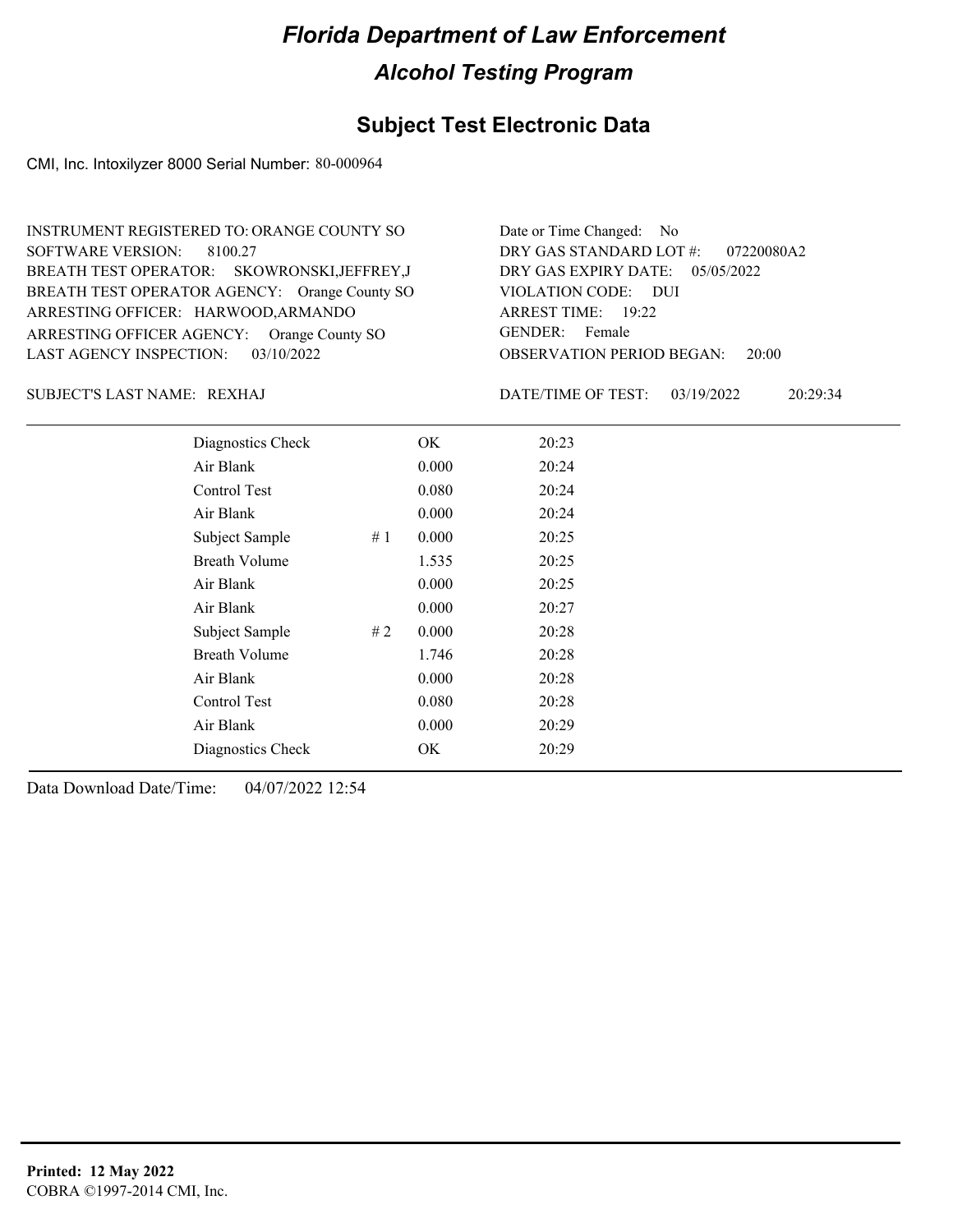## **Subject Test Electronic Data**

CMI, Inc. Intoxilyzer 8000 Serial Number: 80-000964

| INSTRUMENT REGISTERED TO: ORANGE COUNTY SO    | Date or Time Changed: No                  |
|-----------------------------------------------|-------------------------------------------|
| SOFTWARE VERSION: 8100.27                     | DRY GAS STANDARD LOT #: 07220080A2        |
| BREATH TEST OPERATOR: SKOWRONSKI, JEFFREY, J  | DRY GAS EXPIRY DATE: 05/05/2022           |
| BREATH TEST OPERATOR AGENCY: Orange County SO | VIOLATION CODE: DUI                       |
| ARRESTING OFFICER: HARWOOD, ARMANDO           | ARREST TIME: 19:22                        |
| ARRESTING OFFICER AGENCY: Orange County SO    | GENDER: Female                            |
| LAST AGENCY INSPECTION: $03/10/2022$          | <b>OBSERVATION PERIOD BEGAN:</b><br>20:00 |

REXHAJ SUBJECT'S LAST NAME: DATE/TIME OF TEST:

DATE/TIME OF TEST: 03/19/2022 20:29:34

| Diagnostics Check    |    | OK    | 20:23 |
|----------------------|----|-------|-------|
| Air Blank            |    | 0.000 | 20:24 |
| Control Test         |    | 0.080 | 20:24 |
| Air Blank            |    | 0.000 | 20:24 |
| Subject Sample       | #1 | 0.000 | 20:25 |
| <b>Breath Volume</b> |    | 1.535 | 20:25 |
| Air Blank            |    | 0.000 | 20:25 |
| Air Blank            |    | 0.000 | 20:27 |
| Subject Sample       | #2 | 0.000 | 20:28 |
| <b>Breath Volume</b> |    | 1.746 | 20:28 |
| Air Blank            |    | 0.000 | 20:28 |
| Control Test         |    | 0.080 | 20:28 |
| Air Blank            |    | 0.000 | 20:29 |
| Diagnostics Check    |    | OK    | 20:29 |
|                      |    |       |       |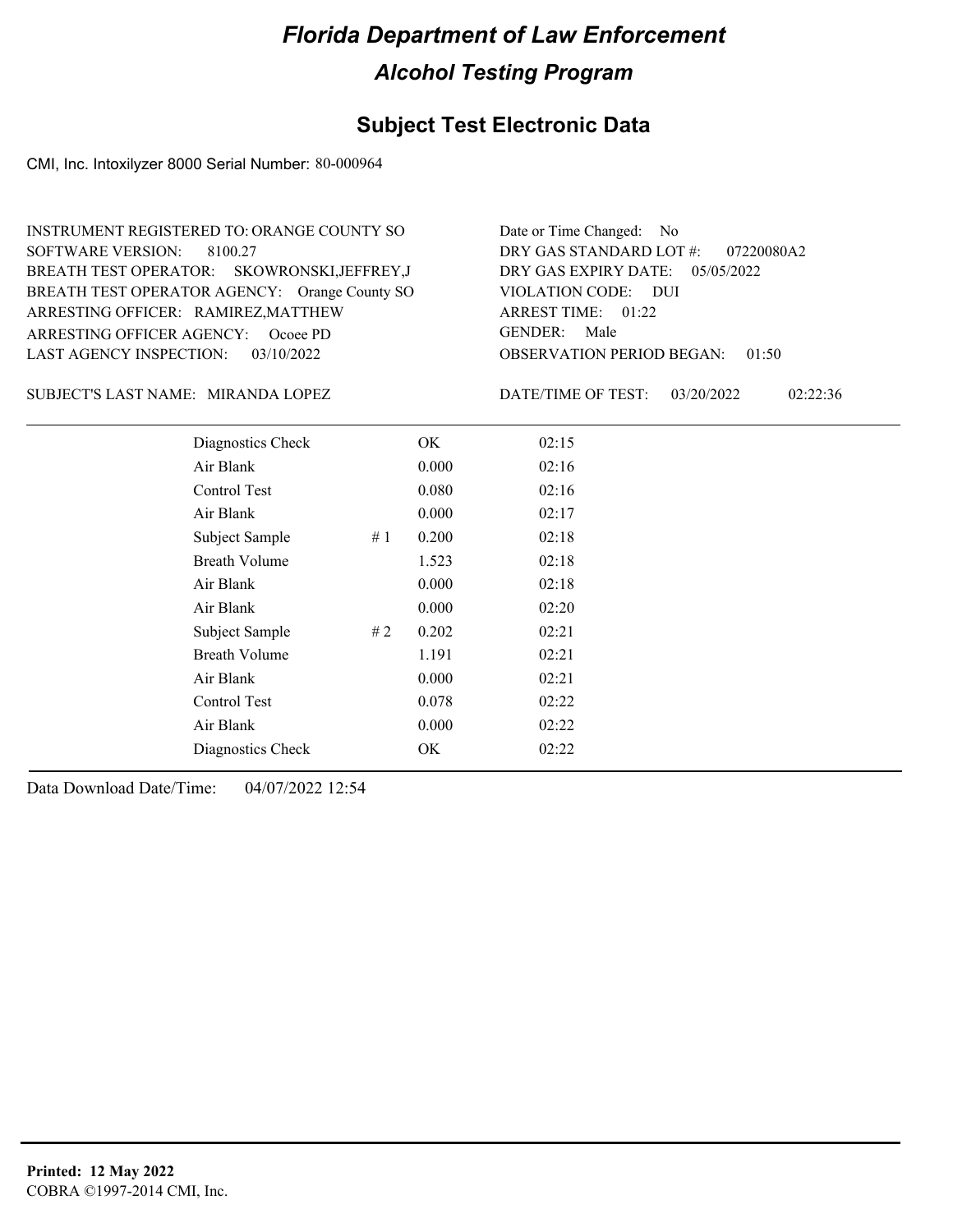## **Subject Test Electronic Data**

CMI, Inc. Intoxilyzer 8000 Serial Number: 80-000964

| INSTRUMENT REGISTERED TO: ORANGE COUNTY SO    | Date or Time Changed: No               |
|-----------------------------------------------|----------------------------------------|
| SOFTWARE VERSION: 8100.27                     | DRY GAS STANDARD LOT #: 07220080A2     |
| BREATH TEST OPERATOR: SKOWRONSKI, JEFFREY, J  | DRY GAS EXPIRY DATE: 05/05/2022        |
| BREATH TEST OPERATOR AGENCY: Orange County SO | VIOLATION CODE: DUI                    |
| ARRESTING OFFICER: RAMIREZ, MATTHEW           | ARREST TIME: $01:22$                   |
| ARRESTING OFFICER AGENCY: Ocoee PD            | GENDER: Male                           |
| LAST AGENCY INSPECTION: 03/10/2022            | <b>OBSERVATION PERIOD BEGAN: 01:50</b> |

SUBJECT'S LAST NAME: MIRANDA LOPEZ DATE/TIME OF TEST:

DATE/TIME OF TEST: 03/20/2022 02:22:36

| Diagnostics Check    |    | OK    | 02:15 |  |
|----------------------|----|-------|-------|--|
| Air Blank            |    | 0.000 | 02:16 |  |
| Control Test         |    | 0.080 | 02:16 |  |
| Air Blank            |    | 0.000 | 02:17 |  |
| Subject Sample       | #1 | 0.200 | 02:18 |  |
| <b>Breath Volume</b> |    | 1.523 | 02:18 |  |
| Air Blank            |    | 0.000 | 02:18 |  |
| Air Blank            |    | 0.000 | 02:20 |  |
| Subject Sample       | #2 | 0.202 | 02:21 |  |
| <b>Breath Volume</b> |    | 1.191 | 02:21 |  |
| Air Blank            |    | 0.000 | 02:21 |  |
| Control Test         |    | 0.078 | 02:22 |  |
| Air Blank            |    | 0.000 | 02:22 |  |
| Diagnostics Check    |    | OK.   | 02:22 |  |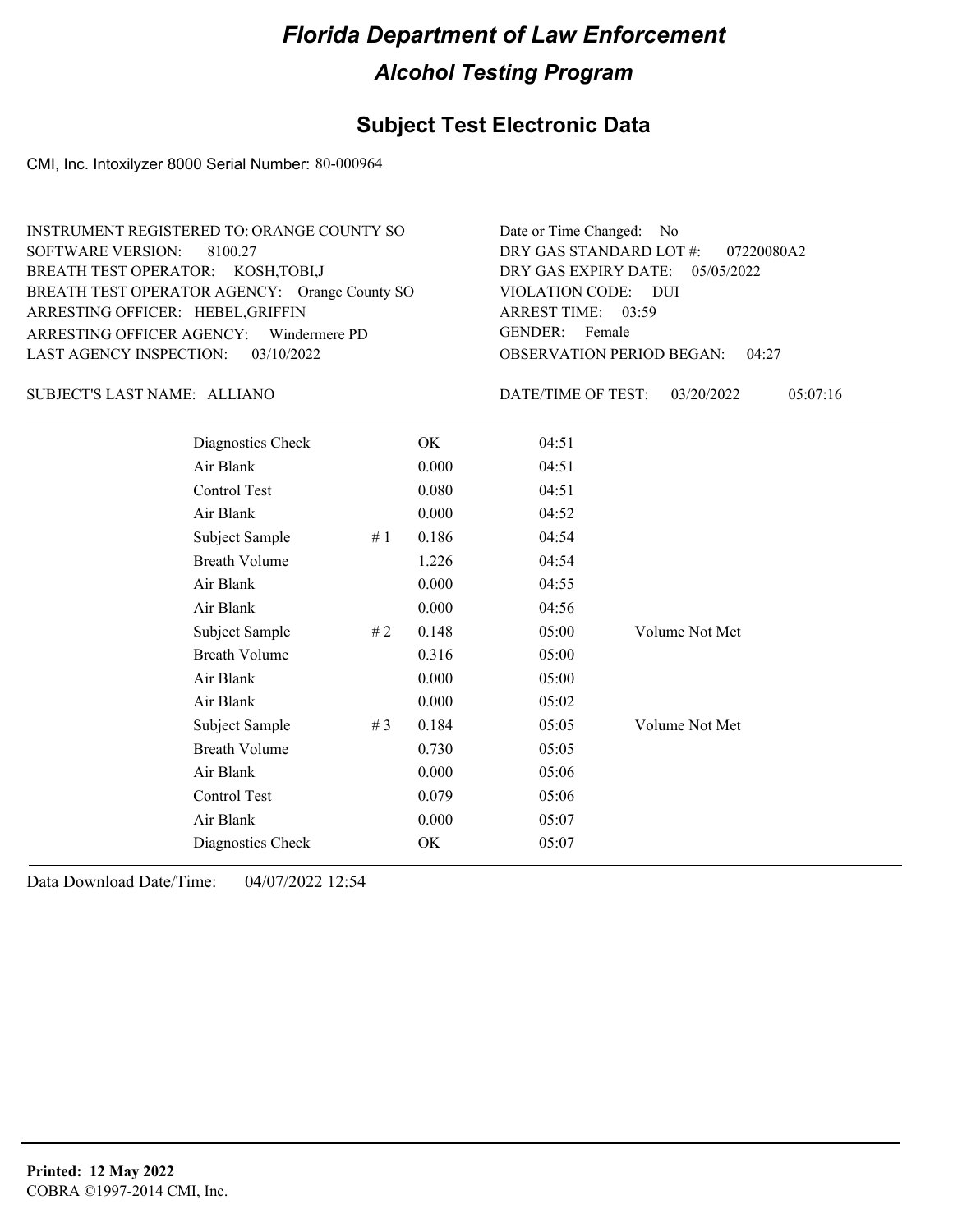## **Subject Test Electronic Data**

CMI, Inc. Intoxilyzer 8000 Serial Number: 80-000964

| INSTRUMENT REGISTERED TO: ORANGE COUNTY SO    | Date or Time Changed: No               |
|-----------------------------------------------|----------------------------------------|
| SOFTWARE VERSION: 8100.27                     | DRY GAS STANDARD LOT #: 07220080A2     |
| BREATH TEST OPERATOR: KOSH, TOBI, J           | DRY GAS EXPIRY DATE: $05/05/2022$      |
| BREATH TEST OPERATOR AGENCY: Orange County SO | VIOLATION CODE: DUI                    |
| ARRESTING OFFICER: HEBEL, GRIFFIN             | ARREST TIME: 03:59                     |
| ARRESTING OFFICER AGENCY: Windermere PD       | GENDER: Female                         |
| LAST AGENCY INSPECTION: 03/10/2022            | <b>OBSERVATION PERIOD BEGAN: 04:27</b> |

ALLIANO SUBJECT'S LAST NAME: DATE/TIME OF TEST:

DATE/TIME OF TEST: 03/20/2022 05:07:16

| Diagnostics Check    |     | OK    | 04:51 |                |
|----------------------|-----|-------|-------|----------------|
| Air Blank            |     | 0.000 | 04:51 |                |
| Control Test         |     | 0.080 | 04:51 |                |
| Air Blank            |     | 0.000 | 04:52 |                |
| Subject Sample       | #1  | 0.186 | 04:54 |                |
| <b>Breath Volume</b> |     | 1.226 | 04:54 |                |
| Air Blank            |     | 0.000 | 04:55 |                |
| Air Blank            |     | 0.000 | 04:56 |                |
| Subject Sample       | # 2 | 0.148 | 05:00 | Volume Not Met |
| <b>Breath Volume</b> |     | 0.316 | 05:00 |                |
| Air Blank            |     | 0.000 | 05:00 |                |
| Air Blank            |     | 0.000 | 05:02 |                |
| Subject Sample       | #3  | 0.184 | 05:05 | Volume Not Met |
| <b>Breath Volume</b> |     | 0.730 | 05:05 |                |
| Air Blank            |     | 0.000 | 05:06 |                |
| Control Test         |     | 0.079 | 05:06 |                |
| Air Blank            |     | 0.000 | 05:07 |                |
| Diagnostics Check    |     | OK    | 05:07 |                |
|                      |     |       |       |                |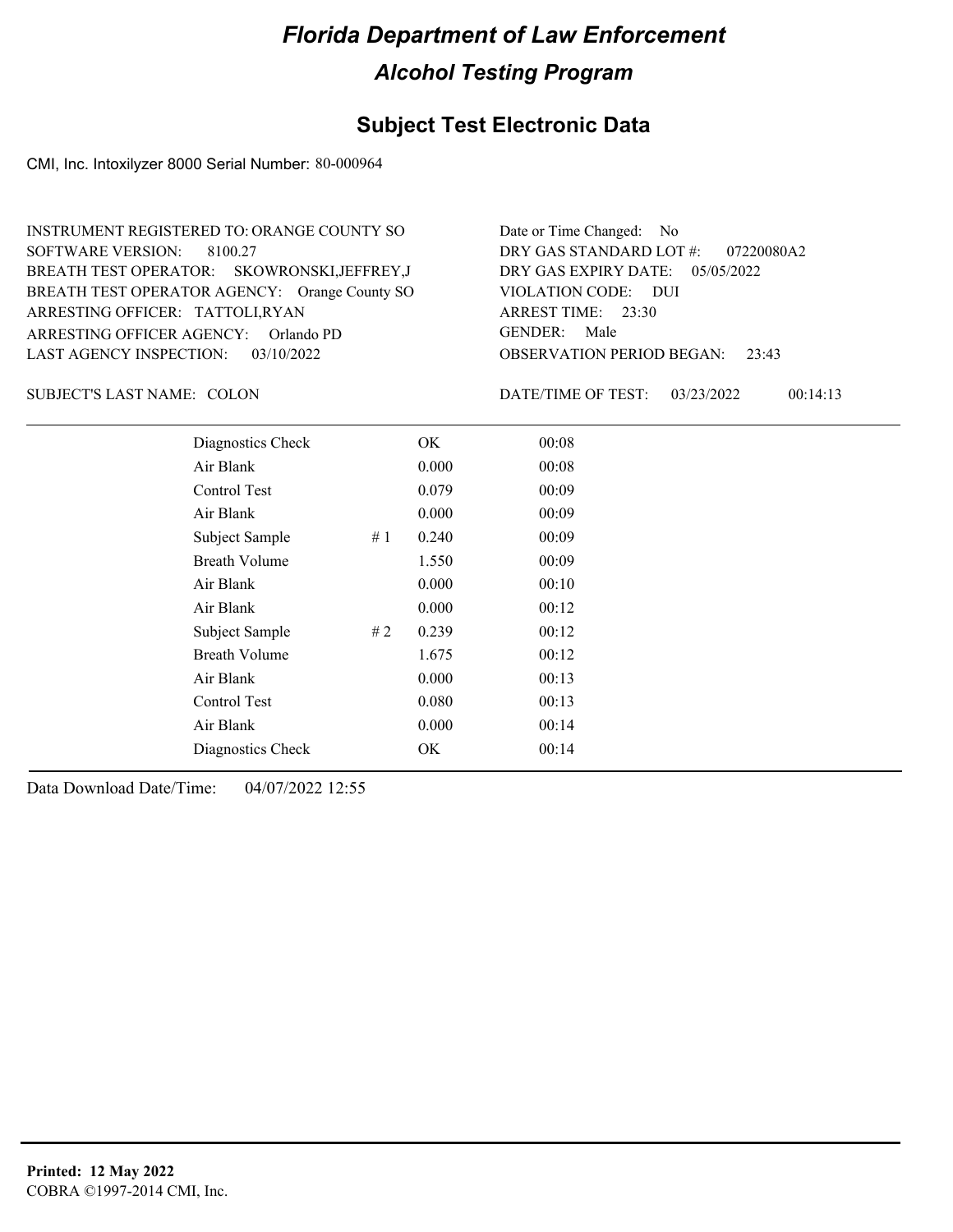#### **Subject Test Electronic Data**

CMI, Inc. Intoxilyzer 8000 Serial Number: 80-000964

OBSERVATION PERIOD BEGAN: 23:43 ARRESTING OFFICER AGENCY: GENDER: Orlando PD BREATH TEST OPERATOR AGENCY: Orange County SO VIOLATION CODE: SOFTWARE VERSION: 8100.27 VIOLATION CODE: DUI ARREST TIME: 23:30 ARRESTING OFFICER: TATTOLI,RYAN DRY GAS EXPIRY DATE: 05/05/2022 07220080A2 SKOWRONSKI,JEFFREY,J BREATH TEST OPERATOR: LAST AGENCY INSPECTION: 03/10/2022 INSTRUMENT REGISTERED TO: ORANGE COUNTY SO DRY GAS STANDARD LOT #: Date or Time Changed: No GENDER: Male

SUBJECT'S LAST NAME: COLON DATE/TIME OF TEST:

DATE/TIME OF TEST: 03/23/2022 00:14:13

| Diagnostics Check    |    | OK    | 00:08 |
|----------------------|----|-------|-------|
| Air Blank            |    | 0.000 | 00:08 |
| Control Test         |    | 0.079 | 00:09 |
| Air Blank            |    | 0.000 | 00:09 |
| Subject Sample       | #1 | 0.240 | 00:09 |
| <b>Breath Volume</b> |    | 1.550 | 00:09 |
| Air Blank            |    | 0.000 | 00:10 |
| Air Blank            |    | 0.000 | 00:12 |
| Subject Sample       | #2 | 0.239 | 00:12 |
| <b>Breath Volume</b> |    | 1.675 | 00:12 |
| Air Blank            |    | 0.000 | 00:13 |
| Control Test         |    | 0.080 | 00:13 |
| Air Blank            |    | 0.000 | 00:14 |
| Diagnostics Check    |    | OK    | 00:14 |
|                      |    |       |       |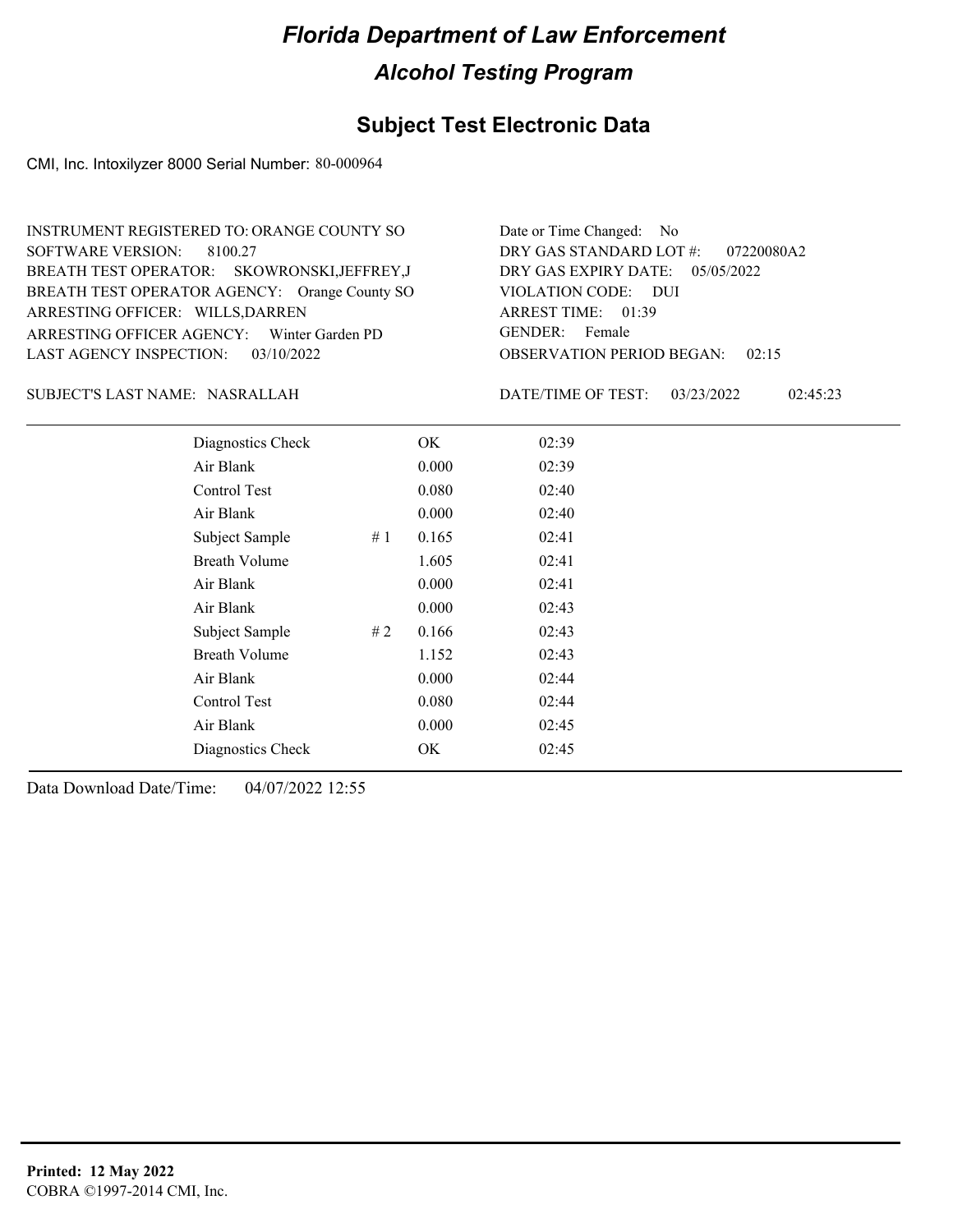## **Subject Test Electronic Data**

CMI, Inc. Intoxilyzer 8000 Serial Number: 80-000964

| INSTRUMENT REGISTERED TO: ORANGE COUNTY SO    | Date or Time Changed: No               |
|-----------------------------------------------|----------------------------------------|
| SOFTWARE VERSION: 8100.27                     | DRY GAS STANDARD LOT #: 07220080A2     |
| BREATH TEST OPERATOR: SKOWRONSKI, JEFFREY, J  | DRY GAS EXPIRY DATE: $05/05/2022$      |
| BREATH TEST OPERATOR AGENCY: Orange County SO | VIOLATION CODE: DUI                    |
| ARRESTING OFFICER: WILLS, DARREN              | ARREST TIME: 01:39                     |
| ARRESTING OFFICER AGENCY: Winter Garden PD    | GENDER: Female                         |
| LAST AGENCY INSPECTION: $03/10/2022$          | <b>OBSERVATION PERIOD BEGAN: 02:15</b> |

#### NASRALLAH SUBJECT'S LAST NAME: DATE/TIME OF TEST:

DATE/TIME OF TEST: 03/23/2022 02:45:23

| Diagnostics Check    |     | OK    | 02:39 |
|----------------------|-----|-------|-------|
| Air Blank            |     | 0.000 | 02:39 |
| Control Test         |     | 0.080 | 02:40 |
| Air Blank            |     | 0.000 | 02:40 |
| Subject Sample       | #1  | 0.165 | 02:41 |
| <b>Breath Volume</b> |     | 1.605 | 02:41 |
| Air Blank            |     | 0.000 | 02:41 |
| Air Blank            |     | 0.000 | 02:43 |
| Subject Sample       | # 2 | 0.166 | 02:43 |
| <b>Breath Volume</b> |     | 1.152 | 02:43 |
| Air Blank            |     | 0.000 | 02:44 |
| Control Test         |     | 0.080 | 02:44 |
| Air Blank            |     | 0.000 | 02:45 |
| Diagnostics Check    |     | OK    | 02:45 |
|                      |     |       |       |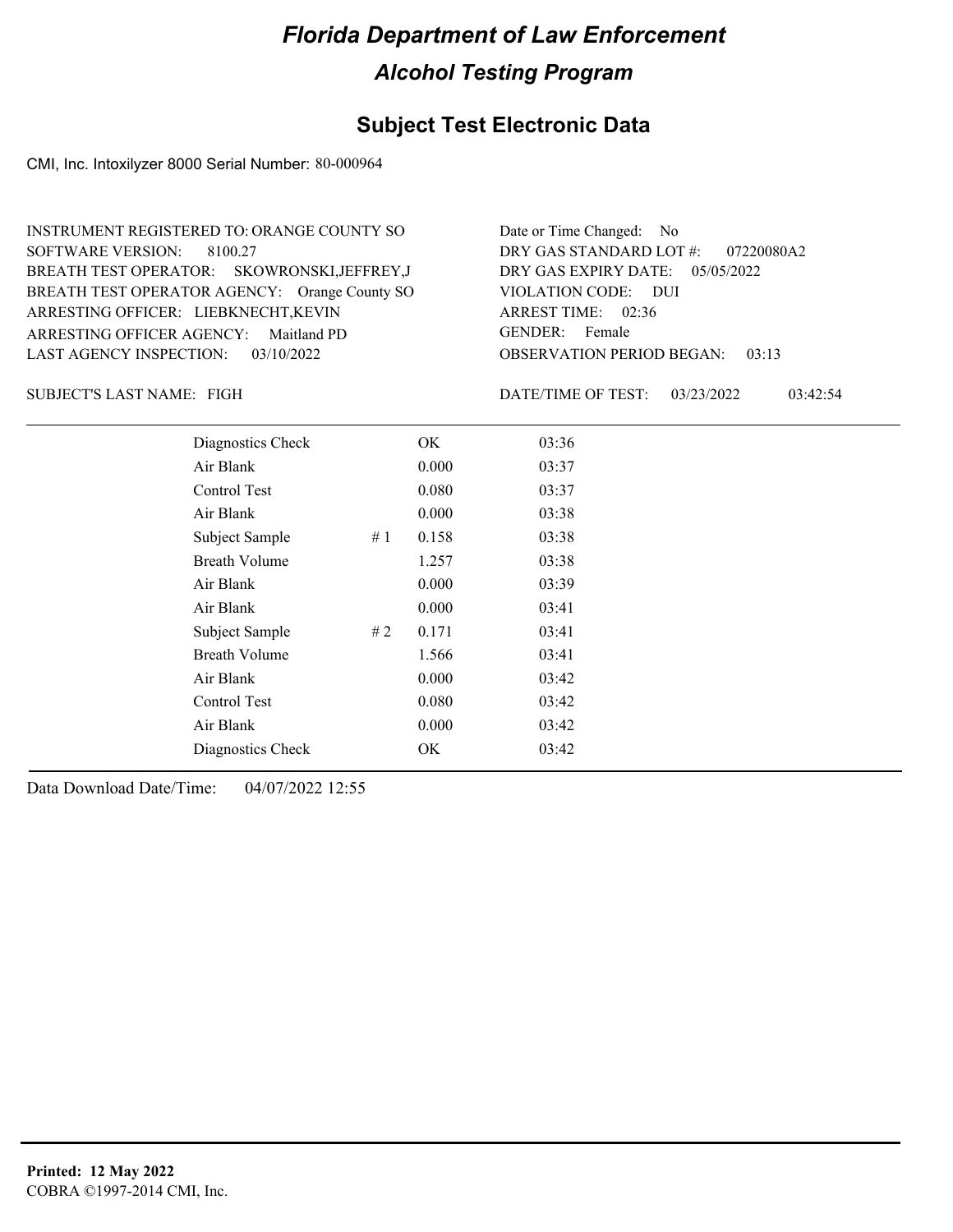#### **Subject Test Electronic Data**

CMI, Inc. Intoxilyzer 8000 Serial Number: 80-000964

OBSERVATION PERIOD BEGAN: 03:13 ARRESTING OFFICER AGENCY: Maitland PD GENDER: BREATH TEST OPERATOR AGENCY: Orange County SO VIOLATION CODE: SOFTWARE VERSION: 8100.27 VIOLATION CODE: DUI 02:36 ARREST TIME: ARRESTING OFFICER: LIEBKNECHT,KEVIN DRY GAS EXPIRY DATE: 05/05/2022 07220080A2 SKOWRONSKI,JEFFREY,J BREATH TEST OPERATOR: LAST AGENCY INSPECTION: 03/10/2022 INSTRUMENT REGISTERED TO: ORANGE COUNTY SO DRY GAS STANDARD LOT #: Date or Time Changed: No GENDER: Female

SUBJECT'S LAST NAME: FIGH GENERAL PROPERTIVE OF TEST:

DATE/TIME OF TEST: 03/23/2022 03:42:54

| Diagnostics Check    |    | OK    | 03:36 |
|----------------------|----|-------|-------|
| Air Blank            |    | 0.000 | 03:37 |
| Control Test         |    | 0.080 | 03:37 |
| Air Blank            |    | 0.000 | 03:38 |
| Subject Sample       | #1 | 0.158 | 03:38 |
| <b>Breath Volume</b> |    | 1.257 | 03:38 |
| Air Blank            |    | 0.000 | 03:39 |
| Air Blank            |    | 0.000 | 03:41 |
| Subject Sample       | #2 | 0.171 | 03:41 |
| <b>Breath Volume</b> |    | 1.566 | 03:41 |
| Air Blank            |    | 0.000 | 03:42 |
| Control Test         |    | 0.080 | 03:42 |
| Air Blank            |    | 0.000 | 03:42 |
| Diagnostics Check    |    | OK    | 03:42 |
|                      |    |       |       |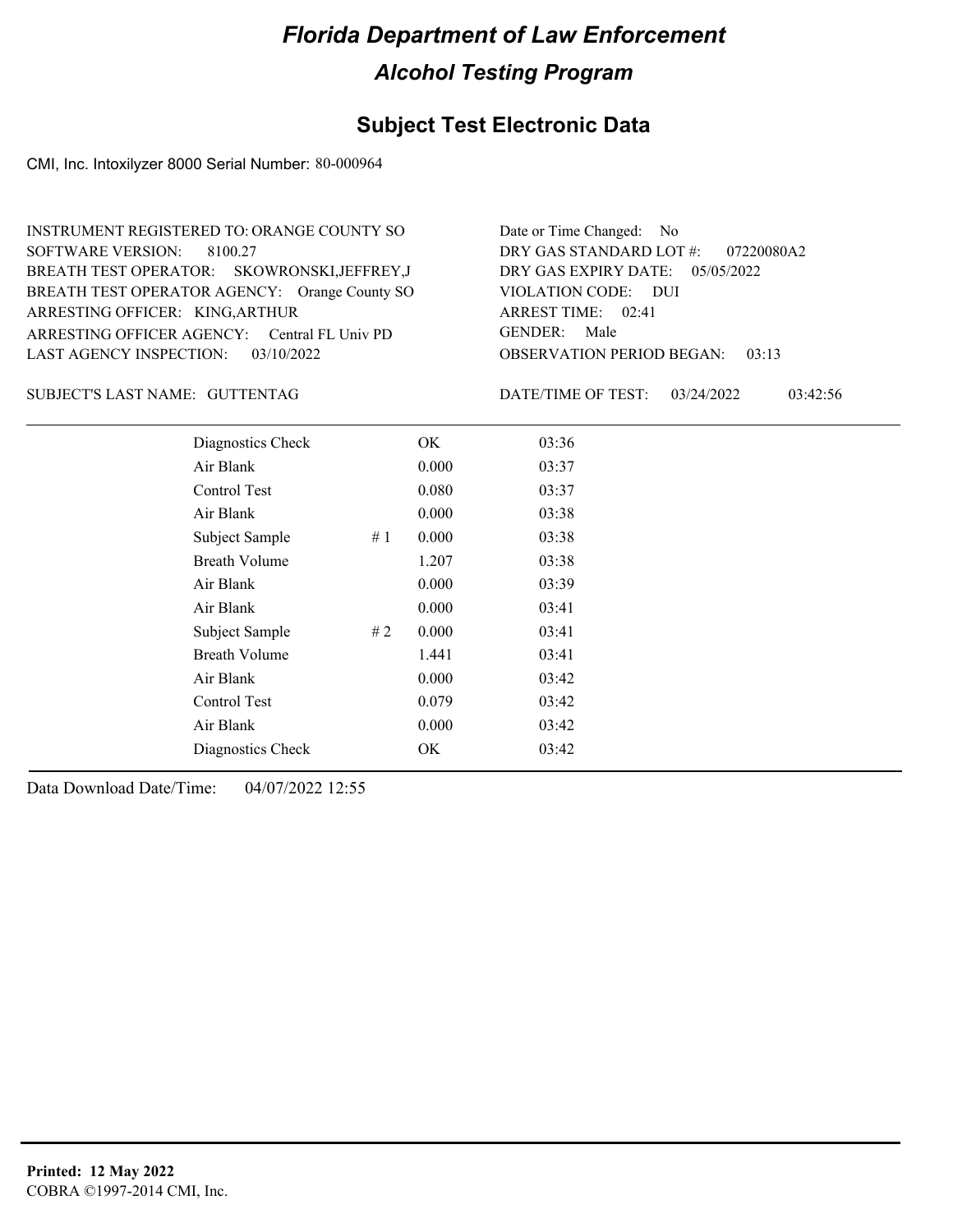## **Subject Test Electronic Data**

CMI, Inc. Intoxilyzer 8000 Serial Number: 80-000964

| INSTRUMENT REGISTERED TO: ORANGE COUNTY SO    | Date or Time Changed: No               |
|-----------------------------------------------|----------------------------------------|
| SOFTWARE VERSION: 8100.27                     | DRY GAS STANDARD LOT #: 07220080A2     |
| BREATH TEST OPERATOR: SKOWRONSKI, JEFFREY, J  | DRY GAS EXPIRY DATE: $05/05/2022$      |
| BREATH TEST OPERATOR AGENCY: Orange County SO | VIOLATION CODE: DUI                    |
| ARRESTING OFFICER: KING, ARTHUR               | ARREST TIME: 02:41                     |
| ARRESTING OFFICER AGENCY: Central FL Univ PD  | GENDER: Male                           |
| LAST AGENCY INSPECTION: $03/10/2022$          | <b>OBSERVATION PERIOD BEGAN: 03:13</b> |

#### GUTTENTAG SUBJECT'S LAST NAME: DATE/TIME OF TEST:

DATE/TIME OF TEST: 03/24/2022 03:42:56

| Diagnostics Check    |    | OK    | 03:36 |
|----------------------|----|-------|-------|
| Air Blank            |    | 0.000 | 03:37 |
| Control Test         |    | 0.080 | 03:37 |
| Air Blank            |    | 0.000 | 03:38 |
| Subject Sample       | #1 | 0.000 | 03:38 |
| <b>Breath Volume</b> |    | 1.207 | 03:38 |
| Air Blank            |    | 0.000 | 03:39 |
| Air Blank            |    | 0.000 | 03:41 |
| Subject Sample       | #2 | 0.000 | 03:41 |
| <b>Breath Volume</b> |    | 1.441 | 03:41 |
| Air Blank            |    | 0.000 | 03:42 |
| Control Test         |    | 0.079 | 03:42 |
| Air Blank            |    | 0.000 | 03:42 |
| Diagnostics Check    |    | OK    | 03:42 |
|                      |    |       |       |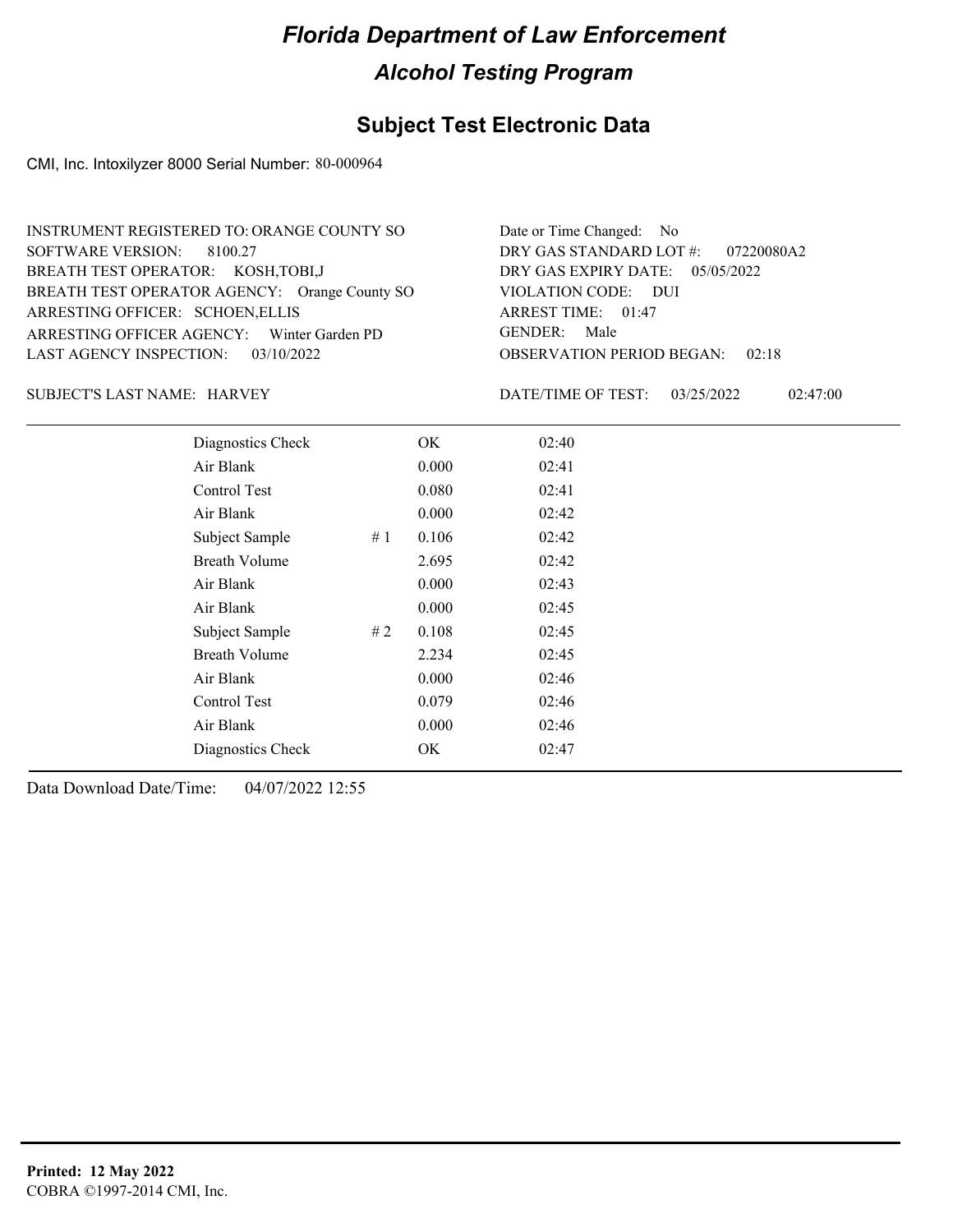## **Subject Test Electronic Data**

CMI, Inc. Intoxilyzer 8000 Serial Number: 80-000964

| INSTRUMENT REGISTERED TO: ORANGE COUNTY SO    | Date or Time Changed: No               |
|-----------------------------------------------|----------------------------------------|
| SOFTWARE VERSION: 8100.27                     | DRY GAS STANDARD LOT #: 07220080A2     |
| BREATH TEST OPERATOR: KOSH, TOBI, J           | DRY GAS EXPIRY DATE: $05/05/2022$      |
| BREATH TEST OPERATOR AGENCY: Orange County SO | VIOLATION CODE: DUI                    |
| ARRESTING OFFICER: SCHOEN, ELLIS              | ARREST TIME: 01:47                     |
| ARRESTING OFFICER AGENCY: Winter Garden PD    | GENDER: Male                           |
| LAST AGENCY INSPECTION: $03/10/2022$          | <b>OBSERVATION PERIOD BEGAN: 02:18</b> |

SUBJECT'S LAST NAME: HARVEY DATE/TIME OF TEST:

DATE/TIME OF TEST: 03/25/2022 02:47:00

| Diagnostics Check    |    | OK    | 02:40 |
|----------------------|----|-------|-------|
| Air Blank            |    | 0.000 | 02:41 |
| Control Test         |    | 0.080 | 02:41 |
| Air Blank            |    | 0.000 | 02:42 |
| Subject Sample       | #1 | 0.106 | 02:42 |
| <b>Breath Volume</b> |    | 2.695 | 02:42 |
| Air Blank            |    | 0.000 | 02:43 |
| Air Blank            |    | 0.000 | 02:45 |
| Subject Sample       | #2 | 0.108 | 02:45 |
| <b>Breath Volume</b> |    | 2.234 | 02:45 |
| Air Blank            |    | 0.000 | 02:46 |
| Control Test         |    | 0.079 | 02:46 |
| Air Blank            |    | 0.000 | 02:46 |
| Diagnostics Check    |    | OK    | 02:47 |
|                      |    |       |       |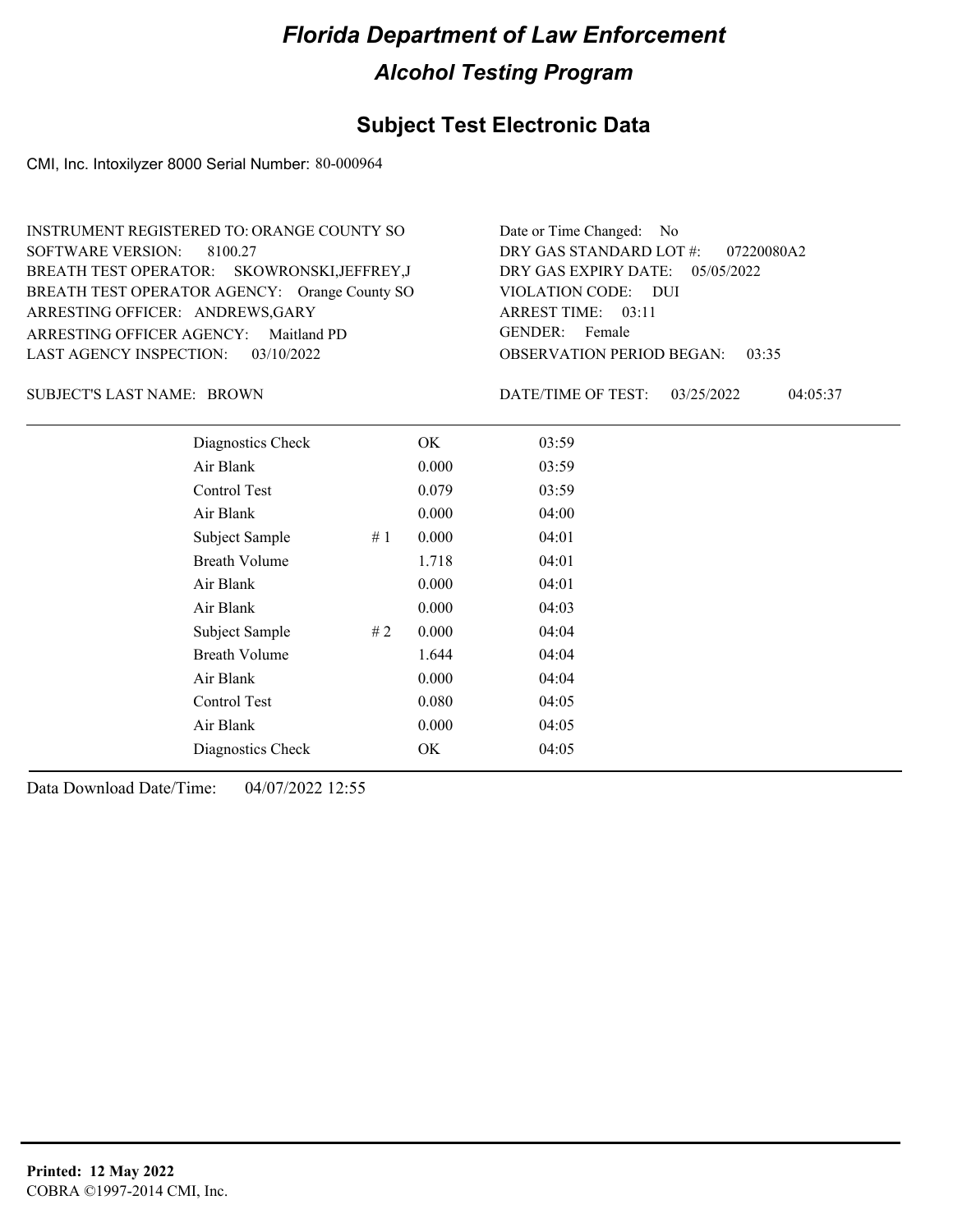## **Subject Test Electronic Data**

CMI, Inc. Intoxilyzer 8000 Serial Number: 80-000964

| INSTRUMENT REGISTERED TO: ORANGE COUNTY SO    | Date or Time Changed: No               |
|-----------------------------------------------|----------------------------------------|
| SOFTWARE VERSION: 8100.27                     | DRY GAS STANDARD LOT $\#$ : 07220080A2 |
| BREATH TEST OPERATOR: SKOWRONSKI, JEFFREY, J  | DRY GAS EXPIRY DATE: $05/05/2022$      |
| BREATH TEST OPERATOR AGENCY: Orange County SO | VIOLATION CODE: DUI                    |
| ARRESTING OFFICER: ANDREWS, GARY              | ARREST TIME: 03:11                     |
| ARRESTING OFFICER AGENCY: Maitland PD         | GENDER: Female                         |
| LAST AGENCY INSPECTION: 03/10/2022            | <b>OBSERVATION PERIOD BEGAN: 03:35</b> |

SUBJECT'S LAST NAME: BROWN DATE/TIME OF TEST:

DATE/TIME OF TEST: 03/25/2022 04:05:37

| Diagnostics Check    |    | OK    | 03:59 |  |
|----------------------|----|-------|-------|--|
| Air Blank            |    | 0.000 | 03:59 |  |
| Control Test         |    | 0.079 | 03:59 |  |
| Air Blank            |    | 0.000 | 04:00 |  |
| Subject Sample       | #1 | 0.000 | 04:01 |  |
| <b>Breath Volume</b> |    | 1.718 | 04:01 |  |
| Air Blank            |    | 0.000 | 04:01 |  |
| Air Blank            |    | 0.000 | 04:03 |  |
| Subject Sample       | #2 | 0.000 | 04:04 |  |
| <b>Breath Volume</b> |    | 1.644 | 04:04 |  |
| Air Blank            |    | 0.000 | 04:04 |  |
| Control Test         |    | 0.080 | 04:05 |  |
| Air Blank            |    | 0.000 | 04:05 |  |
| Diagnostics Check    |    | OK    | 04:05 |  |
|                      |    |       |       |  |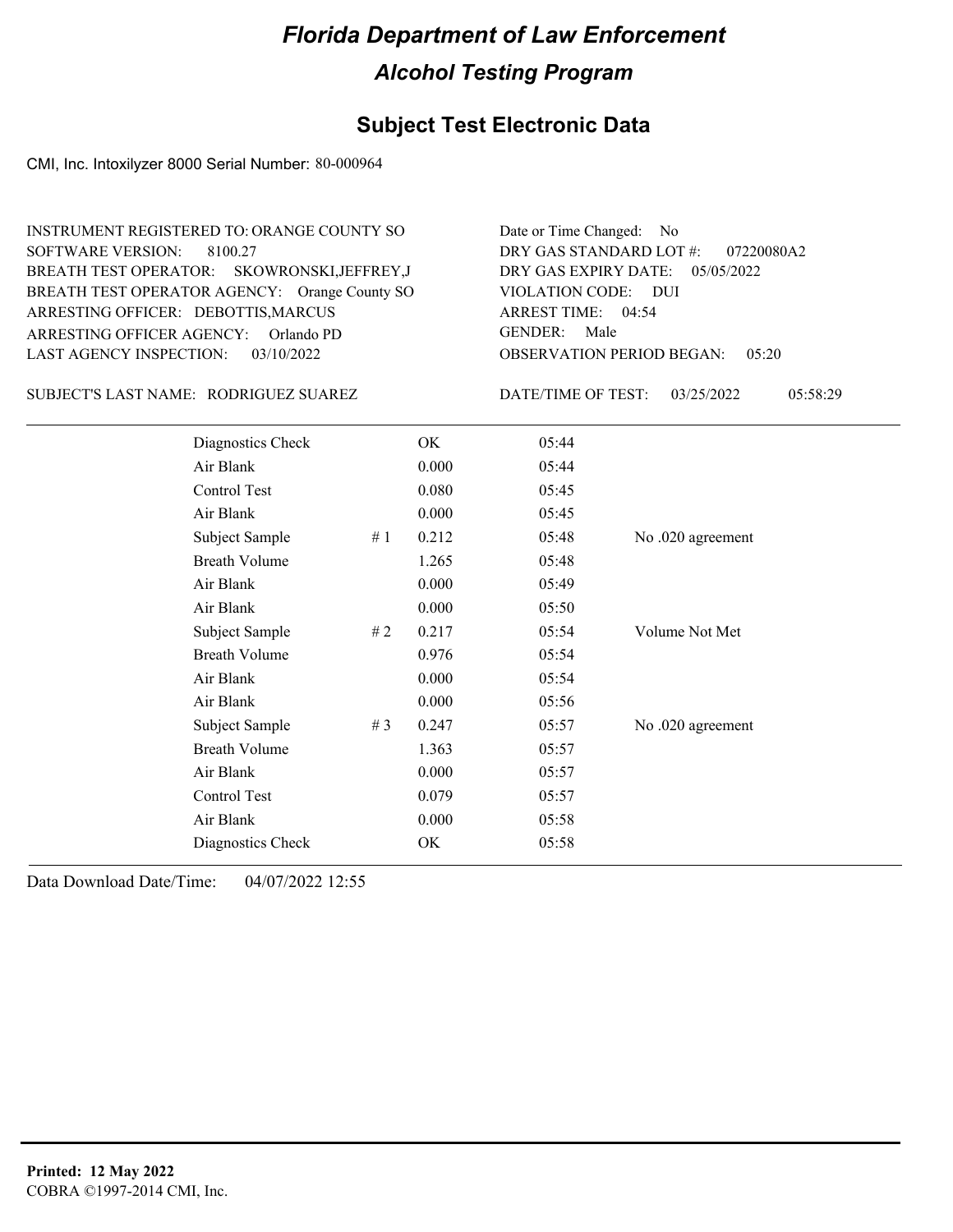#### **Subject Test Electronic Data**

CMI, Inc. Intoxilyzer 8000 Serial Number: 80-000964

OBSERVATION PERIOD BEGAN: 05:20 ARRESTING OFFICER AGENCY: GENDER: Orlando PD BREATH TEST OPERATOR AGENCY: Orange County SO VIOLATION CODE: SOFTWARE VERSION: VIOLATION CODE: DUI ARREST TIME: 04:54 ARRESTING OFFICER: DEBOTTIS, MARCUS DRY GAS EXPIRY DATE: 05/05/2022 07220080A2 SKOWRONSKI,JEFFREY,J BREATH TEST OPERATOR: LAST AGENCY INSPECTION: 03/10/2022 8100.27 INSTRUMENT REGISTERED TO: ORANGE COUNTY SO DRY GAS STANDARD LOT #: Date or Time Changed: No GENDER: Male

SUBJECT'S LAST NAME: RODRIGUEZ SUAREZ DATE/TIME OF TEST:

DATE/TIME OF TEST: 03/25/2022 05:58:29

| Diagnostics Check    |    | OK    | 05:44 |                   |
|----------------------|----|-------|-------|-------------------|
| Air Blank            |    | 0.000 | 05:44 |                   |
| Control Test         |    | 0.080 | 05:45 |                   |
| Air Blank            |    | 0.000 | 05:45 |                   |
| Subject Sample       | #1 | 0.212 | 05:48 | No .020 agreement |
| <b>Breath Volume</b> |    | 1.265 | 05:48 |                   |
| Air Blank            |    | 0.000 | 05:49 |                   |
| Air Blank            |    | 0.000 | 05:50 |                   |
| Subject Sample       | #2 | 0.217 | 05:54 | Volume Not Met    |
| <b>Breath Volume</b> |    | 0.976 | 05:54 |                   |
| Air Blank            |    | 0.000 | 05:54 |                   |
| Air Blank            |    | 0.000 | 05:56 |                   |
| Subject Sample       | #3 | 0.247 | 05:57 | No .020 agreement |
| <b>Breath Volume</b> |    | 1.363 | 05:57 |                   |
| Air Blank            |    | 0.000 | 05:57 |                   |
| Control Test         |    | 0.079 | 05:57 |                   |
| Air Blank            |    | 0.000 | 05:58 |                   |
| Diagnostics Check    |    | OK    | 05:58 |                   |
|                      |    |       |       |                   |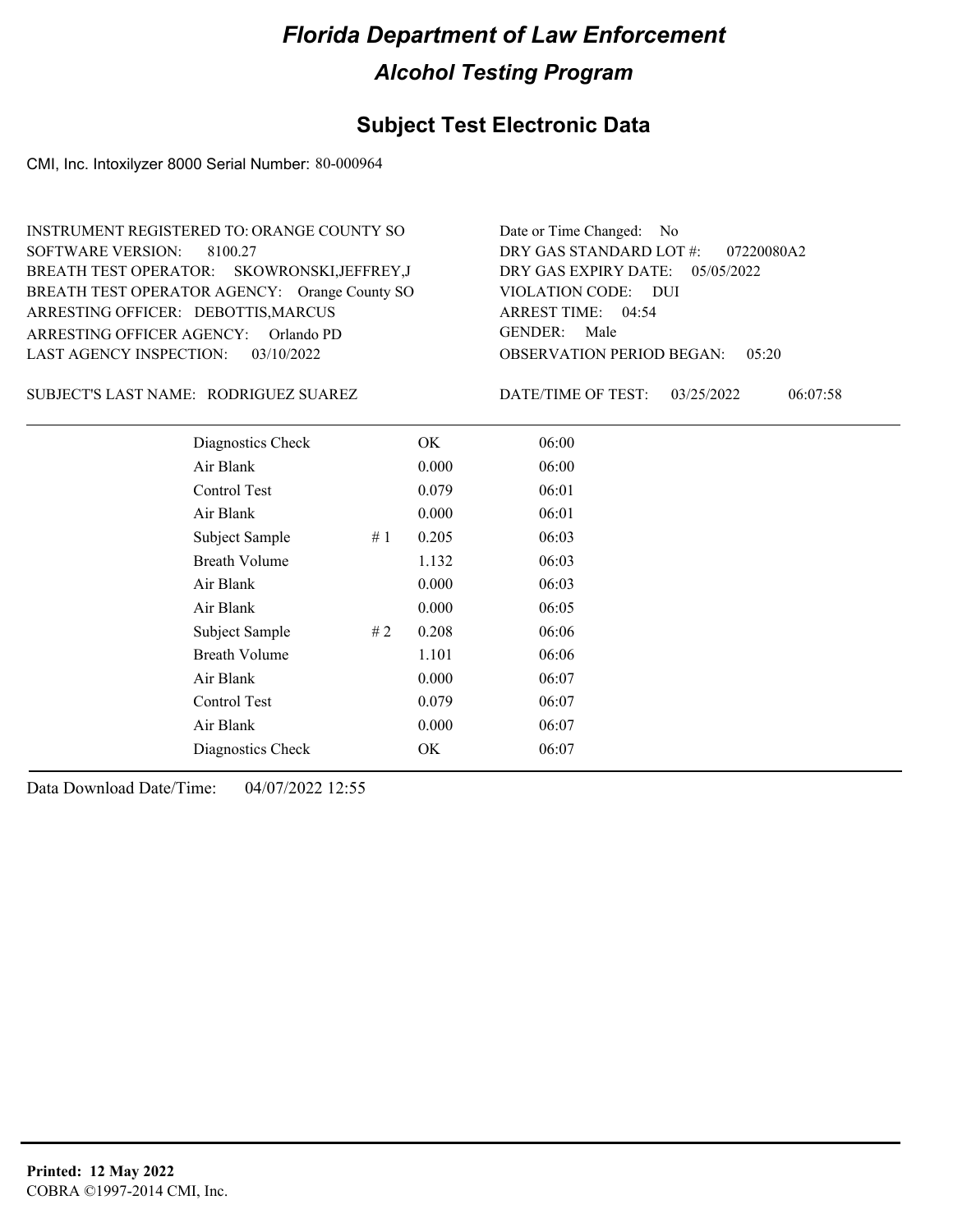#### **Subject Test Electronic Data**

CMI, Inc. Intoxilyzer 8000 Serial Number: 80-000964

ARRESTING OFFICER AGENCY: GENDER: Orlando PD BREATH TEST OPERATOR AGENCY: Orange County SO VIOLATION CODE: SOFTWARE VERSION: 8100.27 ARRESTING OFFICER: DEBOTTIS, MARCUS SKOWRONSKI,JEFFREY,J BREATH TEST OPERATOR: LAST AGENCY INSPECTION: 03/10/2022 INSTRUMENT REGISTERED TO: ORANGE COUNTY SO

OBSERVATION PERIOD BEGAN: 05:20 VIOLATION CODE: DUI ARREST TIME: 04:54 DRY GAS EXPIRY DATE: 05/05/2022 07220080A2 DRY GAS STANDARD LOT #: Date or Time Changed: No GENDER: Male

SUBJECT'S LAST NAME: RODRIGUEZ SUAREZ DATE/TIME OF TEST:

DATE/TIME OF TEST: 03/25/2022 06:07:58

| Diagnostics Check    |    | OK    | 06:00 |
|----------------------|----|-------|-------|
| Air Blank            |    | 0.000 | 06:00 |
| Control Test         |    | 0.079 | 06:01 |
| Air Blank            |    | 0.000 | 06:01 |
| Subject Sample       | #1 | 0.205 | 06:03 |
| <b>Breath Volume</b> |    | 1.132 | 06:03 |
| Air Blank            |    | 0.000 | 06:03 |
| Air Blank            |    | 0.000 | 06:05 |
| Subject Sample       | #2 | 0.208 | 06:06 |
| <b>Breath Volume</b> |    | 1.101 | 06:06 |
| Air Blank            |    | 0.000 | 06:07 |
| Control Test         |    | 0.079 | 06:07 |
| Air Blank            |    | 0.000 | 06:07 |
| Diagnostics Check    |    | OK    | 06:07 |
|                      |    |       |       |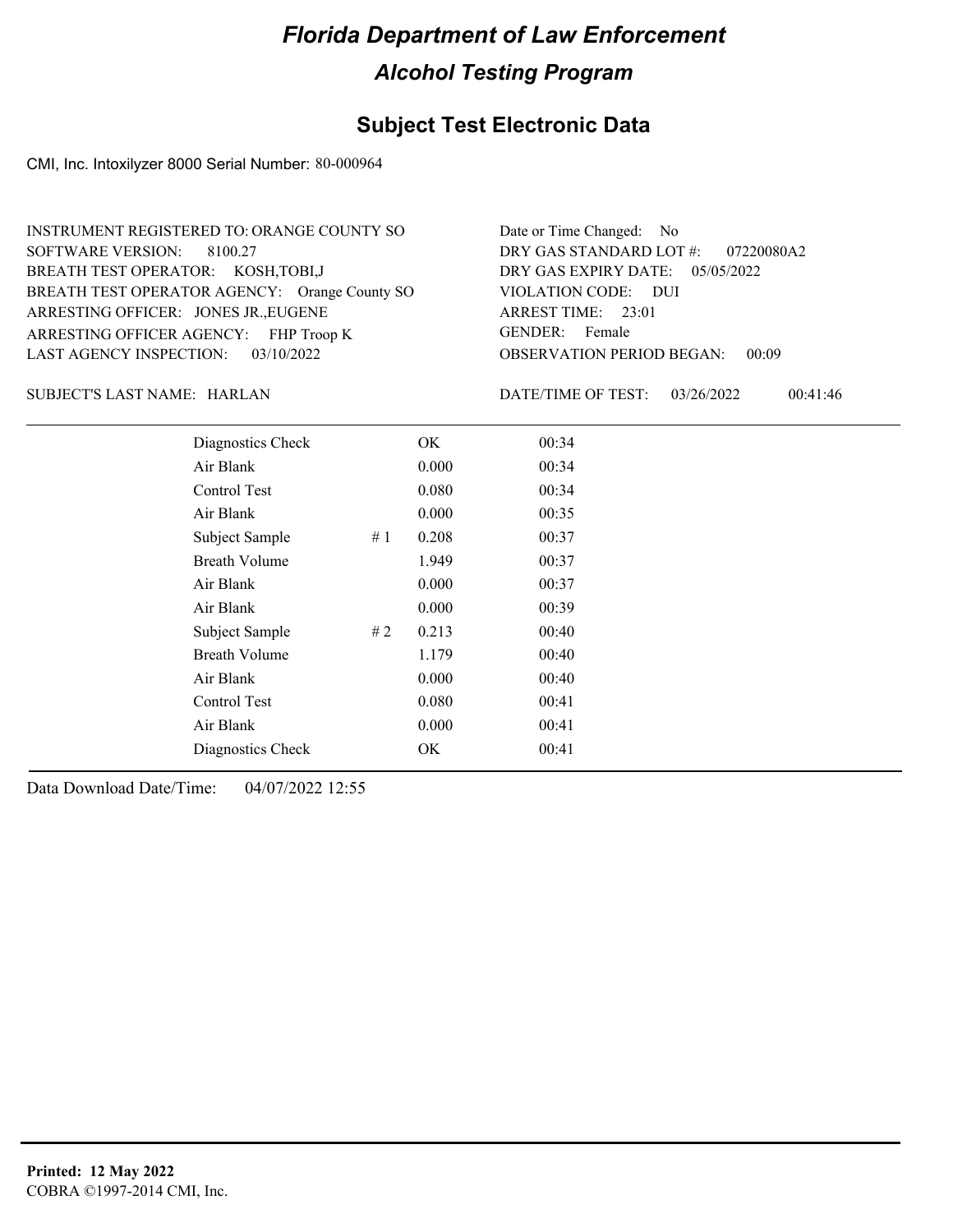## **Subject Test Electronic Data**

CMI, Inc. Intoxilyzer 8000 Serial Number: 80-000964

| INSTRUMENT REGISTERED TO: ORANGE COUNTY SO    | Date or Time Changed: No               |
|-----------------------------------------------|----------------------------------------|
| SOFTWARE VERSION: 8100.27                     | DRY GAS STANDARD LOT $\#$ : 07220080A2 |
| BREATH TEST OPERATOR: KOSH, TOBI, J           | DRY GAS EXPIRY DATE: $05/05/2022$      |
| BREATH TEST OPERATOR AGENCY: Orange County SO | VIOLATION CODE: DUI                    |
| ARRESTING OFFICER: JONES JR., EUGENE          | ARREST TIME: 23:01                     |
| ARRESTING OFFICER AGENCY: FHP Troop K         | GENDER: Female                         |
| LAST AGENCY INSPECTION: $03/10/2022$          | <b>OBSERVATION PERIOD BEGAN: 00:09</b> |

HARLAN SUBJECT'S LAST NAME: DATE/TIME OF TEST:

DATE/TIME OF TEST: 03/26/2022 00:41:46

| Diagnostics Check    |    | OK    | 00:34 |  |
|----------------------|----|-------|-------|--|
| Air Blank            |    | 0.000 | 00:34 |  |
| Control Test         |    | 0.080 | 00:34 |  |
| Air Blank            |    | 0.000 | 00:35 |  |
| Subject Sample       | #1 | 0.208 | 00:37 |  |
| <b>Breath Volume</b> |    | 1.949 | 00:37 |  |
| Air Blank            |    | 0.000 | 00:37 |  |
| Air Blank            |    | 0.000 | 00:39 |  |
| Subject Sample       | #2 | 0.213 | 00:40 |  |
| <b>Breath Volume</b> |    | 1.179 | 00:40 |  |
| Air Blank            |    | 0.000 | 00:40 |  |
| Control Test         |    | 0.080 | 00:41 |  |
| Air Blank            |    | 0.000 | 00:41 |  |
| Diagnostics Check    |    | OK    | 00:41 |  |
|                      |    |       |       |  |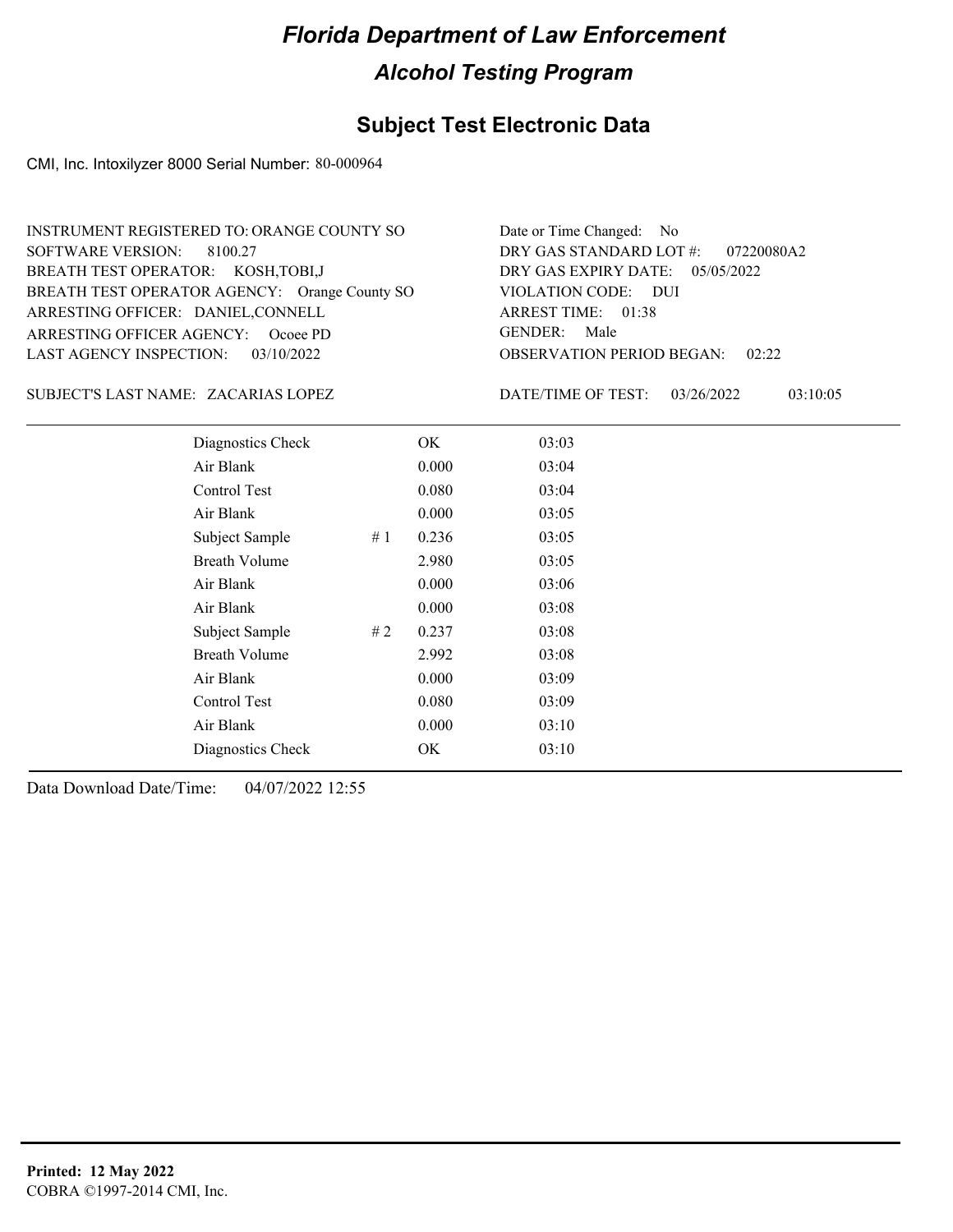## **Subject Test Electronic Data**

CMI, Inc. Intoxilyzer 8000 Serial Number: 80-000964

| INSTRUMENT REGISTERED TO: ORANGE COUNTY SO    | Date or Time Changed: No               |
|-----------------------------------------------|----------------------------------------|
| SOFTWARE VERSION: 8100.27                     | DRY GAS STANDARD LOT $\#$ : 07220080A2 |
| BREATH TEST OPERATOR: KOSH, TOBI, J           | DRY GAS EXPIRY DATE: 05/05/2022        |
| BREATH TEST OPERATOR AGENCY: Orange County SO | VIOLATION CODE: DUI                    |
| ARRESTING OFFICER: DANIEL, CONNELL            | ARREST TIME: 01:38                     |
| ARRESTING OFFICER AGENCY: Ocoee PD            | GENDER: Male                           |
| LAST AGENCY INSPECTION: 03/10/2022            | <b>OBSERVATION PERIOD BEGAN: 02:22</b> |

#### ZACARIAS LOPEZ SUBJECT'S LAST NAME: DATE/TIME OF TEST:

DATE/TIME OF TEST: 03/26/2022 03:10:05

| Diagnostics Check    |    | OK    | 03:03 |
|----------------------|----|-------|-------|
| Air Blank            |    | 0.000 | 03:04 |
| Control Test         |    | 0.080 | 03:04 |
| Air Blank            |    | 0.000 | 03:05 |
| Subject Sample       | #1 | 0.236 | 03:05 |
| <b>Breath Volume</b> |    | 2.980 | 03:05 |
| Air Blank            |    | 0.000 | 03:06 |
| Air Blank            |    | 0.000 | 03:08 |
| Subject Sample       | #2 | 0.237 | 03:08 |
| <b>Breath Volume</b> |    | 2.992 | 03:08 |
| Air Blank            |    | 0.000 | 03:09 |
| Control Test         |    | 0.080 | 03:09 |
| Air Blank            |    | 0.000 | 03:10 |
| Diagnostics Check    |    | OK    | 03:10 |
|                      |    |       |       |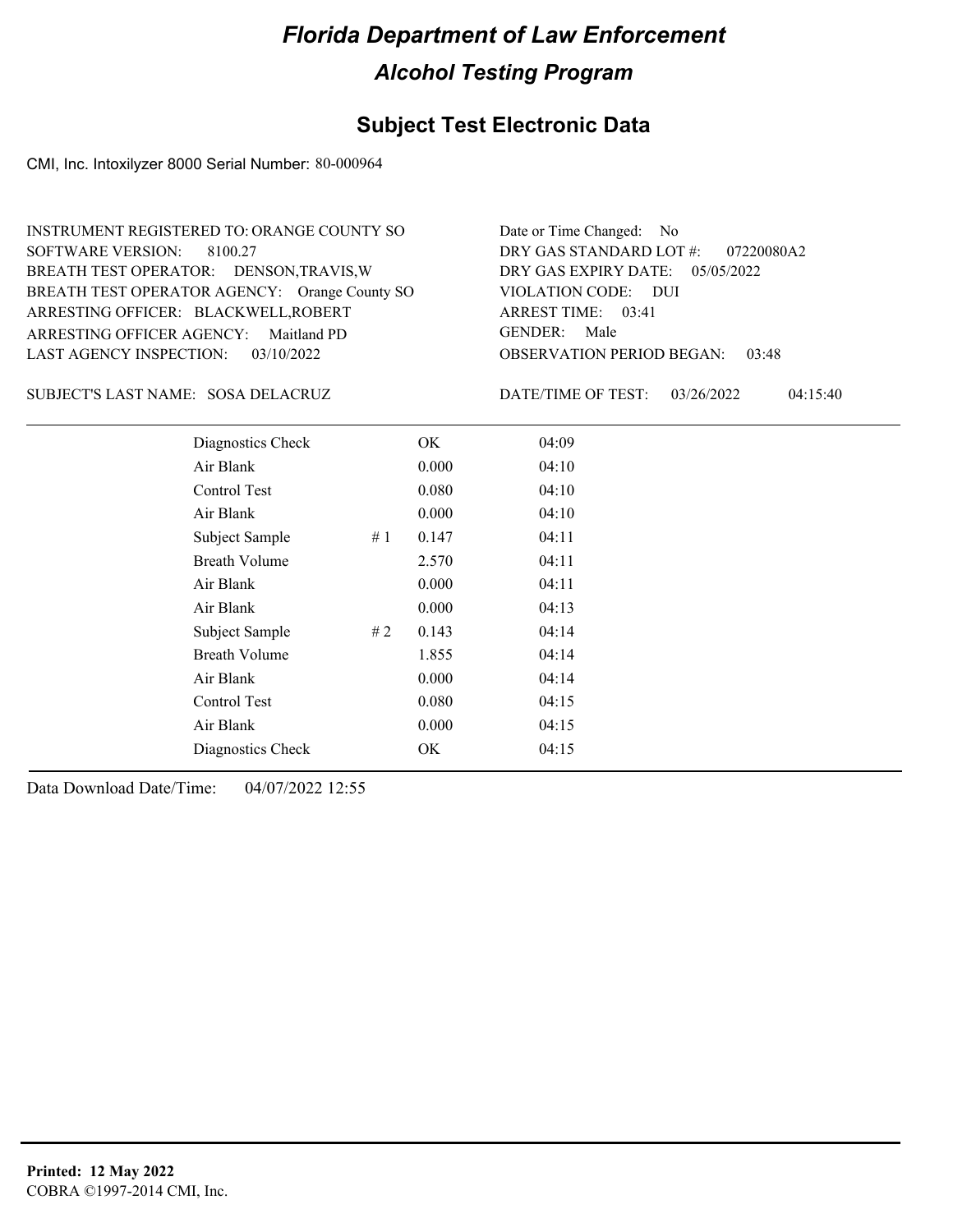#### **Subject Test Electronic Data**

CMI, Inc. Intoxilyzer 8000 Serial Number: 80-000964

OBSERVATION PERIOD BEGAN: 03:48 ARRESTING OFFICER AGENCY: Maitland PD GENDER: BREATH TEST OPERATOR AGENCY: Orange County SO VIOLATION CODE: SOFTWARE VERSION: 8100.27 VIOLATION CODE: DUI 03:41 ARREST TIME: ARRESTING OFFICER: BLACKWELL,ROBERT DRY GAS EXPIRY DATE: 05/05/2022 07220080A2 BREATH TEST OPERATOR: DENSON,TRAVIS,W LAST AGENCY INSPECTION: 03/10/2022 INSTRUMENT REGISTERED TO: ORANGE COUNTY SO DRY GAS STANDARD LOT #: Date or Time Changed: No GENDER: Male

SOSA DELACRUZ SUBJECT'S LAST NAME: DATE/TIME OF TEST:

DATE/TIME OF TEST: 03/26/2022 04:15:40

| Diagnostics Check    |    | OK    | 04:09 |
|----------------------|----|-------|-------|
| Air Blank            |    | 0.000 | 04:10 |
| Control Test         |    | 0.080 | 04:10 |
| Air Blank            |    | 0.000 | 04:10 |
| Subject Sample       | #1 | 0.147 | 04:11 |
| <b>Breath Volume</b> |    | 2.570 | 04:11 |
| Air Blank            |    | 0.000 | 04:11 |
| Air Blank            |    | 0.000 | 04:13 |
| Subject Sample       | #2 | 0.143 | 04:14 |
| <b>Breath Volume</b> |    | 1.855 | 04:14 |
| Air Blank            |    | 0.000 | 04:14 |
| Control Test         |    | 0.080 | 04:15 |
| Air Blank            |    | 0.000 | 04:15 |
| Diagnostics Check    |    | OK    | 04:15 |
|                      |    |       |       |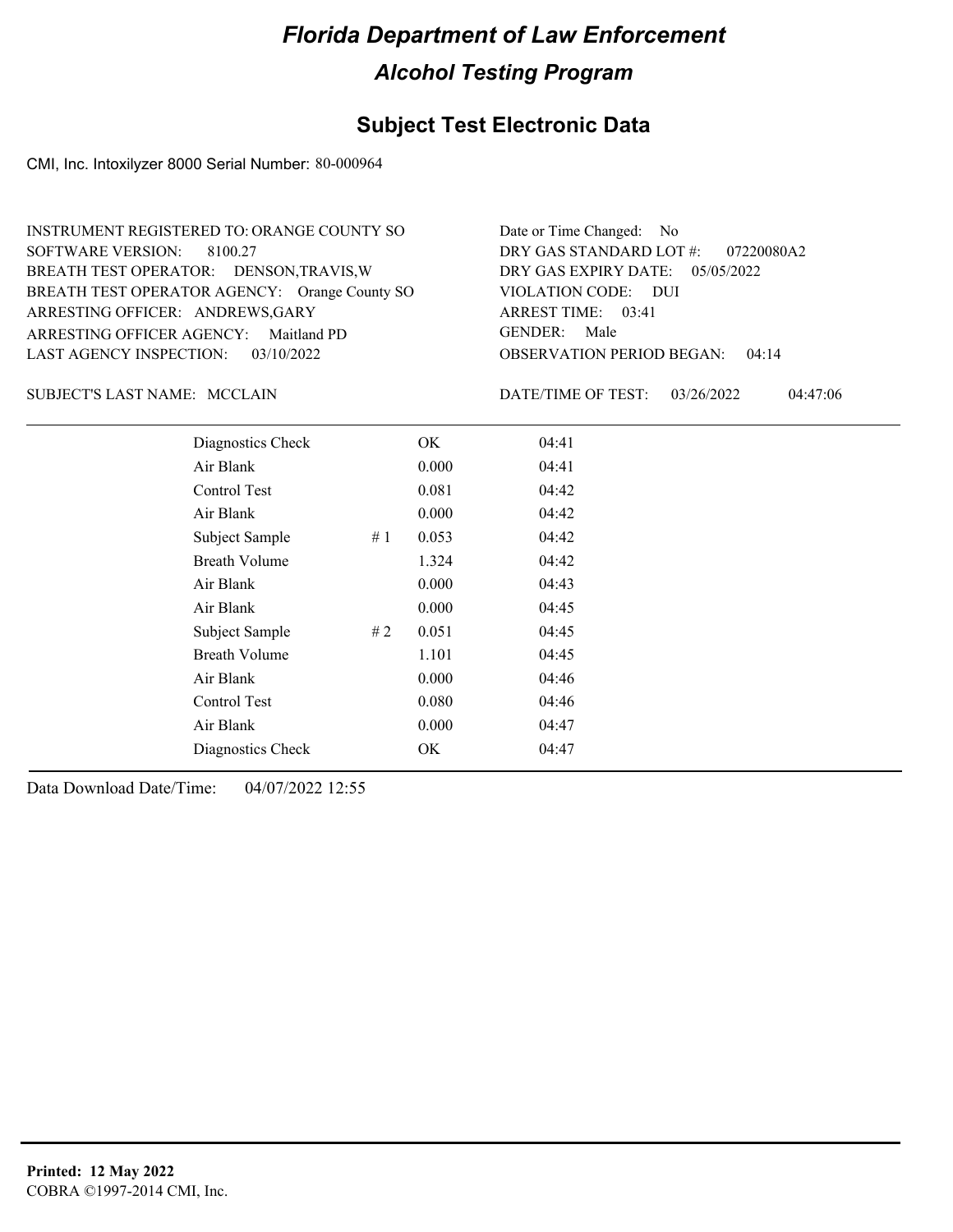## **Subject Test Electronic Data**

CMI, Inc. Intoxilyzer 8000 Serial Number: 80-000964

| INSTRUMENT REGISTERED TO: ORANGE COUNTY SO    | Date or Time Changed: No               |
|-----------------------------------------------|----------------------------------------|
| SOFTWARE VERSION: 8100.27                     | DRY GAS STANDARD LOT #: 07220080A2     |
| BREATH TEST OPERATOR: DENSON, TRAVIS, W       | DRY GAS EXPIRY DATE: 05/05/2022        |
| BREATH TEST OPERATOR AGENCY: Orange County SO | VIOLATION CODE: DUI                    |
| ARRESTING OFFICER: ANDREWS, GARY              | ARREST TIME: 03:41                     |
| ARRESTING OFFICER AGENCY: Maitland PD         | GENDER: Male                           |
| LAST AGENCY INSPECTION: $03/10/2022$          | <b>OBSERVATION PERIOD BEGAN: 04:14</b> |

MCCLAIN SUBJECT'S LAST NAME: DATE/TIME OF TEST:

DATE/TIME OF TEST: 03/26/2022 04:47:06

| Diagnostics Check    |       | OK    | 04:41 |  |
|----------------------|-------|-------|-------|--|
| Air Blank            |       | 0.000 | 04:41 |  |
| Control Test         |       | 0.081 | 04:42 |  |
| Air Blank            |       | 0.000 | 04:42 |  |
| Subject Sample       | # $1$ | 0.053 | 04:42 |  |
| <b>Breath Volume</b> |       | 1.324 | 04:42 |  |
| Air Blank            |       | 0.000 | 04:43 |  |
| Air Blank            |       | 0.000 | 04:45 |  |
| Subject Sample       | #2    | 0.051 | 04:45 |  |
| <b>Breath Volume</b> |       | 1.101 | 04:45 |  |
| Air Blank            |       | 0.000 | 04:46 |  |
| Control Test         |       | 0.080 | 04:46 |  |
| Air Blank            |       | 0.000 | 04:47 |  |
| Diagnostics Check    |       | OK    | 04:47 |  |
|                      |       |       |       |  |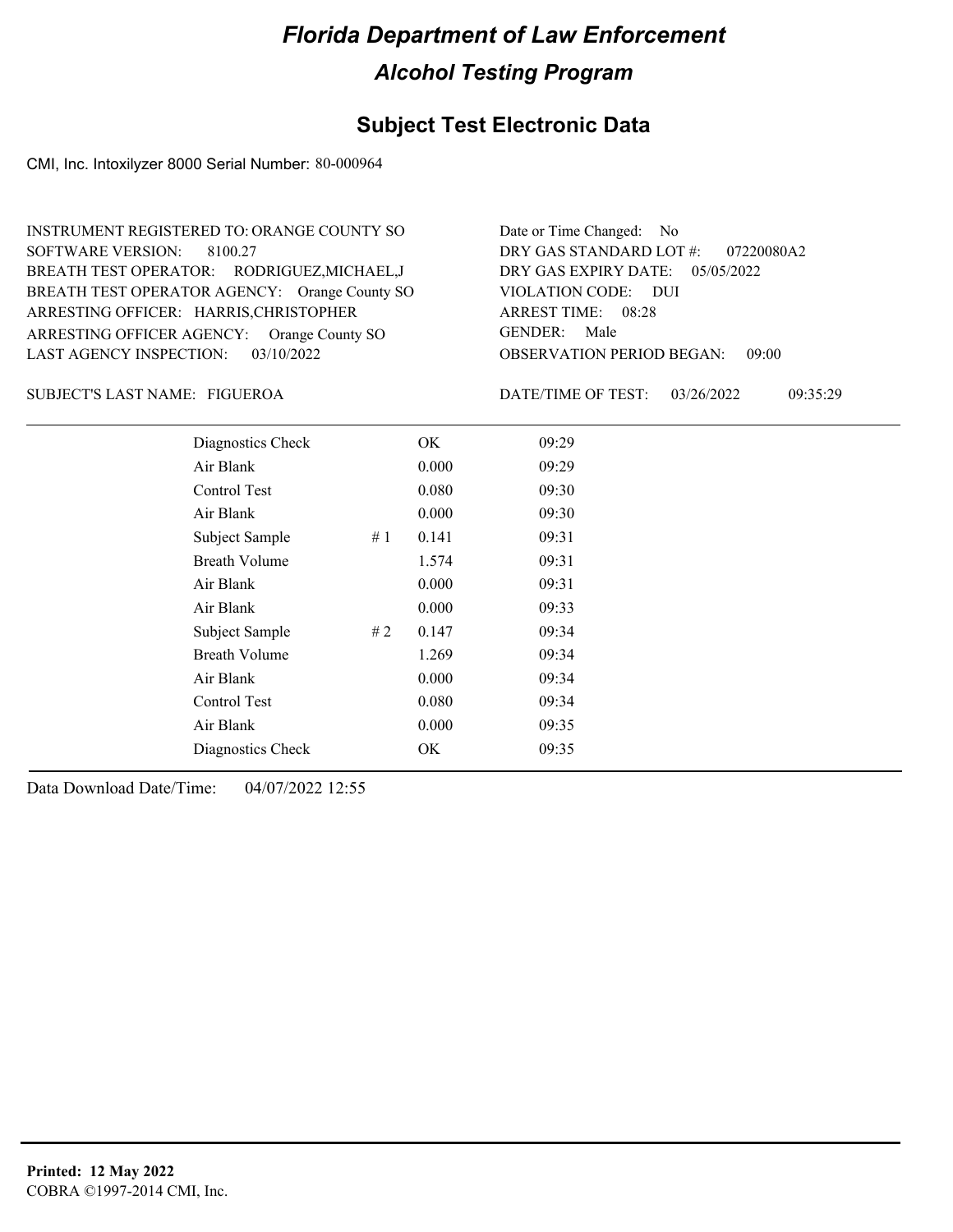#### **Subject Test Electronic Data**

CMI, Inc. Intoxilyzer 8000 Serial Number: 80-000964

ARRESTING OFFICER AGENCY: GENDER: Orange County SO BREATH TEST OPERATOR AGENCY: Orange County SO VIOLATION CODE: SOFTWARE VERSION: ARRESTING OFFICER: HARRIS, CHRISTOPHER BREATH TEST OPERATOR: RODRIGUEZ,MICHAEL,J LAST AGENCY INSPECTION: 03/10/2022 8100.27 INSTRUMENT REGISTERED TO: ORANGE COUNTY SO

OBSERVATION PERIOD BEGAN: 09:00 VIOLATION CODE: DUI 08:28 ARREST TIME: DRY GAS EXPIRY DATE: 05/05/2022 07220080A2 DRY GAS STANDARD LOT #: Date or Time Changed: No GENDER: Male

FIGUEROA SUBJECT'S LAST NAME: DATE/TIME OF TEST:

DATE/TIME OF TEST: 03/26/2022 09:35:29

| Diagnostics Check    |    | OK    | 09:29 |
|----------------------|----|-------|-------|
| Air Blank            |    | 0.000 | 09:29 |
| Control Test         |    | 0.080 | 09:30 |
| Air Blank            |    | 0.000 | 09:30 |
| Subject Sample       | #1 | 0.141 | 09:31 |
| Breath Volume        |    | 1.574 | 09:31 |
| Air Blank            |    | 0.000 | 09:31 |
| Air Blank            |    | 0.000 | 09:33 |
| Subject Sample       | #2 | 0.147 | 09:34 |
| <b>Breath Volume</b> |    | 1.269 | 09:34 |
| Air Blank            |    | 0.000 | 09:34 |
| Control Test         |    | 0.080 | 09:34 |
| Air Blank            |    | 0.000 | 09:35 |
| Diagnostics Check    |    | OK    | 09:35 |
|                      |    |       |       |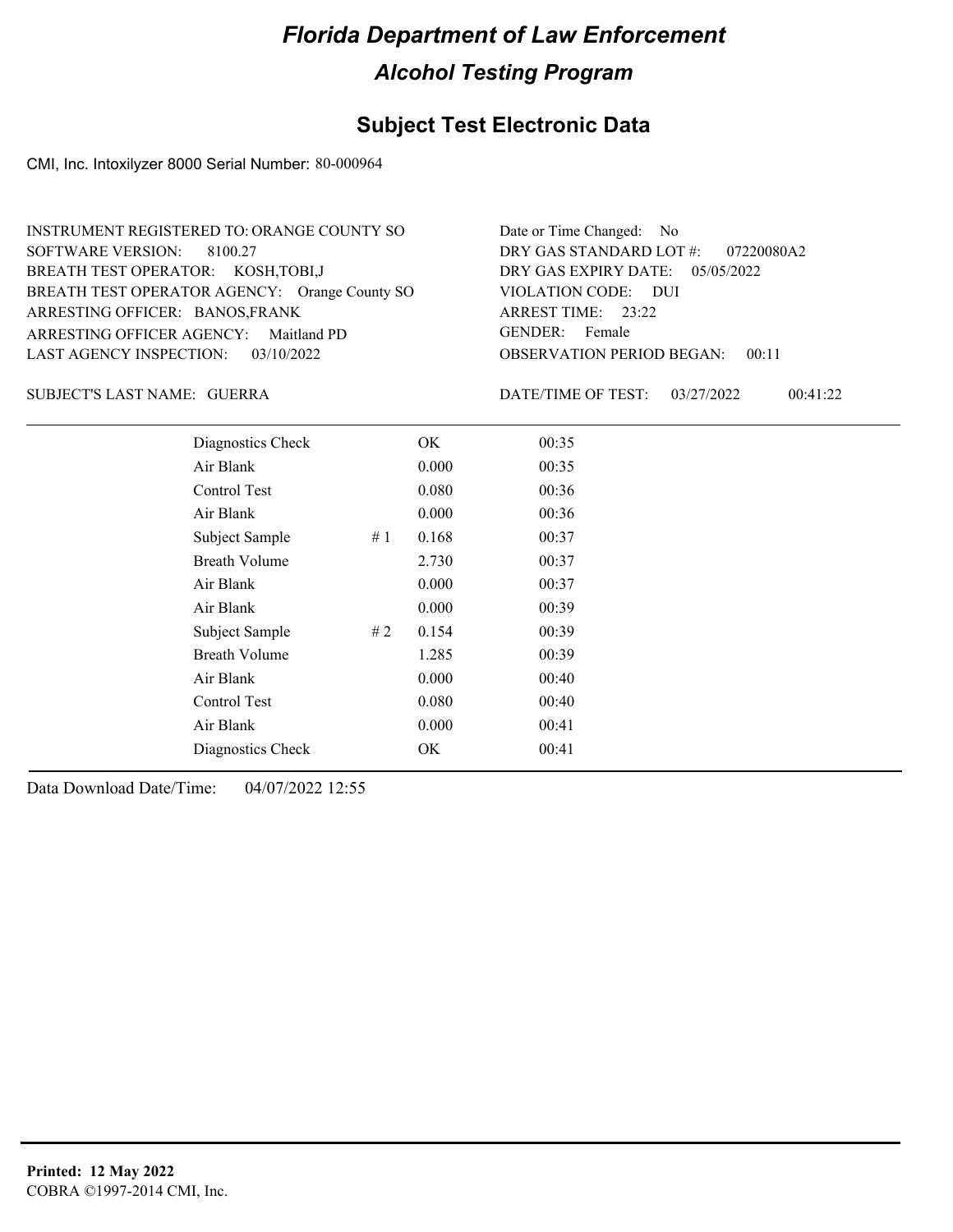## **Subject Test Electronic Data**

CMI, Inc. Intoxilyzer 8000 Serial Number: 80-000964

| INSTRUMENT REGISTERED TO: ORANGE COUNTY SO    | Date or Time Changed: No               |
|-----------------------------------------------|----------------------------------------|
| SOFTWARE VERSION: 8100.27                     | DRY GAS STANDARD LOT #: 07220080A2     |
| BREATH TEST OPERATOR: KOSH, TOBI, J           | DRY GAS EXPIRY DATE: 05/05/2022        |
| BREATH TEST OPERATOR AGENCY: Orange County SO | VIOLATION CODE: DUI                    |
| ARRESTING OFFICER: BANOS, FRANK               | ARREST TIME: 23:22                     |
| ARRESTING OFFICER AGENCY: Maitland PD         | GENDER: Female                         |
| LAST AGENCY INSPECTION: $03/10/2022$          | <b>OBSERVATION PERIOD BEGAN: 00:11</b> |

GUERRA SUBJECT'S LAST NAME: DATE/TIME OF TEST:

DATE/TIME OF TEST: 03/27/2022 00:41:22

| Diagnostics Check    |    | OK    | 00:35 |
|----------------------|----|-------|-------|
| Air Blank            |    | 0.000 | 00:35 |
| Control Test         |    | 0.080 | 00:36 |
| Air Blank            |    | 0.000 | 00:36 |
| Subject Sample       | #1 | 0.168 | 00:37 |
| <b>Breath Volume</b> |    | 2.730 | 00:37 |
| Air Blank            |    | 0.000 | 00:37 |
| Air Blank            |    | 0.000 | 00:39 |
| Subject Sample       | #2 | 0.154 | 00:39 |
| <b>Breath Volume</b> |    | 1.285 | 00:39 |
| Air Blank            |    | 0.000 | 00:40 |
| Control Test         |    | 0.080 | 00:40 |
| Air Blank            |    | 0.000 | 00:41 |
| Diagnostics Check    |    | OK    | 00:41 |
|                      |    |       |       |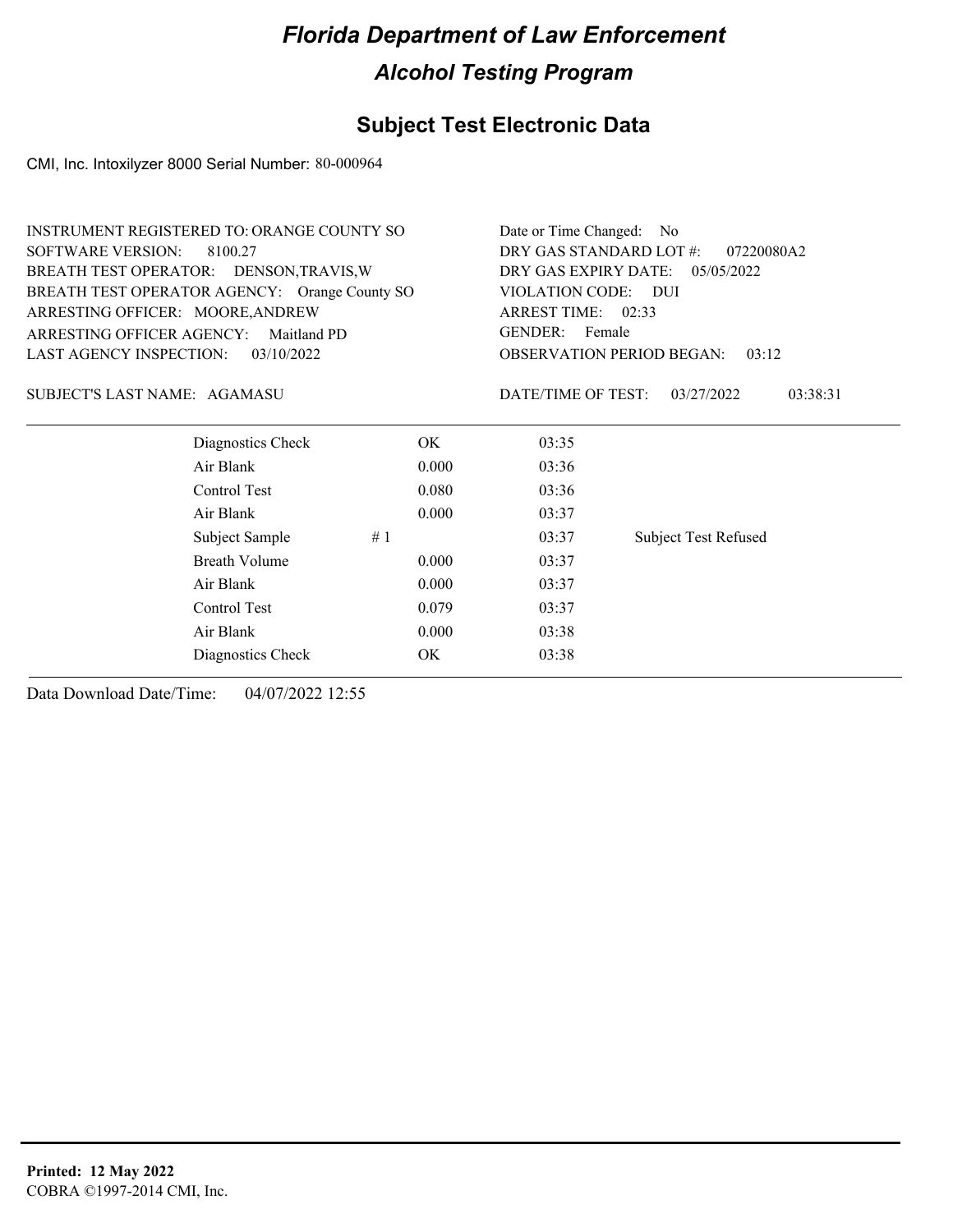## **Subject Test Electronic Data**

CMI, Inc. Intoxilyzer 8000 Serial Number: 80-000964

| <b>INSTRUMENT REGISTERED TO: ORANGE COUNTY SO</b> |       | Date or Time Changed: No                                    |                             |  |
|---------------------------------------------------|-------|-------------------------------------------------------------|-----------------------------|--|
| <b>SOFTWARE VERSION:</b><br>8100.27               |       | DRY GAS STANDARD LOT #:<br>07220080A2                       |                             |  |
| BREATH TEST OPERATOR: DENSON, TRAVIS, W           |       | DRY GAS EXPIRY DATE:<br>05/05/2022                          |                             |  |
| BREATH TEST OPERATOR AGENCY: Orange County SO     |       | VIOLATION CODE: DUI                                         |                             |  |
| ARRESTING OFFICER: MOORE, ANDREW                  |       | ARREST TIME: 02:33                                          |                             |  |
| <b>ARRESTING OFFICER AGENCY:</b><br>Maitland PD   |       | GENDER: Female<br><b>OBSERVATION PERIOD BEGAN:</b><br>03:12 |                             |  |
| <b>LAST AGENCY INSPECTION:</b><br>03/10/2022      |       |                                                             |                             |  |
| SUBJECT'S LAST NAME: AGAMASU                      |       | DATE/TIME OF TEST:                                          | 03:38:31<br>03/27/2022      |  |
| Diagnostics Check                                 | OK.   | 03:35                                                       |                             |  |
| Air Blank                                         | 0.000 | 03:36                                                       |                             |  |
| Control Test                                      | 0.080 | 03:36                                                       |                             |  |
| Air Blank                                         | 0.000 | 03:37                                                       |                             |  |
| Subject Sample                                    | #1    | 03:37                                                       | <b>Subject Test Refused</b> |  |
| <b>Breath Volume</b>                              | 0.000 | 03:37                                                       |                             |  |
| Air Blank                                         | 0.000 | 03:37                                                       |                             |  |
| Control Test                                      | 0.079 | 03:37                                                       |                             |  |
| Air Blank                                         | 0.000 | 03:38                                                       |                             |  |
| Diagnostics Check                                 | OK    | 03:38                                                       |                             |  |
|                                                   |       |                                                             |                             |  |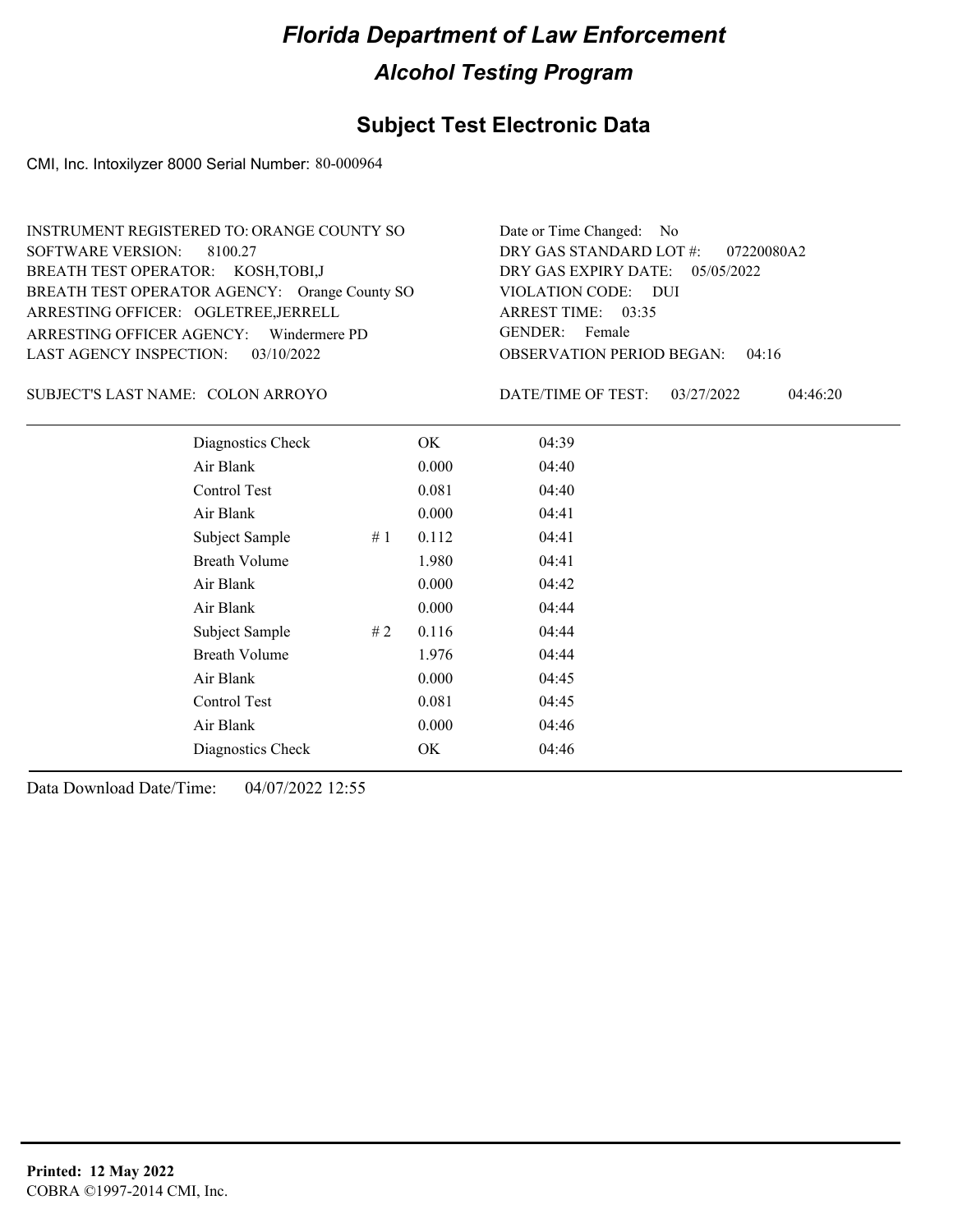## **Subject Test Electronic Data**

CMI, Inc. Intoxilyzer 8000 Serial Number: 80-000964

| INSTRUMENT REGISTERED TO: ORANGE COUNTY SO    | Date or Time Changed: No               |
|-----------------------------------------------|----------------------------------------|
| SOFTWARE VERSION: 8100.27                     | DRY GAS STANDARD LOT $\#$ : 07220080A2 |
| BREATH TEST OPERATOR: KOSH, TOBI, J           | DRY GAS EXPIRY DATE: 05/05/2022        |
| BREATH TEST OPERATOR AGENCY: Orange County SO | VIOLATION CODE: DUI                    |
| ARRESTING OFFICER: OGLETREE, JERRELL          | ARREST TIME: 03:35                     |
| ARRESTING OFFICER AGENCY: Windermere PD       | GENDER: Female                         |
| LAST AGENCY INSPECTION: 03/10/2022            | <b>OBSERVATION PERIOD BEGAN: 04:16</b> |

SUBJECT'S LAST NAME: COLON ARROYO DATE/TIME OF TEST:

DATE/TIME OF TEST: 03/27/2022 04:46:20

| Diagnostics Check    |    | OK    | 04:39 |
|----------------------|----|-------|-------|
| Air Blank            |    | 0.000 | 04:40 |
| Control Test         |    | 0.081 | 04:40 |
| Air Blank            |    | 0.000 | 04:41 |
| Subject Sample       | #1 | 0.112 | 04:41 |
| <b>Breath Volume</b> |    | 1.980 | 04:41 |
| Air Blank            |    | 0.000 | 04:42 |
| Air Blank            |    | 0.000 | 04:44 |
| Subject Sample       | #2 | 0.116 | 04:44 |
| <b>Breath Volume</b> |    | 1.976 | 04:44 |
| Air Blank            |    | 0.000 | 04:45 |
| Control Test         |    | 0.081 | 04:45 |
| Air Blank            |    | 0.000 | 04:46 |
| Diagnostics Check    |    | OK    | 04:46 |
|                      |    |       |       |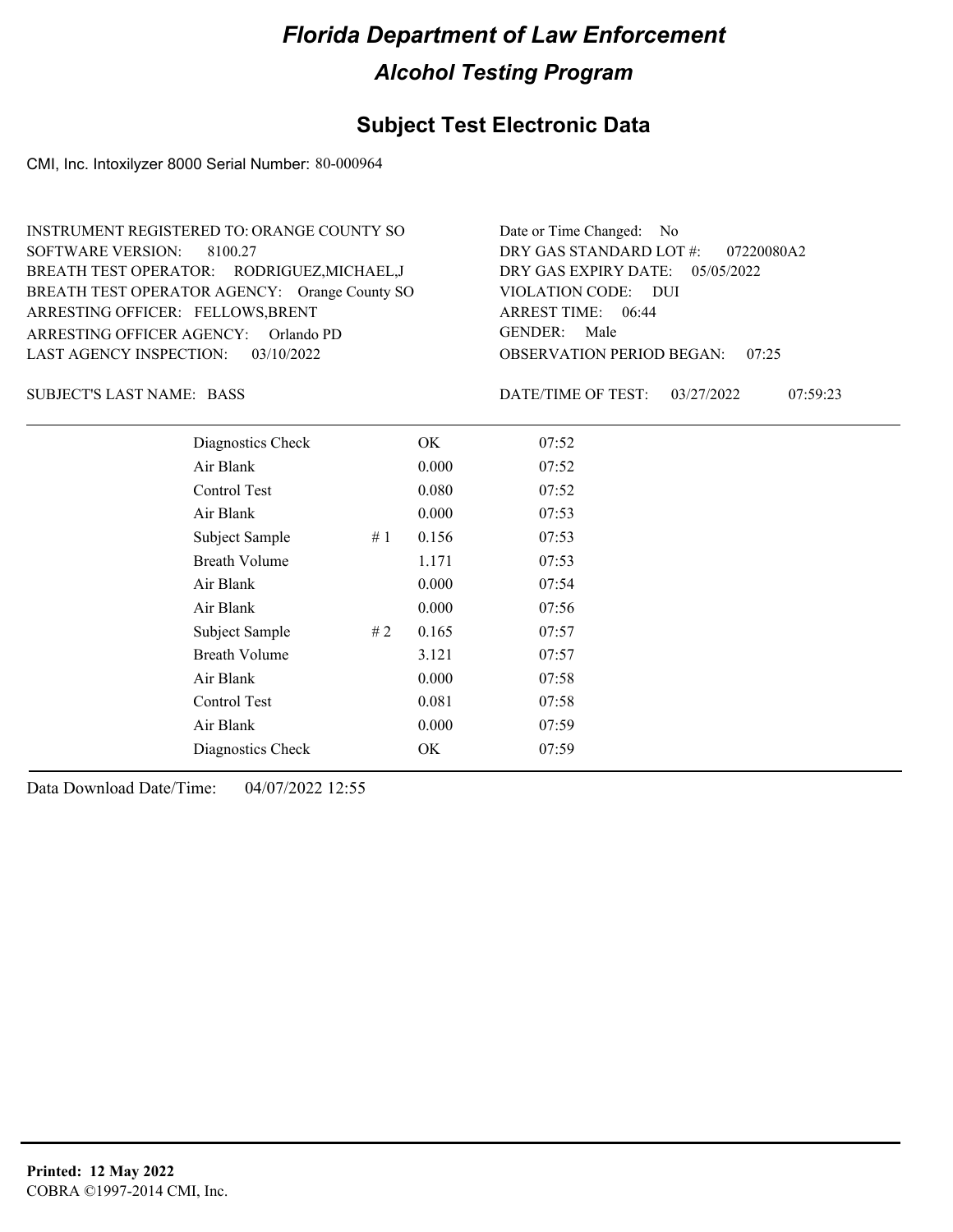## **Subject Test Electronic Data**

CMI, Inc. Intoxilyzer 8000 Serial Number: 80-000964

| INSTRUMENT REGISTERED TO: ORANGE COUNTY SO    | Date or Time Changed: No               |
|-----------------------------------------------|----------------------------------------|
| SOFTWARE VERSION: 8100.27                     | DRY GAS STANDARD LOT #: 07220080A2     |
| BREATH TEST OPERATOR: RODRIGUEZ, MICHAEL, J   | DRY GAS EXPIRY DATE: 05/05/2022        |
| BREATH TEST OPERATOR AGENCY: Orange County SO | VIOLATION CODE: DUI                    |
| ARRESTING OFFICER: FELLOWS, BRENT             | ARREST TIME: 06:44                     |
| ARRESTING OFFICER AGENCY: Orlando PD          | GENDER: Male                           |
| LAST AGENCY INSPECTION: 03/10/2022            | <b>OBSERVATION PERIOD BEGAN: 07:25</b> |

BASS SUBJECT'S LAST NAME: DATE/TIME OF TEST:

DATE/TIME OF TEST: 03/27/2022 07:59:23

| Diagnostics Check    |    | OK    | 07:52 |  |
|----------------------|----|-------|-------|--|
| Air Blank            |    | 0.000 | 07:52 |  |
| Control Test         |    | 0.080 | 07:52 |  |
| Air Blank            |    | 0.000 | 07:53 |  |
| Subject Sample       | #1 | 0.156 | 07:53 |  |
| <b>Breath Volume</b> |    | 1.171 | 07:53 |  |
| Air Blank            |    | 0.000 | 07:54 |  |
| Air Blank            |    | 0.000 | 07:56 |  |
| Subject Sample       | #2 | 0.165 | 07:57 |  |
| <b>Breath Volume</b> |    | 3.121 | 07:57 |  |
| Air Blank            |    | 0.000 | 07:58 |  |
| Control Test         |    | 0.081 | 07:58 |  |
| Air Blank            |    | 0.000 | 07:59 |  |
| Diagnostics Check    |    | OK    | 07:59 |  |
|                      |    |       |       |  |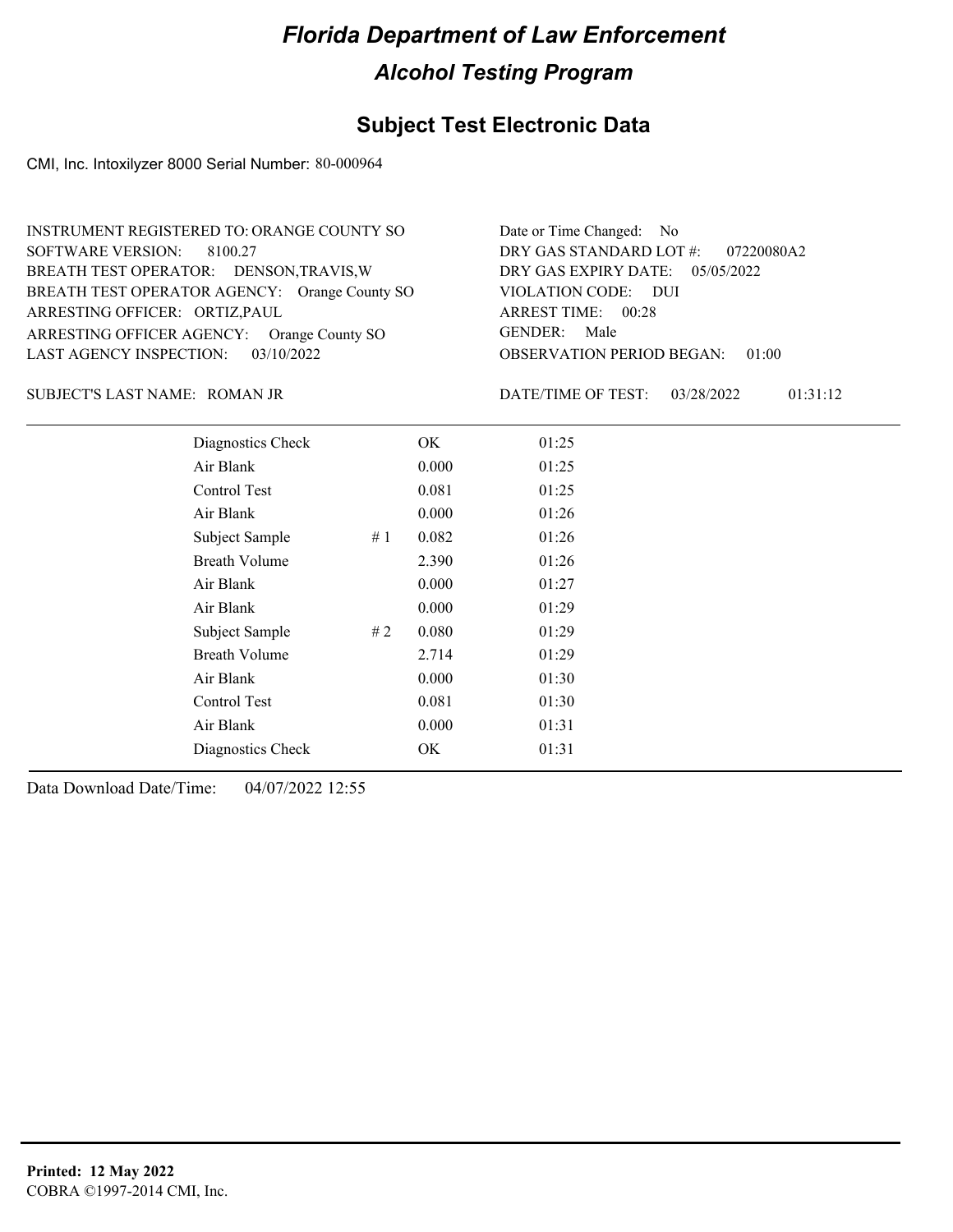## **Subject Test Electronic Data**

CMI, Inc. Intoxilyzer 8000 Serial Number: 80-000964

| INSTRUMENT REGISTERED TO: ORANGE COUNTY SO    | Date or Time Changed: No               |
|-----------------------------------------------|----------------------------------------|
| SOFTWARE VERSION: 8100.27                     | DRY GAS STANDARD LOT #: 07220080A2     |
| BREATH TEST OPERATOR: DENSON, TRAVIS, W       | DRY GAS EXPIRY DATE: $05/05/2022$      |
| BREATH TEST OPERATOR AGENCY: Orange County SO | VIOLATION CODE: DUI                    |
| ARRESTING OFFICER: ORTIZ, PAUL                | ARREST TIME: 00:28                     |
| ARRESTING OFFICER AGENCY: Orange County SO    | GENDER: Male                           |
| LAST AGENCY INSPECTION: $03/10/2022$          | <b>OBSERVATION PERIOD BEGAN: 01:00</b> |

#### ROMAN JR SUBJECT'S LAST NAME: DATE/TIME OF TEST:

DATE/TIME OF TEST: 03/28/2022 01:31:12

| Diagnostics Check    |    | OK    | 01:25 |  |
|----------------------|----|-------|-------|--|
| Air Blank            |    | 0.000 | 01:25 |  |
| Control Test         |    | 0.081 | 01:25 |  |
| Air Blank            |    | 0.000 | 01:26 |  |
| Subject Sample       | #1 | 0.082 | 01:26 |  |
| <b>Breath Volume</b> |    | 2.390 | 01:26 |  |
| Air Blank            |    | 0.000 | 01:27 |  |
| Air Blank            |    | 0.000 | 01:29 |  |
| Subject Sample       | #2 | 0.080 | 01:29 |  |
| <b>Breath Volume</b> |    | 2.714 | 01:29 |  |
| Air Blank            |    | 0.000 | 01:30 |  |
| Control Test         |    | 0.081 | 01:30 |  |
| Air Blank            |    | 0.000 | 01:31 |  |
| Diagnostics Check    |    | OK    | 01:31 |  |
|                      |    |       |       |  |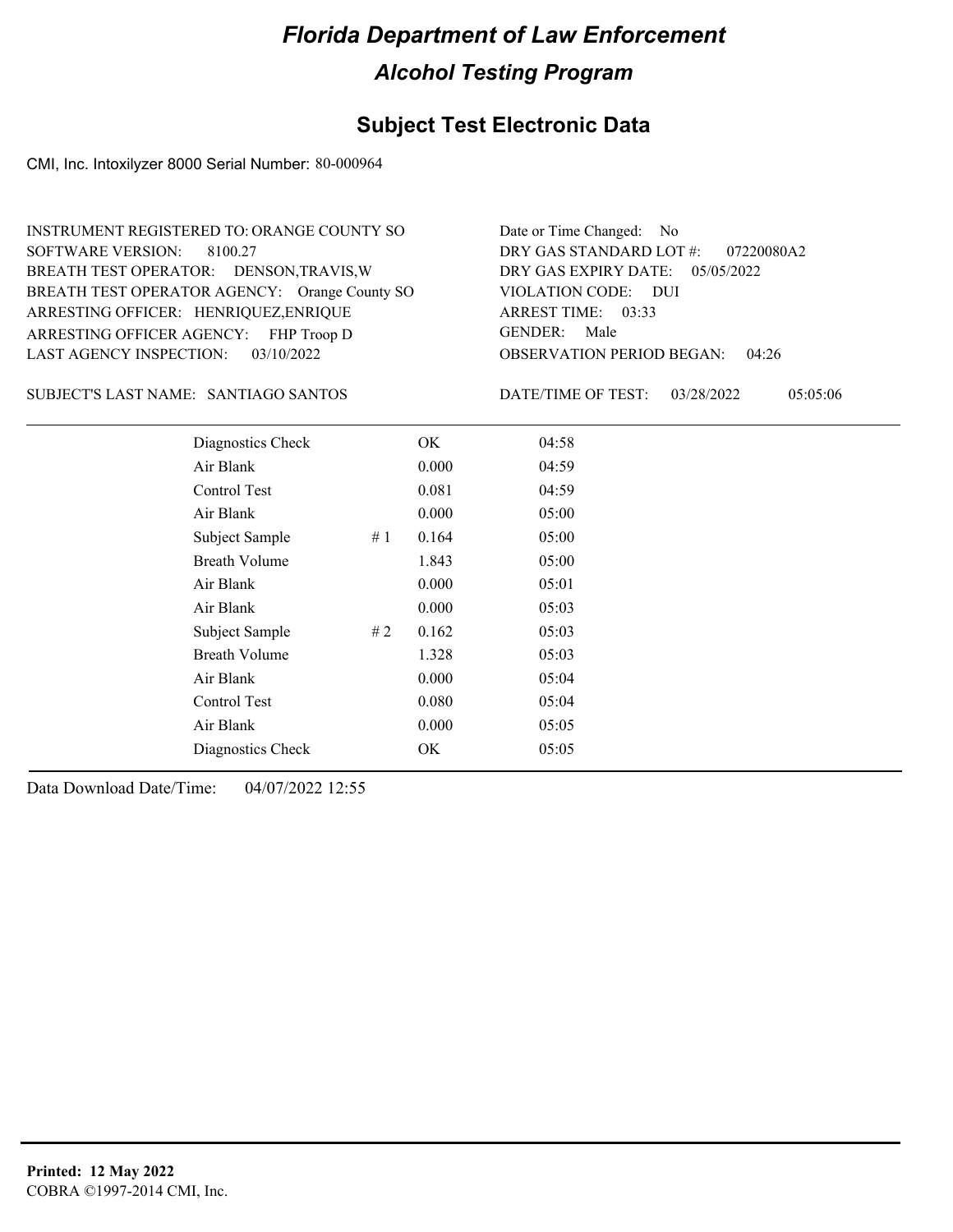#### **Subject Test Electronic Data**

CMI, Inc. Intoxilyzer 8000 Serial Number: 80-000964

| INSTRUMENT REGISTERED TO: ORANGE COUNTY SO    | Date or Time Changed: No               |
|-----------------------------------------------|----------------------------------------|
| SOFTWARE VERSION: 8100.27                     | DRY GAS STANDARD LOT #: 07220080A2     |
| BREATH TEST OPERATOR: DENSON, TRAVIS, W       | DRY GAS EXPIRY DATE: 05/05/2022        |
| BREATH TEST OPERATOR AGENCY: Orange County SO | VIOLATION CODE: DUI                    |
| ARRESTING OFFICER: HENRIQUEZ, ENRIQUE         | ARREST TIME: 03:33                     |
| ARRESTING OFFICER AGENCY: FHP Troop D         | GENDER: Male                           |
| LAST AGENCY INSPECTION: 03/10/2022            | <b>OBSERVATION PERIOD BEGAN: 04:26</b> |

#### SUBJECT'S LAST NAME: SANTIAGO SANTOS DATE/TIME OF TEST:

DATE/TIME OF TEST: 03/28/2022 05:05:06

| Diagnostics Check    |    | OK    | 04:58 |
|----------------------|----|-------|-------|
| Air Blank            |    | 0.000 | 04:59 |
| Control Test         |    | 0.081 | 04:59 |
| Air Blank            |    | 0.000 | 05:00 |
| Subject Sample       | #1 | 0.164 | 05:00 |
| <b>Breath Volume</b> |    | 1.843 | 05:00 |
| Air Blank            |    | 0.000 | 05:01 |
| Air Blank            |    | 0.000 | 05:03 |
| Subject Sample       | #2 | 0.162 | 05:03 |
| <b>Breath Volume</b> |    | 1.328 | 05:03 |
| Air Blank            |    | 0.000 | 05:04 |
| Control Test         |    | 0.080 | 05:04 |
| Air Blank            |    | 0.000 | 05:05 |
| Diagnostics Check    |    | OK    | 05:05 |
|                      |    |       |       |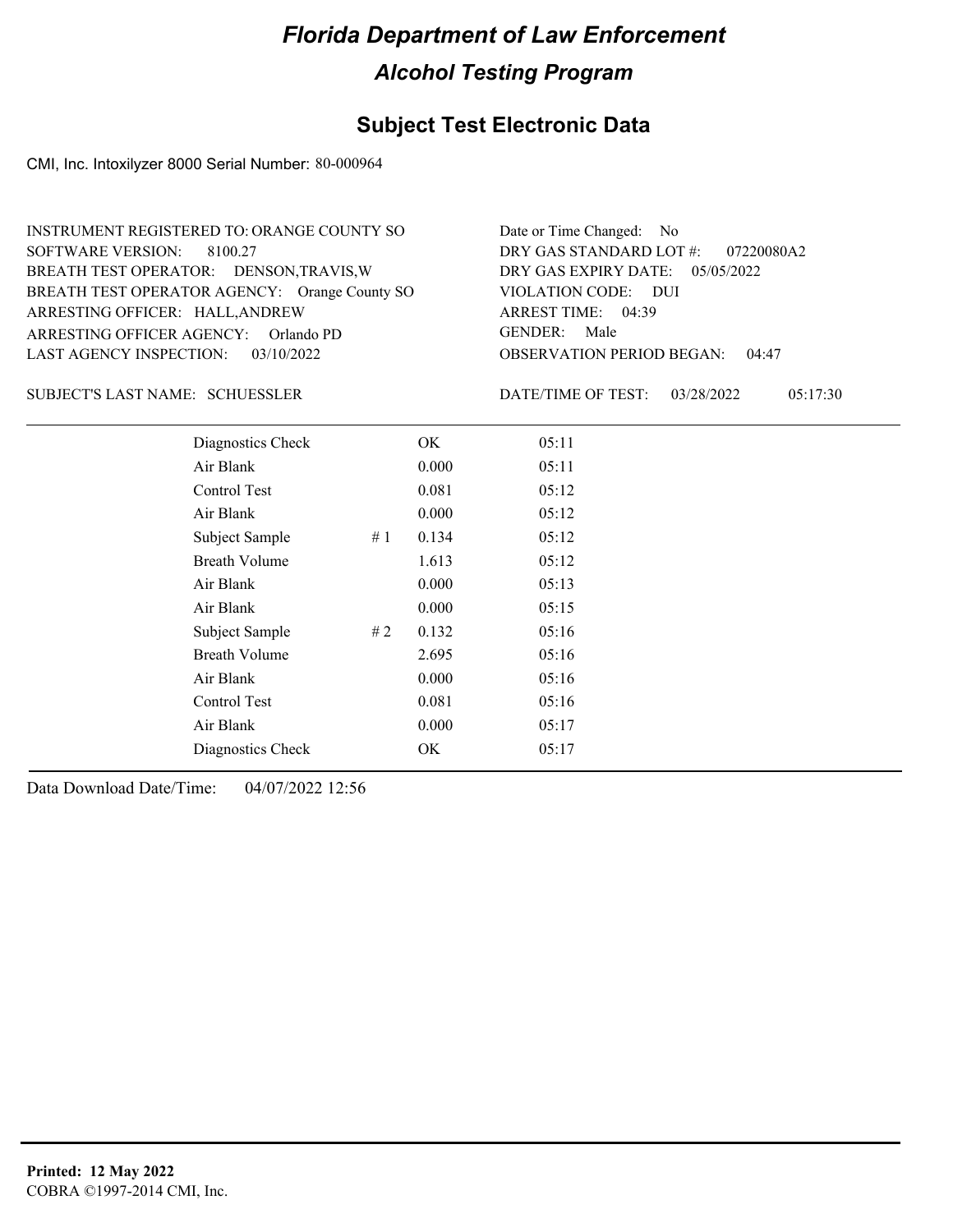## **Subject Test Electronic Data**

CMI, Inc. Intoxilyzer 8000 Serial Number: 80-000964

| INSTRUMENT REGISTERED TO: ORANGE COUNTY SO    | Date or Time Changed: No               |
|-----------------------------------------------|----------------------------------------|
| SOFTWARE VERSION: 8100.27                     | DRY GAS STANDARD LOT $\#$ : 07220080A2 |
| BREATH TEST OPERATOR: DENSON, TRAVIS, W       | DRY GAS EXPIRY DATE: 05/05/2022        |
| BREATH TEST OPERATOR AGENCY: Orange County SO | VIOLATION CODE: DUI                    |
| ARRESTING OFFICER: HALL, ANDREW               | ARREST TIME: 04:39                     |
| ARRESTING OFFICER AGENCY: Orlando PD          | GENDER: Male                           |
| LAST AGENCY INSPECTION: 03/10/2022            | <b>OBSERVATION PERIOD BEGAN: 04:47</b> |

#### SCHUESSLER SUBJECT'S LAST NAME: DATE/TIME OF TEST:

DATE/TIME OF TEST: 03/28/2022 05:17:30

| Diagnostics Check    |    | OK    | 05:11 |
|----------------------|----|-------|-------|
| Air Blank            |    | 0.000 | 05:11 |
| Control Test         |    | 0.081 | 05:12 |
| Air Blank            |    | 0.000 | 05:12 |
| Subject Sample       | #1 | 0.134 | 05:12 |
| <b>Breath Volume</b> |    | 1.613 | 05:12 |
| Air Blank            |    | 0.000 | 05:13 |
| Air Blank            |    | 0.000 | 05:15 |
| Subject Sample       | #2 | 0.132 | 05:16 |
| <b>Breath Volume</b> |    | 2.695 | 05:16 |
| Air Blank            |    | 0.000 | 05:16 |
| Control Test         |    | 0.081 | 05:16 |
| Air Blank            |    | 0.000 | 05:17 |
| Diagnostics Check    |    | OK    | 05:17 |
|                      |    |       |       |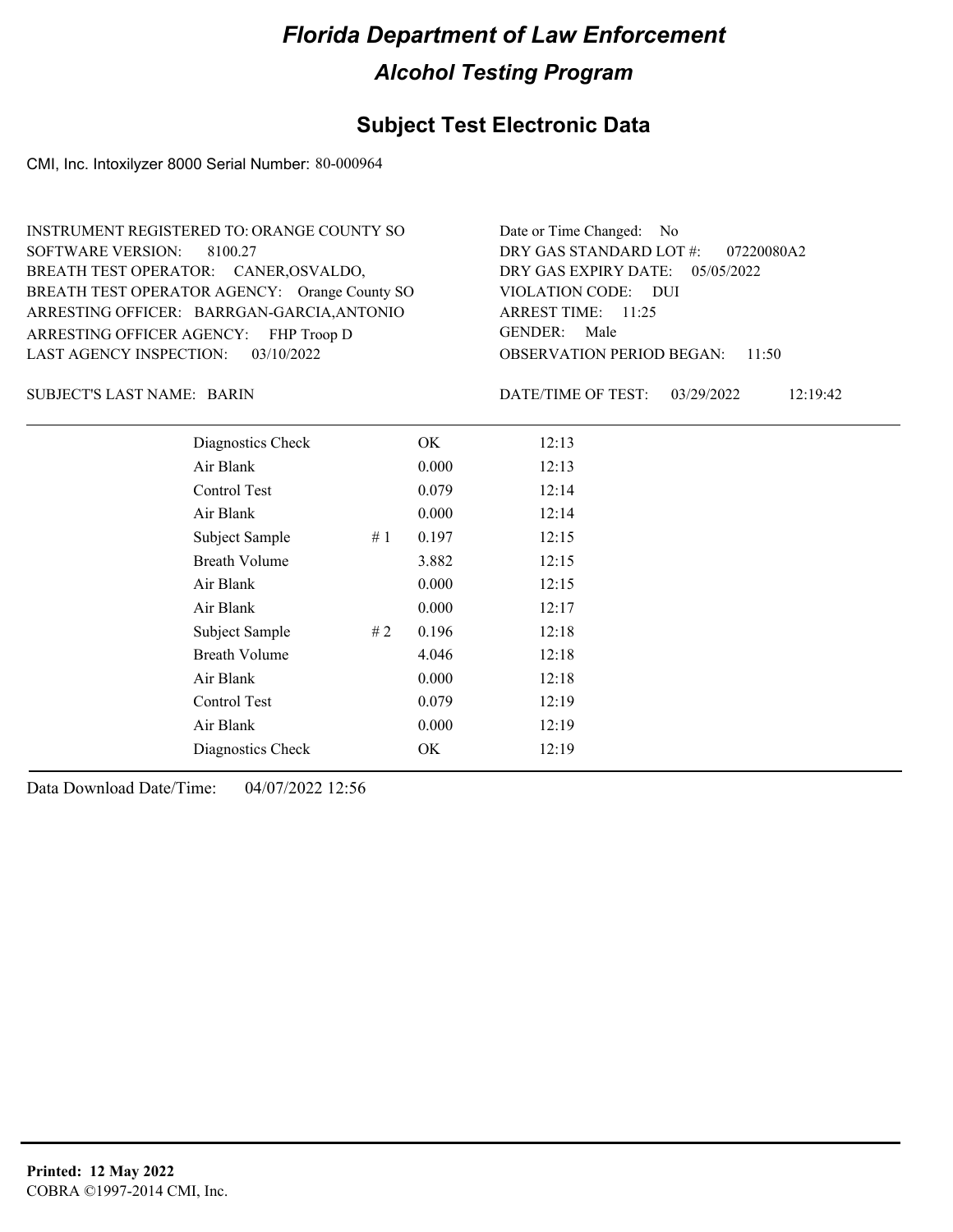## **Subject Test Electronic Data**

CMI, Inc. Intoxilyzer 8000 Serial Number: 80-000964

| INSTRUMENT REGISTERED TO: ORANGE COUNTY SO<br>SOFTWARE VERSION: 8100.27                     | Date or Time Changed: No<br>DRY GAS STANDARD LOT #: 07220080A2 |
|---------------------------------------------------------------------------------------------|----------------------------------------------------------------|
| BREATH TEST OPERATOR: CANER, OSVALDO,                                                       | DRY GAS EXPIRY DATE: 05/05/2022                                |
| BREATH TEST OPERATOR AGENCY: Orange County SO<br>ARRESTING OFFICER: BARRGAN-GARCIA, ANTONIO | VIOLATION CODE: DUI<br>ARREST TIME: 11:25                      |
| ARRESTING OFFICER AGENCY: FHP Troop D                                                       | GENDER: Male                                                   |
| LAST AGENCY INSPECTION: $03/10/2022$                                                        | <b>OBSERVATION PERIOD BEGAN: 11:50</b>                         |

BARIN SUBJECT'S LAST NAME: DATE/TIME OF TEST:

DATE/TIME OF TEST: 03/29/2022 12:19:42

| Diagnostics Check    | OK    | 12:13 |
|----------------------|-------|-------|
| Air Blank            | 0.000 | 12:13 |
| Control Test         | 0.079 | 12:14 |
| Air Blank            | 0.000 | 12:14 |
| Subject Sample<br>#1 | 0.197 | 12:15 |
| <b>Breath Volume</b> | 3.882 | 12:15 |
| Air Blank            | 0.000 | 12:15 |
| Air Blank            | 0.000 | 12:17 |
| Subject Sample<br>#2 | 0.196 | 12:18 |
| <b>Breath Volume</b> | 4.046 | 12:18 |
| Air Blank            | 0.000 | 12:18 |
| Control Test         | 0.079 | 12:19 |
| Air Blank            | 0.000 | 12:19 |
| Diagnostics Check    | OK    | 12:19 |
|                      |       |       |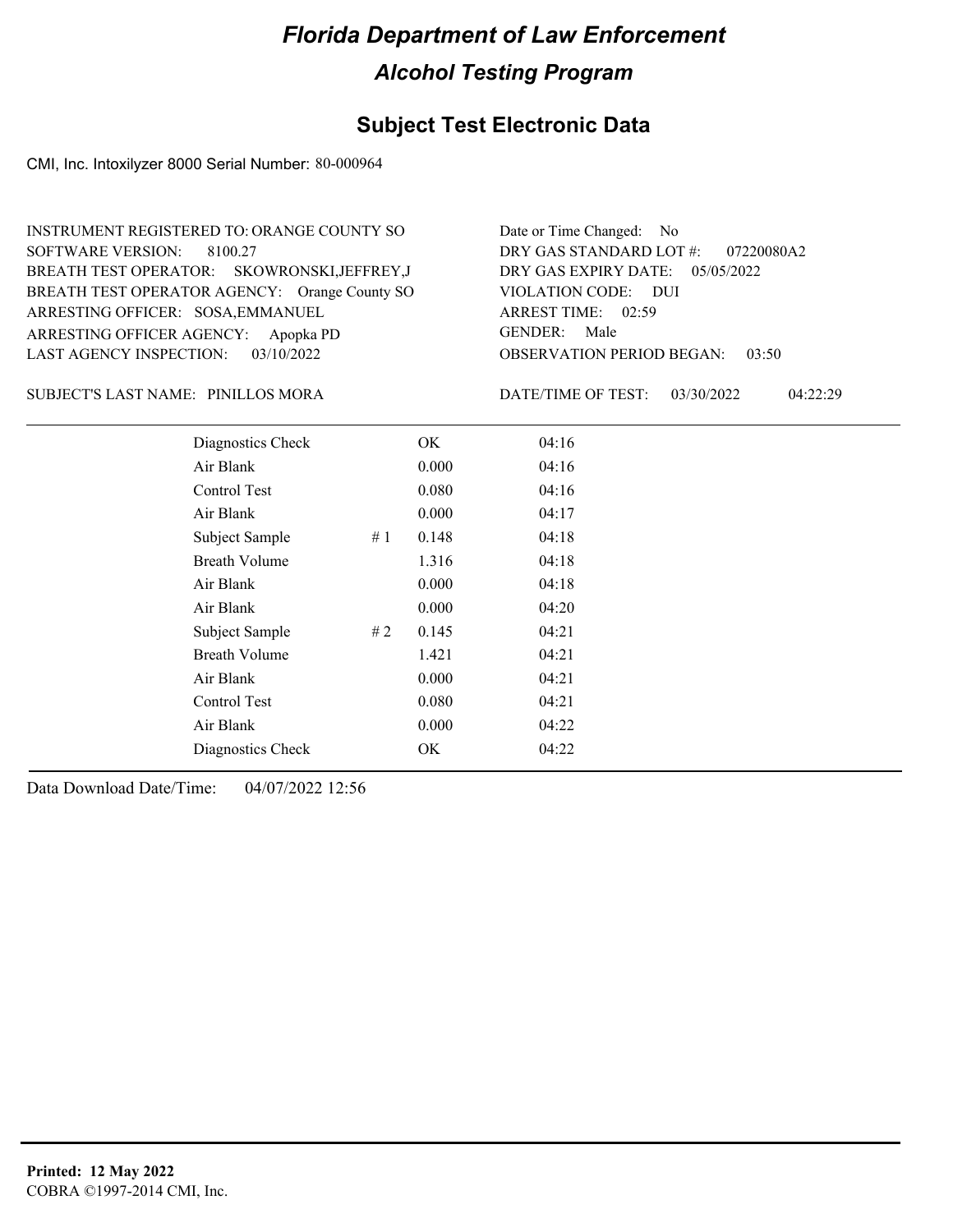## **Subject Test Electronic Data**

CMI, Inc. Intoxilyzer 8000 Serial Number: 80-000964

| Date or Time Changed: No               |
|----------------------------------------|
| DRY GAS STANDARD LOT #: 07220080A2     |
| DRY GAS EXPIRY DATE: $05/05/2022$      |
| VIOLATION CODE: DUI                    |
| ARREST TIME: 02:59                     |
| GENDER: Male                           |
| <b>OBSERVATION PERIOD BEGAN: 03:50</b> |
|                                        |

PINILLOS MORA SUBJECT'S LAST NAME: DATE/TIME OF TEST:

DATE/TIME OF TEST: 03/30/2022 04:22:29

| Diagnostics Check    |    | OK    | 04:16 |  |
|----------------------|----|-------|-------|--|
| Air Blank            |    | 0.000 | 04:16 |  |
| Control Test         |    | 0.080 | 04:16 |  |
| Air Blank            |    | 0.000 | 04:17 |  |
| Subject Sample       | #1 | 0.148 | 04:18 |  |
| <b>Breath Volume</b> |    | 1.316 | 04:18 |  |
| Air Blank            |    | 0.000 | 04:18 |  |
| Air Blank            |    | 0.000 | 04:20 |  |
| Subject Sample       | #2 | 0.145 | 04:21 |  |
| <b>Breath Volume</b> |    | 1.421 | 04:21 |  |
| Air Blank            |    | 0.000 | 04:21 |  |
| Control Test         |    | 0.080 | 04:21 |  |
| Air Blank            |    | 0.000 | 04:22 |  |
| Diagnostics Check    |    | OK    | 04:22 |  |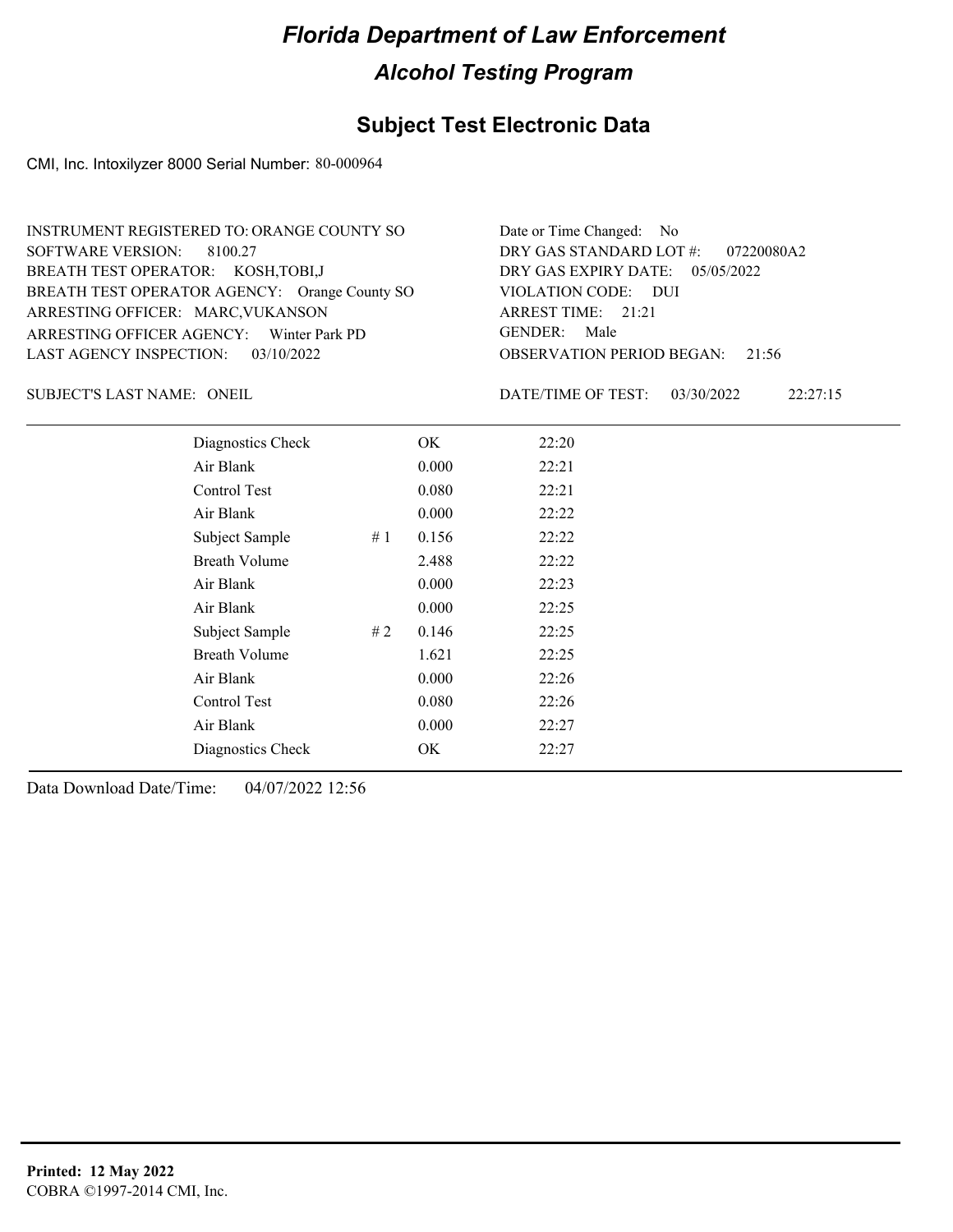## **Subject Test Electronic Data**

CMI, Inc. Intoxilyzer 8000 Serial Number: 80-000964

| INSTRUMENT REGISTERED TO: ORANGE COUNTY SO    | Date or Time Changed: No               |
|-----------------------------------------------|----------------------------------------|
| SOFTWARE VERSION: 8100.27                     | DRY GAS STANDARD LOT #: 07220080A2     |
| BREATH TEST OPERATOR: KOSH, TOBI, J           | DRY GAS EXPIRY DATE: $05/05/2022$      |
| BREATH TEST OPERATOR AGENCY: Orange County SO | VIOLATION CODE: DUI                    |
| ARRESTING OFFICER: MARC, VUKANSON             | ARREST TIME: $21:21$                   |
| ARRESTING OFFICER AGENCY: Winter Park PD      | GENDER: Male                           |
| LAST AGENCY INSPECTION: 03/10/2022            | <b>OBSERVATION PERIOD BEGAN: 21:56</b> |

SUBJECT'S LAST NAME: ONEIL **Example 2018** DATE/TIME OF TEST:

DATE/TIME OF TEST: 03/30/2022 22:27:15

| Diagnostics Check    | OK.   | 22:20 |
|----------------------|-------|-------|
| Air Blank            | 0.000 | 22:21 |
| Control Test         | 0.080 | 22:21 |
| Air Blank            | 0.000 | 22:22 |
| Subject Sample<br>#1 | 0.156 | 22:22 |
| <b>Breath Volume</b> | 2.488 | 22:22 |
| Air Blank            | 0.000 | 22:23 |
| Air Blank            | 0.000 | 22:25 |
| Subject Sample<br>#2 | 0.146 | 22:25 |
| <b>Breath Volume</b> | 1.621 | 22:25 |
| Air Blank            | 0.000 | 22:26 |
| Control Test         | 0.080 | 22:26 |
| Air Blank            | 0.000 | 22:27 |
| Diagnostics Check    | OK    | 22:27 |
|                      |       |       |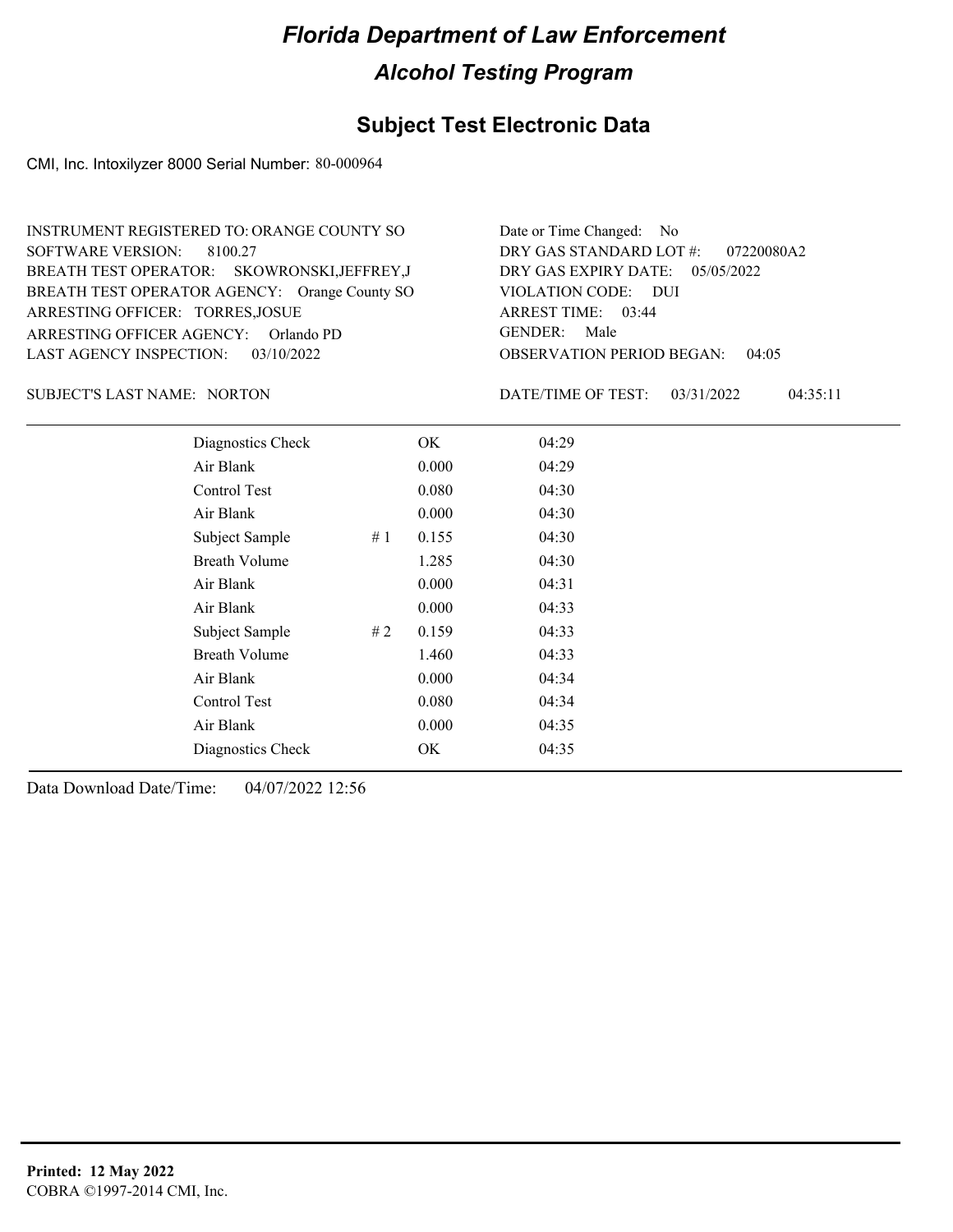## **Subject Test Electronic Data**

CMI, Inc. Intoxilyzer 8000 Serial Number: 80-000964

| INSTRUMENT REGISTERED TO: ORANGE COUNTY SO    | Date or Time Changed: No               |
|-----------------------------------------------|----------------------------------------|
| SOFTWARE VERSION: 8100.27                     | DRY GAS STANDARD LOT #: 07220080A2     |
| BREATH TEST OPERATOR: SKOWRONSKI, JEFFREY, J  | DRY GAS EXPIRY DATE: $05/05/2022$      |
| BREATH TEST OPERATOR AGENCY: Orange County SO | VIOLATION CODE: DUI                    |
| ARRESTING OFFICER: TORRES, JOSUE              | ARREST TIME: 03:44                     |
| ARRESTING OFFICER AGENCY: Orlando PD          | GENDER: Male                           |
| LAST AGENCY INSPECTION: 03/10/2022            | <b>OBSERVATION PERIOD BEGAN: 04:05</b> |

SUBJECT'S LAST NAME: NORTON DATE/TIME OF TEST:

DATE/TIME OF TEST: 03/31/2022 04:35:11

| Diagnostics Check    |    | OK    | 04:29 |
|----------------------|----|-------|-------|
| Air Blank            |    | 0.000 | 04:29 |
| Control Test         |    | 0.080 | 04:30 |
| Air Blank            |    | 0.000 | 04:30 |
| Subject Sample       | #1 | 0.155 | 04:30 |
| <b>Breath Volume</b> |    | 1.285 | 04:30 |
| Air Blank            |    | 0.000 | 04:31 |
| Air Blank            |    | 0.000 | 04:33 |
| Subject Sample       | #2 | 0.159 | 04:33 |
| <b>Breath Volume</b> |    | 1.460 | 04:33 |
| Air Blank            |    | 0.000 | 04:34 |
| <b>Control Test</b>  |    | 0.080 | 04:34 |
| Air Blank            |    | 0.000 | 04:35 |
| Diagnostics Check    |    | OK    | 04:35 |
|                      |    |       |       |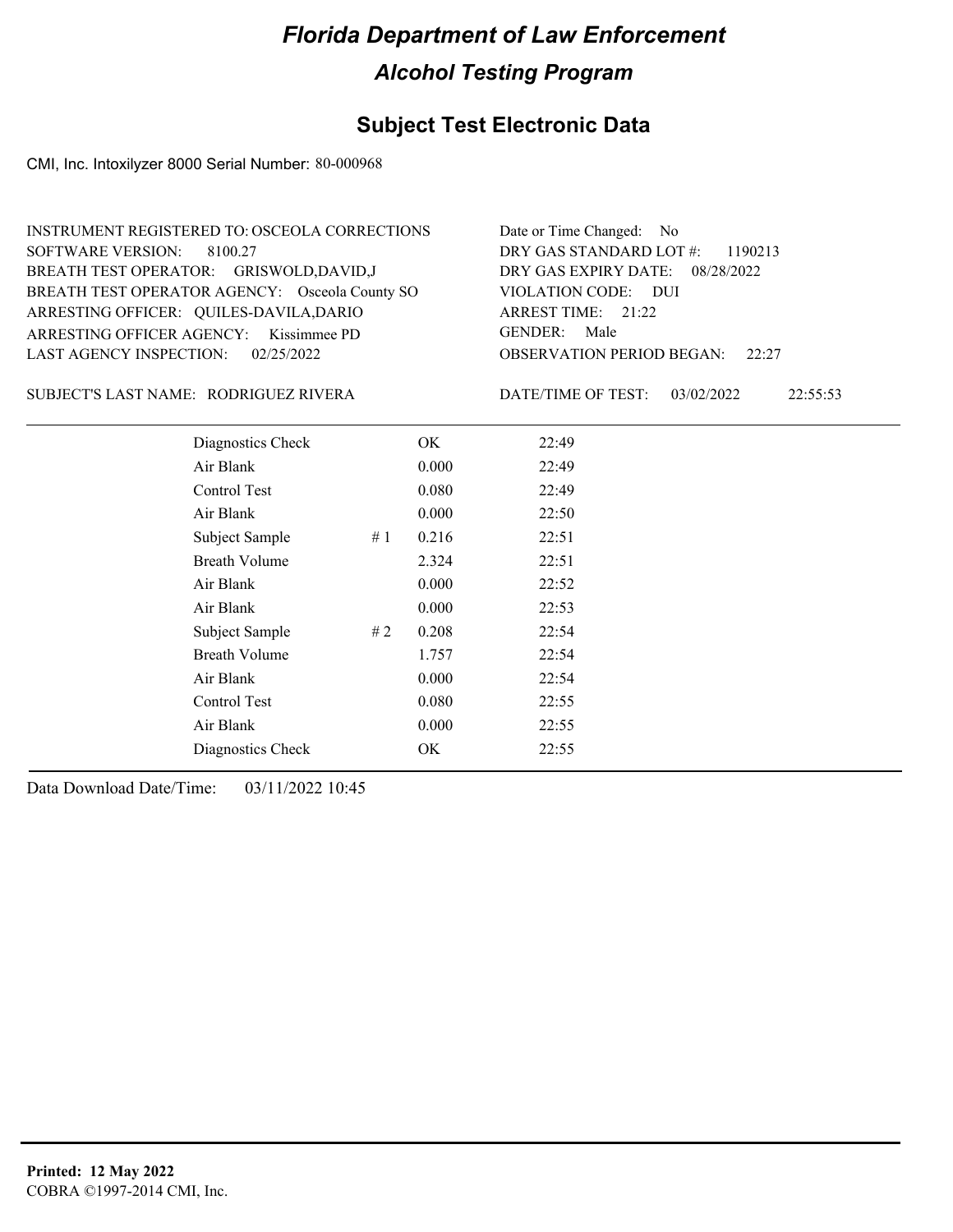## **Subject Test Electronic Data**

CMI, Inc. Intoxilyzer 8000 Serial Number: 80-000968

| INSTRUMENT REGISTERED TO: OSCEOLA CORRECTIONS  | Date or Time Changed: No               |
|------------------------------------------------|----------------------------------------|
| SOFTWARE VERSION: 8100.27                      | DRY GAS STANDARD LOT $\#$ : 1190213    |
| BREATH TEST OPERATOR: GRISWOLD, DAVID, J       | DRY GAS EXPIRY DATE: 08/28/2022        |
| BREATH TEST OPERATOR AGENCY: Osceola County SO | VIOLATION CODE: DUI                    |
| ARRESTING OFFICER: QUILES-DAVILA, DARIO        | ARREST TIME: 21:22                     |
| ARRESTING OFFICER AGENCY: Kissimmee PD         | GENDER: Male                           |
| LAST AGENCY INSPECTION: $02/25/2022$           | <b>OBSERVATION PERIOD BEGAN:</b> 22:27 |

#### RODRIGUEZ RIVERA SUBJECT'S LAST NAME: DATE/TIME OF TEST:

DATE/TIME OF TEST: 03/02/2022 22:55:53

| Diagnostics Check    |    | OK    | 22:49 |  |
|----------------------|----|-------|-------|--|
| Air Blank            |    | 0.000 | 22:49 |  |
| Control Test         |    | 0.080 | 22:49 |  |
| Air Blank            |    | 0.000 | 22:50 |  |
| Subject Sample       | #1 | 0.216 | 22:51 |  |
| <b>Breath Volume</b> |    | 2.324 | 22:51 |  |
| Air Blank            |    | 0.000 | 22:52 |  |
| Air Blank            |    | 0.000 | 22:53 |  |
| Subject Sample       | #2 | 0.208 | 22:54 |  |
| <b>Breath Volume</b> |    | 1.757 | 22:54 |  |
| Air Blank            |    | 0.000 | 22:54 |  |
| Control Test         |    | 0.080 | 22:55 |  |
| Air Blank            |    | 0.000 | 22:55 |  |
| Diagnostics Check    |    | OK    | 22:55 |  |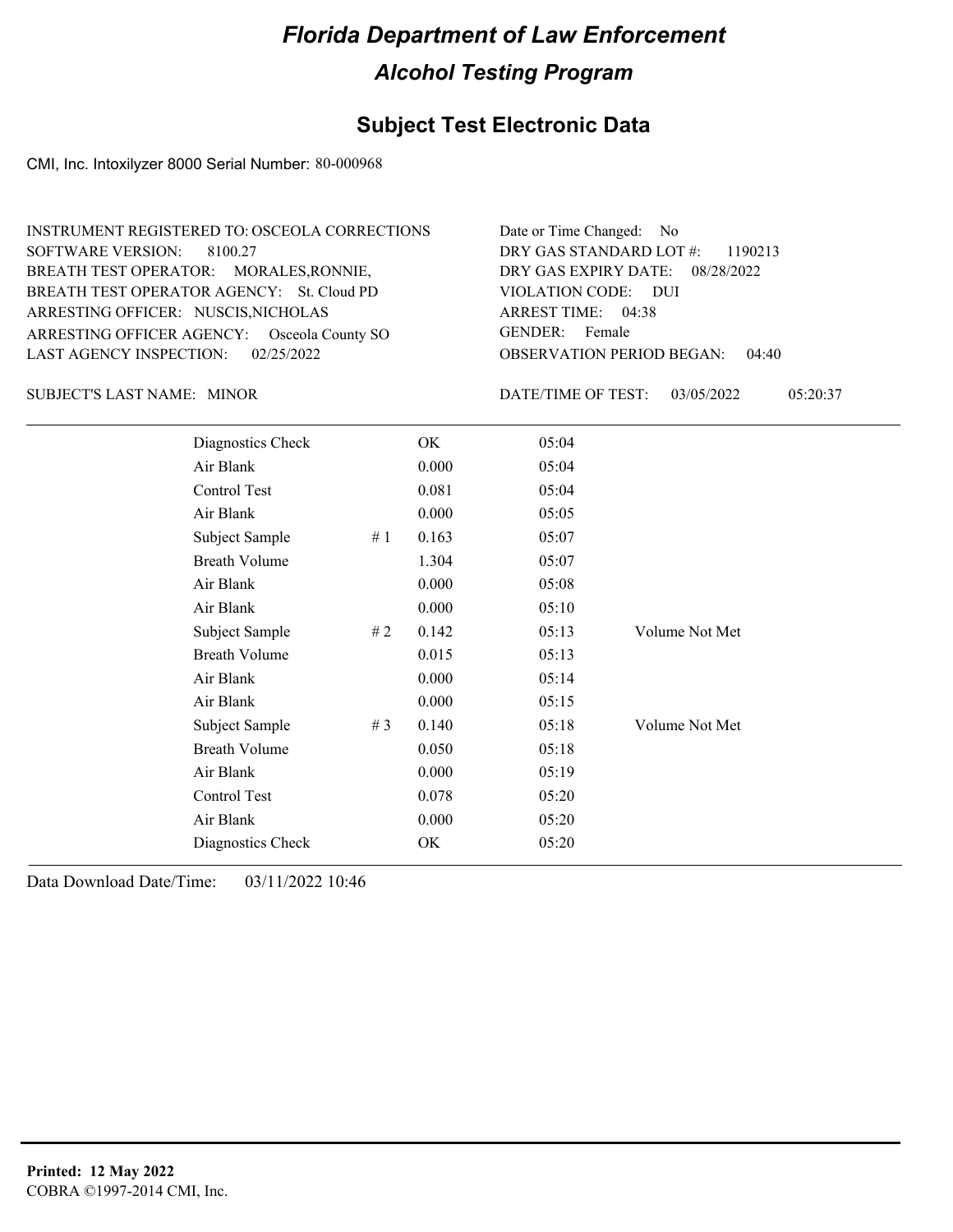## **Subject Test Electronic Data**

CMI, Inc. Intoxilyzer 8000 Serial Number: 80-000968

| INSTRUMENT REGISTERED TO: OSCEOLA CORRECTIONS | Date or Time Changed: No               |
|-----------------------------------------------|----------------------------------------|
| SOFTWARE VERSION: 8100.27                     | DRY GAS STANDARD LOT #: 1190213        |
| BREATH TEST OPERATOR: MORALES, RONNIE,        | DRY GAS EXPIRY DATE: 08/28/2022        |
| BREATH TEST OPERATOR AGENCY: St. Cloud PD     | VIOLATION CODE: DUI                    |
| ARRESTING OFFICER: NUSCIS, NICHOLAS           | ARREST TIME: 04:38                     |
| ARRESTING OFFICER AGENCY: Osceola County SO   | GENDER: Female                         |
| LAST AGENCY INSPECTION: $02/25/2022$          | <b>OBSERVATION PERIOD BEGAN: 04:40</b> |

SUBJECT'S LAST NAME: MINOR **Example 20 SUBJECT'S LAST NAME:** MINOR

DATE/TIME OF TEST: 03/05/2022 05:20:37

| Diagnostics Check    |    | OK    | 05:04 |                |
|----------------------|----|-------|-------|----------------|
| Air Blank            |    | 0.000 | 05:04 |                |
| Control Test         |    | 0.081 | 05:04 |                |
| Air Blank            |    | 0.000 | 05:05 |                |
| Subject Sample       | #1 | 0.163 | 05:07 |                |
| <b>Breath Volume</b> |    | 1.304 | 05:07 |                |
| Air Blank            |    | 0.000 | 05:08 |                |
| Air Blank            |    | 0.000 | 05:10 |                |
| Subject Sample       | #2 | 0.142 | 05:13 | Volume Not Met |
| <b>Breath Volume</b> |    | 0.015 | 05:13 |                |
| Air Blank            |    | 0.000 | 05:14 |                |
| Air Blank            |    | 0.000 | 05:15 |                |
| Subject Sample       | #3 | 0.140 | 05:18 | Volume Not Met |
| <b>Breath Volume</b> |    | 0.050 | 05:18 |                |
| Air Blank            |    | 0.000 | 05:19 |                |
| Control Test         |    | 0.078 | 05:20 |                |
| Air Blank            |    | 0.000 | 05:20 |                |
| Diagnostics Check    |    | OK    | 05:20 |                |
|                      |    |       |       |                |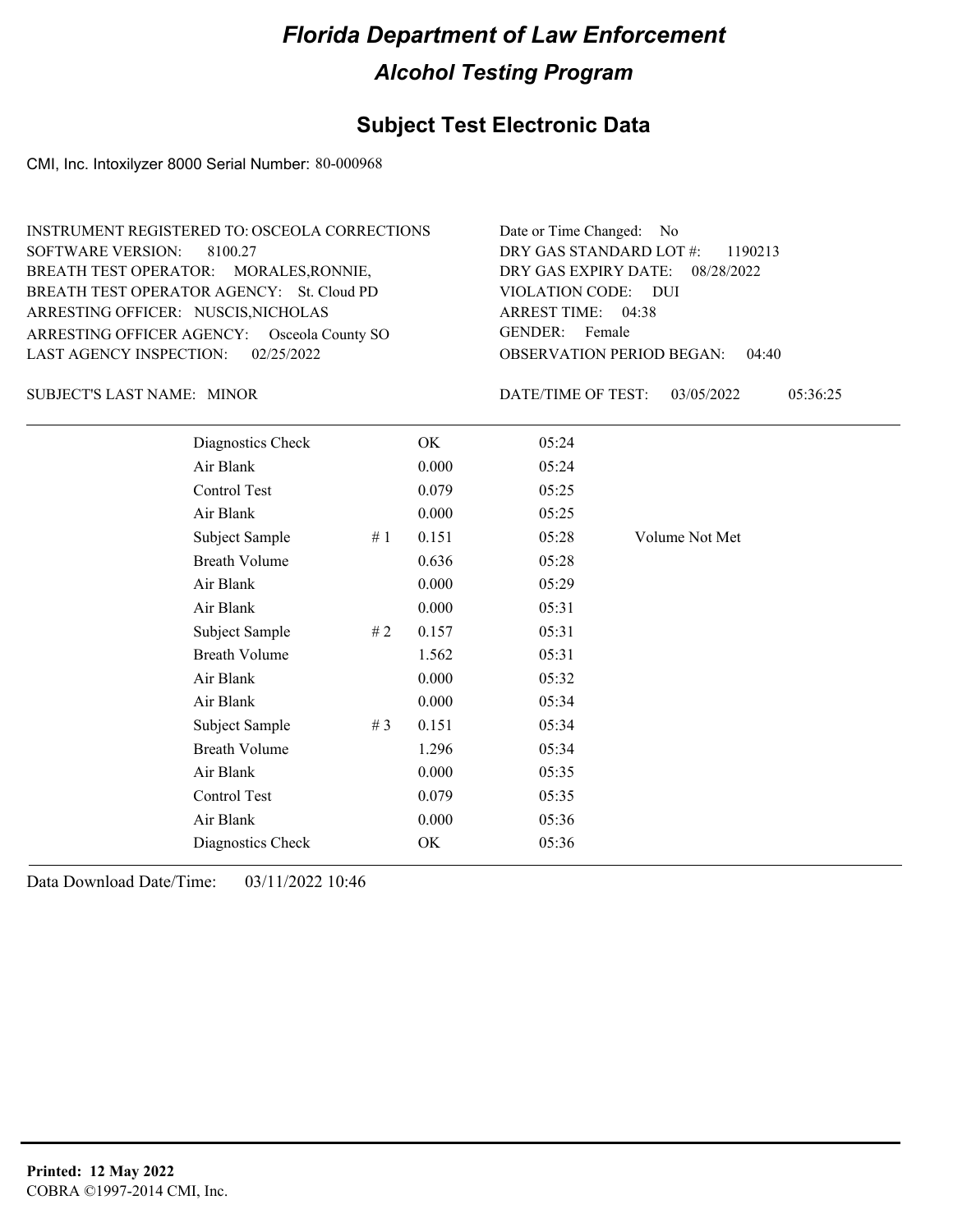## **Subject Test Electronic Data**

CMI, Inc. Intoxilyzer 8000 Serial Number: 80-000968

| INSTRUMENT REGISTERED TO: OSCEOLA CORRECTIONS | Date or Time Changed: No               |
|-----------------------------------------------|----------------------------------------|
| SOFTWARE VERSION: 8100.27                     | DRY GAS STANDARD LOT $\#$ : 1190213    |
| BREATH TEST OPERATOR: MORALES, RONNIE,        | DRY GAS EXPIRY DATE: 08/28/2022        |
| BREATH TEST OPERATOR AGENCY: St. Cloud PD     | VIOLATION CODE: DUI                    |
| ARRESTING OFFICER: NUSCIS, NICHOLAS           | ARREST TIME: 04:38                     |
| ARRESTING OFFICER AGENCY: Osceola County SO   | GENDER: Female                         |
| LAST AGENCY INSPECTION: $02/25/2022$          | <b>OBSERVATION PERIOD BEGAN: 04:40</b> |

SUBJECT'S LAST NAME: MINOR **Example 20 SUBJECT'S LAST NAME:** MINOR

DATE/TIME OF TEST: 03/05/2022 05:36:25

| Diagnostics Check    |       | OK    | 05:24 |                |
|----------------------|-------|-------|-------|----------------|
| Air Blank            |       | 0.000 | 05:24 |                |
| Control Test         |       | 0.079 | 05:25 |                |
| Air Blank            |       | 0.000 | 05:25 |                |
| Subject Sample       | #1    | 0.151 | 05:28 | Volume Not Met |
| <b>Breath Volume</b> |       | 0.636 | 05:28 |                |
| Air Blank            |       | 0.000 | 05:29 |                |
| Air Blank            |       | 0.000 | 05:31 |                |
| Subject Sample       | # $2$ | 0.157 | 05:31 |                |
| <b>Breath Volume</b> |       | 1.562 | 05:31 |                |
| Air Blank            |       | 0.000 | 05:32 |                |
| Air Blank            |       | 0.000 | 05:34 |                |
| Subject Sample       | # $3$ | 0.151 | 05:34 |                |
| <b>Breath Volume</b> |       | 1.296 | 05:34 |                |
| Air Blank            |       | 0.000 | 05:35 |                |
| Control Test         |       | 0.079 | 05:35 |                |
| Air Blank            |       | 0.000 | 05:36 |                |
| Diagnostics Check    |       | OK    | 05:36 |                |
|                      |       |       |       |                |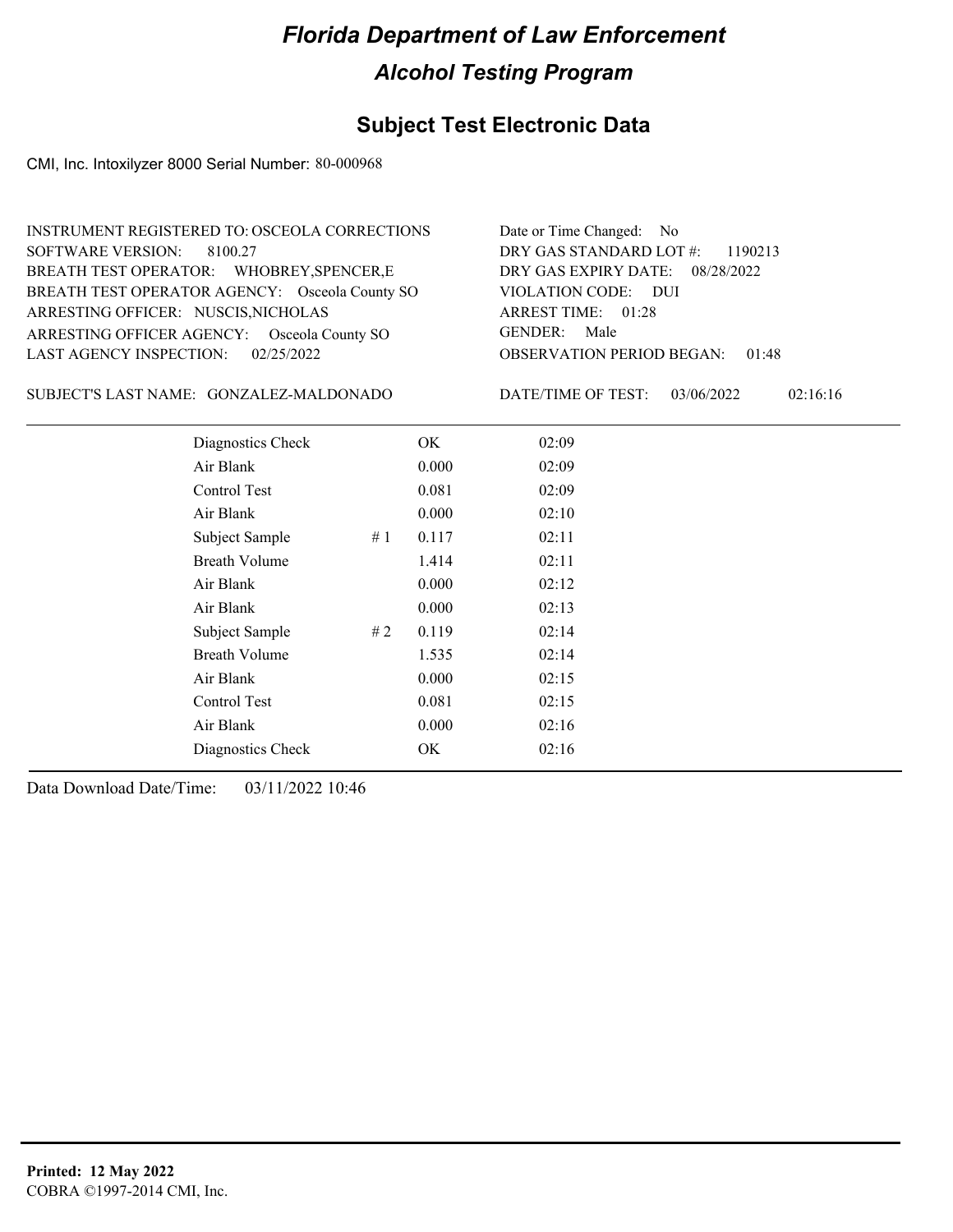#### **Subject Test Electronic Data**

CMI, Inc. Intoxilyzer 8000 Serial Number: 80-000968

| INSTRUMENT REGISTERED TO: OSCEOLA CORRECTIONS  | Date or Time Changed: No               |
|------------------------------------------------|----------------------------------------|
| SOFTWARE VERSION: 8100.27                      | DRY GAS STANDARD LOT #: 1190213        |
| BREATH TEST OPERATOR: WHOBREY, SPENCER, E      | DRY GAS EXPIRY DATE: 08/28/2022        |
| BREATH TEST OPERATOR AGENCY: Osceola County SO | VIOLATION CODE: DUI                    |
| ARRESTING OFFICER: NUSCIS, NICHOLAS            | ARREST TIME: 01:28                     |
| ARRESTING OFFICER AGENCY: Osceola County SO    | GENDER: Male                           |
| LAST AGENCY INSPECTION: 02/25/2022             | <b>OBSERVATION PERIOD BEGAN: 01:48</b> |

GONZALEZ-MALDONADO SUBJECT'S LAST NAME: DATE/TIME OF TEST:

DATE/TIME OF TEST: 03/06/2022 02:16:16

| Diagnostics Check    |    | OK    | 02:09 |
|----------------------|----|-------|-------|
| Air Blank            |    | 0.000 | 02:09 |
| Control Test         |    | 0.081 | 02:09 |
| Air Blank            |    | 0.000 | 02:10 |
| Subject Sample       | #1 | 0.117 | 02:11 |
| <b>Breath Volume</b> |    | 1.414 | 02:11 |
| Air Blank            |    | 0.000 | 02:12 |
| Air Blank            |    | 0.000 | 02:13 |
| Subject Sample       | #2 | 0.119 | 02:14 |
| <b>Breath Volume</b> |    | 1.535 | 02:14 |
| Air Blank            |    | 0.000 | 02:15 |
| Control Test         |    | 0.081 | 02:15 |
| Air Blank            |    | 0.000 | 02:16 |
| Diagnostics Check    |    | OK    | 02:16 |
|                      |    |       |       |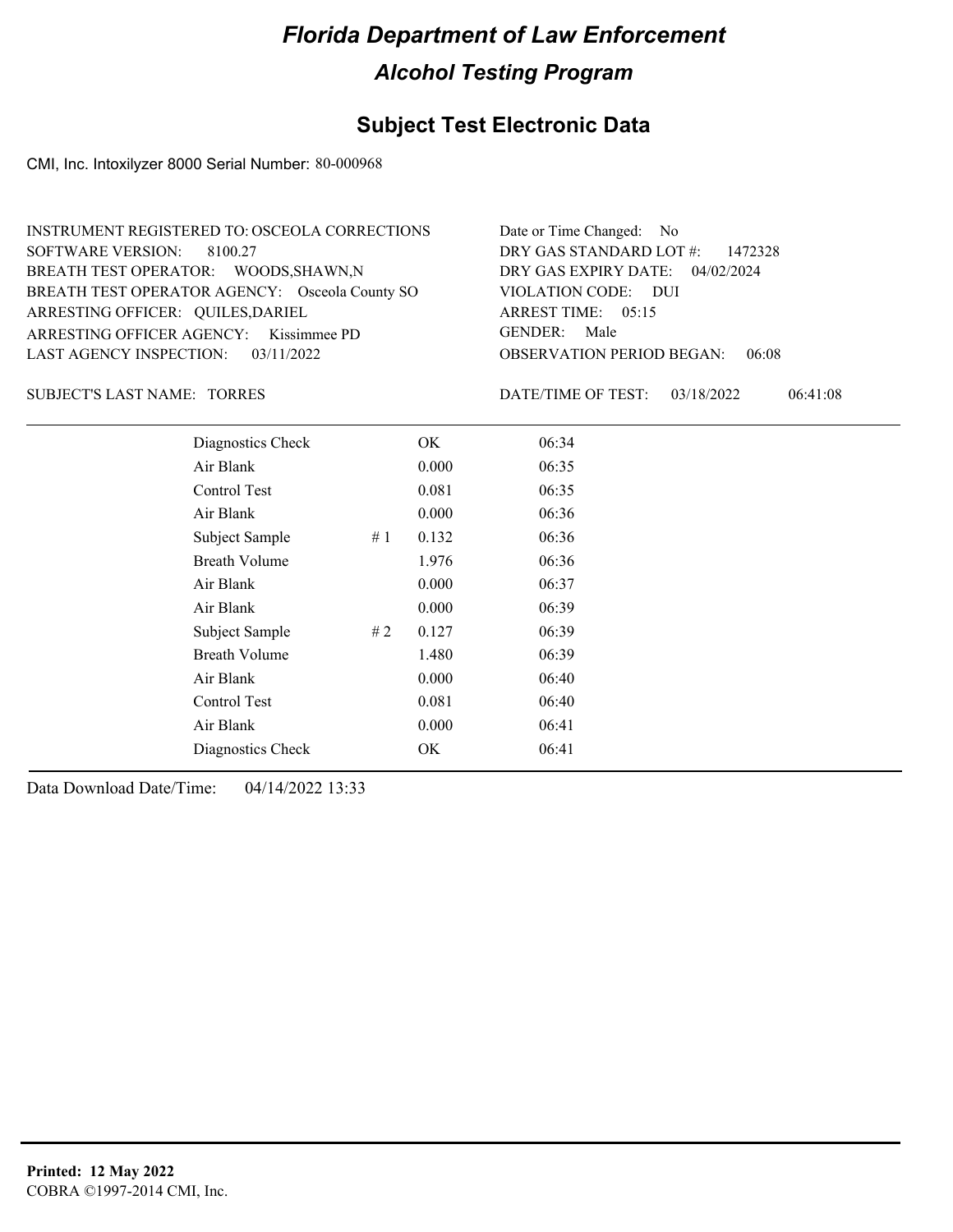## **Subject Test Electronic Data**

CMI, Inc. Intoxilyzer 8000 Serial Number: 80-000968

| INSTRUMENT REGISTERED TO: OSCEOLA CORRECTIONS  | Date or Time Changed: No               |
|------------------------------------------------|----------------------------------------|
| SOFTWARE VERSION: 8100.27                      | DRY GAS STANDARD LOT #: 1472328        |
| BREATH TEST OPERATOR: WOODS, SHAWN, N          | DRY GAS EXPIRY DATE: 04/02/2024        |
| BREATH TEST OPERATOR AGENCY: Osceola County SO | VIOLATION CODE: DUI                    |
| ARRESTING OFFICER: QUILES, DARIEL              | ARREST TIME: 05:15                     |
| ARRESTING OFFICER AGENCY: Kissimmee PD         | GENDER: Male                           |
| LAST AGENCY INSPECTION: $03/11/2022$           | <b>OBSERVATION PERIOD BEGAN: 06:08</b> |

SUBJECT'S LAST NAME: TORRES DATE/TIME OF TEST:

DATE/TIME OF TEST: 03/18/2022 06:41:08

| Diagnostics Check    |    | OK    | 06:34 |
|----------------------|----|-------|-------|
| Air Blank            |    | 0.000 | 06:35 |
| Control Test         |    | 0.081 | 06:35 |
| Air Blank            |    | 0.000 | 06:36 |
| Subject Sample       | #1 | 0.132 | 06:36 |
| <b>Breath Volume</b> |    | 1.976 | 06:36 |
| Air Blank            |    | 0.000 | 06:37 |
| Air Blank            |    | 0.000 | 06:39 |
| Subject Sample       | #2 | 0.127 | 06:39 |
| <b>Breath Volume</b> |    | 1.480 | 06:39 |
| Air Blank            |    | 0.000 | 06:40 |
| Control Test         |    | 0.081 | 06:40 |
| Air Blank            |    | 0.000 | 06:41 |
| Diagnostics Check    |    | OK    | 06:41 |
|                      |    |       |       |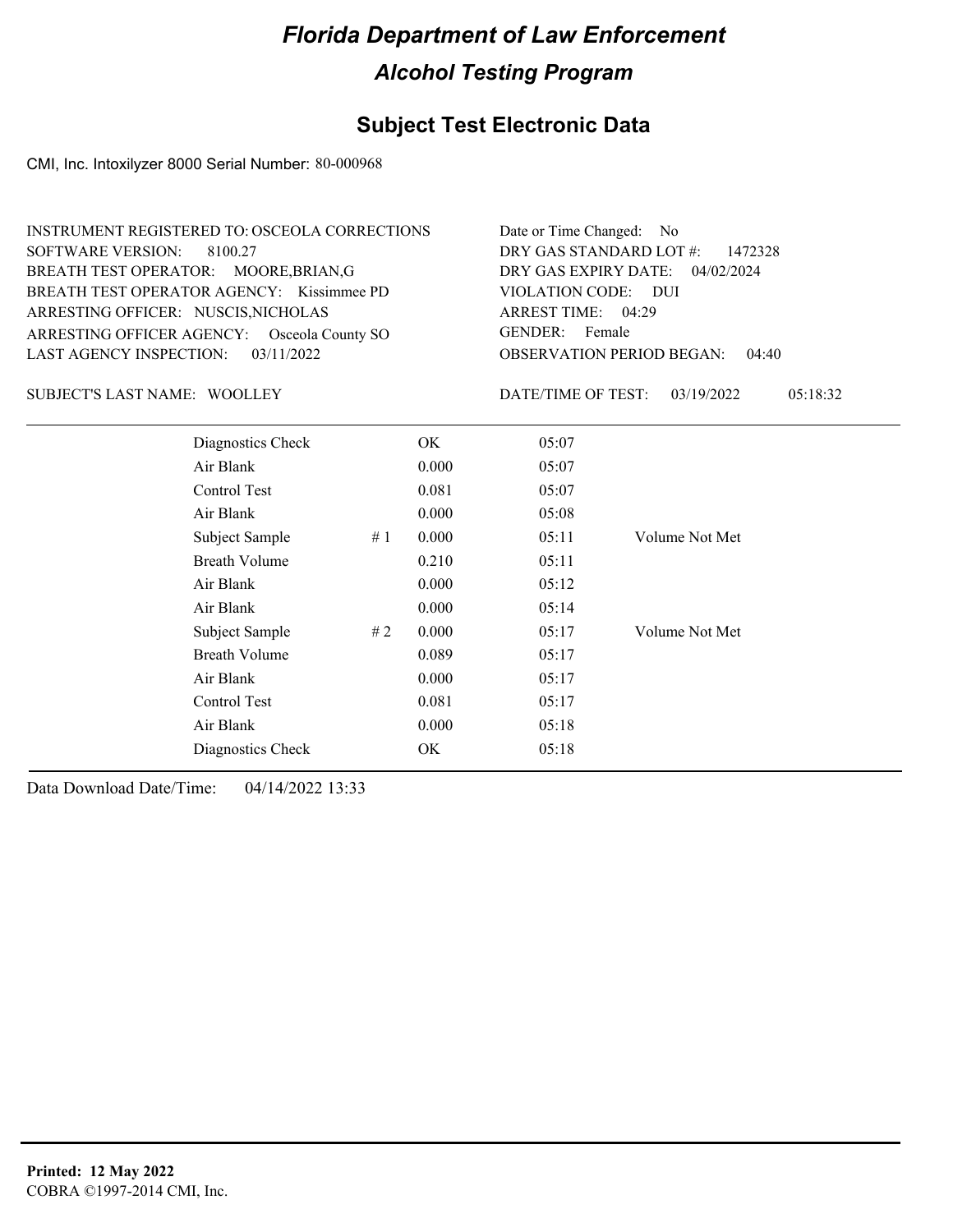## **Subject Test Electronic Data**

CMI, Inc. Intoxilyzer 8000 Serial Number: 80-000968

| INSTRUMENT REGISTERED TO: OSCEOLA CORRECTIONS | Date or Time Changed: No               |
|-----------------------------------------------|----------------------------------------|
| SOFTWARE VERSION: 8100.27                     | DRY GAS STANDARD LOT $\#$ : 1472328    |
| BREATH TEST OPERATOR: MOORE, BRIAN, G         | DRY GAS EXPIRY DATE: 04/02/2024        |
| BREATH TEST OPERATOR AGENCY: Kissimmee PD     | VIOLATION CODE: DUI                    |
| ARRESTING OFFICER: NUSCIS, NICHOLAS           | ARREST TIME: 04:29                     |
| ARRESTING OFFICER AGENCY: Osceola County SO   | GENDER: Female                         |
| LAST AGENCY INSPECTION: $03/11/2022$          | <b>OBSERVATION PERIOD BEGAN: 04:40</b> |

SUBJECT'S LAST NAME: WOOLLEY DATE/TIME OF TEST:

DATE/TIME OF TEST: 03/19/2022 05:18:32

| Diagnostics Check    |    | OK    | 05:07 |                |
|----------------------|----|-------|-------|----------------|
| Air Blank            |    | 0.000 | 05:07 |                |
| Control Test         |    | 0.081 | 05:07 |                |
| Air Blank            |    | 0.000 | 05:08 |                |
| Subject Sample       | #1 | 0.000 | 05:11 | Volume Not Met |
| <b>Breath Volume</b> |    | 0.210 | 05:11 |                |
| Air Blank            |    | 0.000 | 05:12 |                |
| Air Blank            |    | 0.000 | 05:14 |                |
| Subject Sample       | #2 | 0.000 | 05:17 | Volume Not Met |
| <b>Breath Volume</b> |    | 0.089 | 05:17 |                |
| Air Blank            |    | 0.000 | 05:17 |                |
| Control Test         |    | 0.081 | 05:17 |                |
| Air Blank            |    | 0.000 | 05:18 |                |
| Diagnostics Check    |    | OK    | 05:18 |                |
|                      |    |       |       |                |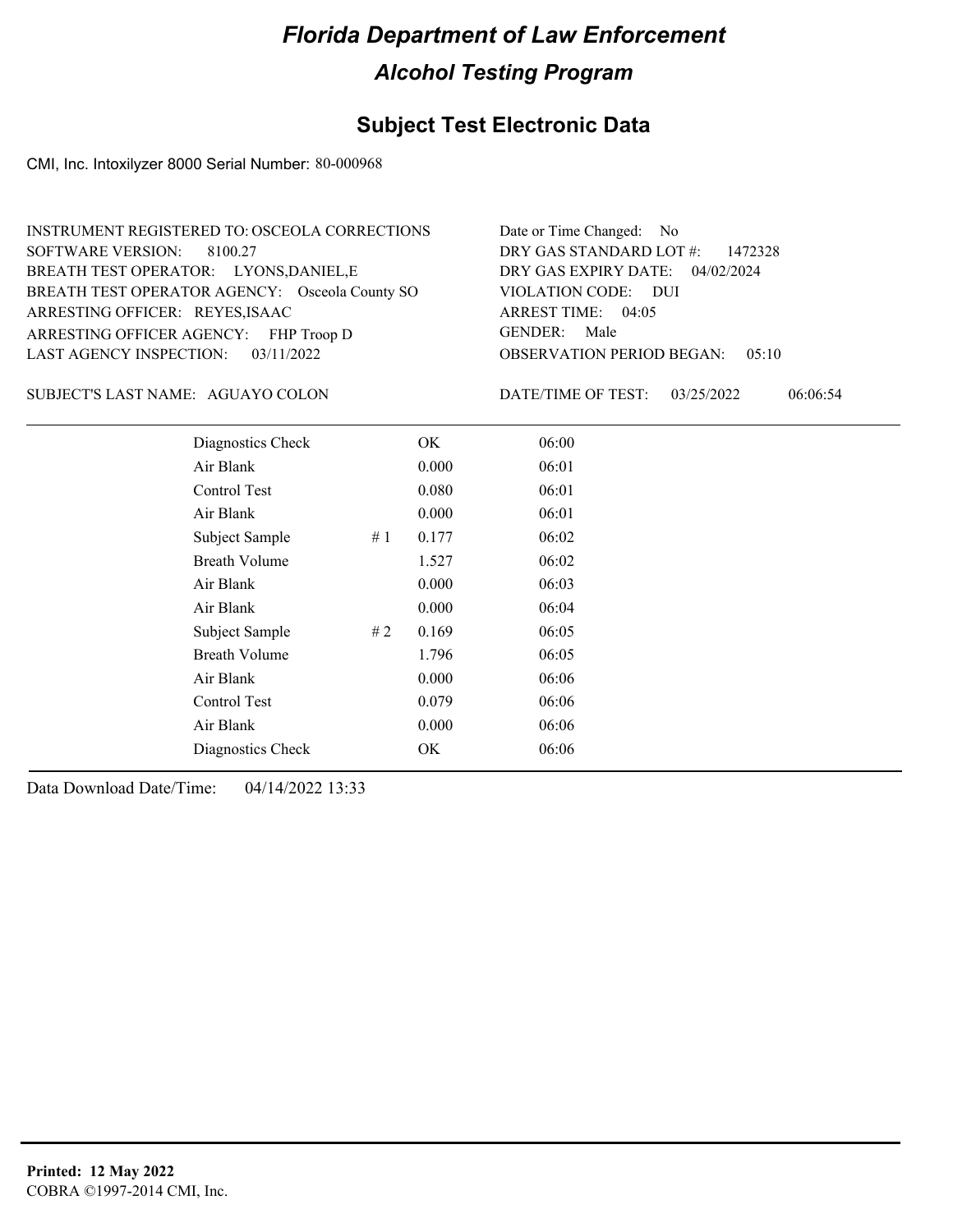### **Subject Test Electronic Data**

CMI, Inc. Intoxilyzer 8000 Serial Number: 80-000968

| INSTRUMENT REGISTERED TO: OSCEOLA CORRECTIONS  | Date or Time Changed: No               |
|------------------------------------------------|----------------------------------------|
| SOFTWARE VERSION: 8100.27                      | DRY GAS STANDARD LOT $\#$ : 1472328    |
| BREATH TEST OPERATOR: LYONS, DANIEL, E         | DRY GAS EXPIRY DATE: 04/02/2024        |
| BREATH TEST OPERATOR AGENCY: Osceola County SO | VIOLATION CODE: DUI                    |
| ARRESTING OFFICER: REYES, ISAAC                | ARREST TIME: 04:05                     |
| ARRESTING OFFICER AGENCY: FHP Troop D          | GENDER: Male                           |
| LAST AGENCY INSPECTION: 03/11/2022             | <b>OBSERVATION PERIOD BEGAN: 05:10</b> |

#### SUBJECT'S LAST NAME: AGUAYO COLON DATE/TIME OF TEST:

DATE/TIME OF TEST: 03/25/2022 06:06:54

| Diagnostics Check    |    | OK    | 06:00 |
|----------------------|----|-------|-------|
| Air Blank            |    | 0.000 | 06:01 |
| Control Test         |    | 0.080 | 06:01 |
| Air Blank            |    | 0.000 | 06:01 |
| Subject Sample       | #1 | 0.177 | 06:02 |
| <b>Breath Volume</b> |    | 1.527 | 06:02 |
| Air Blank            |    | 0.000 | 06:03 |
| Air Blank            |    | 0.000 | 06:04 |
| Subject Sample       | #2 | 0.169 | 06:05 |
| <b>Breath Volume</b> |    | 1.796 | 06:05 |
| Air Blank            |    | 0.000 | 06:06 |
| Control Test         |    | 0.079 | 06:06 |
| Air Blank            |    | 0.000 | 06:06 |
| Diagnostics Check    |    | OK    | 06:06 |
|                      |    |       |       |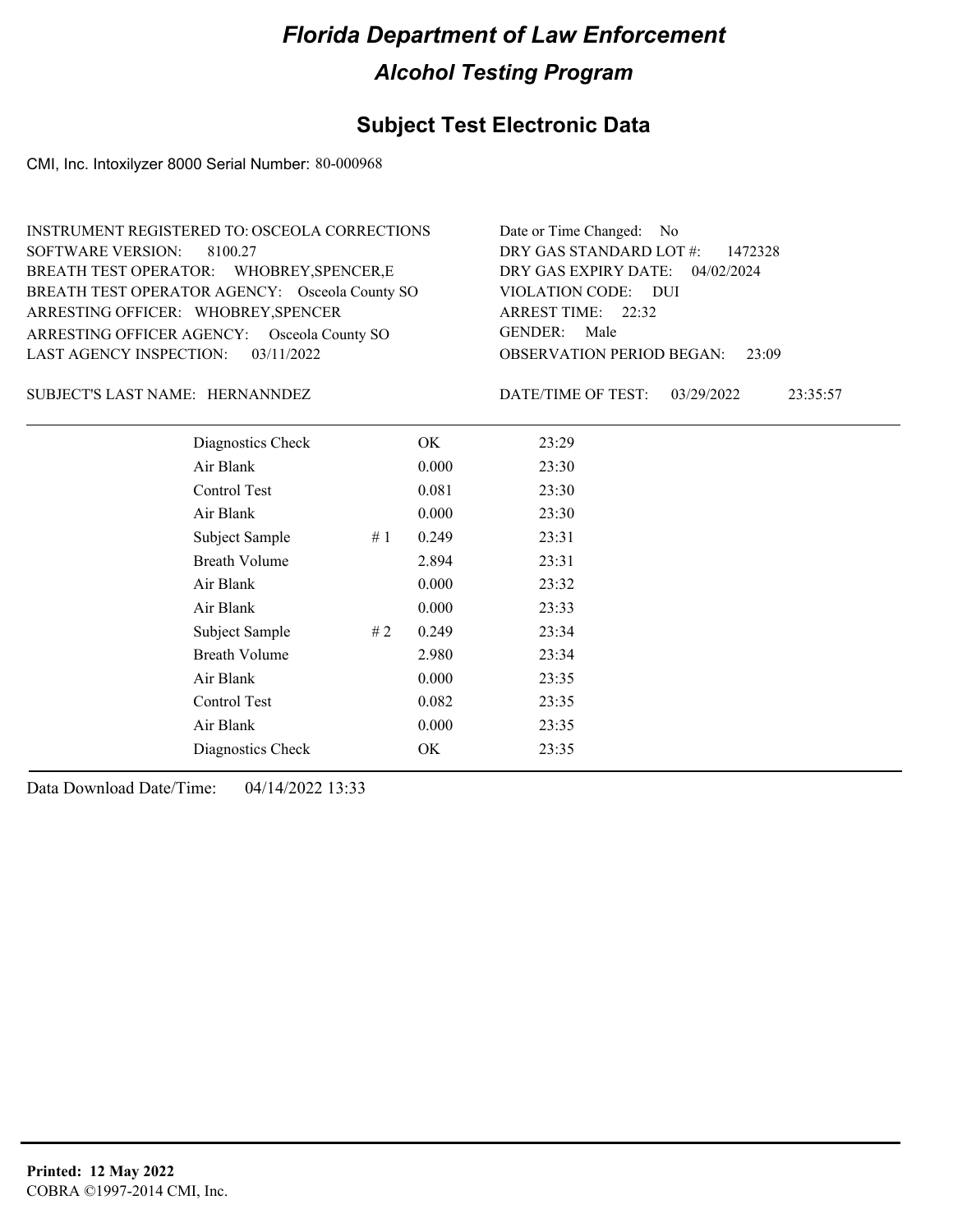### **Subject Test Electronic Data**

CMI, Inc. Intoxilyzer 8000 Serial Number: 80-000968

| INSTRUMENT REGISTERED TO: OSCEOLA CORRECTIONS  | Date or Time Changed: No               |
|------------------------------------------------|----------------------------------------|
| SOFTWARE VERSION: 8100.27                      | DRY GAS STANDARD LOT $\#$ : 1472328    |
| BREATH TEST OPERATOR: WHOBREY, SPENCER, E      | DRY GAS EXPIRY DATE: 04/02/2024        |
| BREATH TEST OPERATOR AGENCY: Osceola County SO | VIOLATION CODE: DUI                    |
| ARRESTING OFFICER: WHOBREY, SPENCER            | ARREST TIME: 22:32                     |
| ARRESTING OFFICER AGENCY: Osceola County SO    | GENDER: Male                           |
| LAST AGENCY INSPECTION: $03/11/2022$           | <b>OBSERVATION PERIOD BEGAN: 23:09</b> |

SUBJECT'S LAST NAME: HERNANNDEZ DATE/TIME OF TEST:

DATE/TIME OF TEST: 03/29/2022 23:35:57

| Diagnostics Check    |    | OK    | 23:29 |
|----------------------|----|-------|-------|
| Air Blank            |    | 0.000 | 23:30 |
| Control Test         |    | 0.081 | 23:30 |
| Air Blank            |    | 0.000 | 23:30 |
| Subject Sample       | #1 | 0.249 | 23:31 |
| <b>Breath Volume</b> |    | 2.894 | 23:31 |
| Air Blank            |    | 0.000 | 23:32 |
| Air Blank            |    | 0.000 | 23:33 |
| Subject Sample       | #2 | 0.249 | 23:34 |
| <b>Breath Volume</b> |    | 2.980 | 23:34 |
| Air Blank            |    | 0.000 | 23:35 |
| Control Test         |    | 0.082 | 23:35 |
| Air Blank            |    | 0.000 | 23:35 |
| Diagnostics Check    |    | OK    | 23:35 |
|                      |    |       |       |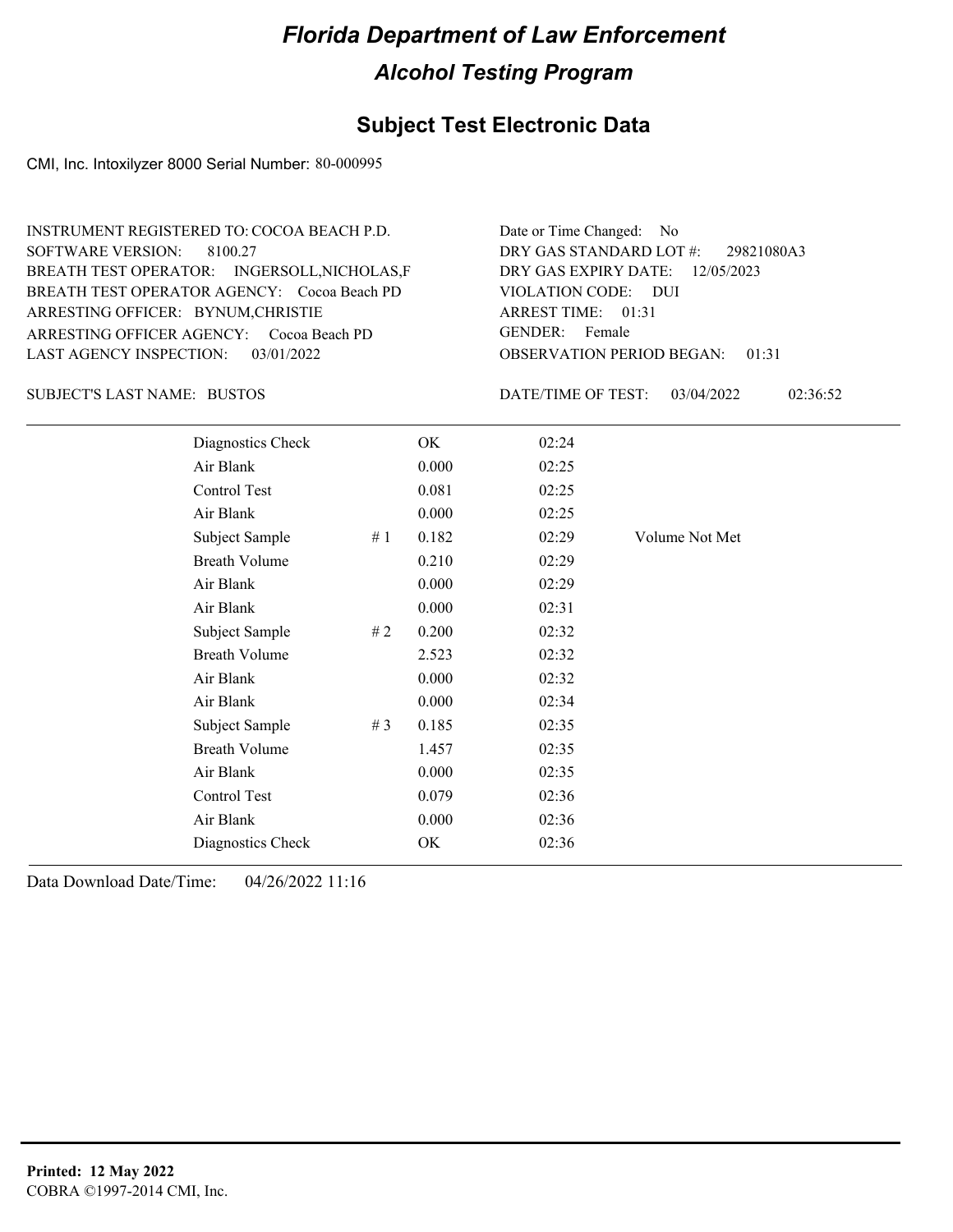### **Subject Test Electronic Data**

CMI, Inc. Intoxilyzer 8000 Serial Number: 80-000995

| INSTRUMENT REGISTERED TO: COCOA BEACH P.D.   | Date or Time Changed: No               |
|----------------------------------------------|----------------------------------------|
| SOFTWARE VERSION: 8100.27                    | DRY GAS STANDARD LOT #: 29821080A3     |
| BREATH TEST OPERATOR: INGERSOLL, NICHOLAS, F | DRY GAS EXPIRY DATE: $12/05/2023$      |
| BREATH TEST OPERATOR AGENCY: Cocoa Beach PD  | VIOLATION CODE: DUI                    |
| ARRESTING OFFICER: BYNUM, CHRISTIE           | ARREST TIME: 01:31                     |
| ARRESTING OFFICER AGENCY: Cocoa Beach PD     | GENDER: Female                         |
| LAST AGENCY INSPECTION: $03/01/2022$         | <b>OBSERVATION PERIOD BEGAN: 01:31</b> |

#### BUSTOS SUBJECT'S LAST NAME: DATE/TIME OF TEST:

DATE/TIME OF TEST: 03/04/2022 02:36:52

| Diagnostics Check    |    | OK    | 02:24 |                |
|----------------------|----|-------|-------|----------------|
| Air Blank            |    | 0.000 | 02:25 |                |
| Control Test         |    | 0.081 | 02:25 |                |
| Air Blank            |    | 0.000 | 02:25 |                |
| Subject Sample       | #1 | 0.182 | 02:29 | Volume Not Met |
| <b>Breath Volume</b> |    | 0.210 | 02:29 |                |
| Air Blank            |    | 0.000 | 02:29 |                |
| Air Blank            |    | 0.000 | 02:31 |                |
| Subject Sample       | #2 | 0.200 | 02:32 |                |
| <b>Breath Volume</b> |    | 2.523 | 02:32 |                |
| Air Blank            |    | 0.000 | 02:32 |                |
| Air Blank            |    | 0.000 | 02:34 |                |
| Subject Sample       | #3 | 0.185 | 02:35 |                |
| <b>Breath Volume</b> |    | 1.457 | 02:35 |                |
| Air Blank            |    | 0.000 | 02:35 |                |
| Control Test         |    | 0.079 | 02:36 |                |
| Air Blank            |    | 0.000 | 02:36 |                |
| Diagnostics Check    |    | OK    | 02:36 |                |
|                      |    |       |       |                |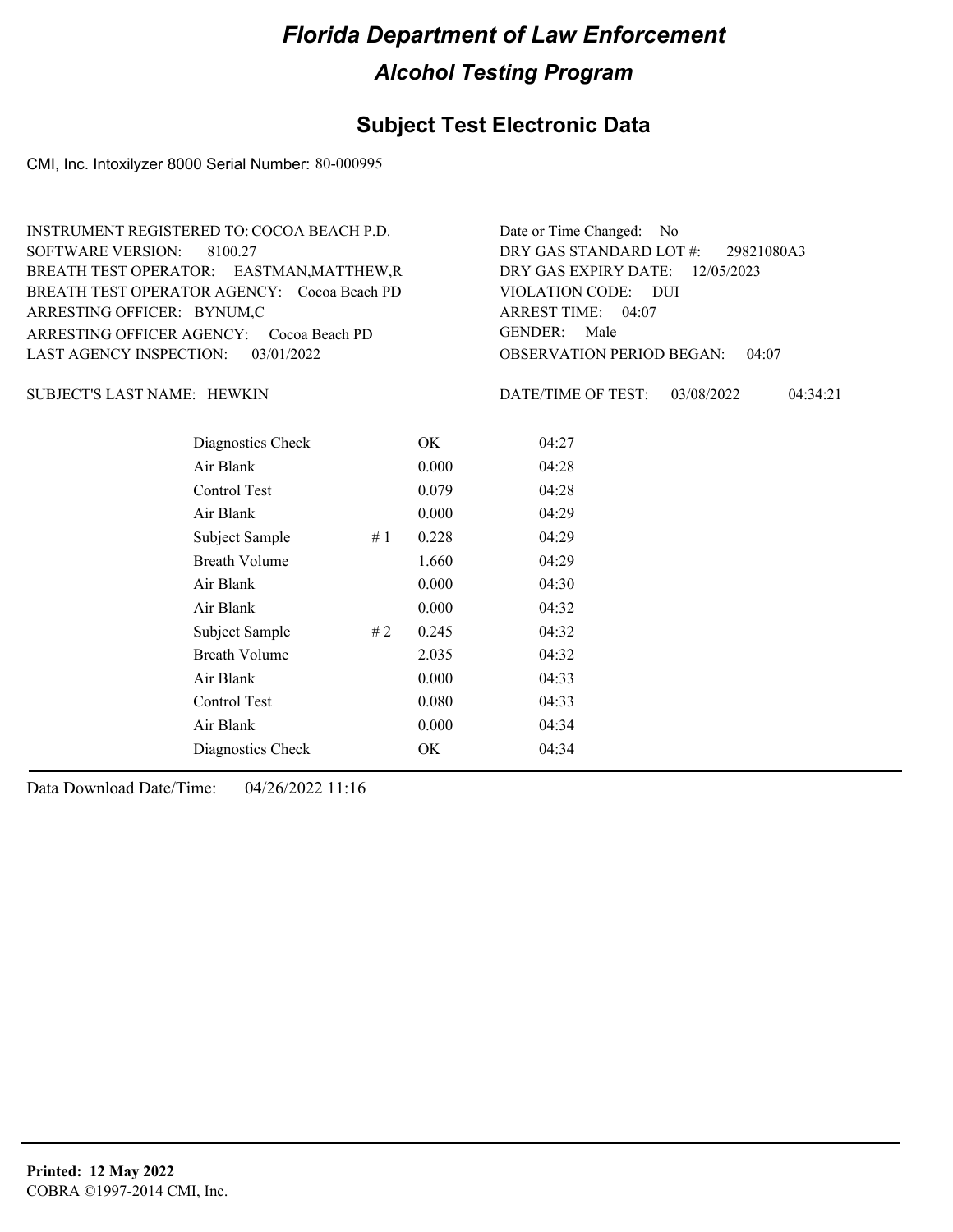#### **Subject Test Electronic Data**

CMI, Inc. Intoxilyzer 8000 Serial Number: 80-000995

OBSERVATION PERIOD BEGAN: 04:07 ARRESTING OFFICER AGENCY: Cocoa Beach PD GENDER: BREATH TEST OPERATOR AGENCY: Cocoa Beach PD VIOLATION CODE: SOFTWARE VERSION: 8100.27 VIOLATION CODE: DUI ARREST TIME: 04:07 ARRESTING OFFICER: BYNUM,C 12/05/2023 DRY GAS EXPIRY DATE: 29821080A3 BREATH TEST OPERATOR: EASTMAN,MATTHEW,R LAST AGENCY INSPECTION: 03/01/2022 INSTRUMENT REGISTERED TO: COCOA BEACH P.D. DRY GAS STANDARD LOT #: Date or Time Changed: No GENDER: Male

HEWKIN SUBJECT'S LAST NAME: DATE/TIME OF TEST:

DATE/TIME OF TEST: 03/08/2022 04:34:21

| Diagnostics Check    |    | OK    | 04:27 |  |
|----------------------|----|-------|-------|--|
| Air Blank            |    | 0.000 | 04:28 |  |
| Control Test         |    | 0.079 | 04:28 |  |
| Air Blank            |    | 0.000 | 04:29 |  |
| Subject Sample       | #1 | 0.228 | 04:29 |  |
| <b>Breath Volume</b> |    | 1.660 | 04:29 |  |
| Air Blank            |    | 0.000 | 04:30 |  |
| Air Blank            |    | 0.000 | 04:32 |  |
| Subject Sample       | #2 | 0.245 | 04:32 |  |
| <b>Breath Volume</b> |    | 2.035 | 04:32 |  |
| Air Blank            |    | 0.000 | 04:33 |  |
| Control Test         |    | 0.080 | 04:33 |  |
| Air Blank            |    | 0.000 | 04:34 |  |
| Diagnostics Check    |    | OK    | 04:34 |  |
|                      |    |       |       |  |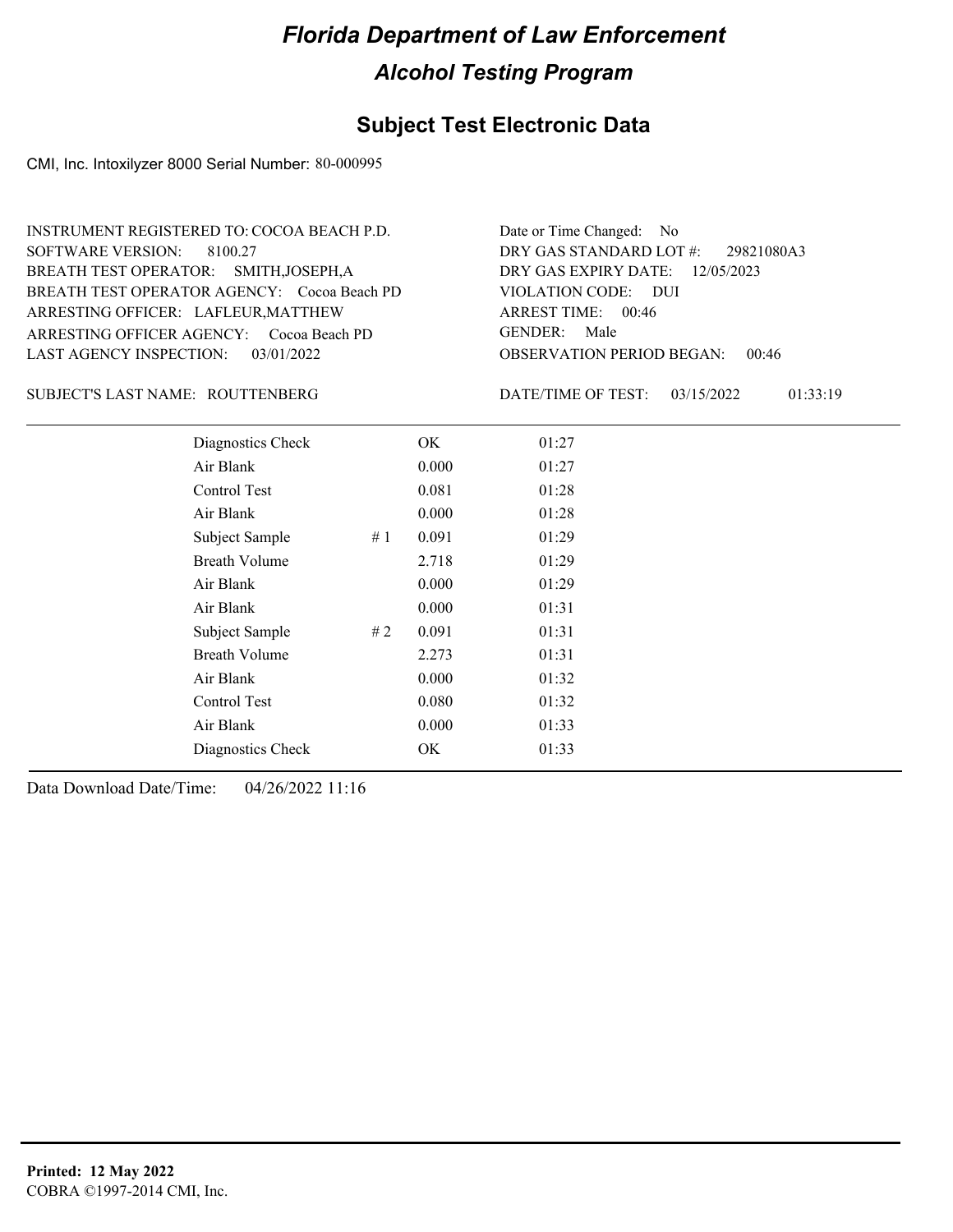#### **Subject Test Electronic Data**

CMI, Inc. Intoxilyzer 8000 Serial Number: 80-000995

ARRESTING OFFICER AGENCY: Cocoa Beach PD GENDER: BREATH TEST OPERATOR AGENCY: Cocoa Beach PD VIOLATION CODE: SOFTWARE VERSION: 8100.27 ARRESTING OFFICER: LAFLEUR, MATTHEW BREATH TEST OPERATOR: SMITH,JOSEPH,A LAST AGENCY INSPECTION: 03/01/2022 INSTRUMENT REGISTERED TO: COCOA BEACH P.D.

ROUTTENBERG SUBJECT'S LAST NAME: DATE/TIME OF TEST:

OBSERVATION PERIOD BEGAN: 00:46 VIOLATION CODE: DUI ARREST TIME: 00:46 12/05/2023 DRY GAS EXPIRY DATE: 29821080A3 DRY GAS STANDARD LOT #: Date or Time Changed: No GENDER: Male

DATE/TIME OF TEST: 03/15/2022 01:33:19

| Diagnostics Check    |    | OK    | 01:27 |  |
|----------------------|----|-------|-------|--|
| Air Blank            |    | 0.000 | 01:27 |  |
| Control Test         |    | 0.081 | 01:28 |  |
| Air Blank            |    | 0.000 | 01:28 |  |
| Subject Sample       | #1 | 0.091 | 01:29 |  |
| <b>Breath Volume</b> |    | 2.718 | 01:29 |  |
| Air Blank            |    | 0.000 | 01:29 |  |
| Air Blank            |    | 0.000 | 01:31 |  |
| Subject Sample       | #2 | 0.091 | 01:31 |  |
| <b>Breath Volume</b> |    | 2.273 | 01:31 |  |
| Air Blank            |    | 0.000 | 01:32 |  |
| <b>Control Test</b>  |    | 0.080 | 01:32 |  |
| Air Blank            |    | 0.000 | 01:33 |  |
| Diagnostics Check    |    | OK    | 01:33 |  |
|                      |    |       |       |  |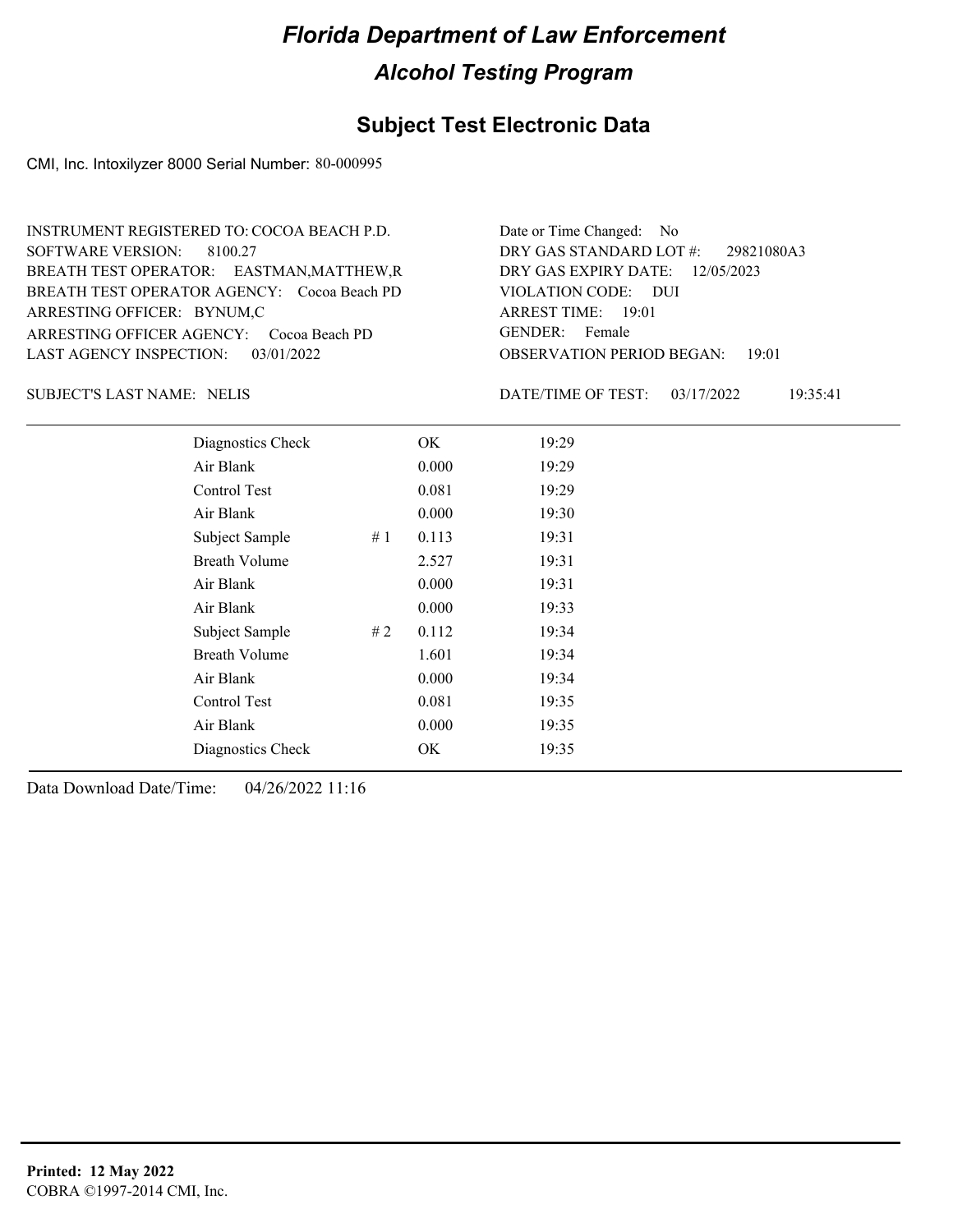### **Subject Test Electronic Data**

CMI, Inc. Intoxilyzer 8000 Serial Number: 80-000995

| INSTRUMENT REGISTERED TO: COCOA BEACH P.D.  | Date or Time Changed: No               |
|---------------------------------------------|----------------------------------------|
| SOFTWARE VERSION: 8100.27                   | DRY GAS STANDARD LOT #: 29821080A3     |
| BREATH TEST OPERATOR: EASTMAN, MATTHEW, R   | DRY GAS EXPIRY DATE: $12/05/2023$      |
| BREATH TEST OPERATOR AGENCY: Cocoa Beach PD | VIOLATION CODE: DUI                    |
| ARRESTING OFFICER: BYNUM,C                  | ARREST TIME: 19:01                     |
| ARRESTING OFFICER AGENCY: Cocoa Beach PD    | GENDER: Female                         |
| LAST AGENCY INSPECTION: $03/01/2022$        | <b>OBSERVATION PERIOD BEGAN: 19:01</b> |

SUBJECT'S LAST NAME: NELIS DATE/TIME OF TEST:

DATE/TIME OF TEST: 03/17/2022 19:35:41

| Diagnostics Check    |    | OK    | 19:29 |
|----------------------|----|-------|-------|
| Air Blank            |    | 0.000 | 19:29 |
| Control Test         |    | 0.081 | 19:29 |
| Air Blank            |    | 0.000 | 19:30 |
| Subject Sample       | #1 | 0.113 | 19:31 |
| <b>Breath Volume</b> |    | 2.527 | 19:31 |
| Air Blank            |    | 0.000 | 19:31 |
| Air Blank            |    | 0.000 | 19:33 |
| Subject Sample       | #2 | 0.112 | 19:34 |
| <b>Breath Volume</b> |    | 1.601 | 19:34 |
| Air Blank            |    | 0.000 | 19:34 |
| Control Test         |    | 0.081 | 19:35 |
| Air Blank            |    | 0.000 | 19:35 |
| Diagnostics Check    |    | OK    | 19:35 |
|                      |    |       |       |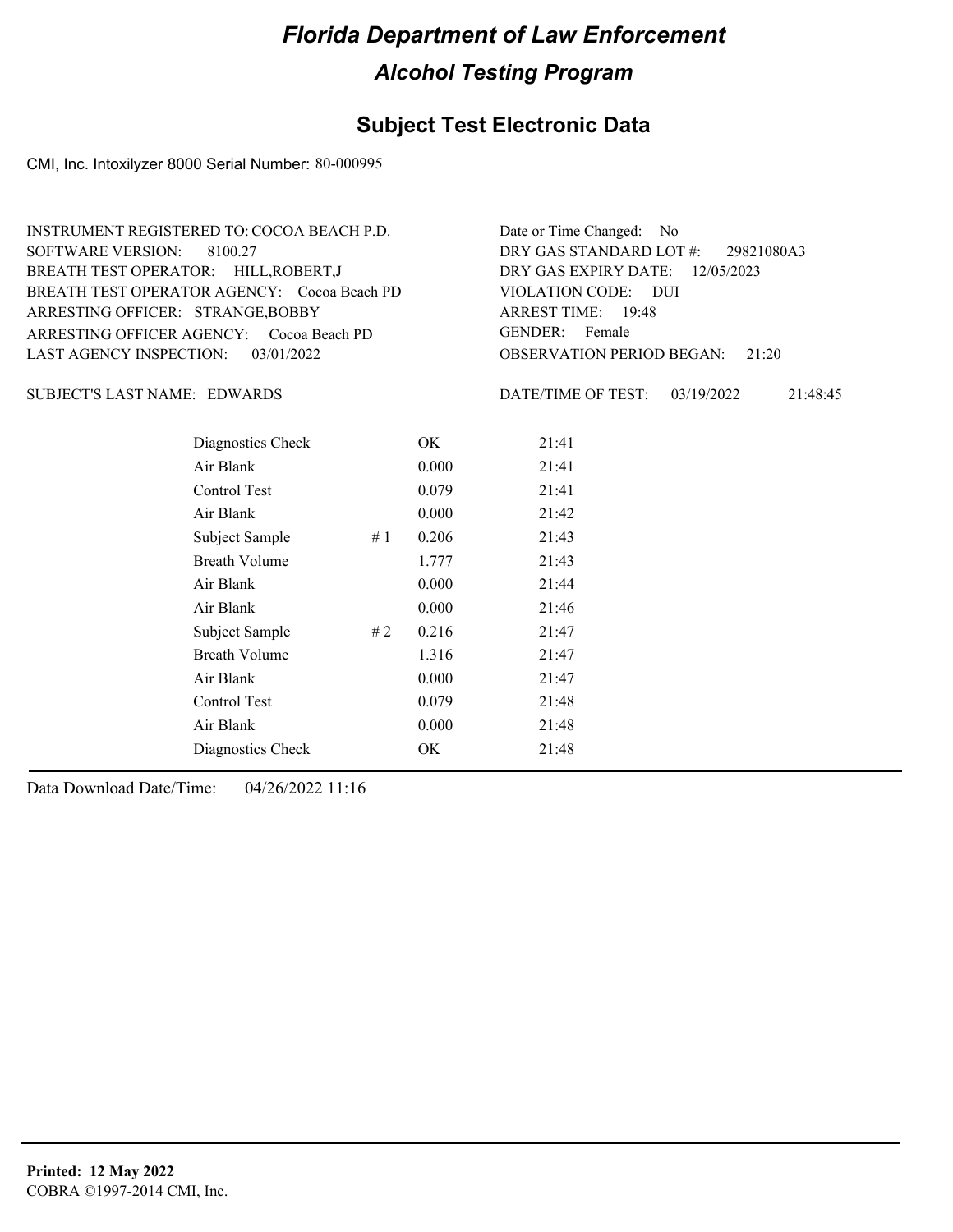### **Subject Test Electronic Data**

CMI, Inc. Intoxilyzer 8000 Serial Number: 80-000995

| INSTRUMENT REGISTERED TO: COCOA BEACH P.D.  | Date or Time Changed: No               |
|---------------------------------------------|----------------------------------------|
| SOFTWARE VERSION: 8100.27                   | DRY GAS STANDARD LOT $\#$ : 29821080A3 |
| BREATH TEST OPERATOR: HILL, ROBERT, J       | DRY GAS EXPIRY DATE: 12/05/2023        |
| BREATH TEST OPERATOR AGENCY: Cocoa Beach PD | VIOLATION CODE: DUI                    |
| ARRESTING OFFICER: STRANGE, BOBBY           | ARREST TIME: 19:48                     |
| ARRESTING OFFICER AGENCY: Cocoa Beach PD    | GENDER: Female                         |
| LAST AGENCY INSPECTION: $03/01/2022$        | <b>OBSERVATION PERIOD BEGAN:</b> 21:20 |

#### SUBJECT'S LAST NAME: EDWARDS DATE/TIME OF TEST:

DATE/TIME OF TEST: 03/19/2022 21:48:45

| Diagnostics Check    |    | OK    | 21:41 |
|----------------------|----|-------|-------|
| Air Blank            |    | 0.000 | 21:41 |
| Control Test         |    | 0.079 | 21:41 |
| Air Blank            |    | 0.000 | 21:42 |
| Subject Sample       | #1 | 0.206 | 21:43 |
| <b>Breath Volume</b> |    | 1.777 | 21:43 |
| Air Blank            |    | 0.000 | 21:44 |
| Air Blank            |    | 0.000 | 21:46 |
| Subject Sample       | #2 | 0.216 | 21:47 |
| <b>Breath Volume</b> |    | 1.316 | 21:47 |
| Air Blank            |    | 0.000 | 21:47 |
| Control Test         |    | 0.079 | 21:48 |
| Air Blank            |    | 0.000 | 21:48 |
| Diagnostics Check    |    | OK    | 21:48 |
|                      |    |       |       |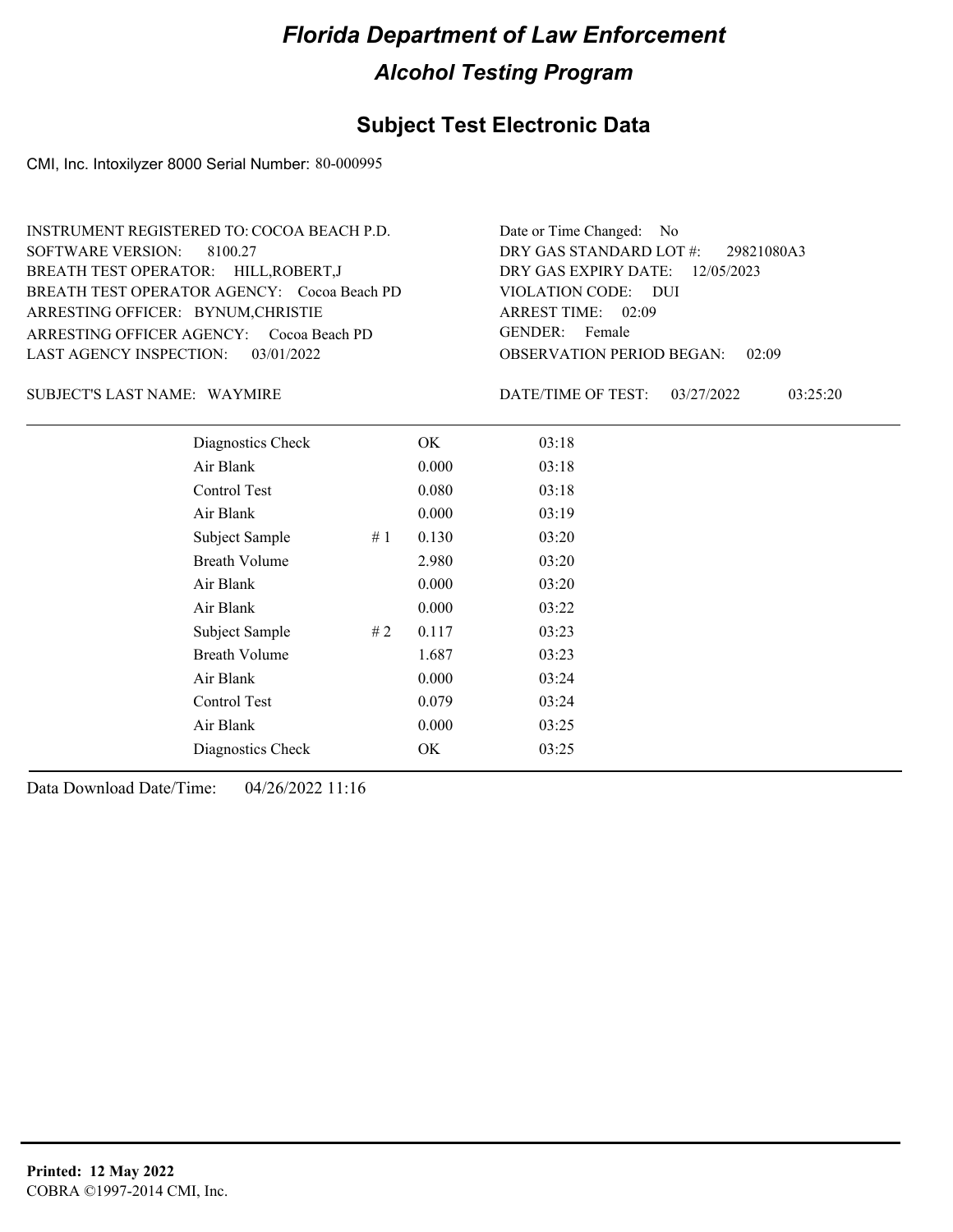### **Subject Test Electronic Data**

CMI, Inc. Intoxilyzer 8000 Serial Number: 80-000995

| INSTRUMENT REGISTERED TO: COCOA BEACH P.D.  | Date or Time Changed: No               |
|---------------------------------------------|----------------------------------------|
| SOFTWARE VERSION: 8100.27                   | DRY GAS STANDARD LOT $\#$ : 29821080A3 |
| BREATH TEST OPERATOR: HILL, ROBERT, J       | DRY GAS EXPIRY DATE: 12/05/2023        |
| BREATH TEST OPERATOR AGENCY: Cocoa Beach PD | VIOLATION CODE: DUI                    |
| ARRESTING OFFICER: BYNUM, CHRISTIE          | ARREST TIME: 02:09                     |
| ARRESTING OFFICER AGENCY: Cocoa Beach PD    | GENDER: Female                         |
| LAST AGENCY INSPECTION: $03/01/2022$        | <b>OBSERVATION PERIOD BEGAN: 02:09</b> |

#### SUBJECT'S LAST NAME: WAYMIRE **Example 20 SOMETA** DATE/TIME OF TEST:

DATE/TIME OF TEST: 03/27/2022 03:25:20

| Diagnostics Check    |    | OK    | 03:18 |  |  |
|----------------------|----|-------|-------|--|--|
| Air Blank            |    | 0.000 | 03:18 |  |  |
| Control Test         |    | 0.080 | 03:18 |  |  |
| Air Blank            |    | 0.000 | 03:19 |  |  |
| Subject Sample       | #1 | 0.130 | 03:20 |  |  |
| <b>Breath Volume</b> |    | 2.980 | 03:20 |  |  |
| Air Blank            |    | 0.000 | 03:20 |  |  |
| Air Blank            |    | 0.000 | 03:22 |  |  |
| Subject Sample       | #2 | 0.117 | 03:23 |  |  |
| <b>Breath Volume</b> |    | 1.687 | 03:23 |  |  |
| Air Blank            |    | 0.000 | 03:24 |  |  |
| Control Test         |    | 0.079 | 03:24 |  |  |
| Air Blank            |    | 0.000 | 03:25 |  |  |
| Diagnostics Check    |    | OK    | 03:25 |  |  |
|                      |    |       |       |  |  |